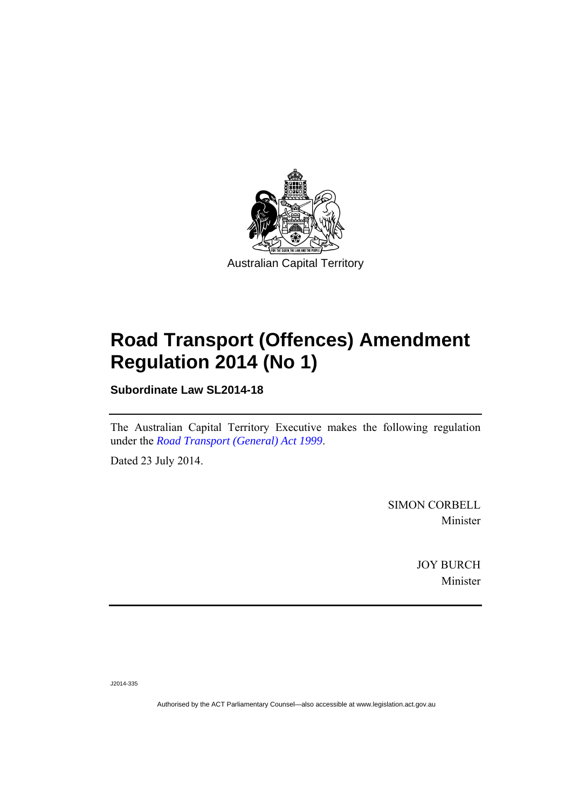

# **Road Transport (Offences) Amendment Regulation 2014 (No 1)**

**Subordinate Law SL2014-18** 

The Australian Capital Territory Executive makes the following regulation under the *[Road Transport \(General\) Act 1999](http://www.legislation.act.gov.au/a/1999-77)*.

Dated 23 July 2014.

SIMON CORBELL Minister

> JOY BURCH Minister

J2014-335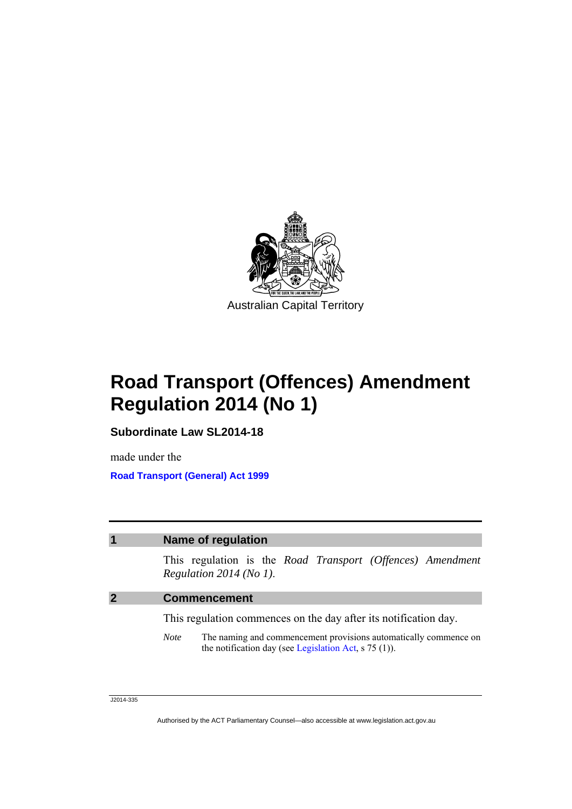

**Road Transport (Offences) Amendment Regulation 2014 (No 1)** 

**Subordinate Law SL2014-18** 

made under the **[Road Transport \(General\) Act 1999](http://www.legislation.act.gov.au/a/1999-77)**

### **1 Name of regulation**

This regulation is the *Road Transport (Offences) Amendment Regulation 2014 (No 1)*.

### **2 Commencement**

This regulation commences on the day after its notification day.

*Note* The naming and commencement provisions automatically commence on the notification day (see [Legislation Act,](http://www.legislation.act.gov.au/a/2001-14) s 75 (1)).

J2014-335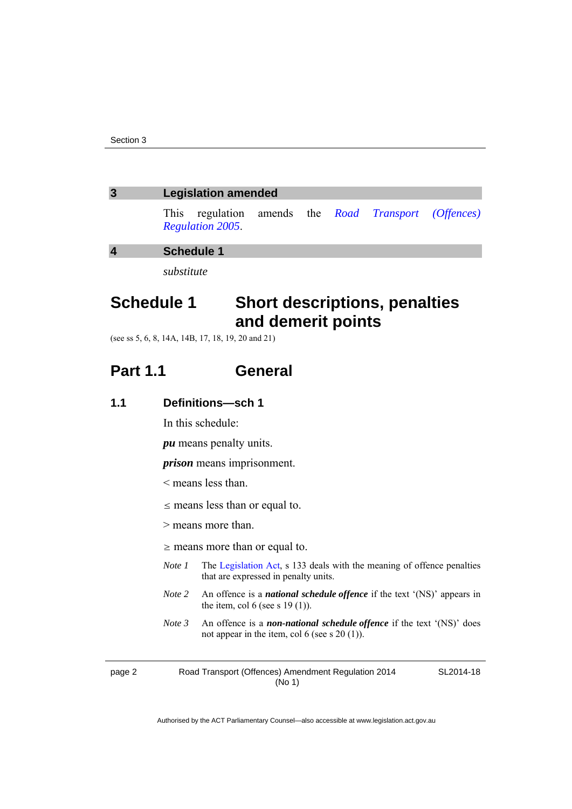### **3 Legislation amended**

This regulation amends the *[Road Transport \(Offences\)](http://www.legislation.act.gov.au/sl/2005-11)  [Regulation 2005](http://www.legislation.act.gov.au/sl/2005-11)*.

**4 Schedule 1** 

*substitute* 

# **Schedule 1 Short descriptions, penalties and demerit points**

(see ss 5, 6, 8, 14A, 14B, 17, 18, 19, 20 and 21)

## **Part 1.1 General**

| Definitions-sch 1<br>1.1 |
|--------------------------|
|--------------------------|

In this schedule:

*pu* means penalty units.

*prison* means imprisonment.

- < means less than.
- $\leq$  means less than or equal to.
- > means more than.

 $\geq$  means more than or equal to.

- *Note 1* The [Legislation Act](http://www.legislation.act.gov.au/a/2001-14), s 133 deals with the meaning of offence penalties that are expressed in penalty units.
- *Note 2* An offence is a *national schedule offence* if the text '(NS)' appears in the item, col 6 (see s  $19(1)$ ).
- *Note 3* An offence is a *non-national schedule offence* if the text '(NS)' does not appear in the item, col 6 (see s 20 (1)).

page 2 Road Transport (Offences) Amendment Regulation 2014 (No 1)

SL2014-18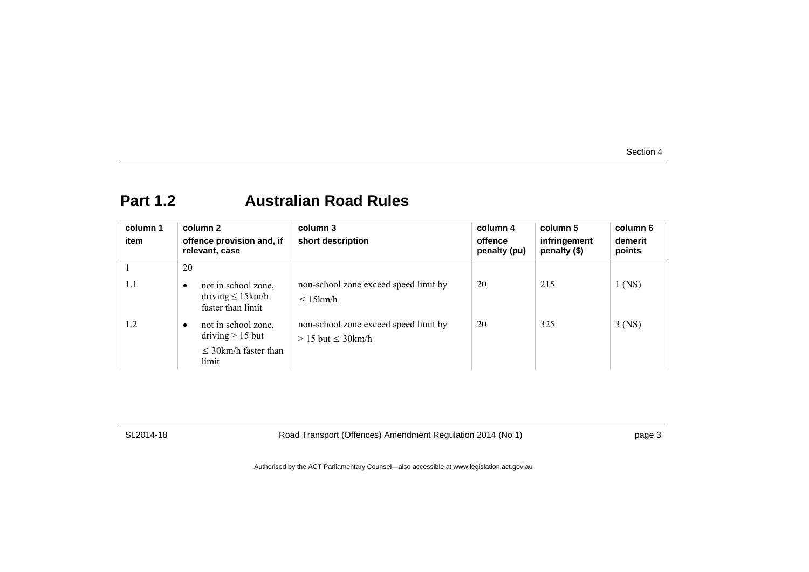# **Part 1.2 Australian Road Rules**

| column 1<br>item | column 2<br>offence provision and, if<br>relevant, case                                      | column 3<br>short description                                      | column 4<br>offence<br>penalty (pu) | column 5<br>infringement<br>penalty (\$) | column 6<br>demerit<br>points |
|------------------|----------------------------------------------------------------------------------------------|--------------------------------------------------------------------|-------------------------------------|------------------------------------------|-------------------------------|
|                  | 20                                                                                           |                                                                    |                                     |                                          |                               |
| 1.1              | not in school zone,<br>$\bullet$<br>driving $\leq 15$ km/h<br>faster than limit              | non-school zone exceed speed limit by<br>$\leq 15$ km/h            | 20                                  | 215                                      | $1$ (NS)                      |
| 1.2              | not in school zone,<br>$\bullet$<br>driving $> 15$ but<br>$\leq$ 30km/h faster than<br>limit | non-school zone exceed speed limit by<br>$> 15$ but $\leq 30$ km/h | 20                                  | 325                                      | $3$ (NS)                      |

SL2014-18 Road Transport (Offences) Amendment Regulation 2014 (No 1) page 3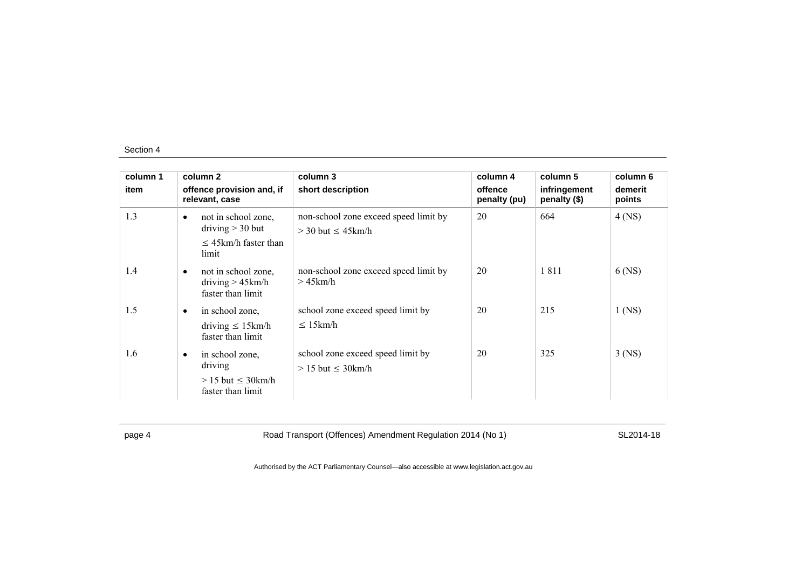| column 1<br>item |           | column 2<br>offence provision and, if                           | column 3<br>short description                                      | column 4<br>offence | column 5<br>infringement | column 6<br>demerit |
|------------------|-----------|-----------------------------------------------------------------|--------------------------------------------------------------------|---------------------|--------------------------|---------------------|
|                  |           | relevant, case                                                  |                                                                    | penalty (pu)        | penalty (\$)             | points              |
| 1.3              | $\bullet$ | not in school zone,<br>driving $>$ 30 but                       | non-school zone exceed speed limit by<br>$>$ 30 but $\leq$ 45 km/h | 20                  | 664                      | $4$ (NS)            |
|                  |           | $\leq$ 45km/h faster than<br>limit                              |                                                                    |                     |                          |                     |
| 1.4              | $\bullet$ | not in school zone,<br>driving $> 45$ km/h<br>faster than limit | non-school zone exceed speed limit by<br>$>45$ km/h                | 20                  | 1811                     | $6$ (NS)            |
| 1.5              | ٠         | in school zone,                                                 | school zone exceed speed limit by                                  | 20                  | 215                      | $1$ (NS)            |
|                  |           | driving $\leq 15$ km/h<br>faster than limit                     | $\leq 15$ km/h                                                     |                     |                          |                     |
| 1.6              | $\bullet$ | in school zone.<br>driving<br>$> 15$ but $\leq 30$ km/h         | school zone exceed speed limit by<br>$> 15$ but $\leq 30$ km/h     | 20                  | 325                      | $3$ (NS)            |
|                  |           | faster than limit                                               |                                                                    |                     |                          |                     |

page 4 Road Transport (Offences) Amendment Regulation 2014 (No 1) SL2014-18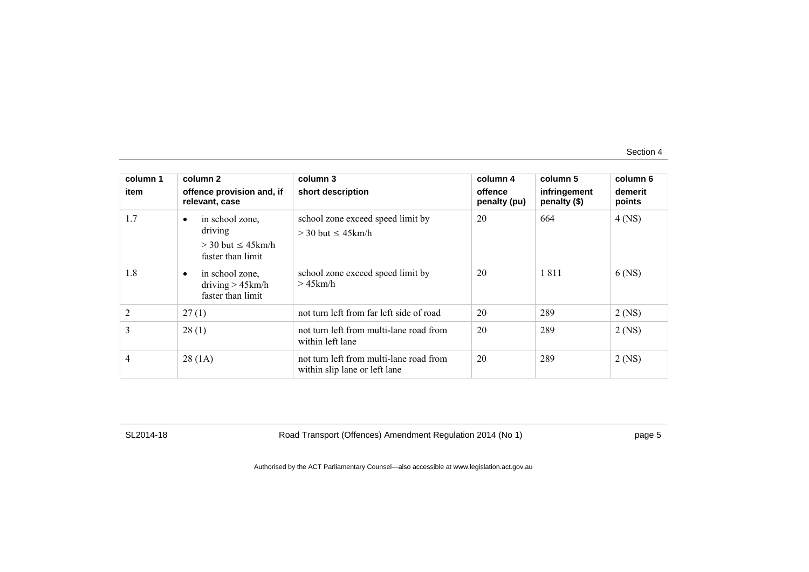| column 1       | column 2                                                                                                                                                 | column 3                                                                                                          | column 4                | column 5                     | column 6             |
|----------------|----------------------------------------------------------------------------------------------------------------------------------------------------------|-------------------------------------------------------------------------------------------------------------------|-------------------------|------------------------------|----------------------|
| item           | offence provision and, if<br>relevant, case                                                                                                              | short description                                                                                                 | offence<br>penalty (pu) | infringement<br>penalty (\$) | demerit<br>points    |
| 1.7<br>1.8     | in school zone,<br>$\bullet$<br>driving<br>$>$ 30 but $\leq$ 45 km/h<br>faster than limit<br>in school zone,<br>driving $> 45$ km/h<br>faster than limit | school zone exceed speed limit by<br>$>$ 30 but $\leq$ 45 km/h<br>school zone exceed speed limit by<br>$>45$ km/h | 20<br>20                | 664<br>1811                  | $4$ (NS)<br>$6$ (NS) |
| $\overline{2}$ | 27(1)                                                                                                                                                    | not turn left from far left side of road                                                                          | 20                      | 289                          | $2$ (NS)             |
| 3              | 28(1)                                                                                                                                                    | not turn left from multi-lane road from<br>within left lane                                                       | 20                      | 289                          | $2$ (NS)             |
| $\overline{4}$ | 28(1A)                                                                                                                                                   | not turn left from multi-lane road from<br>within slip lane or left lane                                          | 20                      | 289                          | $2$ (NS)             |

SL2014-18 Road Transport (Offences) Amendment Regulation 2014 (No 1) page 5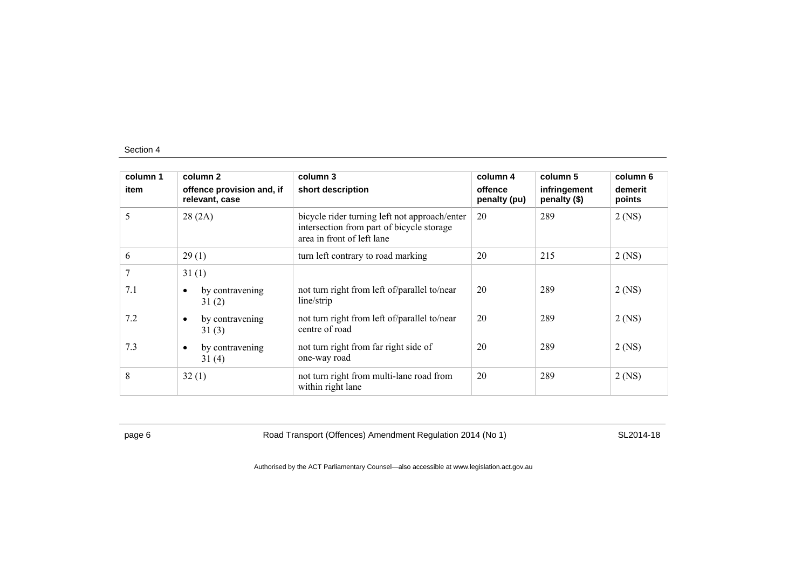| column 1 | column 2                                    | column 3                                                                                                                 | column 4                | column 5                     | column 6          |
|----------|---------------------------------------------|--------------------------------------------------------------------------------------------------------------------------|-------------------------|------------------------------|-------------------|
| item     | offence provision and, if<br>relevant, case | short description                                                                                                        | offence<br>penalty (pu) | infringement<br>penalty (\$) | demerit<br>points |
| 5        | 28(2A)                                      | bicycle rider turning left not approach/enter<br>intersection from part of bicycle storage<br>area in front of left lane | 20                      | 289                          | $2$ (NS)          |
| 6        | 29(1)                                       | turn left contrary to road marking                                                                                       | 20                      | 215                          | $2$ (NS)          |
| 7        | 31(1)                                       |                                                                                                                          |                         |                              |                   |
| 7.1      | by contravening<br>٠<br>31(2)               | not turn right from left of/parallel to/near<br>line/strip                                                               | 20                      | 289                          | $2$ (NS)          |
| 7.2      | by contravening<br>$\bullet$<br>31(3)       | not turn right from left of/parallel to/near<br>centre of road                                                           | 20                      | 289                          | $2$ (NS)          |
| 7.3      | by contravening<br>$\bullet$<br>31(4)       | not turn right from far right side of<br>one-way road                                                                    | 20                      | 289                          | $2$ (NS)          |
| 8        | 32(1)                                       | not turn right from multi-lane road from<br>within right lane                                                            | 20                      | 289                          | $2$ (NS)          |

page 6 Road Transport (Offences) Amendment Regulation 2014 (No 1) SL2014-18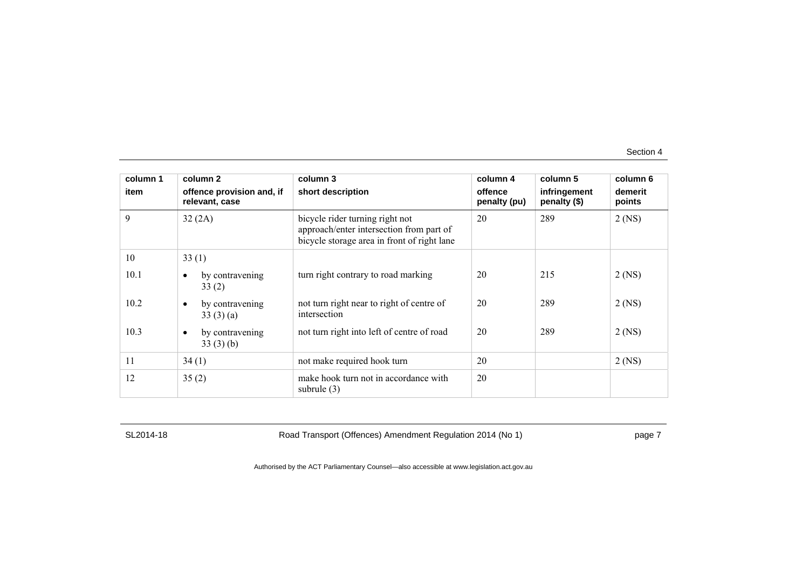| column 1 | column 2                                    | column 3                                                                                                                   | column 4                | column 5                     | column 6          |
|----------|---------------------------------------------|----------------------------------------------------------------------------------------------------------------------------|-------------------------|------------------------------|-------------------|
| item     | offence provision and, if<br>relevant, case | short description                                                                                                          | offence<br>penalty (pu) | infringement<br>penalty (\$) | demerit<br>points |
| 9        | 32(2A)                                      | bicycle rider turning right not<br>approach/enter intersection from part of<br>bicycle storage area in front of right lane | 20                      | 289                          | $2$ (NS)          |
| 10       | 33(1)                                       |                                                                                                                            |                         |                              |                   |
| 10.1     | by contravening<br>$\bullet$<br>33(2)       | turn right contrary to road marking                                                                                        | 20                      | 215                          | $2$ (NS)          |
| 10.2     | by contravening<br>33(3)(a)                 | not turn right near to right of centre of<br>intersection                                                                  | 20                      | 289                          | $2$ (NS)          |
| 10.3     | by contravening<br>$\bullet$<br>33(3)(b)    | not turn right into left of centre of road                                                                                 | 20                      | 289                          | $2$ (NS)          |
| 11       | 34(1)                                       | not make required hook turn                                                                                                | 20                      |                              | $2$ (NS)          |
| 12       | 35(2)                                       | make hook turn not in accordance with<br>subrule $(3)$                                                                     | 20                      |                              |                   |

SL2014-18 Road Transport (Offences) Amendment Regulation 2014 (No 1) Page 7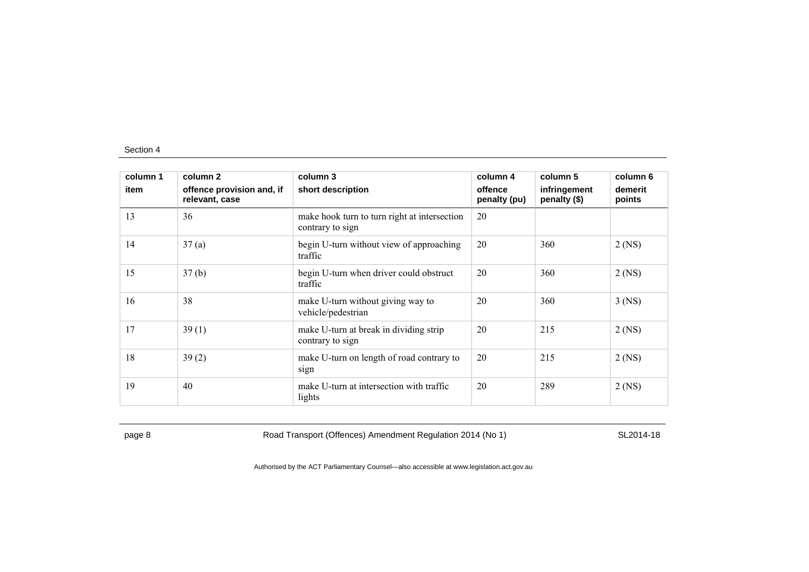| column 1 | column 2                                    | column 3                                                         | column 4                | column 5                     | column 6          |
|----------|---------------------------------------------|------------------------------------------------------------------|-------------------------|------------------------------|-------------------|
| item     | offence provision and, if<br>relevant, case | short description                                                | offence<br>penalty (pu) | infringement<br>penalty (\$) | demerit<br>points |
| 13       | 36                                          | make hook turn to turn right at intersection<br>contrary to sign | 20                      |                              |                   |
| 14       | 37(a)                                       | begin U-turn without view of approaching<br>traffic              | 20                      | 360                          | $2$ (NS)          |
| 15       | 37(b)                                       | begin U-turn when driver could obstruct<br>traffic               | 20                      | 360                          | $2$ (NS)          |
| 16       | 38                                          | make U-turn without giving way to<br>vehicle/pedestrian          | 20                      | 360                          | $3$ (NS)          |
| 17       | 39(1)                                       | make U-turn at break in dividing strip<br>contrary to sign       | 20                      | 215                          | $2$ (NS)          |
| 18       | 39(2)                                       | make U-turn on length of road contrary to<br>sign                | 20                      | 215                          | $2$ (NS)          |
| 19       | 40                                          | make U-turn at intersection with traffic<br>lights               | 20                      | 289                          | $2$ (NS)          |

page 8 Road Transport (Offences) Amendment Regulation 2014 (No 1) SL2014-18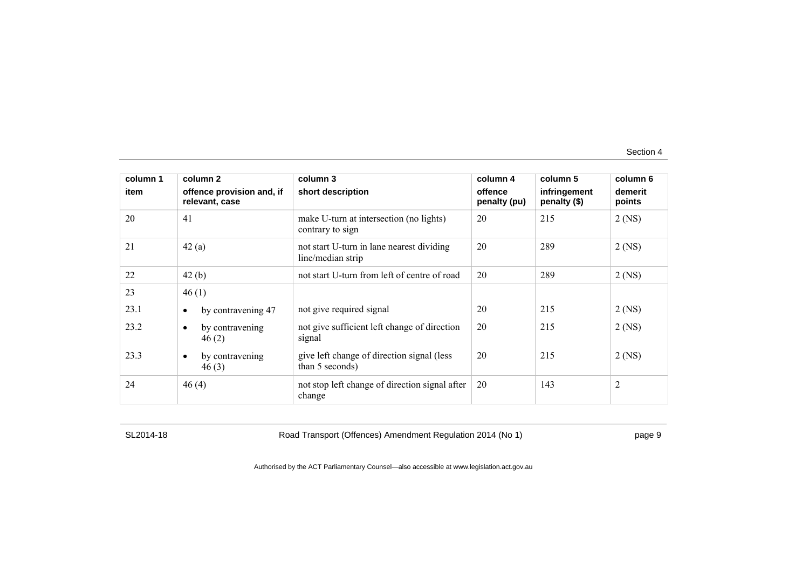| column 1<br>item | column 2<br>offence provision and, if<br>relevant, case | column 3<br>short description                                  | column 4<br>offence<br>penalty (pu) | column 5<br>infringement<br>penalty (\$) | column 6<br>demerit<br>points |
|------------------|---------------------------------------------------------|----------------------------------------------------------------|-------------------------------------|------------------------------------------|-------------------------------|
| 20               | 41                                                      | make U-turn at intersection (no lights)<br>contrary to sign    | 20                                  | 215                                      | $2$ (NS)                      |
| 21               | 42(a)                                                   | not start U-turn in lane nearest dividing<br>line/median strip | 20                                  | 289                                      | $2$ (NS)                      |
| 22               | 42(b)                                                   | not start U-turn from left of centre of road                   | 20                                  | 289                                      | $2$ (NS)                      |
| 23               | 46(1)                                                   |                                                                |                                     |                                          |                               |
| 23.1             | by contravening 47<br>$\bullet$                         | not give required signal                                       | 20                                  | 215                                      | $2$ (NS)                      |
| 23.2             | by contravening<br>$\bullet$<br>46(2)                   | not give sufficient left change of direction<br>signal         | 20                                  | 215                                      | $2$ (NS)                      |
| 23.3             | by contravening<br>$\bullet$<br>46(3)                   | give left change of direction signal (less<br>than 5 seconds)  | 20                                  | 215                                      | $2$ (NS)                      |
| 24               | 46(4)                                                   | not stop left change of direction signal after<br>change       | 20                                  | 143                                      | $\overline{2}$                |

SL2014-18 Road Transport (Offences) Amendment Regulation 2014 (No 1) page 9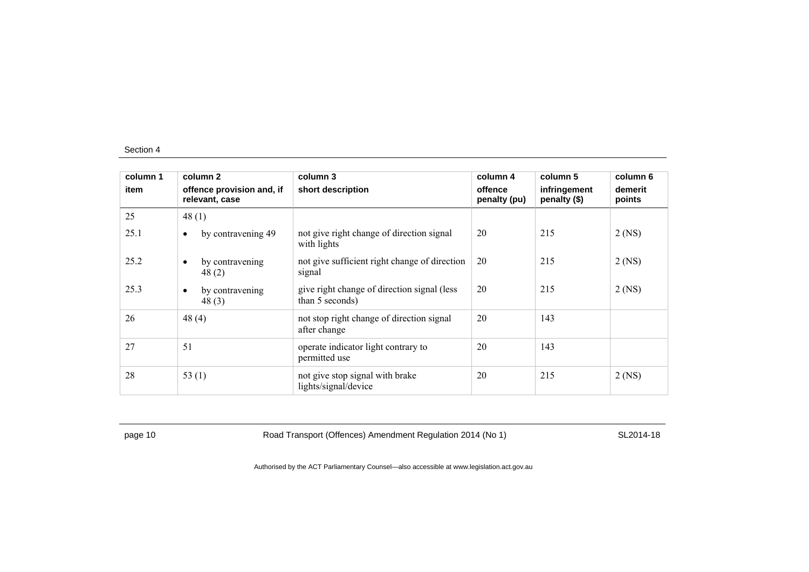| column 1 | column 2                                    | column 3                                                        | column 4                | column 5                     | column 6          |
|----------|---------------------------------------------|-----------------------------------------------------------------|-------------------------|------------------------------|-------------------|
| item     | offence provision and, if<br>relevant, case | short description                                               | offence<br>penalty (pu) | infringement<br>penalty (\$) | demerit<br>points |
| 25       | 48(1)                                       |                                                                 |                         |                              |                   |
| 25.1     | by contravening 49<br>$\bullet$             | not give right change of direction signal<br>with lights        | 20                      | 215                          | $2$ (NS)          |
| 25.2     | by contravening<br>$\bullet$<br>48(2)       | not give sufficient right change of direction<br>signal         | 20                      | 215                          | $2$ (NS)          |
| 25.3     | by contravening<br>$\bullet$<br>48(3)       | give right change of direction signal (less)<br>than 5 seconds) | 20                      | 215                          | $2$ (NS)          |
| 26       | 48 $(4)$                                    | not stop right change of direction signal<br>after change       | 20                      | 143                          |                   |
| 27       | 51                                          | operate indicator light contrary to<br>permitted use            | 20                      | 143                          |                   |
| 28       | 53 $(1)$                                    | not give stop signal with brake<br>lights/signal/device         | 20                      | 215                          | $2$ (NS)          |

page 10 Road Transport (Offences) Amendment Regulation 2014 (No 1) SL2014-18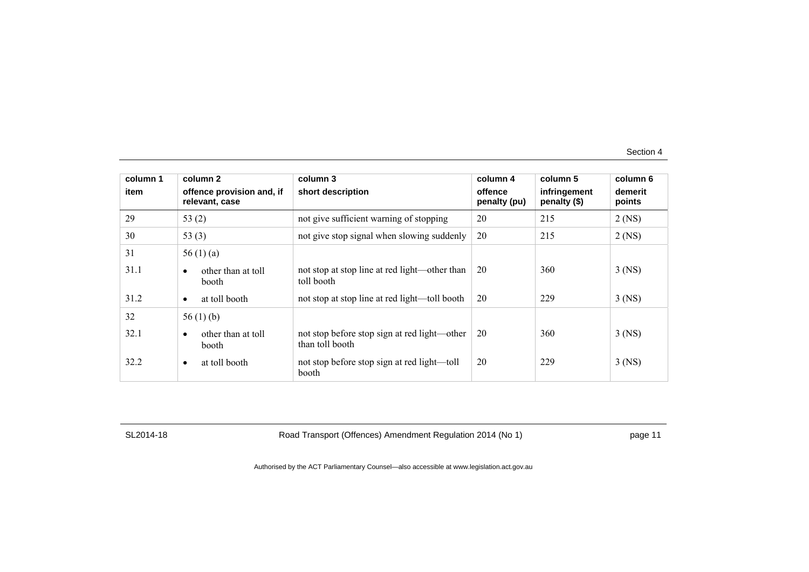| column 1 | column <sub>2</sub>                             | column 3                                                        | column 4                | column 5                     | column 6          |
|----------|-------------------------------------------------|-----------------------------------------------------------------|-------------------------|------------------------------|-------------------|
| item     | offence provision and, if<br>relevant, case     | short description                                               | offence<br>penalty (pu) | infringement<br>penalty (\$) | demerit<br>points |
| 29       | 53 $(2)$                                        | not give sufficient warning of stopping                         | 20                      | 215                          | $2$ (NS)          |
| 30       | 53 $(3)$                                        | not give stop signal when slowing suddenly                      | 20                      | 215                          | $2$ (NS)          |
| 31       | 56 $(1)$ $(a)$                                  |                                                                 |                         |                              |                   |
| 31.1     | other than at toll<br>$\bullet$<br>booth        | not stop at stop line at red light—other than<br>toll booth     | 20                      | 360                          | $3$ (NS)          |
| 31.2     | at toll booth<br>$\bullet$                      | not stop at stop line at red light—toll booth                   | 20                      | 229                          | $3$ (NS)          |
| 32       | 56 $(1)$ (b)                                    |                                                                 |                         |                              |                   |
| 32.1     | other than at toll<br>$\bullet$<br><b>booth</b> | not stop before stop sign at red light—other<br>than toll booth | 20                      | 360                          | $3$ (NS)          |
| 32.2     | at toll booth<br>$\bullet$                      | not stop before stop sign at red light—toll<br>booth            | 20                      | 229                          | $3$ (NS)          |

SL2014-18 Road Transport (Offences) Amendment Regulation 2014 (No 1) page 11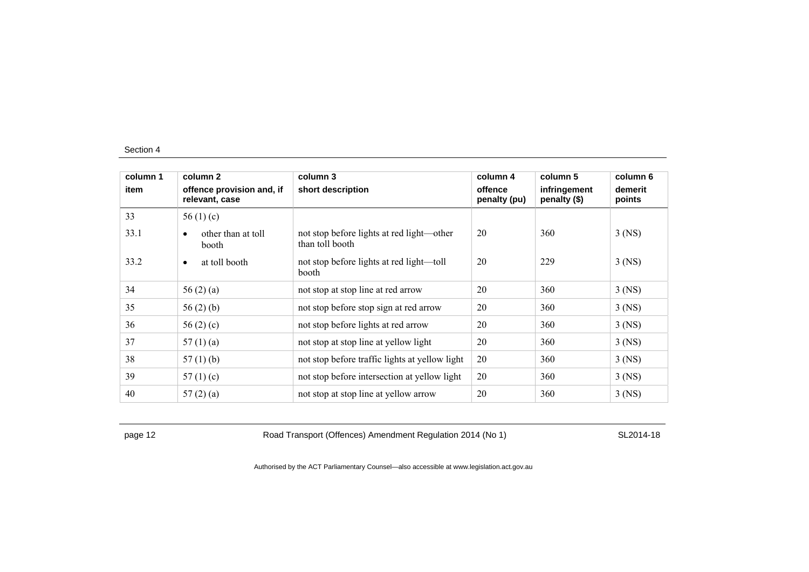| column 1 | column 2                                    | column 3                                                     | column 4                | column 5                     | column 6          |
|----------|---------------------------------------------|--------------------------------------------------------------|-------------------------|------------------------------|-------------------|
| item     | offence provision and, if<br>relevant, case | short description                                            | offence<br>penalty (pu) | infringement<br>penalty (\$) | demerit<br>points |
| 33       | 56 $(1)$ $(c)$                              |                                                              |                         |                              |                   |
| 33.1     | other than at toll<br>booth                 | not stop before lights at red light—other<br>than toll booth | 20                      | 360                          | $3$ (NS)          |
| 33.2     | at toll booth<br>$\bullet$                  | not stop before lights at red light—toll<br>booth            | 20                      | 229                          | $3$ (NS)          |
| 34       | 56 $(2)$ $(a)$                              | not stop at stop line at red arrow                           | 20                      | 360                          | $3$ (NS)          |
| 35       | 56 $(2)$ $(b)$                              | not stop before stop sign at red arrow                       | 20                      | 360                          | $3$ (NS)          |
| 36       | 56 $(2)$ $(c)$                              | not stop before lights at red arrow                          | 20                      | 360                          | $3$ (NS)          |
| 37       | 57 $(1)$ $(a)$                              | not stop at stop line at yellow light                        | 20                      | 360                          | $3$ (NS)          |
| 38       | 57 $(1)$ $(b)$                              | not stop before traffic lights at yellow light               | 20                      | 360                          | $3$ (NS)          |
| 39       | 57 $(1)(c)$                                 | not stop before intersection at yellow light                 | 20                      | 360                          | $3$ (NS)          |
| 40       | 57 $(2)$ $(a)$                              | not stop at stop line at yellow arrow                        | 20                      | 360                          | $3$ (NS)          |

page 12 **Road Transport (Offences) Amendment Regulation 2014 (No 1)** SL2014-18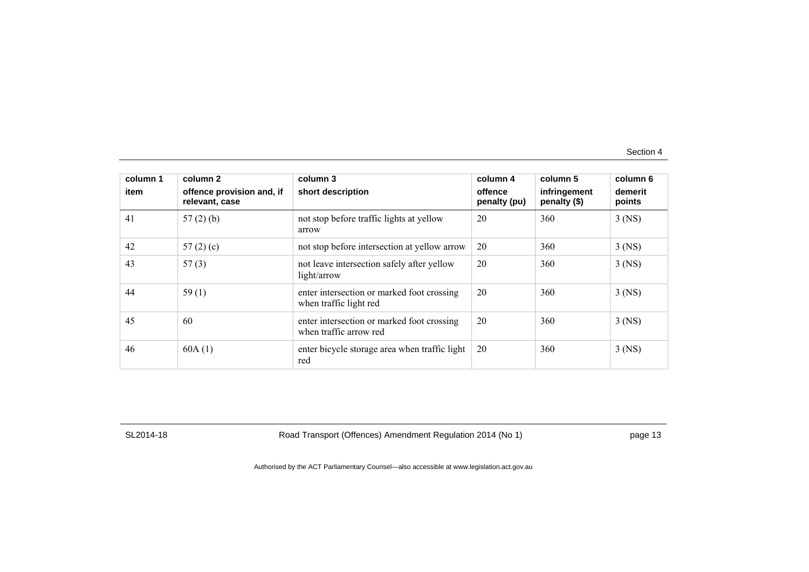| column 1<br>item | column 2<br>offence provision and, if | column 3<br>short description                                        | column 4<br>offence | column 5<br>infringement | column 6<br>demerit |
|------------------|---------------------------------------|----------------------------------------------------------------------|---------------------|--------------------------|---------------------|
|                  | relevant, case                        |                                                                      | penalty (pu)        | penalty (\$)             | points              |
| 41               | $57(2)$ (b)                           | not stop before traffic lights at yellow<br>arrow                    | 20                  | 360                      | $3$ (NS)            |
| 42               | 57 $(2)$ $(c)$                        | not stop before intersection at yellow arrow                         | 20                  | 360                      | $3$ (NS)            |
| 43               | 57(3)                                 | not leave intersection safely after yellow<br>light/arrow            | 20                  | 360                      | $3$ (NS)            |
| 44               | 59(1)                                 | enter intersection or marked foot crossing<br>when traffic light red | 20                  | 360                      | $3$ (NS)            |
| 45               | 60                                    | enter intersection or marked foot crossing<br>when traffic arrow red | 20                  | 360                      | $3$ (NS)            |
| 46               | 60A(1)                                | enter bicycle storage area when traffic light<br>red                 | 20                  | 360                      | $3$ (NS)            |

SL2014-18 Road Transport (Offences) Amendment Regulation 2014 (No 1) page 13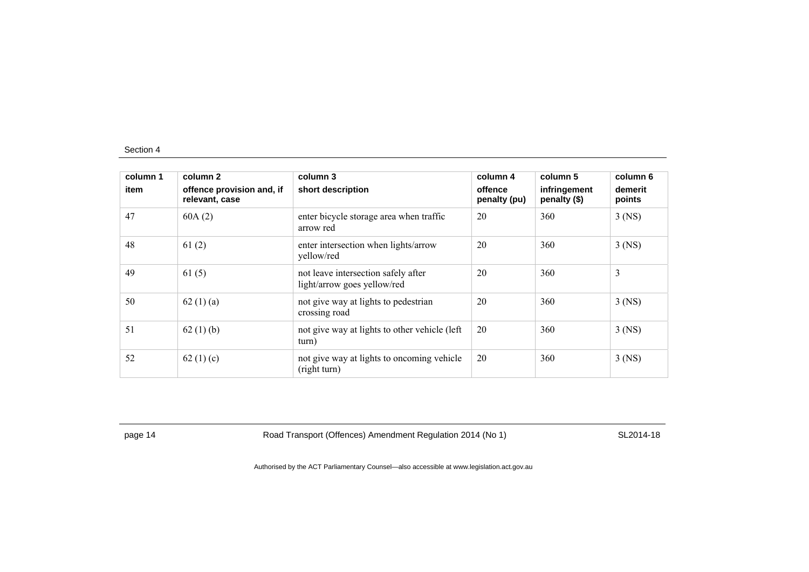| column 1<br>item | column 2<br>offence provision and, if<br>relevant, case | column 3<br>short description                                      | column 4<br>offence<br>penalty (pu) | column 5<br>infringement<br>penalty (\$) | column 6<br>demerit<br>points |
|------------------|---------------------------------------------------------|--------------------------------------------------------------------|-------------------------------------|------------------------------------------|-------------------------------|
| 47               | 60A(2)                                                  | enter bicycle storage area when traffic<br>arrow red               | 20                                  | 360                                      | $3$ (NS)                      |
| 48               | 61(2)                                                   | enter intersection when lights/arrow<br>yellow/red                 | 20                                  | 360                                      | $3$ (NS)                      |
| 49               | 61(5)                                                   | not leave intersection safely after<br>light/arrow goes yellow/red | 20                                  | 360                                      | 3                             |
| 50               | 62 $(1)$ $(a)$                                          | not give way at lights to pedestrian<br>crossing road              | 20                                  | 360                                      | $3$ (NS)                      |
| 51               | 62(1)(b)                                                | not give way at lights to other vehicle (left)<br>turn)            | 20                                  | 360                                      | $3$ (NS)                      |
| 52               | 62 $(1)(c)$                                             | not give way at lights to oncoming vehicle<br>(right turn)         | 20                                  | 360                                      | $3$ (NS)                      |

page 14 **Road Transport (Offences) Amendment Regulation 2014 (No 1)** SL2014-18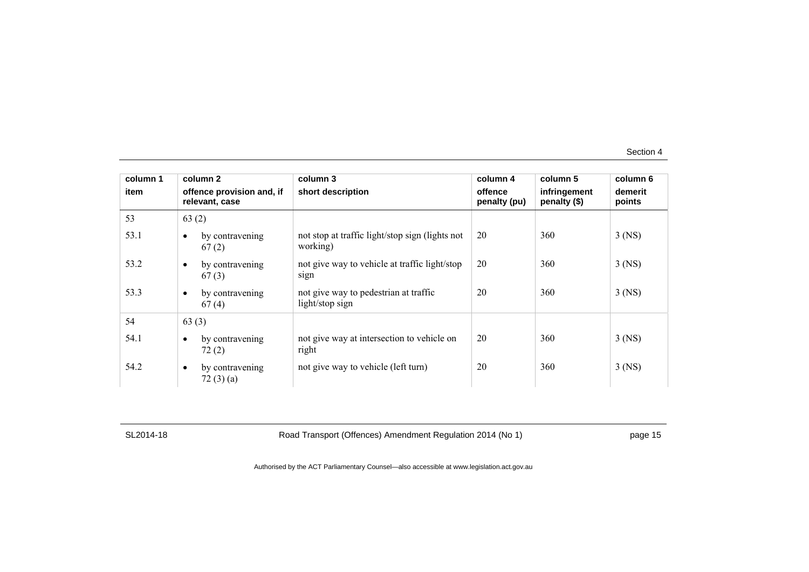| column 1 | column 2                                    | column 3                                                    | column 4                | column 5                       | column 6          |
|----------|---------------------------------------------|-------------------------------------------------------------|-------------------------|--------------------------------|-------------------|
| item     | offence provision and, if<br>relevant, case | short description                                           | offence<br>penalty (pu) | infringement<br>penalty $(\$)$ | demerit<br>points |
| 53       | 63(2)                                       |                                                             |                         |                                |                   |
| 53.1     | by contravening<br>67(2)                    | not stop at traffic light/stop sign (lights not<br>working) | 20                      | 360                            | $3$ (NS)          |
| 53.2     | by contravening<br>$\bullet$<br>67(3)       | not give way to vehicle at traffic light/stop<br>sign       | 20                      | 360                            | $3$ (NS)          |
| 53.3     | by contravening<br>$\bullet$<br>67(4)       | not give way to pedestrian at traffic<br>light/stop sign    | 20                      | 360                            | $3$ (NS)          |
| 54       | 63(3)                                       |                                                             |                         |                                |                   |
| 54.1     | by contravening<br>$\bullet$<br>72(2)       | not give way at intersection to vehicle on<br>right         | 20                      | 360                            | $3$ (NS)          |
| 54.2     | by contravening<br>$\bullet$<br>72(3)(a)    | not give way to vehicle (left turn)                         | 20                      | 360                            | $3$ (NS)          |

SL2014-18 Road Transport (Offences) Amendment Regulation 2014 (No 1) page 15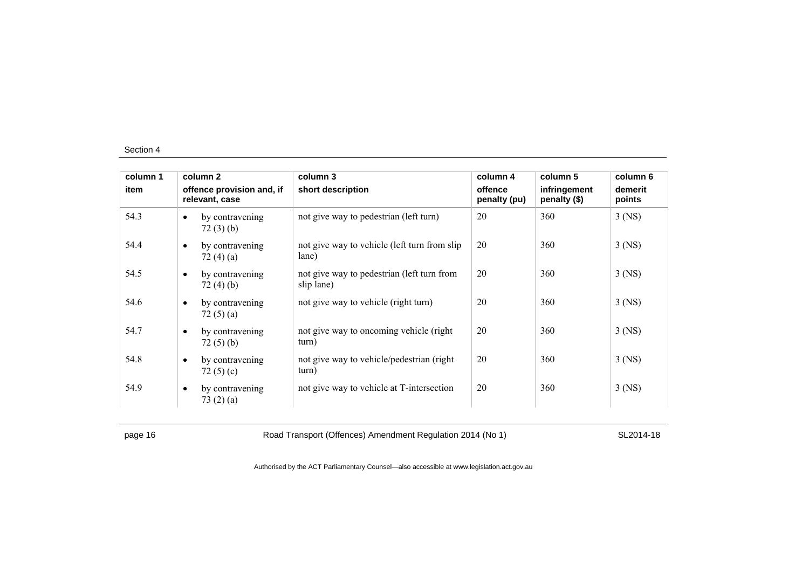| column 1 |           | column 2                                    | column 3                                                 | column 4                | column 5                     | column 6          |
|----------|-----------|---------------------------------------------|----------------------------------------------------------|-------------------------|------------------------------|-------------------|
| item     |           | offence provision and, if<br>relevant, case | short description                                        | offence<br>penalty (pu) | infringement<br>penalty (\$) | demerit<br>points |
| 54.3     | $\bullet$ | by contravening<br>72(3)(b)                 | not give way to pedestrian (left turn)                   | 20                      | 360                          | $3$ (NS)          |
| 54.4     | $\bullet$ | by contravening<br>72 $(4)(a)$              | not give way to vehicle (left turn from slip<br>lane)    | 20                      | 360                          | $3$ (NS)          |
| 54.5     | $\bullet$ | by contravening<br>72(4)(b)                 | not give way to pedestrian (left turn from<br>slip lane) | 20                      | 360                          | $3$ (NS)          |
| 54.6     | $\bullet$ | by contravening<br>72(5)(a)                 | not give way to vehicle (right turn)                     | 20                      | 360                          | $3$ (NS)          |
| 54.7     | $\bullet$ | by contravening<br>72(5)(b)                 | not give way to oncoming vehicle (right)<br>turn)        | 20                      | 360                          | $3$ (NS)          |
| 54.8     | $\bullet$ | by contravening<br>72 $(5)(c)$              | not give way to vehicle/pedestrian (right)<br>turn)      | 20                      | 360                          | $3$ (NS)          |
| 54.9     | $\bullet$ | by contravening<br>73(2)(a)                 | not give way to vehicle at T-intersection                | 20                      | 360                          | $3$ (NS)          |

page 16 **Road Transport (Offences) Amendment Regulation 2014 (No 1)** SL2014-18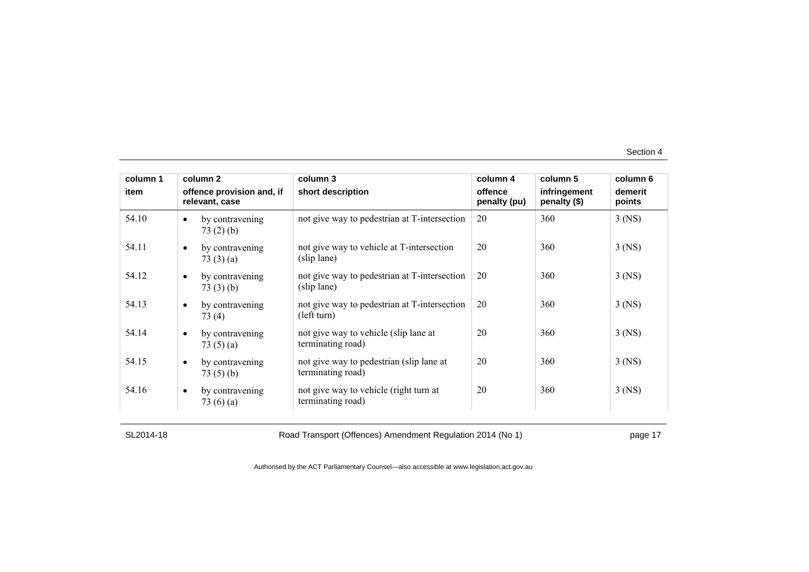| column 1 | column 2                                       | column 3                                                      | column 4                | column 5                     | column 6          |
|----------|------------------------------------------------|---------------------------------------------------------------|-------------------------|------------------------------|-------------------|
| item     | offence provision and, if<br>relevant, case    | short description                                             | offence<br>penalty (pu) | infringement<br>penalty (\$) | demerit<br>points |
| 54.10    | by contravening<br>$\bullet$<br>73(2)(b)       | not give way to pedestrian at T-intersection                  | 20                      | 360                          | $3$ (NS)          |
| 54.11    | by contravening<br>$\bullet$<br>73(3)(a)       | not give way to vehicle at T-intersection<br>(slip lane)      | 20                      | 360                          | $3$ (NS)          |
| 54.12    | by contravening<br>$\bullet$<br>73(3)(b)       | not give way to pedestrian at T-intersection<br>(slip lane)   | 20                      | 360                          | $3$ (NS)          |
| 54.13    | by contravening<br>$\bullet$<br>73 (4)         | not give way to pedestrian at T-intersection<br>(left turn)   | 20                      | 360                          | $3$ (NS)          |
| 54.14    | by contravening<br>$\bullet$<br>73 $(5)(a)$    | not give way to vehicle (slip lane at<br>terminating road)    | 20                      | 360                          | $3$ (NS)          |
| 54.15    | by contravening<br>$\bullet$<br>73(5)(b)       | not give way to pedestrian (slip lane at<br>terminating road) | 20                      | 360                          | $3$ (NS)          |
| 54.16    | by contravening<br>$\bullet$<br>73 $(6)$ $(a)$ | not give way to vehicle (right turn at<br>terminating road)   | 20                      | 360                          | $3$ (NS)          |

SL2014-18 Road Transport (Offences) Amendment Regulation 2014 (No 1) page 17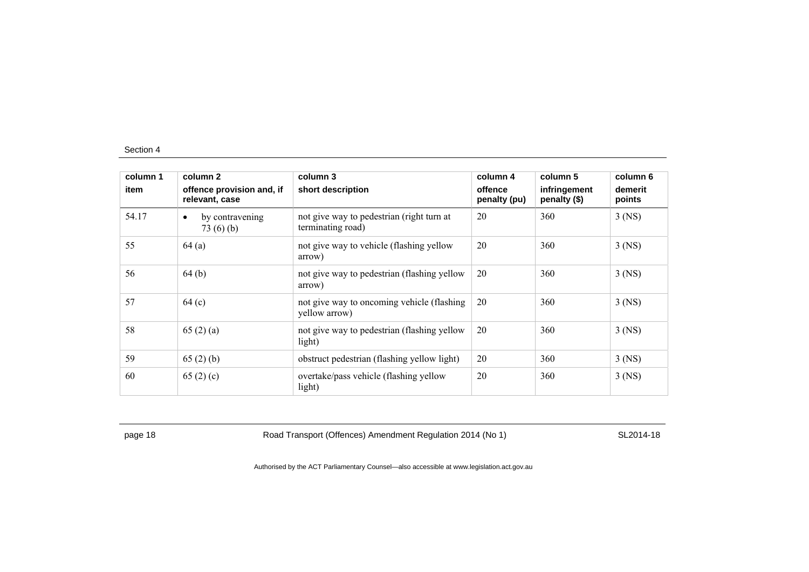| column 1 | column 2                                    | column 3                                                       | column 4                | column 5                     | column 6          |
|----------|---------------------------------------------|----------------------------------------------------------------|-------------------------|------------------------------|-------------------|
| item     | offence provision and, if<br>relevant, case | short description                                              | offence<br>penalty (pu) | infringement<br>penalty (\$) | demerit<br>points |
| 54.17    | by contravening<br>$\bullet$<br>73(6)(b)    | not give way to pedestrian (right turn at<br>terminating road) | 20                      | 360                          | $3$ (NS)          |
| 55       | 64(a)                                       | not give way to vehicle (flashing yellow<br>arrow)             | 20                      | 360                          | $3$ (NS)          |
| 56       | 64(b)                                       | not give way to pedestrian (flashing yellow<br>arrow)          | 20                      | 360                          | $3$ (NS)          |
| 57       | 64 <sub>(c)</sub>                           | not give way to oncoming vehicle (flashing)<br>vellow arrow)   | 20                      | 360                          | $3$ (NS)          |
| 58       | 65(2)(a)                                    | not give way to pedestrian (flashing yellow<br>light)          | 20                      | 360                          | $3$ (NS)          |
| 59       | 65(2)(b)                                    | obstruct pedestrian (flashing yellow light)                    | 20                      | 360                          | $3$ (NS)          |
| 60       | 65 $(2)$ (c)                                | overtake/pass vehicle (flashing yellow<br>light)               | 20                      | 360                          | $3$ (NS)          |

page 18 **Road Transport (Offences) Amendment Regulation 2014 (No 1)** SL2014-18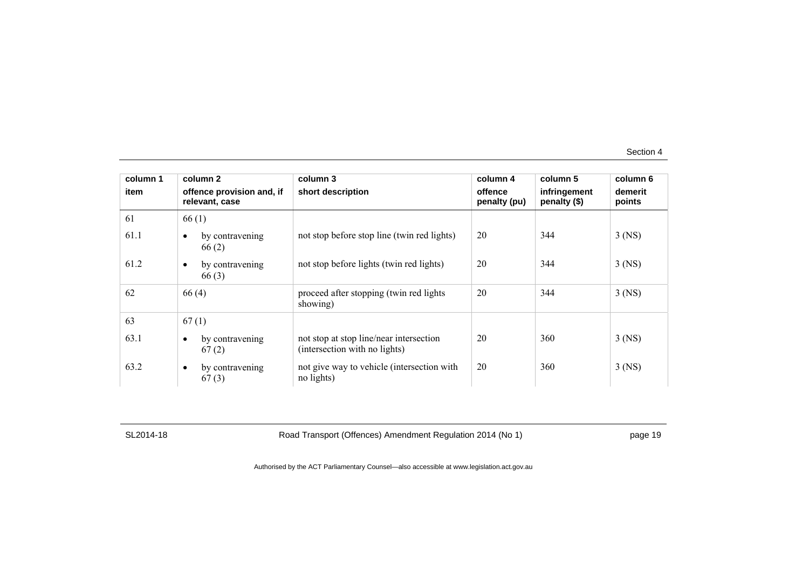| column 1 | column 2                                    | column 3                                                                 | column 4                | column 5                     | column 6          |
|----------|---------------------------------------------|--------------------------------------------------------------------------|-------------------------|------------------------------|-------------------|
| item     | offence provision and, if<br>relevant, case | short description                                                        | offence<br>penalty (pu) | infringement<br>penalty (\$) | demerit<br>points |
| 61       | 66(1)                                       |                                                                          |                         |                              |                   |
| 61.1     | by contravening<br>66(2)                    | not stop before stop line (twin red lights)                              | 20                      | 344                          | $3$ (NS)          |
| 61.2     | by contravening<br>$\bullet$<br>66(3)       | not stop before lights (twin red lights)                                 | 20                      | 344                          | $3$ (NS)          |
| 62       | 66(4)                                       | proceed after stopping (twin red lights<br>showing)                      | 20                      | 344                          | $3$ (NS)          |
| 63       | 67(1)                                       |                                                                          |                         |                              |                   |
| 63.1     | by contravening<br>67(2)                    | not stop at stop line/near intersection<br>(intersection with no lights) | 20                      | 360                          | $3$ (NS)          |
| 63.2     | by contravening<br>$\bullet$<br>67(3)       | not give way to vehicle (intersection with<br>no lights)                 | 20                      | 360                          | $3$ (NS)          |

SL2014-18 Road Transport (Offences) Amendment Regulation 2014 (No 1) page 19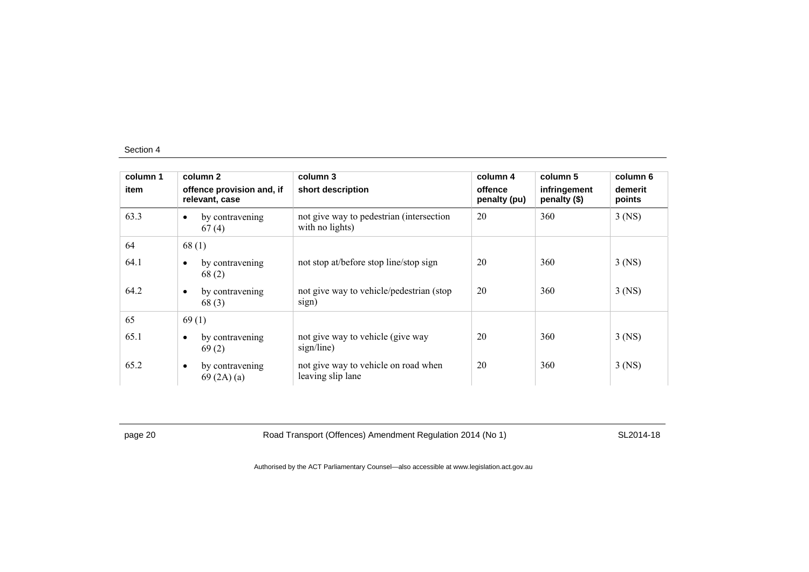| column 1 | column 2                                    | column 3                                                    | column 4                | column 5                     | column 6          |
|----------|---------------------------------------------|-------------------------------------------------------------|-------------------------|------------------------------|-------------------|
| item     | offence provision and, if<br>relevant, case | short description                                           | offence<br>penalty (pu) | infringement<br>penalty (\$) | demerit<br>points |
| 63.3     | by contravening<br>$\bullet$<br>67(4)       | not give way to pedestrian (intersection<br>with no lights) | 20                      | 360                          | $3$ (NS)          |
| 64       | 68(1)                                       |                                                             |                         |                              |                   |
| 64.1     | by contravening<br>$\bullet$<br>68(2)       | not stop at/before stop line/stop sign                      | 20                      | 360                          | $3$ (NS)          |
| 64.2     | by contravening<br>$\bullet$<br>68(3)       | not give way to vehicle/pedestrian (stop)<br>sign)          | 20                      | 360                          | $3$ (NS)          |
| 65       | 69(1)                                       |                                                             |                         |                              |                   |
| 65.1     | by contravening<br>$\bullet$<br>69(2)       | not give way to vehicle (give way<br>sign/line)             | 20                      | 360                          | $3$ (NS)          |
| 65.2     | by contravening<br>$\bullet$<br>69(2A)(a)   | not give way to vehicle on road when<br>leaving slip lane   | 20                      | 360                          | $3$ (NS)          |

page 20 **Road Transport (Offences) Amendment Regulation 2014 (No 1)** SL2014-18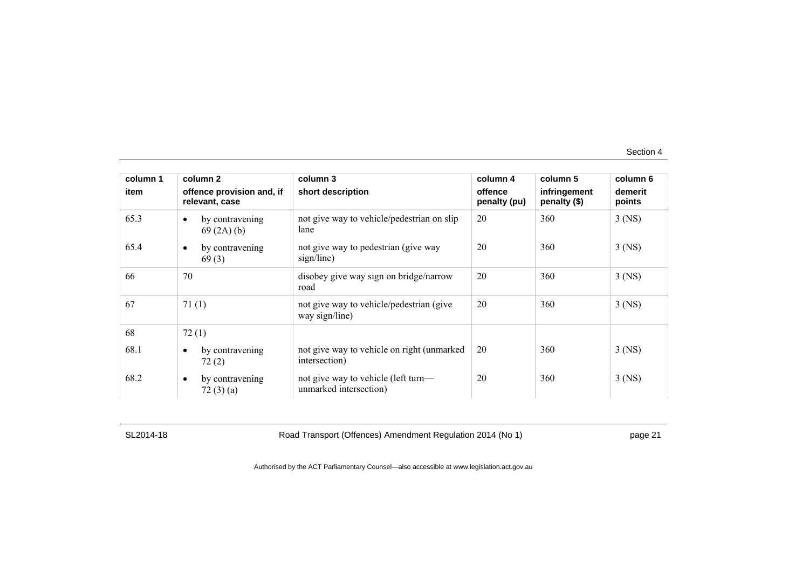| column 1 | column 2                                    | column 3                                                      | column 4                | column 5                     | column 6          |
|----------|---------------------------------------------|---------------------------------------------------------------|-------------------------|------------------------------|-------------------|
| item     | offence provision and, if<br>relevant, case | short description                                             | offence<br>penalty (pu) | infringement<br>penalty (\$) | demerit<br>points |
| 65.3     | by contravening<br>$\bullet$<br>69(2A)(b)   | not give way to vehicle/pedestrian on slip<br>lane            | 20                      | 360                          | $3$ (NS)          |
| 65.4     | by contravening<br>$\bullet$<br>69(3)       | not give way to pedestrian (give way<br>sign/line)            | 20                      | 360                          | $3$ (NS)          |
| 66       | 70                                          | disobey give way sign on bridge/narrow<br>road                | 20                      | 360                          | $3$ (NS)          |
| 67       | 71(1)                                       | not give way to vehicle/pedestrian (give<br>way sign/line)    | 20                      | 360                          | $3$ (NS)          |
| 68       | 72(1)                                       |                                                               |                         |                              |                   |
| 68.1     | by contravening<br>$\bullet$<br>72(2)       | not give way to vehicle on right (unmarked)<br>intersection)  | 20                      | 360                          | $3$ (NS)          |
| 68.2     | by contravening<br>$\bullet$<br>72(3)(a)    | not give way to vehicle (left turn—<br>unmarked intersection) | 20                      | 360                          | $3$ (NS)          |

SL2014-18 Road Transport (Offences) Amendment Regulation 2014 (No 1) page 21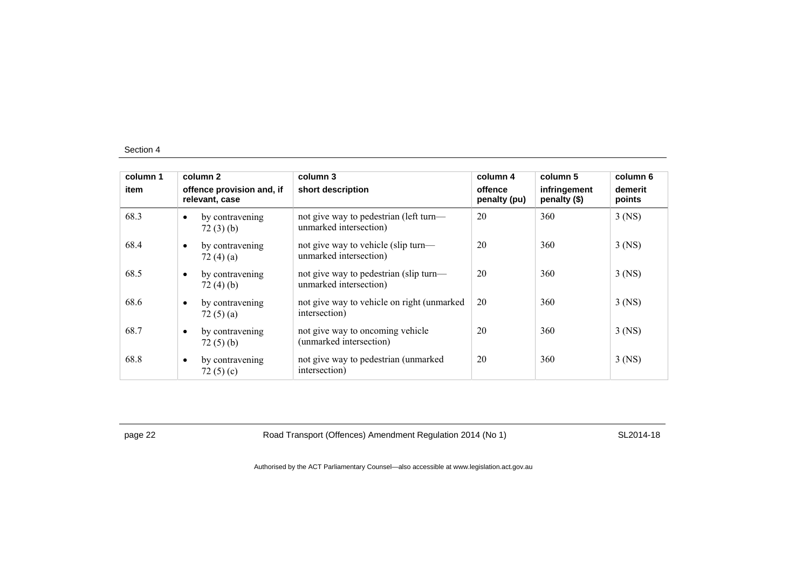| column 1<br>item |           | column 2<br>offence provision and, if<br>relevant, case | column 3<br>short description                                    | column 4<br>offence<br>penalty (pu) | column 5<br>infringement<br>penalty (\$) | column 6<br>demerit<br>points |
|------------------|-----------|---------------------------------------------------------|------------------------------------------------------------------|-------------------------------------|------------------------------------------|-------------------------------|
| 68.3             | $\bullet$ | by contravening<br>72(3)(b)                             | not give way to pedestrian (left turn—<br>unmarked intersection) | 20                                  | 360                                      | $3$ (NS)                      |
| 68.4             | $\bullet$ | by contravening<br>72 $(4)(a)$                          | not give way to vehicle (slip turn—<br>unmarked intersection)    | 20                                  | 360                                      | $3$ (NS)                      |
| 68.5             | $\bullet$ | by contravening<br>72(4)(b)                             | not give way to pedestrian (slip turn—<br>unmarked intersection) | 20                                  | 360                                      | $3$ (NS)                      |
| 68.6             | $\bullet$ | by contravening<br>72 $(5)(a)$                          | not give way to vehicle on right (unmarked)<br>intersection)     | 20                                  | 360                                      | $3$ (NS)                      |
| 68.7             | $\bullet$ | by contravening<br>72(5)(b)                             | not give way to oncoming vehicle<br>(unmarked intersection)      | 20                                  | 360                                      | $3$ (NS)                      |
| 68.8             | $\bullet$ | by contravening<br>72 $(5)(c)$                          | not give way to pedestrian (unmarked<br>intersection)            | 20                                  | 360                                      | $3$ (NS)                      |

page 22 **Road Transport (Offences) Amendment Regulation 2014 (No 1)** SL2014-18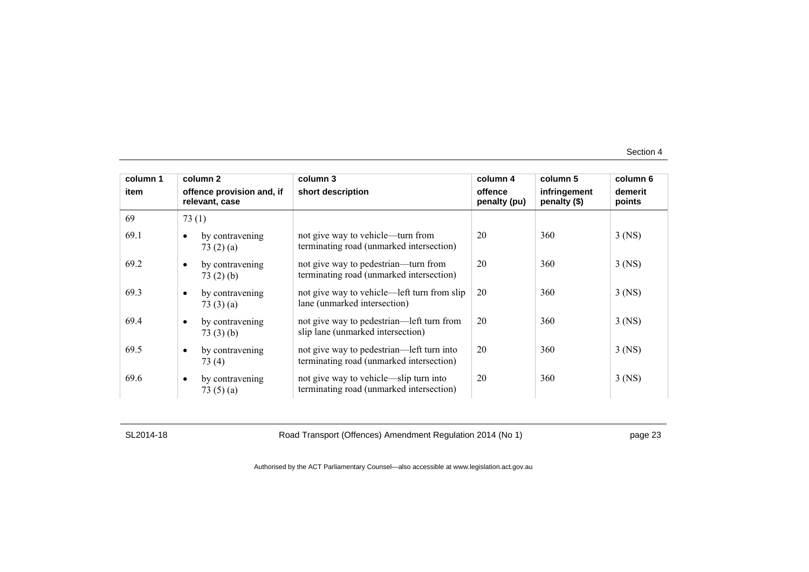| column 1 | column 2                                    | column 3                                                                              | column 4                | column 5                     | column 6          |
|----------|---------------------------------------------|---------------------------------------------------------------------------------------|-------------------------|------------------------------|-------------------|
| item     | offence provision and, if<br>relevant, case | short description                                                                     | offence<br>penalty (pu) | infringement<br>penalty (\$) | demerit<br>points |
| 69       | 73(1)                                       |                                                                                       |                         |                              |                   |
| 69.1     | by contravening<br>73(2)(a)                 | not give way to vehicle—turn from<br>terminating road (unmarked intersection)         | 20                      | 360                          | $3$ (NS)          |
| 69.2     | by contravening<br>73(2)(b)                 | not give way to pedestrian—turn from<br>terminating road (unmarked intersection)      | 20                      | 360                          | $3$ (NS)          |
| 69.3     | by contravening<br>$\bullet$<br>73(3)(a)    | not give way to vehicle—left turn from slip<br>lane (unmarked intersection)           | 20                      | 360                          | $3$ (NS)          |
| 69.4     | by contravening<br>$\bullet$<br>73(3)(b)    | not give way to pedestrian—left turn from<br>slip lane (unmarked intersection)        | 20                      | 360                          | $3$ (NS)          |
| 69.5     | by contravening<br>73(4)                    | not give way to pedestrian—left turn into<br>terminating road (unmarked intersection) | 20                      | 360                          | $3$ (NS)          |
| 69.6     | by contravening<br>$\bullet$<br>73 $(5)(a)$ | not give way to vehicle—slip turn into<br>terminating road (unmarked intersection)    | 20                      | 360                          | $3$ (NS)          |

SL2014-18 Road Transport (Offences) Amendment Regulation 2014 (No 1) page 23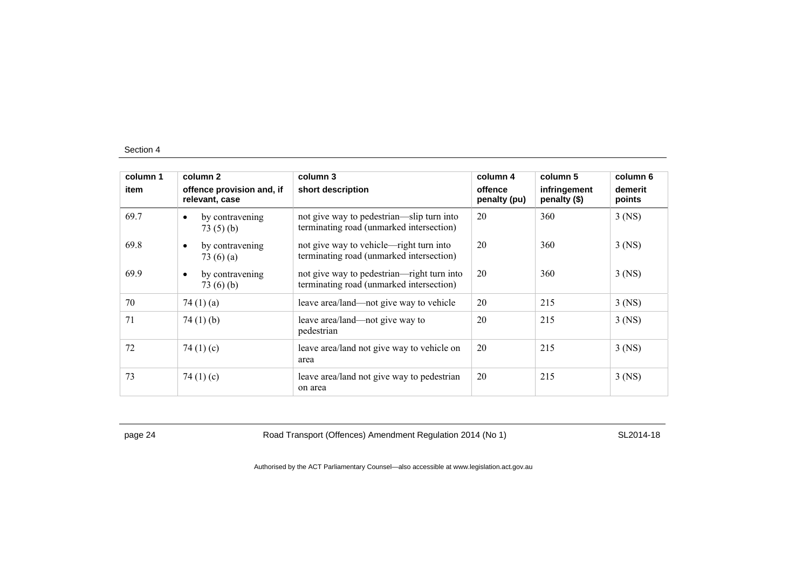| column 1 | column 2                                       | column 3                                                                               | column 4                | column 5                     | column 6          |
|----------|------------------------------------------------|----------------------------------------------------------------------------------------|-------------------------|------------------------------|-------------------|
| item     | offence provision and, if<br>relevant, case    | short description                                                                      | offence<br>penalty (pu) | infringement<br>penalty (\$) | demerit<br>points |
| 69.7     | by contravening<br>$\bullet$<br>73(5)(b)       | not give way to pedestrian-slip turn into<br>terminating road (unmarked intersection)  | 20                      | 360                          | $3$ (NS)          |
| 69.8     | by contravening<br>$\bullet$<br>73 $(6)$ $(a)$ | not give way to vehicle—right turn into<br>terminating road (unmarked intersection)    | 20                      | 360                          | $3$ (NS)          |
| 69.9     | by contravening<br>$\bullet$<br>73(6)(b)       | not give way to pedestrian—right turn into<br>terminating road (unmarked intersection) | 20                      | 360                          | $3$ (NS)          |
| 70       | 74 $(1)(a)$                                    | leave area/land—not give way to vehicle                                                | 20                      | 215                          | $3$ (NS)          |
| 71       | 74 $(1)$ $(b)$                                 | leave area/land—not give way to<br>pedestrian                                          | 20                      | 215                          | $3$ (NS)          |
| 72       | 74 $(1)(c)$                                    | leave area/land not give way to vehicle on<br>area                                     | 20                      | 215                          | $3$ (NS)          |
| 73       | 74 $(1)(c)$                                    | leave area/land not give way to pedestrian<br>on area                                  | 20                      | 215                          | $3$ (NS)          |

page 24 Road Transport (Offences) Amendment Regulation 2014 (No 1) SL2014-18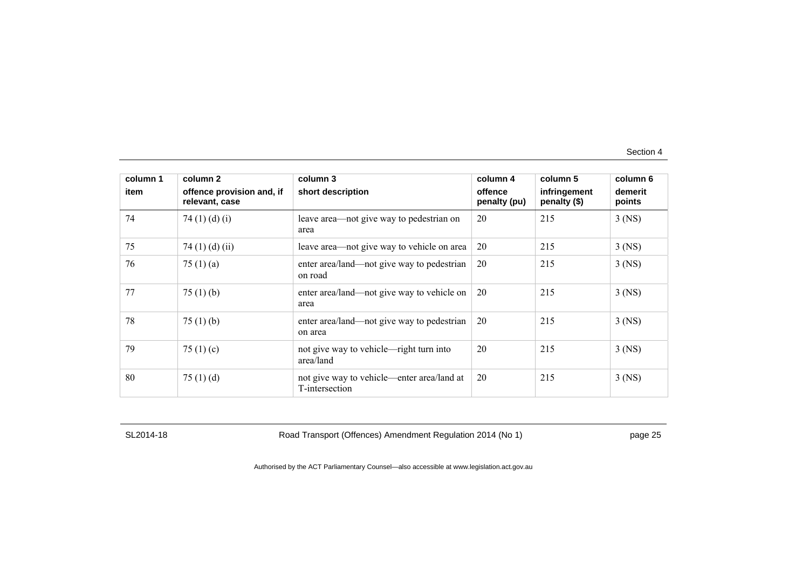| column 1 | column 2                                    | column 3                                                     | column 4                | column 5                     | column 6          |
|----------|---------------------------------------------|--------------------------------------------------------------|-------------------------|------------------------------|-------------------|
| item     | offence provision and, if<br>relevant, case | short description                                            | offence<br>penalty (pu) | infringement<br>penalty (\$) | demerit<br>points |
| 74       | 74 $(1)$ $(d)$ $(i)$                        | leave area—not give way to pedestrian on<br>area             | 20                      | 215                          | $3$ (NS)          |
| 75       | 74 $(1)$ $(d)$ $(ii)$                       | leave area—not give way to vehicle on area                   | 20                      | 215                          | $3$ (NS)          |
| 76       | 75 $(1)$ $(a)$                              | enter area/land—not give way to pedestrian<br>on road        | 20                      | 215                          | $3$ (NS)          |
| 77       | 75 $(1)$ (b)                                | enter area/land—not give way to vehicle on<br>area           | 20                      | 215                          | $3$ (NS)          |
| 78       | 75 $(1)$ (b)                                | enter area/land—not give way to pedestrian<br>on area        | 20                      | 215                          | $3$ (NS)          |
| 79       | 75 $(1)(c)$                                 | not give way to vehicle—right turn into<br>area/land         | 20                      | 215                          | $3$ (NS)          |
| 80       | 75 $(1)$ $(d)$                              | not give way to vehicle—enter area/land at<br>T-intersection | 20                      | 215                          | $3$ (NS)          |

SL2014-18 Road Transport (Offences) Amendment Regulation 2014 (No 1) page 25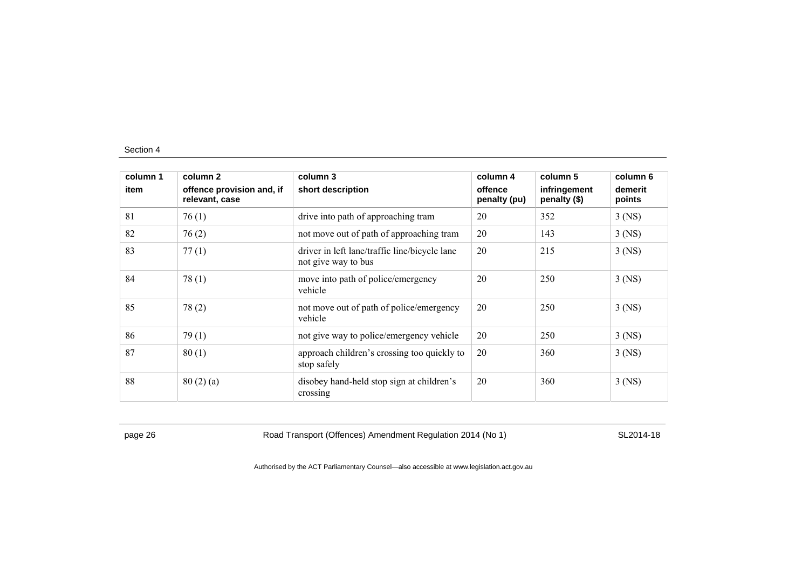| column 1 | column 2                                    | column 3                                                             | column 4                | column 5                     | column 6          |
|----------|---------------------------------------------|----------------------------------------------------------------------|-------------------------|------------------------------|-------------------|
| item     | offence provision and, if<br>relevant, case | short description                                                    | offence<br>penalty (pu) | infringement<br>penalty (\$) | demerit<br>points |
| 81       | 76(1)                                       | drive into path of approaching tram                                  | 20                      | 352                          | $3$ (NS)          |
| 82       | 76(2)                                       | not move out of path of approaching tram                             | 20                      | 143                          | $3$ (NS)          |
| 83       | 77(1)                                       | driver in left lane/traffic line/bicycle lane<br>not give way to bus | 20                      | 215                          | $3$ (NS)          |
| 84       | 78(1)                                       | move into path of police/emergency<br>vehicle                        | 20                      | 250                          | $3$ (NS)          |
| 85       | 78(2)                                       | not move out of path of police/emergency<br>vehicle                  | 20                      | 250                          | $3$ (NS)          |
| 86       | 79(1)                                       | not give way to police/emergency vehicle                             | 20                      | 250                          | $3$ (NS)          |
| 87       | 80(1)                                       | approach children's crossing too quickly to<br>stop safely           | 20                      | 360                          | $3$ (NS)          |
| 88       | 80(2)(a)                                    | disobey hand-held stop sign at children's<br>crossing                | 20                      | 360                          | $3$ (NS)          |

page 26 **Road Transport (Offences) Amendment Regulation 2014 (No 1)** SL2014-18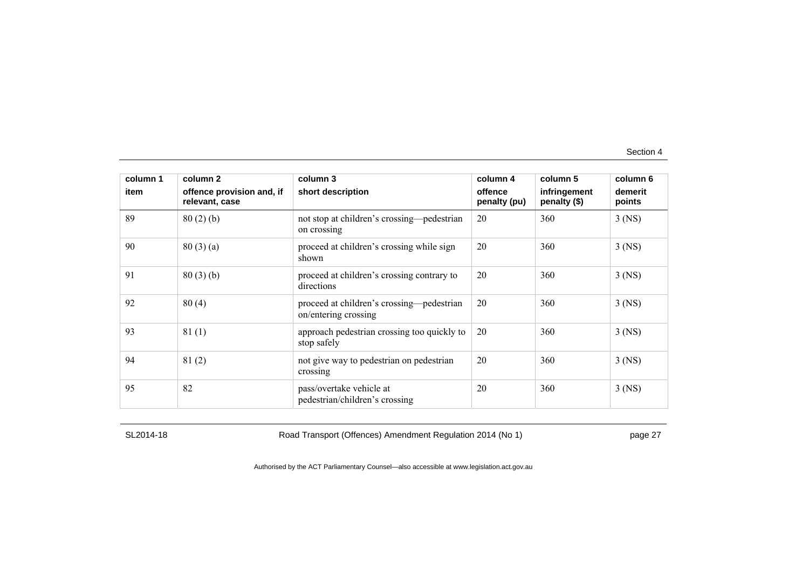| column 1 | column 2                                    | column 3                                                          | column 4                | column 5                     | column 6          |
|----------|---------------------------------------------|-------------------------------------------------------------------|-------------------------|------------------------------|-------------------|
| item     | offence provision and, if<br>relevant, case | short description                                                 | offence<br>penalty (pu) | infringement<br>penalty (\$) | demerit<br>points |
| 89       | 80(2)(b)                                    | not stop at children's crossing—pedestrian<br>on crossing         | 20                      | 360                          | $3$ (NS)          |
| 90       | 80(3)(a)                                    | proceed at children's crossing while sign<br>shown                | 20                      | 360                          | $3$ (NS)          |
| 91       | 80(3)(b)                                    | proceed at children's crossing contrary to<br>directions          | 20                      | 360                          | $3$ (NS)          |
| 92       | 80(4)                                       | proceed at children's crossing—pedestrian<br>on/entering crossing | 20                      | 360                          | $3$ (NS)          |
| 93       | 81(1)                                       | approach pedestrian crossing too quickly to<br>stop safely        | 20                      | 360                          | $3$ (NS)          |
| 94       | 81(2)                                       | not give way to pedestrian on pedestrian<br>crossing              | 20                      | 360                          | $3$ (NS)          |
| 95       | 82                                          | pass/overtake vehicle at<br>pedestrian/children's crossing        | 20                      | 360                          | $3$ (NS)          |

SL2014-18 Road Transport (Offences) Amendment Regulation 2014 (No 1) page 27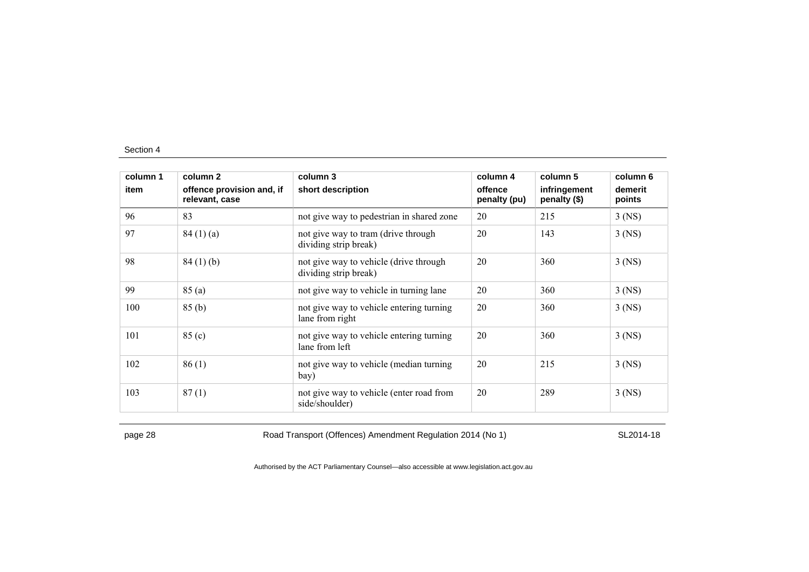| column 1<br>item | column 2                                    | column 3                                                        | column 4                | column 5                     | column 6          |
|------------------|---------------------------------------------|-----------------------------------------------------------------|-------------------------|------------------------------|-------------------|
|                  | offence provision and, if<br>relevant, case | short description                                               | offence<br>penalty (pu) | infringement<br>penalty (\$) | demerit<br>points |
| 96               | 83                                          | not give way to pedestrian in shared zone                       | 20                      | 215                          | $3$ (NS)          |
| 97               | 84(1)(a)                                    | not give way to tram (drive through<br>dividing strip break)    | 20                      | 143                          | $3$ (NS)          |
| 98               | 84(1)(b)                                    | not give way to vehicle (drive through<br>dividing strip break) | 20                      | 360                          | $3$ (NS)          |
| 99               | 85(a)                                       | not give way to vehicle in turning lane                         | 20                      | 360                          | $3$ (NS)          |
| 100              | 85(b)                                       | not give way to vehicle entering turning<br>lane from right     | 20                      | 360                          | $3$ (NS)          |
| 101              | 85 (c)                                      | not give way to vehicle entering turning<br>lane from left      | 20                      | 360                          | $3$ (NS)          |
| 102              | 86(1)                                       | not give way to vehicle (median turning<br>bay)                 | 20                      | 215                          | $3$ (NS)          |
| 103              | 87(1)                                       | not give way to vehicle (enter road from<br>side/shoulder)      | 20                      | 289                          | $3$ (NS)          |

page 28 Road Transport (Offences) Amendment Regulation 2014 (No 1) SL2014-18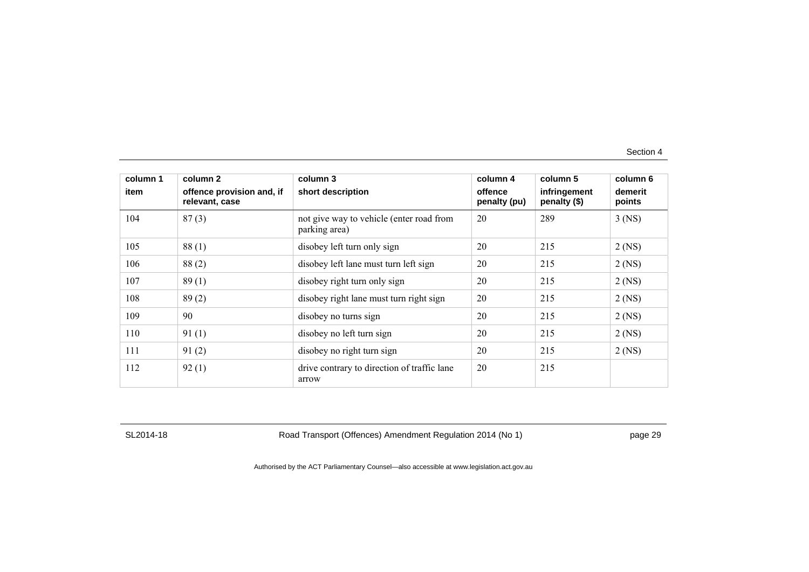| column 1 | column 2                                    | column 3                                                  | column 4                | column 5                     | column 6          |
|----------|---------------------------------------------|-----------------------------------------------------------|-------------------------|------------------------------|-------------------|
| item     | offence provision and, if<br>relevant, case | short description                                         | offence<br>penalty (pu) | infringement<br>penalty (\$) | demerit<br>points |
| 104      | 87(3)                                       | not give way to vehicle (enter road from<br>parking area) | 20                      | 289                          | $3$ (NS)          |
| 105      | 88(1)                                       | disobey left turn only sign                               | 20                      | 215                          | $2$ (NS)          |
| 106      | 88(2)                                       | disobey left lane must turn left sign                     | 20                      | 215                          | $2$ (NS)          |
| 107      | 89(1)                                       | disobey right turn only sign                              | 20                      | 215                          | $2$ (NS)          |
| 108      | 89(2)                                       | disobey right lane must turn right sign                   | 20                      | 215                          | $2$ (NS)          |
| 109      | 90                                          | disobey no turns sign                                     | 20                      | 215                          | $2$ (NS)          |
| 110      | 91(1)                                       | disobey no left turn sign                                 | 20                      | 215                          | $2$ (NS)          |
| 111      | 91(2)                                       | disobey no right turn sign                                | 20                      | 215                          | $2$ (NS)          |
| 112      | 92(1)                                       | drive contrary to direction of traffic lane<br>arrow      | 20                      | 215                          |                   |

SL2014-18 Road Transport (Offences) Amendment Regulation 2014 (No 1) page 29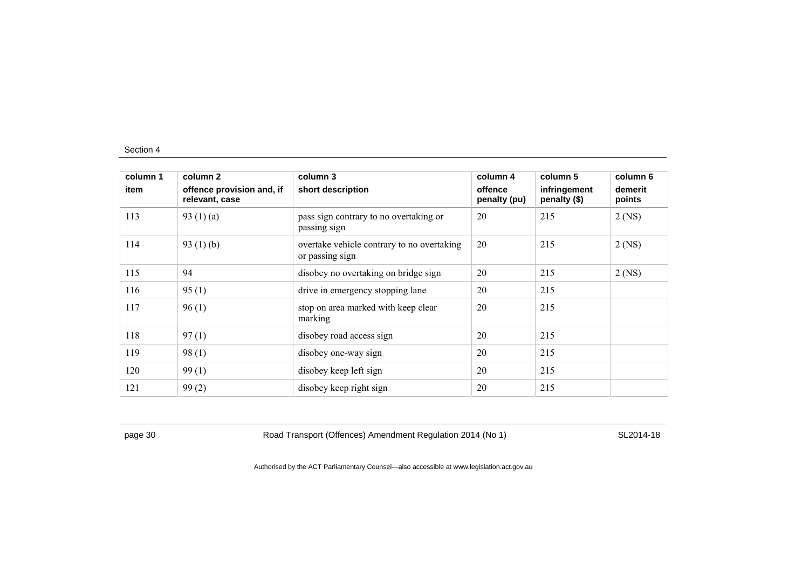| column 1 | column 2                                    | column 3                                                      | column 4                | column 5                     | column 6          |
|----------|---------------------------------------------|---------------------------------------------------------------|-------------------------|------------------------------|-------------------|
| item     | offence provision and, if<br>relevant, case | short description                                             | offence<br>penalty (pu) | infringement<br>penalty (\$) | demerit<br>points |
| 113      | 93 $(1)(a)$                                 | pass sign contrary to no overtaking or<br>passing sign        | 20                      | 215                          | $2$ (NS)          |
| 114      | 93 $(1)(b)$                                 | overtake vehicle contrary to no overtaking<br>or passing sign | 20                      | 215                          | $2$ (NS)          |
| 115      | 94                                          | disobey no overtaking on bridge sign                          | 20                      | 215                          | $2$ (NS)          |
| 116      | 95(1)                                       | drive in emergency stopping lane                              | 20                      | 215                          |                   |
| 117      | 96(1)                                       | stop on area marked with keep clear<br>marking                | 20                      | 215                          |                   |
| 118      | 97(1)                                       | disobey road access sign                                      | 20                      | 215                          |                   |
| 119      | 98(1)                                       | disobey one-way sign                                          | 20                      | 215                          |                   |
| 120      | 99(1)                                       | disobey keep left sign                                        | 20                      | 215                          |                   |
| 121      | 99(2)                                       | disobey keep right sign                                       | 20                      | 215                          |                   |

page 30 Road Transport (Offences) Amendment Regulation 2014 (No 1) SL2014-18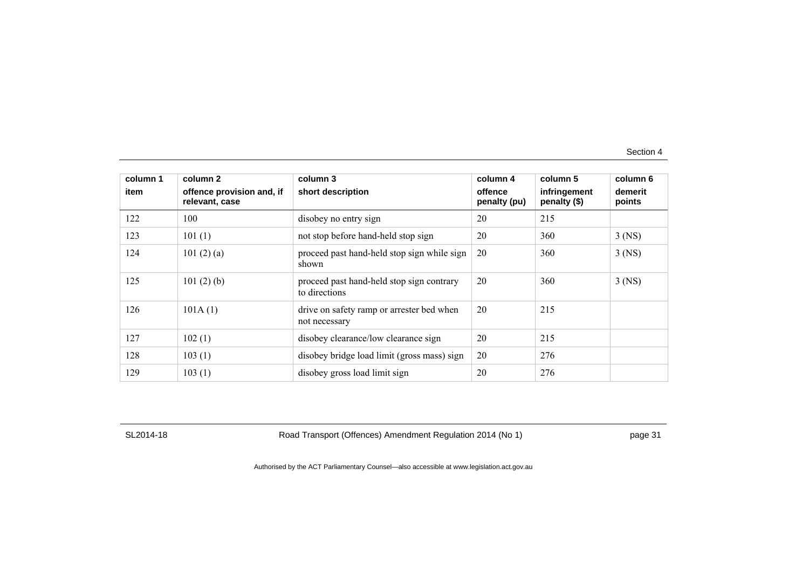| column 1 | column 2                                    | column 3                                                   | column 4                | column 5                     | column 6          |
|----------|---------------------------------------------|------------------------------------------------------------|-------------------------|------------------------------|-------------------|
| item     | offence provision and, if<br>relevant, case | short description                                          | offence<br>penalty (pu) | infringement<br>penalty (\$) | demerit<br>points |
| 122      | 100                                         | disobey no entry sign                                      | 20                      | 215                          |                   |
| 123      | 101(1)                                      | not stop before hand-held stop sign                        | 20                      | 360                          | $3$ (NS)          |
| 124      | 101 $(2)$ $(a)$                             | proceed past hand-held stop sign while sign<br>shown       | 20                      | 360                          | $3$ (NS)          |
| 125      | 101(2)(b)                                   | proceed past hand-held stop sign contrary<br>to directions | 20                      | 360                          | $3$ (NS)          |
| 126      | 101A(1)                                     | drive on safety ramp or arrester bed when<br>not necessary | 20                      | 215                          |                   |
| 127      | 102(1)                                      | disobey clearance/low clearance sign                       | 20                      | 215                          |                   |
| 128      | 103(1)                                      | disobey bridge load limit (gross mass) sign                | 20                      | 276                          |                   |
| 129      | 103(1)                                      | disobey gross load limit sign                              | 20                      | 276                          |                   |

SL2014-18 Road Transport (Offences) Amendment Regulation 2014 (No 1) page 31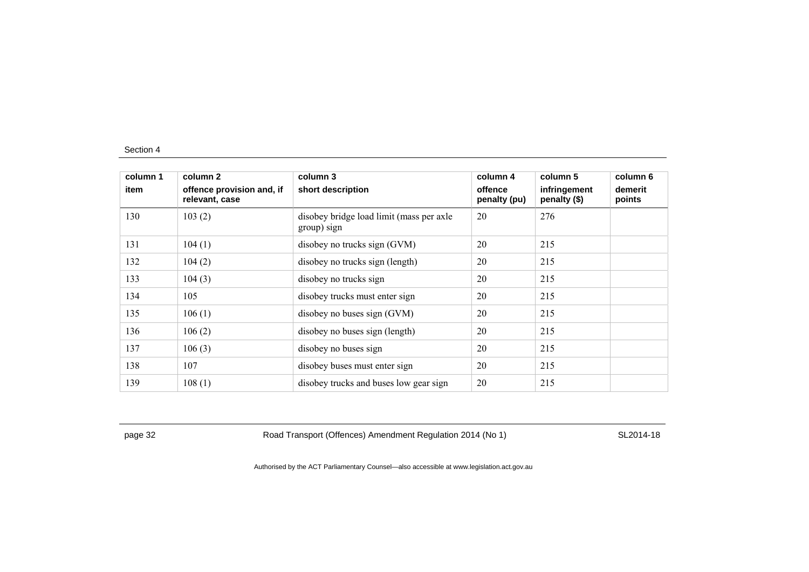| column 1 | column 2                                    | column 3                                                | column 4                | column 5                     | column 6          |
|----------|---------------------------------------------|---------------------------------------------------------|-------------------------|------------------------------|-------------------|
| item     | offence provision and, if<br>relevant, case | short description                                       | offence<br>penalty (pu) | infringement<br>penalty (\$) | demerit<br>points |
| 130      | 103(2)                                      | disobey bridge load limit (mass per axle<br>group) sign | 20                      | 276                          |                   |
| 131      | 104(1)                                      | disobey no trucks sign (GVM)                            | 20                      | 215                          |                   |
| 132      | 104(2)                                      | disobey no trucks sign (length)                         | 20                      | 215                          |                   |
| 133      | 104(3)                                      | disobey no trucks sign                                  | 20                      | 215                          |                   |
| 134      | 105                                         | disobey trucks must enter sign                          | 20                      | 215                          |                   |
| 135      | 106(1)                                      | disobey no buses sign (GVM)                             | 20                      | 215                          |                   |
| 136      | 106(2)                                      | disobey no buses sign (length)                          | 20                      | 215                          |                   |
| 137      | 106(3)                                      | disobey no buses sign                                   | 20                      | 215                          |                   |
| 138      | 107                                         | disobey buses must enter sign                           | 20                      | 215                          |                   |
| 139      | 108(1)                                      | disobey trucks and buses low gear sign                  | 20                      | 215                          |                   |

page 32 Road Transport (Offences) Amendment Regulation 2014 (No 1) SL2014-18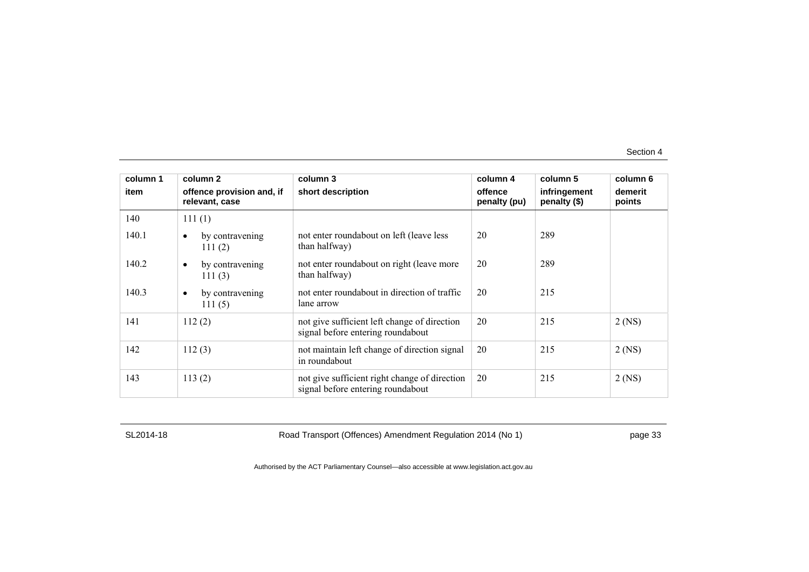| column 1 | column 2                                    | column 3                                                                           | column 4                | column 5                     | column 6          |
|----------|---------------------------------------------|------------------------------------------------------------------------------------|-------------------------|------------------------------|-------------------|
| item     | offence provision and, if<br>relevant, case | short description                                                                  | offence<br>penalty (pu) | infringement<br>penalty (\$) | demerit<br>points |
| 140      | 111(1)                                      |                                                                                    |                         |                              |                   |
| 140.1    | by contravening<br>$\bullet$<br>111(2)      | not enter roundabout on left (leave less<br>than halfway)                          | 20                      | 289                          |                   |
| 140.2    | by contravening<br>$\bullet$<br>111 $(3)$   | not enter roundabout on right (leave more<br>than halfway)                         | 20                      | 289                          |                   |
| 140.3    | by contravening<br>$\bullet$<br>111(5)      | not enter roundabout in direction of traffic<br>lane arrow                         | 20                      | 215                          |                   |
| 141      | 112(2)                                      | not give sufficient left change of direction<br>signal before entering roundabout  | 20                      | 215                          | $2$ (NS)          |
| 142      | 112(3)                                      | not maintain left change of direction signal<br>in roundabout                      | 20                      | 215                          | $2$ (NS)          |
| 143      | 113(2)                                      | not give sufficient right change of direction<br>signal before entering roundabout | 20                      | 215                          | $2$ (NS)          |

SL2014-18 Road Transport (Offences) Amendment Regulation 2014 (No 1) page 33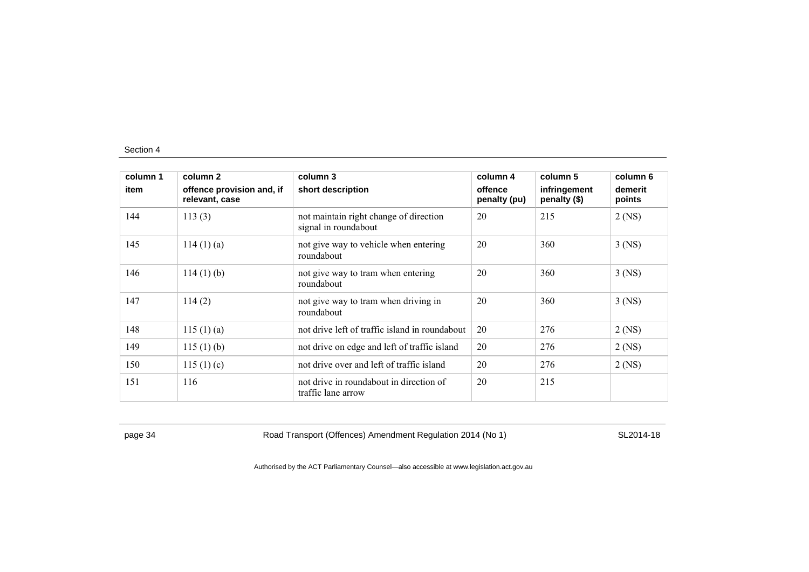| column 1<br>item | column 2                                    | column 3                                                       | column 4                | column 5                     | column 6          |
|------------------|---------------------------------------------|----------------------------------------------------------------|-------------------------|------------------------------|-------------------|
|                  | offence provision and, if<br>relevant, case | short description                                              | offence<br>penalty (pu) | infringement<br>penalty (\$) | demerit<br>points |
| 144              | 113(3)                                      | not maintain right change of direction<br>signal in roundabout | 20                      | 215                          | $2$ (NS)          |
| 145              | 114(1)(a)                                   | not give way to vehicle when entering<br>roundabout            | 20                      | 360                          | $3$ (NS)          |
| 146              | $114(1)$ (b)                                | not give way to tram when entering<br>roundabout               | 20                      | 360                          | $3$ (NS)          |
| 147              | 114(2)                                      | not give way to tram when driving in<br>roundabout             | 20                      | 360                          | $3$ (NS)          |
| 148              | 115(1)(a)                                   | not drive left of traffic island in roundabout                 | 20                      | 276                          | $2$ (NS)          |
| 149              | 115(1)(b)                                   | not drive on edge and left of traffic island                   | 20                      | 276                          | $2$ (NS)          |
| 150              | 115(1)(c)                                   | not drive over and left of traffic island                      | 20                      | 276                          | $2$ (NS)          |
| 151              | 116                                         | not drive in roundabout in direction of<br>traffic lane arrow  | 20                      | 215                          |                   |

page 34 Road Transport (Offences) Amendment Regulation 2014 (No 1) SL2014-18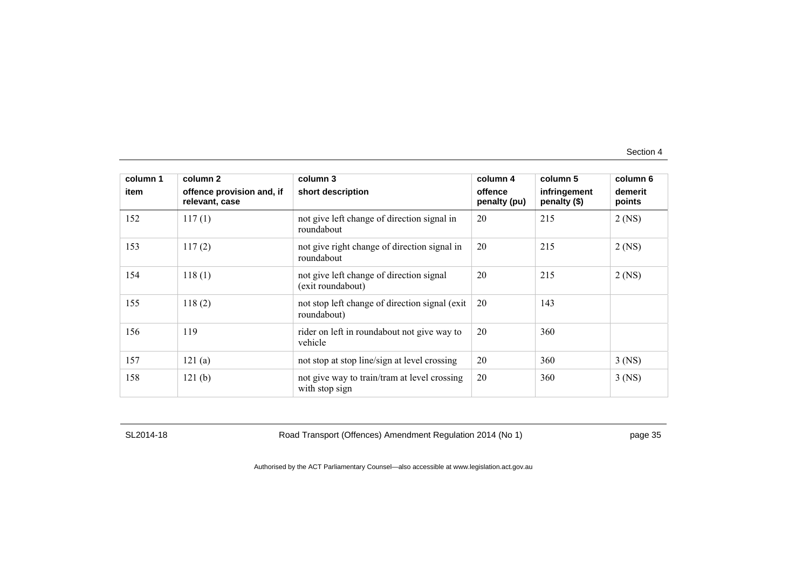| column 1 | column 2                                    | column 3                                                       | column 4                | column 5                     | column 6          |
|----------|---------------------------------------------|----------------------------------------------------------------|-------------------------|------------------------------|-------------------|
| item     | offence provision and, if<br>relevant, case | short description                                              | offence<br>penalty (pu) | infringement<br>penalty (\$) | demerit<br>points |
| 152      | 117(1)                                      | not give left change of direction signal in<br>roundabout      | 20                      | 215                          | $2$ (NS)          |
| 153      | 117(2)                                      | not give right change of direction signal in<br>roundabout     | 20                      | 215                          | $2$ (NS)          |
| 154      | 118(1)                                      | not give left change of direction signal<br>(exit roundabout)  | 20                      | 215                          | $2$ (NS)          |
| 155      | 118(2)                                      | not stop left change of direction signal (exit)<br>roundabout) | 20                      | 143                          |                   |
| 156      | 119                                         | rider on left in roundabout not give way to<br>vehicle         | 20                      | 360                          |                   |
| 157      | 121(a)                                      | not stop at stop line/sign at level crossing                   | 20                      | 360                          | $3$ (NS)          |
| 158      | 121(b)                                      | not give way to train/tram at level crossing<br>with stop sign | 20                      | 360                          | $3$ (NS)          |

SL2014-18 Road Transport (Offences) Amendment Regulation 2014 (No 1) page 35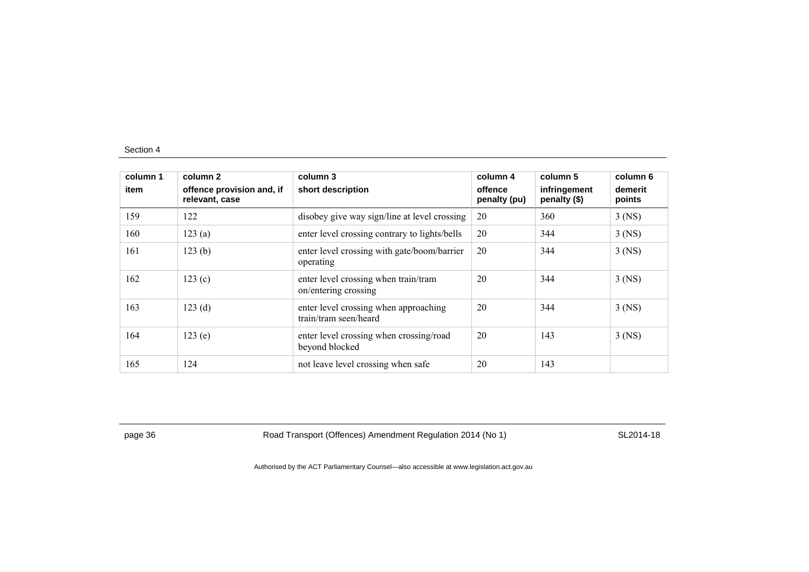| column 1<br>item | column 2<br>offence provision and, if<br>relevant, case | column 3<br>short description                                  | column 4<br>offence<br>penalty (pu) | column 5<br>infringement<br>penalty (\$) | column 6<br>demerit<br>points |
|------------------|---------------------------------------------------------|----------------------------------------------------------------|-------------------------------------|------------------------------------------|-------------------------------|
| 159              | 122                                                     | disobey give way sign/line at level crossing                   | 20                                  | 360                                      | $3$ (NS)                      |
| 160              | 123(a)                                                  | enter level crossing contrary to lights/bells                  | 20                                  | 344                                      | $3$ (NS)                      |
| 161              | 123(b)                                                  | enter level crossing with gate/boom/barrier<br>operating       | 20                                  | 344                                      | $3$ (NS)                      |
| 162              | 123(c)                                                  | enter level crossing when train/tram<br>on/entering crossing   | 20                                  | 344                                      | $3$ (NS)                      |
| 163              | 123(d)                                                  | enter level crossing when approaching<br>train/tram seen/heard | 20                                  | 344                                      | $3$ (NS)                      |
| 164              | 123(e)                                                  | enter level crossing when crossing/road<br>beyond blocked      | 20                                  | 143                                      | $3$ (NS)                      |
| 165              | 124                                                     | not leave level crossing when safe                             | 20                                  | 143                                      |                               |

page 36 Road Transport (Offences) Amendment Regulation 2014 (No 1) SL2014-18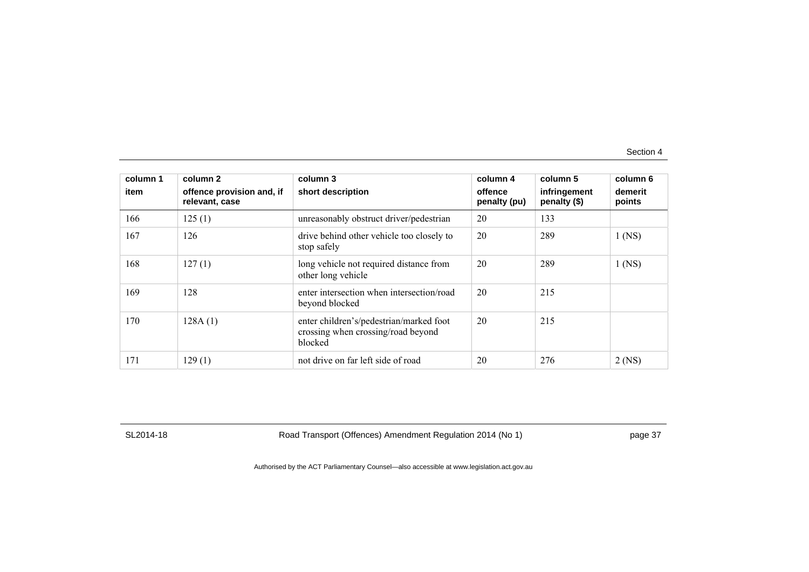| column 1<br>item | column 2<br>offence provision and, if<br>relevant, case | column 3<br>short description                                                            | column 4<br>offence<br>penalty (pu) | column 5<br>infringement<br>penalty (\$) | column 6<br>demerit<br>points |
|------------------|---------------------------------------------------------|------------------------------------------------------------------------------------------|-------------------------------------|------------------------------------------|-------------------------------|
| 166              | 125(1)                                                  | unreasonably obstruct driver/pedestrian                                                  | 20                                  | 133                                      |                               |
| 167              | 126                                                     | drive behind other vehicle too closely to<br>stop safely                                 | 20                                  | 289                                      | $1$ (NS)                      |
| 168              | 127(1)                                                  | long vehicle not required distance from<br>other long vehicle                            | 20                                  | 289                                      | $1$ (NS)                      |
| 169              | 128                                                     | enter intersection when intersection/road<br>beyond blocked                              | 20                                  | 215                                      |                               |
| 170              | 128A(1)                                                 | enter children's/pedestrian/marked foot<br>crossing when crossing/road beyond<br>blocked | 20                                  | 215                                      |                               |
| 171              | 129(1)                                                  | not drive on far left side of road                                                       | 20                                  | 276                                      | $2$ (NS)                      |

SL2014-18 Road Transport (Offences) Amendment Regulation 2014 (No 1) page 37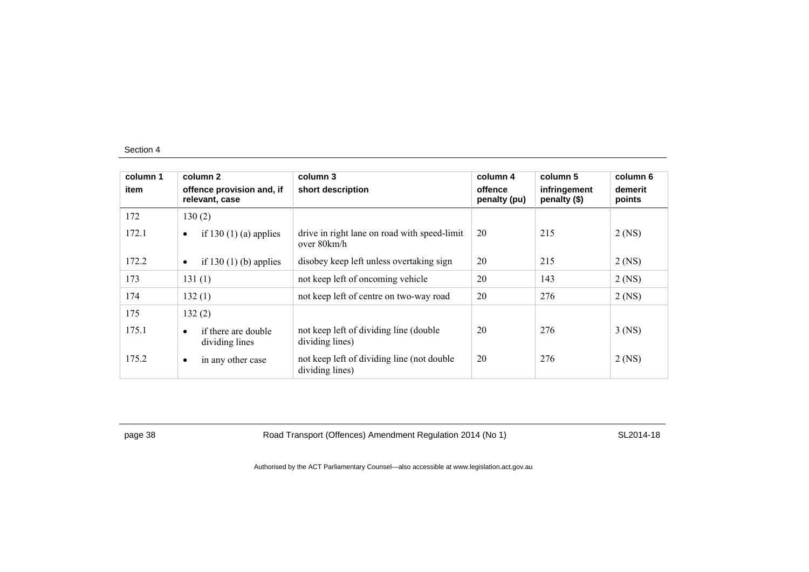| column 1<br>item |           | column 2<br>offence provision and, if<br>relevant, case | column 3<br>short description                                  | column 4<br>offence<br>penalty (pu) | column 5<br>infringement<br>penalty (\$) | column 6<br>demerit<br>points |
|------------------|-----------|---------------------------------------------------------|----------------------------------------------------------------|-------------------------------------|------------------------------------------|-------------------------------|
| 172              |           | 130(2)                                                  |                                                                |                                     |                                          |                               |
| 172.1            | $\bullet$ | if 130 $(1)$ (a) applies                                | drive in right lane on road with speed-limit<br>over 80km/h    | 20                                  | 215                                      | $2$ (NS)                      |
| 172.2            | $\bullet$ | if 130 $(1)$ (b) applies                                | disobey keep left unless overtaking sign                       | 20                                  | 215                                      | $2$ (NS)                      |
| 173              |           | 131(1)                                                  | not keep left of oncoming vehicle                              | 20                                  | 143                                      | $2$ (NS)                      |
| 174              |           | 132(1)                                                  | not keep left of centre on two-way road                        | 20                                  | 276                                      | $2$ (NS)                      |
| 175              |           | 132(2)                                                  |                                                                |                                     |                                          |                               |
| 175.1            | $\bullet$ | if there are double<br>dividing lines                   | not keep left of dividing line (double)<br>dividing lines)     | 20                                  | 276                                      | $3$ (NS)                      |
| 175.2            | $\bullet$ | in any other case                                       | not keep left of dividing line (not double)<br>dividing lines) | 20                                  | 276                                      | $2$ (NS)                      |

page 38 Road Transport (Offences) Amendment Regulation 2014 (No 1) SL2014-18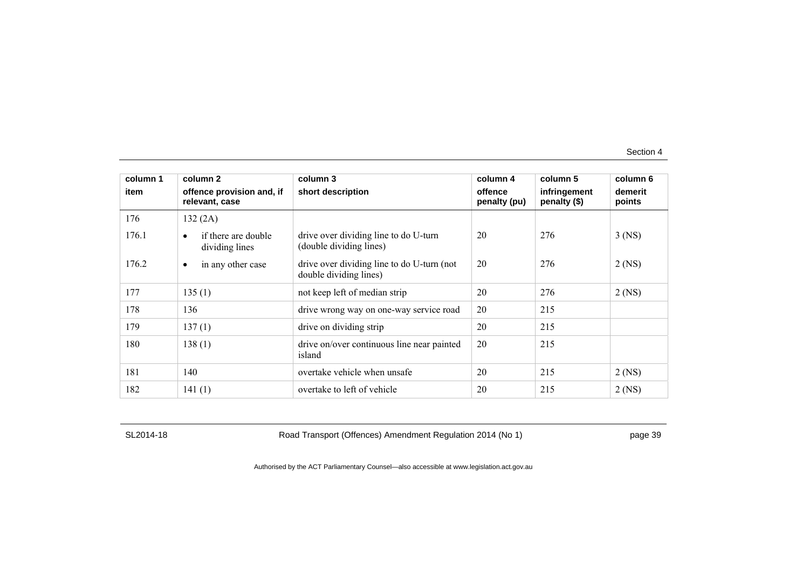| column 1 | column 2                                           | column 3                                                             | column 4                | column 5                     | column 6          |
|----------|----------------------------------------------------|----------------------------------------------------------------------|-------------------------|------------------------------|-------------------|
| item     | offence provision and, if<br>relevant, case        | short description                                                    | offence<br>penalty (pu) | infringement<br>penalty (\$) | demerit<br>points |
| 176      | 132(2A)                                            |                                                                      |                         |                              |                   |
| 176.1    | if there are double<br>$\bullet$<br>dividing lines | drive over dividing line to do U-turn<br>(double dividing lines)     | 20                      | 276                          | $3$ (NS)          |
| 176.2    | in any other case<br>$\bullet$                     | drive over dividing line to do U-turn (not<br>double dividing lines) | 20                      | 276                          | $2$ (NS)          |
| 177      | 135(1)                                             | not keep left of median strip                                        | 20                      | 276                          | $2$ (NS)          |
| 178      | 136                                                | drive wrong way on one-way service road                              | 20                      | 215                          |                   |
| 179      | 137(1)                                             | drive on dividing strip                                              | 20                      | 215                          |                   |
| 180      | 138(1)                                             | drive on/over continuous line near painted<br>island                 | 20                      | 215                          |                   |
| 181      | 140                                                | overtake vehicle when unsafe                                         | 20                      | 215                          | $2$ (NS)          |
| 182      | 141(1)                                             | overtake to left of vehicle                                          | 20                      | 215                          | $2$ (NS)          |

SL2014-18 Road Transport (Offences) Amendment Regulation 2014 (No 1) page 39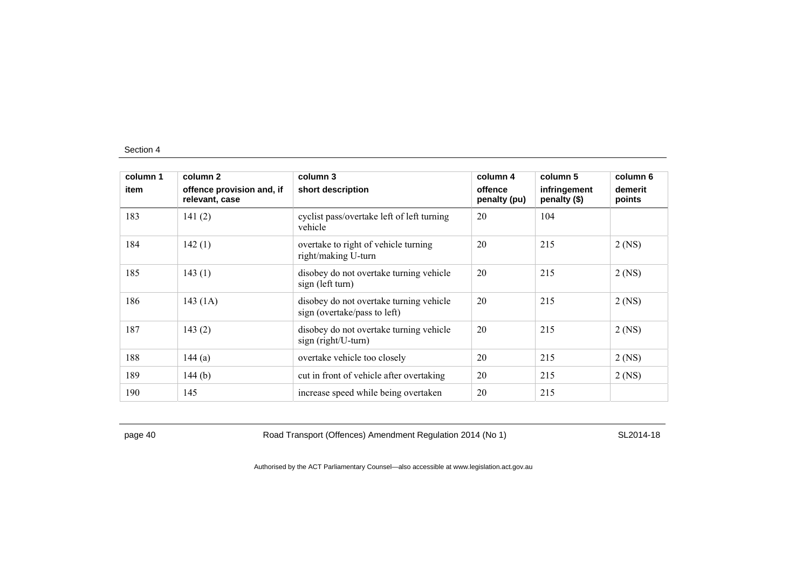| column 1 | column 2                                    | column 3                                                                | column 4                | column 5                     | column 6          |
|----------|---------------------------------------------|-------------------------------------------------------------------------|-------------------------|------------------------------|-------------------|
| item     | offence provision and, if<br>relevant, case | short description                                                       | offence<br>penalty (pu) | infringement<br>penalty (\$) | demerit<br>points |
| 183      | 141(2)                                      | cyclist pass/overtake left of left turning<br>vehicle                   | 20                      | 104                          |                   |
| 184      | 142(1)                                      | overtake to right of vehicle turning<br>right/making U-turn             | 20                      | 215                          | $2$ (NS)          |
| 185      | 143(1)                                      | disobey do not overtake turning vehicle<br>sign (left turn)             | 20                      | 215                          | $2$ (NS)          |
| 186      | 143 (1A)                                    | disobey do not overtake turning vehicle<br>sign (overtake/pass to left) | 20                      | 215                          | $2$ (NS)          |
| 187      | 143(2)                                      | disobey do not overtake turning vehicle<br>sign (right/U-turn)          | 20                      | 215                          | $2$ (NS)          |
| 188      | 144 $(a)$                                   | overtake vehicle too closely                                            | 20                      | 215                          | $2$ (NS)          |
| 189      | 144 $(b)$                                   | cut in front of vehicle after overtaking                                | 20                      | 215                          | $2$ (NS)          |
| 190      | 145                                         | increase speed while being overtaken                                    | 20                      | 215                          |                   |

page 40 Road Transport (Offences) Amendment Regulation 2014 (No 1) SL2014-18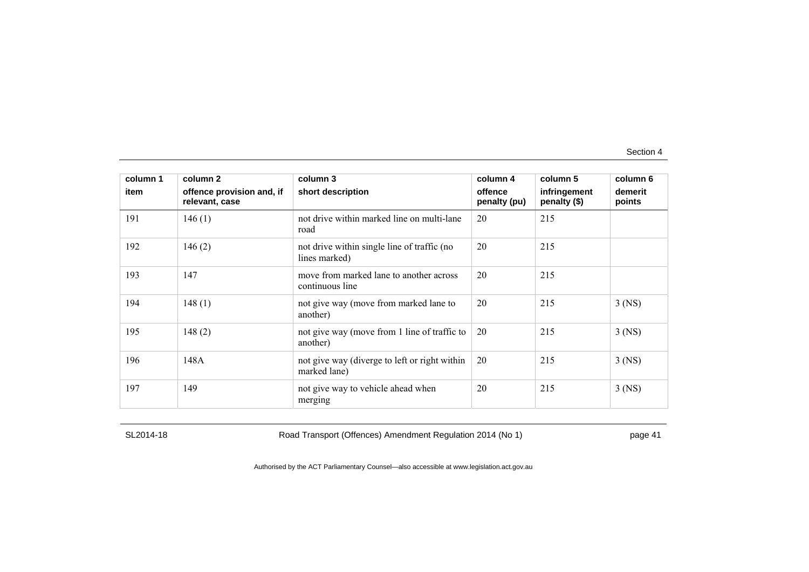| column 1<br>item | column 2<br>offence provision and, if<br>relevant, case | column 3<br>short description                                 | column 4<br>offence<br>penalty (pu) | column 5<br>infringement<br>penalty (\$) | column 6<br>demerit<br>points |
|------------------|---------------------------------------------------------|---------------------------------------------------------------|-------------------------------------|------------------------------------------|-------------------------------|
| 191              | 146(1)                                                  | not drive within marked line on multi-lane<br>road            | 20                                  | 215                                      |                               |
| 192              | 146(2)                                                  | not drive within single line of traffic (no<br>lines marked)  | 20                                  | 215                                      |                               |
| 193              | 147                                                     | move from marked lane to another across<br>continuous line    | 20                                  | 215                                      |                               |
| 194              | 148(1)                                                  | not give way (move from marked lane to<br>another)            | 20                                  | 215                                      | $3$ (NS)                      |
| 195              | 148(2)                                                  | not give way (move from 1 line of traffic to<br>another)      | 20                                  | 215                                      | $3$ (NS)                      |
| 196              | 148A                                                    | not give way (diverge to left or right within<br>marked lane) | 20                                  | 215                                      | $3$ (NS)                      |
| 197              | 149                                                     | not give way to vehicle ahead when<br>merging                 | 20                                  | 215                                      | $3$ (NS)                      |

SL2014-18 Road Transport (Offences) Amendment Regulation 2014 (No 1) page 41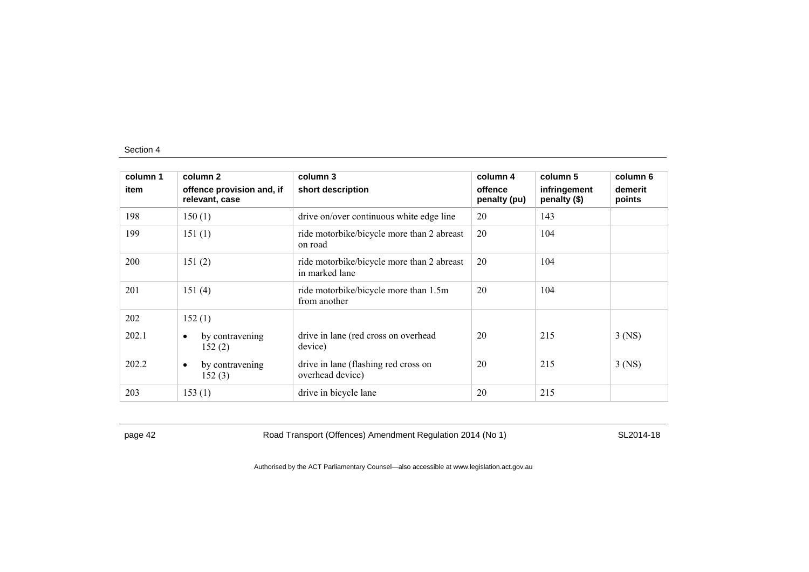| column 1 | column 2                                    | column 3                                                     | column 4                | column 5                     | column 6          |
|----------|---------------------------------------------|--------------------------------------------------------------|-------------------------|------------------------------|-------------------|
| item     | offence provision and, if<br>relevant, case | short description                                            | offence<br>penalty (pu) | infringement<br>penalty (\$) | demerit<br>points |
| 198      | 150(1)                                      | drive on/over continuous white edge line                     | 20                      | 143                          |                   |
| 199      | 151(1)                                      | ride motorbike/bicycle more than 2 abreast<br>on road        | 20                      | 104                          |                   |
| 200      | 151(2)                                      | ride motorbike/bicycle more than 2 abreast<br>in marked lane | 20                      | 104                          |                   |
| 201      | 151(4)                                      | ride motorbike/bicycle more than 1.5m<br>from another        | 20                      | 104                          |                   |
| 202      | 152(1)                                      |                                                              |                         |                              |                   |
| 202.1    | by contravening<br>٠<br>152(2)              | drive in lane (red cross on overhead<br>device)              | 20                      | 215                          | $3$ (NS)          |
| 202.2    | by contravening<br>٠<br>152(3)              | drive in lane (flashing red cross on<br>overhead device)     | 20                      | 215                          | $3$ (NS)          |
| 203      | 153(1)                                      | drive in bicycle lane                                        | 20                      | 215                          |                   |

page 42 Road Transport (Offences) Amendment Regulation 2014 (No 1) SL2014-18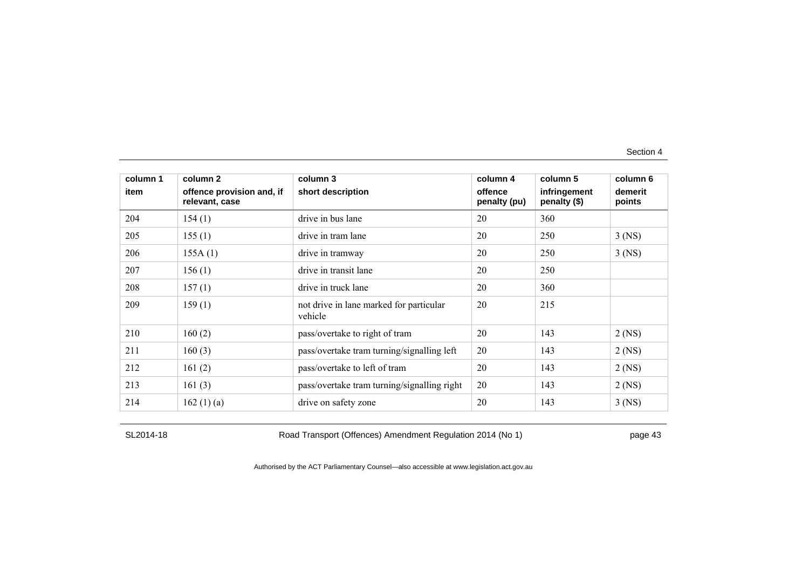| column 1 | column 2                                    | column 3                                           | column 4                | column 5                     | column 6          |
|----------|---------------------------------------------|----------------------------------------------------|-------------------------|------------------------------|-------------------|
| item     | offence provision and, if<br>relevant, case | short description                                  | offence<br>penalty (pu) | infringement<br>penalty (\$) | demerit<br>points |
| 204      | 154(1)                                      | drive in bus lane                                  | 20                      | 360                          |                   |
| 205      | 155(1)                                      | drive in tram lane                                 | 20                      | 250                          | $3$ (NS)          |
| 206      | 155A(1)                                     | drive in tramway                                   | 20                      | 250                          | $3$ (NS)          |
| 207      | 156(1)                                      | drive in transit lane                              | 20                      | 250                          |                   |
| 208      | 157(1)                                      | drive in truck lane                                | 20                      | 360                          |                   |
| 209      | 159(1)                                      | not drive in lane marked for particular<br>vehicle | 20                      | 215                          |                   |
| 210      | 160(2)                                      | pass/overtake to right of tram                     | 20                      | 143                          | $2$ (NS)          |
| 211      | 160(3)                                      | pass/overtake tram turning/signalling left         | 20                      | 143                          | $2$ (NS)          |
| 212      | 161(2)                                      | pass/overtake to left of tram                      | 20                      | 143                          | $2$ (NS)          |
| 213      | 161(3)                                      | pass/overtake tram turning/signalling right        | 20                      | 143                          | $2$ (NS)          |
| 214      | 162(1)(a)                                   | drive on safety zone                               | 20                      | 143                          | $3$ (NS)          |

SL2014-18 Road Transport (Offences) Amendment Regulation 2014 (No 1) page 43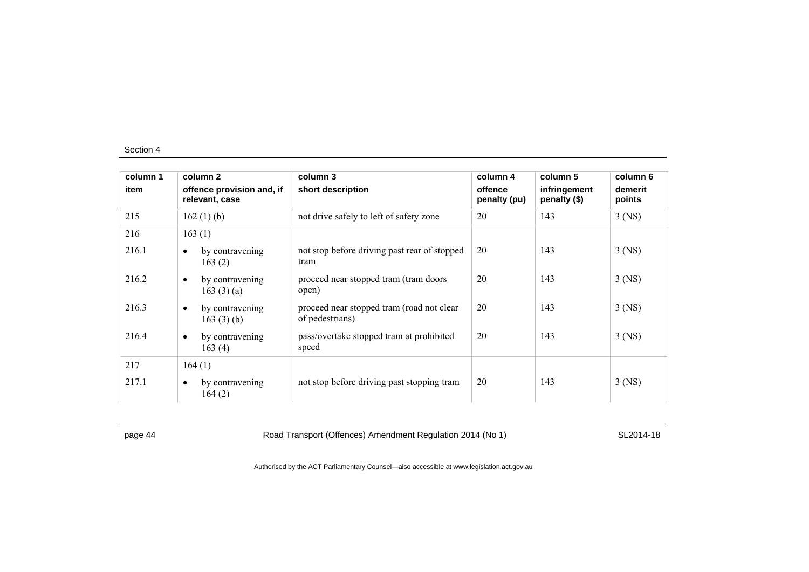| column 1 | column 2                                        | column 3                                                     | column 4                | column 5                     | column 6          |
|----------|-------------------------------------------------|--------------------------------------------------------------|-------------------------|------------------------------|-------------------|
| item     | offence provision and, if<br>relevant, case     | short description                                            | offence<br>penalty (pu) | infringement<br>penalty (\$) | demerit<br>points |
| 215      | 162 $(1)$ (b)                                   | not drive safely to left of safety zone                      | 20                      | 143                          | $3$ (NS)          |
| 216      | 163(1)                                          |                                                              |                         |                              |                   |
| 216.1    | by contravening<br>$\bullet$<br>163(2)          | not stop before driving past rear of stopped<br>tram         | 20                      | 143                          | $3$ (NS)          |
| 216.2    | by contravening<br>$\bullet$<br>163 $(3)$ $(a)$ | proceed near stopped tram (tram doors<br>open)               | 20                      | 143                          | $3$ (NS)          |
| 216.3    | by contravening<br>$\bullet$<br>163(3)(b)       | proceed near stopped tram (road not clear<br>of pedestrians) | 20                      | 143                          | $3$ (NS)          |
| 216.4    | by contravening<br>$\bullet$<br>163(4)          | pass/overtake stopped tram at prohibited<br>speed            | 20                      | 143                          | $3$ (NS)          |
| 217      | 164(1)                                          |                                                              |                         |                              |                   |
| 217.1    | by contravening<br>$\bullet$<br>164(2)          | not stop before driving past stopping tram                   | 20                      | 143                          | $3$ (NS)          |

page 44 Road Transport (Offences) Amendment Regulation 2014 (No 1) SL2014-18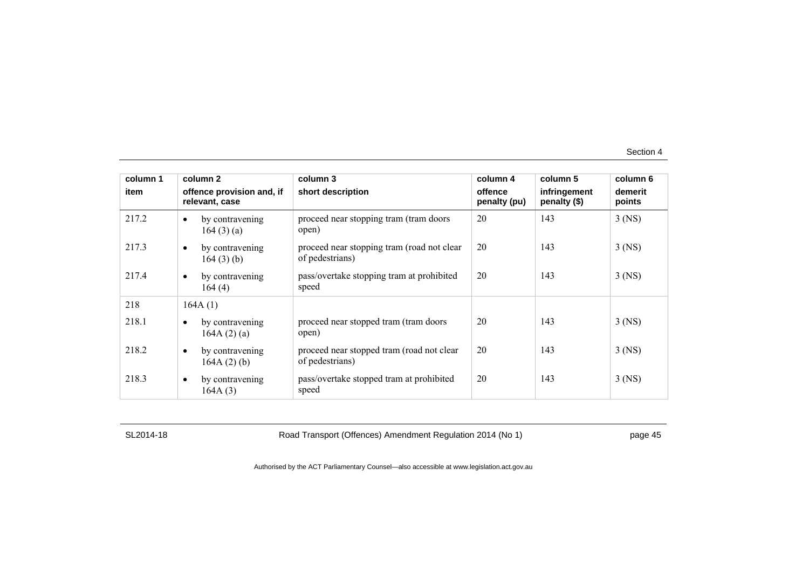| column 1 | column 2                                         | column 3                                                      | column 4                | column 5                     | column 6          |
|----------|--------------------------------------------------|---------------------------------------------------------------|-------------------------|------------------------------|-------------------|
| item     | offence provision and, if<br>relevant, case      | short description                                             | offence<br>penalty (pu) | infringement<br>penalty (\$) | demerit<br>points |
| 217.2    | by contravening<br>$\bullet$<br>164(3)(a)        | proceed near stopping tram (tram doors)<br>open)              | 20                      | 143                          | $3$ (NS)          |
| 217.3    | by contravening<br>$\bullet$<br>164(3)(b)        | proceed near stopping tram (road not clear<br>of pedestrians) | 20                      | 143                          | $3$ (NS)          |
| 217.4    | by contravening<br>$\bullet$<br>164(4)           | pass/overtake stopping tram at prohibited<br>speed            | 20                      | 143                          | $3$ (NS)          |
| 218      | 164A(1)                                          |                                                               |                         |                              |                   |
| 218.1    | by contravening<br>164A(2)(a)                    | proceed near stopped tram (tram doors)<br>open)               | 20                      | 143                          | $3$ (NS)          |
| 218.2    | by contravening<br>$\bullet$<br>164A $(2)$ $(b)$ | proceed near stopped tram (road not clear<br>of pedestrians)  | 20                      | 143                          | $3$ (NS)          |
| 218.3    | by contravening<br>$\bullet$<br>164A(3)          | pass/overtake stopped tram at prohibited<br>speed             | 20                      | 143                          | $3$ (NS)          |

SL2014-18 Road Transport (Offences) Amendment Regulation 2014 (No 1) page 45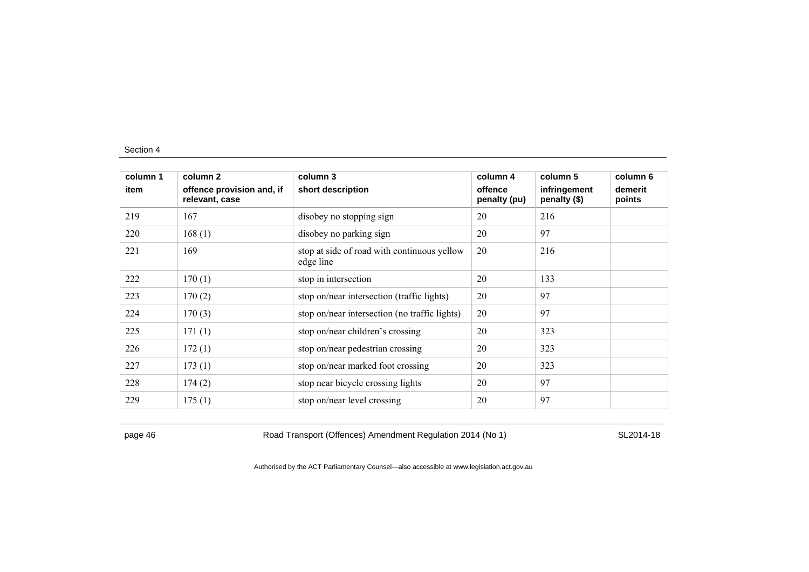| column 1 | column 2                                    | column 3                                                 | column 4                | column 5                     | column 6          |
|----------|---------------------------------------------|----------------------------------------------------------|-------------------------|------------------------------|-------------------|
| item     | offence provision and, if<br>relevant, case | short description                                        | offence<br>penalty (pu) | infringement<br>penalty (\$) | demerit<br>points |
| 219      | 167                                         | disobey no stopping sign                                 | 20                      | 216                          |                   |
| 220      | 168(1)                                      | disobey no parking sign                                  | 20                      | 97                           |                   |
| 221      | 169                                         | stop at side of road with continuous yellow<br>edge line | 20                      | 216                          |                   |
| 222      | 170(1)                                      | stop in intersection                                     | 20                      | 133                          |                   |
| 223      | 170(2)                                      | stop on/near intersection (traffic lights)               | 20                      | 97                           |                   |
| 224      | 170(3)                                      | stop on/near intersection (no traffic lights)            | 20                      | 97                           |                   |
| 225      | 171(1)                                      | stop on/near children's crossing                         | 20                      | 323                          |                   |
| 226      | 172(1)                                      | stop on/near pedestrian crossing                         | 20                      | 323                          |                   |
| 227      | 173(1)                                      | stop on/near marked foot crossing                        | 20                      | 323                          |                   |
| 228      | 174(2)                                      | stop near bicycle crossing lights                        | 20                      | 97                           |                   |
| 229      | 175(1)                                      | stop on/near level crossing                              | 20                      | 97                           |                   |

page 46 Road Transport (Offences) Amendment Regulation 2014 (No 1) SL2014-18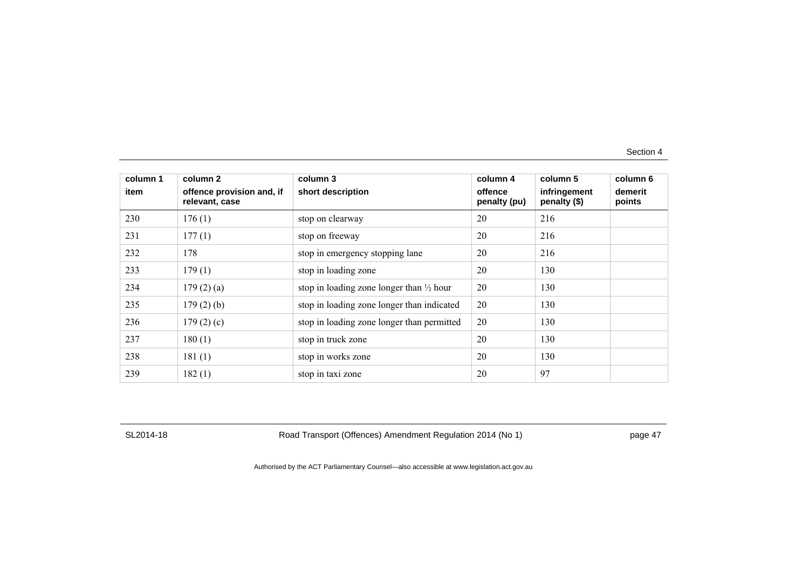| column 1 | column 2                                    | column 3                                            | column 4                | column 5                     | column 6          |
|----------|---------------------------------------------|-----------------------------------------------------|-------------------------|------------------------------|-------------------|
| item     | offence provision and, if<br>relevant, case | short description                                   | offence<br>penalty (pu) | infringement<br>penalty (\$) | demerit<br>points |
| 230      | 176(1)                                      | stop on clearway                                    | 20                      | 216                          |                   |
| 231      | 177(1)                                      | stop on freeway                                     | 20                      | 216                          |                   |
| 232      | 178                                         | stop in emergency stopping lane                     | 20                      | 216                          |                   |
| 233      | 179(1)                                      | stop in loading zone                                | 20                      | 130                          |                   |
| 234      | 179(2)(a)                                   | stop in loading zone longer than $\frac{1}{2}$ hour | 20                      | 130                          |                   |
| 235      | $179(2)$ (b)                                | stop in loading zone longer than indicated          | 20                      | 130                          |                   |
| 236      | 179(2)(c)                                   | stop in loading zone longer than permitted          | 20                      | 130                          |                   |
| 237      | 180(1)                                      | stop in truck zone                                  | 20                      | 130                          |                   |
| 238      | 181(1)                                      | stop in works zone                                  | 20                      | 130                          |                   |
| 239      | 182(1)                                      | stop in taxi zone                                   | 20                      | 97                           |                   |

SL2014-18 Road Transport (Offences) Amendment Regulation 2014 (No 1) page 47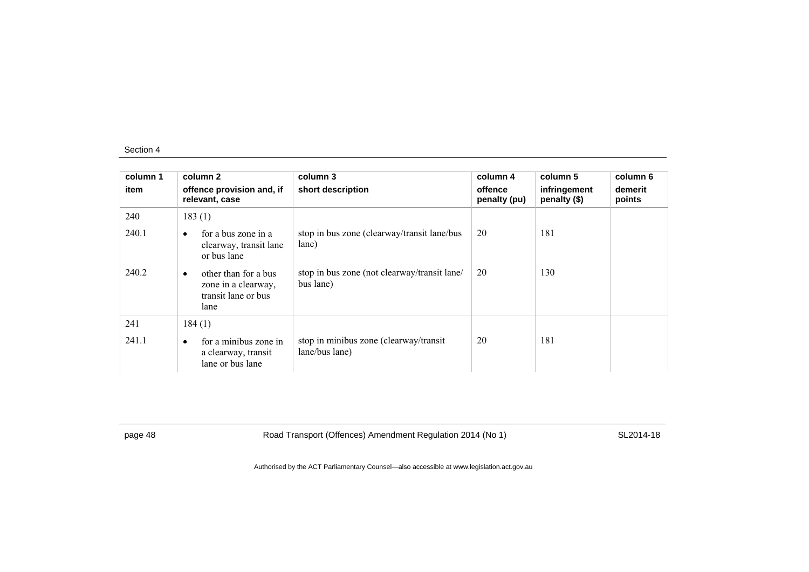| column 1 | column 2                                                                                | column 3                                                  | column 4                | column 5                     | column 6          |
|----------|-----------------------------------------------------------------------------------------|-----------------------------------------------------------|-------------------------|------------------------------|-------------------|
| item     | offence provision and, if<br>relevant, case                                             | short description                                         | offence<br>penalty (pu) | infringement<br>penalty (\$) | demerit<br>points |
| 240      | 183(1)                                                                                  |                                                           |                         |                              |                   |
| 240.1    | for a bus zone in a<br>$\bullet$<br>clearway, transit lane<br>or bus lane               | stop in bus zone (clearway/transit lane/bus<br>lane)      | 20                      | 181                          |                   |
| 240.2    | other than for a bus<br>$\bullet$<br>zone in a clearway,<br>transit lane or bus<br>lane | stop in bus zone (not clearway/transit lane/<br>bus lane) | 20                      | 130                          |                   |
| 241      | 184(1)                                                                                  |                                                           |                         |                              |                   |
| 241.1    | for a minibus zone in<br>$\bullet$<br>a clearway, transit<br>lane or bus lane           | stop in minibus zone (clearway/transit<br>lane/bus lane)  | 20                      | 181                          |                   |

page 48 Road Transport (Offences) Amendment Regulation 2014 (No 1) SL2014-18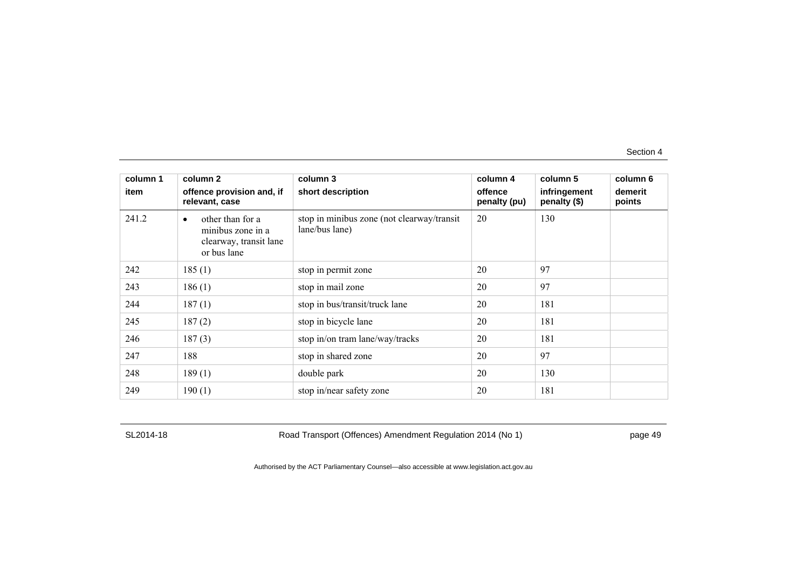| column 1 | column 2                                                                                    | column 3                                                     | column 4                | column 5                     | column 6          |
|----------|---------------------------------------------------------------------------------------------|--------------------------------------------------------------|-------------------------|------------------------------|-------------------|
| item     | offence provision and, if<br>relevant, case                                                 | short description                                            | offence<br>penalty (pu) | infringement<br>penalty (\$) | demerit<br>points |
| 241.2    | other than for a<br>$\bullet$<br>minibus zone in a<br>clearway, transit lane<br>or bus lane | stop in minibus zone (not clearway/transit<br>lane/bus lane) | 20                      | 130                          |                   |
| 242      | 185(1)                                                                                      | stop in permit zone                                          | 20                      | 97                           |                   |
| 243      | 186(1)                                                                                      | stop in mail zone                                            | 20                      | 97                           |                   |
| 244      | 187(1)                                                                                      | stop in bus/transit/truck lane                               | 20                      | 181                          |                   |
| 245      | 187(2)                                                                                      | stop in bicycle lane                                         | 20                      | 181                          |                   |
| 246      | 187(3)                                                                                      | stop in/on tram lane/way/tracks                              | 20                      | 181                          |                   |
| 247      | 188                                                                                         | stop in shared zone                                          | 20                      | 97                           |                   |
| 248      | 189(1)                                                                                      | double park                                                  | 20                      | 130                          |                   |
| 249      | 190(1)                                                                                      | stop in/near safety zone                                     | 20                      | 181                          |                   |

SL2014-18 Road Transport (Offences) Amendment Regulation 2014 (No 1) page 49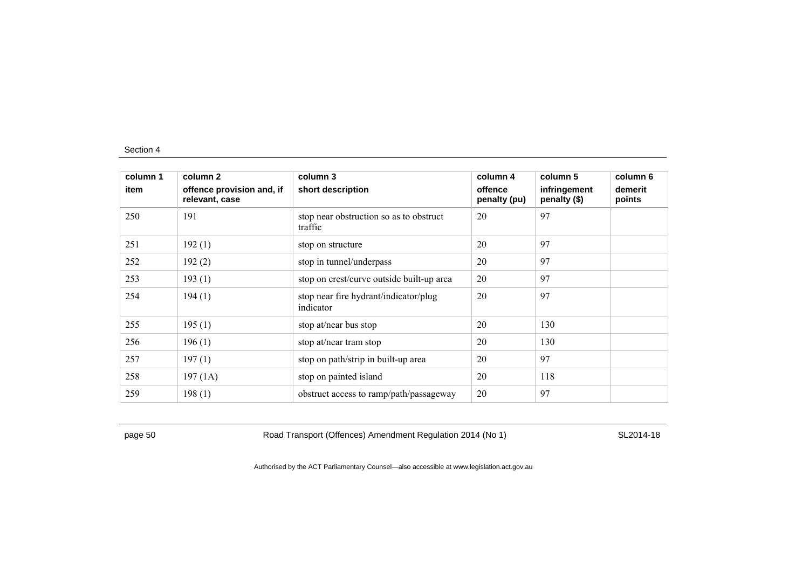| column 1 | column 2                                    | column 3                                           | column 4                | column 5                     | column 6          |
|----------|---------------------------------------------|----------------------------------------------------|-------------------------|------------------------------|-------------------|
| item     | offence provision and, if<br>relevant, case | short description                                  | offence<br>penalty (pu) | infringement<br>penalty (\$) | demerit<br>points |
| 250      | 191                                         | stop near obstruction so as to obstruct<br>traffic | 20                      | 97                           |                   |
| 251      | 192(1)                                      | stop on structure                                  | 20                      | 97                           |                   |
| 252      | 192(2)                                      | stop in tunnel/underpass                           | 20                      | 97                           |                   |
| 253      | 193(1)                                      | stop on crest/curve outside built-up area          | 20                      | 97                           |                   |
| 254      | 194(1)                                      | stop near fire hydrant/indicator/plug<br>indicator | 20                      | 97                           |                   |
| 255      | 195(1)                                      | stop at/near bus stop                              | 20                      | 130                          |                   |
| 256      | 196(1)                                      | stop at/near tram stop                             | 20                      | 130                          |                   |
| 257      | 197(1)                                      | stop on path/strip in built-up area                | 20                      | 97                           |                   |
| 258      | 197(1A)                                     | stop on painted island                             | 20                      | 118                          |                   |
| 259      | 198(1)                                      | obstruct access to ramp/path/passageway            | 20                      | 97                           |                   |

page 50 Road Transport (Offences) Amendment Regulation 2014 (No 1) SL2014-18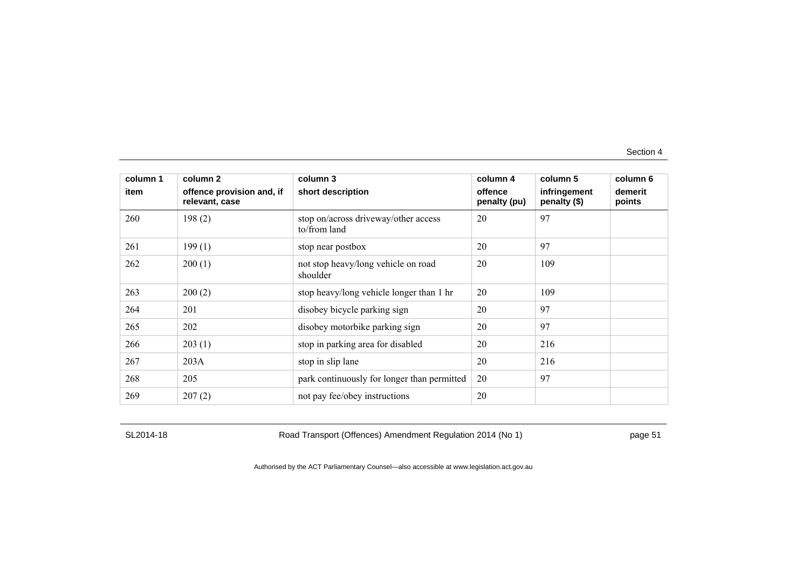| column 1 | column 2                                    | column 3                                             | column 4                | column 5                     | column 6          |
|----------|---------------------------------------------|------------------------------------------------------|-------------------------|------------------------------|-------------------|
| item     | offence provision and, if<br>relevant, case | short description                                    | offence<br>penalty (pu) | infringement<br>penalty (\$) | demerit<br>points |
| 260      | 198(2)                                      | stop on/across driveway/other access<br>to/from land | 20                      | 97                           |                   |
| 261      | 199(1)                                      | stop near postbox                                    | 20                      | 97                           |                   |
| 262      | 200(1)                                      | not stop heavy/long vehicle on road<br>shoulder      | 20                      | 109                          |                   |
| 263      | 200(2)                                      | stop heavy/long vehicle longer than 1 hr             | 20                      | 109                          |                   |
| 264      | 201                                         | disobey bicycle parking sign                         | 20                      | 97                           |                   |
| 265      | 202                                         | disobey motorbike parking sign                       | 20                      | 97                           |                   |
| 266      | 203(1)                                      | stop in parking area for disabled                    | 20                      | 216                          |                   |
| 267      | 203A                                        | stop in slip lane                                    | 20                      | 216                          |                   |
| 268      | 205                                         | park continuously for longer than permitted          | 20                      | 97                           |                   |
| 269      | 207(2)                                      | not pay fee/obey instructions                        | 20                      |                              |                   |

SL2014-18 Road Transport (Offences) Amendment Regulation 2014 (No 1) page 51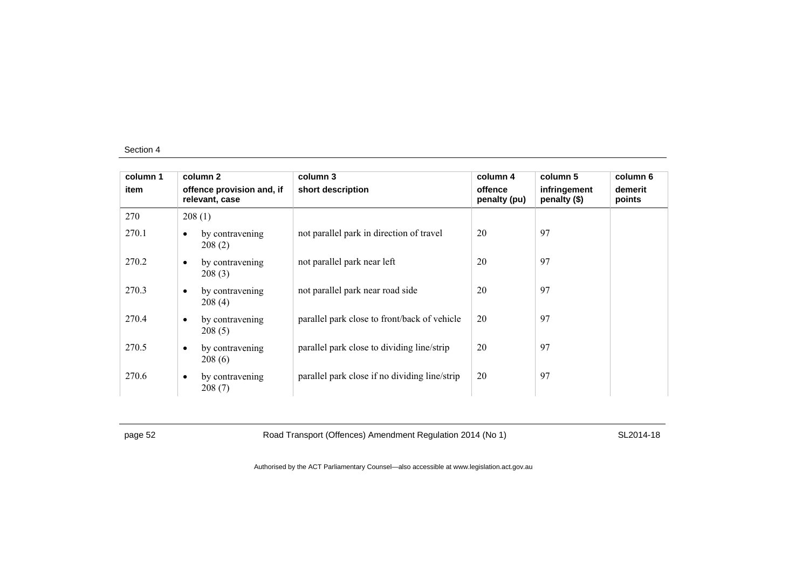| column 1 | column 2                                    | column 3                                      | column 4                | column 5                     | column 6          |
|----------|---------------------------------------------|-----------------------------------------------|-------------------------|------------------------------|-------------------|
| item     | offence provision and, if<br>relevant, case | short description                             | offence<br>penalty (pu) | infringement<br>penalty (\$) | demerit<br>points |
| 270      | 208(1)                                      |                                               |                         |                              |                   |
| 270.1    | by contravening<br>$\bullet$<br>208(2)      | not parallel park in direction of travel      | 20                      | 97                           |                   |
| 270.2    | by contravening<br>$\bullet$<br>208(3)      | not parallel park near left                   | 20                      | 97                           |                   |
| 270.3    | by contravening<br>$\bullet$<br>208(4)      | not parallel park near road side              | 20                      | 97                           |                   |
| 270.4    | by contravening<br>$\bullet$<br>208(5)      | parallel park close to front/back of vehicle  | 20                      | 97                           |                   |
| 270.5    | by contravening<br>$\bullet$<br>208(6)      | parallel park close to dividing line/strip    | 20                      | 97                           |                   |
| 270.6    | by contravening<br>$\bullet$<br>208(7)      | parallel park close if no dividing line/strip | 20                      | 97                           |                   |

page 52 Road Transport (Offences) Amendment Regulation 2014 (No 1) SL2014-18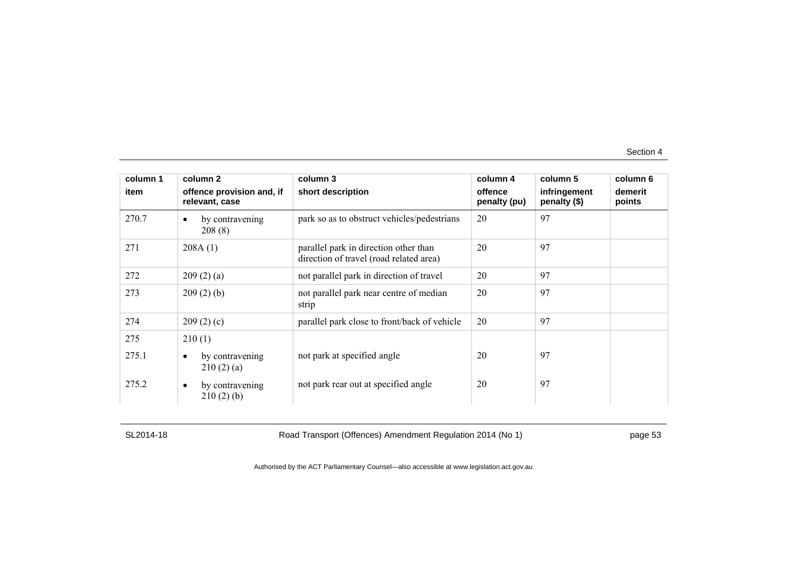| column 1<br>item | column 2<br>offence provision and, if<br>relevant, case | column 3<br>short description                                                    | column 4<br>offence<br>penalty (pu) | column 5<br>infringement<br>penalty (\$) | column 6<br>demerit<br>points |
|------------------|---------------------------------------------------------|----------------------------------------------------------------------------------|-------------------------------------|------------------------------------------|-------------------------------|
| 270.7            | by contravening<br>$\bullet$<br>208 (8)                 | park so as to obstruct vehicles/pedestrians                                      | 20                                  | 97                                       |                               |
| 271              | 208A(1)                                                 | parallel park in direction other than<br>direction of travel (road related area) | 20                                  | 97                                       |                               |
| 272              | 209(2)(a)                                               | not parallel park in direction of travel                                         | 20                                  | 97                                       |                               |
| 273              | 209(2)(b)                                               | not parallel park near centre of median<br>strip                                 | 20                                  | 97                                       |                               |
| 274              | 209(2)(c)                                               | parallel park close to front/back of vehicle                                     | 20                                  | 97                                       |                               |
| 275              | 210(1)                                                  |                                                                                  |                                     |                                          |                               |
| 275.1            | by contravening<br>$\bullet$<br>210(2)(a)               | not park at specified angle                                                      | 20                                  | 97                                       |                               |
| 275.2            | by contravening<br>$\bullet$<br>210(2)(b)               | not park rear out at specified angle                                             | 20                                  | 97                                       |                               |

SL2014-18 Road Transport (Offences) Amendment Regulation 2014 (No 1) page 53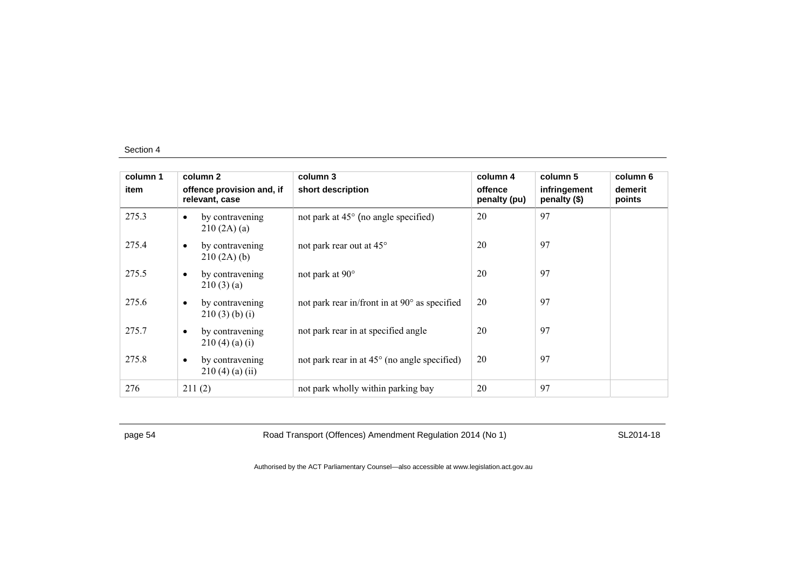| column 1 | column 2                                          | column 3                                              | column 4                | column 5                     | column 6          |
|----------|---------------------------------------------------|-------------------------------------------------------|-------------------------|------------------------------|-------------------|
| item     | offence provision and, if<br>relevant, case       | short description                                     | offence<br>penalty (pu) | infringement<br>penalty (\$) | demerit<br>points |
| 275.3    | by contravening<br>$\bullet$<br>210(2A)(a)        | not park at $45^{\circ}$ (no angle specified)         | 20                      | 97                           |                   |
| 275.4    | by contravening<br>$\bullet$<br>210(2A)(b)        | not park rear out at 45°                              | 20                      | 97                           |                   |
| 275.5    | by contravening<br>$\bullet$<br>210(3)(a)         | not park at $90^\circ$                                | 20                      | 97                           |                   |
| 275.6    | by contravening<br>$\bullet$<br>$210(3)$ (b) (i)  | not park rear in/front in at 90° as specified         | 20                      | 97                           |                   |
| 275.7    | by contravening<br>$\bullet$<br>210(4)(a)(i)      | not park rear in at specified angle                   | 20                      | 97                           |                   |
| 275.8    | by contravening<br>$\bullet$<br>$210(4)$ (a) (ii) | not park rear in at $45^{\circ}$ (no angle specified) | 20                      | 97                           |                   |
| 276      | 211(2)                                            | not park wholly within parking bay                    | 20                      | 97                           |                   |

page 54 Road Transport (Offences) Amendment Regulation 2014 (No 1) SL2014-18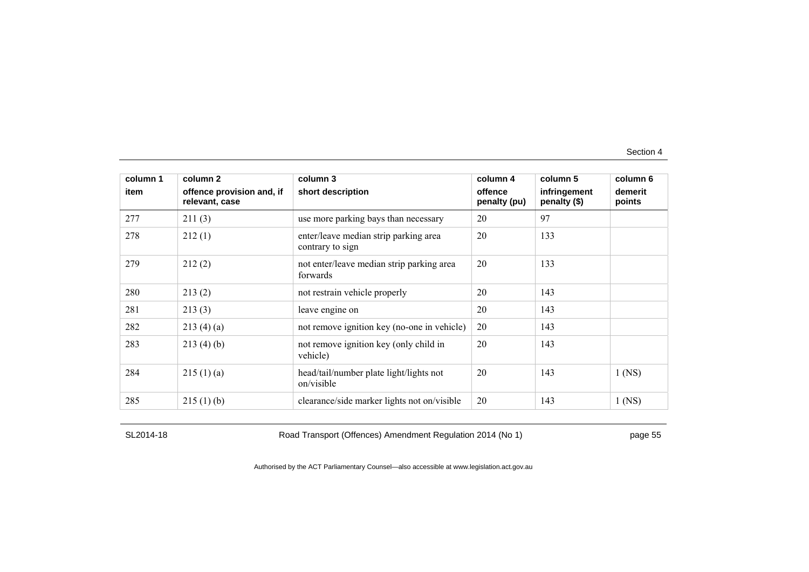| column 1 | column 2                                    | column 3                                                  | column 4                | column 5                     | column 6          |
|----------|---------------------------------------------|-----------------------------------------------------------|-------------------------|------------------------------|-------------------|
| item     | offence provision and, if<br>relevant, case | short description                                         | offence<br>penalty (pu) | infringement<br>penalty (\$) | demerit<br>points |
| 277      | 211(3)                                      | use more parking bays than necessary                      | 20                      | 97                           |                   |
| 278      | 212(1)                                      | enter/leave median strip parking area<br>contrary to sign | 20                      | 133                          |                   |
| 279      | 212(2)                                      | not enter/leave median strip parking area<br>forwards     | 20                      | 133                          |                   |
| 280      | 213(2)                                      | not restrain vehicle properly                             | 20                      | 143                          |                   |
| 281      | 213(3)                                      | leave engine on                                           | 20                      | 143                          |                   |
| 282      | 213(4)(a)                                   | not remove ignition key (no-one in vehicle)               | 20                      | 143                          |                   |
| 283      | 213(4)(b)                                   | not remove ignition key (only child in<br>vehicle)        | 20                      | 143                          |                   |
| 284      | 215(1)(a)                                   | head/tail/number plate light/lights not<br>on/visible     | 20                      | 143                          | $1$ (NS)          |
| 285      | 215(1)(b)                                   | clearance/side marker lights not on/visible               | 20                      | 143                          | $1$ (NS)          |

SL2014-18 Road Transport (Offences) Amendment Regulation 2014 (No 1) page 55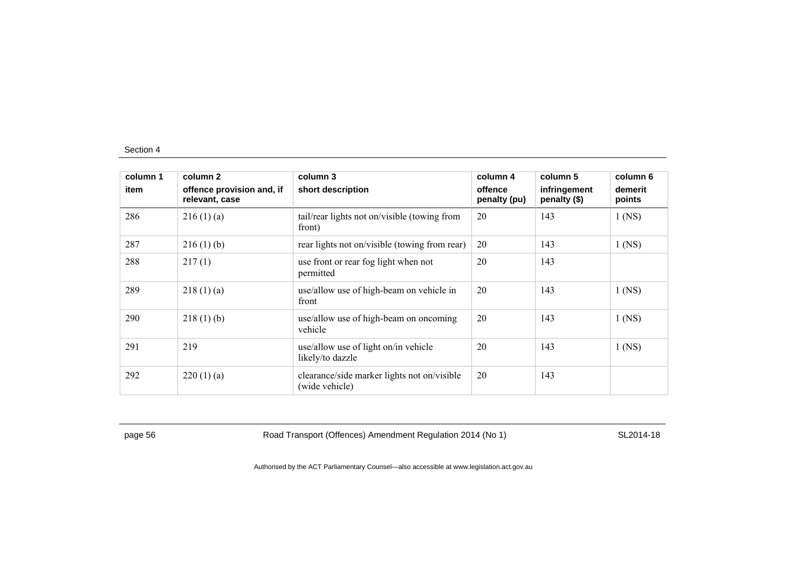| column 1 | column 2                                    | column 3                                                      | column 4                | column 5                     | column 6          |
|----------|---------------------------------------------|---------------------------------------------------------------|-------------------------|------------------------------|-------------------|
| item     | offence provision and, if<br>relevant, case | short description                                             | offence<br>penalty (pu) | infringement<br>penalty (\$) | demerit<br>points |
| 286      | 216(1)(a)                                   | tail/rear lights not on/visible (towing from<br>front)        | 20                      | 143                          | $1$ (NS)          |
| 287      | 216(1)(b)                                   | rear lights not on/visible (towing from rear)                 | 20                      | 143                          | $1$ (NS)          |
| 288      | 217(1)                                      | use front or rear fog light when not<br>permitted             | 20                      | 143                          |                   |
| 289      | 218(1)(a)                                   | use/allow use of high-beam on vehicle in<br>front             | 20                      | 143                          | $1$ (NS)          |
| 290      | 218(1)(b)                                   | use/allow use of high-beam on oncoming<br>vehicle             | 20                      | 143                          | $1$ (NS)          |
| 291      | 219                                         | use/allow use of light on/in vehicle<br>likely/to dazzle      | 20                      | 143                          | $1$ (NS)          |
| 292      | 220(1)(a)                                   | clearance/side marker lights not on/visible<br>(wide vehicle) | 20                      | 143                          |                   |

page 56 Road Transport (Offences) Amendment Regulation 2014 (No 1) SL2014-18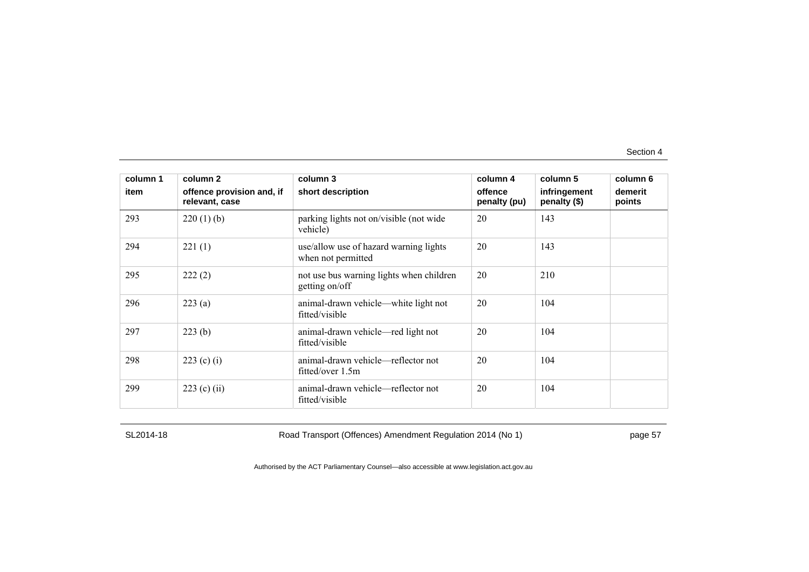| column 1 | column 2                                    | column 3                                                     | column 4                | column 5                     | column 6          |
|----------|---------------------------------------------|--------------------------------------------------------------|-------------------------|------------------------------|-------------------|
| item     | offence provision and, if<br>relevant, case | short description                                            | offence<br>penalty (pu) | infringement<br>penalty (\$) | demerit<br>points |
| 293      | $220(1)$ (b)                                | parking lights not on/visible (not wide<br>vehicle)          | 20                      | 143                          |                   |
| 294      | 221(1)                                      | use/allow use of hazard warning lights<br>when not permitted | 20                      | 143                          |                   |
| 295      | 222(2)                                      | not use bus warning lights when children<br>getting on/off   | 20                      | 210                          |                   |
| 296      | 223(a)                                      | animal-drawn vehicle—white light not<br>fitted/visible       | 20                      | 104                          |                   |
| 297      | 223(b)                                      | animal-drawn vehicle—red light not<br>fitted/visible         | 20                      | 104                          |                   |
| 298      | 223 (c) (i)                                 | animal-drawn vehicle—reflector not<br>fitted/over 1.5m       | 20                      | 104                          |                   |
| 299      | $223$ (c) (ii)                              | animal-drawn vehicle—reflector not<br>fitted/visible         | 20                      | 104                          |                   |

SL2014-18 Road Transport (Offences) Amendment Regulation 2014 (No 1) page 57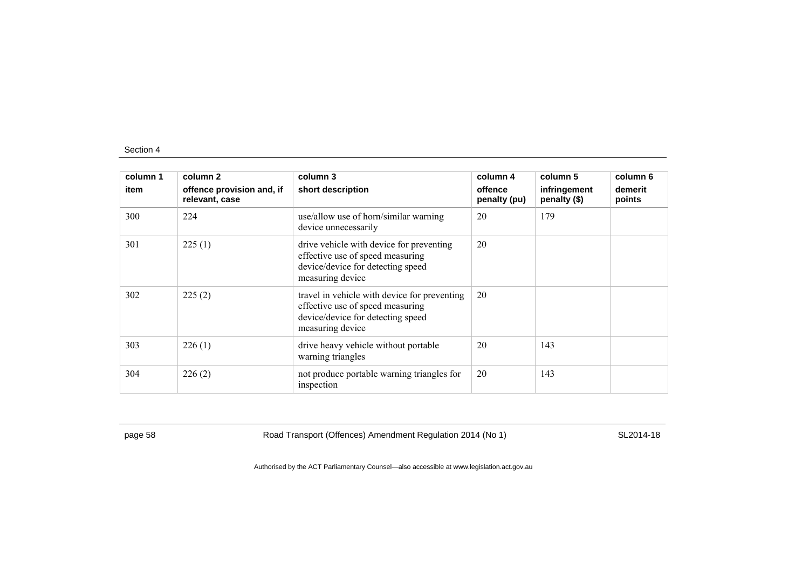| column 1<br>item | column 2<br>offence provision and, if<br>relevant, case | column 3<br>short description                                                                                                             | column 4<br>offence<br>penalty (pu) | column 5<br>infringement<br>penalty (\$) | column 6<br>demerit<br>points |
|------------------|---------------------------------------------------------|-------------------------------------------------------------------------------------------------------------------------------------------|-------------------------------------|------------------------------------------|-------------------------------|
| 300              | 224                                                     | use/allow use of horn/similar warning<br>device unnecessarily                                                                             | 20                                  | 179                                      |                               |
| 301              | 225(1)                                                  | drive vehicle with device for preventing<br>effective use of speed measuring<br>device/device for detecting speed<br>measuring device     | 20                                  |                                          |                               |
| 302              | 225(2)                                                  | travel in vehicle with device for preventing<br>effective use of speed measuring<br>device/device for detecting speed<br>measuring device | 20                                  |                                          |                               |
| 303              | 226(1)                                                  | drive heavy vehicle without portable<br>warning triangles                                                                                 | 20                                  | 143                                      |                               |
| 304              | 226(2)                                                  | not produce portable warning triangles for<br>inspection                                                                                  | 20                                  | 143                                      |                               |

page 58 Road Transport (Offences) Amendment Regulation 2014 (No 1) SL2014-18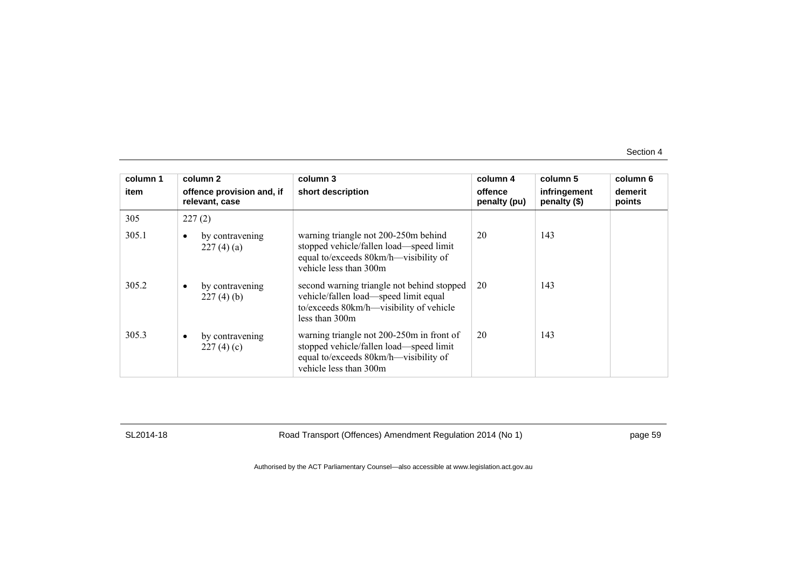| column 1 | column 2                                    | column 3                                                                                                                                                | column 4                | column 5                     | column 6          |
|----------|---------------------------------------------|---------------------------------------------------------------------------------------------------------------------------------------------------------|-------------------------|------------------------------|-------------------|
| item     | offence provision and, if<br>relevant, case | short description                                                                                                                                       | offence<br>penalty (pu) | infringement<br>penalty (\$) | demerit<br>points |
| 305      | 227(2)                                      |                                                                                                                                                         |                         |                              |                   |
| 305.1    | by contravening<br>227(4)(a)                | warning triangle not 200-250m behind<br>stopped vehicle/fallen load—speed limit<br>equal to/exceeds 80km/h—visibility of<br>vehicle less than 300m      | 20                      | 143                          |                   |
| 305.2    | by contravening<br>227(4)(b)                | second warning triangle not behind stopped<br>vehicle/fallen load—speed limit equal<br>to/exceeds 80km/h—visibility of vehicle<br>less than 300m        | 20                      | 143                          |                   |
| 305.3    | by contravening<br>227(4)(c)                | warning triangle not 200-250m in front of<br>stopped vehicle/fallen load—speed limit<br>equal to/exceeds 80km/h—visibility of<br>vehicle less than 300m | 20                      | 143                          |                   |

SL2014-18 Road Transport (Offences) Amendment Regulation 2014 (No 1) page 59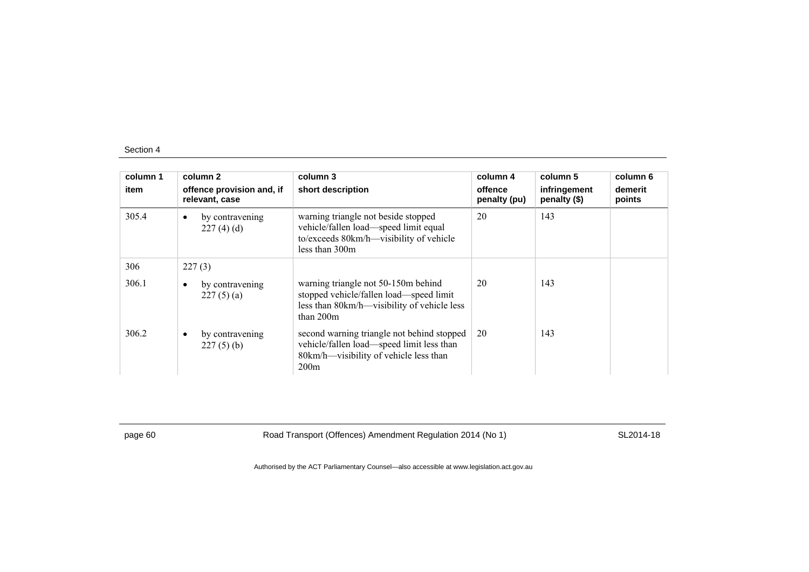| column 1<br>item | column 2<br>offence provision and, if<br>relevant, case | column 3<br>short description                                                                                                                | column 4<br>offence<br>penalty (pu) | column 5<br>infringement<br>penalty (\$) | column 6<br>demerit<br>points |
|------------------|---------------------------------------------------------|----------------------------------------------------------------------------------------------------------------------------------------------|-------------------------------------|------------------------------------------|-------------------------------|
| 305.4            | by contravening<br>$\bullet$<br>227(4)(d)               | warning triangle not beside stopped<br>vehicle/fallen load—speed limit equal<br>to/exceeds 80km/h—visibility of vehicle<br>less than 300m    | 20                                  | 143                                      |                               |
| 306              | 227(3)                                                  |                                                                                                                                              |                                     |                                          |                               |
| 306.1            | by contravening<br>$\bullet$<br>227(5)(a)               | warning triangle not 50-150m behind<br>stopped vehicle/fallen load—speed limit<br>less than 80km/h—visibility of vehicle less<br>than $200m$ | 20                                  | 143                                      |                               |
| 306.2            | by contravening<br>$\bullet$<br>$227(5)$ (b)            | second warning triangle not behind stopped<br>vehicle/fallen load—speed limit less than<br>80km/h—visibility of vehicle less than<br>200m    | 20                                  | 143                                      |                               |

page 60 Road Transport (Offences) Amendment Regulation 2014 (No 1) SL2014-18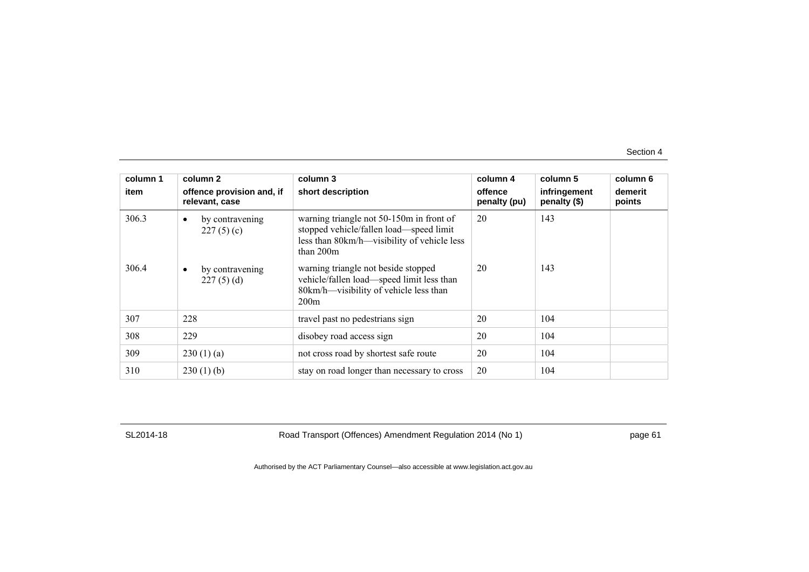| column 1       | column 2                                                                  | column 3                                                                                                                                                                                 | column 4                | column 5                     | column 6          |
|----------------|---------------------------------------------------------------------------|------------------------------------------------------------------------------------------------------------------------------------------------------------------------------------------|-------------------------|------------------------------|-------------------|
| item           | offence provision and, if<br>relevant, case                               | short description                                                                                                                                                                        | offence<br>penalty (pu) | infringement<br>penalty (\$) | demerit<br>points |
| 306.3<br>306.4 | by contravening<br>$\bullet$<br>227(5)(c)<br>by contravening<br>$\bullet$ | warning triangle not 50-150m in front of<br>stopped vehicle/fallen load—speed limit<br>less than 80km/h—visibility of vehicle less<br>than $200m$<br>warning triangle not beside stopped | 20<br>20                | 143<br>143                   |                   |
|                | 227(5)(d)                                                                 | vehicle/fallen load—speed limit less than<br>80km/h—visibility of vehicle less than<br>200m                                                                                              |                         |                              |                   |
| 307            | 228                                                                       | travel past no pedestrians sign                                                                                                                                                          | 20                      | 104                          |                   |
| 308            | 229                                                                       | disobey road access sign                                                                                                                                                                 | 20                      | 104                          |                   |
| 309            | 230(1)(a)                                                                 | not cross road by shortest safe route                                                                                                                                                    | 20                      | 104                          |                   |
| 310            | 230(1)(b)                                                                 | stay on road longer than necessary to cross                                                                                                                                              | 20                      | 104                          |                   |

SL2014-18 Road Transport (Offences) Amendment Regulation 2014 (No 1) page 61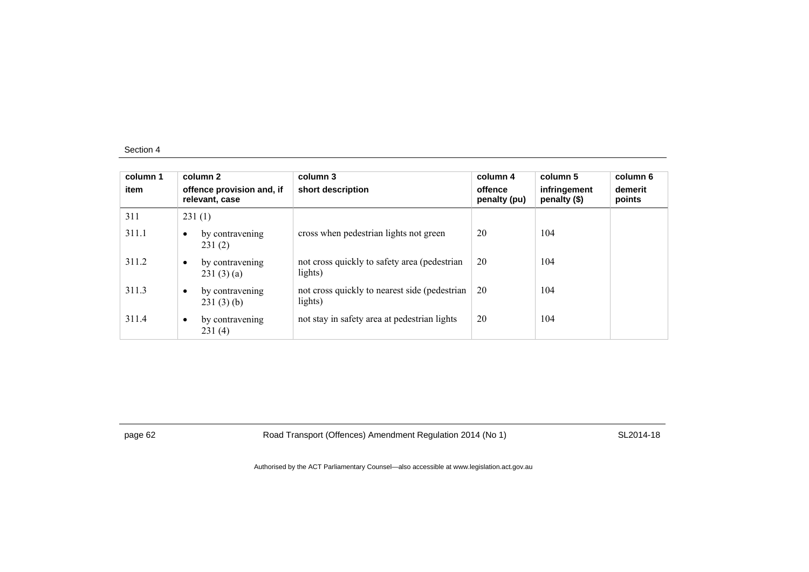| column 1<br>item |           | column 2<br>offence provision and, if<br>relevant, case | column 3<br>short description                             | column 4<br>offence<br>penalty (pu) | column 5<br>infringement<br>penalty (\$) | column 6<br>demerit<br>points |
|------------------|-----------|---------------------------------------------------------|-----------------------------------------------------------|-------------------------------------|------------------------------------------|-------------------------------|
| 311              |           | 231(1)                                                  |                                                           |                                     |                                          |                               |
| 311.1            | $\bullet$ | by contravening<br>231(2)                               | cross when pedestrian lights not green                    | 20                                  | 104                                      |                               |
| 311.2            | $\bullet$ | by contravening<br>231(3)(a)                            | not cross quickly to safety area (pedestrian<br>lights)   | 20                                  | 104                                      |                               |
| 311.3            | $\bullet$ | by contravening<br>231(3)(b)                            | not cross quickly to nearest side (pedestrian)<br>lights) | 20                                  | 104                                      |                               |
| 311.4            | $\bullet$ | by contravening<br>231(4)                               | not stay in safety area at pedestrian lights              | 20                                  | 104                                      |                               |

page 62 Road Transport (Offences) Amendment Regulation 2014 (No 1) SL2014-18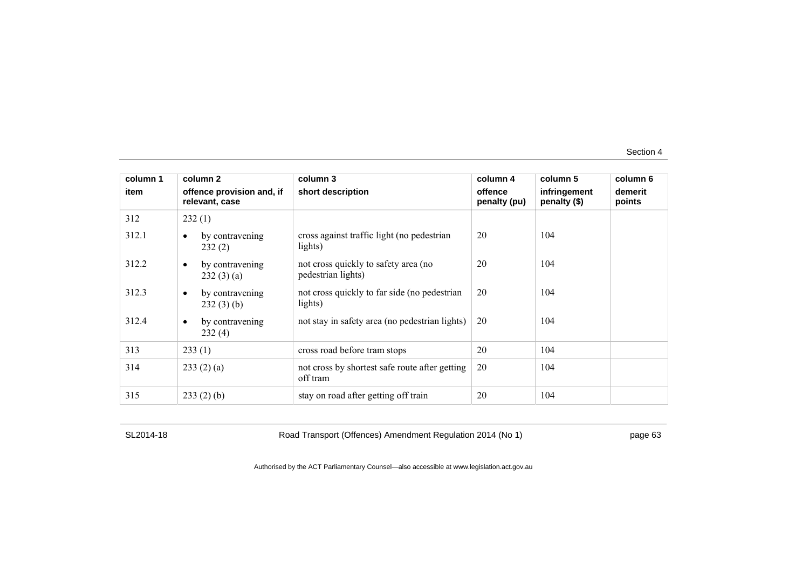| column 1 | column 2                                    | column 3                                                   | column 4                | column 5                     | column 6          |
|----------|---------------------------------------------|------------------------------------------------------------|-------------------------|------------------------------|-------------------|
| item     | offence provision and, if<br>relevant, case | short description                                          | offence<br>penalty (pu) | infringement<br>penalty (\$) | demerit<br>points |
| 312      | 232(1)                                      |                                                            |                         |                              |                   |
| 312.1    | by contravening<br>$\bullet$<br>232(2)      | cross against traffic light (no pedestrian<br>lights)      | 20                      | 104                          |                   |
| 312.2    | by contravening<br>$\bullet$<br>232(3)(a)   | not cross quickly to safety area (no<br>pedestrian lights) | 20                      | 104                          |                   |
| 312.3    | by contravening<br>$\bullet$<br>232(3)(b)   | not cross quickly to far side (no pedestrian<br>lights)    | 20                      | 104                          |                   |
| 312.4    | by contravening<br>$\bullet$<br>232(4)      | not stay in safety area (no pedestrian lights)             | 20                      | 104                          |                   |
| 313      | 233(1)                                      | cross road before tram stops                               | 20                      | 104                          |                   |
| 314      | 233(2)(a)                                   | not cross by shortest safe route after getting<br>off tram | 20                      | 104                          |                   |
| 315      | 233(2)(b)                                   | stay on road after getting off train                       | 20                      | 104                          |                   |

SL2014-18 Road Transport (Offences) Amendment Regulation 2014 (No 1) page 63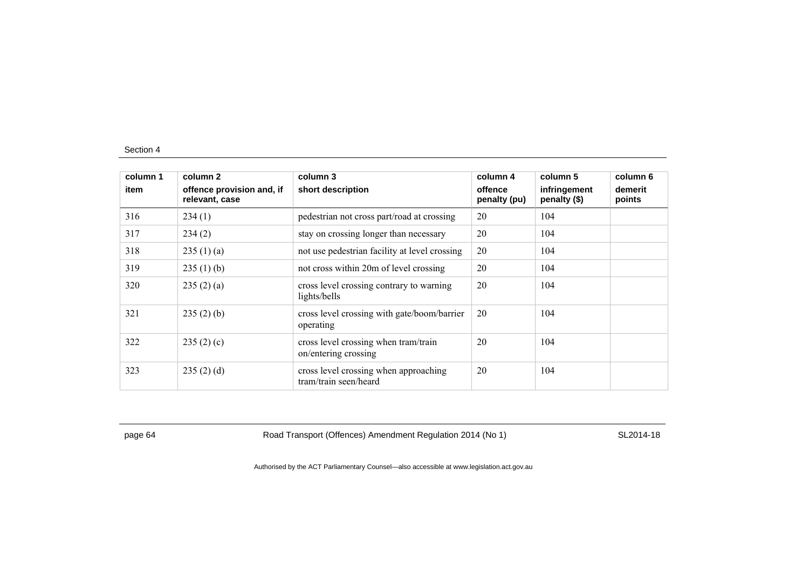| column 1 | column 2                                    | column 3                                                       | column 4                | column 5                     | column 6          |
|----------|---------------------------------------------|----------------------------------------------------------------|-------------------------|------------------------------|-------------------|
| item     | offence provision and, if<br>relevant, case | short description                                              | offence<br>penalty (pu) | infringement<br>penalty (\$) | demerit<br>points |
| 316      | 234(1)                                      | pedestrian not cross part/road at crossing                     | 20                      | 104                          |                   |
| 317      | 234(2)                                      | stay on crossing longer than necessary                         | 20                      | 104                          |                   |
| 318      | 235(1)(a)                                   | not use pedestrian facility at level crossing                  | 20                      | 104                          |                   |
| 319      | 235(1)(b)                                   | not cross within 20m of level crossing                         | 20                      | 104                          |                   |
| 320      | 235(2)(a)                                   | cross level crossing contrary to warning<br>lights/bells       | 20                      | 104                          |                   |
| 321      | 235(2)(b)                                   | cross level crossing with gate/boom/barrier<br>operating       | 20                      | 104                          |                   |
| 322      | 235(2)(c)                                   | cross level crossing when tram/train<br>on/entering crossing   | 20                      | 104                          |                   |
| 323      | 235(2)(d)                                   | cross level crossing when approaching<br>tram/train seen/heard | 20                      | 104                          |                   |

page 64 Road Transport (Offences) Amendment Regulation 2014 (No 1) SL2014-18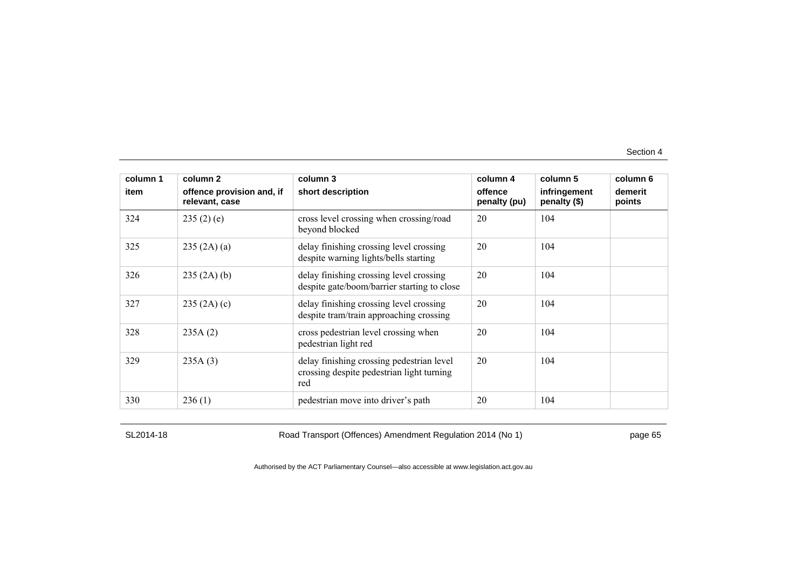| column 1 | column 2                                    | column 3                                                                                      | column 4                | column 5                     | column 6          |
|----------|---------------------------------------------|-----------------------------------------------------------------------------------------------|-------------------------|------------------------------|-------------------|
| item     | offence provision and, if<br>relevant, case | short description                                                                             | offence<br>penalty (pu) | infringement<br>penalty (\$) | demerit<br>points |
| 324      | 235(2)(e)                                   | cross level crossing when crossing/road<br>beyond blocked                                     | 20                      | 104                          |                   |
| 325      | 235 (2A) (a)                                | delay finishing crossing level crossing<br>despite warning lights/bells starting              | 20                      | 104                          |                   |
| 326      | 235(2A)(b)                                  | delay finishing crossing level crossing<br>despite gate/boom/barrier starting to close        | 20                      | 104                          |                   |
| 327      | 235(2A)(c)                                  | delay finishing crossing level crossing<br>despite tram/train approaching crossing            | 20                      | 104                          |                   |
| 328      | 235A(2)                                     | cross pedestrian level crossing when<br>pedestrian light red                                  | 20                      | 104                          |                   |
| 329      | 235A(3)                                     | delay finishing crossing pedestrian level<br>crossing despite pedestrian light turning<br>red | 20                      | 104                          |                   |
| 330      | 236(1)                                      | pedestrian move into driver's path                                                            | 20                      | 104                          |                   |

SL2014-18 Road Transport (Offences) Amendment Regulation 2014 (No 1) page 65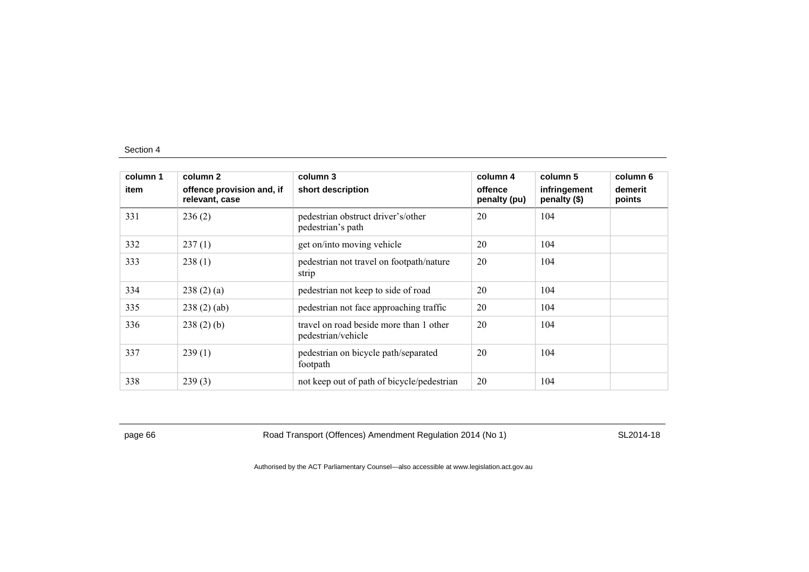| column 1 | column 2                                    | column 3                                                      | column 4                | column 5                     | column 6          |
|----------|---------------------------------------------|---------------------------------------------------------------|-------------------------|------------------------------|-------------------|
| item     | offence provision and, if<br>relevant, case | short description                                             | offence<br>penalty (pu) | infringement<br>penalty (\$) | demerit<br>points |
| 331      | 236(2)                                      | pedestrian obstruct driver's/other<br>pedestrian's path       | 20                      | 104                          |                   |
| 332      | 237(1)                                      | get on/into moving vehicle                                    | 20                      | 104                          |                   |
| 333      | 238(1)                                      | pedestrian not travel on footpath/nature<br>strip             | 20                      | 104                          |                   |
| 334      | 238(2)(a)                                   | pedestrian not keep to side of road                           | 20                      | 104                          |                   |
| 335      | 238(2)(ab)                                  | pedestrian not face approaching traffic                       | 20                      | 104                          |                   |
| 336      | $238(2)$ (b)                                | travel on road beside more than 1 other<br>pedestrian/vehicle | 20                      | 104                          |                   |
| 337      | 239(1)                                      | pedestrian on bicycle path/separated<br>footpath              | 20                      | 104                          |                   |
| 338      | 239(3)                                      | not keep out of path of bicycle/pedestrian                    | 20                      | 104                          |                   |

page 66 Road Transport (Offences) Amendment Regulation 2014 (No 1) SL2014-18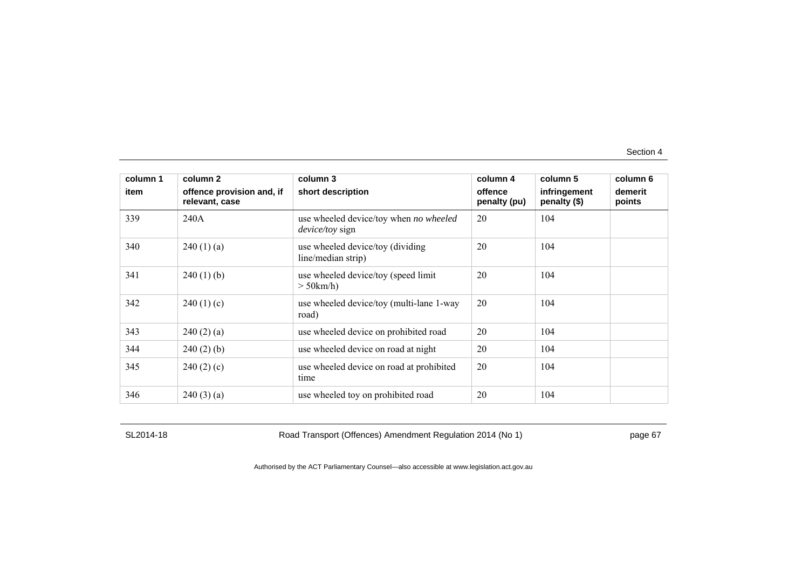| column 1<br>item | column 2<br>offence provision and, if | column 3<br>short description                                    | column 4<br>offence | column 5<br>infringement<br>penalty (\$) | column 6<br>demerit |
|------------------|---------------------------------------|------------------------------------------------------------------|---------------------|------------------------------------------|---------------------|
| 339              | relevant, case<br>240A                | use wheeled device/toy when no wheeled<br><i>device/toy</i> sign | penalty (pu)<br>20  | 104                                      | points              |
| 340              | 240(1)(a)                             | use wheeled device/toy (dividing<br>line/median strip)           | 20                  | 104                                      |                     |
| 341              | $240(1)$ (b)                          | use wheeled device/toy (speed limit<br>$>$ 50 km/h)              | 20                  | 104                                      |                     |
| 342              | 240(1)(c)                             | use wheeled device/toy (multi-lane 1-way<br>road)                | 20                  | 104                                      |                     |
| 343              | 240(2)(a)                             | use wheeled device on prohibited road                            | 20                  | 104                                      |                     |
| 344              | $240(2)$ (b)                          | use wheeled device on road at night                              | 20                  | 104                                      |                     |
| 345              | 240(2)(c)                             | use wheeled device on road at prohibited<br>time                 | 20                  | 104                                      |                     |
| 346              | 240(3)(a)                             | use wheeled toy on prohibited road                               | 20                  | 104                                      |                     |

SL2014-18 Road Transport (Offences) Amendment Regulation 2014 (No 1) page 67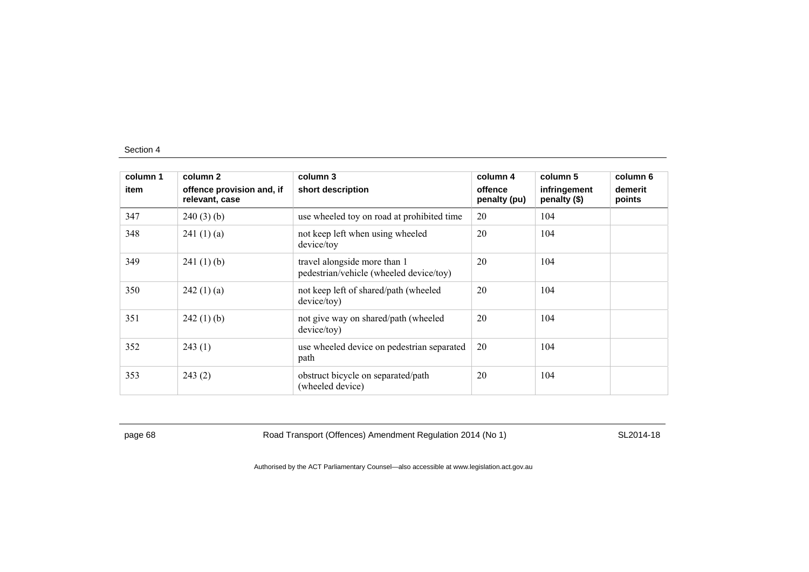| column 1 | column 2                                    | column 3                                                                | column 4                | column 5                     | column 6          |
|----------|---------------------------------------------|-------------------------------------------------------------------------|-------------------------|------------------------------|-------------------|
| item     | offence provision and, if<br>relevant, case | short description                                                       | offence<br>penalty (pu) | infringement<br>penalty (\$) | demerit<br>points |
| 347      | 240(3)(b)                                   | use wheeled toy on road at prohibited time                              | 20                      | 104                          |                   |
| 348      | 241(1)(a)                                   | not keep left when using wheeled<br>device/toy                          | 20                      | 104                          |                   |
| 349      | 241(1)(b)                                   | travel alongside more than 1<br>pedestrian/vehicle (wheeled device/toy) | 20                      | 104                          |                   |
| 350      | 242(1)(a)                                   | not keep left of shared/path (wheeled<br>device/toy)                    | 20                      | 104                          |                   |
| 351      | $242(1)$ (b)                                | not give way on shared/path (wheeled<br>device/toy)                     | 20                      | 104                          |                   |
| 352      | 243(1)                                      | use wheeled device on pedestrian separated<br>path                      | 20                      | 104                          |                   |
| 353      | 243(2)                                      | obstruct bicycle on separated/path<br>(wheeled device)                  | 20                      | 104                          |                   |

page 68 Road Transport (Offences) Amendment Regulation 2014 (No 1) SL2014-18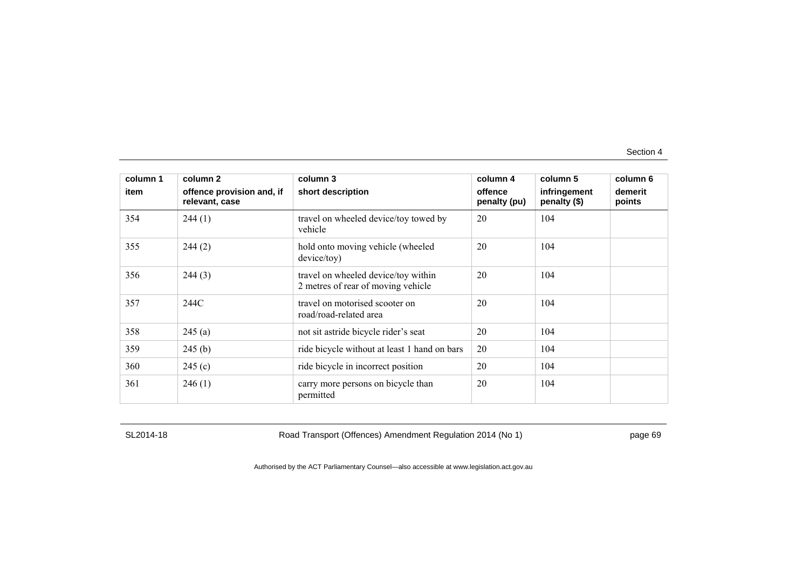| column 1 | column 2                                    | column 3                                                                  | column 4                | column 5                     | column 6          |
|----------|---------------------------------------------|---------------------------------------------------------------------------|-------------------------|------------------------------|-------------------|
| item     | offence provision and, if<br>relevant, case | short description                                                         | offence<br>penalty (pu) | infringement<br>penalty (\$) | demerit<br>points |
| 354      | 244(1)                                      | travel on wheeled device/toy towed by<br>vehicle                          | 20                      | 104                          |                   |
| 355      | 244(2)                                      | hold onto moving vehicle (wheeled<br>device/toy)                          | 20                      | 104                          |                   |
| 356      | 244(3)                                      | travel on wheeled device/toy within<br>2 metres of rear of moving vehicle | 20                      | 104                          |                   |
| 357      | 244C                                        | travel on motorised scooter on<br>road/road-related area                  | 20                      | 104                          |                   |
| 358      | 245(a)                                      | not sit astride bicycle rider's seat                                      | 20                      | 104                          |                   |
| 359      | 245(b)                                      | ride bicycle without at least 1 hand on bars                              | 20                      | 104                          |                   |
| 360      | 245(c)                                      | ride bicycle in incorrect position                                        | 20                      | 104                          |                   |
| 361      | 246(1)                                      | carry more persons on bicycle than<br>permitted                           | 20                      | 104                          |                   |

SL2014-18 Road Transport (Offences) Amendment Regulation 2014 (No 1) page 69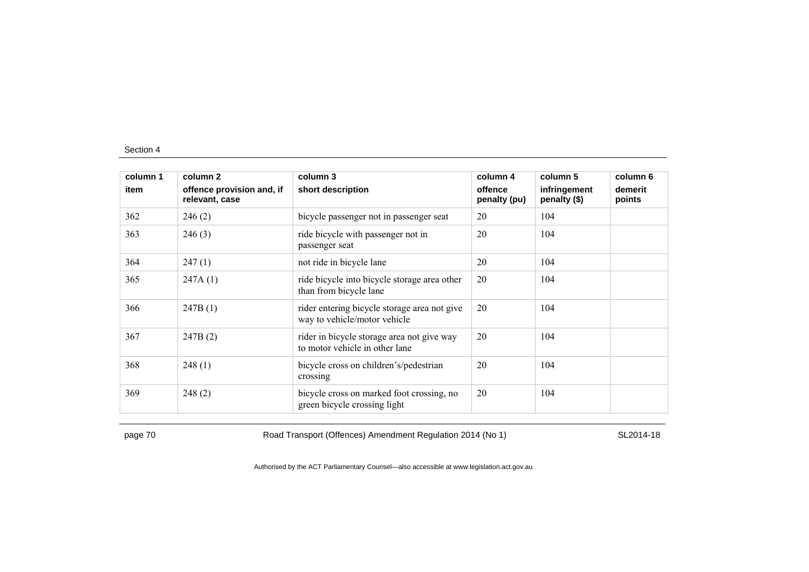| column 1 | column 2                                    | column 3                                                                     | column 4                | column 5                     | column 6          |
|----------|---------------------------------------------|------------------------------------------------------------------------------|-------------------------|------------------------------|-------------------|
| item     | offence provision and, if<br>relevant, case | short description                                                            | offence<br>penalty (pu) | infringement<br>penalty (\$) | demerit<br>points |
| 362      | 246(2)                                      | bicycle passenger not in passenger seat                                      | 20                      | 104                          |                   |
| 363      | 246(3)                                      | ride bicycle with passenger not in<br>passenger seat                         | 20                      | 104                          |                   |
| 364      | 247(1)                                      | not ride in bicycle lane                                                     | 20                      | 104                          |                   |
| 365      | 247A(1)                                     | ride bicycle into bicycle storage area other<br>than from bicycle lane       | 20                      | 104                          |                   |
| 366      | 247B(1)                                     | rider entering bicycle storage area not give<br>way to vehicle/motor vehicle | 20                      | 104                          |                   |
| 367      | 247B(2)                                     | rider in bicycle storage area not give way<br>to motor vehicle in other lane | 20                      | 104                          |                   |
| 368      | 248(1)                                      | bicycle cross on children's/pedestrian<br>crossing                           | 20                      | 104                          |                   |
| 369      | 248(2)                                      | bicycle cross on marked foot crossing, no<br>green bicycle crossing light    | 20                      | 104                          |                   |

page 70 SL2014-18 Road Transport (Offences) Amendment Regulation 2014 (No 1)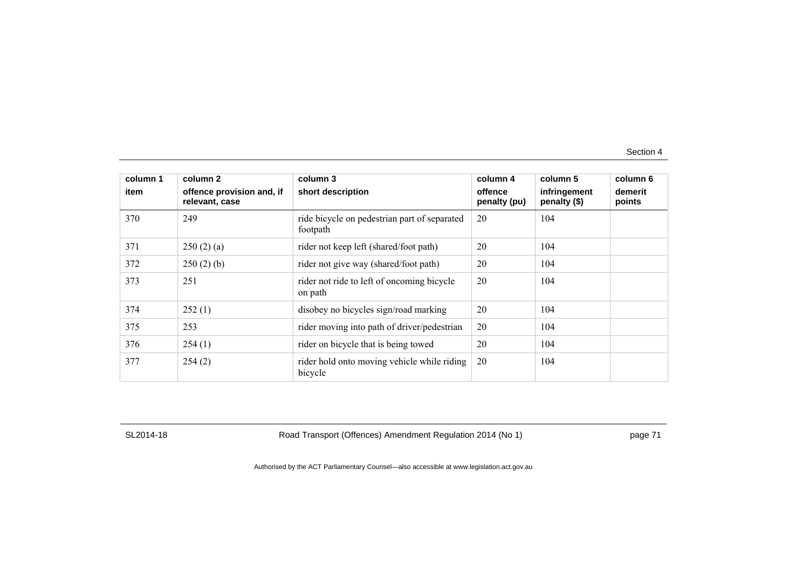| column 1 | column 2                                    | column 3                                                 | column 4                | column 5                     | column 6          |
|----------|---------------------------------------------|----------------------------------------------------------|-------------------------|------------------------------|-------------------|
| item     | offence provision and, if<br>relevant, case | short description                                        | offence<br>penalty (pu) | infringement<br>penalty (\$) | demerit<br>points |
| 370      | 249                                         | ride bicycle on pedestrian part of separated<br>footpath | 20                      | 104                          |                   |
| 371      | 250(2)(a)                                   | rider not keep left (shared/foot path)                   | 20                      | 104                          |                   |
| 372      | 250(2)(b)                                   | rider not give way (shared/foot path)                    | 20                      | 104                          |                   |
| 373      | 251                                         | rider not ride to left of oncoming bicycle<br>on path    | 20                      | 104                          |                   |
| 374      | 252(1)                                      | disobey no bicycles sign/road marking                    | 20                      | 104                          |                   |
| 375      | 253                                         | rider moving into path of driver/pedestrian              | 20                      | 104                          |                   |
| 376      | 254(1)                                      | rider on bicycle that is being towed                     | 20                      | 104                          |                   |
| 377      | 254(2)                                      | rider hold onto moving vehicle while riding<br>bicycle   | 20                      | 104                          |                   |

SL2014-18 Road Transport (Offences) Amendment Regulation 2014 (No 1) page 71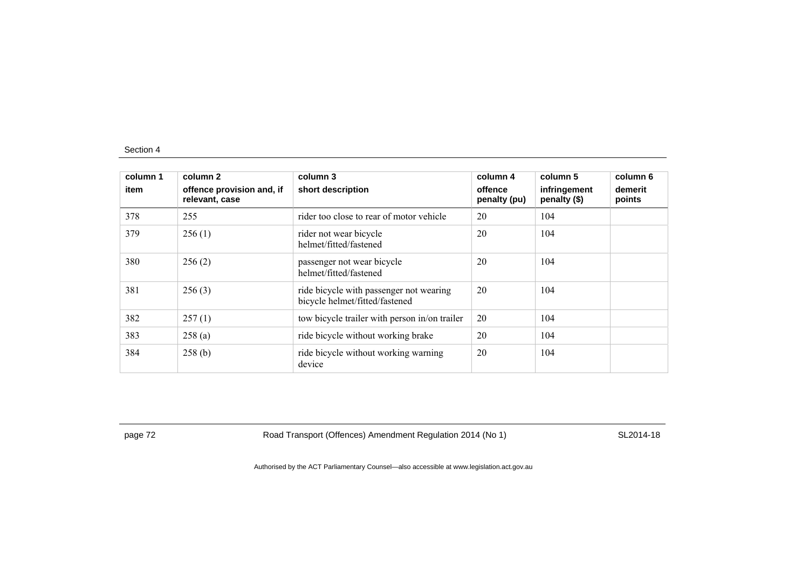| column 1<br>item | column 2<br>offence provision and, if<br>relevant, case | column 3<br>short description                                             | column 4<br>offence<br>penalty (pu) | column 5<br>infringement<br>penalty (\$) | column 6<br>demerit<br>points |
|------------------|---------------------------------------------------------|---------------------------------------------------------------------------|-------------------------------------|------------------------------------------|-------------------------------|
| 378              | 255                                                     | rider too close to rear of motor vehicle                                  | 20                                  | 104                                      |                               |
| 379              | 256(1)                                                  | rider not wear bicycle<br>helmet/fitted/fastened                          | 20                                  | 104                                      |                               |
| 380              | 256(2)                                                  | passenger not wear bicycle<br>helmet/fitted/fastened                      | 20                                  | 104                                      |                               |
| 381              | 256(3)                                                  | ride bicycle with passenger not wearing<br>bicycle helmet/fitted/fastened | 20                                  | 104                                      |                               |
| 382              | 257(1)                                                  | tow bicycle trailer with person in/on trailer                             | 20                                  | 104                                      |                               |
| 383              | 258(a)                                                  | ride bicycle without working brake                                        | 20                                  | 104                                      |                               |
| 384              | 258(b)                                                  | ride bicycle without working warning<br>device                            | 20                                  | 104                                      |                               |

page 72 **Road Transport (Offences) Amendment Regulation 2014 (No 1)** SL2014-18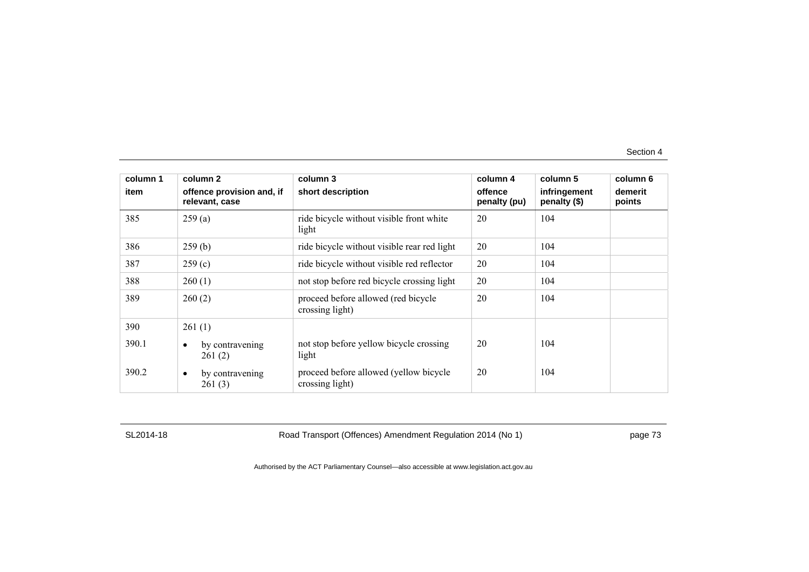| column 1 | column 2                                    | column 3                                                  | column 4                | column 5                     | column 6          |
|----------|---------------------------------------------|-----------------------------------------------------------|-------------------------|------------------------------|-------------------|
| item     | offence provision and, if<br>relevant, case | short description                                         | offence<br>penalty (pu) | infringement<br>penalty (\$) | demerit<br>points |
| 385      | 259(a)                                      | ride bicycle without visible front white<br>light         | 20                      | 104                          |                   |
| 386      | 259(b)                                      | ride bicycle without visible rear red light               | 20                      | 104                          |                   |
| 387      | 259(c)                                      | ride bicycle without visible red reflector                | 20                      | 104                          |                   |
| 388      | 260(1)                                      | not stop before red bicycle crossing light                | 20                      | 104                          |                   |
| 389      | 260(2)                                      | proceed before allowed (red bicycle<br>crossing light)    | 20                      | 104                          |                   |
| 390      | 261(1)                                      |                                                           |                         |                              |                   |
| 390.1    | by contravening<br>$\bullet$<br>261(2)      | not stop before yellow bicycle crossing<br>light          | 20                      | 104                          |                   |
| 390.2    | by contravening<br>$\bullet$<br>261(3)      | proceed before allowed (yellow bicycle<br>crossing light) | 20                      | 104                          |                   |

SL2014-18 Road Transport (Offences) Amendment Regulation 2014 (No 1) page 73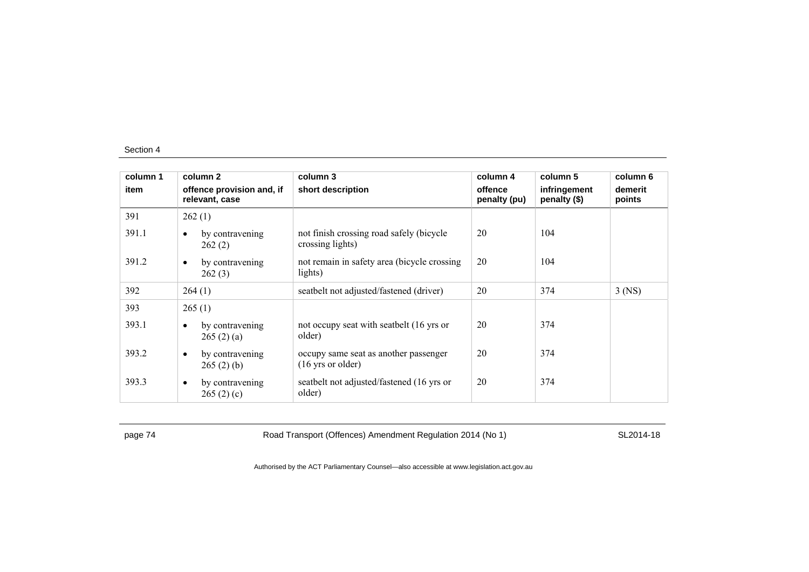| column 1 | column 2                                    | column 3                                                             | column 4                | column 5                     | column 6          |
|----------|---------------------------------------------|----------------------------------------------------------------------|-------------------------|------------------------------|-------------------|
| item     | offence provision and, if<br>relevant, case | short description                                                    | offence<br>penalty (pu) | infringement<br>penalty (\$) | demerit<br>points |
| 391      | 262(1)                                      |                                                                      |                         |                              |                   |
| 391.1    | by contravening<br>$\bullet$<br>262(2)      | not finish crossing road safely (bicycle<br>crossing lights)         | 20                      | 104                          |                   |
| 391.2    | by contravening<br>$\bullet$<br>262(3)      | not remain in safety area (bicycle crossing)<br>lights)              | 20                      | 104                          |                   |
| 392      | 264(1)                                      | seatbelt not adjusted/fastened (driver)                              | 20                      | 374                          | $3$ (NS)          |
| 393      | 265(1)                                      |                                                                      |                         |                              |                   |
| 393.1    | by contravening<br>$\bullet$<br>265(2)(a)   | not occupy seat with seatbelt (16 yrs or<br>older)                   | 20                      | 374                          |                   |
| 393.2    | by contravening<br>$\bullet$<br>265(2)(b)   | occupy same seat as another passenger<br>$(16 \text{ yrs or older})$ | 20                      | 374                          |                   |
| 393.3    | by contravening<br>$\bullet$<br>265(2)(c)   | seatbelt not adjusted/fastened (16 yrs or<br>older)                  | 20                      | 374                          |                   |

page 74 Road Transport (Offences) Amendment Regulation 2014 (No 1) SL2014-18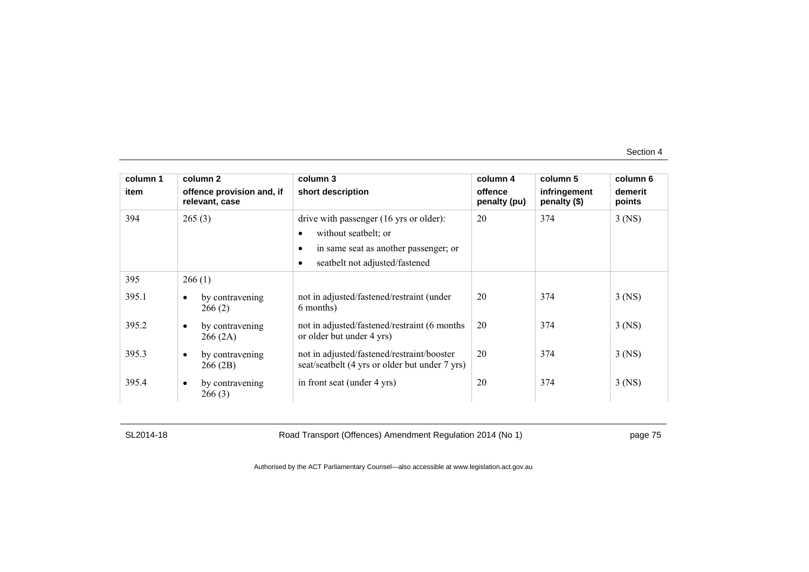| column 1 | column 2                                    | column 3                                                                                                                                                | column 4                | column 5                     | column 6          |
|----------|---------------------------------------------|---------------------------------------------------------------------------------------------------------------------------------------------------------|-------------------------|------------------------------|-------------------|
| item     | offence provision and, if<br>relevant, case | short description                                                                                                                                       | offence<br>penalty (pu) | infringement<br>penalty (\$) | demerit<br>points |
| 394      | 265(3)                                      | drive with passenger (16 yrs or older):<br>without seatbelt; or<br>in same seat as another passenger; or<br>seatbelt not adjusted/fastened<br>$\bullet$ | 20                      | 374                          | $3$ (NS)          |
| 395      | 266(1)                                      |                                                                                                                                                         |                         |                              |                   |
| 395.1    | by contravening<br>$\bullet$<br>266(2)      | not in adjusted/fastened/restraint (under<br>6 months)                                                                                                  | 20                      | 374                          | $3$ (NS)          |
| 395.2    | by contravening<br>$\bullet$<br>266(2A)     | not in adjusted/fastened/restraint (6 months)<br>or older but under 4 yrs)                                                                              | 20                      | 374                          | $3$ (NS)          |
| 395.3    | by contravening<br>$\bullet$<br>266 (2B)    | not in adjusted/fastened/restraint/booster<br>seat/seatbelt (4 yrs or older but under 7 yrs)                                                            | 20                      | 374                          | $3$ (NS)          |
| 395.4    | by contravening<br>$\bullet$<br>266(3)      | in front seat (under 4 yrs)                                                                                                                             | 20                      | 374                          | $3$ (NS)          |

SL2014-18 Road Transport (Offences) Amendment Regulation 2014 (No 1) page 75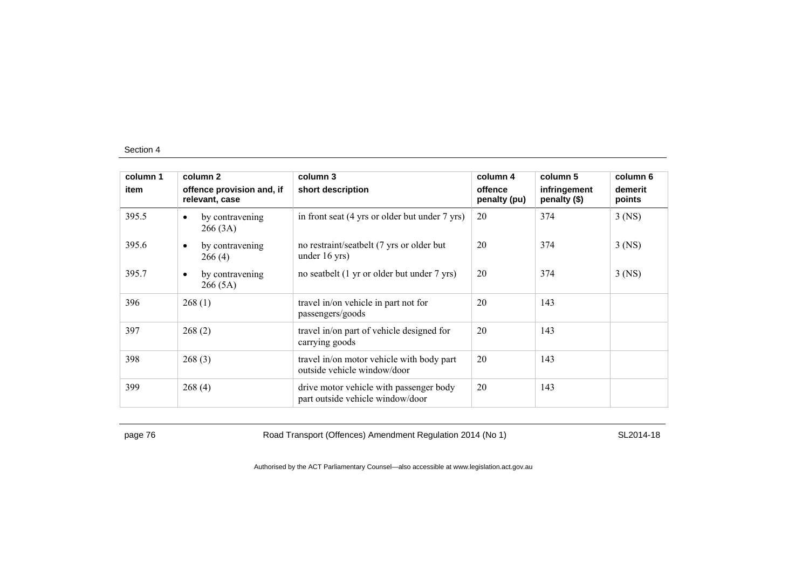| column 1 | column 2                                    | column 3                                                                    | column 4                | column 5                     | column 6          |
|----------|---------------------------------------------|-----------------------------------------------------------------------------|-------------------------|------------------------------|-------------------|
| item     | offence provision and, if<br>relevant, case | short description                                                           | offence<br>penalty (pu) | infringement<br>penalty (\$) | demerit<br>points |
| 395.5    | by contravening<br>$\bullet$<br>266(3A)     | in front seat (4 yrs or older but under 7 yrs)                              | 20                      | 374                          | $3$ (NS)          |
| 395.6    | by contravening<br>$\bullet$<br>266(4)      | no restraint/seatbelt (7 yrs or older but)<br>under $16$ yrs)               | 20                      | 374                          | $3$ (NS)          |
| 395.7    | by contravening<br>$\bullet$<br>266 (5A)    | no seatbelt (1 yr or older but under 7 yrs)                                 | 20                      | 374                          | $3$ (NS)          |
| 396      | 268(1)                                      | travel in/on vehicle in part not for<br>passengers/goods                    | 20                      | 143                          |                   |
| 397      | 268(2)                                      | travel in/on part of vehicle designed for<br>carrying goods                 | 20                      | 143                          |                   |
| 398      | 268(3)                                      | travel in/on motor vehicle with body part<br>outside vehicle window/door    | 20                      | 143                          |                   |
| 399      | 268(4)                                      | drive motor vehicle with passenger body<br>part outside vehicle window/door | 20                      | 143                          |                   |

page 76 **Road Transport (Offences) Amendment Regulation 2014 (No 1)** SL2014-18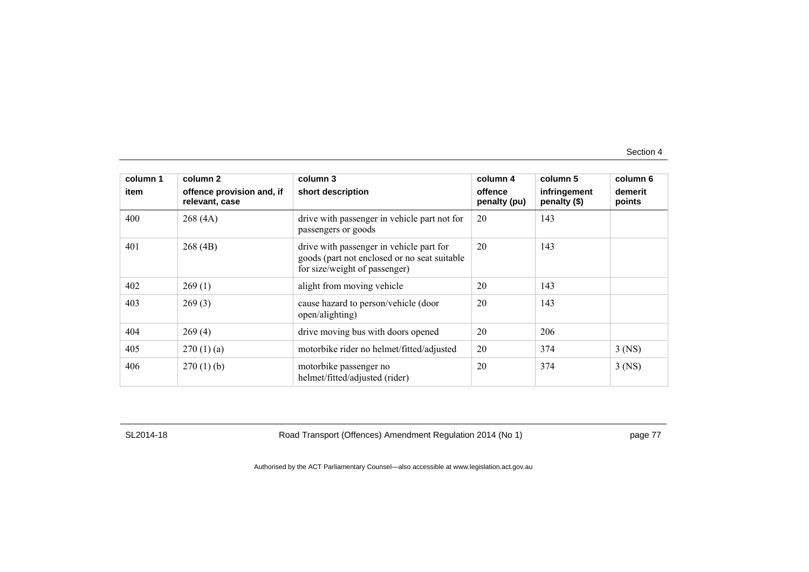| column 1 | column 2                                    | column 3                                                                                                                   | column 4                | column 5                     | column 6          |
|----------|---------------------------------------------|----------------------------------------------------------------------------------------------------------------------------|-------------------------|------------------------------|-------------------|
| item     | offence provision and, if<br>relevant, case | short description                                                                                                          | offence<br>penalty (pu) | infringement<br>penalty (\$) | demerit<br>points |
| 400      | 268(4A)                                     | drive with passenger in vehicle part not for<br>passengers or goods                                                        | 20                      | 143                          |                   |
| 401      | 268(4B)                                     | drive with passenger in vehicle part for<br>goods (part not enclosed or no seat suitable)<br>for size/weight of passenger) | 20                      | 143                          |                   |
| 402      | 269(1)                                      | alight from moving vehicle                                                                                                 | 20                      | 143                          |                   |
| 403      | 269(3)                                      | cause hazard to person/vehicle (door<br>open/alighting)                                                                    | 20                      | 143                          |                   |
| 404      | 269(4)                                      | drive moving bus with doors opened                                                                                         | 20                      | 206                          |                   |
| 405      | 270(1)(a)                                   | motorbike rider no helmet/fitted/adjusted                                                                                  | 20                      | 374                          | $3$ (NS)          |
| 406      | 270(1)(b)                                   | motorbike passenger no<br>helmet/fitted/adjusted (rider)                                                                   | 20                      | 374                          | $3$ (NS)          |

SL2014-18 Road Transport (Offences) Amendment Regulation 2014 (No 1) page 77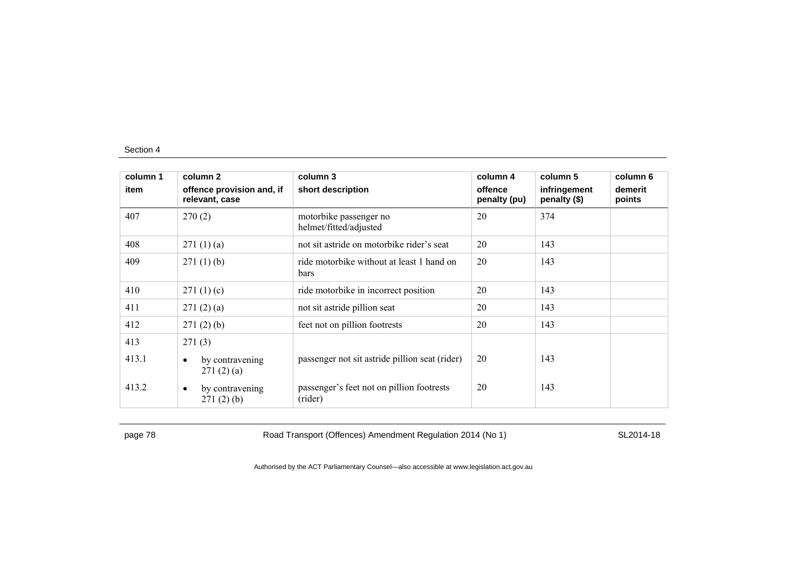| column 1 | column 2                                    | column 3                                                 | column 4                | column 5                     | column 6          |
|----------|---------------------------------------------|----------------------------------------------------------|-------------------------|------------------------------|-------------------|
| item     | offence provision and, if<br>relevant, case | short description                                        | offence<br>penalty (pu) | infringement<br>penalty (\$) | demerit<br>points |
| 407      | 270(2)                                      | motorbike passenger no<br>helmet/fitted/adjusted         | 20                      | 374                          |                   |
| 408      | 271(1)(a)                                   | not sit astride on motorbike rider's seat                | 20                      | 143                          |                   |
| 409      | 271(1)(b)                                   | ride motorbike without at least 1 hand on<br><b>bars</b> | 20                      | 143                          |                   |
| 410      | 271(1)(c)                                   | ride motorbike in incorrect position                     | 20                      | 143                          |                   |
| 411      | 271(2)(a)                                   | not sit astride pillion seat                             | 20                      | 143                          |                   |
| 412      | 271(2)(b)                                   | feet not on pillion footrests                            | 20                      | 143                          |                   |
| 413      | 271(3)                                      |                                                          |                         |                              |                   |
| 413.1    | by contravening<br>٠<br>271(2)(a)           | passenger not sit astride pillion seat (rider)           | 20                      | 143                          |                   |
| 413.2    | by contravening<br>$\bullet$<br>271(2)(b)   | passenger's feet not on pillion footrests<br>(rider)     | 20                      | 143                          |                   |

page 78 **Road Transport (Offences) Amendment Regulation 2014 (No 1)** SL2014-18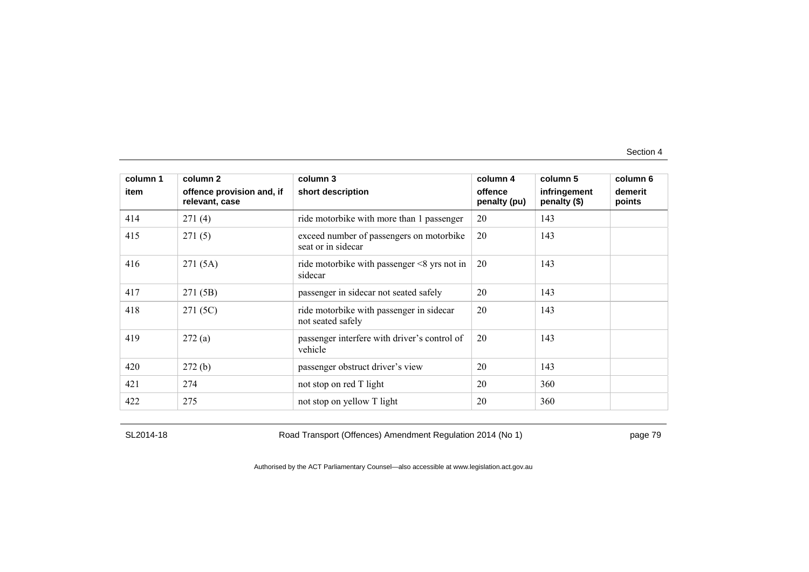| column 1 | column 2                                    | column 3                                                       | column 4                | column 5                     | column 6          |
|----------|---------------------------------------------|----------------------------------------------------------------|-------------------------|------------------------------|-------------------|
| item     | offence provision and, if<br>relevant, case | short description                                              | offence<br>penalty (pu) | infringement<br>penalty (\$) | demerit<br>points |
| 414      | 271(4)                                      | ride motorbike with more than 1 passenger                      | 20                      | 143                          |                   |
| 415      | 271(5)                                      | exceed number of passengers on motorbike<br>seat or in sidecar | 20                      | 143                          |                   |
| 416      | 271(5A)                                     | ride motorbike with passenger $\leq$ 8 yrs not in<br>sidecar   | 20                      | 143                          |                   |
| 417      | 271 (5B)                                    | passenger in sidecar not seated safely                         | 20                      | 143                          |                   |
| 418      | 271 (5C)                                    | ride motorbike with passenger in sidecar<br>not seated safely  | 20                      | 143                          |                   |
| 419      | 272(a)                                      | passenger interfere with driver's control of<br>vehicle        | 20                      | 143                          |                   |
| 420      | 272(b)                                      | passenger obstruct driver's view                               | 20                      | 143                          |                   |
| 421      | 274                                         | not stop on red T light                                        | 20                      | 360                          |                   |
| 422      | 275                                         | not stop on yellow T light                                     | 20                      | 360                          |                   |

SL2014-18 Road Transport (Offences) Amendment Regulation 2014 (No 1) page 79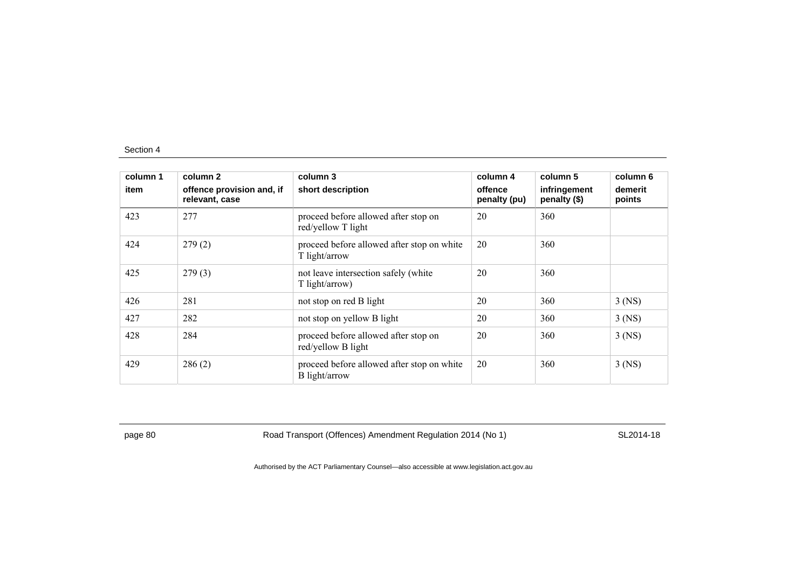| column 1<br>item | column 2<br>offence provision and, if<br>relevant, case | column 3<br>short description                               | column 4<br>offence<br>penalty (pu) | column 5<br>infringement<br>penalty (\$) | column 6<br>demerit<br>points |
|------------------|---------------------------------------------------------|-------------------------------------------------------------|-------------------------------------|------------------------------------------|-------------------------------|
| 423              | 277                                                     | proceed before allowed after stop on<br>red/yellow T light  | 20                                  | 360                                      |                               |
| 424              | 279(2)                                                  | proceed before allowed after stop on white<br>T light/arrow | 20                                  | 360                                      |                               |
| 425              | 279(3)                                                  | not leave intersection safely (white<br>T light/arrow)      | 20                                  | 360                                      |                               |
| 426              | 281                                                     | not stop on red B light                                     | 20                                  | 360                                      | $3$ (NS)                      |
| 427              | 282                                                     | not stop on yellow B light                                  | 20                                  | 360                                      | $3$ (NS)                      |
| 428              | 284                                                     | proceed before allowed after stop on<br>red/yellow B light  | 20                                  | 360                                      | $3$ (NS)                      |
| 429              | 286(2)                                                  | proceed before allowed after stop on white<br>B light/arrow | 20                                  | 360                                      | $3$ (NS)                      |

page 80 Road Transport (Offences) Amendment Regulation 2014 (No 1) SL2014-18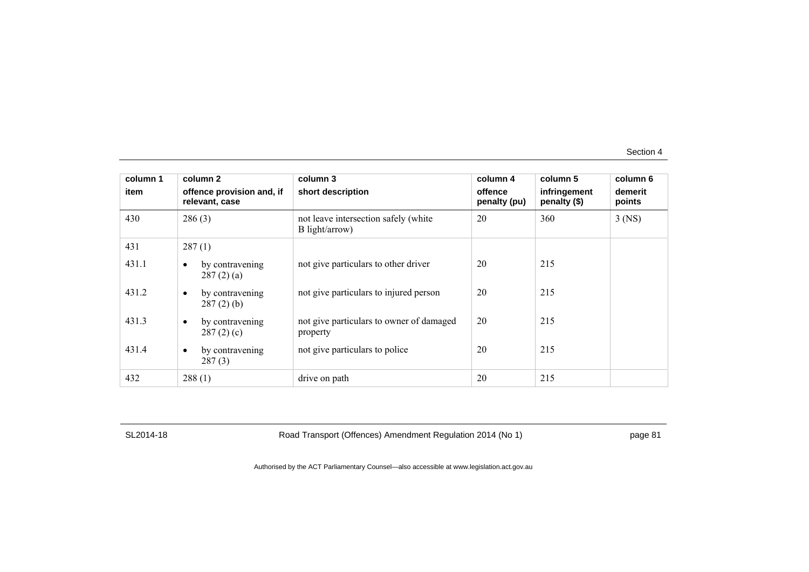| column 1 | column 2                                     | column 3                                               | column 4                | column 5                     | column 6          |
|----------|----------------------------------------------|--------------------------------------------------------|-------------------------|------------------------------|-------------------|
| item     | offence provision and, if<br>relevant, case  | short description                                      | offence<br>penalty (pu) | infringement<br>penalty (\$) | demerit<br>points |
| 430      | 286(3)                                       | not leave intersection safely (white<br>B light/arrow) | 20                      | 360                          | $3$ (NS)          |
| 431      | 287(1)                                       |                                                        |                         |                              |                   |
| 431.1    | by contravening<br>$\bullet$<br>287(2)(a)    | not give particulars to other driver                   | 20                      | 215                          |                   |
| 431.2    | by contravening<br>$\bullet$<br>$287(2)$ (b) | not give particulars to injured person                 | 20                      | 215                          |                   |
| 431.3    | by contravening<br>$\bullet$<br>287(2)(c)    | not give particulars to owner of damaged<br>property   | 20                      | 215                          |                   |
| 431.4    | by contravening<br>$\bullet$<br>287(3)       | not give particulars to police                         | 20                      | 215                          |                   |
| 432      | 288(1)                                       | drive on path                                          | 20                      | 215                          |                   |

SL2014-18 Road Transport (Offences) Amendment Regulation 2014 (No 1) page 81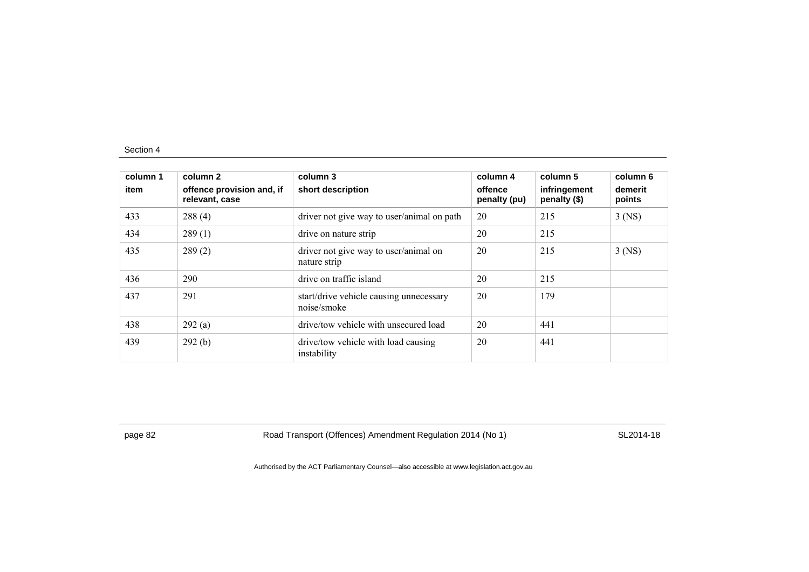| column 1<br>item | column 2<br>offence provision and, if<br>relevant, case | column 3<br>short description                          | column 4<br>offence<br>penalty (pu) | column 5<br>infringement<br>penalty (\$) | column 6<br>demerit<br>points |
|------------------|---------------------------------------------------------|--------------------------------------------------------|-------------------------------------|------------------------------------------|-------------------------------|
| 433              | 288(4)                                                  | driver not give way to user/animal on path             | 20                                  | 215                                      | $3$ (NS)                      |
| 434              | 289(1)                                                  | drive on nature strip                                  | 20                                  | 215                                      |                               |
| 435              | 289(2)                                                  | driver not give way to user/animal on<br>nature strip  | 20                                  | 215                                      | $3$ (NS)                      |
| 436              | 290                                                     | drive on traffic island                                | 20                                  | 215                                      |                               |
| 437              | 291                                                     | start/drive vehicle causing unnecessary<br>noise/smoke | 20                                  | 179                                      |                               |
| 438              | 292(a)                                                  | drive/tow vehicle with unsecured load                  | 20                                  | 441                                      |                               |
| 439              | 292(b)                                                  | drive/tow vehicle with load causing<br>instability     | 20                                  | 441                                      |                               |

page 82 Road Transport (Offences) Amendment Regulation 2014 (No 1) SL2014-18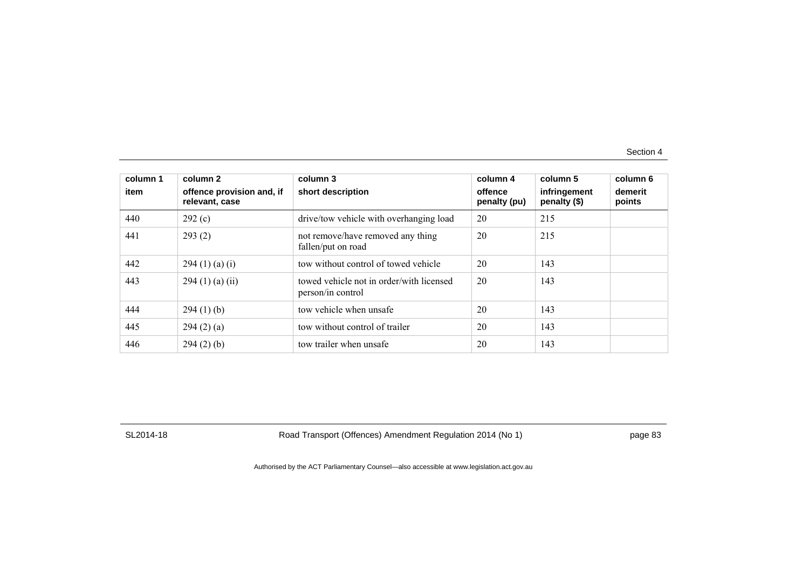| column 1<br>item | column 2<br>offence provision and, if<br>relevant, case | column 3<br>short description                                 | column 4<br>offence<br>penalty (pu) | column 5<br>infringement<br>penalty (\$) | column 6<br>demerit<br>points |
|------------------|---------------------------------------------------------|---------------------------------------------------------------|-------------------------------------|------------------------------------------|-------------------------------|
| 440              | 292(c)                                                  | drive/tow vehicle with overhanging load                       | 20                                  | 215                                      |                               |
| 441              | 293(2)                                                  | not remove/have removed any thing<br>fallen/put on road       | 20                                  | 215                                      |                               |
| 442              | 294 (1) (a) (i)                                         | tow without control of towed vehicle                          | 20                                  | 143                                      |                               |
| 443              | $294(1)$ (a) (ii)                                       | towed vehicle not in order/with licensed<br>person/in control | 20                                  | 143                                      |                               |
| 444              | 294(1)(b)                                               | tow vehicle when unsafe                                       | 20                                  | 143                                      |                               |
| 445              | 294(2)(a)                                               | tow without control of trailer                                | 20                                  | 143                                      |                               |
| 446              | 294(2)(b)                                               | tow trailer when unsafe                                       | 20                                  | 143                                      |                               |

SL2014-18 Road Transport (Offences) Amendment Regulation 2014 (No 1) page 83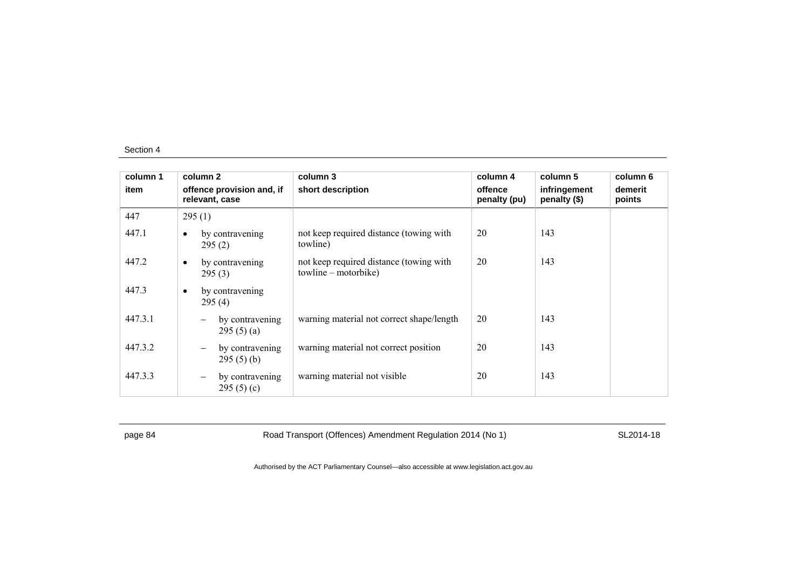| column 1 | column 2                                          | column 3                                                        | column 4                | column 5                     | column 6          |
|----------|---------------------------------------------------|-----------------------------------------------------------------|-------------------------|------------------------------|-------------------|
| item     | offence provision and, if<br>relevant, case       | short description                                               | offence<br>penalty (pu) | infringement<br>penalty (\$) | demerit<br>points |
| 447      | 295(1)                                            |                                                                 |                         |                              |                   |
| 447.1    | by contravening<br>295(2)                         | not keep required distance (towing with<br>towline)             | 20                      | 143                          |                   |
| 447.2    | by contravening<br>$\bullet$<br>295(3)            | not keep required distance (towing with<br>towline – motorbike) | 20                      | 143                          |                   |
| 447.3    | by contravening<br>$\bullet$<br>295(4)            |                                                                 |                         |                              |                   |
| 447.3.1  | by contravening<br>295(5)(a)                      | warning material not correct shape/length                       | 20                      | 143                          |                   |
| 447.3.2  | by contravening<br>-<br>295(5)(b)                 | warning material not correct position                           | 20                      | 143                          |                   |
| 447.3.3  | by contravening<br>$\qquad \qquad -$<br>295(5)(c) | warning material not visible                                    | 20                      | 143                          |                   |

page 84 Road Transport (Offences) Amendment Regulation 2014 (No 1) SL2014-18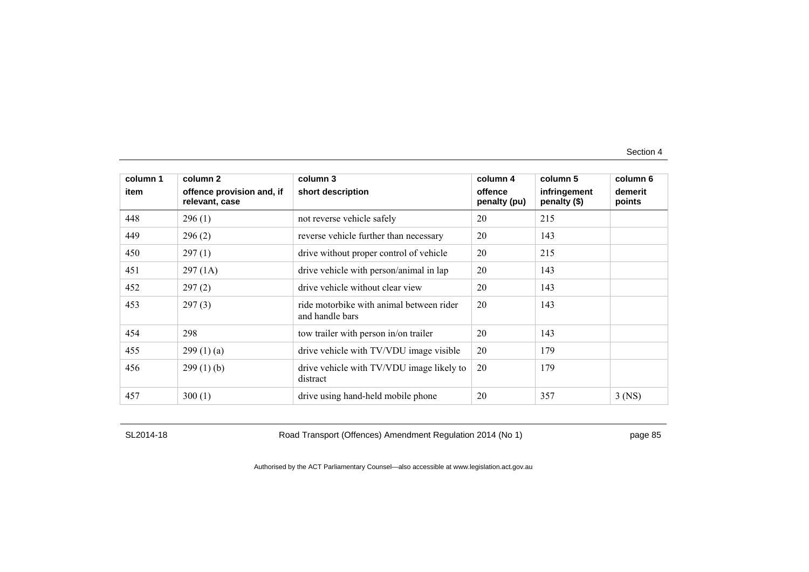| column 1 | column 2                                    | column 3                                                    | column 4                | column 5                     | column 6          |
|----------|---------------------------------------------|-------------------------------------------------------------|-------------------------|------------------------------|-------------------|
| item     | offence provision and, if<br>relevant, case | short description                                           | offence<br>penalty (pu) | infringement<br>penalty (\$) | demerit<br>points |
| 448      | 296(1)                                      | not reverse vehicle safely                                  | 20                      | 215                          |                   |
| 449      | 296(2)                                      | reverse vehicle further than necessary                      | 20                      | 143                          |                   |
| 450      | 297(1)                                      | drive without proper control of vehicle                     | 20                      | 215                          |                   |
| 451      | 297(1A)                                     | drive vehicle with person/animal in lap                     | 20                      | 143                          |                   |
| 452      | 297(2)                                      | drive vehicle without clear view                            | 20                      | 143                          |                   |
| 453      | 297(3)                                      | ride motorbike with animal between rider<br>and handle bars | 20                      | 143                          |                   |
| 454      | 298                                         | tow trailer with person in/on trailer                       | 20                      | 143                          |                   |
| 455      | 299(1)(a)                                   | drive vehicle with TV/VDU image visible                     | 20                      | 179                          |                   |
| 456      | 299(1)(b)                                   | drive vehicle with TV/VDU image likely to<br>distract       | 20                      | 179                          |                   |
| 457      | 300(1)                                      | drive using hand-held mobile phone                          | 20                      | 357                          | $3$ (NS)          |

SL2014-18 Road Transport (Offences) Amendment Regulation 2014 (No 1) page 85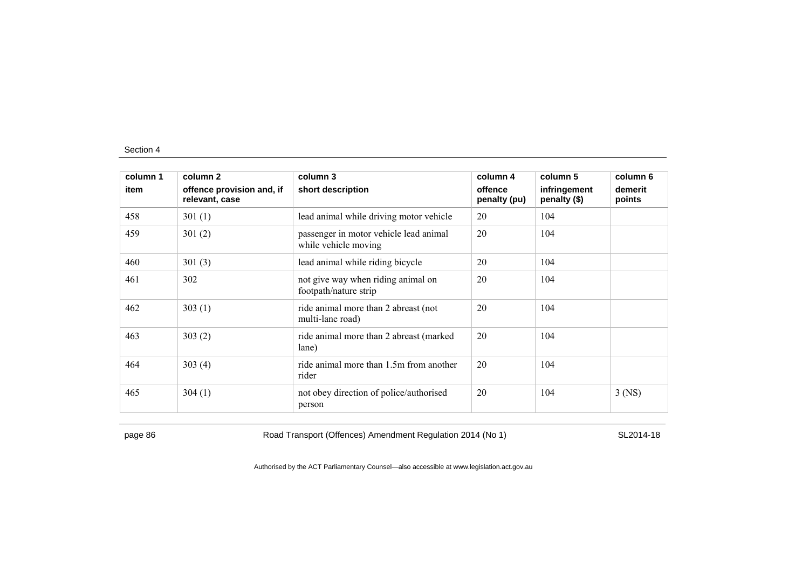| column 1 | column 2                                    | column 3                                                       | column 4                | column 5                     | column 6          |
|----------|---------------------------------------------|----------------------------------------------------------------|-------------------------|------------------------------|-------------------|
| item     | offence provision and, if<br>relevant, case | short description                                              | offence<br>penalty (pu) | infringement<br>penalty (\$) | demerit<br>points |
| 458      | 301(1)                                      | lead animal while driving motor vehicle                        | 20                      | 104                          |                   |
| 459      | 301(2)                                      | passenger in motor vehicle lead animal<br>while vehicle moving | 20                      | 104                          |                   |
| 460      | 301(3)                                      | lead animal while riding bicycle                               | 20                      | 104                          |                   |
| 461      | 302                                         | not give way when riding animal on<br>footpath/nature strip    | 20                      | 104                          |                   |
| 462      | 303(1)                                      | ride animal more than 2 abreast (not<br>multi-lane road)       | 20                      | 104                          |                   |
| 463      | 303(2)                                      | ride animal more than 2 abreast (marked)<br>lane)              | 20                      | 104                          |                   |
| 464      | 303(4)                                      | ride animal more than 1.5m from another<br>rider               | 20                      | 104                          |                   |
| 465      | 304(1)                                      | not obey direction of police/authorised<br>person              | 20                      | 104                          | $3$ (NS)          |

page 86 Road Transport (Offences) Amendment Regulation 2014 (No 1) SL2014-18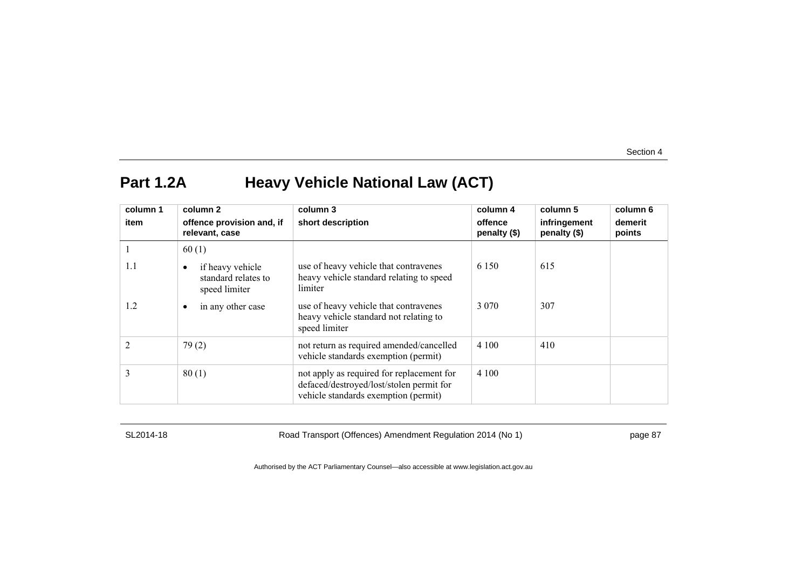## **Part 1.2A Heavy Vehicle National Law (ACT)**

| column 1       | column 2                                                 | column 3                                                                                                                      | column 4                | column 5                     | column 6          |
|----------------|----------------------------------------------------------|-------------------------------------------------------------------------------------------------------------------------------|-------------------------|------------------------------|-------------------|
| item           | offence provision and, if<br>relevant, case              | short description                                                                                                             | offence<br>penalty (\$) | infringement<br>penalty (\$) | demerit<br>points |
|                | 60(1)                                                    |                                                                                                                               |                         |                              |                   |
| 1.1            | if heavy vehicle<br>standard relates to<br>speed limiter | use of heavy vehicle that contravenes<br>heavy vehicle standard relating to speed<br>limiter                                  | 6 1 5 0                 | 615                          |                   |
| 1.2            | in any other case<br>$\bullet$                           | use of heavy vehicle that contravenes<br>heavy vehicle standard not relating to<br>speed limiter                              | 3 0 7 0                 | 307                          |                   |
| $\mathfrak{D}$ | 79(2)                                                    | not return as required amended/cancelled<br>vehicle standards exemption (permit)                                              | 4 100                   | 410                          |                   |
| 3              | 80(1)                                                    | not apply as required for replacement for<br>defaced/destroyed/lost/stolen permit for<br>vehicle standards exemption (permit) | 4 100                   |                              |                   |

SL2014-18 Road Transport (Offences) Amendment Regulation 2014 (No 1) page 87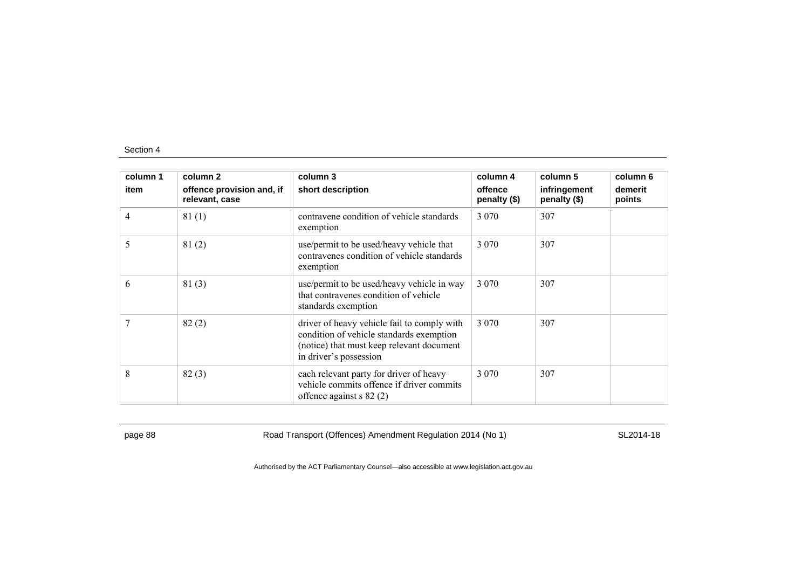| column 1 | column 2                                    | column 3                                                                                                                                                       | column 4                | column 5                     | column 6          |
|----------|---------------------------------------------|----------------------------------------------------------------------------------------------------------------------------------------------------------------|-------------------------|------------------------------|-------------------|
| item     | offence provision and, if<br>relevant, case | short description                                                                                                                                              | offence<br>penalty (\$) | infringement<br>penalty (\$) | demerit<br>points |
| 4        | 81(1)                                       | contravene condition of vehicle standards<br>exemption                                                                                                         | 3 0 7 0                 | 307                          |                   |
| 5        | 81(2)                                       | use/permit to be used/heavy vehicle that<br>contravenes condition of vehicle standards<br>exemption                                                            | 3 0 7 0                 | 307                          |                   |
| 6        | 81(3)                                       | use/permit to be used/heavy vehicle in way<br>that contravenes condition of vehicle<br>standards exemption                                                     | 3 0 7 0                 | 307                          |                   |
|          | 82(2)                                       | driver of heavy vehicle fail to comply with<br>condition of vehicle standards exemption<br>(notice) that must keep relevant document<br>in driver's possession | 3 0 7 0                 | 307                          |                   |
| 8        | 82(3)                                       | each relevant party for driver of heavy<br>vehicle commits offence if driver commits<br>offence against $s$ 82 (2)                                             | 3 0 7 0                 | 307                          |                   |

page 88 Road Transport (Offences) Amendment Regulation 2014 (No 1) SL2014-18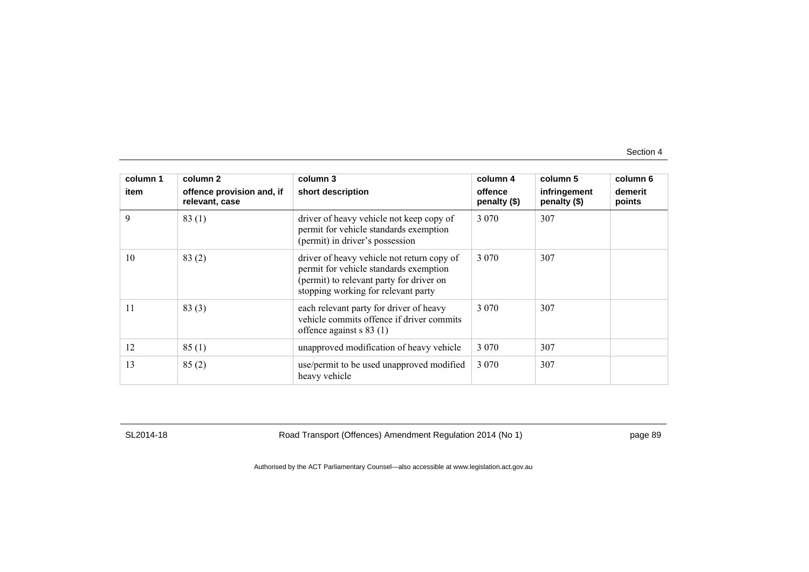| column 1 | column 2                                    | column 3                                                                                                                                                                | column 4                | column 5                     | column 6          |
|----------|---------------------------------------------|-------------------------------------------------------------------------------------------------------------------------------------------------------------------------|-------------------------|------------------------------|-------------------|
| item     | offence provision and, if<br>relevant, case | short description                                                                                                                                                       | offence<br>penalty (\$) | infringement<br>penalty (\$) | demerit<br>points |
| 9        | 83(1)                                       | driver of heavy vehicle not keep copy of<br>permit for vehicle standards exemption<br>(permit) in driver's possession                                                   | 3 0 7 0                 | 307                          |                   |
| 10       | 83(2)                                       | driver of heavy vehicle not return copy of<br>permit for vehicle standards exemption<br>(permit) to relevant party for driver on<br>stopping working for relevant party | 3 0 7 0                 | 307                          |                   |
| 11       | 83(3)                                       | each relevant party for driver of heavy<br>vehicle commits offence if driver commits<br>offence against $s 83$ (1)                                                      | 3 0 7 0                 | 307                          |                   |
| 12       | 85(1)                                       | unapproved modification of heavy vehicle                                                                                                                                | 3 0 7 0                 | 307                          |                   |
| 13       | 85(2)                                       | use/permit to be used unapproved modified<br>heavy vehicle                                                                                                              | 3 0 7 0                 | 307                          |                   |

SL2014-18 Road Transport (Offences) Amendment Regulation 2014 (No 1) page 89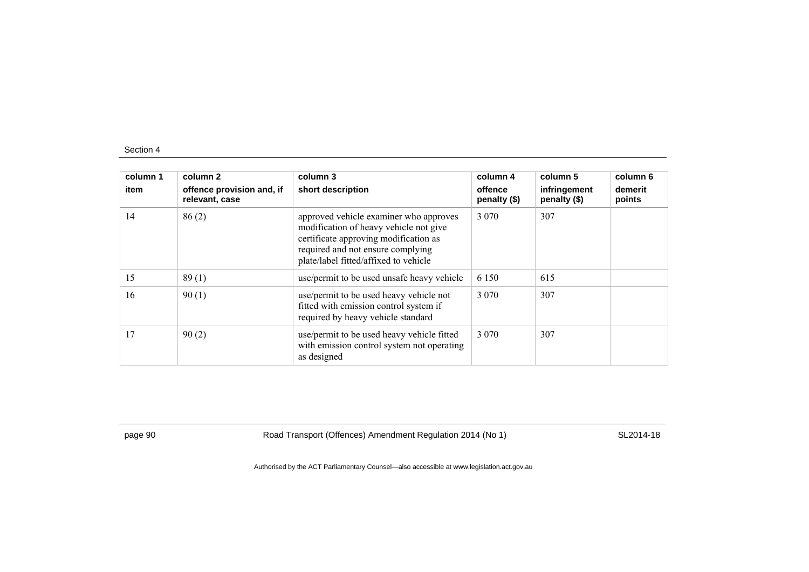| column 1<br>item | column 2<br>offence provision and, if<br>relevant, case | column 3<br>short description                                                                                                                                                                           | column 4<br>offence<br>penalty (\$) | column 5<br>infringement<br>penalty (\$) | column 6<br>demerit<br>points |
|------------------|---------------------------------------------------------|---------------------------------------------------------------------------------------------------------------------------------------------------------------------------------------------------------|-------------------------------------|------------------------------------------|-------------------------------|
| 14               | 86(2)                                                   | approved vehicle examiner who approves<br>modification of heavy vehicle not give<br>certificate approving modification as<br>required and not ensure complying<br>plate/label fitted/affixed to vehicle | 3 0 7 0                             | 307                                      |                               |
| 15               | 89(1)                                                   | use/permit to be used unsafe heavy vehicle                                                                                                                                                              | 6 1 5 0                             | 615                                      |                               |
| 16               | 90(1)                                                   | use/permit to be used heavy vehicle not<br>fitted with emission control system if<br>required by heavy vehicle standard                                                                                 | 3 0 7 0                             | 307                                      |                               |
| 17               | 90(2)                                                   | use/permit to be used heavy vehicle fitted<br>with emission control system not operating<br>as designed                                                                                                 | 3 0 7 0                             | 307                                      |                               |

page 90 Road Transport (Offences) Amendment Regulation 2014 (No 1) SL2014-18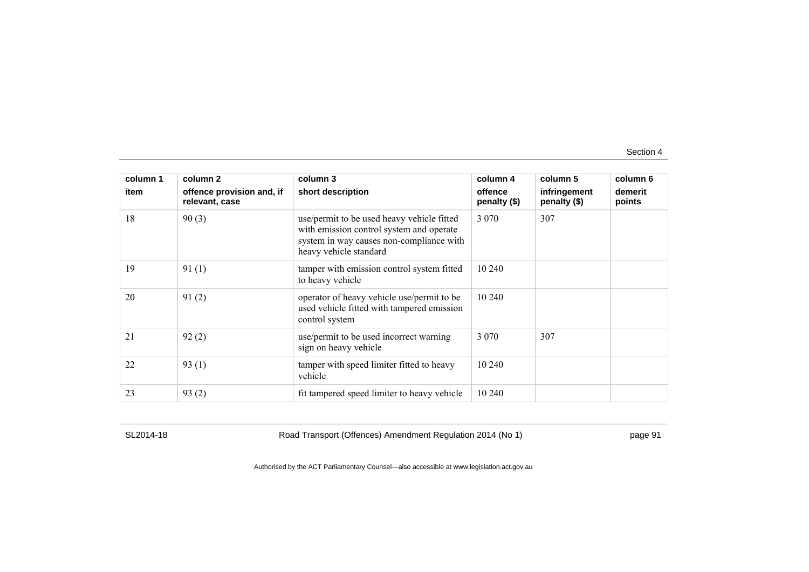| column 1<br>item | column 2<br>offence provision and, if<br>relevant, case | column 3<br>short description                                                                                                                                | column 4<br>offence<br>penalty (\$) | column 5<br>infringement<br>penalty (\$) | column 6<br>demerit<br>points |
|------------------|---------------------------------------------------------|--------------------------------------------------------------------------------------------------------------------------------------------------------------|-------------------------------------|------------------------------------------|-------------------------------|
| 18               | 90(3)                                                   | use/permit to be used heavy vehicle fitted<br>with emission control system and operate<br>system in way causes non-compliance with<br>heavy vehicle standard | 3 0 7 0                             | 307                                      |                               |
| 19               | 91(1)                                                   | tamper with emission control system fitted<br>to heavy vehicle                                                                                               | 10 240                              |                                          |                               |
| 20               | 91(2)                                                   | operator of heavy vehicle use/permit to be<br>used vehicle fitted with tampered emission<br>control system                                                   | 10 240                              |                                          |                               |
| 21               | 92(2)                                                   | use/permit to be used incorrect warning<br>sign on heavy vehicle                                                                                             | 3 0 7 0                             | 307                                      |                               |
| 22               | 93(1)                                                   | tamper with speed limiter fitted to heavy<br>vehicle                                                                                                         | 10 240                              |                                          |                               |
| 23               | 93(2)                                                   | fit tampered speed limiter to heavy vehicle                                                                                                                  | 10 240                              |                                          |                               |

SL2014-18 Road Transport (Offences) Amendment Regulation 2014 (No 1) page 91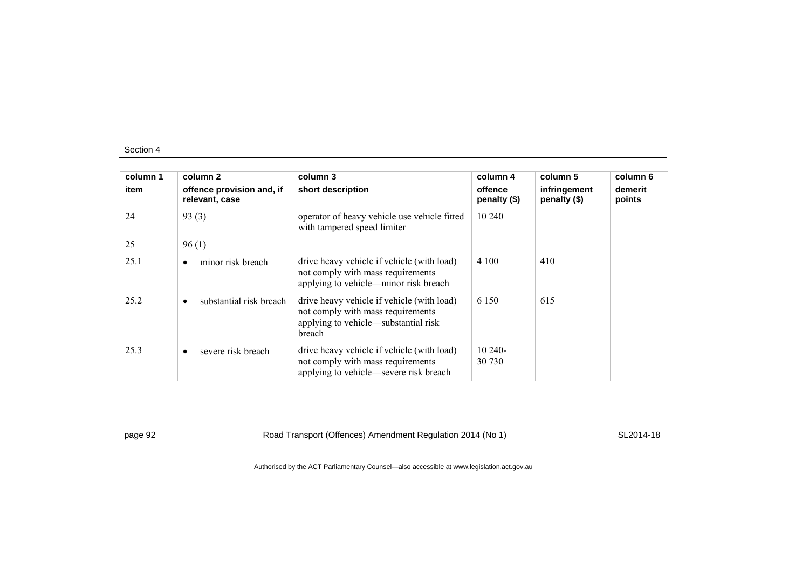| column 1 | column 2                                    | column 3                                                                                                                          | column 4                | column 5                     | column 6          |
|----------|---------------------------------------------|-----------------------------------------------------------------------------------------------------------------------------------|-------------------------|------------------------------|-------------------|
| item     | offence provision and, if<br>relevant, case | short description                                                                                                                 | offence<br>penalty (\$) | infringement<br>penalty (\$) | demerit<br>points |
| 24       | 93(3)                                       | operator of heavy vehicle use vehicle fitted<br>with tampered speed limiter                                                       | 10 240                  |                              |                   |
| 25       | 96(1)                                       |                                                                                                                                   |                         |                              |                   |
| 25.1     | minor risk breach<br>٠                      | drive heavy vehicle if vehicle (with load)<br>not comply with mass requirements<br>applying to vehicle—minor risk breach          | 4 100                   | 410                          |                   |
| 25.2     | substantial risk breach<br>٠                | drive heavy vehicle if vehicle (with load)<br>not comply with mass requirements<br>applying to vehicle—substantial risk<br>breach | 6 1 5 0                 | 615                          |                   |
| 25.3     | severe risk breach<br>$\bullet$             | drive heavy vehicle if vehicle (with load)<br>not comply with mass requirements<br>applying to vehicle—severe risk breach         | $10240-$<br>30 730      |                              |                   |

page 92 Road Transport (Offences) Amendment Regulation 2014 (No 1) SL2014-18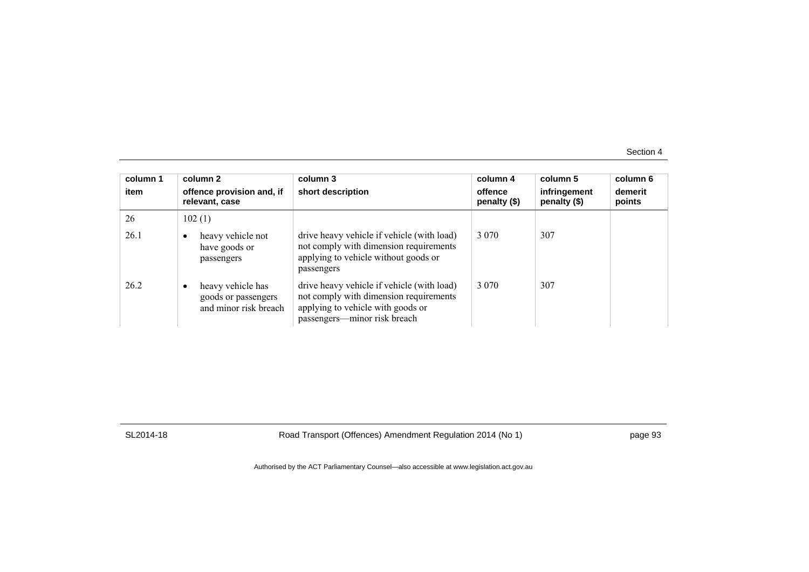| column 1<br>item | column 2<br>offence provision and, if<br>relevant, case                | column 3<br>short description                                                                                                                             | column 4<br>offence<br>penalty (\$) | column 5<br>infringement<br>penalty (\$) | column 6<br>demerit<br>points |
|------------------|------------------------------------------------------------------------|-----------------------------------------------------------------------------------------------------------------------------------------------------------|-------------------------------------|------------------------------------------|-------------------------------|
| 26               | 102(1)                                                                 |                                                                                                                                                           |                                     |                                          |                               |
| 26.1             | heavy vehicle not<br>٠<br>have goods or<br>passengers                  | drive heavy vehicle if vehicle (with load)<br>not comply with dimension requirements<br>applying to vehicle without goods or<br>passengers                | 3 0 7 0                             | 307                                      |                               |
| 26.2             | heavy vehicle has<br>٠<br>goods or passengers<br>and minor risk breach | drive heavy vehicle if vehicle (with load)<br>not comply with dimension requirements<br>applying to vehicle with goods or<br>passengers—minor risk breach | 3 0 7 0                             | 307                                      |                               |

SL2014-18 Road Transport (Offences) Amendment Regulation 2014 (No 1) page 93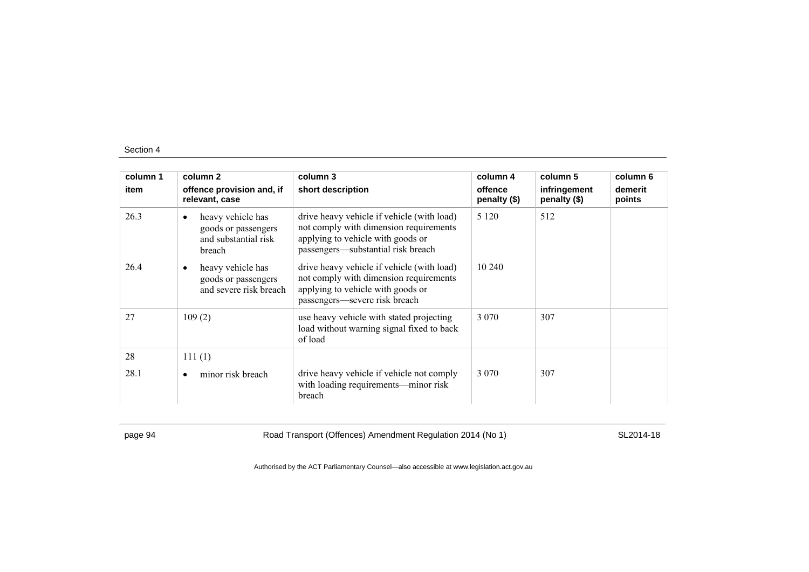| column 1 | column 2                                                                                | column 3                                                                                                                                                        | column 4                | column 5                     | column 6          |
|----------|-----------------------------------------------------------------------------------------|-----------------------------------------------------------------------------------------------------------------------------------------------------------------|-------------------------|------------------------------|-------------------|
| item     | offence provision and, if<br>relevant, case                                             | short description                                                                                                                                               | offence<br>penalty (\$) | infringement<br>penalty (\$) | demerit<br>points |
| 26.3     | heavy vehicle has<br>$\bullet$<br>goods or passengers<br>and substantial risk<br>breach | drive heavy vehicle if vehicle (with load)<br>not comply with dimension requirements<br>applying to vehicle with goods or<br>passengers-substantial risk breach | 5 1 2 0                 | 512                          |                   |
| 26.4     | heavy vehicle has<br>$\bullet$<br>goods or passengers<br>and severe risk breach         | drive heavy vehicle if vehicle (with load)<br>not comply with dimension requirements<br>applying to vehicle with goods or<br>passengers-severe risk breach      | 10 240                  |                              |                   |
| 27       | 109(2)                                                                                  | use heavy vehicle with stated projecting<br>load without warning signal fixed to back<br>of load                                                                | 3 0 7 0                 | 307                          |                   |
| 28       | 111(1)                                                                                  |                                                                                                                                                                 |                         |                              |                   |
| 28.1     | minor risk breach<br>٠                                                                  | drive heavy vehicle if vehicle not comply<br>with loading requirements-minor risk<br>breach                                                                     | 3 0 7 0                 | 307                          |                   |

page 94 Road Transport (Offences) Amendment Regulation 2014 (No 1) SL2014-18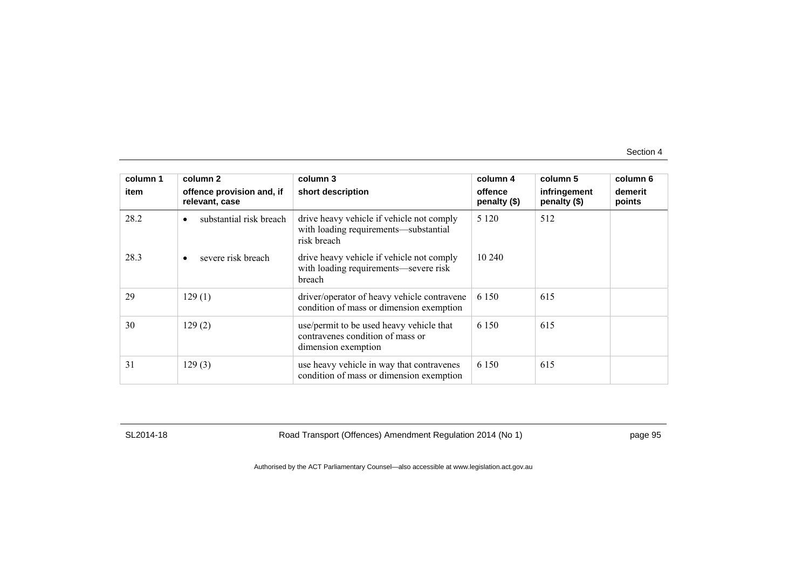| column 1 | column <sub>2</sub>                         | column 3                                                                                            | column 4                | column 5                     | column 6          |
|----------|---------------------------------------------|-----------------------------------------------------------------------------------------------------|-------------------------|------------------------------|-------------------|
| item     | offence provision and, if<br>relevant, case | short description                                                                                   | offence<br>penalty (\$) | infringement<br>penalty (\$) | demerit<br>points |
| 28.2     | substantial risk breach<br>$\bullet$        | drive heavy vehicle if vehicle not comply<br>with loading requirements—substantial<br>risk breach   | 5 1 2 0                 | 512                          |                   |
| 28.3     | severe risk breach<br>$\bullet$             | drive heavy vehicle if vehicle not comply<br>with loading requirements—severe risk<br>breach        | 10 240                  |                              |                   |
| 29       | 129(1)                                      | driver/operator of heavy vehicle contravene<br>condition of mass or dimension exemption             | 6 1 5 0                 | 615                          |                   |
| 30       | 129(2)                                      | use/permit to be used heavy vehicle that<br>contravenes condition of mass or<br>dimension exemption | 6 1 5 0                 | 615                          |                   |
| 31       | 129(3)                                      | use heavy vehicle in way that contravenes<br>condition of mass or dimension exemption               | 6 1 5 0                 | 615                          |                   |

SL2014-18 Road Transport (Offences) Amendment Regulation 2014 (No 1) page 95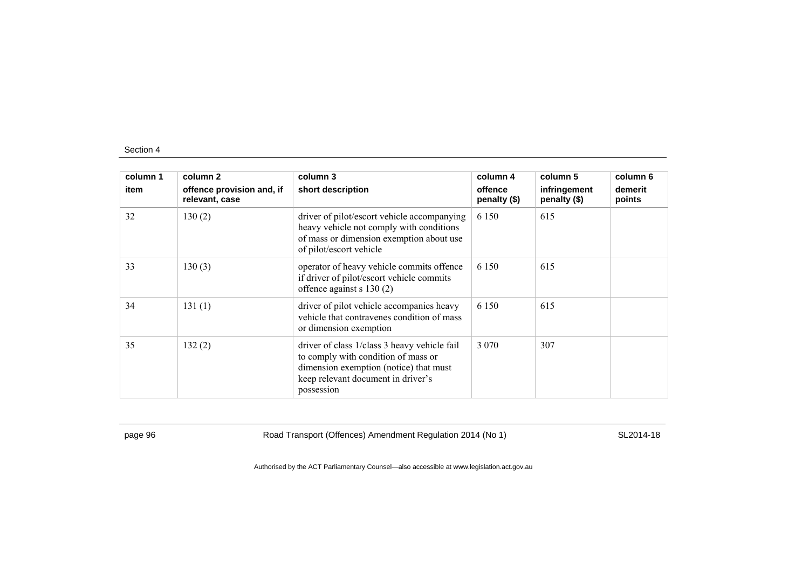| column 1 | column 2                                    | column 3                                                                                                                                                                          | column 4                | column 5                     | column 6          |
|----------|---------------------------------------------|-----------------------------------------------------------------------------------------------------------------------------------------------------------------------------------|-------------------------|------------------------------|-------------------|
| item     | offence provision and, if<br>relevant, case | short description                                                                                                                                                                 | offence<br>penalty (\$) | infringement<br>penalty (\$) | demerit<br>points |
| 32       | 130(2)                                      | driver of pilot/escort vehicle accompanying<br>heavy vehicle not comply with conditions<br>of mass or dimension exemption about use<br>of pilot/escort vehicle                    | 6 1 5 0                 | 615                          |                   |
| 33       | 130(3)                                      | operator of heavy vehicle commits offence<br>if driver of pilot/escort vehicle commits<br>offence against $s$ 130 (2)                                                             | 6 1 5 0                 | 615                          |                   |
| 34       | 131(1)                                      | driver of pilot vehicle accompanies heavy<br>vehicle that contravenes condition of mass<br>or dimension exemption                                                                 | 6 1 5 0                 | 615                          |                   |
| 35       | 132(2)                                      | driver of class 1/class 3 heavy vehicle fail<br>to comply with condition of mass or<br>dimension exemption (notice) that must<br>keep relevant document in driver's<br>possession | 3 0 7 0                 | 307                          |                   |

page 96 Road Transport (Offences) Amendment Regulation 2014 (No 1) SL2014-18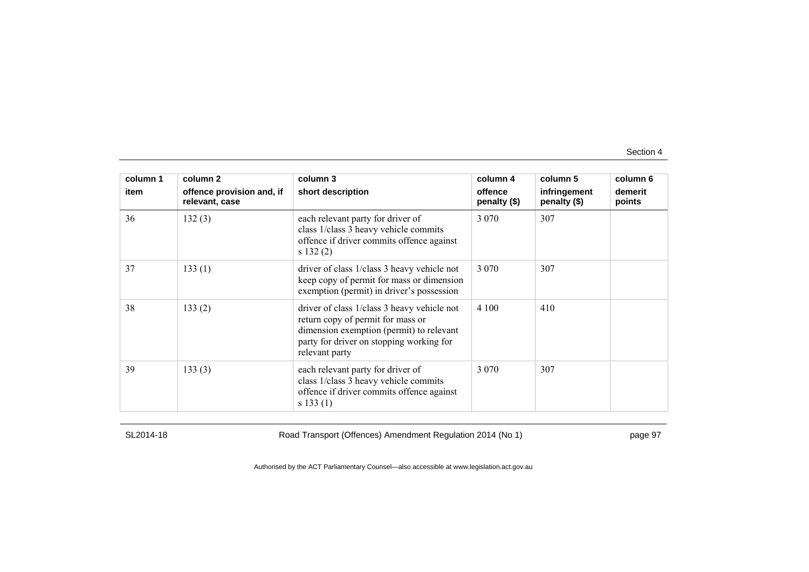| column 1 | column 2                                    | column 3                                                                                                                                                                                   | column 4                | column 5                     | column 6          |
|----------|---------------------------------------------|--------------------------------------------------------------------------------------------------------------------------------------------------------------------------------------------|-------------------------|------------------------------|-------------------|
| item     | offence provision and, if<br>relevant, case | short description                                                                                                                                                                          | offence<br>penalty (\$) | infringement<br>penalty (\$) | demerit<br>points |
| 36       | 132(3)                                      | each relevant party for driver of<br>class 1/class 3 heavy vehicle commits<br>offence if driver commits offence against<br>s 132(2)                                                        | 3 0 7 0                 | 307                          |                   |
| 37       | 133(1)                                      | driver of class 1/class 3 heavy vehicle not<br>keep copy of permit for mass or dimension<br>exemption (permit) in driver's possession                                                      | 3 0 7 0                 | 307                          |                   |
| 38       | 133(2)                                      | driver of class 1/class 3 heavy vehicle not<br>return copy of permit for mass or<br>dimension exemption (permit) to relevant<br>party for driver on stopping working for<br>relevant party | 4 100                   | 410                          |                   |
| 39       | 133(3)                                      | each relevant party for driver of<br>class 1/class 3 heavy vehicle commits<br>offence if driver commits offence against<br>s 133(1)                                                        | 3 0 7 0                 | 307                          |                   |

SL2014-18 Road Transport (Offences) Amendment Regulation 2014 (No 1) page 97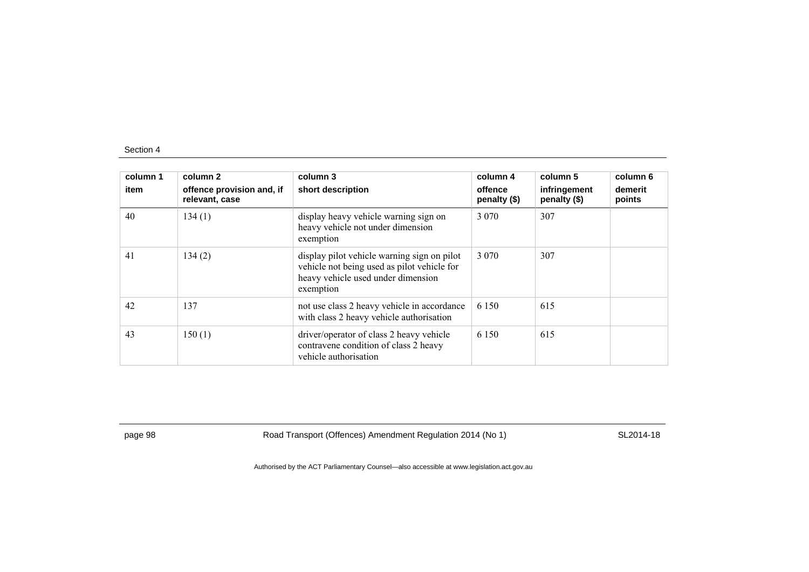| column 1<br>item | column 2<br>offence provision and, if<br>relevant, case | column 3<br>short description                                                                                                                 | column 4<br>offence<br>penalty $(\$)$ | column 5<br>infringement<br>penalty (\$) | column 6<br>demerit<br>points |
|------------------|---------------------------------------------------------|-----------------------------------------------------------------------------------------------------------------------------------------------|---------------------------------------|------------------------------------------|-------------------------------|
| 40               | 134(1)                                                  | display heavy vehicle warning sign on<br>heavy vehicle not under dimension<br>exemption                                                       | 3 0 7 0                               | 307                                      |                               |
| 41               | 134(2)                                                  | display pilot vehicle warning sign on pilot<br>vehicle not being used as pilot vehicle for<br>heavy vehicle used under dimension<br>exemption | 3 0 7 0                               | 307                                      |                               |
| 42               | 137                                                     | not use class 2 heavy vehicle in accordance<br>with class 2 heavy vehicle authorisation                                                       | 6 1 5 0                               | 615                                      |                               |
| 43               | 150(1)                                                  | driver/operator of class 2 heavy vehicle<br>contravene condition of class 2 heavy<br>vehicle authorisation                                    | 6 1 5 0                               | 615                                      |                               |

page 98 Road Transport (Offences) Amendment Regulation 2014 (No 1) SL2014-18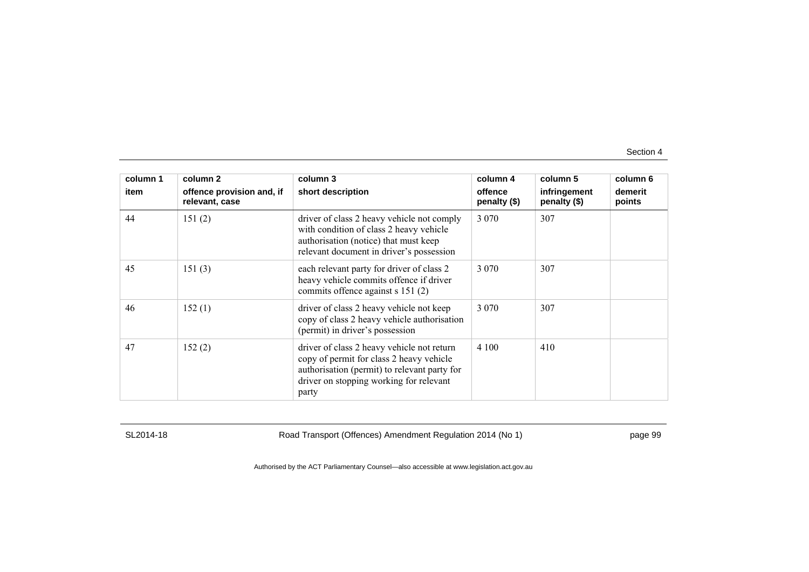| column 1 | column 2                                    | column 3                                                                                                                                                                                   | column 4                | column 5                     | column 6          |
|----------|---------------------------------------------|--------------------------------------------------------------------------------------------------------------------------------------------------------------------------------------------|-------------------------|------------------------------|-------------------|
| item     | offence provision and, if<br>relevant, case | short description                                                                                                                                                                          | offence<br>penalty (\$) | infringement<br>penalty (\$) | demerit<br>points |
| 44       | 151(2)                                      | driver of class 2 heavy vehicle not comply<br>with condition of class 2 heavy vehicle<br>authorisation (notice) that must keep<br>relevant document in driver's possession                 | 3 0 7 0                 | 307                          |                   |
| 45       | 151(3)                                      | each relevant party for driver of class 2<br>heavy vehicle commits offence if driver<br>commits offence against s 151 (2)                                                                  | 3 0 7 0                 | 307                          |                   |
| 46       | 152(1)                                      | driver of class 2 heavy vehicle not keep<br>copy of class 2 heavy vehicle authorisation<br>(permit) in driver's possession                                                                 | 3 0 7 0                 | 307                          |                   |
| 47       | 152(2)                                      | driver of class 2 heavy vehicle not return<br>copy of permit for class 2 heavy vehicle<br>authorisation (permit) to relevant party for<br>driver on stopping working for relevant<br>party | 4 100                   | 410                          |                   |

SL2014-18 Road Transport (Offences) Amendment Regulation 2014 (No 1) page 99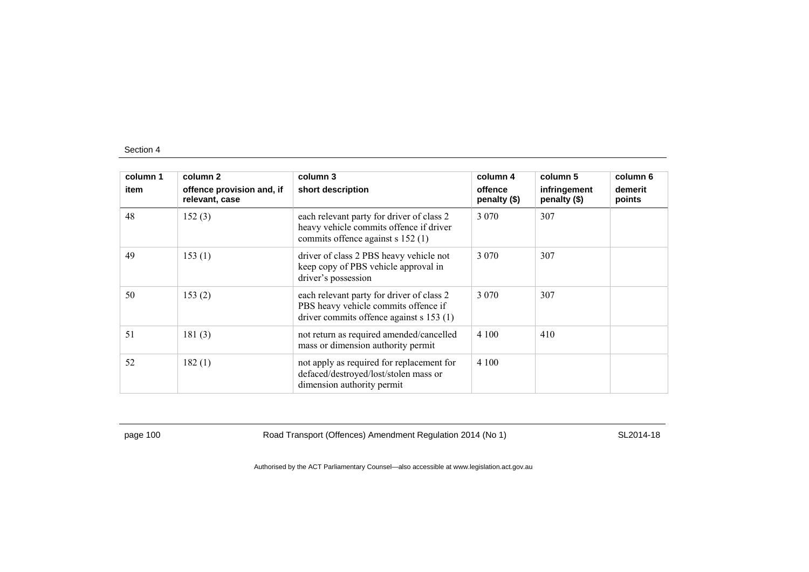| column 1 | column 2                                    | column 3                                                                                                                      | column 4                | column 5                     | column 6          |
|----------|---------------------------------------------|-------------------------------------------------------------------------------------------------------------------------------|-------------------------|------------------------------|-------------------|
| item     | offence provision and, if<br>relevant, case | short description                                                                                                             | offence<br>penalty (\$) | infringement<br>penalty (\$) | demerit<br>points |
| 48       | 152(3)                                      | each relevant party for driver of class 2<br>heavy vehicle commits offence if driver<br>commits offence against s 152 (1)     | 3 0 7 0                 | 307                          |                   |
| 49       | 153(1)                                      | driver of class 2 PBS heavy vehicle not<br>keep copy of PBS vehicle approval in<br>driver's possession                        | 3 0 7 0                 | 307                          |                   |
| 50       | 153(2)                                      | each relevant party for driver of class 2<br>PBS heavy vehicle commits offence if<br>driver commits offence against s 153 (1) | 3 0 7 0                 | 307                          |                   |
| 51       | 181(3)                                      | not return as required amended/cancelled<br>mass or dimension authority permit                                                | 4 100                   | 410                          |                   |
| 52       | 182(1)                                      | not apply as required for replacement for<br>defaced/destroyed/lost/stolen mass or<br>dimension authority permit              | 4 100                   |                              |                   |

page 100 Road Transport (Offences) Amendment Regulation 2014 (No 1) SL2014-18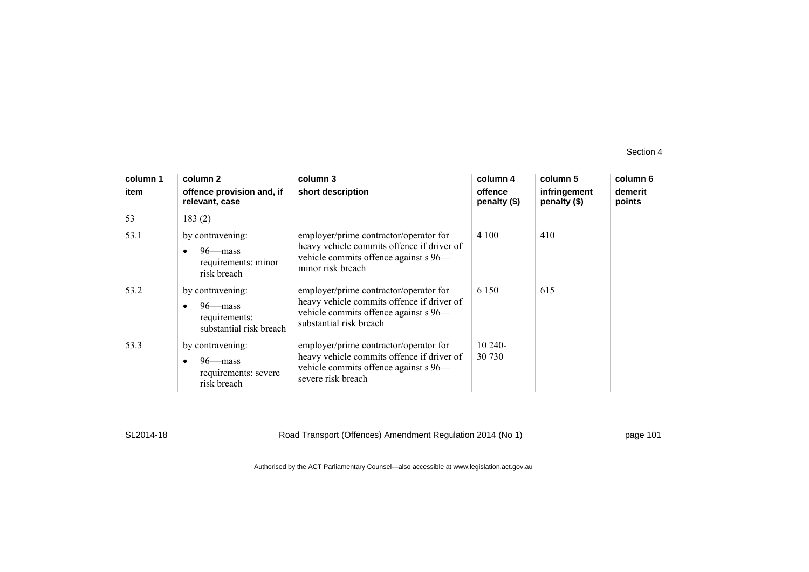| column 1 | column 2                                                                           | column 3                                                                                                                                                 | column 4                | column 5                     | column 6          |
|----------|------------------------------------------------------------------------------------|----------------------------------------------------------------------------------------------------------------------------------------------------------|-------------------------|------------------------------|-------------------|
| item     | offence provision and, if<br>relevant, case                                        | short description                                                                                                                                        | offence<br>penalty (\$) | infringement<br>penalty (\$) | demerit<br>points |
| 53       | 183(2)                                                                             |                                                                                                                                                          |                         |                              |                   |
| 53.1     | by contravening:<br>$96$ mass<br>requirements: minor<br>risk breach                | employer/prime contractor/operator for<br>heavy vehicle commits offence if driver of<br>vehicle commits offence against s 96—<br>minor risk breach       | 4 100                   | 410                          |                   |
| 53.2     | by contravening:<br>$96$ —mass<br>requirements:<br>substantial risk breach         | employer/prime contractor/operator for<br>heavy vehicle commits offence if driver of<br>vehicle commits offence against s 96—<br>substantial risk breach | 6 1 5 0                 | 615                          |                   |
| 53.3     | by contravening:<br>$96$ —mass<br>$\bullet$<br>requirements: severe<br>risk breach | employer/prime contractor/operator for<br>heavy vehicle commits offence if driver of<br>vehicle commits offence against s 96-<br>severe risk breach      | $10240-$<br>30 730      |                              |                   |

SL2014-18 Road Transport (Offences) Amendment Regulation 2014 (No 1) page 101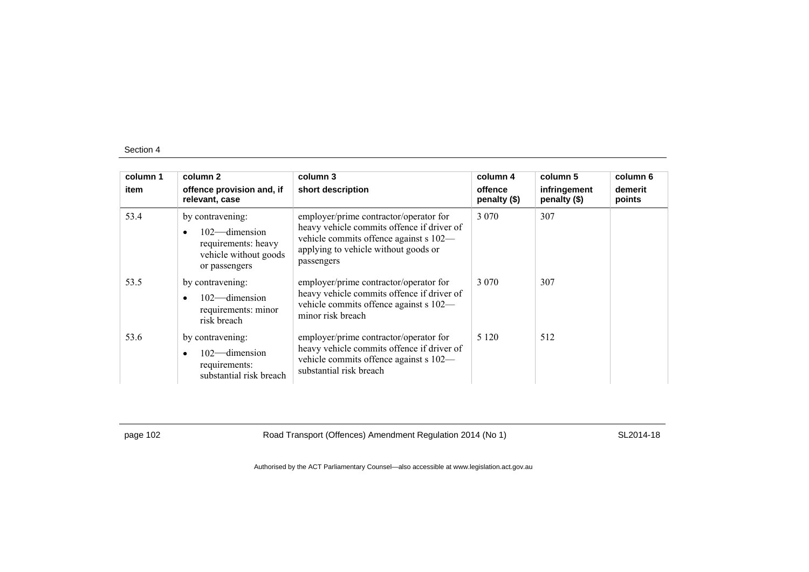| column 1<br>item | column 2<br>offence provision and, if<br>relevant, case                                               | column 3<br>short description                                                                                                                                                        | column 4<br>offence<br>penalty (\$) | column 5<br>infringement<br>penalty (\$) | column 6<br>demerit<br>points |
|------------------|-------------------------------------------------------------------------------------------------------|--------------------------------------------------------------------------------------------------------------------------------------------------------------------------------------|-------------------------------------|------------------------------------------|-------------------------------|
| 53.4             | by contravening:<br>$102$ -dimension<br>requirements: heavy<br>vehicle without goods<br>or passengers | employer/prime contractor/operator for<br>heavy vehicle commits offence if driver of<br>vehicle commits offence against s 102-<br>applying to vehicle without goods or<br>passengers | 3 0 7 0                             | 307                                      |                               |
| 53.5             | by contravening:<br>$102$ -dimension<br>requirements: minor<br>risk breach                            | employer/prime contractor/operator for<br>heavy vehicle commits offence if driver of<br>vehicle commits offence against s 102—<br>minor risk breach                                  | 3 0 7 0                             | 307                                      |                               |
| 53.6             | by contravening:<br>$102$ -dimension<br>requirements:<br>substantial risk breach                      | employer/prime contractor/operator for<br>heavy vehicle commits offence if driver of<br>vehicle commits offence against s 102—<br>substantial risk breach                            | 5 1 2 0                             | 512                                      |                               |

page 102 Road Transport (Offences) Amendment Regulation 2014 (No 1) SL2014-18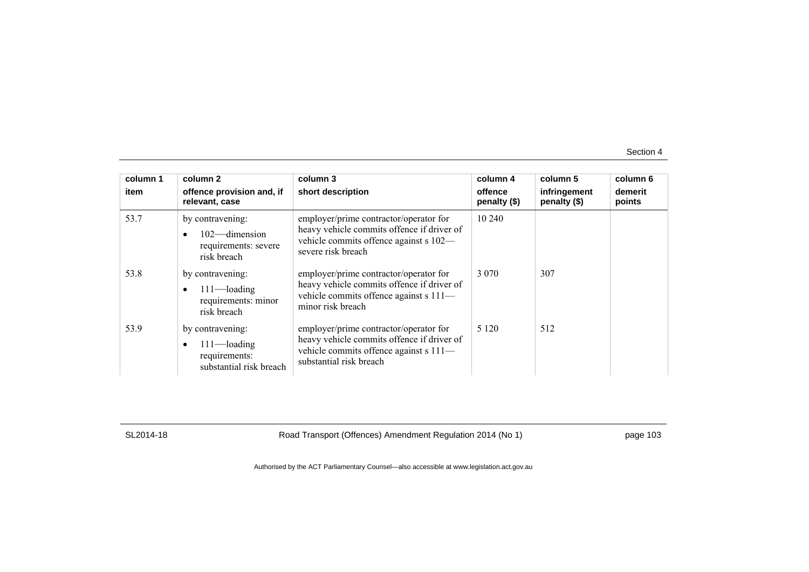| column 1<br>item | column 2<br>offence provision and, if<br>relevant, case                                     | column 3<br>short description                                                                                                                             | column 4<br>offence<br>penalty (\$) | column 5<br>infringement<br>penalty (\$) | column 6<br>demerit<br>points |
|------------------|---------------------------------------------------------------------------------------------|-----------------------------------------------------------------------------------------------------------------------------------------------------------|-------------------------------------|------------------------------------------|-------------------------------|
| 53.7             | by contravening:<br>102-dimension<br>$\bullet$<br>requirements: severe<br>risk breach       | employer/prime contractor/operator for<br>heavy vehicle commits offence if driver of<br>vehicle commits offence against s 102-<br>severe risk breach      | 10 240                              |                                          |                               |
| 53.8             | by contravening:<br>$111$ —loading<br>$\bullet$<br>requirements: minor<br>risk breach       | employer/prime contractor/operator for<br>heavy vehicle commits offence if driver of<br>vehicle commits offence against s 111-<br>minor risk breach       | 3 0 7 0                             | 307                                      |                               |
| 53.9             | by contravening:<br>$111$ —loading<br>$\bullet$<br>requirements:<br>substantial risk breach | employer/prime contractor/operator for<br>heavy vehicle commits offence if driver of<br>vehicle commits offence against s 111-<br>substantial risk breach | 5 1 2 0                             | 512                                      |                               |

SL2014-18 Road Transport (Offences) Amendment Regulation 2014 (No 1) page 103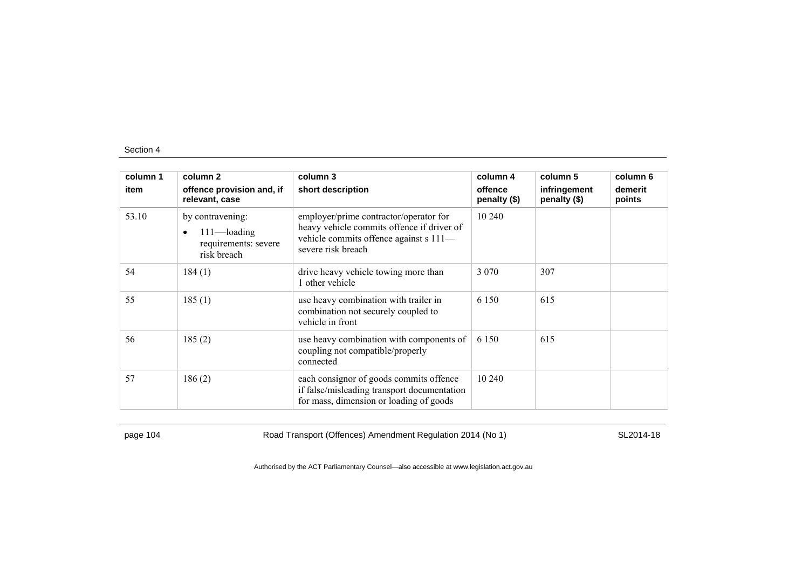| column 1 | column 2                                                                               | column 3                                                                                                                                             | column 4                | column 5                     | column 6          |
|----------|----------------------------------------------------------------------------------------|------------------------------------------------------------------------------------------------------------------------------------------------------|-------------------------|------------------------------|-------------------|
| item     | offence provision and, if<br>relevant, case                                            | short description                                                                                                                                    | offence<br>penalty (\$) | infringement<br>penalty (\$) | demerit<br>points |
| 53.10    | by contravening:<br>$111$ —loading<br>$\bullet$<br>requirements: severe<br>risk breach | employer/prime contractor/operator for<br>heavy vehicle commits offence if driver of<br>vehicle commits offence against s 111-<br>severe risk breach | 10 240                  |                              |                   |
| 54       | 184(1)                                                                                 | drive heavy vehicle towing more than<br>1 other vehicle                                                                                              | 3 0 7 0                 | 307                          |                   |
| 55       | 185(1)                                                                                 | use heavy combination with trailer in<br>combination not securely coupled to<br>vehicle in front                                                     | 6 1 5 0                 | 615                          |                   |
| 56       | 185(2)                                                                                 | use heavy combination with components of<br>coupling not compatible/properly<br>connected                                                            | 6 1 5 0                 | 615                          |                   |
| 57       | 186(2)                                                                                 | each consignor of goods commits offence<br>if false/misleading transport documentation<br>for mass, dimension or loading of goods                    | 10 240                  |                              |                   |

page 104 Road Transport (Offences) Amendment Regulation 2014 (No 1) SL2014-18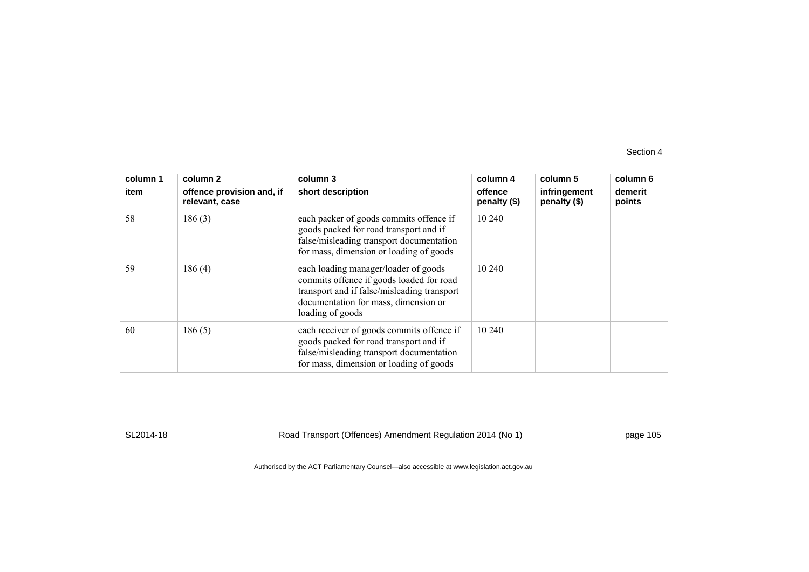| column 1<br>item | column 2<br>offence provision and, if<br>relevant, case | column 3<br>short description                                                                                                                                                               | column 4<br>offence<br>penalty $(\$)$ | column 5<br>infringement<br>penalty (\$) | column 6<br>demerit<br>points |
|------------------|---------------------------------------------------------|---------------------------------------------------------------------------------------------------------------------------------------------------------------------------------------------|---------------------------------------|------------------------------------------|-------------------------------|
| 58               | 186(3)                                                  | each packer of goods commits offence if<br>goods packed for road transport and if<br>false/misleading transport documentation<br>for mass, dimension or loading of goods                    | 10 240                                |                                          |                               |
| 59               | 186(4)                                                  | each loading manager/loader of goods<br>commits offence if goods loaded for road<br>transport and if false/misleading transport<br>documentation for mass, dimension or<br>loading of goods | 10 240                                |                                          |                               |
| 60               | 186(5)                                                  | each receiver of goods commits offence if<br>goods packed for road transport and if<br>false/misleading transport documentation<br>for mass, dimension or loading of goods                  | 10 240                                |                                          |                               |

SL2014-18 Road Transport (Offences) Amendment Regulation 2014 (No 1) page 105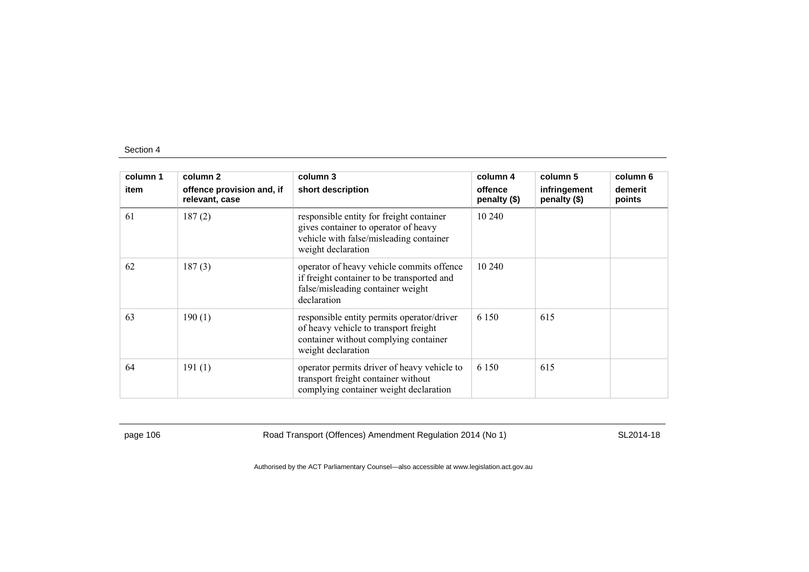| column 1 | column 2                                    | column 3                                                                                                                                           | column 4                | column 5                     | column 6          |
|----------|---------------------------------------------|----------------------------------------------------------------------------------------------------------------------------------------------------|-------------------------|------------------------------|-------------------|
| item     | offence provision and, if<br>relevant, case | short description                                                                                                                                  | offence<br>penalty (\$) | infringement<br>penalty (\$) | demerit<br>points |
| 61       | 187(2)                                      | responsible entity for freight container<br>gives container to operator of heavy<br>vehicle with false/misleading container<br>weight declaration  | 10 240                  |                              |                   |
| 62       | 187(3)                                      | operator of heavy vehicle commits offence<br>if freight container to be transported and<br>false/misleading container weight<br>declaration        | 10 240                  |                              |                   |
| 63       | 190(1)                                      | responsible entity permits operator/driver<br>of heavy vehicle to transport freight<br>container without complying container<br>weight declaration | 6 1 5 0                 | 615                          |                   |
| 64       | 191(1)                                      | operator permits driver of heavy vehicle to<br>transport freight container without<br>complying container weight declaration                       | 6 1 5 0                 | 615                          |                   |

page 106 Road Transport (Offences) Amendment Regulation 2014 (No 1) SL2014-18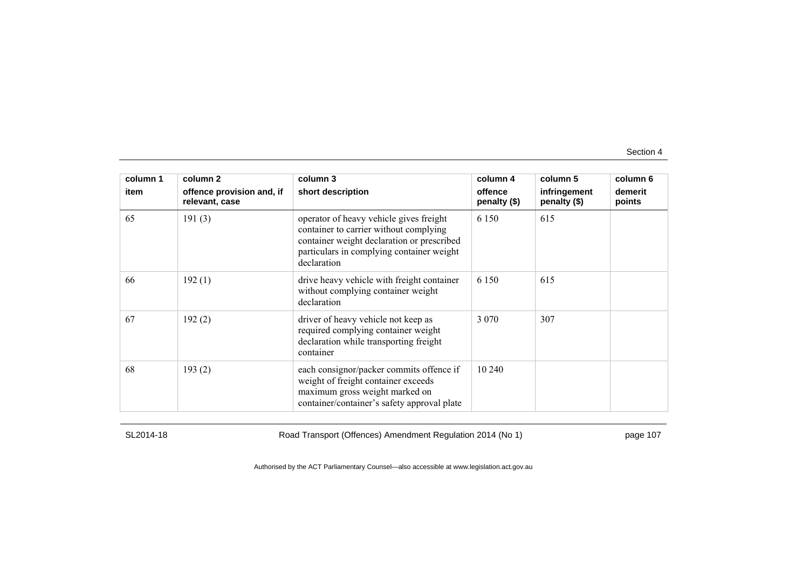| column 1 | column 2                                    | column 3                                                                                                                                                                                    | column 4                | column 5                     | column 6          |
|----------|---------------------------------------------|---------------------------------------------------------------------------------------------------------------------------------------------------------------------------------------------|-------------------------|------------------------------|-------------------|
| item     | offence provision and, if<br>relevant, case | short description                                                                                                                                                                           | offence<br>penalty (\$) | infringement<br>penalty (\$) | demerit<br>points |
| 65       | 191(3)                                      | operator of heavy vehicle gives freight<br>container to carrier without complying<br>container weight declaration or prescribed<br>particulars in complying container weight<br>declaration | 6 1 5 0                 | 615                          |                   |
| 66       | 192(1)                                      | drive heavy vehicle with freight container<br>without complying container weight<br>declaration                                                                                             | 6 1 5 0                 | 615                          |                   |
| 67       | 192(2)                                      | driver of heavy vehicle not keep as<br>required complying container weight<br>declaration while transporting freight<br>container                                                           | 3 0 7 0                 | 307                          |                   |
| 68       | 193(2)                                      | each consignor/packer commits offence if<br>weight of freight container exceeds<br>maximum gross weight marked on<br>container/container's safety approval plate                            | 10 240                  |                              |                   |

SL2014-18 Road Transport (Offences) Amendment Regulation 2014 (No 1) page 107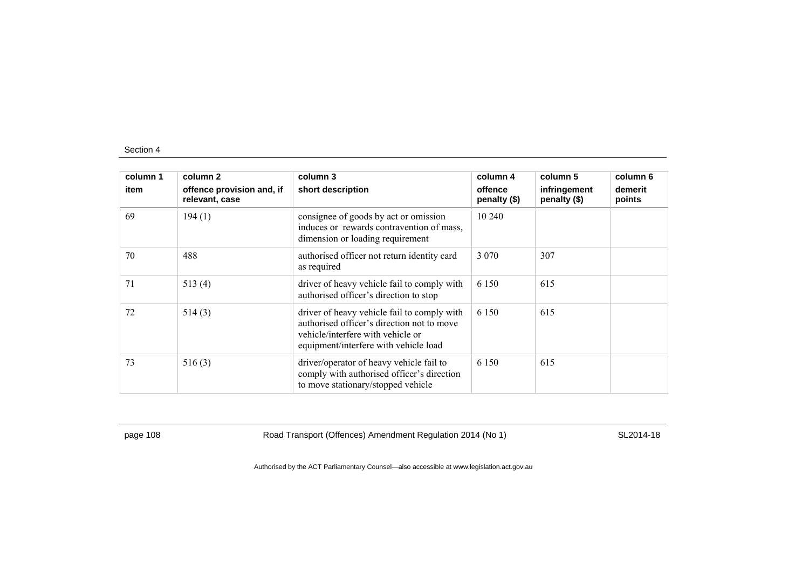| column 1 | column 2                                    | column 3                                                                                                                                                                | column 4                | column 5                     | column 6          |
|----------|---------------------------------------------|-------------------------------------------------------------------------------------------------------------------------------------------------------------------------|-------------------------|------------------------------|-------------------|
| item     | offence provision and, if<br>relevant, case | short description                                                                                                                                                       | offence<br>penalty (\$) | infringement<br>penalty (\$) | demerit<br>points |
| 69       | 194(1)                                      | consignee of goods by act or omission<br>induces or rewards contravention of mass,<br>dimension or loading requirement                                                  | 10 240                  |                              |                   |
| 70       | 488                                         | authorised officer not return identity card<br>as required                                                                                                              | 3 0 7 0                 | 307                          |                   |
| 71       | 513(4)                                      | driver of heavy vehicle fail to comply with<br>authorised officer's direction to stop                                                                                   | 6 1 5 0                 | 615                          |                   |
| 72       | 514(3)                                      | driver of heavy vehicle fail to comply with<br>authorised officer's direction not to move<br>vehicle/interfere with vehicle or<br>equipment/interfere with vehicle load | 6 1 5 0                 | 615                          |                   |
| 73       | 516(3)                                      | driver/operator of heavy vehicle fail to<br>comply with authorised officer's direction<br>to move stationary/stopped vehicle                                            | 6 1 5 0                 | 615                          |                   |

page 108 Road Transport (Offences) Amendment Regulation 2014 (No 1) SL2014-18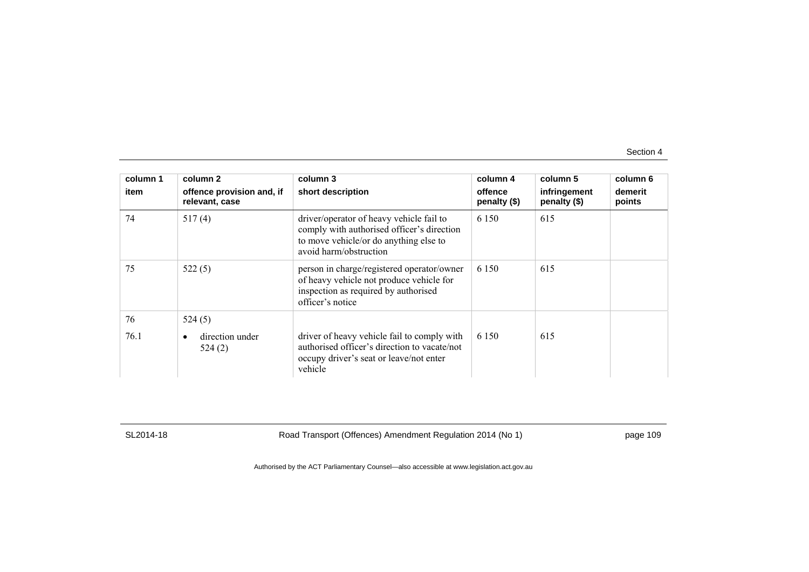| column 1 | column 2                                    | column 3                                                                                                                                                   | column 4                  | column 5                     | column 6          |
|----------|---------------------------------------------|------------------------------------------------------------------------------------------------------------------------------------------------------------|---------------------------|------------------------------|-------------------|
| item     | offence provision and, if<br>relevant, case | short description                                                                                                                                          | offence<br>penalty $(\$)$ | infringement<br>penalty (\$) | demerit<br>points |
| 74       | 517(4)                                      | driver/operator of heavy vehicle fail to<br>comply with authorised officer's direction<br>to move vehicle/or do anything else to<br>avoid harm/obstruction | 6 1 5 0                   | 615                          |                   |
| 75       | 522(5)                                      | person in charge/registered operator/owner<br>of heavy vehicle not produce vehicle for<br>inspection as required by authorised<br>officer's notice         | 6 1 5 0                   | 615                          |                   |
| 76       | 524(5)                                      |                                                                                                                                                            |                           |                              |                   |
| 76.1     | direction under<br>$\bullet$<br>524(2)      | driver of heavy vehicle fail to comply with<br>authorised officer's direction to vacate/not<br>occupy driver's seat or leave/not enter<br>vehicle          | 6 1 5 0                   | 615                          |                   |

SL2014-18 Road Transport (Offences) Amendment Regulation 2014 (No 1) page 109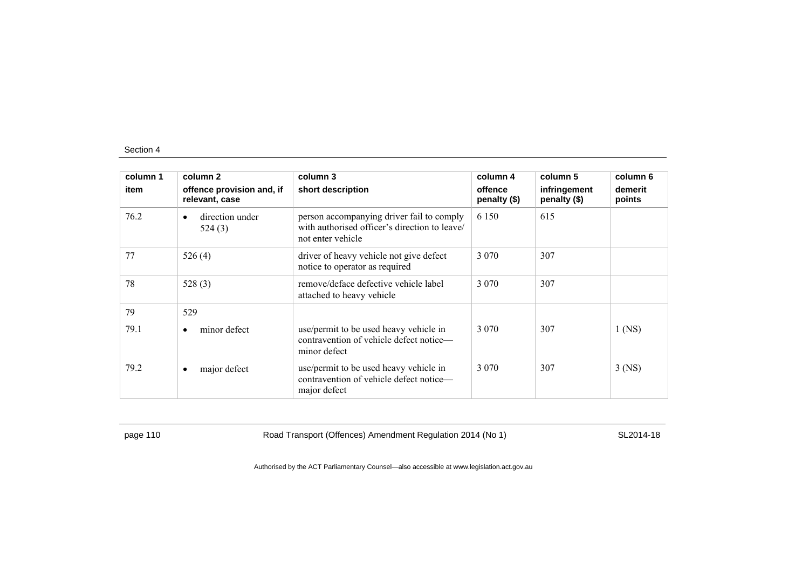| column 1 | column 2                                    | column 3                                                                                                        | column 4                | column 5                     | column 6          |
|----------|---------------------------------------------|-----------------------------------------------------------------------------------------------------------------|-------------------------|------------------------------|-------------------|
| item     | offence provision and, if<br>relevant, case | short description                                                                                               | offence<br>penalty (\$) | infringement<br>penalty (\$) | demerit<br>points |
| 76.2     | direction under<br>$\bullet$<br>524(3)      | person accompanying driver fail to comply<br>with authorised officer's direction to leave/<br>not enter vehicle | 6 1 5 0                 | 615                          |                   |
| 77       | 526(4)                                      | driver of heavy vehicle not give defect<br>notice to operator as required                                       | 3 0 7 0                 | 307                          |                   |
| 78       | 528 $(3)$                                   | remove/deface defective vehicle label<br>attached to heavy vehicle                                              | 3 0 7 0                 | 307                          |                   |
| 79       | 529                                         |                                                                                                                 |                         |                              |                   |
| 79.1     | minor defect<br>$\bullet$                   | use/permit to be used heavy vehicle in<br>contravention of vehicle defect notice—<br>minor defect               | 3 0 7 0                 | 307                          | $1$ (NS)          |
| 79.2     | major defect<br>٠                           | use/permit to be used heavy vehicle in<br>contravention of vehicle defect notice—<br>major defect               | 3 0 7 0                 | 307                          | $3$ (NS)          |

page 110 SL2014-18<br>
Road Transport (Offences) Amendment Regulation 2014 (No 1)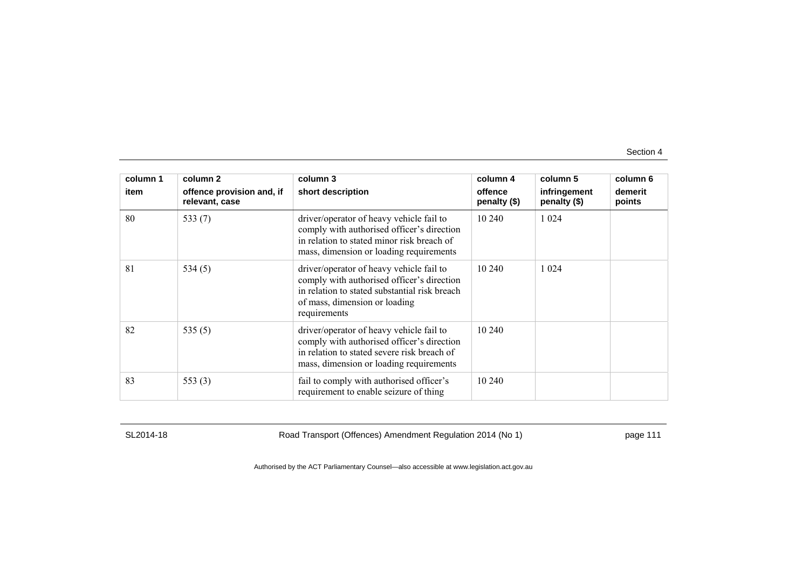| column 1<br>item | column 2<br>offence provision and, if<br>relevant, case | column 3<br>short description                                                                                                                                                            | column 4<br>offence<br>penalty (\$) | column 5<br>infringement<br>penalty (\$) | column 6<br>demerit<br>points |
|------------------|---------------------------------------------------------|------------------------------------------------------------------------------------------------------------------------------------------------------------------------------------------|-------------------------------------|------------------------------------------|-------------------------------|
| 80               | 533 $(7)$                                               | driver/operator of heavy vehicle fail to<br>comply with authorised officer's direction<br>in relation to stated minor risk breach of<br>mass, dimension or loading requirements          | 10 240                              | 1 0 2 4                                  |                               |
| 81               | 534(5)                                                  | driver/operator of heavy vehicle fail to<br>comply with authorised officer's direction<br>in relation to stated substantial risk breach<br>of mass, dimension or loading<br>requirements | 10 240                              | 1 0 2 4                                  |                               |
| 82               | 535 $(5)$                                               | driver/operator of heavy vehicle fail to<br>comply with authorised officer's direction<br>in relation to stated severe risk breach of<br>mass, dimension or loading requirements         | 10 240                              |                                          |                               |
| 83               | 553 $(3)$                                               | fail to comply with authorised officer's<br>requirement to enable seizure of thing                                                                                                       | 10 240                              |                                          |                               |

SL2014-18 Road Transport (Offences) Amendment Regulation 2014 (No 1) page 111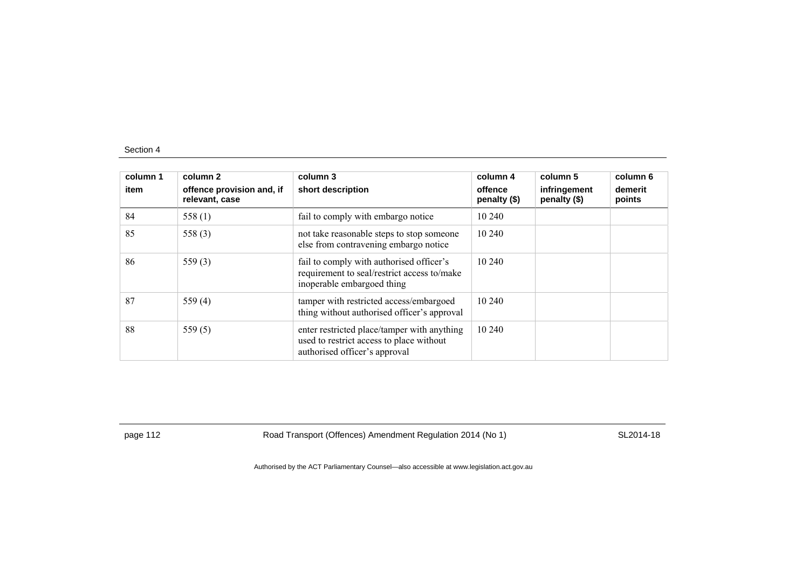| column 1<br>item | column 2<br>offence provision and, if<br>relevant, case | column 3<br>short description                                                                                            | column 4<br>offence<br>penalty (\$) | column 5<br>infringement<br>penalty (\$) | column 6<br>demerit<br>points |
|------------------|---------------------------------------------------------|--------------------------------------------------------------------------------------------------------------------------|-------------------------------------|------------------------------------------|-------------------------------|
| 84               | 558 $(1)$                                               | fail to comply with embargo notice                                                                                       | 10 240                              |                                          |                               |
| 85               | 558 $(3)$                                               | not take reasonable steps to stop someone<br>else from contravening embargo notice                                       | 10 240                              |                                          |                               |
| 86               | 559 $(3)$                                               | fail to comply with authorised officer's<br>requirement to seal/restrict access to/make<br>inoperable embargoed thing    | 10 240                              |                                          |                               |
| 87               | 559 $(4)$                                               | tamper with restricted access/embargoed<br>thing without authorised officer's approval                                   | 10 240                              |                                          |                               |
| 88               | 559 $(5)$                                               | enter restricted place/tamper with anything<br>used to restrict access to place without<br>authorised officer's approval | 10 240                              |                                          |                               |

page 112 **Road Transport (Offences) Amendment Regulation 2014 (No 1)** SL2014-18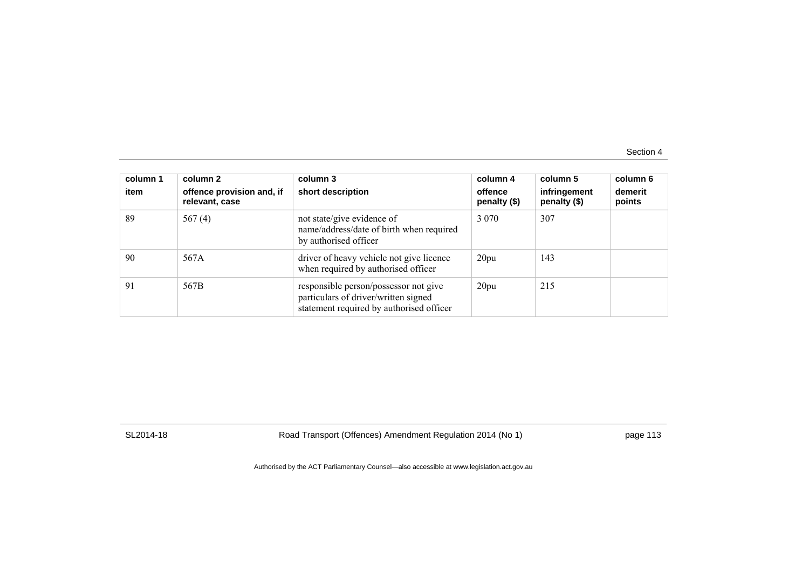| column 1<br>item | column 2<br>offence provision and, if<br>relevant, case | column 3<br>short description                                                                                             | column 4<br>offence<br>penalty (\$) | column 5<br>infringement<br>penalty (\$) | column 6<br>demerit<br>points |
|------------------|---------------------------------------------------------|---------------------------------------------------------------------------------------------------------------------------|-------------------------------------|------------------------------------------|-------------------------------|
| 89               | 567 $(4)$                                               | not state/give evidence of<br>name/address/date of birth when required<br>by authorised officer                           | 3 0 7 0                             | 307                                      |                               |
| 90               | 567A                                                    | driver of heavy vehicle not give licence<br>when required by authorised officer                                           | 20pu                                | 143                                      |                               |
| 91               | 567B                                                    | responsible person/possessor not give<br>particulars of driver/written signed<br>statement required by authorised officer | 20pu                                | 215                                      |                               |

SL2014-18 Road Transport (Offences) Amendment Regulation 2014 (No 1) page 113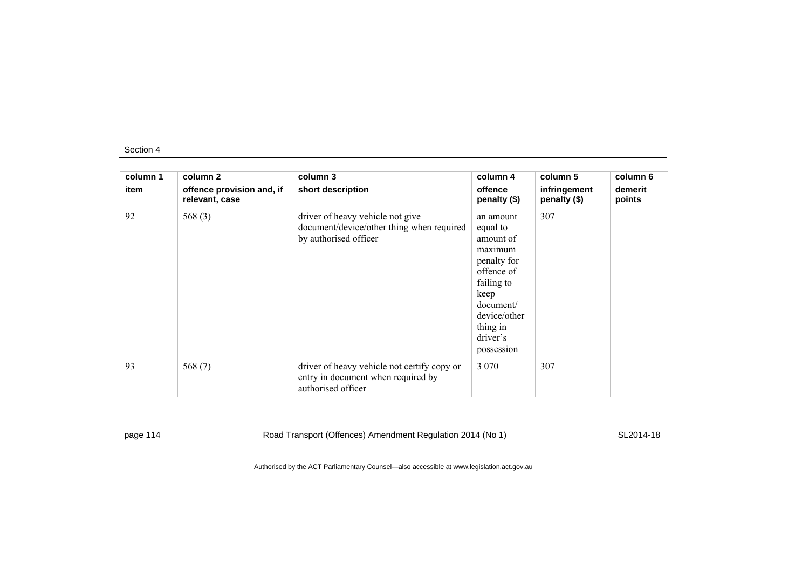| column 1<br>item | column 2<br>offence provision and, if<br>relevant, case | column 3<br>short description                                                                           | column 4<br>offence<br>penalty (\$)                                                                                                                                 | column 5<br>infringement<br>penalty (\$) | column 6<br>demerit<br>points |
|------------------|---------------------------------------------------------|---------------------------------------------------------------------------------------------------------|---------------------------------------------------------------------------------------------------------------------------------------------------------------------|------------------------------------------|-------------------------------|
| 92               | 568 $(3)$                                               | driver of heavy vehicle not give<br>document/device/other thing when required<br>by authorised officer  | an amount<br>equal to<br>amount of<br>maximum<br>penalty for<br>offence of<br>failing to<br>keep<br>document/<br>device/other<br>thing in<br>driver's<br>possession | 307                                      |                               |
| 93               | 568 $(7)$                                               | driver of heavy vehicle not certify copy or<br>entry in document when required by<br>authorised officer | 3 0 7 0                                                                                                                                                             | 307                                      |                               |

page 114 **Road Transport (Offences) Amendment Regulation 2014 (No 1)** SL2014-18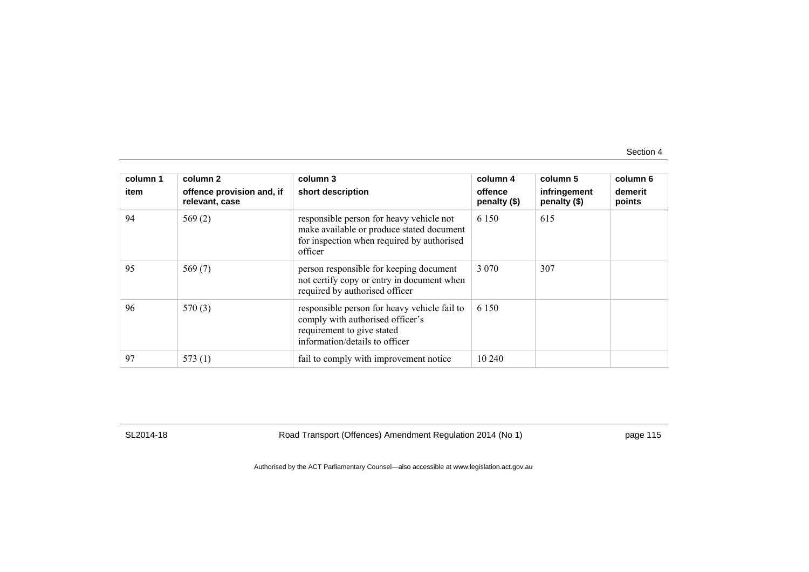| column 1<br>item | column 2<br>offence provision and, if<br>relevant, case | column 3<br>short description                                                                                                                    | column 4<br>offence<br>penalty $(\$)$ | column 5<br>infringement<br>penalty (\$) | column 6<br>demerit<br>points |
|------------------|---------------------------------------------------------|--------------------------------------------------------------------------------------------------------------------------------------------------|---------------------------------------|------------------------------------------|-------------------------------|
| 94               | 569 $(2)$                                               | responsible person for heavy vehicle not<br>make available or produce stated document<br>for inspection when required by authorised<br>officer   | 6 1 5 0                               | 615                                      |                               |
| 95               | 569 $(7)$                                               | person responsible for keeping document<br>not certify copy or entry in document when<br>required by authorised officer                          | 3 0 7 0                               | 307                                      |                               |
| 96               | 570(3)                                                  | responsible person for heavy vehicle fail to<br>comply with authorised officer's<br>requirement to give stated<br>information/details to officer | 6 1 5 0                               |                                          |                               |
| 97               | 573(1)                                                  | fail to comply with improvement notice                                                                                                           | 10 240                                |                                          |                               |

SL2014-18 Road Transport (Offences) Amendment Regulation 2014 (No 1) page 115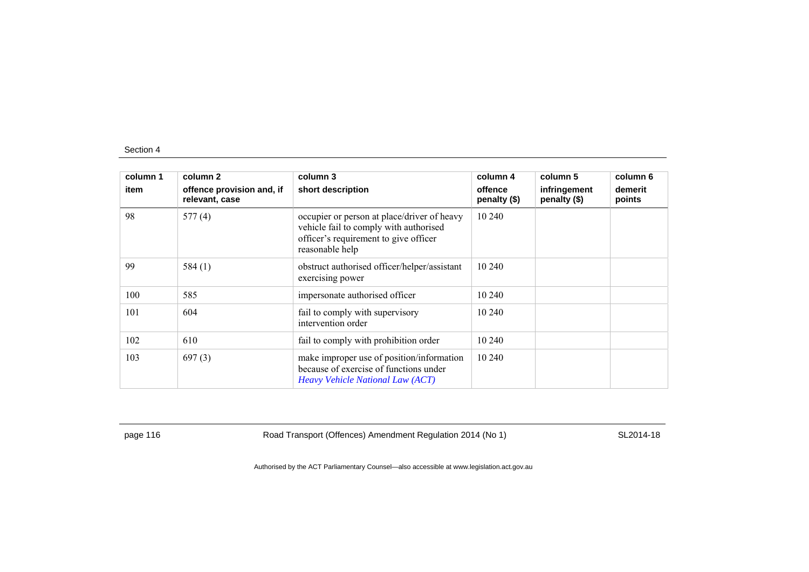| column 1 | column 2                                    | column 3                                                                                                                                          | column 4                | column 5                     | column 6          |
|----------|---------------------------------------------|---------------------------------------------------------------------------------------------------------------------------------------------------|-------------------------|------------------------------|-------------------|
| item     | offence provision and, if<br>relevant, case | short description                                                                                                                                 | offence<br>penalty (\$) | infringement<br>penalty (\$) | demerit<br>points |
| 98       | 577(4)                                      | occupier or person at place/driver of heavy<br>vehicle fail to comply with authorised<br>officer's requirement to give officer<br>reasonable help | 10 240                  |                              |                   |
| 99       | 584(1)                                      | obstruct authorised officer/helper/assistant<br>exercising power                                                                                  | 10 240                  |                              |                   |
| 100      | 585                                         | impersonate authorised officer                                                                                                                    | 10 240                  |                              |                   |
| 101      | 604                                         | fail to comply with supervisory<br>intervention order                                                                                             | 10 240                  |                              |                   |
| 102      | 610                                         | fail to comply with prohibition order                                                                                                             | 10 240                  |                              |                   |
| 103      | 697(3)                                      | make improper use of position/information<br>because of exercise of functions under<br>Heavy Vehicle National Law (ACT)                           | 10 240                  |                              |                   |

page 116 **Road Transport (Offences) Amendment Regulation 2014 (No 1)** SL2014-18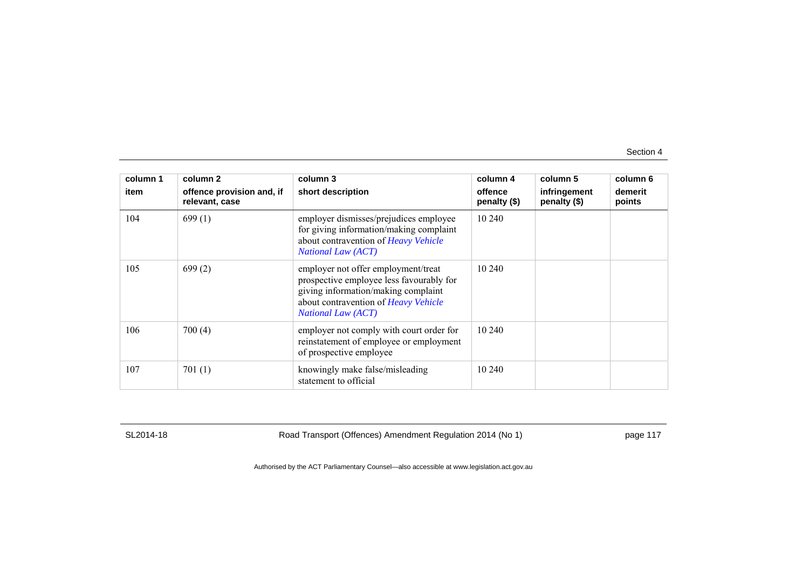| column 1 | column 2                                    | column 3                                                                                                                                                                                    | column 4                | column 5                     | column 6          |
|----------|---------------------------------------------|---------------------------------------------------------------------------------------------------------------------------------------------------------------------------------------------|-------------------------|------------------------------|-------------------|
| item     | offence provision and, if<br>relevant, case | short description                                                                                                                                                                           | offence<br>penalty (\$) | infringement<br>penalty (\$) | demerit<br>points |
| 104      | 699(1)                                      | employer dismisses/prejudices employee<br>for giving information/making complaint<br>about contravention of Heavy Vehicle<br><b>National Law (ACT)</b>                                      | 10 240                  |                              |                   |
| 105      | 699(2)                                      | employer not offer employment/treat<br>prospective employee less favourably for<br>giving information/making complaint<br>about contravention of Heavy Vehicle<br><b>National Law (ACT)</b> | 10 240                  |                              |                   |
| 106      | 700(4)                                      | employer not comply with court order for<br>reinstatement of employee or employment<br>of prospective employee                                                                              | 10 240                  |                              |                   |
| 107      | 701(1)                                      | knowingly make false/misleading<br>statement to official                                                                                                                                    | 10 240                  |                              |                   |

SL2014-18 Road Transport (Offences) Amendment Regulation 2014 (No 1) page 117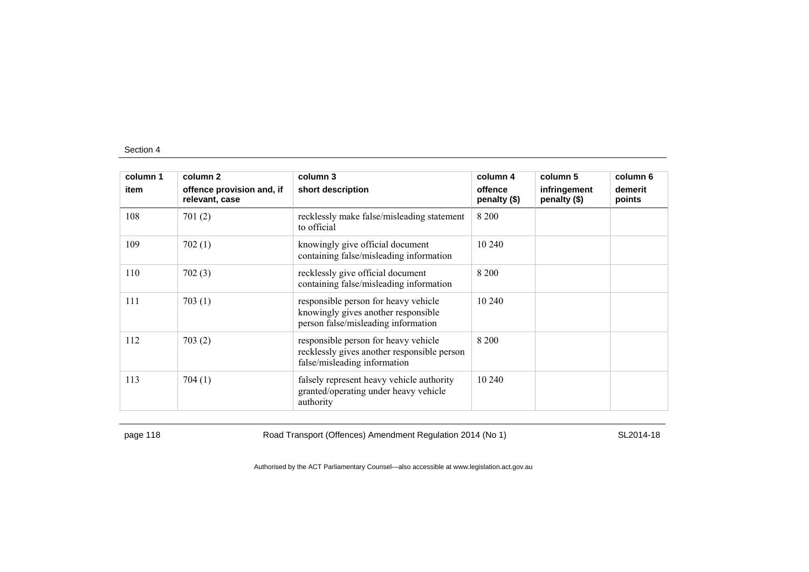| column 1 | column 2                                    | column 3                                                                                                            | column 4                | column 5                     | column 6          |
|----------|---------------------------------------------|---------------------------------------------------------------------------------------------------------------------|-------------------------|------------------------------|-------------------|
| item     | offence provision and, if<br>relevant, case | short description                                                                                                   | offence<br>penalty (\$) | infringement<br>penalty (\$) | demerit<br>points |
| 108      | 701(2)                                      | recklessly make false/misleading statement<br>to official                                                           | 8 2 0 0                 |                              |                   |
| 109      | 702(1)                                      | knowingly give official document<br>containing false/misleading information                                         | 10 240                  |                              |                   |
| 110      | 702(3)                                      | recklessly give official document<br>containing false/misleading information                                        | 8 2 0 0                 |                              |                   |
| 111      | 703(1)                                      | responsible person for heavy vehicle<br>knowingly gives another responsible<br>person false/misleading information  | 10 240                  |                              |                   |
| 112      | 703(2)                                      | responsible person for heavy vehicle<br>recklessly gives another responsible person<br>false/misleading information | 8 2 0 0                 |                              |                   |
| 113      | 704(1)                                      | falsely represent heavy vehicle authority<br>granted/operating under heavy vehicle<br>authority                     | 10 240                  |                              |                   |

page 118 **Road Transport (Offences) Amendment Regulation 2014 (No 1)** SL2014-18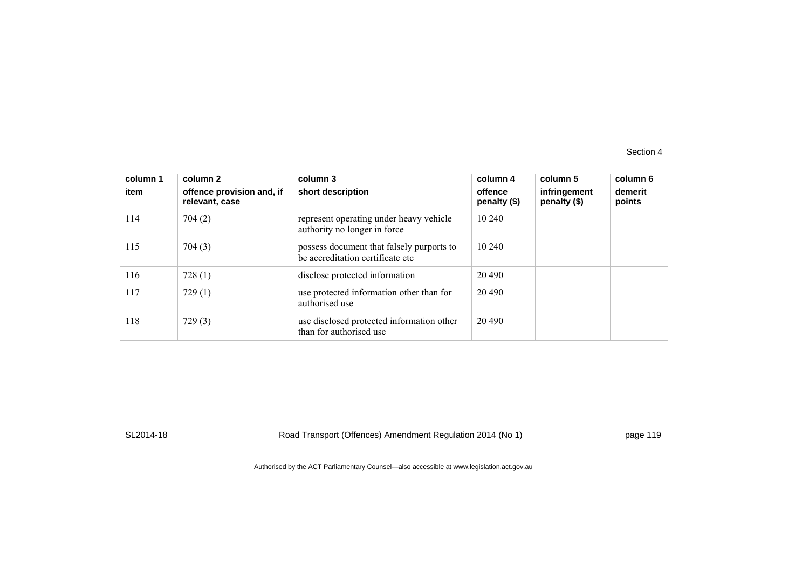| column 1<br>item | column 2<br>offence provision and, if<br>relevant, case | column 3<br>short description                                                 | column 4<br>offence<br>penalty $(\$)$ | column 5<br>infringement<br>penalty (\$) | column 6<br>demerit<br>points |
|------------------|---------------------------------------------------------|-------------------------------------------------------------------------------|---------------------------------------|------------------------------------------|-------------------------------|
| 114              | 704(2)                                                  | represent operating under heavy vehicle<br>authority no longer in force       | 10 240                                |                                          |                               |
| 115              | 704(3)                                                  | possess document that falsely purports to<br>be accreditation certificate etc | 10 240                                |                                          |                               |
| 116              | 728(1)                                                  | disclose protected information                                                | 20 490                                |                                          |                               |
| 117              | 729(1)                                                  | use protected information other than for<br>authorised use                    | 20 490                                |                                          |                               |
| 118              | 729(3)                                                  | use disclosed protected information other<br>than for authorised use          | 20 490                                |                                          |                               |

SL2014-18 Road Transport (Offences) Amendment Regulation 2014 (No 1) page 119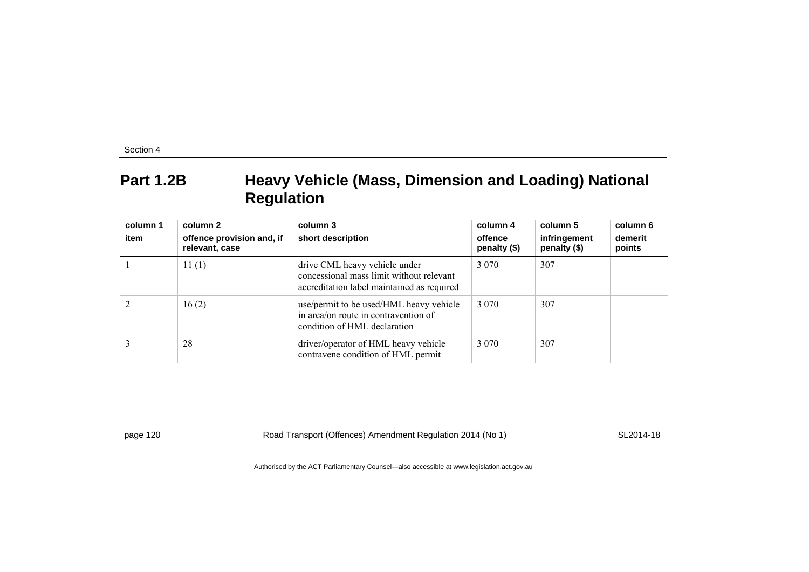### **Part 1.2B Heavy Vehicle (Mass, Dimension and Loading) National Regulation**

| column 1<br>item | column 2<br>offence provision and, if<br>relevant, case | column 3<br>short description                                                                                           | column 4<br>offence<br>penalty (\$) | column 5<br>infringement<br>penalty (\$) | column 6<br>demerit<br>points |
|------------------|---------------------------------------------------------|-------------------------------------------------------------------------------------------------------------------------|-------------------------------------|------------------------------------------|-------------------------------|
|                  | 11(1)                                                   | drive CML heavy vehicle under<br>concessional mass limit without relevant<br>accreditation label maintained as required | 3 0 7 0                             | 307                                      |                               |
|                  | 16(2)                                                   | use/permit to be used/HML heavy vehicle<br>in area/on route in contravention of<br>condition of HML declaration         | 3 0 7 0                             | 307                                      |                               |
|                  | 28                                                      | driver/operator of HML heavy vehicle<br>contravene condition of HML permit                                              | 3 0 7 0                             | 307                                      |                               |

page 120 **Road Transport (Offences) Amendment Regulation 2014 (No 1)** SL2014-18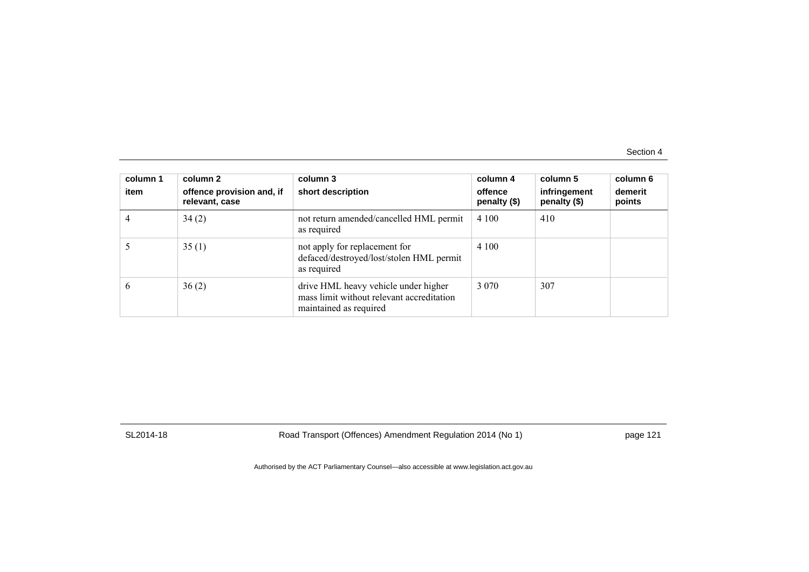| column 1<br>item | column 2<br>offence provision and, if<br>relevant, case | column 3<br>short description                                                                               | column 4<br>offence<br>penalty (\$) | column 5<br>infringement<br>penalty (\$) | column 6<br>demerit<br>points |
|------------------|---------------------------------------------------------|-------------------------------------------------------------------------------------------------------------|-------------------------------------|------------------------------------------|-------------------------------|
|                  | 34(2)                                                   | not return amended/cancelled HML permit<br>as required                                                      | 4 100                               | 410                                      |                               |
|                  | 35(1)                                                   | not apply for replacement for<br>defaced/destroyed/lost/stolen HML permit<br>as required                    | 4 100                               |                                          |                               |
| <sub>0</sub>     | 36(2)                                                   | drive HML heavy vehicle under higher<br>mass limit without relevant accreditation<br>maintained as required | 3 0 7 0                             | 307                                      |                               |

SL2014-18 Road Transport (Offences) Amendment Regulation 2014 (No 1) page 121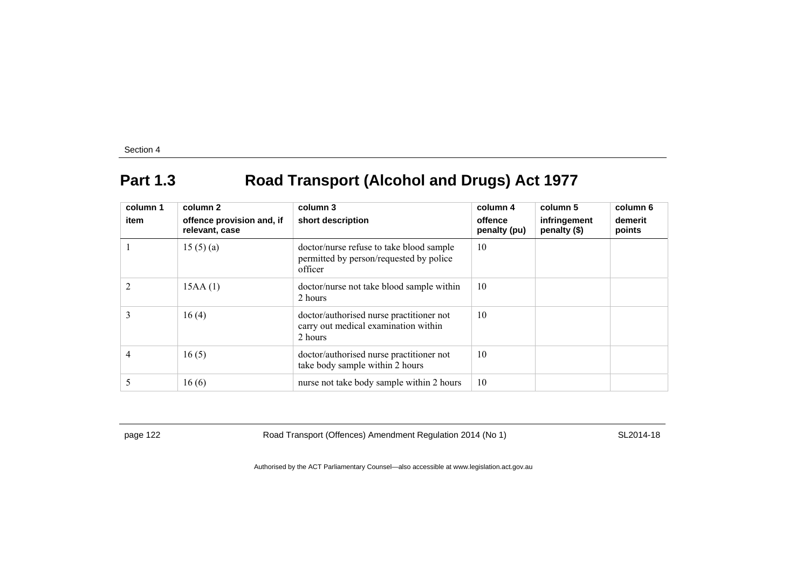# **Part 1.3 Road Transport (Alcohol and Drugs) Act 1977**

| column 1<br>item | column 2<br>offence provision and, if<br>relevant, case | column 3<br>short description                                                                  | column 4<br>offence<br>penalty (pu) | column 5<br>infringement<br>penalty (\$) | column 6<br>demerit<br>points |
|------------------|---------------------------------------------------------|------------------------------------------------------------------------------------------------|-------------------------------------|------------------------------------------|-------------------------------|
|                  | 15(5)(a)                                                | doctor/nurse refuse to take blood sample<br>permitted by person/requested by police<br>officer | 10                                  |                                          |                               |
|                  | 15AA(1)                                                 | doctor/nurse not take blood sample within<br>2 hours                                           | 10                                  |                                          |                               |
| 3                | 16(4)                                                   | doctor/authorised nurse practitioner not<br>carry out medical examination within<br>2 hours    | 10                                  |                                          |                               |
| $\overline{4}$   | 16(5)                                                   | doctor/authorised nurse practitioner not<br>take body sample within 2 hours                    | 10                                  |                                          |                               |
| 5                | 16(6)                                                   | nurse not take body sample within 2 hours                                                      | 10                                  |                                          |                               |

page 122 **Road Transport (Offences) Amendment Regulation 2014 (No 1)** SL2014-18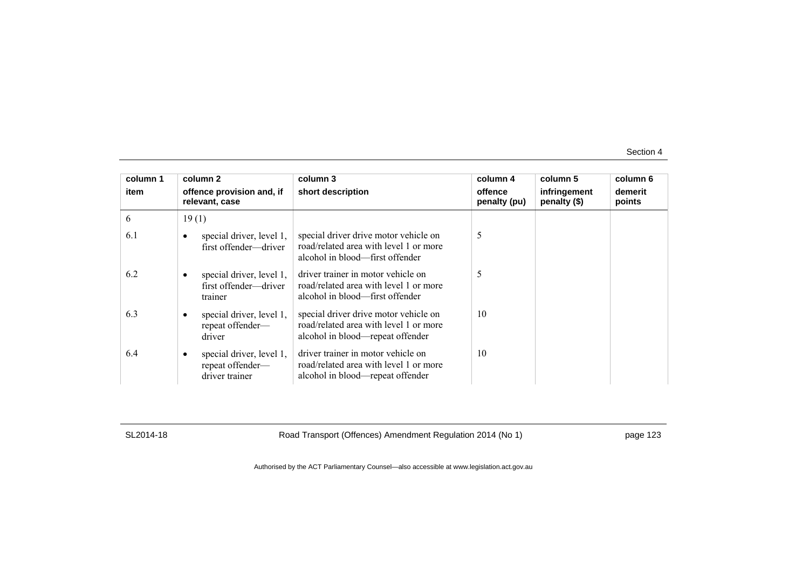| column 1 | column 2                                                       | column 3                                                                                                            | column 4                | column 5                     | column 6          |
|----------|----------------------------------------------------------------|---------------------------------------------------------------------------------------------------------------------|-------------------------|------------------------------|-------------------|
| item     | offence provision and, if<br>relevant, case                    | short description                                                                                                   | offence<br>penalty (pu) | infringement<br>penalty (\$) | demerit<br>points |
| 6        | 19(1)                                                          |                                                                                                                     |                         |                              |                   |
| 6.1      | special driver, level 1,<br>first offender—driver              | special driver drive motor vehicle on<br>road/related area with level 1 or more<br>alcohol in blood—first offender  | 5                       |                              |                   |
| 6.2      | special driver, level 1,<br>first offender-driver<br>trainer   | driver trainer in motor vehicle on<br>road/related area with level 1 or more<br>alcohol in blood—first offender     | 5                       |                              |                   |
| 6.3      | special driver, level 1,<br>repeat offender-<br>driver         | special driver drive motor vehicle on<br>road/related area with level 1 or more<br>alcohol in blood—repeat offender | 10                      |                              |                   |
| 6.4      | special driver, level 1,<br>repeat offender-<br>driver trainer | driver trainer in motor vehicle on<br>road/related area with level 1 or more<br>alcohol in blood—repeat offender    | 10                      |                              |                   |

SL2014-18 Road Transport (Offences) Amendment Regulation 2014 (No 1) page 123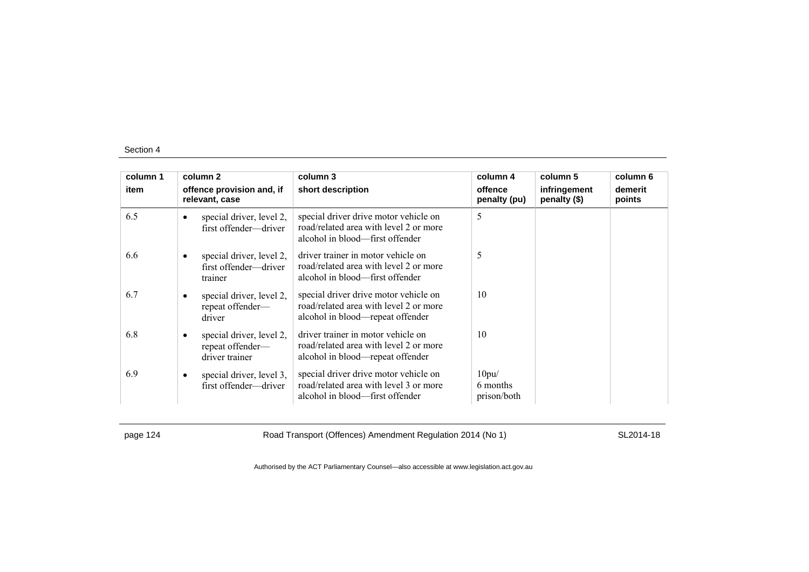| column 1 | column 2                                                       | column 3                                                                                                            | column 4                         | column 5                     | column 6          |
|----------|----------------------------------------------------------------|---------------------------------------------------------------------------------------------------------------------|----------------------------------|------------------------------|-------------------|
| item     | offence provision and, if<br>relevant, case                    | short description                                                                                                   | offence<br>penalty (pu)          | infringement<br>penalty (\$) | demerit<br>points |
| 6.5      | special driver, level 2,<br>first offender—driver              | special driver drive motor vehicle on<br>road/related area with level 2 or more<br>alcohol in blood—first offender  | 5                                |                              |                   |
| 6.6      | special driver, level 2,<br>first offender-driver<br>trainer   | driver trainer in motor vehicle on<br>road/related area with level 2 or more<br>alcohol in blood—first offender     | 5                                |                              |                   |
| 6.7      | special driver, level 2,<br>٠<br>repeat offender-<br>driver    | special driver drive motor vehicle on<br>road/related area with level 2 or more<br>alcohol in blood—repeat offender | 10                               |                              |                   |
| 6.8      | special driver, level 2,<br>repeat offender-<br>driver trainer | driver trainer in motor vehicle on<br>road/related area with level 2 or more<br>alcohol in blood—repeat offender    | 10                               |                              |                   |
| 6.9      | special driver, level 3,<br>$\bullet$<br>first offender-driver | special driver drive motor vehicle on<br>road/related area with level 3 or more<br>alcohol in blood—first offender  | 10pu/<br>6 months<br>prison/both |                              |                   |

page 124 **Road Transport (Offences) Amendment Regulation 2014 (No 1)** SL2014-18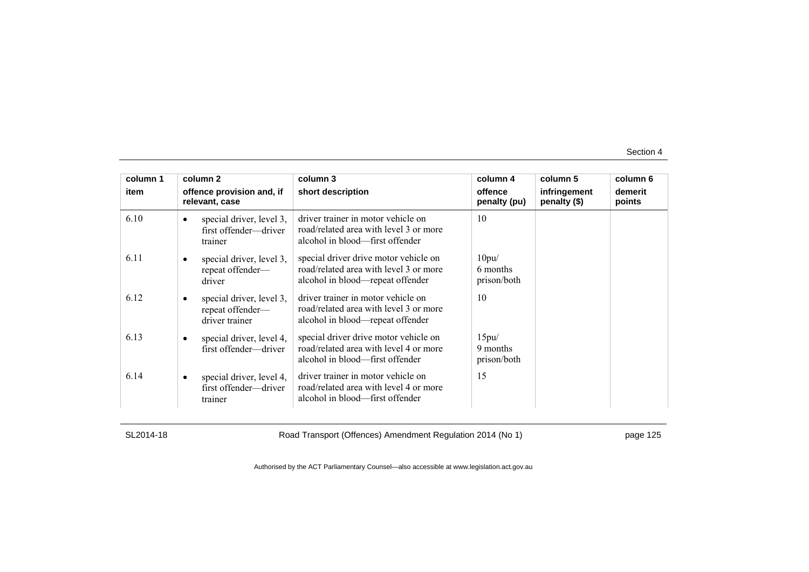| column 1 | column 2                                                       | column 3                                                                                                            | column 4                         | column 5                     | column 6          |
|----------|----------------------------------------------------------------|---------------------------------------------------------------------------------------------------------------------|----------------------------------|------------------------------|-------------------|
| item     | offence provision and, if<br>relevant, case                    | short description                                                                                                   | offence<br>penalty (pu)          | infringement<br>penalty (\$) | demerit<br>points |
| 6.10     | special driver, level 3,<br>first offender-driver<br>trainer   | driver trainer in motor vehicle on<br>road/related area with level 3 or more<br>alcohol in blood—first offender     | 10                               |                              |                   |
| 6.11     | special driver, level 3,<br>repeat offender-<br>driver         | special driver drive motor vehicle on<br>road/related area with level 3 or more<br>alcohol in blood—repeat offender | 10pu/<br>6 months<br>prison/both |                              |                   |
| 6.12     | special driver, level 3,<br>repeat offender-<br>driver trainer | driver trainer in motor vehicle on<br>road/related area with level 3 or more<br>alcohol in blood—repeat offender    | 10                               |                              |                   |
| 6.13     | special driver, level 4,<br>first offender—driver              | special driver drive motor vehicle on<br>road/related area with level 4 or more<br>alcohol in blood—first offender  | 15pu/<br>9 months<br>prison/both |                              |                   |
| 6.14     | special driver, level 4,<br>first offender—driver<br>trainer   | driver trainer in motor vehicle on<br>road/related area with level 4 or more<br>alcohol in blood—first offender     | 15                               |                              |                   |

SL2014-18 Road Transport (Offences) Amendment Regulation 2014 (No 1) page 125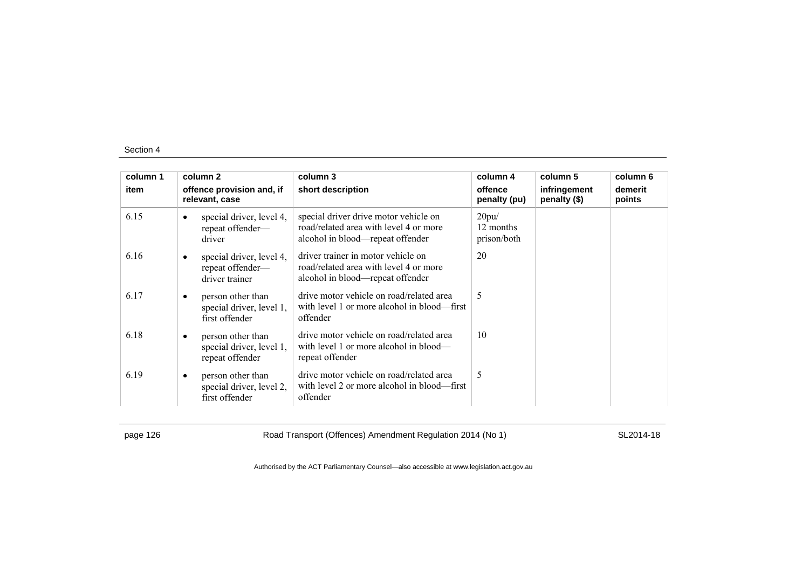| column 1 |   | column 2                                                         | column 3                                                                                                            | column 4                          | column 5                     | column 6          |
|----------|---|------------------------------------------------------------------|---------------------------------------------------------------------------------------------------------------------|-----------------------------------|------------------------------|-------------------|
| item     |   | offence provision and, if<br>relevant, case                      | short description                                                                                                   | offence<br>penalty (pu)           | infringement<br>penalty (\$) | demerit<br>points |
| 6.15     |   | special driver, level 4,<br>repeat offender-<br>driver           | special driver drive motor vehicle on<br>road/related area with level 4 or more<br>alcohol in blood—repeat offender | 20pu/<br>12 months<br>prison/both |                              |                   |
| 6.16     |   | special driver, level 4,<br>repeat offender-<br>driver trainer   | driver trainer in motor vehicle on<br>road/related area with level 4 or more<br>alcohol in blood—repeat offender    | 20                                |                              |                   |
| 6.17     |   | person other than<br>special driver, level 1,<br>first offender  | drive motor vehicle on road/related area<br>with level 1 or more alcohol in blood—first<br>offender                 | 5                                 |                              |                   |
| 6.18     | ٠ | person other than<br>special driver, level 1,<br>repeat offender | drive motor vehicle on road/related area<br>with level 1 or more alcohol in blood—<br>repeat offender               | 10                                |                              |                   |
| 6.19     | ٠ | person other than<br>special driver, level 2,<br>first offender  | drive motor vehicle on road/related area<br>with level 2 or more alcohol in blood—first<br>offender                 | 5                                 |                              |                   |

page 126 **Road Transport (Offences) Amendment Regulation 2014 (No 1)** SL2014-18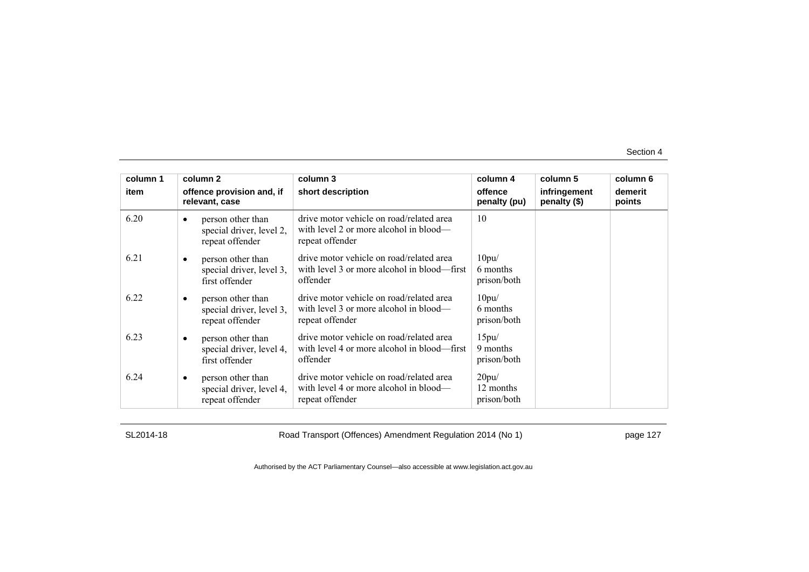| column 1 |           | column 2                                                         | column 3                                                                                              | column 4                          | column 5                     | column 6          |
|----------|-----------|------------------------------------------------------------------|-------------------------------------------------------------------------------------------------------|-----------------------------------|------------------------------|-------------------|
| item     |           | offence provision and, if<br>relevant, case                      | short description                                                                                     | offence<br>penalty (pu)           | infringement<br>penalty (\$) | demerit<br>points |
| 6.20     | $\bullet$ | person other than<br>special driver, level 2,<br>repeat offender | drive motor vehicle on road/related area<br>with level 2 or more alcohol in blood—<br>repeat offender | 10                                |                              |                   |
| 6.21     |           | person other than<br>special driver, level 3,<br>first offender  | drive motor vehicle on road/related area<br>with level 3 or more alcohol in blood—first<br>offender   | 10pu/<br>6 months<br>prison/both  |                              |                   |
| 6.22     | ٠         | person other than<br>special driver, level 3,<br>repeat offender | drive motor vehicle on road/related area<br>with level 3 or more alcohol in blood—<br>repeat offender | 10pu/<br>6 months<br>prison/both  |                              |                   |
| 6.23     |           | person other than<br>special driver, level 4,<br>first offender  | drive motor vehicle on road/related area<br>with level 4 or more alcohol in blood—first<br>offender   | 15pu/<br>9 months<br>prison/both  |                              |                   |
| 6.24     |           | person other than<br>special driver, level 4,<br>repeat offender | drive motor vehicle on road/related area<br>with level 4 or more alcohol in blood—<br>repeat offender | 20pu/<br>12 months<br>prison/both |                              |                   |

SL2014-18 Road Transport (Offences) Amendment Regulation 2014 (No 1) page 127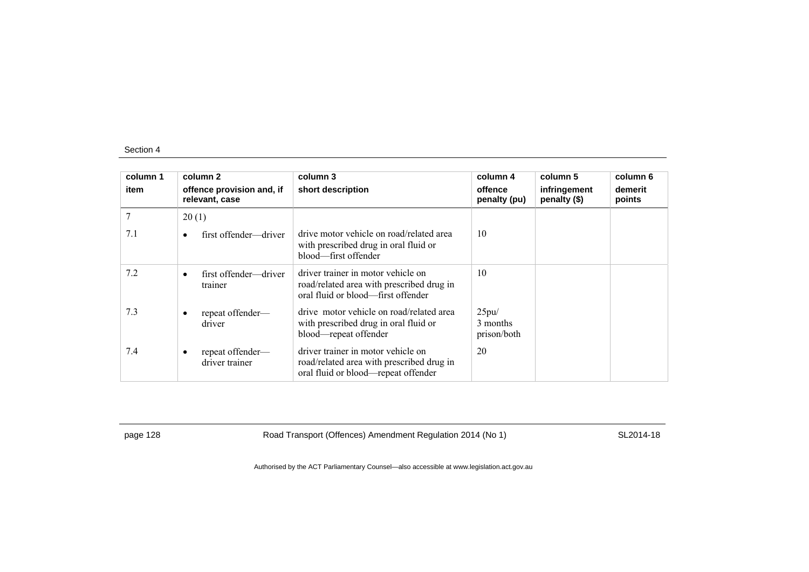| column 1<br>item | column 2<br>offence provision and, if<br>relevant, case | column 3<br>short description                                                                                          | column 4<br>offence<br>penalty (pu) | column 5<br>infringement<br>penalty (\$) | column 6<br>demerit<br>points |
|------------------|---------------------------------------------------------|------------------------------------------------------------------------------------------------------------------------|-------------------------------------|------------------------------------------|-------------------------------|
| 7                | 20(1)                                                   |                                                                                                                        |                                     |                                          |                               |
| 7.1              | first offender—driver<br>$\bullet$                      | drive motor vehicle on road/related area<br>with prescribed drug in oral fluid or<br>blood—first offender              | 10                                  |                                          |                               |
| 7.2              | first offender—driver<br>$\bullet$<br>trainer           | driver trainer in motor vehicle on<br>road/related area with prescribed drug in<br>oral fluid or blood—first offender  | 10                                  |                                          |                               |
| 7.3              | repeat offender-<br>driver                              | drive motor vehicle on road/related area<br>with prescribed drug in oral fluid or<br>blood—repeat offender             | 25pu/<br>3 months<br>prison/both    |                                          |                               |
| 7.4              | repeat offender-<br>٠<br>driver trainer                 | driver trainer in motor vehicle on<br>road/related area with prescribed drug in<br>oral fluid or blood—repeat offender | 20                                  |                                          |                               |

page 128 **Road Transport (Offences) Amendment Regulation 2014 (No 1)** SL2014-18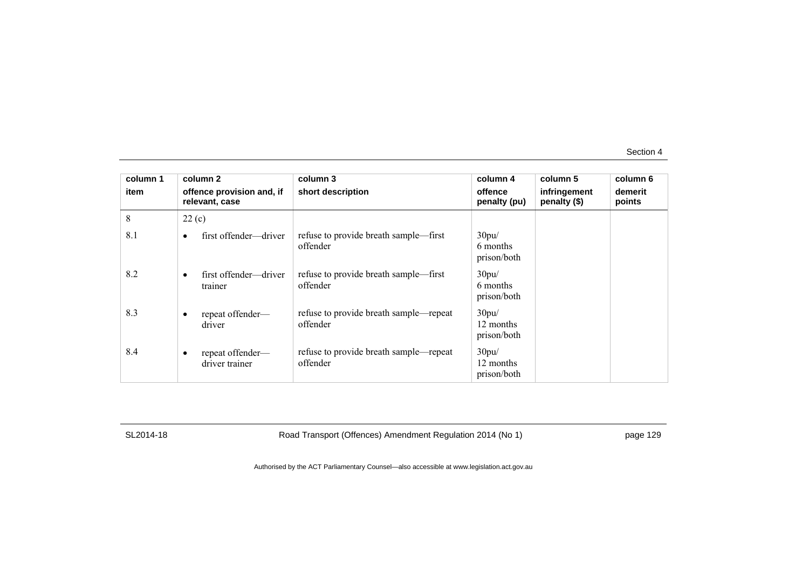| column 1 | column 2                                    | column 3                                           | column 4                          | column 5                     | column 6          |
|----------|---------------------------------------------|----------------------------------------------------|-----------------------------------|------------------------------|-------------------|
| item     | offence provision and, if<br>relevant, case | short description                                  | offence<br>penalty (pu)           | infringement<br>penalty (\$) | demerit<br>points |
| 8        | 22(c)                                       |                                                    |                                   |                              |                   |
| 8.1      | first offender—driver                       | refuse to provide breath sample—first<br>offender  | 30pu/<br>6 months<br>prison/both  |                              |                   |
| 8.2      | first offender—driver<br>٠<br>trainer       | refuse to provide breath sample—first<br>offender  | 30pu/<br>6 months<br>prison/both  |                              |                   |
| 8.3      | repeat offender-<br>٠<br>driver             | refuse to provide breath sample—repeat<br>offender | 30pu/<br>12 months<br>prison/both |                              |                   |
| 8.4      | repeat offender-<br>٠<br>driver trainer     | refuse to provide breath sample—repeat<br>offender | 30pu/<br>12 months<br>prison/both |                              |                   |

SL2014-18 Road Transport (Offences) Amendment Regulation 2014 (No 1) page 129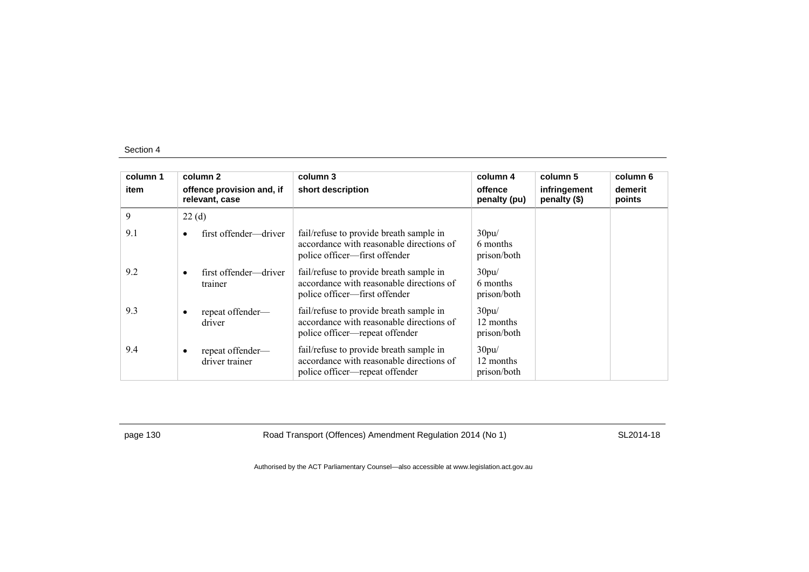| column 1 | column 2                                      | column 3                                                                                                              | column 4                          | column 5                     | column 6          |
|----------|-----------------------------------------------|-----------------------------------------------------------------------------------------------------------------------|-----------------------------------|------------------------------|-------------------|
| item     | offence provision and, if<br>relevant, case   | short description                                                                                                     | offence<br>penalty (pu)           | infringement<br>penalty (\$) | demerit<br>points |
| 9        | 22(d)                                         |                                                                                                                       |                                   |                              |                   |
| 9.1      | first offender—driver<br>$\bullet$            | fail/refuse to provide breath sample in<br>accordance with reasonable directions of<br>police officer—first offender  | 30pu/<br>6 months<br>prison/both  |                              |                   |
| 9.2      | first offender—driver<br>$\bullet$<br>trainer | fail/refuse to provide breath sample in<br>accordance with reasonable directions of<br>police officer—first offender  | 30pu/<br>6 months<br>prison/both  |                              |                   |
| 9.3      | repeat offender-<br>$\bullet$<br>driver       | fail/refuse to provide breath sample in<br>accordance with reasonable directions of<br>police officer—repeat offender | 30pu/<br>12 months<br>prison/both |                              |                   |
| 9.4      | repeat offender—<br>٠<br>driver trainer       | fail/refuse to provide breath sample in<br>accordance with reasonable directions of<br>police officer—repeat offender | 30pu/<br>12 months<br>prison/both |                              |                   |

page 130 Road Transport (Offences) Amendment Regulation 2014 (No 1) SL2014-18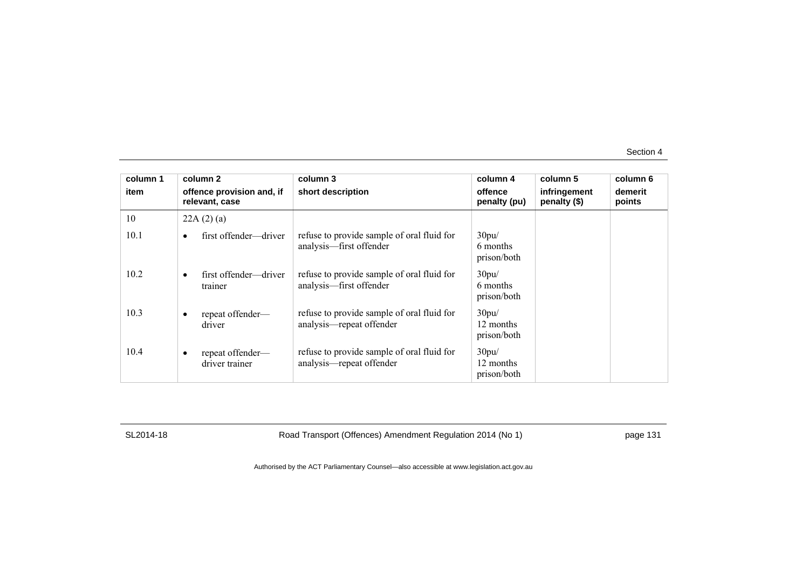| column 1 | column 2                                        | column 3                                                               | column 4                          | column 5                     | column 6          |
|----------|-------------------------------------------------|------------------------------------------------------------------------|-----------------------------------|------------------------------|-------------------|
| item     | offence provision and, if<br>relevant, case     | short description                                                      | offence<br>penalty (pu)           | infringement<br>penalty (\$) | demerit<br>points |
| 10       | 22A(2)(a)                                       |                                                                        |                                   |                              |                   |
| 10.1     | first offender—driver                           | refuse to provide sample of oral fluid for<br>analysis—first offender  | 30pu/<br>6 months<br>prison/both  |                              |                   |
| 10.2     | first offender—driver<br>٠<br>trainer           | refuse to provide sample of oral fluid for<br>analysis-first offender  | 30pu/<br>6 months<br>prison/both  |                              |                   |
| 10.3     | repeat offender-<br>driver                      | refuse to provide sample of oral fluid for<br>analysis—repeat offender | 30pu/<br>12 months<br>prison/both |                              |                   |
| 10.4     | repeat offender-<br>$\bullet$<br>driver trainer | refuse to provide sample of oral fluid for<br>analysis—repeat offender | 30pu/<br>12 months<br>prison/both |                              |                   |

SL2014-18 Road Transport (Offences) Amendment Regulation 2014 (No 1) page 131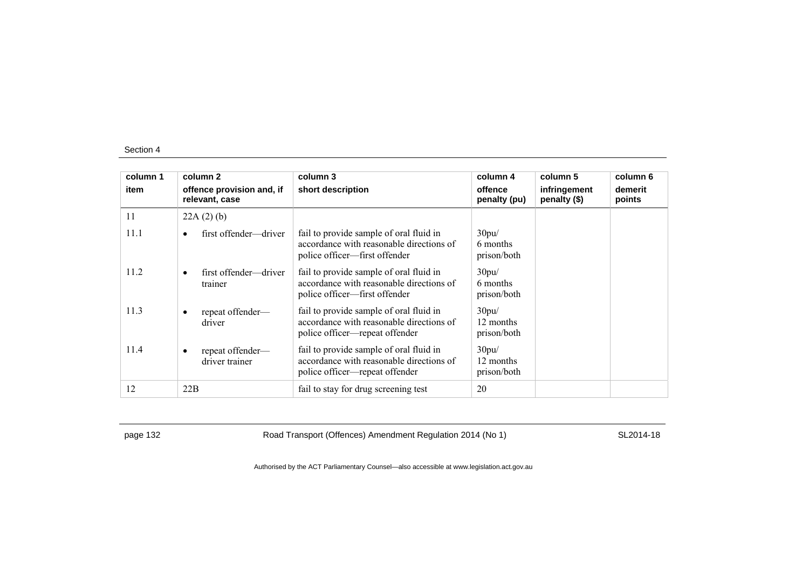| column 1 | column 2                                        | column 3                                                                                                              | column 4                          | column 5                     | column 6          |
|----------|-------------------------------------------------|-----------------------------------------------------------------------------------------------------------------------|-----------------------------------|------------------------------|-------------------|
| item     | offence provision and, if<br>relevant, case     | short description                                                                                                     | offence<br>penalty (pu)           | infringement<br>penalty (\$) | demerit<br>points |
| 11       | 22A(2)(b)                                       |                                                                                                                       |                                   |                              |                   |
| 11.1     | first offender—driver                           | fail to provide sample of oral fluid in<br>accordance with reasonable directions of<br>police officer—first offender  | 30pu/<br>6 months<br>prison/both  |                              |                   |
| 11.2     | first offender—driver<br>$\bullet$<br>trainer   | fail to provide sample of oral fluid in<br>accordance with reasonable directions of<br>police officer—first offender  | 30pu/<br>6 months<br>prison/both  |                              |                   |
| 11.3     | repeat offender-<br>$\bullet$<br>driver         | fail to provide sample of oral fluid in<br>accordance with reasonable directions of<br>police officer—repeat offender | 30pu/<br>12 months<br>prison/both |                              |                   |
| 11.4     | repeat offender-<br>$\bullet$<br>driver trainer | fail to provide sample of oral fluid in<br>accordance with reasonable directions of<br>police officer—repeat offender | 30pu/<br>12 months<br>prison/both |                              |                   |
| 12       | 22B                                             | fail to stay for drug screening test                                                                                  | 20                                |                              |                   |

page 132 **Road Transport (Offences) Amendment Regulation 2014 (No 1)** SL2014-18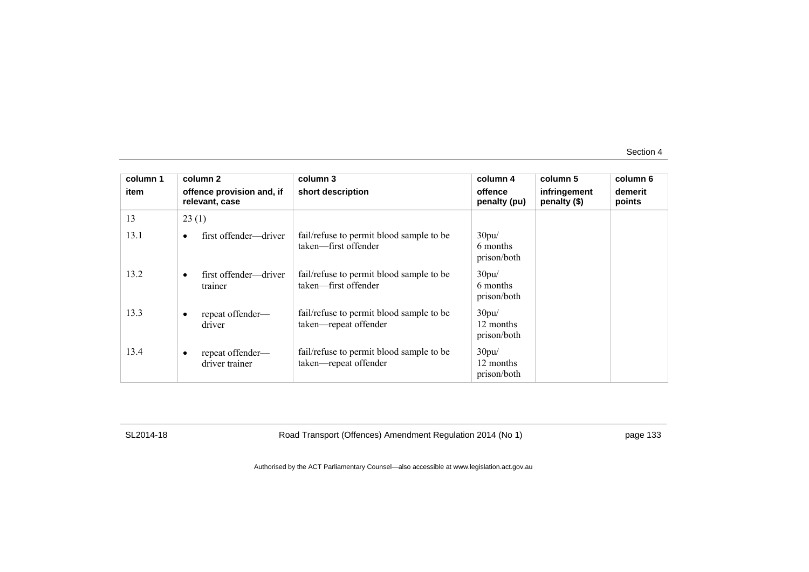| column 1 | column 2            |                           | column 3                                                          | column 4                          | column 5                     | column 6          |
|----------|---------------------|---------------------------|-------------------------------------------------------------------|-----------------------------------|------------------------------|-------------------|
| item     | relevant, case      | offence provision and, if | short description                                                 | offence<br>penalty (pu)           | infringement<br>penalty (\$) | demerit<br>points |
| 13       | 23(1)               |                           |                                                                   |                                   |                              |                   |
| 13.1     |                     | first offender—driver     | fail/refuse to permit blood sample to be<br>taken—first offender  | 30pu/<br>6 months<br>prison/both  |                              |                   |
| 13.2     | ٠<br>trainer        | first offender—driver     | fail/refuse to permit blood sample to be<br>taken—first offender  | 30pu/<br>6 months<br>prison/both  |                              |                   |
| 13.3     | ٠<br>driver         | repeat offender-          | fail/refuse to permit blood sample to be<br>taken-repeat offender | 30pu/<br>12 months<br>prison/both |                              |                   |
| 13.4     | ٠<br>driver trainer | repeat offender—          | fail/refuse to permit blood sample to be<br>taken-repeat offender | 30pu/<br>12 months<br>prison/both |                              |                   |

SL2014-18 Road Transport (Offences) Amendment Regulation 2014 (No 1) page 133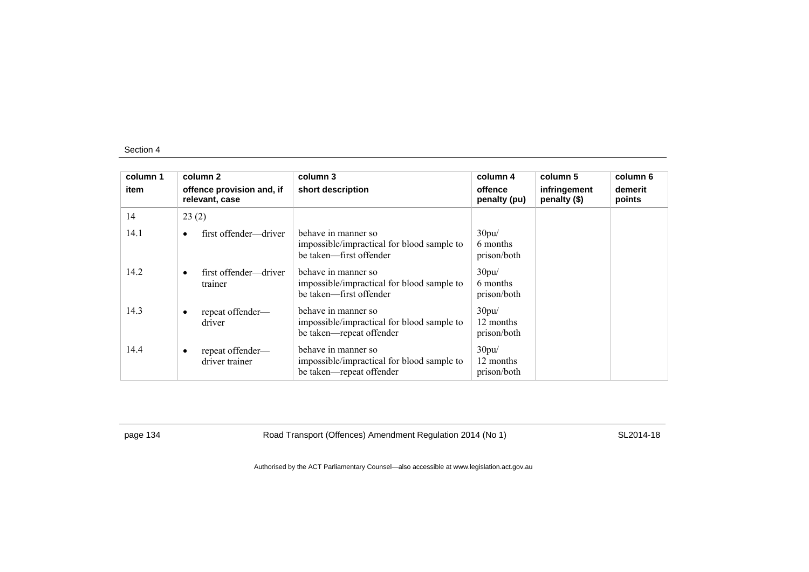| column 1 | column 2                                      | column 3                                                                                      | column 4                          | column 5                     | column 6          |
|----------|-----------------------------------------------|-----------------------------------------------------------------------------------------------|-----------------------------------|------------------------------|-------------------|
| item     | offence provision and, if<br>relevant, case   | short description                                                                             | offence<br>penalty (pu)           | infringement<br>penalty (\$) | demerit<br>points |
| 14       | 23(2)                                         |                                                                                               |                                   |                              |                   |
| 14.1     | first offender—driver<br>$\bullet$            | behave in manner so<br>impossible/impractical for blood sample to<br>be taken—first offender  | 30pu/<br>6 months<br>prison/both  |                              |                   |
| 14.2     | first offender—driver<br>$\bullet$<br>trainer | behave in manner so<br>impossible/impractical for blood sample to<br>be taken—first offender  | 30pu/<br>6 months<br>prison/both  |                              |                   |
| 14.3     | repeat offender-<br>٠<br>driver               | behave in manner so<br>impossible/impractical for blood sample to<br>be taken-repeat offender | 30pu/<br>12 months<br>prison/both |                              |                   |
| 14.4     | repeat offender-<br>٠<br>driver trainer       | behave in manner so<br>impossible/impractical for blood sample to<br>be taken—repeat offender | 30pu/<br>12 months<br>prison/both |                              |                   |

page 134 **Road Transport (Offences) Amendment Regulation 2014 (No 1)** SL2014-18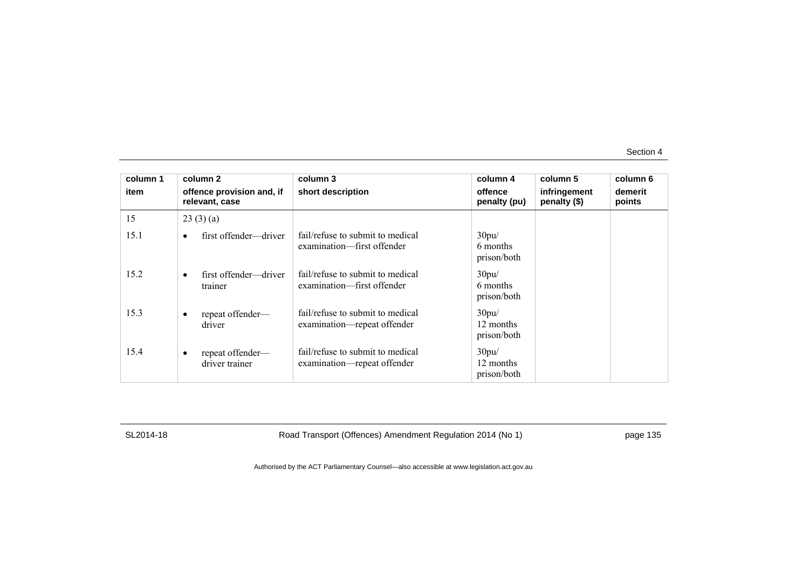| column 1 | column 2                                    | column 3                                                        | column 4                          | column 5                     | column 6          |
|----------|---------------------------------------------|-----------------------------------------------------------------|-----------------------------------|------------------------------|-------------------|
| item     | offence provision and, if<br>relevant, case | short description                                               | offence<br>penalty (pu)           | infringement<br>penalty (\$) | demerit<br>points |
| 15       | 23(3)(a)                                    |                                                                 |                                   |                              |                   |
| 15.1     | first offender—driver                       | fail/refuse to submit to medical<br>examination—first offender  | 30pu/<br>6 months<br>prison/both  |                              |                   |
| 15.2     | first offender—driver<br>trainer            | fail/refuse to submit to medical<br>examination—first offender  | 30pu/<br>6 months<br>prison/both  |                              |                   |
| 15.3     | repeat offender-<br>driver                  | fail/refuse to submit to medical<br>examination—repeat offender | 30pu/<br>12 months<br>prison/both |                              |                   |
| 15.4     | repeat offender-<br>driver trainer          | fail/refuse to submit to medical<br>examination—repeat offender | 30pu/<br>12 months<br>prison/both |                              |                   |

SL2014-18 Road Transport (Offences) Amendment Regulation 2014 (No 1) page 135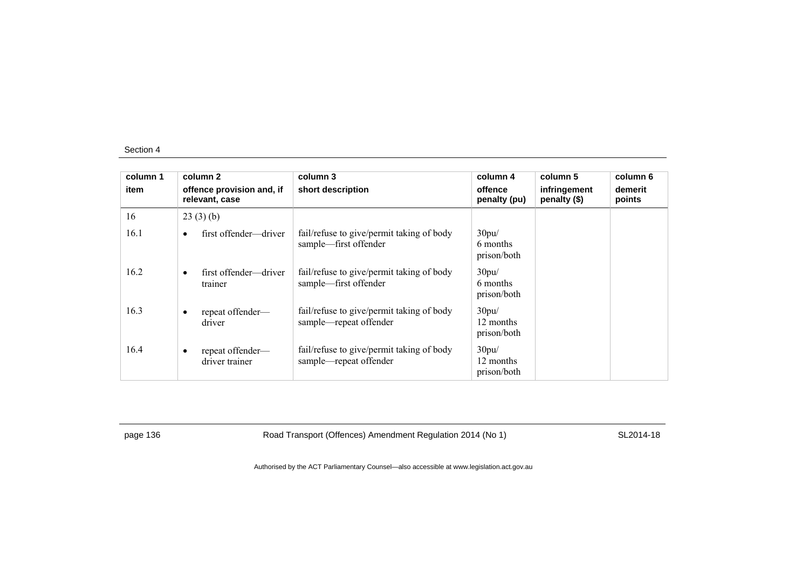| column 1 | column 2                                        | column 3                                                            | column 4                          | column 5                     | column 6          |
|----------|-------------------------------------------------|---------------------------------------------------------------------|-----------------------------------|------------------------------|-------------------|
| item     | offence provision and, if<br>relevant, case     | short description                                                   | offence<br>penalty (pu)           | infringement<br>penalty (\$) | demerit<br>points |
| 16       | 23(3)(b)                                        |                                                                     |                                   |                              |                   |
| 16.1     | first offender—driver<br>$\bullet$              | fail/refuse to give/permit taking of body<br>sample—first offender  | 30pu/<br>6 months<br>prison/both  |                              |                   |
| 16.2     | first offender—driver<br>$\bullet$<br>trainer   | fail/refuse to give/permit taking of body<br>sample—first offender  | 30pu/<br>6 months<br>prison/both  |                              |                   |
| 16.3     | repeat offender-<br>$\bullet$<br>driver         | fail/refuse to give/permit taking of body<br>sample—repeat offender | 30pu/<br>12 months<br>prison/both |                              |                   |
| 16.4     | repeat offender-<br>$\bullet$<br>driver trainer | fail/refuse to give/permit taking of body<br>sample—repeat offender | 30pu/<br>12 months<br>prison/both |                              |                   |

page 136 **Road Transport (Offences) Amendment Regulation 2014 (No 1)** SL2014-18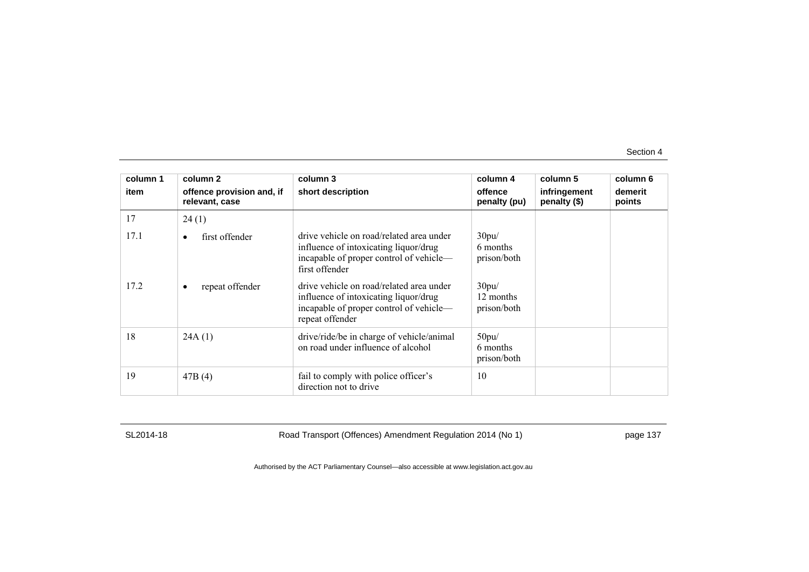| column 1 | column 2                                    | column 3                                                                                                                                        | column 4                          | column 5                     | column 6          |
|----------|---------------------------------------------|-------------------------------------------------------------------------------------------------------------------------------------------------|-----------------------------------|------------------------------|-------------------|
| item     | offence provision and, if<br>relevant, case | short description                                                                                                                               | offence<br>penalty (pu)           | infringement<br>penalty (\$) | demerit<br>points |
| 17       | 24(1)                                       |                                                                                                                                                 |                                   |                              |                   |
| 17.1     | first offender<br>$\bullet$                 | drive vehicle on road/related area under<br>influence of intoxicating liquor/drug<br>incapable of proper control of vehicle—<br>first offender  | 30pu/<br>6 months<br>prison/both  |                              |                   |
| 17.2     | repeat offender<br>$\bullet$                | drive vehicle on road/related area under<br>influence of intoxicating liquor/drug<br>incapable of proper control of vehicle-<br>repeat offender | 30pu/<br>12 months<br>prison/both |                              |                   |
| 18       | 24A(1)                                      | drive/ride/be in charge of vehicle/animal<br>on road under influence of alcohol                                                                 | 50pu/<br>6 months<br>prison/both  |                              |                   |
| 19       | 47B(4)                                      | fail to comply with police officer's<br>direction not to drive                                                                                  | 10                                |                              |                   |

SL2014-18 Road Transport (Offences) Amendment Regulation 2014 (No 1) page 137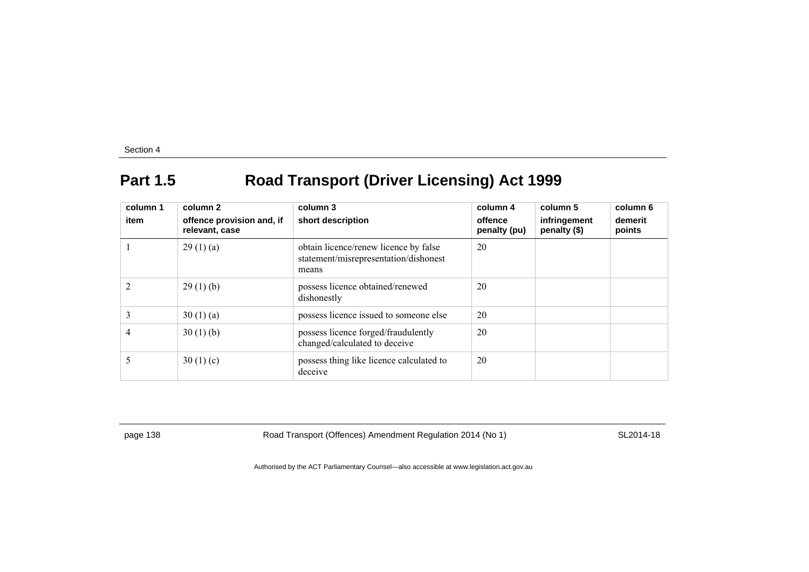# **Part 1.5 Road Transport (Driver Licensing) Act 1999**

| column 1<br>item | column 2<br>offence provision and, if<br>relevant, case | column 3<br>short description                                                           | column 4<br>offence<br>penalty (pu) | column 5<br>infringement<br>penalty (\$) | column 6<br>demerit<br>points |
|------------------|---------------------------------------------------------|-----------------------------------------------------------------------------------------|-------------------------------------|------------------------------------------|-------------------------------|
|                  | 29(1)(a)                                                | obtain licence/renew licence by false<br>statement/misrepresentation/dishonest<br>means | 20                                  |                                          |                               |
|                  | 29(1)(b)                                                | possess licence obtained/renewed<br>dishonestly                                         | 20                                  |                                          |                               |
| 3                | 30(1)(a)                                                | possess licence issued to someone else                                                  | 20                                  |                                          |                               |
| 4                | 30(1)(b)                                                | possess licence forged/fraudulently<br>changed/calculated to deceive                    | 20                                  |                                          |                               |
|                  | 30(1)(c)                                                | possess thing like licence calculated to<br>deceive                                     | 20                                  |                                          |                               |

page 138 Road Transport (Offences) Amendment Regulation 2014 (No 1) SL2014-18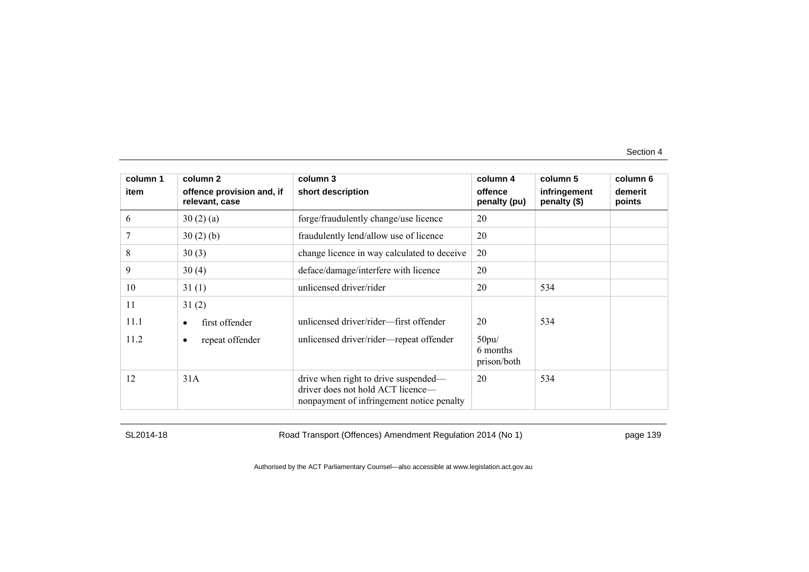| column 1 | column 2                                    | column 3                                                                                                               | column 4                         | column 5                     | column 6          |
|----------|---------------------------------------------|------------------------------------------------------------------------------------------------------------------------|----------------------------------|------------------------------|-------------------|
| item     | offence provision and, if<br>relevant, case | short description                                                                                                      | offence<br>penalty (pu)          | infringement<br>penalty (\$) | demerit<br>points |
| 6        | 30(2)(a)                                    | forge/fraudulently change/use licence                                                                                  | 20                               |                              |                   |
|          | 30(2)(b)                                    | fraudulently lend/allow use of licence                                                                                 | 20                               |                              |                   |
| 8        | 30(3)                                       | change licence in way calculated to deceive                                                                            | 20                               |                              |                   |
| 9        | 30(4)                                       | deface/damage/interfere with licence                                                                                   | 20                               |                              |                   |
| 10       | 31(1)                                       | unlicensed driver/rider                                                                                                | 20                               | 534                          |                   |
| 11       | 31(2)                                       |                                                                                                                        |                                  |                              |                   |
| 11.1     | first offender<br>٠                         | unlicensed driver/rider-first offender                                                                                 | 20                               | 534                          |                   |
| 11.2     | repeat offender<br>٠                        | unlicensed driver/rider-repeat offender                                                                                | 50pu/<br>6 months<br>prison/both |                              |                   |
| 12       | 31A                                         | drive when right to drive suspended—<br>driver does not hold ACT licence—<br>nonpayment of infringement notice penalty | 20                               | 534                          |                   |

SL2014-18 Road Transport (Offences) Amendment Regulation 2014 (No 1) page 139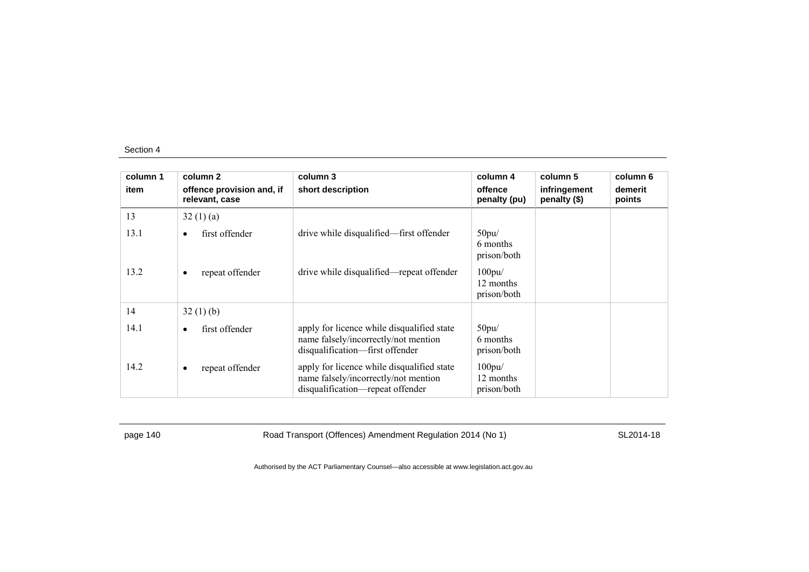| column 1 | column 2                                    | column 3                                                                                                               | column 4                                 | column 5                     | column 6          |
|----------|---------------------------------------------|------------------------------------------------------------------------------------------------------------------------|------------------------------------------|------------------------------|-------------------|
| item     | offence provision and, if<br>relevant, case | short description                                                                                                      | offence<br>penalty (pu)                  | infringement<br>penalty (\$) | demerit<br>points |
| 13       | 32(1)(a)                                    |                                                                                                                        |                                          |                              |                   |
| 13.1     | first offender<br>$\bullet$                 | drive while disqualified—first offender                                                                                | 50pu/<br>6 months<br>prison/both         |                              |                   |
| 13.2     | repeat offender<br>$\bullet$                | drive while disqualified—repeat offender                                                                               | $100$ pu $/$<br>12 months<br>prison/both |                              |                   |
| 14       | 32(1)(b)                                    |                                                                                                                        |                                          |                              |                   |
| 14.1     | first offender<br>$\bullet$                 | apply for licence while disqualified state<br>name falsely/incorrectly/not mention<br>disqualification-first offender  | 50pu/<br>6 months<br>prison/both         |                              |                   |
| 14.2     | repeat offender<br>$\bullet$                | apply for licence while disqualified state<br>name falsely/incorrectly/not mention<br>disqualification—repeat offender | 100pu/<br>12 months<br>prison/both       |                              |                   |

page 140 Road Transport (Offences) Amendment Regulation 2014 (No 1) SL2014-18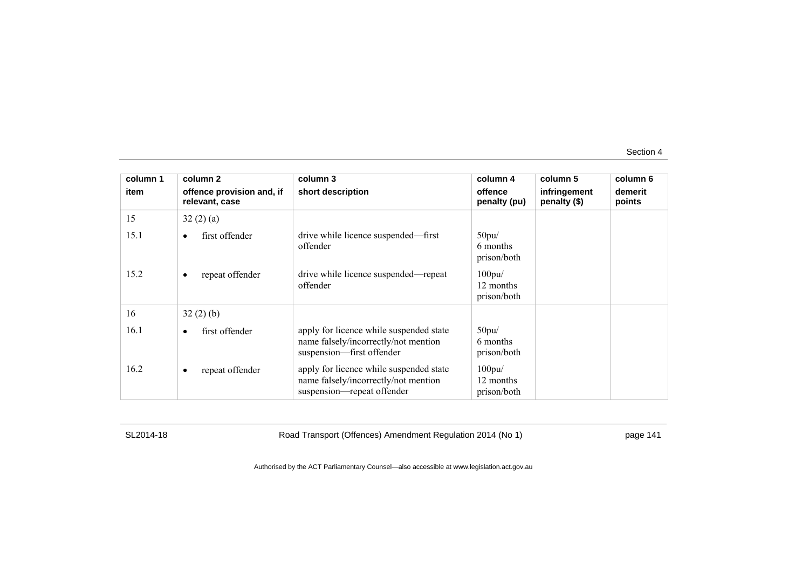| column 1 | column 2                                    | column 3                                                                                                      | column 4                                 | column 5                     | column 6          |
|----------|---------------------------------------------|---------------------------------------------------------------------------------------------------------------|------------------------------------------|------------------------------|-------------------|
| item     | offence provision and, if<br>relevant, case | short description                                                                                             | offence<br>penalty (pu)                  | infringement<br>penalty (\$) | demerit<br>points |
| 15       | 32(2)(a)                                    |                                                                                                               |                                          |                              |                   |
| 15.1     | first offender<br>$\bullet$                 | drive while licence suspended—first<br>offender                                                               | 50pu/<br>6 months<br>prison/both         |                              |                   |
| 15.2     | repeat offender<br>٠                        | drive while licence suspended—repeat<br>offender                                                              | $100$ pu $/$<br>12 months<br>prison/both |                              |                   |
| 16       | 32(2)(b)                                    |                                                                                                               |                                          |                              |                   |
| 16.1     | first offender<br>$\bullet$                 | apply for licence while suspended state<br>name falsely/incorrectly/not mention<br>suspension-first offender  | 50pu/<br>6 months<br>prison/both         |                              |                   |
| 16.2     | repeat offender<br>٠                        | apply for licence while suspended state<br>name falsely/incorrectly/not mention<br>suspension—repeat offender | $100$ pu $/$<br>12 months<br>prison/both |                              |                   |

SL2014-18 Road Transport (Offences) Amendment Regulation 2014 (No 1) page 141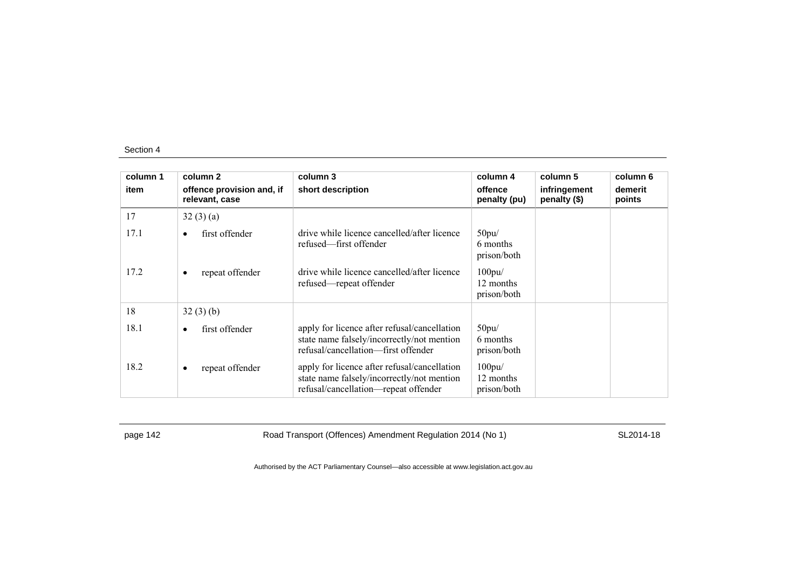| column 1 | column 2                                    | column 3                                                                                                                           | column 4                                 | column 5                     | column 6          |
|----------|---------------------------------------------|------------------------------------------------------------------------------------------------------------------------------------|------------------------------------------|------------------------------|-------------------|
| item     | offence provision and, if<br>relevant, case | short description                                                                                                                  | offence<br>penalty (pu)                  | infringement<br>penalty (\$) | demerit<br>points |
| 17       | 32(3)(a)                                    |                                                                                                                                    |                                          |                              |                   |
| 17.1     | first offender<br>$\bullet$                 | drive while licence cancelled/after licence<br>refused—first offender                                                              | 50pu/<br>6 months<br>prison/both         |                              |                   |
| 17.2     | repeat offender<br>$\bullet$                | drive while licence cancelled/after licence<br>refused—repeat offender                                                             | $100$ pu $/$<br>12 months<br>prison/both |                              |                   |
| 18       | 32(3)(b)                                    |                                                                                                                                    |                                          |                              |                   |
| 18.1     | first offender<br>$\bullet$                 | apply for licence after refusal/cancellation<br>state name falsely/incorrectly/not mention<br>refusal/cancellation—first offender  | 50pu/<br>6 months<br>prison/both         |                              |                   |
| 18.2     | repeat offender<br>$\bullet$                | apply for licence after refusal/cancellation<br>state name falsely/incorrectly/not mention<br>refusal/cancellation-repeat offender | 100pu/<br>12 months<br>prison/both       |                              |                   |

page 142 Road Transport (Offences) Amendment Regulation 2014 (No 1) SL2014-18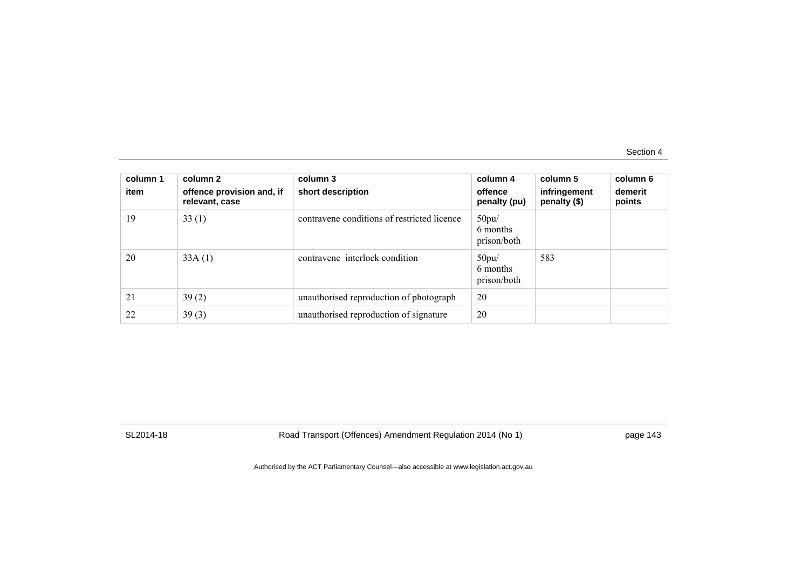| column 1<br>item | column 2<br>offence provision and, if<br>relevant, case | column 3<br>short description               | column 4<br>offence<br>penalty (pu) | column 5<br>infringement<br>penalty (\$) | column 6<br>demerit<br>points |
|------------------|---------------------------------------------------------|---------------------------------------------|-------------------------------------|------------------------------------------|-------------------------------|
| 19               | 33(1)                                                   | contravene conditions of restricted licence | 50pu/<br>6 months<br>prison/both    |                                          |                               |
| 20               | 33A(1)                                                  | contravene interlock condition              | 50pu/<br>6 months<br>prison/both    | 583                                      |                               |
| 21               | 39(2)                                                   | unauthorised reproduction of photograph     | 20                                  |                                          |                               |
| 22               | 39(3)                                                   | unauthorised reproduction of signature      | 20                                  |                                          |                               |

SL2014-18 Road Transport (Offences) Amendment Regulation 2014 (No 1) page 143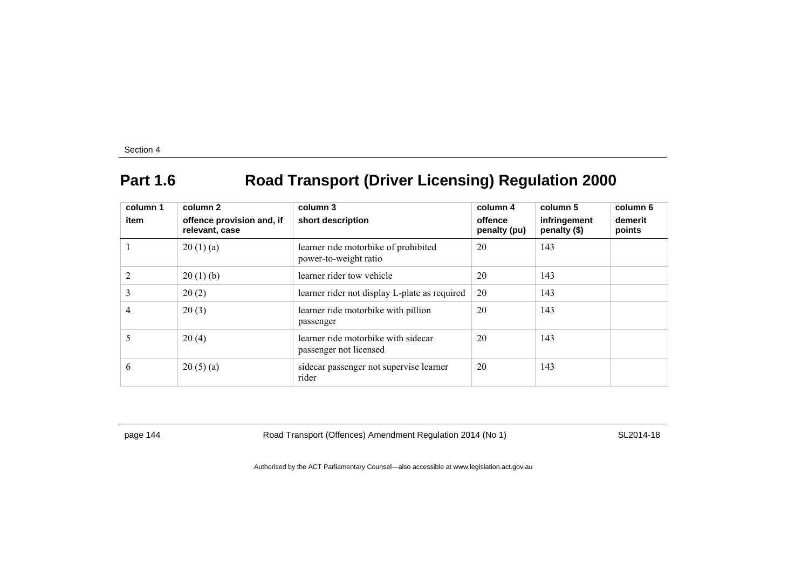# **Part 1.6 Road Transport (Driver Licensing) Regulation 2000**

| column 1<br>item | column 2<br>offence provision and, if<br>relevant, case | column 3<br>short description                                 | column 4<br>offence<br>penalty (pu) | column 5<br>infringement<br>penalty (\$) | column 6<br>demerit<br>points |
|------------------|---------------------------------------------------------|---------------------------------------------------------------|-------------------------------------|------------------------------------------|-------------------------------|
|                  | 20(1)(a)                                                | learner ride motorbike of prohibited<br>power-to-weight ratio | 20                                  | 143                                      |                               |
| $\overline{2}$   | 20(1)(b)                                                | learner rider tow vehicle                                     | 20                                  | 143                                      |                               |
| 3                | 20(2)                                                   | learner rider not display L-plate as required                 | 20                                  | 143                                      |                               |
| 4                | 20(3)                                                   | learner ride motorbike with pillion<br>passenger              | 20                                  | 143                                      |                               |
| 5                | 20(4)                                                   | learner ride motorbike with sidecar<br>passenger not licensed | 20                                  | 143                                      |                               |
| 6                | 20(5)(a)                                                | side car passenger not supervise learner<br>rider             | 20                                  | 143                                      |                               |

page 144 Road Transport (Offences) Amendment Regulation 2014 (No 1) SL2014-18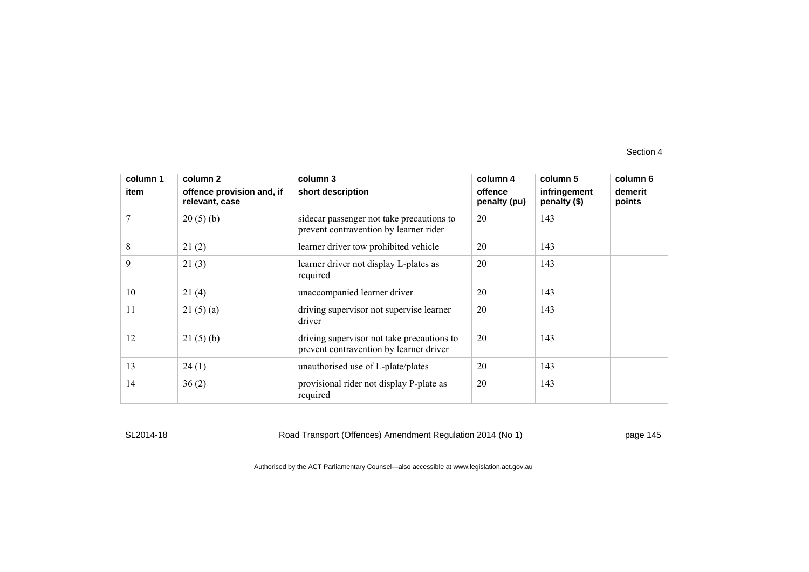| column 1 | column 2                                    | column 3                                                                              | column 4                | column 5                     | column 6          |
|----------|---------------------------------------------|---------------------------------------------------------------------------------------|-------------------------|------------------------------|-------------------|
| item     | offence provision and, if<br>relevant, case | short description                                                                     | offence<br>penalty (pu) | infringement<br>penalty (\$) | demerit<br>points |
|          | 20(5)(b)                                    | sidecar passenger not take precautions to<br>prevent contravention by learner rider   | 20                      | 143                          |                   |
| 8        | 21(2)                                       | learner driver tow prohibited vehicle                                                 | 20                      | 143                          |                   |
| 9        | 21(3)                                       | learner driver not display L-plates as<br>required                                    | 20                      | 143                          |                   |
| 10       | 21(4)                                       | unaccompanied learner driver                                                          | 20                      | 143                          |                   |
| 11       | 21(5)(a)                                    | driving supervisor not supervise learner<br>driver                                    | 20                      | 143                          |                   |
| 12       | 21(5)(b)                                    | driving supervisor not take precautions to<br>prevent contravention by learner driver | 20                      | 143                          |                   |
| 13       | 24(1)                                       | unauthorised use of L-plate/plates                                                    | 20                      | 143                          |                   |
| 14       | 36(2)                                       | provisional rider not display P-plate as<br>required                                  | 20                      | 143                          |                   |

SL2014-18 Road Transport (Offences) Amendment Regulation 2014 (No 1) page 145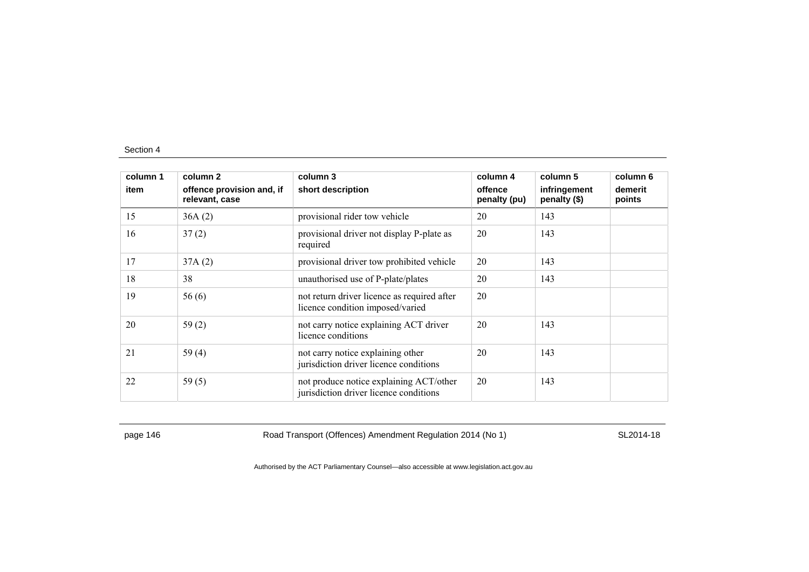| column 1 | column 2                                    | column 3                                                                          | column 4                | column 5                     | column 6          |
|----------|---------------------------------------------|-----------------------------------------------------------------------------------|-------------------------|------------------------------|-------------------|
| item     | offence provision and, if<br>relevant, case | short description                                                                 | offence<br>penalty (pu) | infringement<br>penalty (\$) | demerit<br>points |
| 15       | 36A(2)                                      | provisional rider tow vehicle                                                     | 20                      | 143                          |                   |
| 16       | 37(2)                                       | provisional driver not display P-plate as<br>required                             | 20                      | 143                          |                   |
| 17       | 37A(2)                                      | provisional driver tow prohibited vehicle                                         | 20                      | 143                          |                   |
| 18       | 38                                          | unauthorised use of P-plate/plates                                                | 20                      | 143                          |                   |
| 19       | 56(6)                                       | not return driver licence as required after<br>licence condition imposed/varied   | 20                      |                              |                   |
| 20       | 59(2)                                       | not carry notice explaining ACT driver<br>licence conditions                      | 20                      | 143                          |                   |
| 21       | 59 $(4)$                                    | not carry notice explaining other<br>jurisdiction driver licence conditions       | 20                      | 143                          |                   |
| 22       | 59 $(5)$                                    | not produce notice explaining ACT/other<br>jurisdiction driver licence conditions | 20                      | 143                          |                   |

page 146 Road Transport (Offences) Amendment Regulation 2014 (No 1) SL2014-18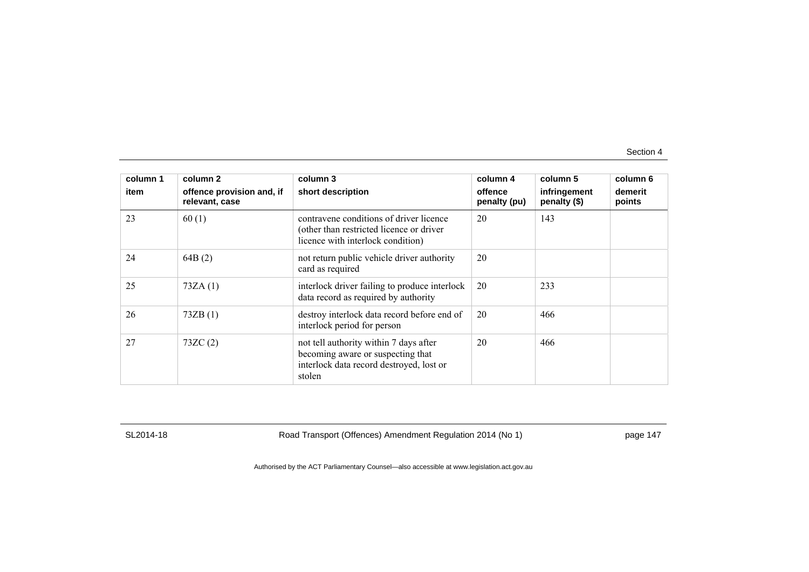| column 1 | column <sub>2</sub>                         | column 3                                                                                                                          | column 4                | column 5                     | column 6          |
|----------|---------------------------------------------|-----------------------------------------------------------------------------------------------------------------------------------|-------------------------|------------------------------|-------------------|
| item     | offence provision and, if<br>relevant, case | short description                                                                                                                 | offence<br>penalty (pu) | infringement<br>penalty (\$) | demerit<br>points |
| 23       | 60(1)                                       | contravene conditions of driver licence<br>(other than restricted licence or driver)<br>licence with interlock condition)         | 20                      | 143                          |                   |
| 24       | 64B(2)                                      | not return public vehicle driver authority<br>card as required                                                                    | 20                      |                              |                   |
| 25       | 73ZA(1)                                     | interlock driver failing to produce interlock<br>data record as required by authority                                             | 20                      | 233                          |                   |
| 26       | 73ZB(1)                                     | destroy interlock data record before end of<br>interlock period for person                                                        | 20                      | 466                          |                   |
| 27       | 73ZC(2)                                     | not tell authority within 7 days after<br>becoming aware or suspecting that<br>interlock data record destroyed, lost or<br>stolen | 20                      | 466                          |                   |

SL2014-18 Road Transport (Offences) Amendment Regulation 2014 (No 1) page 147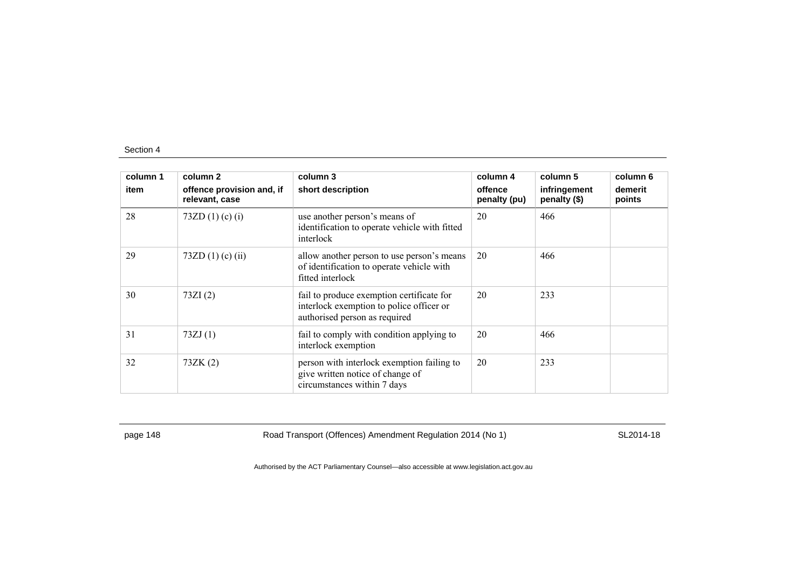| column 1 | column 2                                    | column 3                                                                                                               | column 4                | column 5                     | column 6          |
|----------|---------------------------------------------|------------------------------------------------------------------------------------------------------------------------|-------------------------|------------------------------|-------------------|
| item     | offence provision and, if<br>relevant, case | short description                                                                                                      | offence<br>penalty (pu) | infringement<br>penalty (\$) | demerit<br>points |
| 28       | 73ZD $(1)$ (c) $(i)$                        | use another person's means of<br>identification to operate vehicle with fitted<br>interlock                            | 20                      | 466                          |                   |
| 29       | 73ZD $(1)$ (c) $(ii)$                       | allow another person to use person's means<br>of identification to operate vehicle with<br>fitted interlock            | 20                      | 466                          |                   |
| 30       | 73ZI(2)                                     | fail to produce exemption certificate for<br>interlock exemption to police officer or<br>authorised person as required | 20                      | 233                          |                   |
| 31       | 73ZJ(1)                                     | fail to comply with condition applying to<br>interlock exemption                                                       | 20                      | 466                          |                   |
| 32       | 73ZK(2)                                     | person with interlock exemption failing to<br>give written notice of change of<br>circumstances within 7 days          | 20                      | 233                          |                   |

page 148 Road Transport (Offences) Amendment Regulation 2014 (No 1) SL2014-18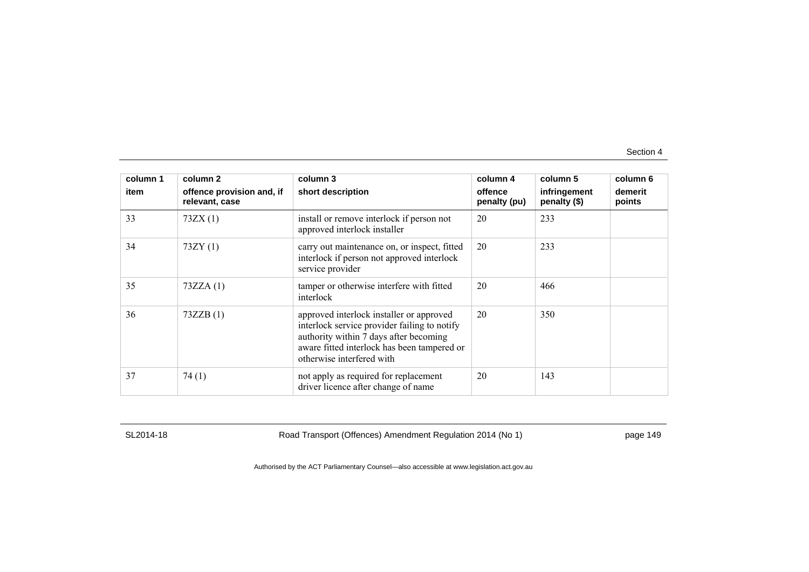| column 1 | column 2                                    | column 3                                                                                                                                                                                                       | column 4                | column 5                     | column 6          |
|----------|---------------------------------------------|----------------------------------------------------------------------------------------------------------------------------------------------------------------------------------------------------------------|-------------------------|------------------------------|-------------------|
| item     | offence provision and, if<br>relevant, case | short description                                                                                                                                                                                              | offence<br>penalty (pu) | infringement<br>penalty (\$) | demerit<br>points |
| 33       | 73ZX(1)                                     | install or remove interlock if person not<br>approved interlock installer                                                                                                                                      | 20                      | 233                          |                   |
| 34       | 73ZY(1)                                     | carry out maintenance on, or inspect, fitted<br>interlock if person not approved interlock<br>service provider                                                                                                 | 20                      | 233                          |                   |
| 35       | 73ZZA(1)                                    | tamper or otherwise interfere with fitted<br>interlock                                                                                                                                                         | 20                      | 466                          |                   |
| 36       | 73ZZB(1)                                    | approved interlock installer or approved<br>interlock service provider failing to notify<br>authority within 7 days after becoming<br>aware fitted interlock has been tampered or<br>otherwise interfered with | 20                      | 350                          |                   |
| 37       | 74(1)                                       | not apply as required for replacement<br>driver licence after change of name                                                                                                                                   | 20                      | 143                          |                   |

SL2014-18 Road Transport (Offences) Amendment Regulation 2014 (No 1) page 149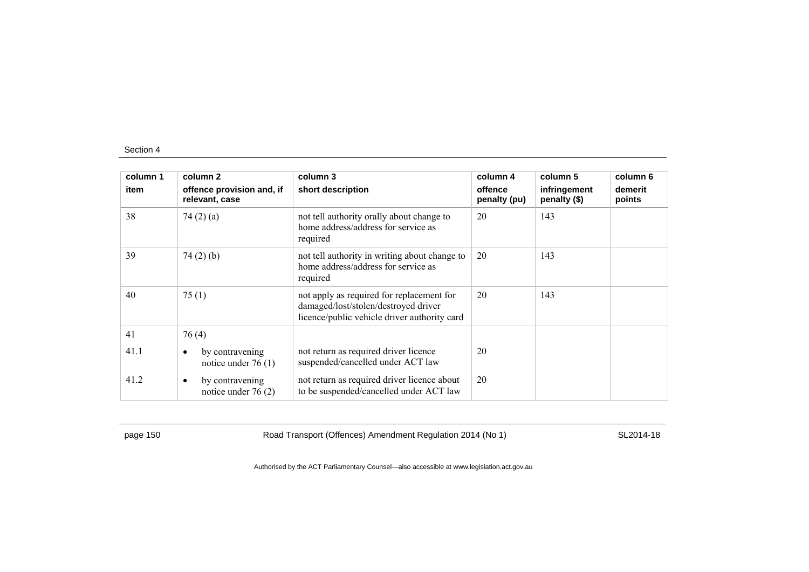| column 1 | column 2                                             | column 3                                                                                                                          | column 4                | column 5                     | column 6          |
|----------|------------------------------------------------------|-----------------------------------------------------------------------------------------------------------------------------------|-------------------------|------------------------------|-------------------|
| item     | offence provision and, if<br>relevant, case          | short description                                                                                                                 | offence<br>penalty (pu) | infringement<br>penalty (\$) | demerit<br>points |
| 38       | 74 $(2)$ $(a)$                                       | not tell authority orally about change to<br>home address/address for service as<br>required                                      | 20                      | 143                          |                   |
| 39       | 74(2)(b)                                             | not tell authority in writing about change to<br>home address/address for service as<br>required                                  | 20                      | 143                          |                   |
| 40       | 75(1)                                                | not apply as required for replacement for<br>damaged/lost/stolen/destroyed driver<br>licence/public vehicle driver authority card | 20                      | 143                          |                   |
| 41       | 76(4)                                                |                                                                                                                                   |                         |                              |                   |
| 41.1     | by contravening<br>$\bullet$<br>notice under $76(1)$ | not return as required driver licence<br>suspended/cancelled under ACT law                                                        | 20                      |                              |                   |
| 41.2     | by contravening<br>$\bullet$<br>notice under $76(2)$ | not return as required driver licence about<br>to be suspended/cancelled under ACT law                                            | 20                      |                              |                   |

page 150 **Road Transport (Offences) Amendment Regulation 2014 (No 1)** SL2014-18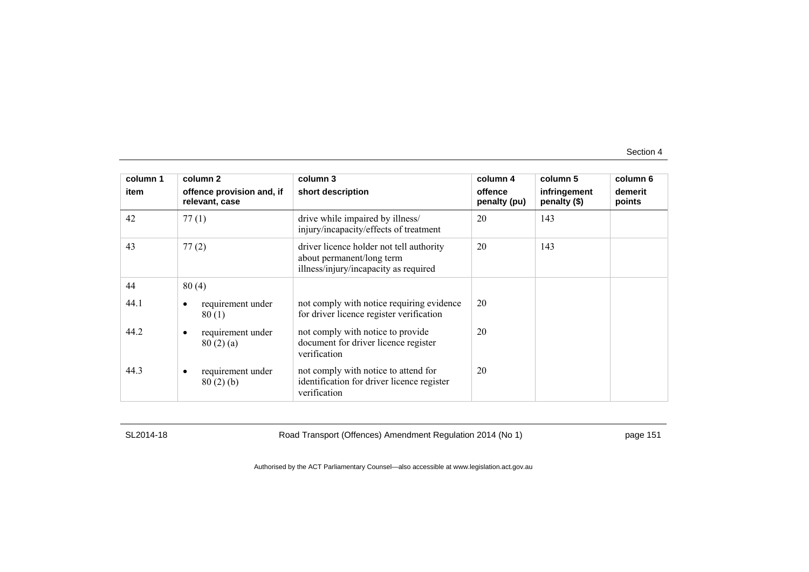| column 1 | column <sub>2</sub>                         | column 3                                                                                                       | column 4                | column 5                     | column 6          |
|----------|---------------------------------------------|----------------------------------------------------------------------------------------------------------------|-------------------------|------------------------------|-------------------|
| item     | offence provision and, if<br>relevant, case | short description                                                                                              | offence<br>penalty (pu) | infringement<br>penalty (\$) | demerit<br>points |
| 42       | 77(1)                                       | drive while impaired by illness/<br>injury/incapacity/effects of treatment                                     | 20                      | 143                          |                   |
| 43       | 77(2)                                       | driver licence holder not tell authority<br>about permanent/long term<br>illness/injury/incapacity as required | 20                      | 143                          |                   |
| 44       | 80(4)                                       |                                                                                                                |                         |                              |                   |
| 44.1     | requirement under<br>80(1)                  | not comply with notice requiring evidence<br>for driver licence register verification                          | 20                      |                              |                   |
| 44.2     | requirement under<br>٠<br>80(2)(a)          | not comply with notice to provide<br>document for driver licence register<br>verification                      | 20                      |                              |                   |
| 44.3     | requirement under<br>80(2)(b)               | not comply with notice to attend for<br>identification for driver licence register<br>verification             | 20                      |                              |                   |

SL2014-18 Road Transport (Offences) Amendment Regulation 2014 (No 1) page 151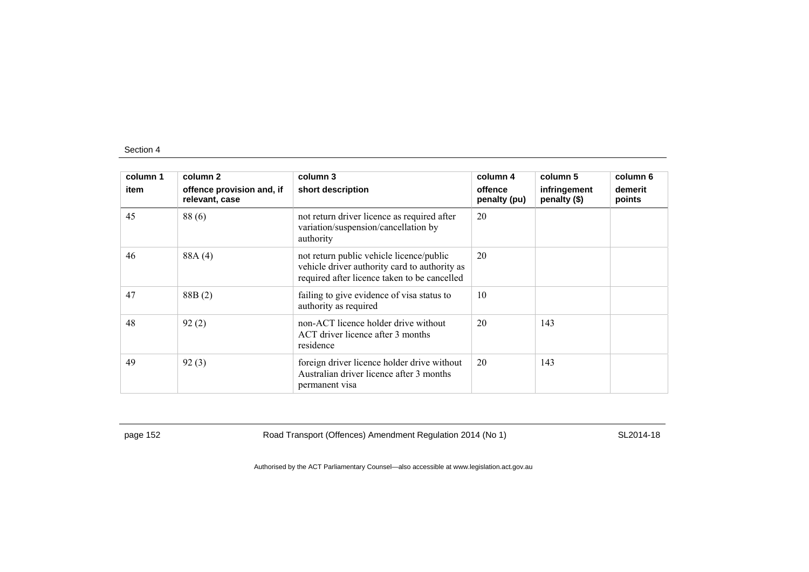| column 1 | column 2                                    | column 3                                                                                                                                  | column 4                | column 5                     | column 6          |
|----------|---------------------------------------------|-------------------------------------------------------------------------------------------------------------------------------------------|-------------------------|------------------------------|-------------------|
| item     | offence provision and, if<br>relevant, case | short description                                                                                                                         | offence<br>penalty (pu) | infringement<br>penalty (\$) | demerit<br>points |
| 45       | 88(6)                                       | not return driver licence as required after<br>variation/suspension/cancellation by<br>authority                                          | 20                      |                              |                   |
| 46       | 88A (4)                                     | not return public vehicle licence/public<br>vehicle driver authority card to authority as<br>required after licence taken to be cancelled | 20                      |                              |                   |
| 47       | 88B(2)                                      | failing to give evidence of visa status to<br>authority as required                                                                       | 10                      |                              |                   |
| 48       | 92(2)                                       | non-ACT licence holder drive without<br>ACT driver licence after 3 months<br>residence                                                    | 20                      | 143                          |                   |
| 49       | 92(3)                                       | foreign driver licence holder drive without<br>Australian driver licence after 3 months<br>permanent visa                                 | 20                      | 143                          |                   |

page 152 **Road Transport (Offences) Amendment Regulation 2014 (No 1)** SL2014-18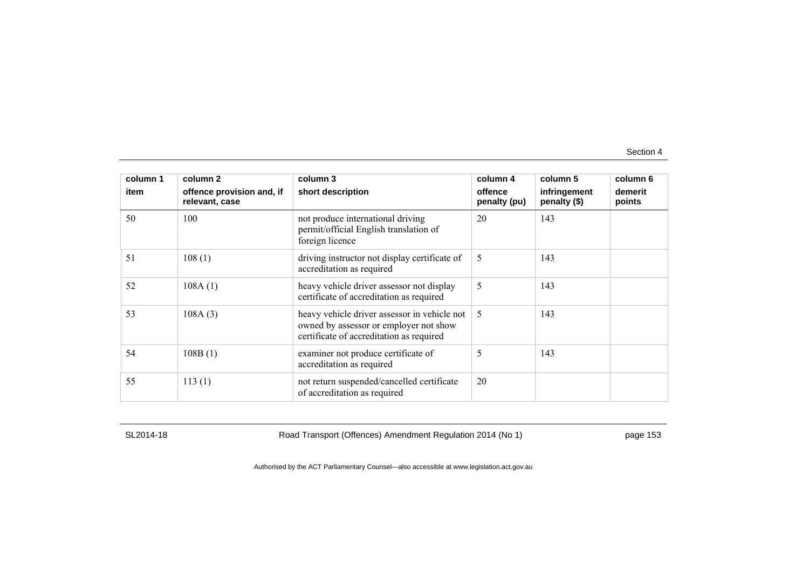| column 1 | column 2                                    | column 3                                                                                                                           | column 4                | column 5                     | column 6          |
|----------|---------------------------------------------|------------------------------------------------------------------------------------------------------------------------------------|-------------------------|------------------------------|-------------------|
| item     | offence provision and, if<br>relevant, case | short description                                                                                                                  | offence<br>penalty (pu) | infringement<br>penalty (\$) | demerit<br>points |
| 50       | 100                                         | not produce international driving<br>permit/official English translation of<br>foreign licence                                     | 20                      | 143                          |                   |
| 51       | 108(1)                                      | driving instructor not display certificate of<br>accreditation as required                                                         | 5                       | 143                          |                   |
| 52       | 108A(1)                                     | heavy vehicle driver assessor not display<br>certificate of accreditation as required                                              | 5                       | 143                          |                   |
| 53       | 108A(3)                                     | heavy vehicle driver assessor in vehicle not<br>owned by assessor or employer not show<br>certificate of accreditation as required | 5                       | 143                          |                   |
| 54       | 108B(1)                                     | examiner not produce certificate of<br>accreditation as required                                                                   | 5                       | 143                          |                   |
| 55       | 113(1)                                      | not return suspended/cancelled certificate<br>of accreditation as required                                                         | 20                      |                              |                   |

SL2014-18 Road Transport (Offences) Amendment Regulation 2014 (No 1) page 153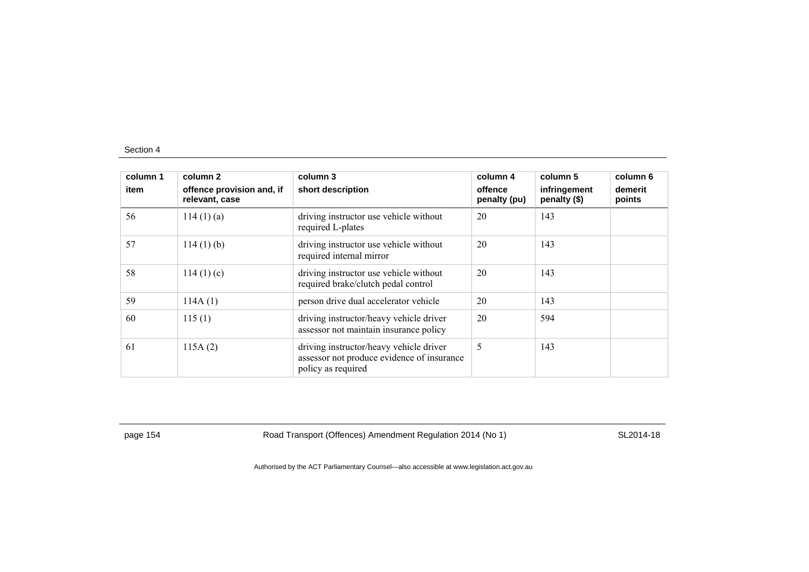| column 1<br>item | column 2<br>offence provision and, if<br>relevant, case | column 3<br>short description                                                                               | column 4<br>offence<br>penalty (pu) | column 5<br>infringement<br>penalty (\$) | column 6<br>demerit<br>points |
|------------------|---------------------------------------------------------|-------------------------------------------------------------------------------------------------------------|-------------------------------------|------------------------------------------|-------------------------------|
| 56               | $114(1)$ (a)                                            | driving instructor use vehicle without<br>required L-plates                                                 | 20                                  | 143                                      |                               |
| 57               | $114(1)$ (b)                                            | driving instructor use vehicle without<br>required internal mirror                                          | 20                                  | 143                                      |                               |
| 58               | 114(1)(c)                                               | driving instructor use vehicle without<br>required brake/clutch pedal control                               | 20                                  | 143                                      |                               |
| 59               | 114A(1)                                                 | person drive dual accelerator vehicle                                                                       | 20                                  | 143                                      |                               |
| 60               | 115(1)                                                  | driving instructor/heavy vehicle driver<br>assessor not maintain insurance policy                           | 20                                  | 594                                      |                               |
| 61               | 115A(2)                                                 | driving instructor/heavy vehicle driver<br>assessor not produce evidence of insurance<br>policy as required | 5                                   | 143                                      |                               |

page 154 **Road Transport (Offences) Amendment Regulation 2014 (No 1)** SL2014-18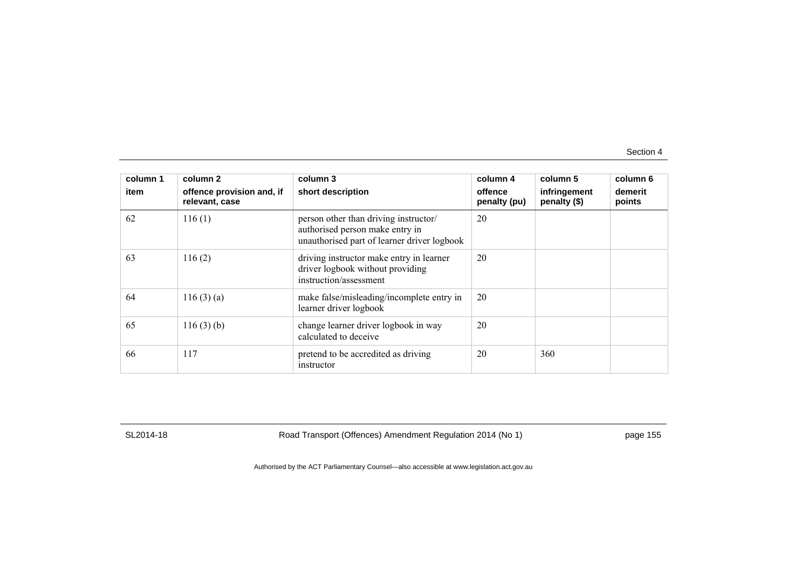| column 1 | column 2                                    | column 3                                                                                                                | column 4                | column 5                     | column 6          |
|----------|---------------------------------------------|-------------------------------------------------------------------------------------------------------------------------|-------------------------|------------------------------|-------------------|
| item     | offence provision and, if<br>relevant, case | short description                                                                                                       | offence<br>penalty (pu) | infringement<br>penalty (\$) | demerit<br>points |
| 62       | 116(1)                                      | person other than driving instructor/<br>authorised person make entry in<br>unauthorised part of learner driver logbook | 20                      |                              |                   |
| 63       | 116(2)                                      | driving instructor make entry in learner<br>driver logbook without providing<br>instruction/assessment                  | 20                      |                              |                   |
| 64       | 116(3)(a)                                   | make false/misleading/incomplete entry in<br>learner driver logbook                                                     | 20                      |                              |                   |
| 65       | 116(3)(b)                                   | change learner driver logbook in way<br>calculated to deceive                                                           | 20                      |                              |                   |
| 66       | 117                                         | pretend to be accredited as driving<br>instructor                                                                       | 20                      | 360                          |                   |

SL2014-18 Road Transport (Offences) Amendment Regulation 2014 (No 1) page 155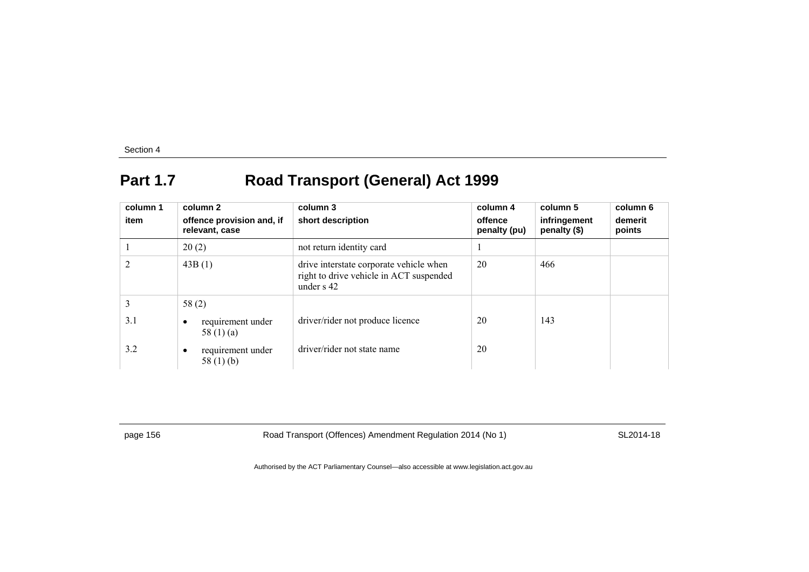# **Part 1.7 Road Transport (General) Act 1999**

| column 1<br>item | column 2<br>offence provision and, if<br>relevant, case | column 3<br>short description                                                                      | column 4<br>offence<br>penalty (pu) | column 5<br>infringement<br>penalty (\$) | column 6<br>demerit<br>points |
|------------------|---------------------------------------------------------|----------------------------------------------------------------------------------------------------|-------------------------------------|------------------------------------------|-------------------------------|
|                  | 20(2)                                                   | not return identity card                                                                           |                                     |                                          |                               |
| $\overline{2}$   | 43B(1)                                                  | drive interstate corporate vehicle when<br>right to drive vehicle in ACT suspended<br>under $s$ 42 | 20                                  | 466                                      |                               |
| 3                | 58(2)                                                   |                                                                                                    |                                     |                                          |                               |
| 3.1              | requirement under<br>٠<br>58 $(1)$ $(a)$                | driver/rider not produce licence                                                                   | 20                                  | 143                                      |                               |
| 3.2              | requirement under<br>٠<br>58 $(1)$ (b)                  | driver/rider not state name                                                                        | 20                                  |                                          |                               |

page 156 **Road Transport (Offences) Amendment Regulation 2014 (No 1)** SL2014-18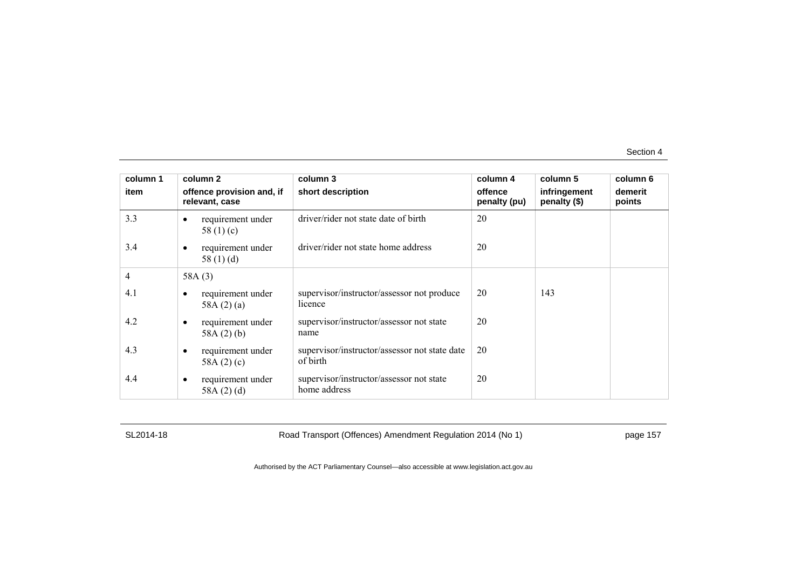| column 1 | column 2                                    | column 3                                                  | column 4                | column 5                     | column 6          |
|----------|---------------------------------------------|-----------------------------------------------------------|-------------------------|------------------------------|-------------------|
| item     | offence provision and, if<br>relevant, case | short description                                         | offence<br>penalty (pu) | infringement<br>penalty (\$) | demerit<br>points |
| 3.3      | requirement under<br>٠<br>58 $(1)(c)$       | driver/rider not state date of birth                      | 20                      |                              |                   |
| 3.4      | requirement under<br>٠<br>58 $(1)$ $(d)$    | driver/rider not state home address                       | 20                      |                              |                   |
| 4        | 58A $(3)$                                   |                                                           |                         |                              |                   |
| 4.1      | requirement under<br>58A $(2)(a)$           | supervisor/instructor/assessor not produce<br>licence     | 20                      | 143                          |                   |
| 4.2      | requirement under<br>٠<br>58A $(2)$ $(b)$   | supervisor/instructor/assessor not state<br>name          | 20                      |                              |                   |
| 4.3      | requirement under<br>٠<br>58A $(2)(c)$      | supervisor/instructor/assessor not state date<br>of birth | 20                      |                              |                   |
| 4.4      | requirement under<br>٠<br>58A $(2)(d)$      | supervisor/instructor/assessor not state<br>home address  | 20                      |                              |                   |

SL2014-18 Road Transport (Offences) Amendment Regulation 2014 (No 1) page 157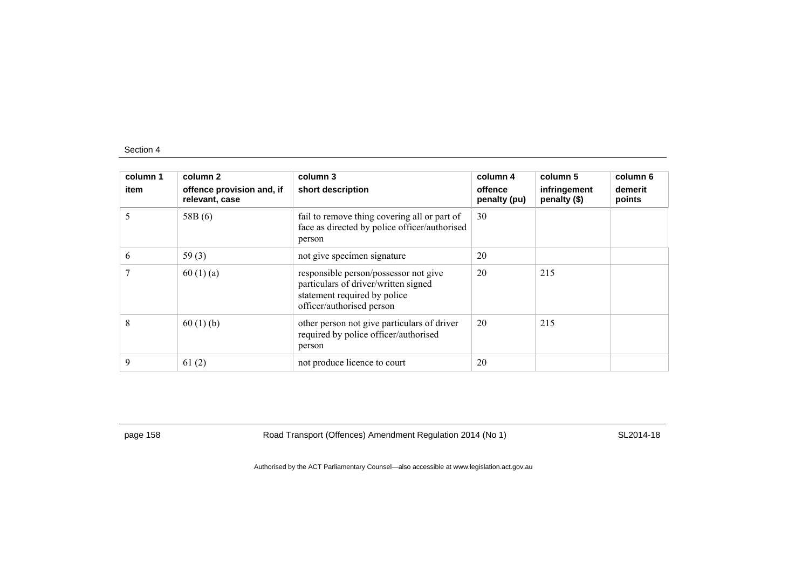| column 1<br>item | column 2<br>offence provision and, if<br>relevant, case | column 3<br>short description                                                                                                              | column 4<br>offence<br>penalty (pu) | column 5<br>infringement<br>penalty (\$) | column 6<br>demerit<br>points |
|------------------|---------------------------------------------------------|--------------------------------------------------------------------------------------------------------------------------------------------|-------------------------------------|------------------------------------------|-------------------------------|
| 5                | 58B(6)                                                  | fail to remove thing covering all or part of<br>face as directed by police officer/authorised<br>person                                    | 30                                  |                                          |                               |
| 6                | 59 $(3)$                                                | not give specimen signature                                                                                                                | 20                                  |                                          |                               |
| 7                | 60(1)(a)                                                | responsible person/possessor not give<br>particulars of driver/written signed<br>statement required by police<br>officer/authorised person | 20                                  | 215                                      |                               |
| 8                | 60(1)(b)                                                | other person not give particulars of driver<br>required by police officer/authorised<br>person                                             | 20                                  | 215                                      |                               |
| 9                | 61(2)                                                   | not produce licence to court                                                                                                               | 20                                  |                                          |                               |

page 158 **Road Transport (Offences) Amendment Regulation 2014 (No 1)** SL2014-18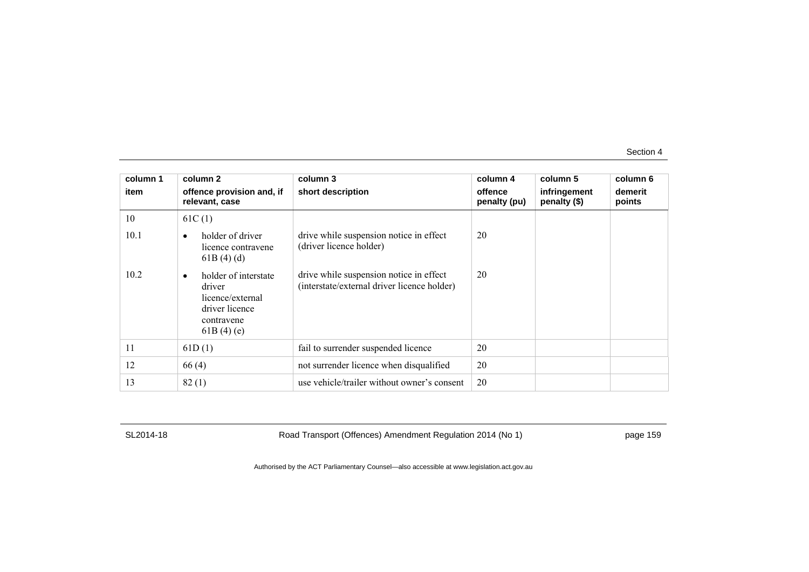| column 1 | column 2                                                                                        | column 3                                                                               | column 4                | column 5                     | column 6          |
|----------|-------------------------------------------------------------------------------------------------|----------------------------------------------------------------------------------------|-------------------------|------------------------------|-------------------|
| item     | offence provision and, if<br>relevant, case                                                     | short description                                                                      | offence<br>penalty (pu) | infringement<br>penalty (\$) | demerit<br>points |
| 10       | 61C(1)                                                                                          |                                                                                        |                         |                              |                   |
| 10.1     | holder of driver<br>licence contravene<br>61B(4)(d)                                             | drive while suspension notice in effect<br>(driver licence holder)                     | 20                      |                              |                   |
| 10.2     | holder of interstate<br>driver<br>licence/external<br>driver licence<br>contravene<br>61B(4)(e) | drive while suspension notice in effect<br>(interstate/external driver licence holder) | 20                      |                              |                   |
| 11       | 61D(1)                                                                                          | fail to surrender suspended licence                                                    | 20                      |                              |                   |
| 12       | 66(4)                                                                                           | not surrender licence when disqualified                                                | 20                      |                              |                   |
| 13       | 82(1)                                                                                           | use vehicle/trailer without owner's consent                                            | 20                      |                              |                   |

SL2014-18 Road Transport (Offences) Amendment Regulation 2014 (No 1) page 159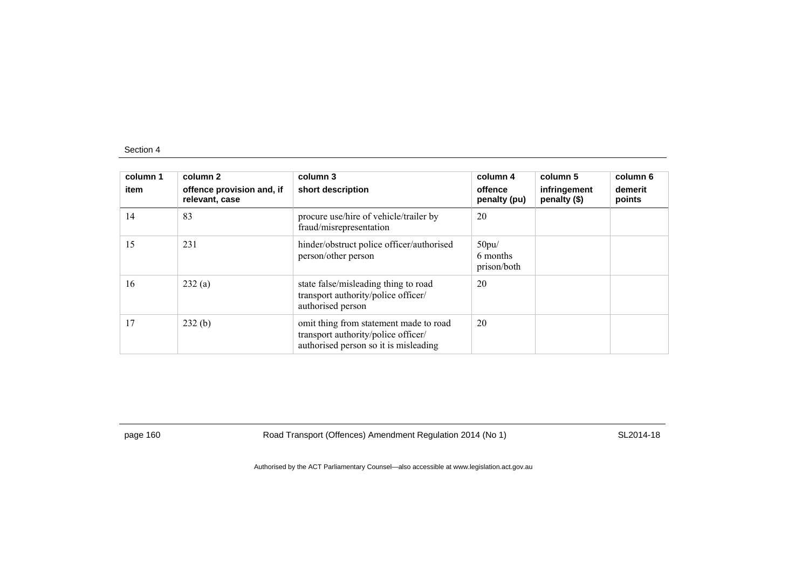| column 1<br>item | column 2<br>offence provision and, if<br>relevant, case | column 3<br>short description                                                                                          | column 4<br>offence<br>penalty (pu) | column 5<br>infringement<br>penalty (\$) | column 6<br>demerit<br>points |
|------------------|---------------------------------------------------------|------------------------------------------------------------------------------------------------------------------------|-------------------------------------|------------------------------------------|-------------------------------|
| 14               | 83                                                      | procure use/hire of vehicle/trailer by<br>fraud/misrepresentation                                                      | 20                                  |                                          |                               |
| 15               | 231                                                     | hinder/obstruct police officer/authorised<br>person/other person                                                       | 50pu/<br>6 months<br>prison/both    |                                          |                               |
| 16               | 232(a)                                                  | state false/misleading thing to road<br>transport authority/police officer/<br>authorised person                       | 20                                  |                                          |                               |
| 17               | 232(b)                                                  | omit thing from statement made to road<br>transport authority/police officer/<br>authorised person so it is misleading | 20                                  |                                          |                               |

page 160 Road Transport (Offences) Amendment Regulation 2014 (No 1) SL2014-18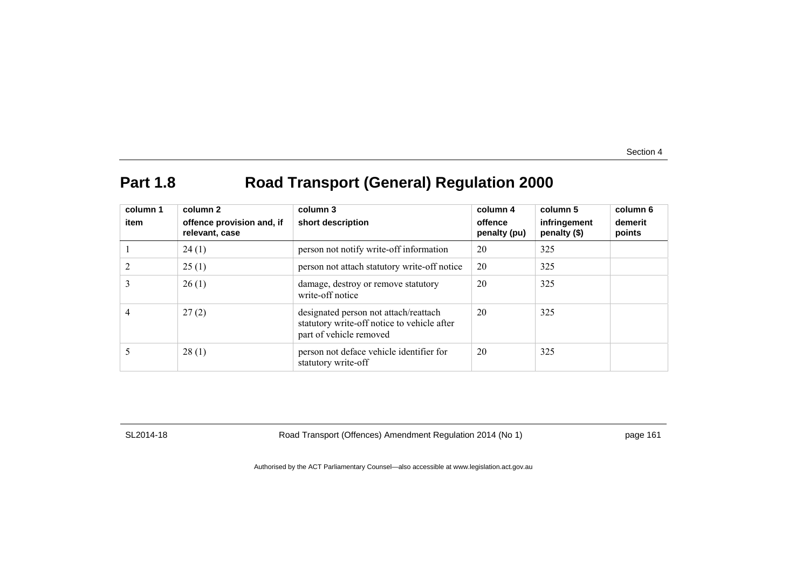## **Part 1.8 Road Transport (General) Regulation 2000**

| column 1<br>item | column 2<br>offence provision and, if<br>relevant, case | column 3<br>short description                                                                                   | column 4<br>offence<br>penalty (pu) | column 5<br>infringement<br>penalty $(\$)$ | column 6<br>demerit<br>points |
|------------------|---------------------------------------------------------|-----------------------------------------------------------------------------------------------------------------|-------------------------------------|--------------------------------------------|-------------------------------|
|                  | 24(1)                                                   | person not notify write-off information                                                                         | 20                                  | 325                                        |                               |
|                  | 25(1)                                                   | person not attach statutory write-off notice                                                                    | 20                                  | 325                                        |                               |
| 3                | 26(1)                                                   | damage, destroy or remove statutory<br>write-off notice                                                         | 20                                  | 325                                        |                               |
| 4                | 27(2)                                                   | designated person not attach/reattach<br>statutory write-off notice to vehicle after<br>part of vehicle removed | 20                                  | 325                                        |                               |
|                  | 28(1)                                                   | person not deface vehicle identifier for<br>statutory write-off                                                 | 20                                  | 325                                        |                               |

SL2014-18 Road Transport (Offences) Amendment Regulation 2014 (No 1) page 161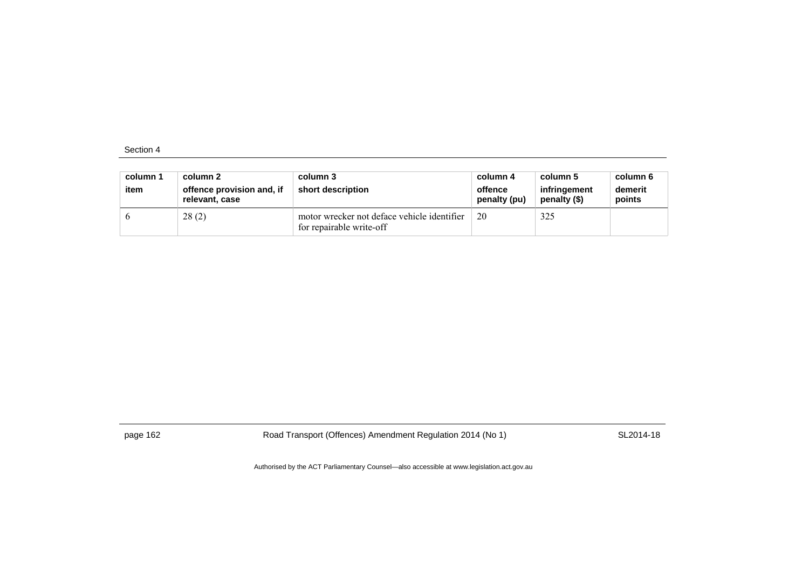| column 1<br>item | column 2<br>offence provision and, if<br>relevant, case | column 3<br>short description                                           | column 4<br>offence<br>penalty (pu) | column 5<br>infringement<br>penalty (\$) | column 6<br>demerit<br>points |
|------------------|---------------------------------------------------------|-------------------------------------------------------------------------|-------------------------------------|------------------------------------------|-------------------------------|
|                  | 28(2)                                                   | motor wrecker not deface vehicle identifier<br>for repairable write-off | 20                                  | 325                                      |                               |

page 162 Road Transport (Offences) Amendment Regulation 2014 (No 1) SL2014-18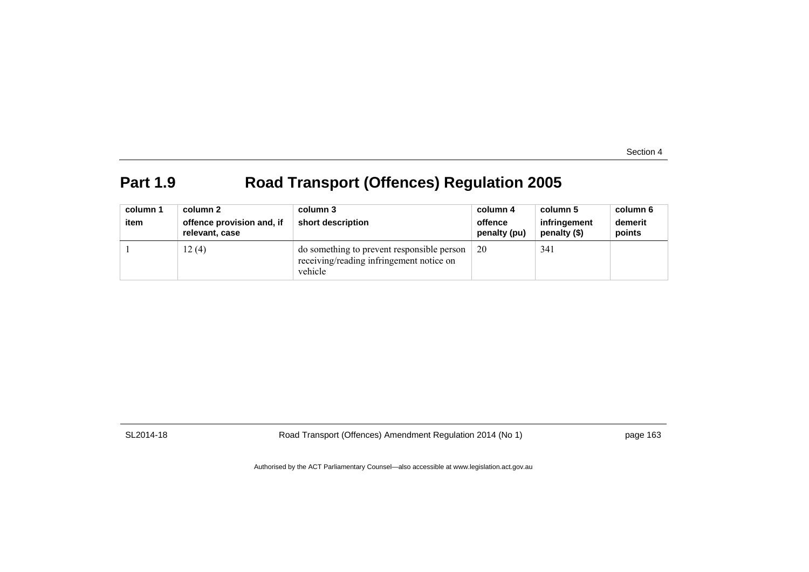## **Part 1.9 Road Transport (Offences) Regulation 2005**

| column 1<br>item | column 2<br>offence provision and, if<br>relevant, case | column 3<br>short description                                                                     | column 4<br>offence<br>penalty (pu) | column 5<br>infringement<br>penalty (\$) | column 6<br>demerit<br>points |
|------------------|---------------------------------------------------------|---------------------------------------------------------------------------------------------------|-------------------------------------|------------------------------------------|-------------------------------|
|                  | 12(4)                                                   | do something to prevent responsible person<br>receiving/reading infringement notice on<br>vehicle | 20                                  | 341                                      |                               |

SL2014-18 Road Transport (Offences) Amendment Regulation 2014 (No 1) page 163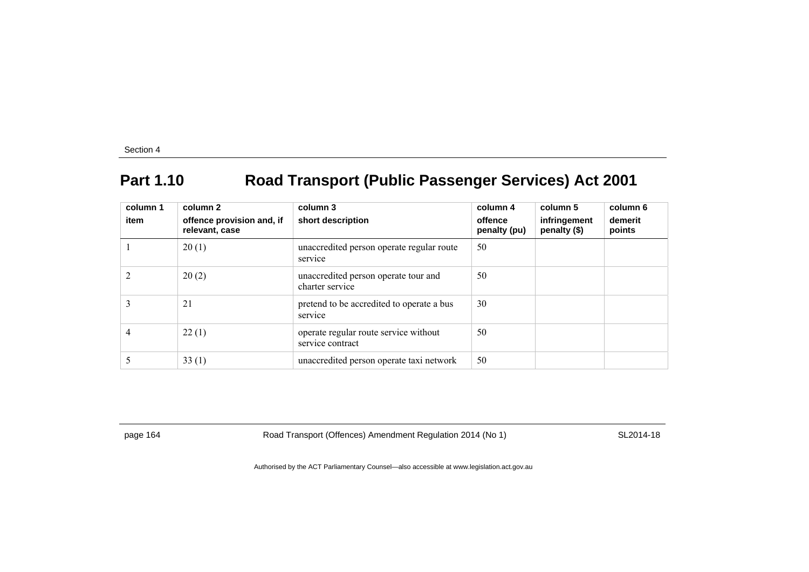# **Part 1.10 Road Transport (Public Passenger Services) Act 2001**

| column 1<br>item | column 2<br>offence provision and, if<br>relevant, case | column 3<br>short description                             | column 4<br>offence<br>penalty (pu) | column 5<br>infringement<br>penalty (\$) | column 6<br>demerit<br>points |
|------------------|---------------------------------------------------------|-----------------------------------------------------------|-------------------------------------|------------------------------------------|-------------------------------|
|                  | 20(1)                                                   | unaccredited person operate regular route<br>service      | 50                                  |                                          |                               |
|                  | 20(2)                                                   | unaccredited person operate tour and<br>charter service   | 50                                  |                                          |                               |
| 3                | 21                                                      | pretend to be accredited to operate a bus<br>service      | 30                                  |                                          |                               |
| 4                | 22(1)                                                   | operate regular route service without<br>service contract | 50                                  |                                          |                               |
|                  | 33(1)                                                   | unaccredited person operate taxi network                  | 50                                  |                                          |                               |

page 164 **Road Transport (Offences) Amendment Regulation 2014 (No 1)** SL2014-18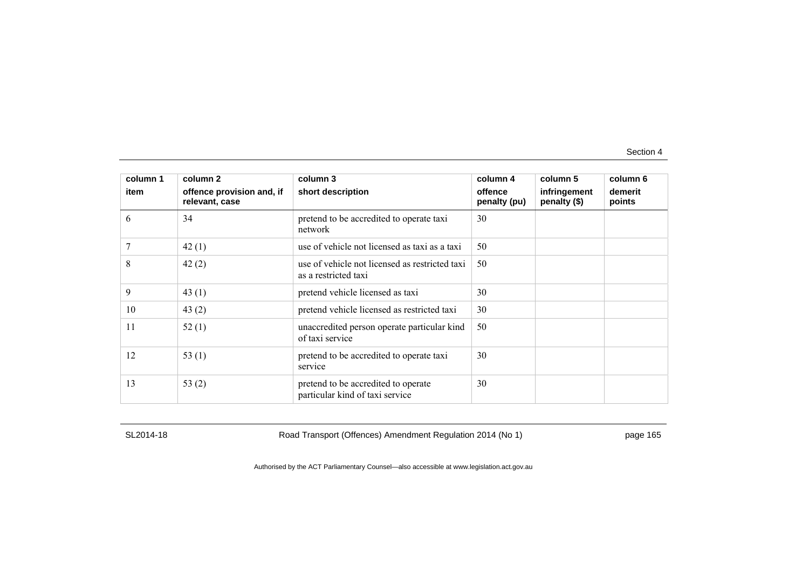| column 1 | column 2                                    | column 3                                                               | column 4                | column 5                     | column 6          |
|----------|---------------------------------------------|------------------------------------------------------------------------|-------------------------|------------------------------|-------------------|
| item     | offence provision and, if<br>relevant, case | short description                                                      | offence<br>penalty (pu) | infringement<br>penalty (\$) | demerit<br>points |
| 6        | 34                                          | pretend to be accredited to operate taxi<br>network                    | 30                      |                              |                   |
| 7        | 42(1)                                       | use of vehicle not licensed as taxi as a taxi                          | 50                      |                              |                   |
| 8        | 42(2)                                       | use of vehicle not licensed as restricted taxi<br>as a restricted taxi | 50                      |                              |                   |
| 9        | 43 $(1)$                                    | pretend vehicle licensed as taxi                                       | 30                      |                              |                   |
| 10       | 43(2)                                       | pretend vehicle licensed as restricted taxi                            | 30                      |                              |                   |
| 11       | 52(1)                                       | unaccredited person operate particular kind<br>of taxi service         | 50                      |                              |                   |
| 12       | 53 $(1)$                                    | pretend to be accredited to operate taxi<br>service                    | 30                      |                              |                   |
| 13       | 53 $(2)$                                    | pretend to be accredited to operate<br>particular kind of taxi service | 30                      |                              |                   |

SL2014-18 Road Transport (Offences) Amendment Regulation 2014 (No 1) page 165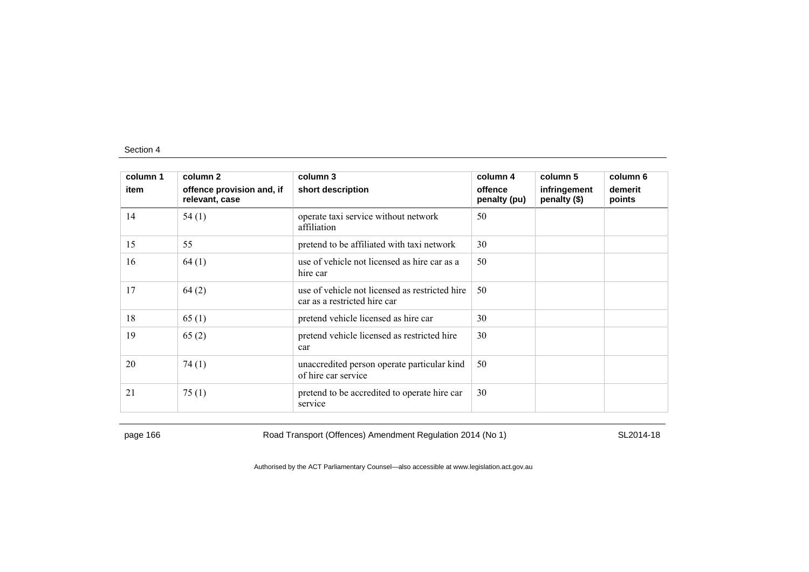| column 1 | column 2                                    | column 3                                                                       | column 4                | column 5                     | column 6          |
|----------|---------------------------------------------|--------------------------------------------------------------------------------|-------------------------|------------------------------|-------------------|
| item     | offence provision and, if<br>relevant, case | short description                                                              | offence<br>penalty (pu) | infringement<br>penalty (\$) | demerit<br>points |
| 14       | 54(1)                                       | operate taxi service without network<br>affiliation                            | 50                      |                              |                   |
| 15       | 55                                          | pretend to be affiliated with taxi network                                     | 30                      |                              |                   |
| 16       | 64(1)                                       | use of vehicle not licensed as hire car as a<br>hire car                       | 50                      |                              |                   |
| 17       | 64(2)                                       | use of vehicle not licensed as restricted hire<br>car as a restricted hire car | 50                      |                              |                   |
| 18       | 65(1)                                       | pretend vehicle licensed as hire car                                           | 30                      |                              |                   |
| 19       | 65(2)                                       | pretend vehicle licensed as restricted hire<br>car                             | 30                      |                              |                   |
| 20       | 74(1)                                       | unaccredited person operate particular kind<br>of hire car service             | 50                      |                              |                   |
| 21       | 75(1)                                       | pretend to be accredited to operate hire car<br>service                        | 30                      |                              |                   |

page 166 Road Transport (Offences) Amendment Regulation 2014 (No 1) SL2014-18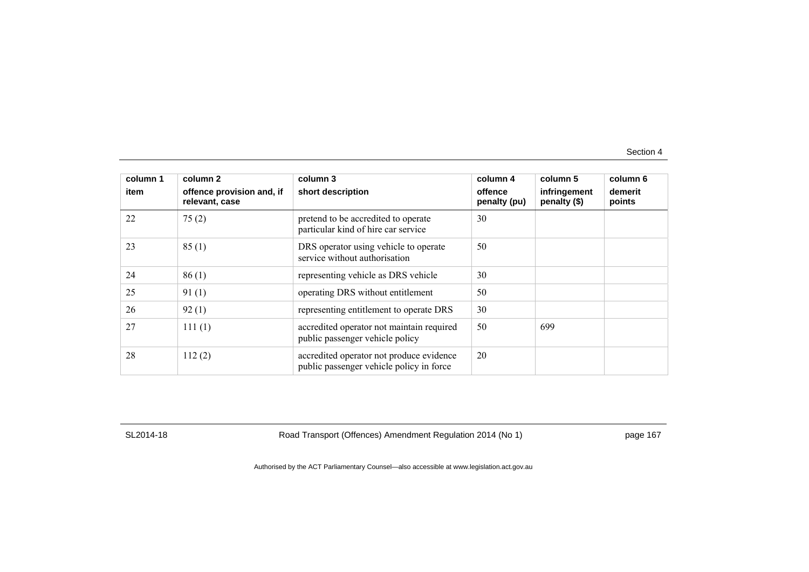| column 1<br>item | column 2<br>offence provision and, if<br>relevant, case | column 3<br>short description                                                        | column 4<br>offence<br>penalty (pu) | column 5<br>infringement<br>penalty (\$) | column 6<br>demerit<br>points |
|------------------|---------------------------------------------------------|--------------------------------------------------------------------------------------|-------------------------------------|------------------------------------------|-------------------------------|
| 22               | 75(2)                                                   | pretend to be accredited to operate<br>particular kind of hire car service           | 30                                  |                                          |                               |
| 23               | 85(1)                                                   | DRS operator using vehicle to operate<br>service without authorisation               | 50                                  |                                          |                               |
| 24               | 86(1)                                                   | representing vehicle as DRS vehicle                                                  | 30                                  |                                          |                               |
| 25               | 91(1)                                                   | operating DRS without entitlement                                                    | 50                                  |                                          |                               |
| 26               | 92(1)                                                   | representing entitlement to operate DRS                                              | 30                                  |                                          |                               |
| 27               | 111(1)                                                  | accredited operator not maintain required<br>public passenger vehicle policy         | 50                                  | 699                                      |                               |
| 28               | 112(2)                                                  | accredited operator not produce evidence<br>public passenger vehicle policy in force | 20                                  |                                          |                               |

SL2014-18 Road Transport (Offences) Amendment Regulation 2014 (No 1) page 167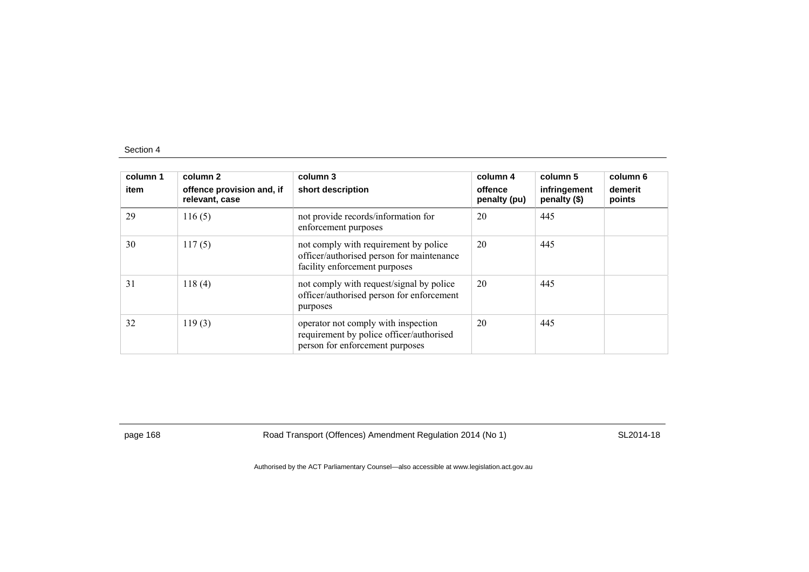| column 1<br>item | column 2<br>offence provision and, if<br>relevant, case | column 3<br>short description                                                                                       | column 4<br>offence<br>penalty (pu) | column 5<br>infringement<br>penalty (\$) | column 6<br>demerit<br>points |
|------------------|---------------------------------------------------------|---------------------------------------------------------------------------------------------------------------------|-------------------------------------|------------------------------------------|-------------------------------|
| 29               | 116(5)                                                  | not provide records/information for<br>enforcement purposes                                                         | 20                                  | 445                                      |                               |
| 30               | 117(5)                                                  | not comply with requirement by police<br>officer/authorised person for maintenance<br>facility enforcement purposes | 20                                  | 445                                      |                               |
| 31               | 118(4)                                                  | not comply with request/signal by police<br>officer/authorised person for enforcement<br>purposes                   | 20                                  | 445                                      |                               |
| 32               | 119(3)                                                  | operator not comply with inspection<br>requirement by police officer/authorised<br>person for enforcement purposes  | 20                                  | 445                                      |                               |

page 168 Road Transport (Offences) Amendment Regulation 2014 (No 1) SL2014-18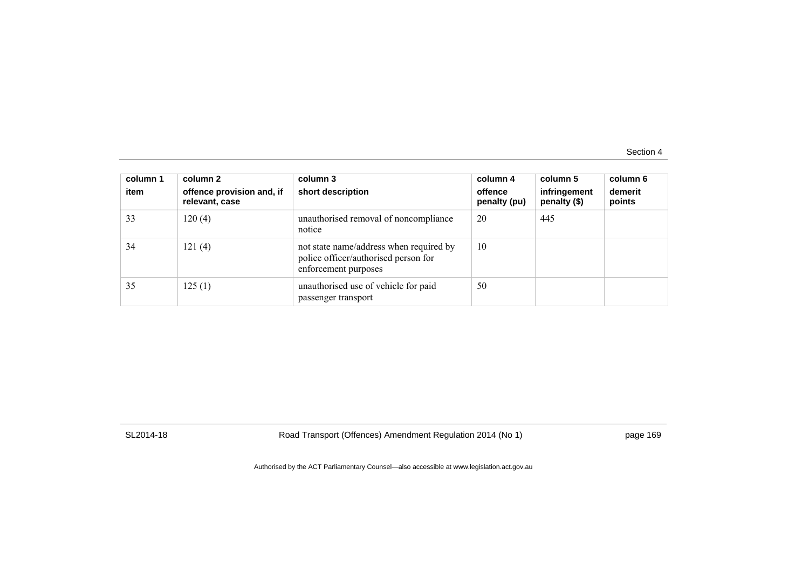| column 1<br>item | column 2<br>offence provision and, if<br>relevant, case | column 3<br>short description                                                                           | column 4<br>offence<br>penalty (pu) | column 5<br>infringement<br>penalty (\$) | column 6<br>demerit<br>points |
|------------------|---------------------------------------------------------|---------------------------------------------------------------------------------------------------------|-------------------------------------|------------------------------------------|-------------------------------|
| 33               | 120(4)                                                  | unauthorised removal of noncompliance<br>notice                                                         | 20                                  | 445                                      |                               |
| 34               | 121(4)                                                  | not state name/address when required by<br>police officer/authorised person for<br>enforcement purposes | 10                                  |                                          |                               |
| 35               | 125(1)                                                  | unauthorised use of vehicle for paid<br>passenger transport                                             | 50                                  |                                          |                               |

SL2014-18 Road Transport (Offences) Amendment Regulation 2014 (No 1) page 169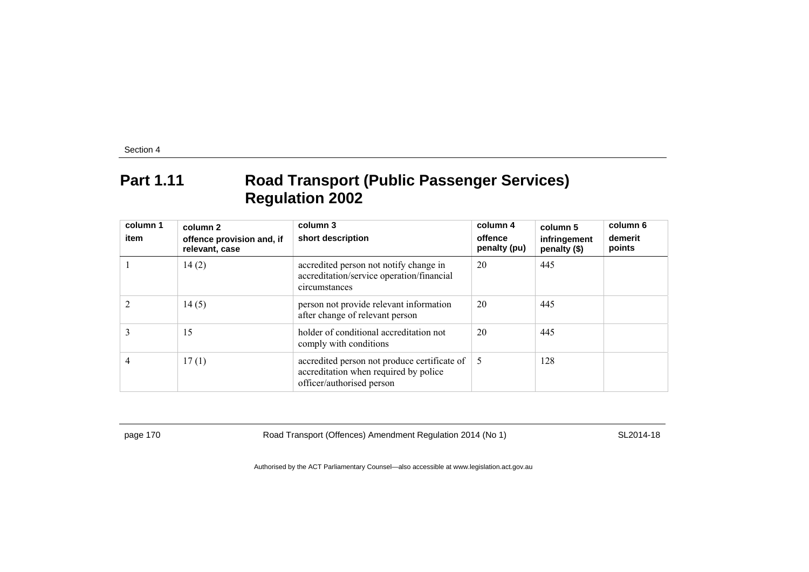#### **Part 1.11 Road Transport (Public Passenger Services) Regulation 2002**

| column 1<br>item | column 2<br>offence provision and, if<br>relevant, case | column 3<br>short description                                                                                      | column 4<br>offence<br>penalty (pu) | column 5<br>infringement<br>penalty (\$) | column 6<br>demerit<br>points |
|------------------|---------------------------------------------------------|--------------------------------------------------------------------------------------------------------------------|-------------------------------------|------------------------------------------|-------------------------------|
|                  | 14(2)                                                   | accredited person not notify change in<br>accreditation/service operation/financial<br>circumstances               | 20                                  | 445                                      |                               |
|                  | 14(5)                                                   | person not provide relevant information<br>after change of relevant person                                         | 20                                  | 445                                      |                               |
|                  | 15                                                      | holder of conditional accreditation not<br>comply with conditions                                                  | 20                                  | 445                                      |                               |
| 4                | 17(1)                                                   | accredited person not produce certificate of<br>accreditation when required by police<br>officer/authorised person | -5                                  | 128                                      |                               |

page 170 SL2014-18 Road Transport (Offences) Amendment Regulation 2014 (No 1)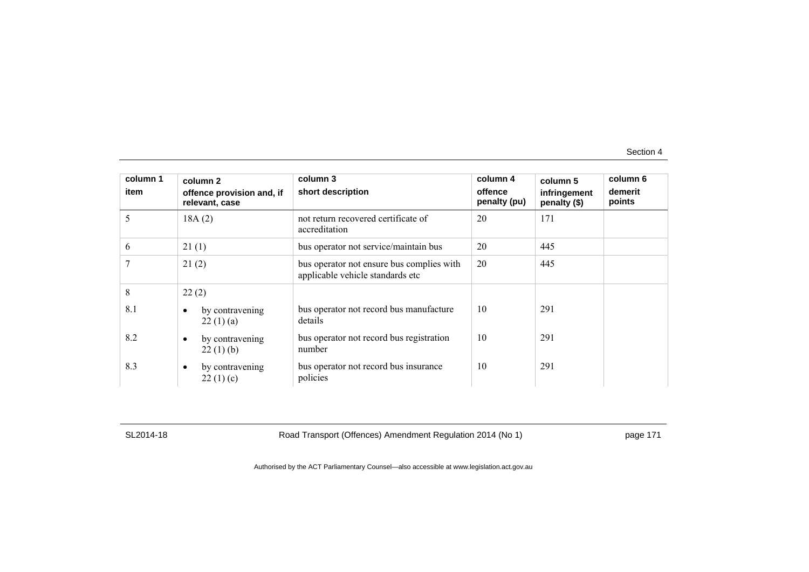| column 1<br>item | column 2<br>offence provision and, if<br>relevant, case | column 3<br>short description                                                 | column 4<br>offence<br>penalty (pu) | column 5<br>infringement<br>penalty (\$) | column 6<br>demerit<br>points |
|------------------|---------------------------------------------------------|-------------------------------------------------------------------------------|-------------------------------------|------------------------------------------|-------------------------------|
| 5                | 18A(2)                                                  | not return recovered certificate of<br>accreditation                          | 20                                  | 171                                      |                               |
| 6                | 21(1)                                                   | bus operator not service/maintain bus                                         | 20                                  | 445                                      |                               |
| 7                | 21(2)                                                   | bus operator not ensure bus complies with<br>applicable vehicle standards etc | 20                                  | 445                                      |                               |
| 8                | 22(2)                                                   |                                                                               |                                     |                                          |                               |
| 8.1              | by contravening<br>$\bullet$<br>22(1)(a)                | bus operator not record bus manufacture<br>details                            | 10                                  | 291                                      |                               |
| 8.2              | by contravening<br>$\bullet$<br>22(1)(b)                | bus operator not record bus registration<br>number                            | 10                                  | 291                                      |                               |
| 8.3              | by contravening<br>$\bullet$<br>22(1)(c)                | bus operator not record bus insurance<br>policies                             | 10                                  | 291                                      |                               |

SL2014-18 Road Transport (Offences) Amendment Regulation 2014 (No 1) page 171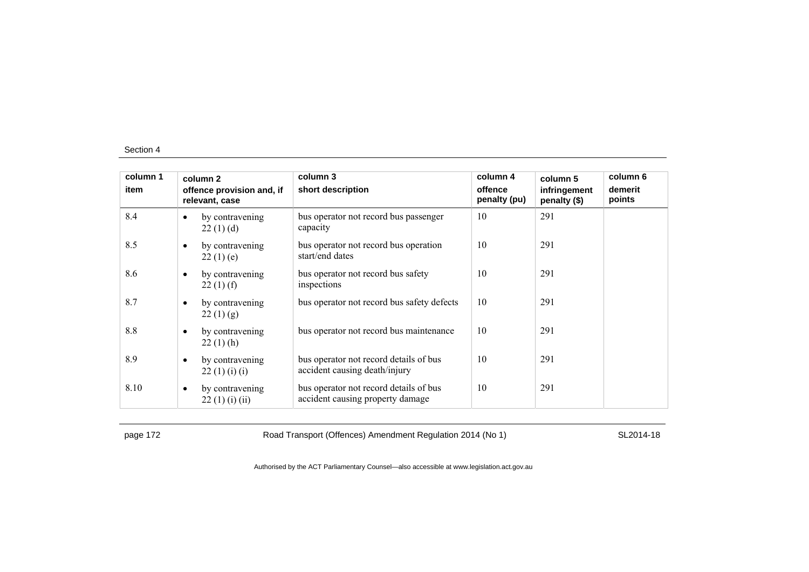| column 1 |           | column 2                                    | column 3                                                                   | column 4                | column 5                     | column 6          |
|----------|-----------|---------------------------------------------|----------------------------------------------------------------------------|-------------------------|------------------------------|-------------------|
| item     |           | offence provision and, if<br>relevant, case | short description                                                          | offence<br>penalty (pu) | infringement<br>penalty (\$) | demerit<br>points |
| 8.4      | $\bullet$ | by contravening<br>22(1)(d)                 | bus operator not record bus passenger<br>capacity                          | 10                      | 291                          |                   |
| 8.5      | $\bullet$ | by contravening<br>22(1)(e)                 | bus operator not record bus operation<br>start/end dates                   | 10                      | 291                          |                   |
| 8.6      | $\bullet$ | by contravening<br>$22(1)$ (f)              | bus operator not record bus safety<br>inspections                          | 10                      | 291                          |                   |
| 8.7      | $\bullet$ | by contravening<br>22(1)(g)                 | bus operator not record bus safety defects                                 | 10                      | 291                          |                   |
| 8.8      | $\bullet$ | by contravening<br>$22(1)$ (h)              | bus operator not record bus maintenance                                    | 10                      | 291                          |                   |
| 8.9      | $\bullet$ | by contravening<br>22(1)(i)(i)              | bus operator not record details of bus<br>accident causing death/injury    | 10                      | 291                          |                   |
| 8.10     | $\bullet$ | by contravening<br>22(1)(i)(ii)             | bus operator not record details of bus<br>accident causing property damage | 10                      | 291                          |                   |

page 172 **Road Transport (Offences) Amendment Regulation 2014 (No 1)** SL2014-18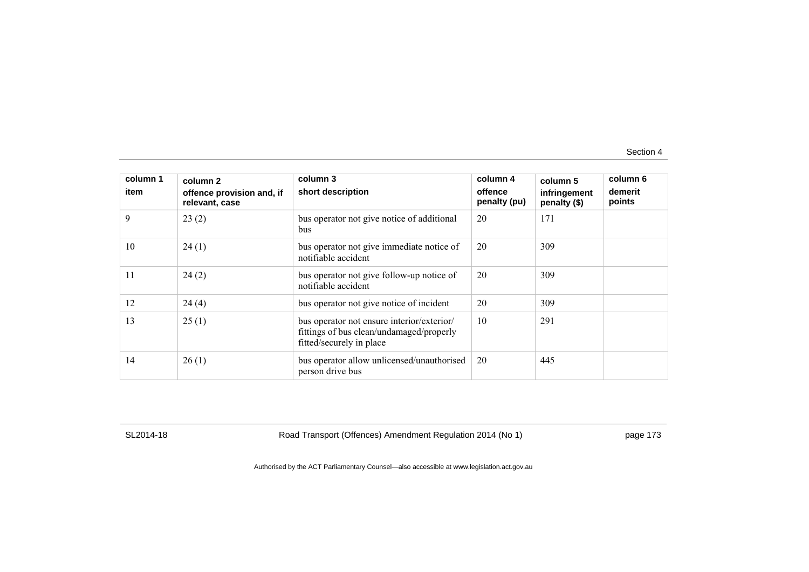| column 1<br>item | column 2<br>offence provision and, if<br>relevant, case | column 3<br>short description                                                                                      | column 4<br>offence<br>penalty (pu) | column 5<br>infringement<br>penalty (\$) | column 6<br>demerit<br>points |
|------------------|---------------------------------------------------------|--------------------------------------------------------------------------------------------------------------------|-------------------------------------|------------------------------------------|-------------------------------|
| 9                | 23(2)                                                   | bus operator not give notice of additional<br>bus                                                                  | 20                                  | 171                                      |                               |
| 10               | 24(1)                                                   | bus operator not give immediate notice of<br>notifiable accident                                                   | 20                                  | 309                                      |                               |
| 11               | 24(2)                                                   | bus operator not give follow-up notice of<br>notifiable accident                                                   | 20                                  | 309                                      |                               |
| 12               | 24(4)                                                   | bus operator not give notice of incident                                                                           | 20                                  | 309                                      |                               |
| 13               | 25(1)                                                   | bus operator not ensure interior/exterior/<br>fittings of bus clean/undamaged/properly<br>fitted/securely in place | 10                                  | 291                                      |                               |
| 14               | 26(1)                                                   | bus operator allow unlicensed/unauthorised<br>person drive bus                                                     | 20                                  | 445                                      |                               |

SL2014-18 Road Transport (Offences) Amendment Regulation 2014 (No 1) page 173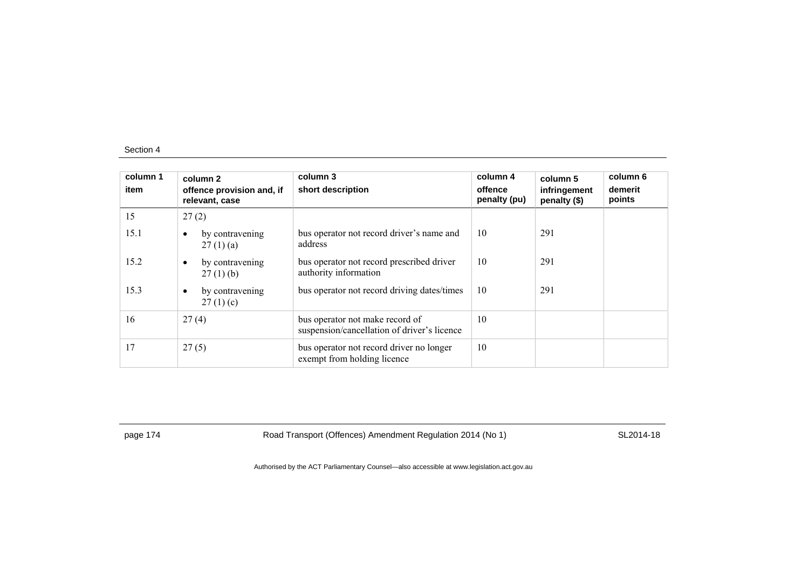| column 1<br>item | column 2<br>offence provision and, if<br>relevant, case | column 3<br>short description                                                  | column 4<br>offence<br>penalty (pu) | column 5<br>infringement<br>penalty (\$) | column 6<br>demerit<br>points |
|------------------|---------------------------------------------------------|--------------------------------------------------------------------------------|-------------------------------------|------------------------------------------|-------------------------------|
| 15               | 27(2)                                                   |                                                                                |                                     |                                          |                               |
| 15.1             | by contravening<br>$\bullet$<br>27(1)(a)                | bus operator not record driver's name and<br>address                           | 10                                  | 291                                      |                               |
| 15.2             | by contravening<br>$\bullet$<br>$27(1)$ (b)             | bus operator not record prescribed driver<br>authority information             | 10                                  | 291                                      |                               |
| 15.3             | by contravening<br>$\bullet$<br>27(1)(c)                | bus operator not record driving dates/times                                    | 10                                  | 291                                      |                               |
| 16               | 27(4)                                                   | bus operator not make record of<br>suspension/cancellation of driver's licence | 10                                  |                                          |                               |
| 17               | 27(5)                                                   | bus operator not record driver no longer<br>exempt from holding licence        | 10                                  |                                          |                               |

page 174 **Road Transport (Offences) Amendment Regulation 2014 (No 1)** SL2014-18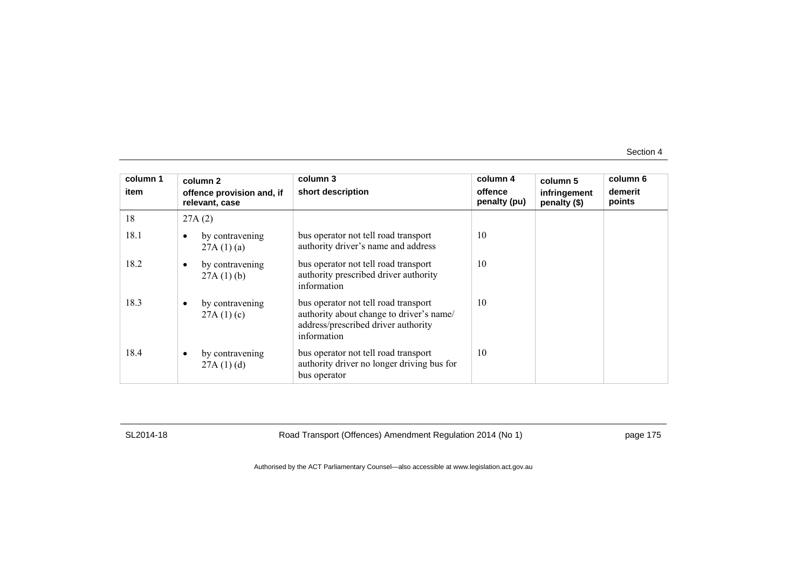| column 1<br>item |   | column 2<br>offence provision and, if<br>relevant, case | column 3<br>short description                                                                                                          | column 4<br>offence<br>penalty (pu) | column 5<br>infringement<br>penalty (\$) | column 6<br>demerit<br>points |
|------------------|---|---------------------------------------------------------|----------------------------------------------------------------------------------------------------------------------------------------|-------------------------------------|------------------------------------------|-------------------------------|
| 18               |   | 27A(2)                                                  |                                                                                                                                        |                                     |                                          |                               |
| 18.1             |   | by contravening<br>27A(1)(a)                            | bus operator not tell road transport<br>authority driver's name and address                                                            | 10                                  |                                          |                               |
| 18.2             | ٠ | by contravening<br>27A(1)(b)                            | bus operator not tell road transport<br>authority prescribed driver authority<br>information                                           | 10                                  |                                          |                               |
| 18.3             | ٠ | by contravening<br>27A(1)(c)                            | bus operator not tell road transport<br>authority about change to driver's name/<br>address/prescribed driver authority<br>information | 10                                  |                                          |                               |
| 18.4             |   | by contravening<br>27A(1)(d)                            | bus operator not tell road transport<br>authority driver no longer driving bus for<br>bus operator                                     | 10                                  |                                          |                               |

SL2014-18 Road Transport (Offences) Amendment Regulation 2014 (No 1) page 175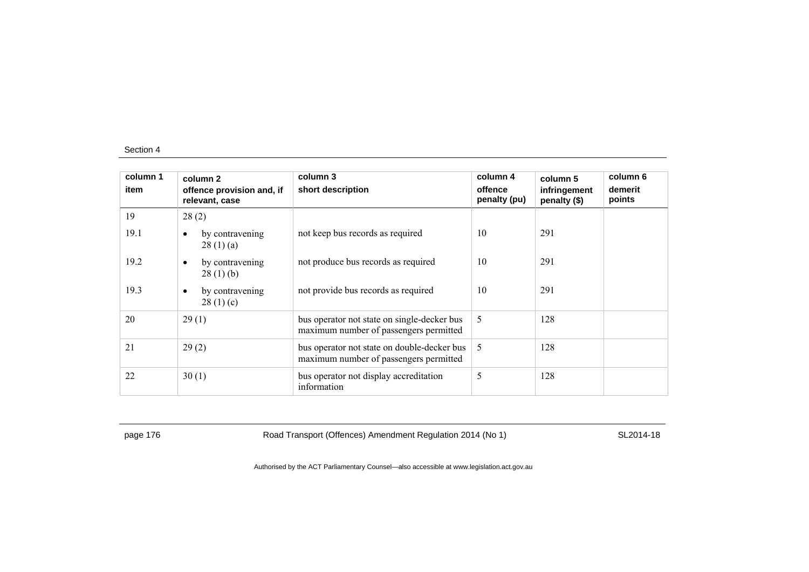| column 1<br>item | column 2<br>offence provision and, if<br>relevant, case | column 3<br>short description                                                         | column 4<br>offence<br>penalty (pu) | column 5<br>infringement<br>penalty (\$) | column 6<br>demerit<br>points |
|------------------|---------------------------------------------------------|---------------------------------------------------------------------------------------|-------------------------------------|------------------------------------------|-------------------------------|
| 19               | 28(2)                                                   |                                                                                       |                                     |                                          |                               |
| 19.1             | by contravening<br>$\bullet$<br>28(1)(a)                | not keep bus records as required                                                      | 10                                  | 291                                      |                               |
| 19.2             | by contravening<br>$\bullet$<br>28(1)(b)                | not produce bus records as required                                                   | 10                                  | 291                                      |                               |
| 19.3             | by contravening<br>$\bullet$<br>28(1)(c)                | not provide bus records as required                                                   | 10                                  | 291                                      |                               |
| 20               | 29(1)                                                   | bus operator not state on single-decker bus<br>maximum number of passengers permitted | 5                                   | 128                                      |                               |
| 21               | 29(2)                                                   | bus operator not state on double-decker bus<br>maximum number of passengers permitted | 5                                   | 128                                      |                               |
| 22               | 30(1)                                                   | bus operator not display accreditation<br>information                                 | 5                                   | 128                                      |                               |

page 176 **Road Transport (Offences) Amendment Regulation 2014 (No 1)** SL2014-18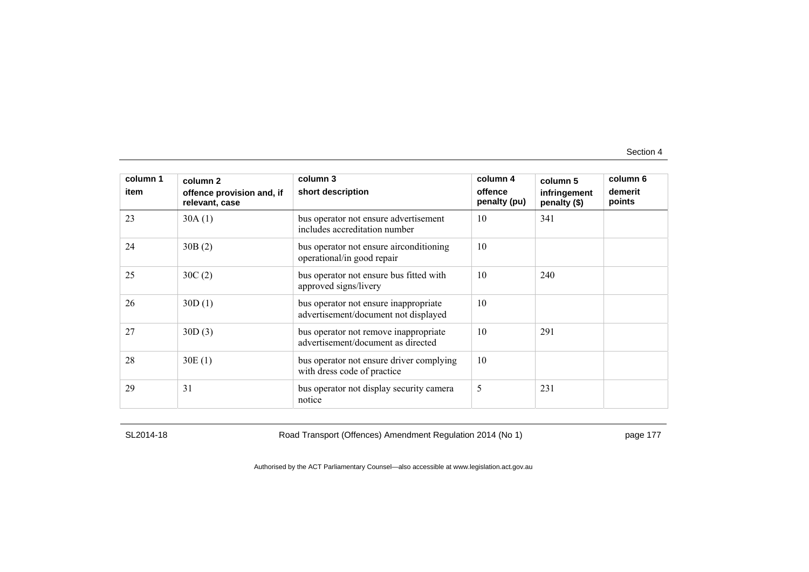| column 1<br>item | column 2<br>offence provision and, if<br>relevant, case | column 3<br>short description                                                 | column 4<br>offence<br>penalty (pu) | column 5<br>infringement<br>penalty (\$) | column 6<br>demerit<br>points |
|------------------|---------------------------------------------------------|-------------------------------------------------------------------------------|-------------------------------------|------------------------------------------|-------------------------------|
| 23               | 30A(1)                                                  | bus operator not ensure advertisement<br>includes accreditation number        | 10                                  | 341                                      |                               |
| 24               | 30B(2)                                                  | bus operator not ensure airconditioning<br>operational/in good repair         | 10                                  |                                          |                               |
| 25               | 30C(2)                                                  | bus operator not ensure bus fitted with<br>approved signs/livery              | 10                                  | 240                                      |                               |
| 26               | 30D(1)                                                  | bus operator not ensure inappropriate<br>advertisement/document not displayed | 10                                  |                                          |                               |
| 27               | 30D(3)                                                  | bus operator not remove inappropriate<br>advertisement/document as directed   | 10                                  | 291                                      |                               |
| 28               | 30E(1)                                                  | bus operator not ensure driver complying<br>with dress code of practice       | 10                                  |                                          |                               |
| 29               | 31                                                      | bus operator not display security camera<br>notice                            | 5                                   | 231                                      |                               |

SL2014-18 Road Transport (Offences) Amendment Regulation 2014 (No 1) page 177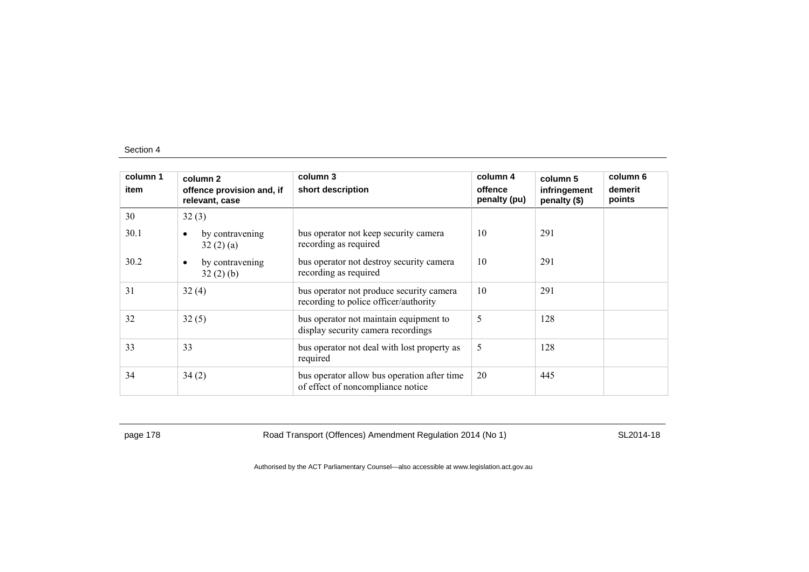| column 1<br>item | column 2<br>offence provision and, if<br>relevant, case | column 3<br>short description                                                     | column 4<br>offence<br>penalty (pu) | column 5<br>infringement<br>penalty (\$) | column 6<br>demerit<br>points |
|------------------|---------------------------------------------------------|-----------------------------------------------------------------------------------|-------------------------------------|------------------------------------------|-------------------------------|
| 30               | 32(3)                                                   |                                                                                   |                                     |                                          |                               |
| 30.1             | by contravening<br>$\bullet$<br>32(2)(a)                | bus operator not keep security camera<br>recording as required                    | 10                                  | 291                                      |                               |
| 30.2             | by contravening<br>$\bullet$<br>32(2)(b)                | bus operator not destroy security camera<br>recording as required                 | 10                                  | 291                                      |                               |
| 31               | 32(4)                                                   | bus operator not produce security camera<br>recording to police officer/authority | 10                                  | 291                                      |                               |
| 32               | 32(5)                                                   | bus operator not maintain equipment to<br>display security camera recordings      | 5                                   | 128                                      |                               |
| 33               | 33                                                      | bus operator not deal with lost property as<br>required                           | 5                                   | 128                                      |                               |
| 34               | 34(2)                                                   | bus operator allow bus operation after time<br>of effect of noncompliance notice  | 20                                  | 445                                      |                               |

page 178 **Road Transport (Offences) Amendment Regulation 2014 (No 1)** SL2014-18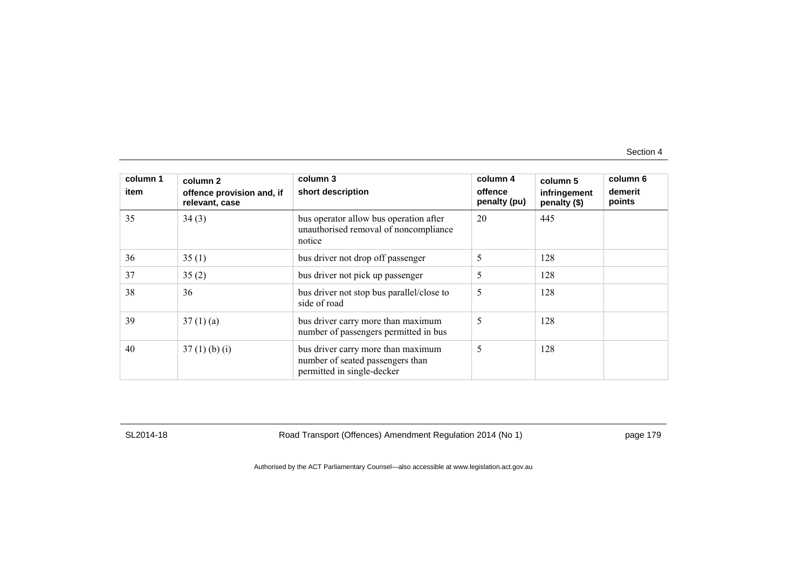| column 1<br>item | column 2<br>offence provision and, if<br>relevant, case | column 3<br>short description                                                                        | column 4<br>offence<br>penalty (pu) | column 5<br>infringement<br>penalty (\$) | column 6<br>demerit<br>points |
|------------------|---------------------------------------------------------|------------------------------------------------------------------------------------------------------|-------------------------------------|------------------------------------------|-------------------------------|
| 35               | 34(3)                                                   | bus operator allow bus operation after<br>unauthorised removal of noncompliance<br>notice            | 20                                  | 445                                      |                               |
| 36               | 35(1)                                                   | bus driver not drop off passenger                                                                    | 5                                   | 128                                      |                               |
| 37               | 35(2)                                                   | bus driver not pick up passenger                                                                     | 5                                   | 128                                      |                               |
| 38               | 36                                                      | bus driver not stop bus parallel/close to<br>side of road                                            | 5                                   | 128                                      |                               |
| 39               | 37(1)(a)                                                | bus driver carry more than maximum<br>number of passengers permitted in bus                          | 5                                   | 128                                      |                               |
| 40               | $37(1)$ (b) (i)                                         | bus driver carry more than maximum<br>number of seated passengers than<br>permitted in single-decker | 5                                   | 128                                      |                               |

SL2014-18 Road Transport (Offences) Amendment Regulation 2014 (No 1) page 179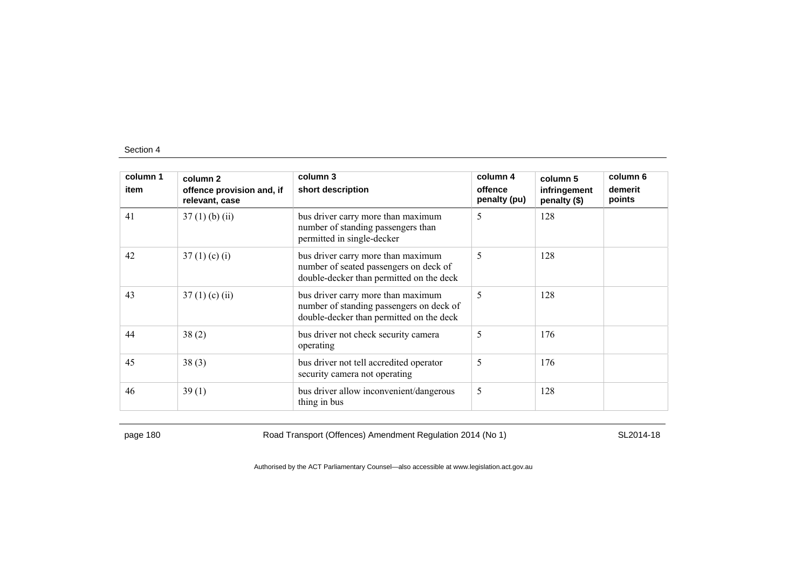| column 1<br>item | column 2<br>offence provision and, if<br>relevant, case | column 3<br>short description                                                                                              | column 4<br>offence<br>penalty (pu) | column 5<br>infringement<br>penalty (\$) | column 6<br>demerit<br>points |
|------------------|---------------------------------------------------------|----------------------------------------------------------------------------------------------------------------------------|-------------------------------------|------------------------------------------|-------------------------------|
| 41               | $37(1)$ (b) (ii)                                        | bus driver carry more than maximum<br>number of standing passengers than<br>permitted in single-decker                     | 5                                   | 128                                      |                               |
| 42               | 37(1)(c)(i)                                             | bus driver carry more than maximum<br>number of seated passengers on deck of<br>double-decker than permitted on the deck   | 5                                   | 128                                      |                               |
| 43               | $37(1)$ (c) (ii)                                        | bus driver carry more than maximum<br>number of standing passengers on deck of<br>double-decker than permitted on the deck | 5                                   | 128                                      |                               |
| 44               | 38(2)                                                   | bus driver not check security camera<br>operating                                                                          | 5                                   | 176                                      |                               |
| 45               | 38(3)                                                   | bus driver not tell accredited operator<br>security camera not operating                                                   | 5                                   | 176                                      |                               |
| 46               | 39(1)                                                   | bus driver allow inconvenient/dangerous<br>thing in bus                                                                    | 5                                   | 128                                      |                               |

page 180 Road Transport (Offences) Amendment Regulation 2014 (No 1) SL2014-18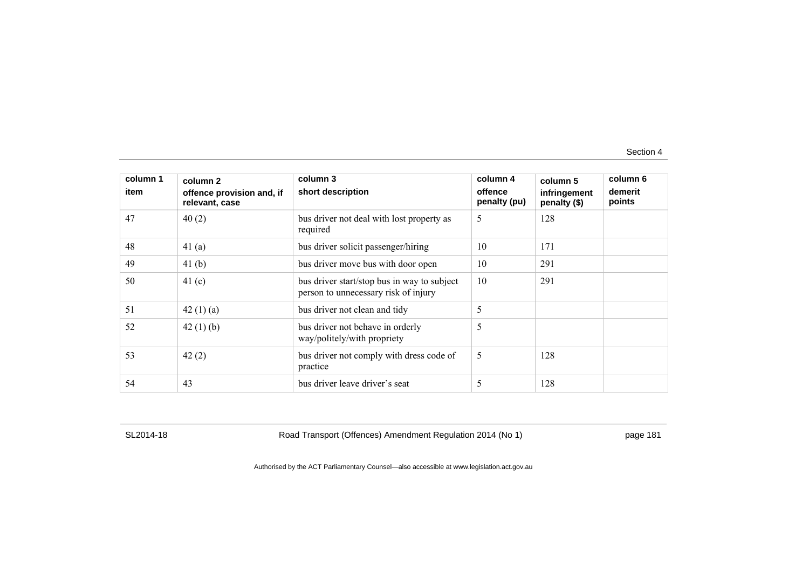| column 1<br>item | column 2<br>offence provision and, if<br>relevant, case | column 3<br>short description                                                       | column 4<br>offence<br>penalty (pu) | column 5<br>infringement<br>penalty (\$) | column 6<br>demerit<br>points |
|------------------|---------------------------------------------------------|-------------------------------------------------------------------------------------|-------------------------------------|------------------------------------------|-------------------------------|
| 47               | 40(2)                                                   | bus driver not deal with lost property as<br>required                               | 5                                   | 128                                      |                               |
| 48               | 41 $(a)$                                                | bus driver solicit passenger/hiring                                                 | 10                                  | 171                                      |                               |
| 49               | 41 <sub>(b)</sub>                                       | bus driver move bus with door open                                                  | 10                                  | 291                                      |                               |
| 50               | 41 $(c)$                                                | bus driver start/stop bus in way to subject<br>person to unnecessary risk of injury | 10                                  | 291                                      |                               |
| 51               | 42 $(1)(a)$                                             | bus driver not clean and tidy                                                       | 5                                   |                                          |                               |
| 52               | 42 $(1)$ $(b)$                                          | bus driver not behave in orderly<br>way/politely/with propriety                     | 5                                   |                                          |                               |
| 53               | 42(2)                                                   | bus driver not comply with dress code of<br>practice                                | 5                                   | 128                                      |                               |
| 54               | 43                                                      | bus driver leave driver's seat                                                      | 5                                   | 128                                      |                               |

SL2014-18 Road Transport (Offences) Amendment Regulation 2014 (No 1) page 181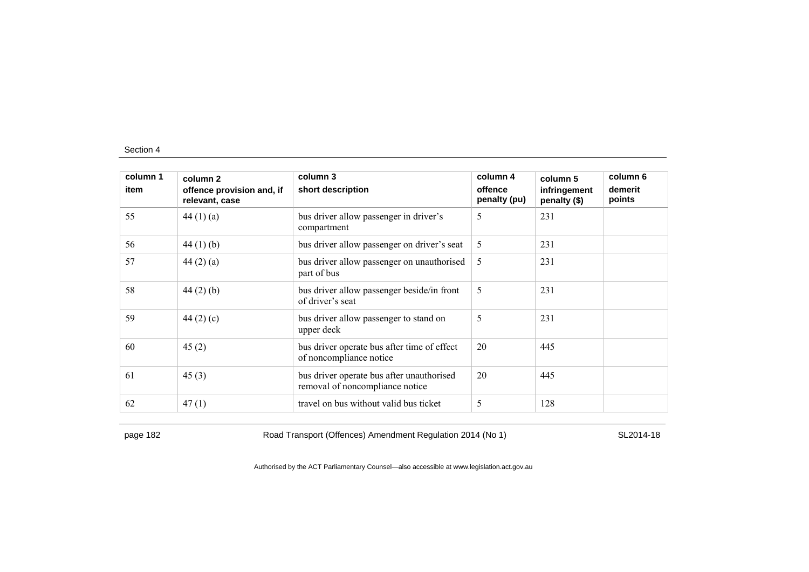| column 1<br>item | column 2<br>offence provision and, if<br>relevant, case | column 3<br>short description                                                | column 4<br>offence<br>penalty (pu) | column 5<br>infringement<br>penalty (\$) | column 6<br>demerit<br>points |
|------------------|---------------------------------------------------------|------------------------------------------------------------------------------|-------------------------------------|------------------------------------------|-------------------------------|
| 55               | 44 $(1)(a)$                                             | bus driver allow passenger in driver's<br>compartment                        | 5                                   | 231                                      |                               |
| 56               | 44 $(1)$ $(b)$                                          | bus driver allow passenger on driver's seat                                  | 5                                   | 231                                      |                               |
| 57               | 44 $(2)$ $(a)$                                          | bus driver allow passenger on unauthorised<br>part of bus                    | 5                                   | 231                                      |                               |
| 58               | $44(2)$ (b)                                             | bus driver allow passenger beside/in front<br>of driver's seat               | 5                                   | 231                                      |                               |
| 59               | 44 $(2)$ $(c)$                                          | bus driver allow passenger to stand on<br>upper deck                         | 5                                   | 231                                      |                               |
| 60               | 45(2)                                                   | bus driver operate bus after time of effect<br>of noncompliance notice       | 20                                  | 445                                      |                               |
| 61               | 45(3)                                                   | bus driver operate bus after unauthorised<br>removal of noncompliance notice | 20                                  | 445                                      |                               |
| 62               | 47(1)                                                   | travel on bus without valid bus ticket                                       | 5                                   | 128                                      |                               |

page 182 Road Transport (Offences) Amendment Regulation 2014 (No 1) SL2014-18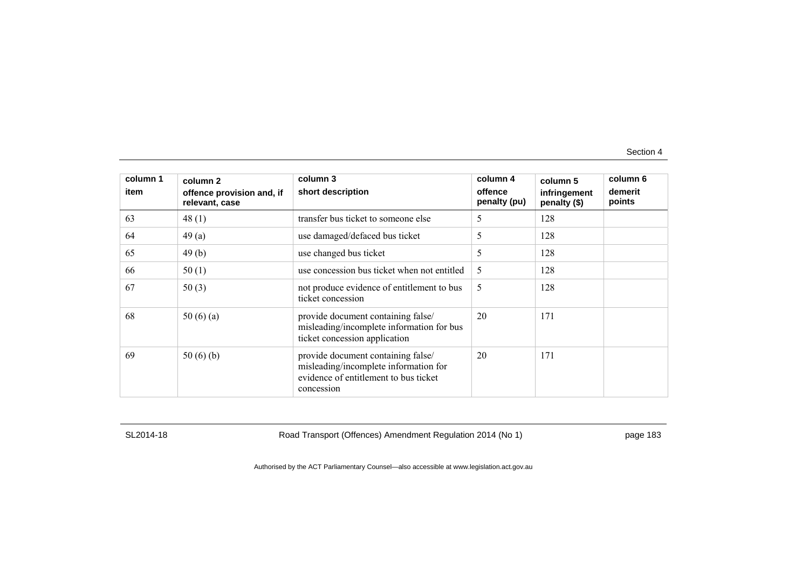| column 1<br>item | column 2<br>offence provision and, if<br>relevant, case | column 3<br>short description                                                                                                      | column 4<br>offence<br>penalty (pu) | column 5<br>infringement<br>penalty (\$) | column 6<br>demerit<br>points |
|------------------|---------------------------------------------------------|------------------------------------------------------------------------------------------------------------------------------------|-------------------------------------|------------------------------------------|-------------------------------|
| 63               | 48(1)                                                   | transfer bus ticket to someone else                                                                                                | 5                                   | 128                                      |                               |
| 64               | 49(a)                                                   | use damaged/defaced bus ticket                                                                                                     | 5                                   | 128                                      |                               |
| 65               | 49(b)                                                   | use changed bus ticket                                                                                                             | 5                                   | 128                                      |                               |
| 66               | 50(1)                                                   | use concession bus ticket when not entitled                                                                                        | 5                                   | 128                                      |                               |
| 67               | 50(3)                                                   | not produce evidence of entitlement to bus<br>ticket concession                                                                    | 5                                   | 128                                      |                               |
| 68               | 50 $(6)(a)$                                             | provide document containing false/<br>misleading/incomplete information for bus<br>ticket concession application                   | 20                                  | 171                                      |                               |
| 69               | 50 $(6)(b)$                                             | provide document containing false/<br>misleading/incomplete information for<br>evidence of entitlement to bus ticket<br>concession | 20                                  | 171                                      |                               |

SL2014-18 Road Transport (Offences) Amendment Regulation 2014 (No 1) page 183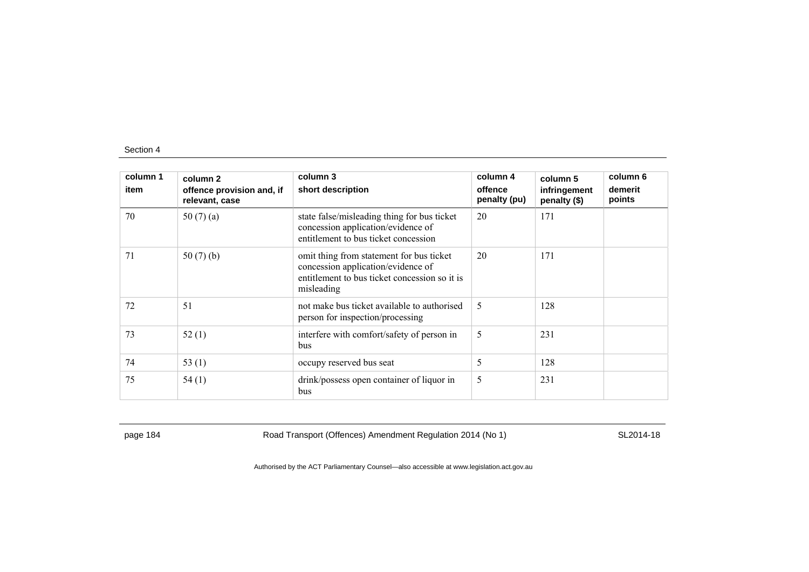| column 1<br>item | column 2<br>offence provision and, if<br>relevant, case | column 3<br>short description                                                                                                                 | column 4<br>offence<br>penalty (pu) | column 5<br>infringement<br>penalty (\$) | column 6<br>demerit<br>points |
|------------------|---------------------------------------------------------|-----------------------------------------------------------------------------------------------------------------------------------------------|-------------------------------------|------------------------------------------|-------------------------------|
| 70               | 50 $(7)(a)$                                             | state false/misleading thing for bus ticket<br>concession application/evidence of<br>entitlement to bus ticket concession                     | 20                                  | 171                                      |                               |
| 71               | 50(7)(b)                                                | omit thing from statement for bus ticket<br>concession application/evidence of<br>entitlement to bus ticket concession so it is<br>misleading | 20                                  | 171                                      |                               |
| 72               | 51                                                      | not make bus ticket available to authorised<br>person for inspection/processing                                                               | 5                                   | 128                                      |                               |
| 73               | 52(1)                                                   | interfere with comfort/safety of person in<br>bus                                                                                             | 5                                   | 231                                      |                               |
| 74               | 53 $(1)$                                                | occupy reserved bus seat                                                                                                                      | 5                                   | 128                                      |                               |
| 75               | 54(1)                                                   | drink/possess open container of liquor in<br>bus                                                                                              | 5                                   | 231                                      |                               |

page 184 Road Transport (Offences) Amendment Regulation 2014 (No 1) SL2014-18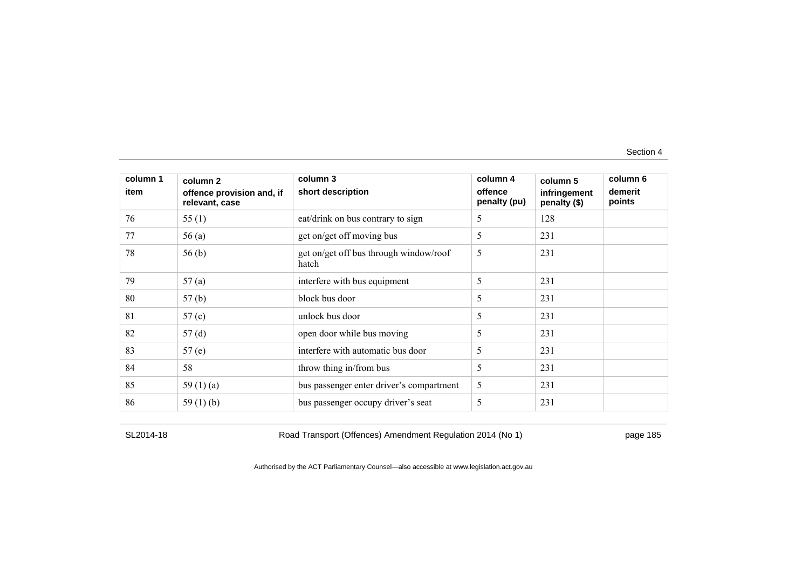| column 1<br>item | column 2<br>offence provision and, if<br>relevant, case | column 3<br>short description                   | column 4<br>offence<br>penalty (pu) | column 5<br>infringement<br>penalty (\$) | column 6<br>demerit<br>points |
|------------------|---------------------------------------------------------|-------------------------------------------------|-------------------------------------|------------------------------------------|-------------------------------|
| 76               | 55(1)                                                   | eat/drink on bus contrary to sign               | 5                                   | 128                                      |                               |
| 77               | 56(a)                                                   | get on/get off moving bus                       | 5                                   | 231                                      |                               |
| 78               | 56 <sub>(b)</sub>                                       | get on/get off bus through window/roof<br>hatch | 5                                   | 231                                      |                               |
| 79               | 57(a)                                                   | interfere with bus equipment                    | 5                                   | 231                                      |                               |
| 80               | 57(b)                                                   | block bus door                                  | 5                                   | 231                                      |                               |
| 81               | 57 <sub>(c)</sub>                                       | unlock bus door                                 | 5                                   | 231                                      |                               |
| 82               | 57(d)                                                   | open door while bus moving                      | 5                                   | 231                                      |                               |
| 83               | 57(e)                                                   | interfere with automatic bus door               | 5                                   | 231                                      |                               |
| 84               | 58                                                      | throw thing in/from bus                         | 5                                   | 231                                      |                               |
| 85               | 59 $(1)(a)$                                             | bus passenger enter driver's compartment        | 5                                   | 231                                      |                               |
| 86               | 59 $(1)$ (b)                                            | bus passenger occupy driver's seat              | 5                                   | 231                                      |                               |

SL2014-18 Road Transport (Offences) Amendment Regulation 2014 (No 1) page 185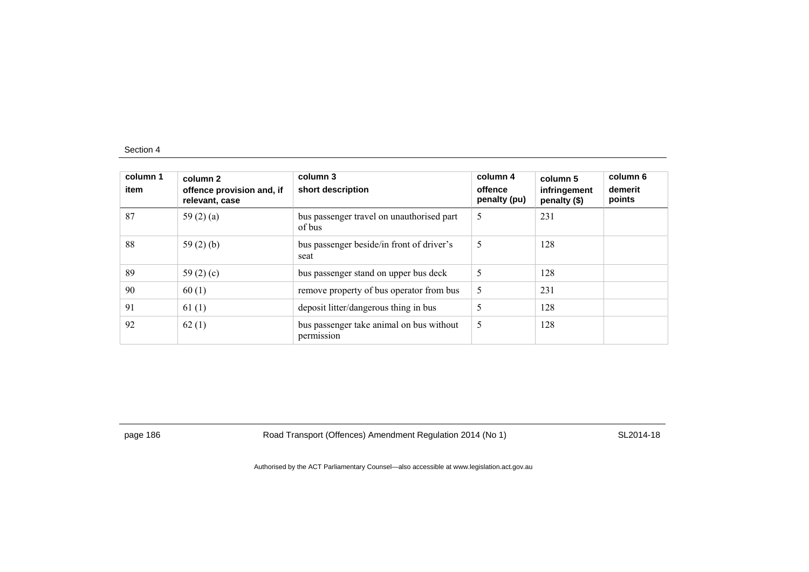| column 1<br>item | column 2<br>offence provision and, if<br>relevant, case | column 3<br>short description                          | column 4<br>offence<br>penalty (pu) | column 5<br>infringement<br>penalty (\$) | column 6<br>demerit<br>points |
|------------------|---------------------------------------------------------|--------------------------------------------------------|-------------------------------------|------------------------------------------|-------------------------------|
| 87               | 59 $(2)$ $(a)$                                          | bus passenger travel on unauthorised part<br>of bus    | 5                                   | 231                                      |                               |
| 88               | 59 $(2)$ $(b)$                                          | bus passenger beside/in front of driver's<br>seat      | 5                                   | 128                                      |                               |
| 89               | 59 $(2)$ $(c)$                                          | bus passenger stand on upper bus deck                  | 5                                   | 128                                      |                               |
| 90               | 60(1)                                                   | remove property of bus operator from bus               | 5                                   | 231                                      |                               |
| 91               | 61(1)                                                   | deposit litter/dangerous thing in bus                  | 5                                   | 128                                      |                               |
| 92               | 62(1)                                                   | bus passenger take animal on bus without<br>permission | 5                                   | 128                                      |                               |

page 186 Road Transport (Offences) Amendment Regulation 2014 (No 1) SL2014-18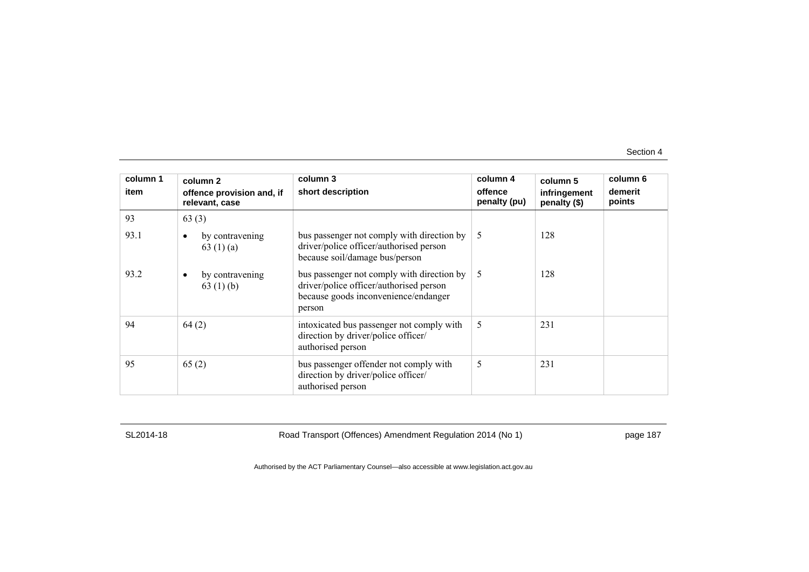| column 1<br>item | column 2                                     | column 3                                                                                                                                | column 4<br>offence | column 5                     | column 6<br>demerit |
|------------------|----------------------------------------------|-----------------------------------------------------------------------------------------------------------------------------------------|---------------------|------------------------------|---------------------|
|                  | offence provision and, if<br>relevant, case  | short description                                                                                                                       | penalty (pu)        | infringement<br>penalty (\$) | points              |
| 93               | 63(3)                                        |                                                                                                                                         |                     |                              |                     |
| 93.1             | by contravening<br>63 $(1)(a)$               | bus passenger not comply with direction by<br>driver/police officer/authorised person<br>because soil/damage bus/person                 | .5                  | 128                          |                     |
| 93.2             | by contravening<br>$\bullet$<br>63 $(1)$ (b) | bus passenger not comply with direction by<br>driver/police officer/authorised person<br>because goods inconvenience/endanger<br>person | 5                   | 128                          |                     |
| 94               | 64(2)                                        | intoxicated bus passenger not comply with<br>direction by driver/police officer/<br>authorised person                                   | 5                   | 231                          |                     |
| 95               | 65(2)                                        | bus passenger offender not comply with<br>direction by driver/police officer/<br>authorised person                                      | 5                   | 231                          |                     |

SL2014-18 Road Transport (Offences) Amendment Regulation 2014 (No 1) page 187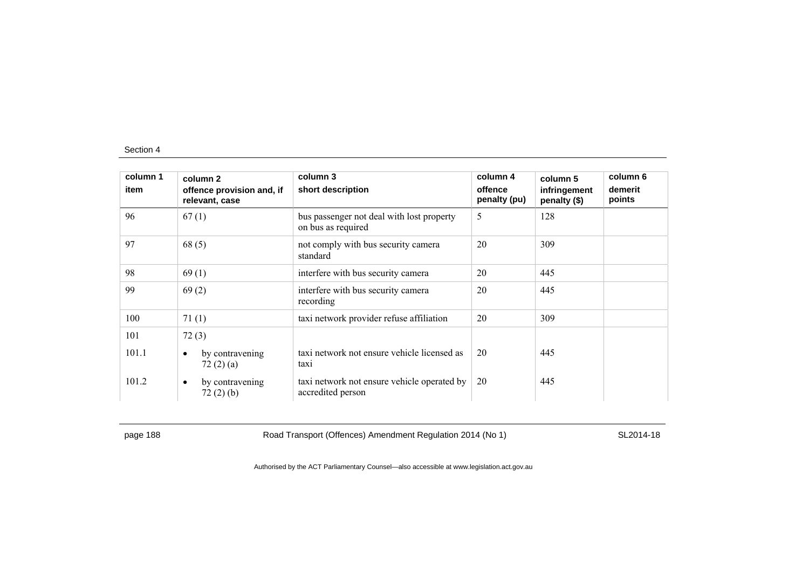| column 1<br>item | column 2<br>offence provision and, if<br>relevant, case | column 3<br>short description                                    | column 4<br>offence<br>penalty (pu) | column 5<br>infringement<br>penalty (\$) | column 6<br>demerit<br>points |
|------------------|---------------------------------------------------------|------------------------------------------------------------------|-------------------------------------|------------------------------------------|-------------------------------|
| 96               | 67(1)                                                   | bus passenger not deal with lost property<br>on bus as required  | 5                                   | 128                                      |                               |
| 97               | 68(5)                                                   | not comply with bus security camera<br>standard                  | 20                                  | 309                                      |                               |
| 98               | 69(1)                                                   | interfere with bus security camera                               | 20                                  | 445                                      |                               |
| 99               | 69(2)                                                   | interfere with bus security camera<br>recording                  | 20                                  | 445                                      |                               |
| 100              | 71(1)                                                   | taxi network provider refuse affiliation                         | 20                                  | 309                                      |                               |
| 101              | 72(3)                                                   |                                                                  |                                     |                                          |                               |
| 101.1            | by contravening<br>$\bullet$<br>72(2)(a)                | taxi network not ensure vehicle licensed as<br>taxi              | 20                                  | 445                                      |                               |
| 101.2            | by contravening<br>$\bullet$<br>72(2)(b)                | taxi network not ensure vehicle operated by<br>accredited person | 20                                  | 445                                      |                               |

page 188 Road Transport (Offences) Amendment Regulation 2014 (No 1) SL2014-18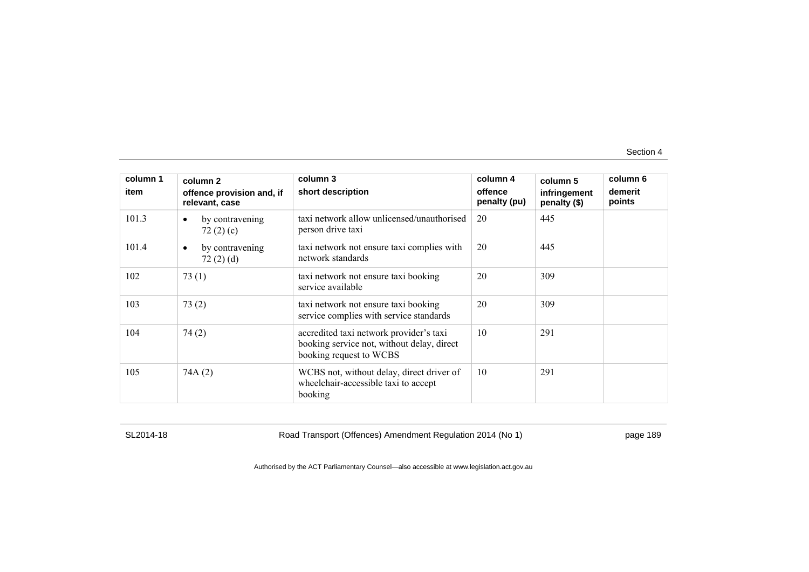| column 1<br>item | column 2<br>offence provision and, if<br>relevant, case | column 3<br>short description                                                                                    | column 4<br>offence<br>penalty (pu) | column 5<br>infringement<br>penalty (\$) | column 6<br>demerit<br>points |
|------------------|---------------------------------------------------------|------------------------------------------------------------------------------------------------------------------|-------------------------------------|------------------------------------------|-------------------------------|
| 101.3            | by contravening<br>$\bullet$<br>72 $(2)$ $(c)$          | taxi network allow unlicensed/unauthorised<br>person drive taxi                                                  | 20                                  | 445                                      |                               |
| 101.4            | by contravening<br>$\bullet$<br>72(2)(d)                | taxi network not ensure taxi complies with<br>network standards                                                  | 20                                  | 445                                      |                               |
| 102              | 73(1)                                                   | taxi network not ensure taxi booking<br>service available                                                        | 20                                  | 309                                      |                               |
| 103              | 73(2)                                                   | taxi network not ensure taxi booking<br>service complies with service standards                                  | 20                                  | 309                                      |                               |
| 104              | 74(2)                                                   | accredited taxi network provider's taxi<br>booking service not, without delay, direct<br>booking request to WCBS | 10                                  | 291                                      |                               |
| 105              | 74A(2)                                                  | WCBS not, without delay, direct driver of<br>wheelchair-accessible taxi to accept<br>booking                     | 10                                  | 291                                      |                               |

SL2014-18 Road Transport (Offences) Amendment Regulation 2014 (No 1) page 189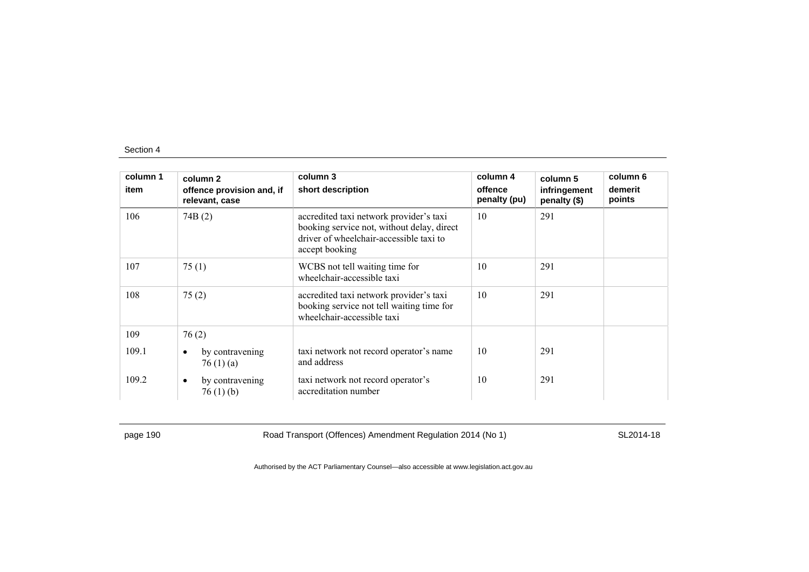| column 1 | column 2                                       | column 3                                                                                                                                           | column 4                | column 5                     | column 6          |
|----------|------------------------------------------------|----------------------------------------------------------------------------------------------------------------------------------------------------|-------------------------|------------------------------|-------------------|
| item     | offence provision and, if<br>relevant, case    | short description                                                                                                                                  | offence<br>penalty (pu) | infringement<br>penalty (\$) | demerit<br>points |
| 106      | 74B(2)                                         | accredited taxi network provider's taxi<br>booking service not, without delay, direct<br>driver of wheelchair-accessible taxi to<br>accept booking | 10                      | 291                          |                   |
| 107      | 75(1)                                          | WCBS not tell waiting time for<br>wheelchair-accessible taxi                                                                                       | 10                      | 291                          |                   |
| 108      | 75(2)                                          | accredited taxi network provider's taxi<br>booking service not tell waiting time for<br>wheelchair-accessible taxi                                 | 10                      | 291                          |                   |
| 109      | 76(2)                                          |                                                                                                                                                    |                         |                              |                   |
| 109.1    | by contravening<br>$\bullet$<br>76 $(1)$ $(a)$ | taxi network not record operator's name<br>and address                                                                                             | 10                      | 291                          |                   |
| 109.2    | by contravening<br>$\bullet$<br>76(1)(b)       | taxi network not record operator's<br>accreditation number                                                                                         | 10                      | 291                          |                   |

page 190 Road Transport (Offences) Amendment Regulation 2014 (No 1) SL2014-18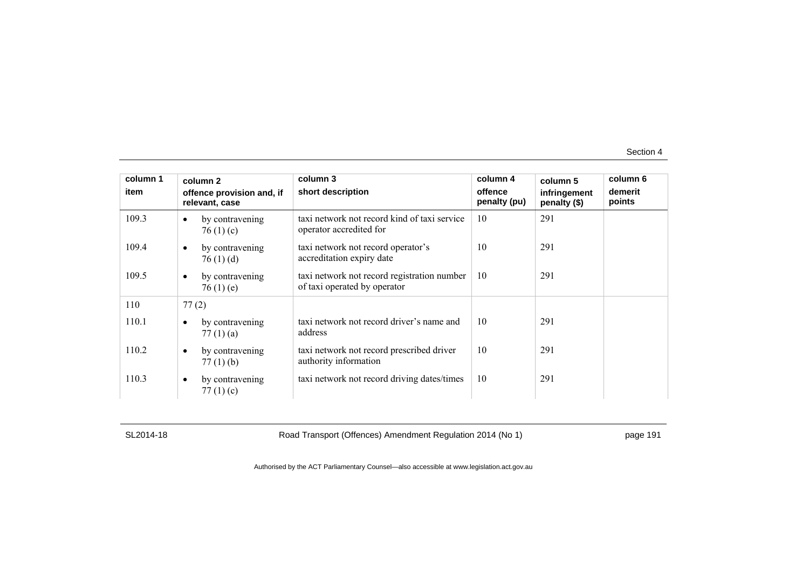| column 1 | column 2                                       | column 3                                                                    | column 4                | column 5                     | column 6          |
|----------|------------------------------------------------|-----------------------------------------------------------------------------|-------------------------|------------------------------|-------------------|
| item     | offence provision and, if<br>relevant, case    | short description                                                           | offence<br>penalty (pu) | infringement<br>penalty (\$) | demerit<br>points |
| 109.3    | by contravening<br>$\bullet$<br>76 $(1)$ (c)   | taxi network not record kind of taxi service<br>operator accredited for     | 10                      | 291                          |                   |
| 109.4    | by contravening<br>$\bullet$<br>76(1)(d)       | taxi network not record operator's<br>accreditation expiry date             | 10                      | 291                          |                   |
| 109.5    | by contravening<br>$\bullet$<br>76 $(1)$ $(e)$ | taxi network not record registration number<br>of taxi operated by operator | 10                      | 291                          |                   |
| 110      | 77(2)                                          |                                                                             |                         |                              |                   |
| 110.1    | by contravening<br>$\bullet$<br>77 $(1)$ $(a)$ | taxi network not record driver's name and<br>address                        | 10                      | 291                          |                   |
| 110.2    | by contravening<br>$\bullet$<br>$77(1)$ (b)    | taxi network not record prescribed driver<br>authority information          | 10                      | 291                          |                   |
| 110.3    | by contravening<br>$\bullet$<br>77 $(1)$ $(c)$ | taxi network not record driving dates/times                                 | 10                      | 291                          |                   |

SL2014-18 Road Transport (Offences) Amendment Regulation 2014 (No 1) page 191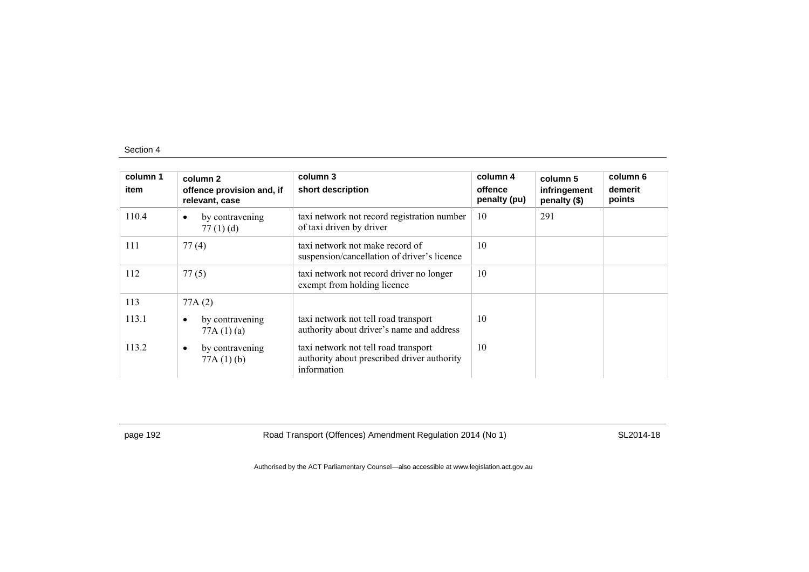| column 1<br>item | column 2<br>offence provision and, if<br>relevant, case | column 3<br>short description                                                                      | column 4<br>offence<br>penalty (pu) | column 5<br>infringement<br>penalty (\$) | column 6<br>demerit<br>points |
|------------------|---------------------------------------------------------|----------------------------------------------------------------------------------------------------|-------------------------------------|------------------------------------------|-------------------------------|
| 110.4            | by contravening<br>$\bullet$<br>77 $(1)$ $(d)$          | taxi network not record registration number<br>of taxi driven by driver                            | 10                                  | 291                                      |                               |
| 111              | 77(4)                                                   | taxi network not make record of<br>suspension/cancellation of driver's licence                     | 10                                  |                                          |                               |
| 112              | 77(5)                                                   | taxi network not record driver no longer<br>exempt from holding licence                            | 10                                  |                                          |                               |
| 113              | 77A(2)                                                  |                                                                                                    |                                     |                                          |                               |
| 113.1            | by contravening<br>$\bullet$<br>77A(1)(a)               | taxi network not tell road transport<br>authority about driver's name and address                  | 10                                  |                                          |                               |
| 113.2            | by contravening<br>$\bullet$<br>77A(1)(b)               | taxi network not tell road transport<br>authority about prescribed driver authority<br>information | 10                                  |                                          |                               |

page 192 **Road Transport (Offences) Amendment Regulation 2014 (No 1)** SL2014-18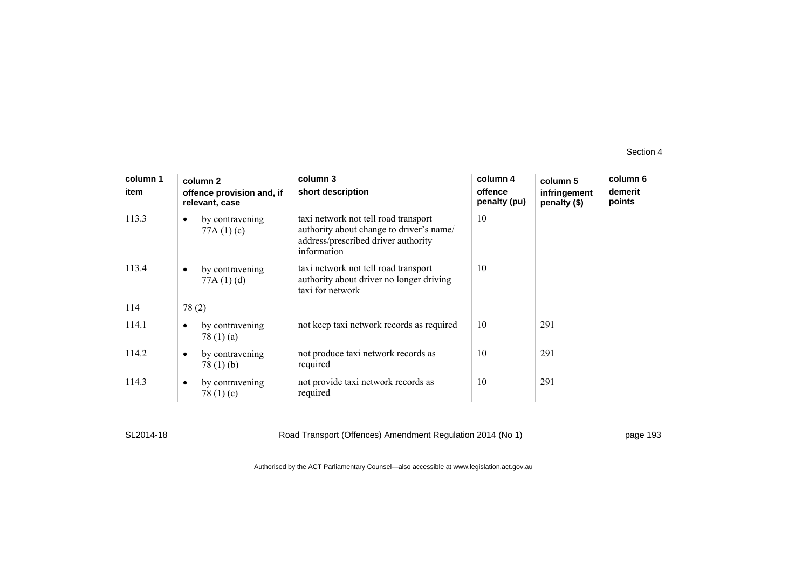| column 1 | column 2                                       | column 3                                                                                                                               | column 4                | column 5                     | column 6          |
|----------|------------------------------------------------|----------------------------------------------------------------------------------------------------------------------------------------|-------------------------|------------------------------|-------------------|
| item     | offence provision and, if<br>relevant, case    | short description                                                                                                                      | offence<br>penalty (pu) | infringement<br>penalty (\$) | demerit<br>points |
| 113.3    | by contravening<br>$\bullet$<br>77A(1)(c)      | taxi network not tell road transport<br>authority about change to driver's name/<br>address/prescribed driver authority<br>information | 10                      |                              |                   |
| 113.4    | by contravening<br>77A(1)(d)                   | taxi network not tell road transport<br>authority about driver no longer driving<br>taxi for network                                   | 10                      |                              |                   |
| 114      | 78(2)                                          |                                                                                                                                        |                         |                              |                   |
| 114.1    | by contravening<br>$\bullet$<br>78 $(1)$ $(a)$ | not keep taxi network records as required                                                                                              | 10                      | 291                          |                   |
| 114.2    | by contravening<br>$\bullet$<br>78 $(1)$ $(b)$ | not produce taxi network records as<br>required                                                                                        | 10                      | 291                          |                   |
| 114.3    | by contravening<br>$\bullet$<br>78 $(1)(c)$    | not provide taxi network records as<br>required                                                                                        | 10                      | 291                          |                   |

SL2014-18 Road Transport (Offences) Amendment Regulation 2014 (No 1) page 193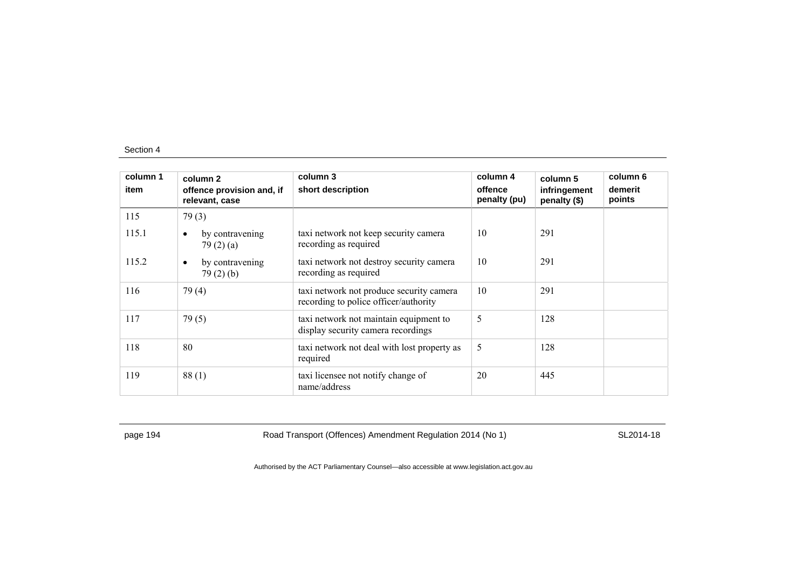| column 1<br>item | column 2<br>offence provision and, if<br>relevant, case | column 3<br>short description                                                     | column 4<br>offence<br>penalty (pu) | column 5<br>infringement<br>penalty (\$) | column 6<br>demerit<br>points |
|------------------|---------------------------------------------------------|-----------------------------------------------------------------------------------|-------------------------------------|------------------------------------------|-------------------------------|
| 115              | 79(3)                                                   |                                                                                   |                                     |                                          |                               |
| 115.1            | by contravening<br>$\bullet$<br>79(2)(a)                | taxi network not keep security camera<br>recording as required                    | 10                                  | 291                                      |                               |
| 115.2            | by contravening<br>$\bullet$<br>79(2)(b)                | taxi network not destroy security camera<br>recording as required                 | 10                                  | 291                                      |                               |
| 116              | 79(4)                                                   | taxi network not produce security camera<br>recording to police officer/authority | 10                                  | 291                                      |                               |
| 117              | 79(5)                                                   | taxi network not maintain equipment to<br>display security camera recordings      | 5                                   | 128                                      |                               |
| 118              | 80                                                      | taxi network not deal with lost property as<br>required                           | 5                                   | 128                                      |                               |
| 119              | 88(1)                                                   | taxi licensee not notify change of<br>name/address                                | 20                                  | 445                                      |                               |

page 194 **Road Transport (Offences) Amendment Regulation 2014 (No 1)** SL2014-18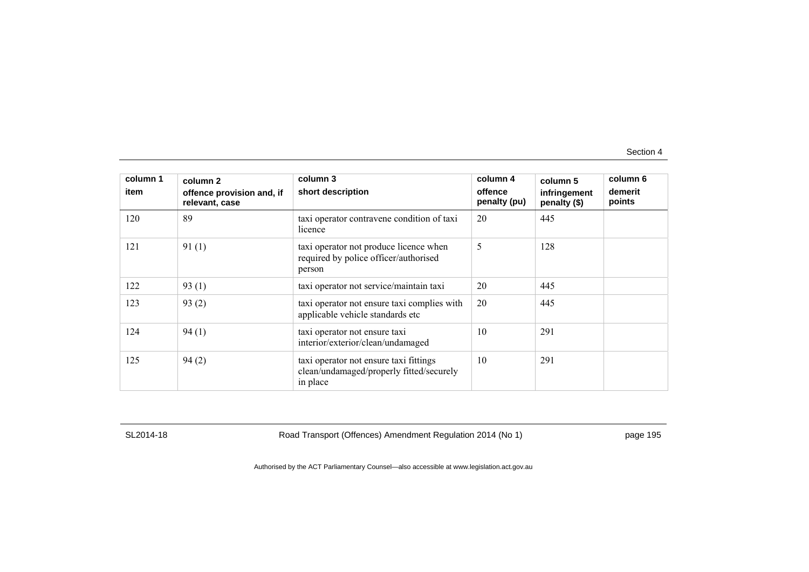| column 1<br>item | column 2<br>offence provision and, if<br>relevant, case | column 3<br>short description                                                                  | column 4<br>offence<br>penalty (pu) | column 5<br>infringement<br>penalty (\$) | column 6<br>demerit<br>points |
|------------------|---------------------------------------------------------|------------------------------------------------------------------------------------------------|-------------------------------------|------------------------------------------|-------------------------------|
| 120              | 89                                                      | taxi operator contravene condition of taxi<br>licence                                          | 20                                  | 445                                      |                               |
| 121              | 91(1)                                                   | taxi operator not produce licence when<br>required by police officer/authorised<br>person      | 5                                   | 128                                      |                               |
| 122              | 93(1)                                                   | taxi operator not service/maintain taxi                                                        | 20                                  | 445                                      |                               |
| 123              | 93(2)                                                   | taxi operator not ensure taxi complies with<br>applicable vehicle standards etc                | 20                                  | 445                                      |                               |
| 124              | 94(1)                                                   | taxi operator not ensure taxi<br>interior/exterior/clean/undamaged                             | 10                                  | 291                                      |                               |
| 125              | 94(2)                                                   | taxi operator not ensure taxi fittings<br>clean/undamaged/properly fitted/securely<br>in place | 10                                  | 291                                      |                               |

SL2014-18 Road Transport (Offences) Amendment Regulation 2014 (No 1) page 195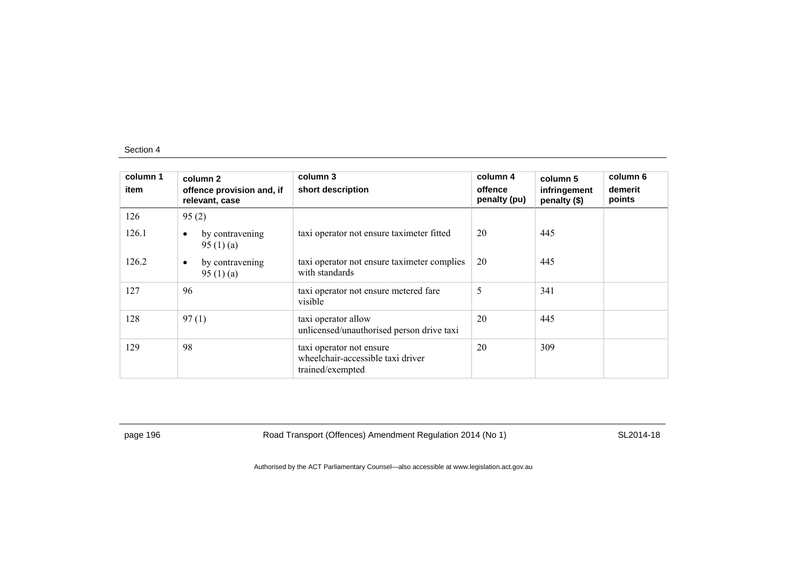| column 1<br>item | column 2<br>offence provision and, if<br>relevant, case | column 3<br>short description                                                     | column 4<br>offence<br>penalty (pu) | column 5<br>infringement<br>penalty (\$) | column 6<br>demerit<br>points |
|------------------|---------------------------------------------------------|-----------------------------------------------------------------------------------|-------------------------------------|------------------------------------------|-------------------------------|
| 126              | 95(2)                                                   |                                                                                   |                                     |                                          |                               |
| 126.1            | by contravening<br>$\bullet$<br>95 $(1)(a)$             | taxi operator not ensure taximeter fitted                                         | 20                                  | 445                                      |                               |
| 126.2            | by contravening<br>$\bullet$<br>95 $(1)$ $(a)$          | taxi operator not ensure taximeter complies<br>with standards                     | 20                                  | 445                                      |                               |
| 127              | 96                                                      | taxi operator not ensure metered fare<br>visible                                  | 5                                   | 341                                      |                               |
| 128              | 97(1)                                                   | taxi operator allow<br>unlicensed/unauthorised person drive taxi                  | 20                                  | 445                                      |                               |
| 129              | 98                                                      | taxi operator not ensure<br>wheelchair-accessible taxi driver<br>trained/exempted | 20                                  | 309                                      |                               |

page 196 **Road Transport (Offences) Amendment Regulation 2014 (No 1)** SL2014-18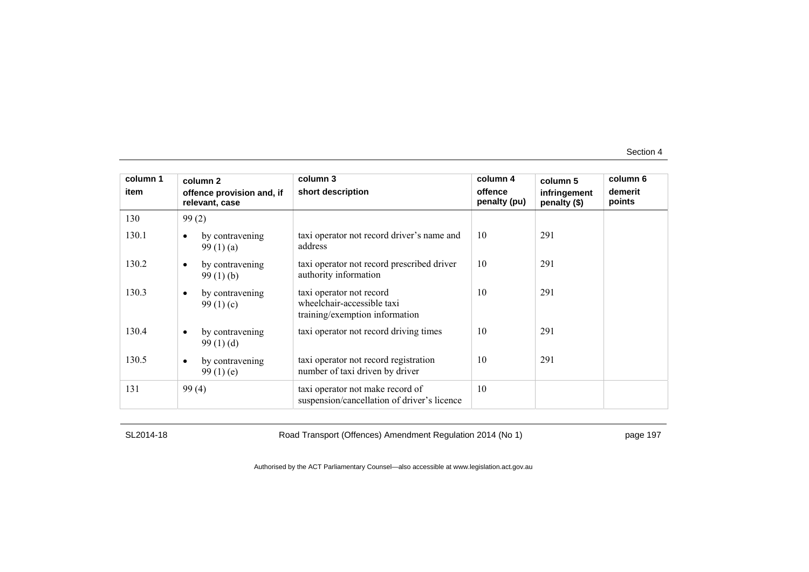| column 1 | column 2                                       | column 3                                                                                 | column 4                | column 5                     | column 6          |
|----------|------------------------------------------------|------------------------------------------------------------------------------------------|-------------------------|------------------------------|-------------------|
| item     | offence provision and, if<br>relevant, case    | short description                                                                        | offence<br>penalty (pu) | infringement<br>penalty (\$) | demerit<br>points |
| 130      | 99(2)                                          |                                                                                          |                         |                              |                   |
| 130.1    | by contravening<br>99 $(1)$ $(a)$              | taxi operator not record driver's name and<br>address                                    | 10                      | 291                          |                   |
| 130.2    | by contravening<br>$\bullet$<br>99(1)(b)       | taxi operator not record prescribed driver<br>authority information                      | 10                      | 291                          |                   |
| 130.3    | by contravening<br>$\bullet$<br>99 $(1)(c)$    | taxi operator not record<br>wheelchair-accessible taxi<br>training/exemption information | 10                      | 291                          |                   |
| 130.4    | by contravening<br>$\bullet$<br>99(1)(d)       | taxi operator not record driving times                                                   | 10                      | 291                          |                   |
| 130.5    | by contravening<br>$\bullet$<br>99 $(1)$ $(e)$ | taxi operator not record registration<br>number of taxi driven by driver                 | 10                      | 291                          |                   |
| 131      | 99(4)                                          | taxi operator not make record of<br>suspension/cancellation of driver's licence          | 10                      |                              |                   |

SL2014-18 Road Transport (Offences) Amendment Regulation 2014 (No 1) page 197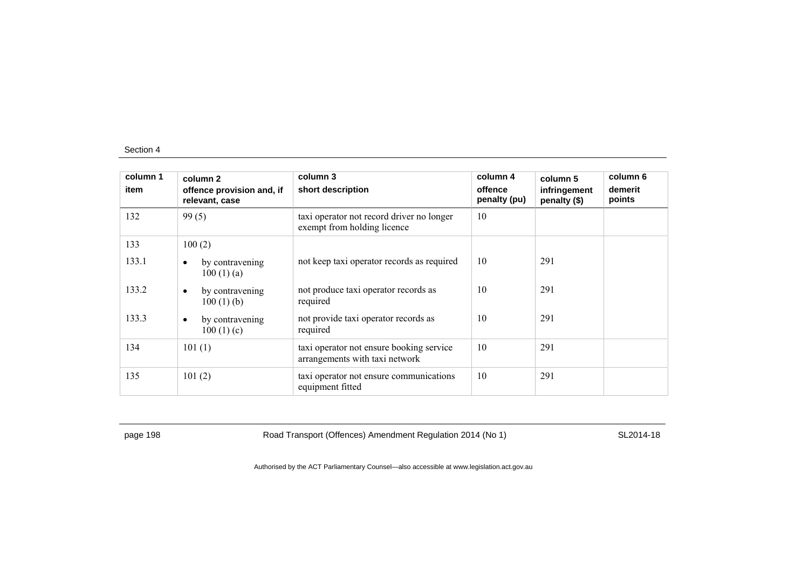| column 1<br>item | column 2<br>offence provision and, if<br>relevant, case | column 3<br>short description                                              | column 4<br>offence<br>penalty (pu) | column 5<br>infringement<br>penalty (\$) | column 6<br>demerit<br>points |
|------------------|---------------------------------------------------------|----------------------------------------------------------------------------|-------------------------------------|------------------------------------------|-------------------------------|
| 132              | 99(5)                                                   | taxi operator not record driver no longer<br>exempt from holding licence   | 10                                  |                                          |                               |
| 133              | 100(2)                                                  |                                                                            |                                     |                                          |                               |
| 133.1            | by contravening<br>$\bullet$<br>100(1)(a)               | not keep taxi operator records as required                                 | 10                                  | 291                                      |                               |
| 133.2            | by contravening<br>$\bullet$<br>$100(1)$ (b)            | not produce taxi operator records as<br>required                           | 10                                  | 291                                      |                               |
| 133.3            | by contravening<br>$\bullet$<br>100(1)(c)               | not provide taxi operator records as<br>required                           | 10                                  | 291                                      |                               |
| 134              | 101(1)                                                  | taxi operator not ensure booking service<br>arrangements with taxi network | 10                                  | 291                                      |                               |
| 135              | 101(2)                                                  | taxi operator not ensure communications<br>equipment fitted                | 10                                  | 291                                      |                               |

page 198 **Road Transport (Offences) Amendment Regulation 2014 (No 1)** SL2014-18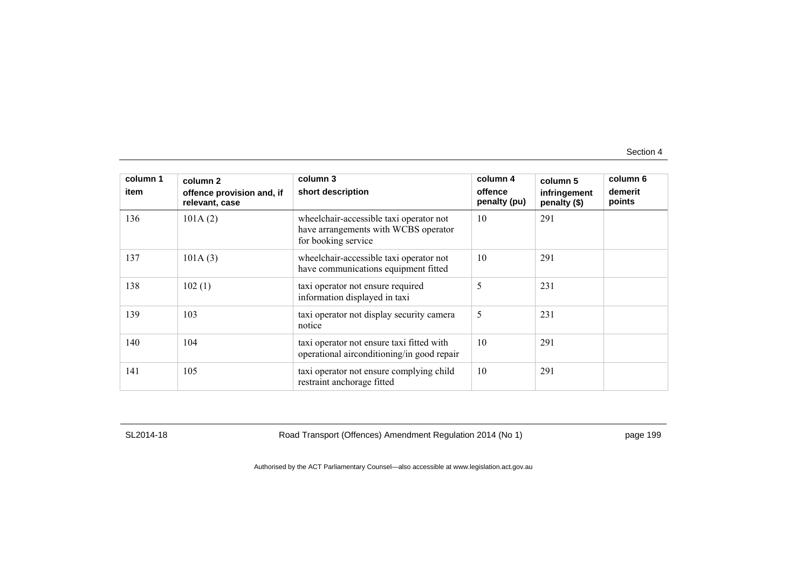| column 1<br>item | column 2<br>offence provision and, if<br>relevant, case | column 3<br>short description                                                                          | column 4<br>offence<br>penalty (pu) | column 5<br>infringement<br>penalty (\$) | column 6<br>demerit<br>points |
|------------------|---------------------------------------------------------|--------------------------------------------------------------------------------------------------------|-------------------------------------|------------------------------------------|-------------------------------|
| 136              | 101A(2)                                                 | wheelchair-accessible taxi operator not<br>have arrangements with WCBS operator<br>for booking service | 10                                  | 291                                      |                               |
| 137              | 101A(3)                                                 | wheelchair-accessible taxi operator not<br>have communications equipment fitted                        | 10                                  | 291                                      |                               |
| 138              | 102(1)                                                  | taxi operator not ensure required<br>information displayed in taxi                                     | 5                                   | 231                                      |                               |
| 139              | 103                                                     | taxi operator not display security camera<br>notice                                                    | 5                                   | 231                                      |                               |
| 140              | 104                                                     | taxi operator not ensure taxi fitted with<br>operational airconditioning/in good repair                | 10                                  | 291                                      |                               |
| 141              | 105                                                     | taxi operator not ensure complying child<br>restraint anchorage fitted                                 | 10                                  | 291                                      |                               |

SL2014-18 Road Transport (Offences) Amendment Regulation 2014 (No 1) page 199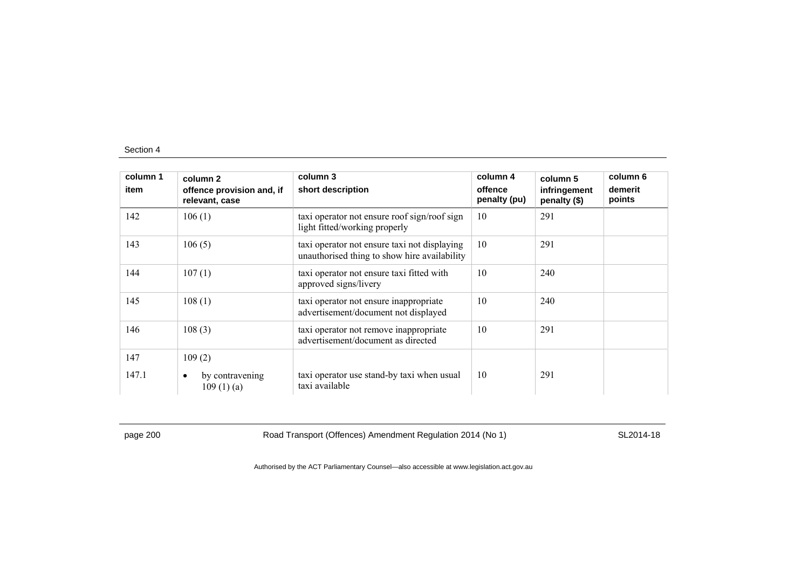| column 1<br>item | column 2<br>offence provision and, if<br>relevant, case | column 3<br>short description                                                                | column 4<br>offence<br>penalty (pu) | column 5<br>infringement<br>penalty (\$) | column 6<br>demerit<br>points |
|------------------|---------------------------------------------------------|----------------------------------------------------------------------------------------------|-------------------------------------|------------------------------------------|-------------------------------|
| 142              | 106(1)                                                  | taxi operator not ensure roof sign/roof sign<br>light fitted/working properly                | 10                                  | 291                                      |                               |
| 143              | 106(5)                                                  | taxi operator not ensure taxi not displaying<br>unauthorised thing to show hire availability | 10                                  | 291                                      |                               |
| 144              | 107(1)                                                  | taxi operator not ensure taxi fitted with<br>approved signs/livery                           | 10                                  | 240                                      |                               |
| 145              | 108(1)                                                  | taxi operator not ensure inappropriate<br>advertisement/document not displayed               | 10                                  | 240                                      |                               |
| 146              | 108(3)                                                  | taxi operator not remove inappropriate<br>advertisement/document as directed                 | 10                                  | 291                                      |                               |
| 147              | 109(2)                                                  |                                                                                              |                                     |                                          |                               |
| 147.1            | by contravening<br>٠<br>109(1)(a)                       | taxi operator use stand-by taxi when usual<br>taxi available                                 | 10                                  | 291                                      |                               |

page 200 Road Transport (Offences) Amendment Regulation 2014 (No 1) SL2014-18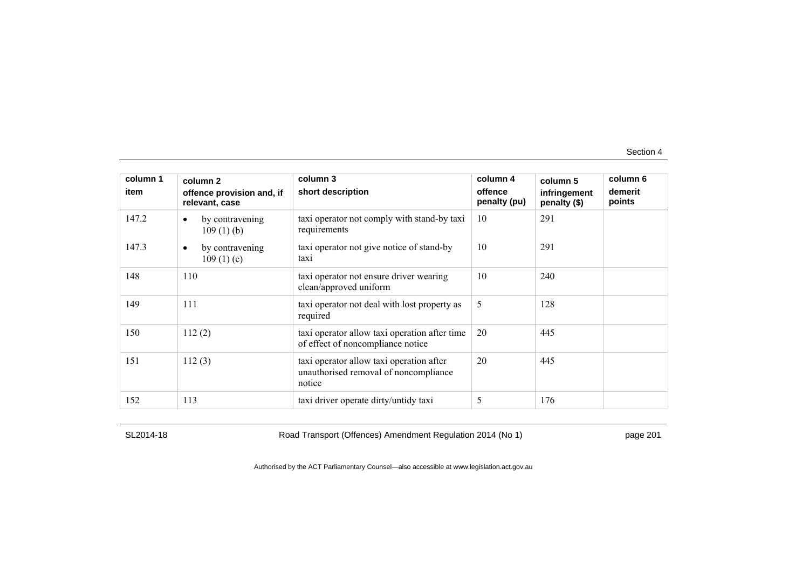| column 1<br>item | column 2<br>offence provision and, if<br>relevant, case | column 3<br>short description                                                               | column 4<br>offence<br>penalty (pu) | column 5<br>infringement<br>penalty (\$) | column 6<br>demerit<br>points |
|------------------|---------------------------------------------------------|---------------------------------------------------------------------------------------------|-------------------------------------|------------------------------------------|-------------------------------|
| 147.2            | by contravening<br>٠<br>$109(1)$ (b)                    | taxi operator not comply with stand-by taxi<br>requirements                                 | 10                                  | 291                                      |                               |
| 147.3            | by contravening<br>٠<br>109(1)(c)                       | taxi operator not give notice of stand-by<br>taxi                                           | 10                                  | 291                                      |                               |
| 148              | 110                                                     | taxi operator not ensure driver wearing<br>clean/approved uniform                           | 10                                  | 240                                      |                               |
| 149              | 111                                                     | taxi operator not deal with lost property as<br>required                                    | 5                                   | 128                                      |                               |
| 150              | 112(2)                                                  | taxi operator allow taxi operation after time<br>of effect of noncompliance notice          | 20                                  | 445                                      |                               |
| 151              | 112(3)                                                  | taxi operator allow taxi operation after<br>unauthorised removal of noncompliance<br>notice | 20                                  | 445                                      |                               |
| 152              | 113                                                     | taxi driver operate dirty/untidy taxi                                                       | 5                                   | 176                                      |                               |

SL2014-18 Road Transport (Offences) Amendment Regulation 2014 (No 1) page 201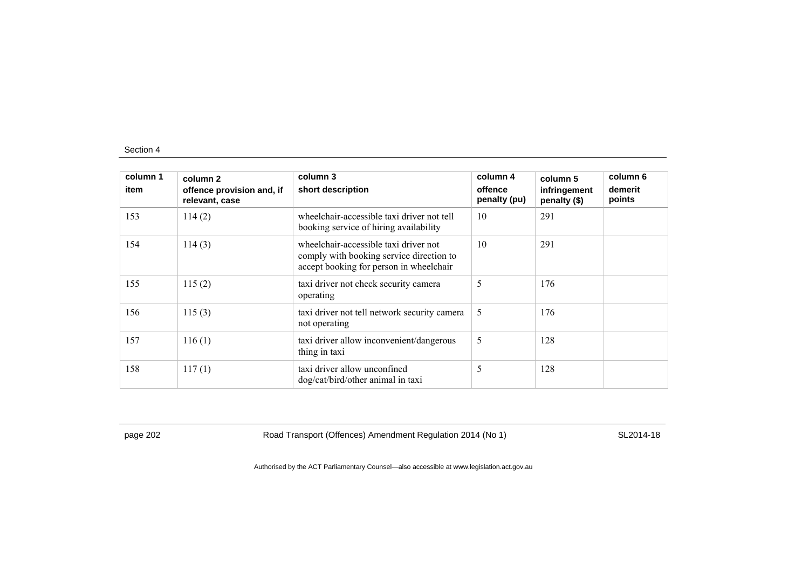| column 1<br>item | column 2<br>offence provision and, if<br>relevant, case | column 3<br>short description                                                                                                | column 4<br>offence<br>penalty (pu) | column 5<br>infringement<br>penalty (\$) | column 6<br>demerit<br>points |
|------------------|---------------------------------------------------------|------------------------------------------------------------------------------------------------------------------------------|-------------------------------------|------------------------------------------|-------------------------------|
| 153              | 114(2)                                                  | wheelchair-accessible taxi driver not tell<br>booking service of hiring availability                                         | 10                                  | 291                                      |                               |
| 154              | 114(3)                                                  | wheelchair-accessible taxi driver not<br>comply with booking service direction to<br>accept booking for person in wheelchair | 10                                  | 291                                      |                               |
| 155              | 115(2)                                                  | taxi driver not check security camera<br>operating                                                                           | 5                                   | 176                                      |                               |
| 156              | 115(3)                                                  | taxi driver not tell network security camera<br>not operating                                                                | 5                                   | 176                                      |                               |
| 157              | 116(1)                                                  | taxi driver allow inconvenient/dangerous<br>thing in taxi                                                                    | 5                                   | 128                                      |                               |
| 158              | 117(1)                                                  | taxi driver allow unconfined<br>dog/cat/bird/other animal in taxi                                                            | 5                                   | 128                                      |                               |

page 202 Road Transport (Offences) Amendment Regulation 2014 (No 1) SL2014-18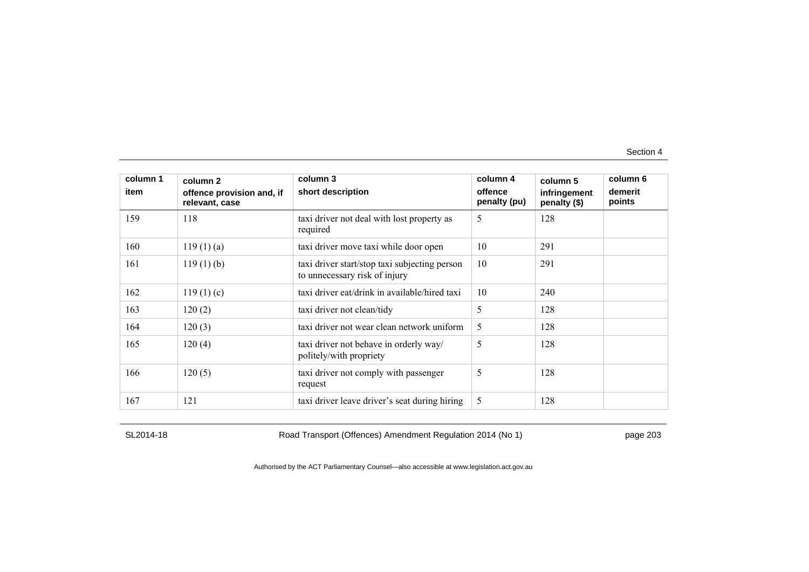| column 1<br>item | column 2<br>offence provision and, if<br>relevant, case | column 3<br>short description                                                  | column 4<br>offence<br>penalty (pu) | column 5<br>infringement<br>penalty (\$) | column 6<br>demerit<br>points |
|------------------|---------------------------------------------------------|--------------------------------------------------------------------------------|-------------------------------------|------------------------------------------|-------------------------------|
| 159              | 118                                                     | taxi driver not deal with lost property as<br>required                         | 5                                   | 128                                      |                               |
| 160              | $119(1)$ (a)                                            | taxi driver move taxi while door open                                          | 10                                  | 291                                      |                               |
| 161              | $119(1)$ (b)                                            | taxi driver start/stop taxi subjecting person<br>to unnecessary risk of injury | 10                                  | 291                                      |                               |
| 162              | 119(1)(c)                                               | taxi driver eat/drink in available/hired taxi                                  | 10                                  | 240                                      |                               |
| 163              | 120(2)                                                  | taxi driver not clean/tidy                                                     | 5                                   | 128                                      |                               |
| 164              | 120(3)                                                  | taxi driver not wear clean network uniform                                     | 5                                   | 128                                      |                               |
| 165              | 120(4)                                                  | taxi driver not behave in orderly way/<br>politely/with propriety              | 5                                   | 128                                      |                               |
| 166              | 120(5)                                                  | taxi driver not comply with passenger<br>request                               | 5                                   | 128                                      |                               |
| 167              | 121                                                     | taxi driver leave driver's seat during hiring                                  | 5                                   | 128                                      |                               |

SL2014-18 Road Transport (Offences) Amendment Regulation 2014 (No 1) page 203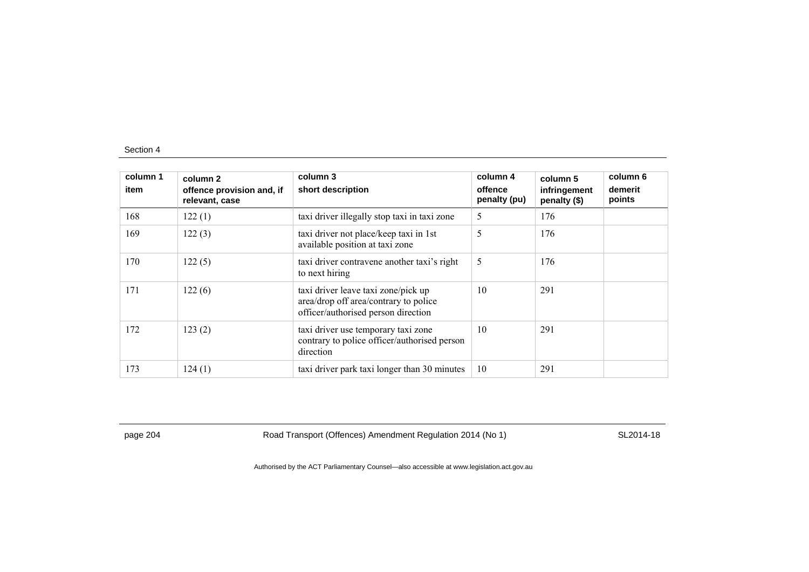| column 1<br>item | column 2<br>offence provision and, if<br>relevant, case | column 3<br>short description                                                                                       | column 4<br>offence<br>penalty (pu) | column 5<br>infringement<br>penalty (\$) | column 6<br>demerit<br>points |
|------------------|---------------------------------------------------------|---------------------------------------------------------------------------------------------------------------------|-------------------------------------|------------------------------------------|-------------------------------|
| 168              | 122(1)                                                  | taxi driver illegally stop taxi in taxi zone                                                                        | 5                                   | 176                                      |                               |
| 169              | 122(3)                                                  | taxi driver not place/keep taxi in 1st<br>available position at taxi zone                                           | 5                                   | 176                                      |                               |
| 170              | 122(5)                                                  | taxi driver contravene another taxi's right<br>to next hiring                                                       | 5                                   | 176                                      |                               |
| 171              | 122(6)                                                  | taxi driver leave taxi zone/pick up<br>area/drop off area/contrary to police<br>officer/authorised person direction | 10                                  | 291                                      |                               |
| 172              | 123(2)                                                  | taxi driver use temporary taxi zone<br>contrary to police officer/authorised person<br>direction                    | 10                                  | 291                                      |                               |
| 173              | 124(1)                                                  | taxi driver park taxi longer than 30 minutes                                                                        | 10                                  | 291                                      |                               |

page 204 Road Transport (Offences) Amendment Regulation 2014 (No 1) SL2014-18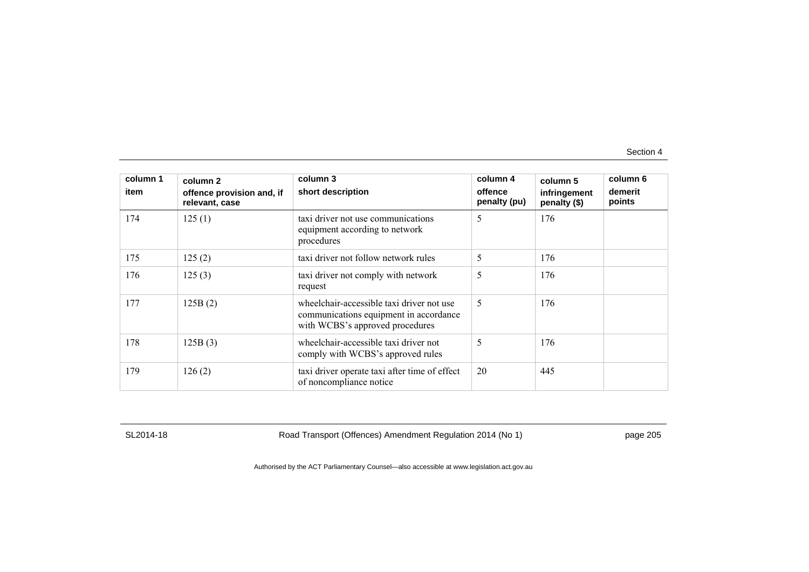| column 1<br>item | column 2<br>offence provision and, if<br>relevant, case | column 3<br>short description                                                                                          | column 4<br>offence<br>penalty (pu) | column 5<br>infringement<br>penalty (\$) | column 6<br>demerit<br>points |
|------------------|---------------------------------------------------------|------------------------------------------------------------------------------------------------------------------------|-------------------------------------|------------------------------------------|-------------------------------|
| 174              | 125(1)                                                  | taxi driver not use communications<br>equipment according to network<br>procedures                                     | 5                                   | 176                                      |                               |
| 175              | 125(2)                                                  | taxi driver not follow network rules                                                                                   | 5                                   | 176                                      |                               |
| 176              | 125(3)                                                  | taxi driver not comply with network<br>request                                                                         | 5                                   | 176                                      |                               |
| 177              | 125B(2)                                                 | wheelchair-accessible taxi driver not use<br>communications equipment in accordance<br>with WCBS's approved procedures | 5                                   | 176                                      |                               |
| 178              | 125B(3)                                                 | wheelchair-accessible taxi driver not<br>comply with WCBS's approved rules                                             | 5                                   | 176                                      |                               |
| 179              | 126(2)                                                  | taxi driver operate taxi after time of effect<br>of noncompliance notice                                               | 20                                  | 445                                      |                               |

SL2014-18 Road Transport (Offences) Amendment Regulation 2014 (No 1) page 205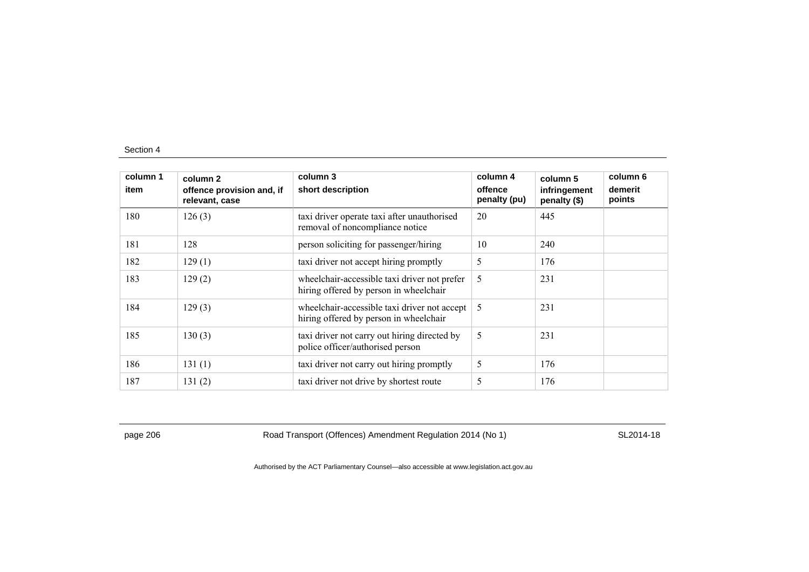| column 1<br>item | column 2<br>offence provision and, if<br>relevant, case | column 3<br>short description                                                          | column 4<br>offence<br>penalty (pu) | column 5<br>infringement<br>penalty (\$) | column 6<br>demerit<br>points |
|------------------|---------------------------------------------------------|----------------------------------------------------------------------------------------|-------------------------------------|------------------------------------------|-------------------------------|
| 180              | 126(3)                                                  | taxi driver operate taxi after unauthorised<br>removal of noncompliance notice         | 20                                  | 445                                      |                               |
| 181              | 128                                                     | person soliciting for passenger/hiring                                                 | 10                                  | 240                                      |                               |
| 182              | 129(1)                                                  | taxi driver not accept hiring promptly                                                 | 5                                   | 176                                      |                               |
| 183              | 129(2)                                                  | wheelchair-accessible taxi driver not prefer<br>hiring offered by person in wheelchair | 5                                   | 231                                      |                               |
| 184              | 129(3)                                                  | wheelchair-accessible taxi driver not accept<br>hiring offered by person in wheelchair | 5                                   | 231                                      |                               |
| 185              | 130(3)                                                  | taxi driver not carry out hiring directed by<br>police officer/authorised person       | 5                                   | 231                                      |                               |
| 186              | 131(1)                                                  | taxi driver not carry out hiring promptly                                              | 5                                   | 176                                      |                               |
| 187              | 131(2)                                                  | taxi driver not drive by shortest route                                                | 5                                   | 176                                      |                               |

page 206 Road Transport (Offences) Amendment Regulation 2014 (No 1) SL2014-18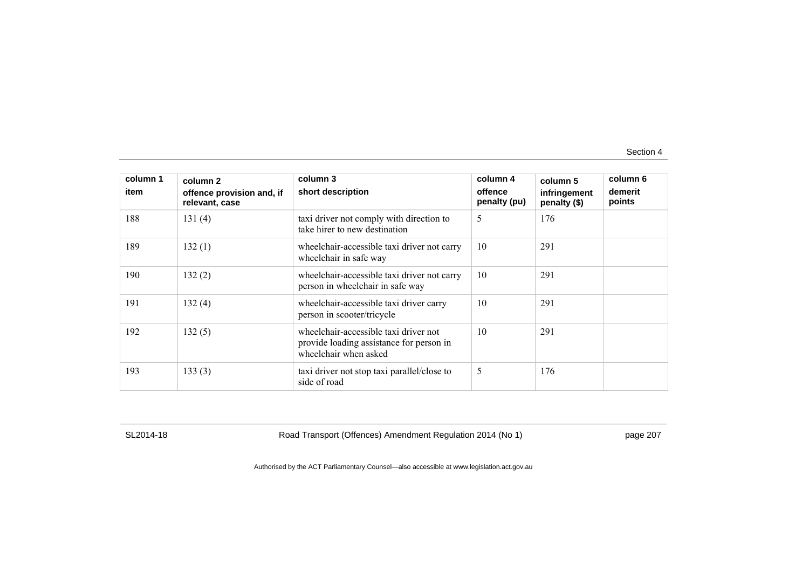| column 1<br>item | column 2<br>offence provision and, if<br>relevant, case | column 3<br>short description                                                                              | column 4<br>offence<br>penalty (pu) | column 5<br>infringement<br>penalty (\$) | column 6<br>demerit<br>points |
|------------------|---------------------------------------------------------|------------------------------------------------------------------------------------------------------------|-------------------------------------|------------------------------------------|-------------------------------|
| 188              | 131(4)                                                  | taxi driver not comply with direction to<br>take hirer to new destination                                  | 5                                   | 176                                      |                               |
| 189              | 132(1)                                                  | wheelchair-accessible taxi driver not carry<br>wheelchair in safe way                                      | 10                                  | 291                                      |                               |
| 190              | 132(2)                                                  | wheelchair-accessible taxi driver not carry<br>person in wheelchair in safe way                            | 10                                  | 291                                      |                               |
| 191              | 132(4)                                                  | wheelchair-accessible taxi driver carry<br>person in scooter/tricycle                                      | 10                                  | 291                                      |                               |
| 192              | 132(5)                                                  | wheelchair-accessible taxi driver not<br>provide loading assistance for person in<br>wheelchair when asked | 10                                  | 291                                      |                               |
| 193              | 133(3)                                                  | taxi driver not stop taxi parallel/close to<br>side of road                                                | 5                                   | 176                                      |                               |

SL2014-18 Road Transport (Offences) Amendment Regulation 2014 (No 1) page 207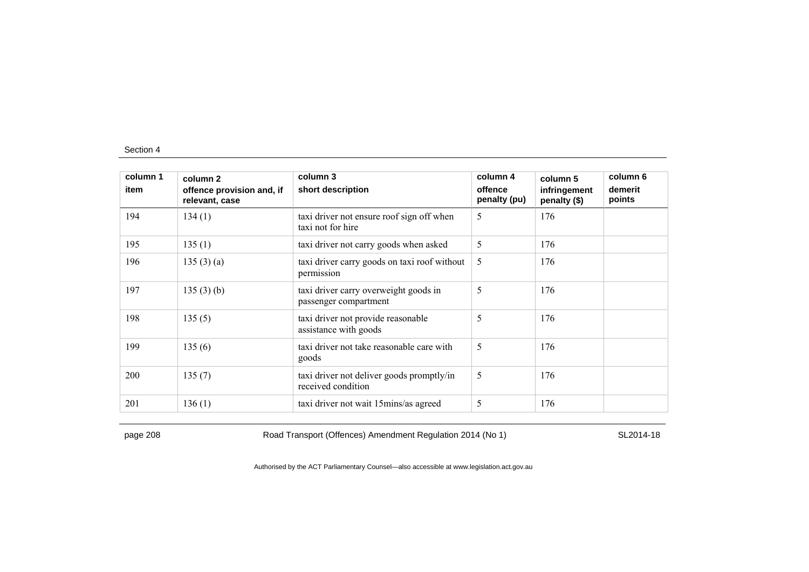| column 1<br>item | column 2<br>offence provision and, if<br>relevant, case | column 3<br>short description                                   | column 4<br>offence<br>penalty (pu) | column 5<br>infringement<br>penalty (\$) | column 6<br>demerit<br>points |
|------------------|---------------------------------------------------------|-----------------------------------------------------------------|-------------------------------------|------------------------------------------|-------------------------------|
| 194              | 134(1)                                                  | taxi driver not ensure roof sign off when<br>taxi not for hire  | 5                                   | 176                                      |                               |
| 195              | 135(1)                                                  | taxi driver not carry goods when asked                          | 5                                   | 176                                      |                               |
| 196              | 135(3)(a)                                               | taxi driver carry goods on taxi roof without<br>permission      | 5                                   | 176                                      |                               |
| 197              | 135(3)(b)                                               | taxi driver carry overweight goods in<br>passenger compartment  | 5                                   | 176                                      |                               |
| 198              | 135(5)                                                  | taxi driver not provide reasonable<br>assistance with goods     | 5                                   | 176                                      |                               |
| 199              | 135(6)                                                  | taxi driver not take reasonable care with<br>goods              | 5                                   | 176                                      |                               |
| 200              | 135(7)                                                  | taxi driver not deliver goods promptly/in<br>received condition | 5                                   | 176                                      |                               |
| 201              | 136(1)                                                  | taxi driver not wait 15 mins/as agreed                          | 5                                   | 176                                      |                               |

page 208 Road Transport (Offences) Amendment Regulation 2014 (No 1) SL2014-18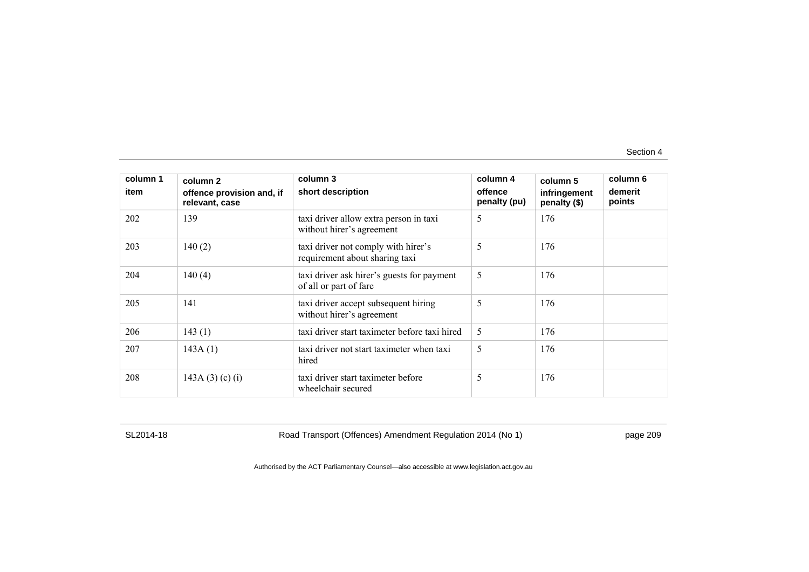| column 1<br>item | column 2<br>offence provision and, if<br>relevant, case | column 3<br>short description                                         | column 4<br>offence<br>penalty (pu) | column 5<br>infringement<br>penalty (\$) | column 6<br>demerit<br>points |
|------------------|---------------------------------------------------------|-----------------------------------------------------------------------|-------------------------------------|------------------------------------------|-------------------------------|
| 202              | 139                                                     | taxi driver allow extra person in taxi<br>without hirer's agreement   | 5                                   | 176                                      |                               |
| 203              | 140(2)                                                  | taxi driver not comply with hirer's<br>requirement about sharing taxi | 5                                   | 176                                      |                               |
| 204              | 140(4)                                                  | taxi driver ask hirer's guests for payment<br>of all or part of fare  | 5                                   | 176                                      |                               |
| 205              | 141                                                     | taxi driver accept subsequent hiring<br>without hirer's agreement     | 5                                   | 176                                      |                               |
| 206              | 143(1)                                                  | taxi driver start taximeter before taxi hired                         | 5                                   | 176                                      |                               |
| 207              | 143A(1)                                                 | taxi driver not start taximeter when taxi<br>hired                    | 5                                   | 176                                      |                               |
| 208              | 143A (3) (c) (i)                                        | taxi driver start taximeter before<br>wheelchair secured              | 5                                   | 176                                      |                               |

SL2014-18 Road Transport (Offences) Amendment Regulation 2014 (No 1) page 209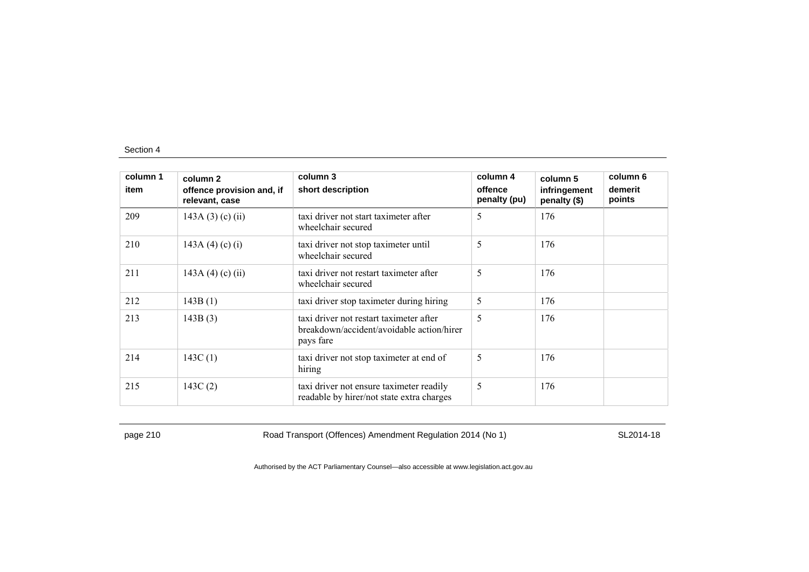| column 1<br>item | column 2<br>offence provision and, if<br>relevant, case | column 3<br>short description                                                                     | column 4<br>offence<br>penalty (pu) | column 5<br>infringement<br>penalty (\$) | column 6<br>demerit<br>points |
|------------------|---------------------------------------------------------|---------------------------------------------------------------------------------------------------|-------------------------------------|------------------------------------------|-------------------------------|
| 209              | 143A $(3)$ $(c)$ $(ii)$                                 | taxi driver not start taximeter after<br>wheelchair secured                                       | 5                                   | 176                                      |                               |
| 210              | 143A (4) (c) (i)                                        | taxi driver not stop taximeter until<br>wheelchair secured                                        | 5                                   | 176                                      |                               |
| 211              | 143A (4) (c) (ii)                                       | taxi driver not restart taximeter after<br>wheelchair secured                                     | 5                                   | 176                                      |                               |
| 212              | 143B(1)                                                 | taxi driver stop taximeter during hiring                                                          | 5                                   | 176                                      |                               |
| 213              | 143B(3)                                                 | taxi driver not restart taximeter after<br>breakdown/accident/avoidable action/hirer<br>pays fare | 5                                   | 176                                      |                               |
| 214              | 143C(1)                                                 | taxi driver not stop taximeter at end of<br>hiring                                                | 5                                   | 176                                      |                               |
| 215              | 143C(2)                                                 | taxi driver not ensure taximeter readily<br>readable by hirer/not state extra charges             | 5                                   | 176                                      |                               |

page 210 Road Transport (Offences) Amendment Regulation 2014 (No 1) SL2014-18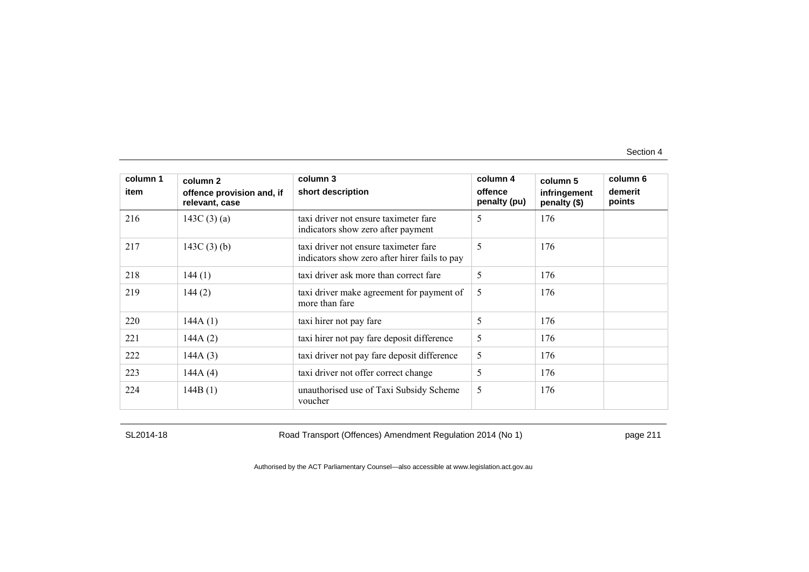| column 1<br>item | column 2<br>offence provision and, if<br>relevant, case | column 3<br>short description                                                          | column 4<br>offence<br>penalty (pu) | column 5<br>infringement<br>penalty (\$) | column 6<br>demerit<br>points |
|------------------|---------------------------------------------------------|----------------------------------------------------------------------------------------|-------------------------------------|------------------------------------------|-------------------------------|
| 216              | 143C $(3)(a)$                                           | taxi driver not ensure taximeter fare<br>indicators show zero after payment            | 5                                   | 176                                      |                               |
| 217              | 143C $(3)$ $(b)$                                        | taxi driver not ensure taximeter fare<br>indicators show zero after hirer fails to pay | 5                                   | 176                                      |                               |
| 218              | 144(1)                                                  | taxi driver ask more than correct fare                                                 | 5                                   | 176                                      |                               |
| 219              | 144(2)                                                  | taxi driver make agreement for payment of<br>more than fare                            | 5                                   | 176                                      |                               |
| 220              | 144A(1)                                                 | taxi hirer not pay fare                                                                | 5                                   | 176                                      |                               |
| 221              | 144A(2)                                                 | taxi hirer not pay fare deposit difference                                             | 5                                   | 176                                      |                               |
| 222              | 144A(3)                                                 | taxi driver not pay fare deposit difference                                            | 5                                   | 176                                      |                               |
| 223              | 144A(4)                                                 | taxi driver not offer correct change                                                   | 5                                   | 176                                      |                               |
| 224              | 144B(1)                                                 | unauthorised use of Taxi Subsidy Scheme<br>voucher                                     | 5                                   | 176                                      |                               |

SL2014-18 Road Transport (Offences) Amendment Regulation 2014 (No 1) page 211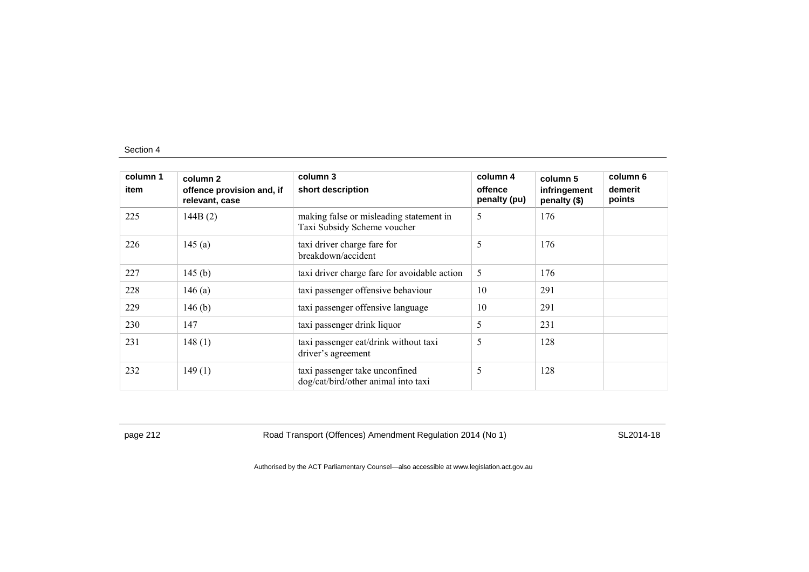| column 1<br>item | column 2<br>offence provision and, if<br>relevant, case | column 3<br>short description                                          | column 4<br>offence<br>penalty (pu) | column 5<br>infringement<br>penalty (\$) | column 6<br>demerit<br>points |
|------------------|---------------------------------------------------------|------------------------------------------------------------------------|-------------------------------------|------------------------------------------|-------------------------------|
| 225              | 144B(2)                                                 | making false or misleading statement in<br>Taxi Subsidy Scheme voucher | 5                                   | 176                                      |                               |
| 226              | 145(a)                                                  | taxi driver charge fare for<br>breakdown/accident                      | 5                                   | 176                                      |                               |
| 227              | 145 $(b)$                                               | taxi driver charge fare for avoidable action                           | 5                                   | 176                                      |                               |
| 228              | 146 $(a)$                                               | taxi passenger offensive behaviour                                     | 10                                  | 291                                      |                               |
| 229              | 146 $(b)$                                               | taxi passenger offensive language                                      | 10                                  | 291                                      |                               |
| 230              | 147                                                     | taxi passenger drink liquor                                            | 5                                   | 231                                      |                               |
| 231              | 148(1)                                                  | taxi passenger eat/drink without taxi<br>driver's agreement            | 5                                   | 128                                      |                               |
| 232              | 149(1)                                                  | taxi passenger take unconfined<br>dog/cat/bird/other animal into taxi  | 5                                   | 128                                      |                               |

page 212 **Road Transport (Offences) Amendment Regulation 2014 (No 1)** SL2014-18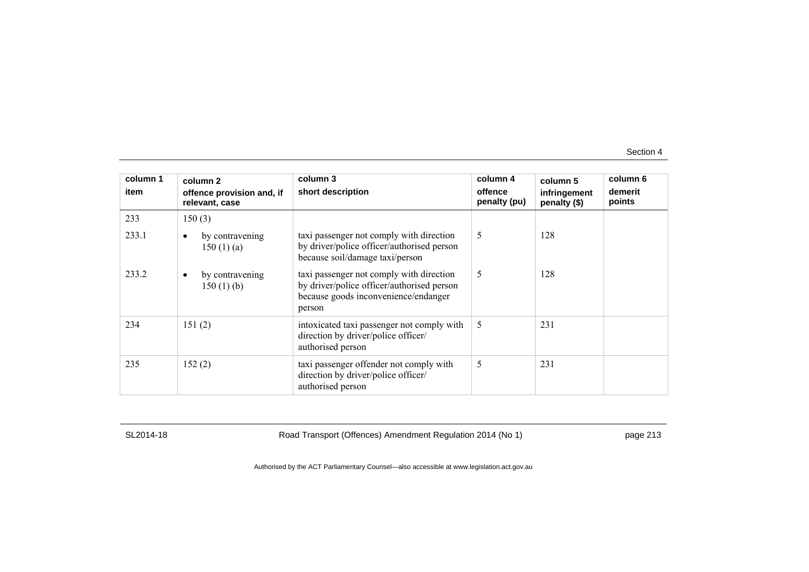| column 1<br>item | column 2<br>offence provision and, if<br>relevant, case | column 3<br>short description                                                                                                            | column 4<br>offence<br>penalty (pu) | column 5<br>infringement<br>penalty (\$) | column 6<br>demerit<br>points |
|------------------|---------------------------------------------------------|------------------------------------------------------------------------------------------------------------------------------------------|-------------------------------------|------------------------------------------|-------------------------------|
| 233              | 150(3)                                                  |                                                                                                                                          |                                     |                                          |                               |
| 233.1            | by contravening<br>150(1)(a)                            | taxi passenger not comply with direction<br>by driver/police officer/authorised person<br>because soil/damage taxi/person                | 5                                   | 128                                      |                               |
| 233.2            | by contravening<br>$\bullet$<br>150(1)(b)               | taxi passenger not comply with direction<br>by driver/police officer/authorised person<br>because goods inconvenience/endanger<br>person | 5                                   | 128                                      |                               |
| 234              | 151(2)                                                  | intoxicated taxi passenger not comply with<br>direction by driver/police officer/<br>authorised person                                   | 5                                   | 231                                      |                               |
| 235              | 152(2)                                                  | taxi passenger offender not comply with<br>direction by driver/police officer/<br>authorised person                                      | 5                                   | 231                                      |                               |

SL2014-18 Road Transport (Offences) Amendment Regulation 2014 (No 1) page 213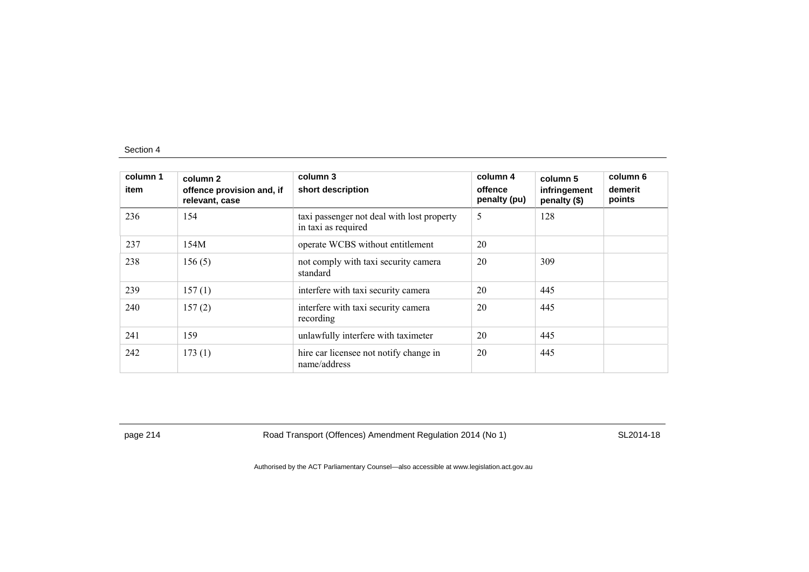| column 1<br>item | column 2<br>offence provision and, if<br>relevant, case | column 3<br>short description                                     | column 4<br>offence<br>penalty (pu) | column 5<br>infringement<br>penalty (\$) | column 6<br>demerit<br>points |
|------------------|---------------------------------------------------------|-------------------------------------------------------------------|-------------------------------------|------------------------------------------|-------------------------------|
| 236              | 154                                                     | taxi passenger not deal with lost property<br>in taxi as required | 5                                   | 128                                      |                               |
| 237              | 154M                                                    | operate WCBS without entitlement                                  | 20                                  |                                          |                               |
| 238              | 156(5)                                                  | not comply with taxi security camera<br>standard                  | 20                                  | 309                                      |                               |
| 239              | 157(1)                                                  | interfere with taxi security camera                               | 20                                  | 445                                      |                               |
| 240              | 157(2)                                                  | interfere with taxi security camera<br>recording                  | 20                                  | 445                                      |                               |
| 241              | 159                                                     | unlawfully interfere with taximeter                               | 20                                  | 445                                      |                               |
| 242              | 173(1)                                                  | hire car licensee not notify change in<br>name/address            | 20                                  | 445                                      |                               |

page 214 **Road Transport (Offences) Amendment Regulation 2014 (No 1)** SL2014-18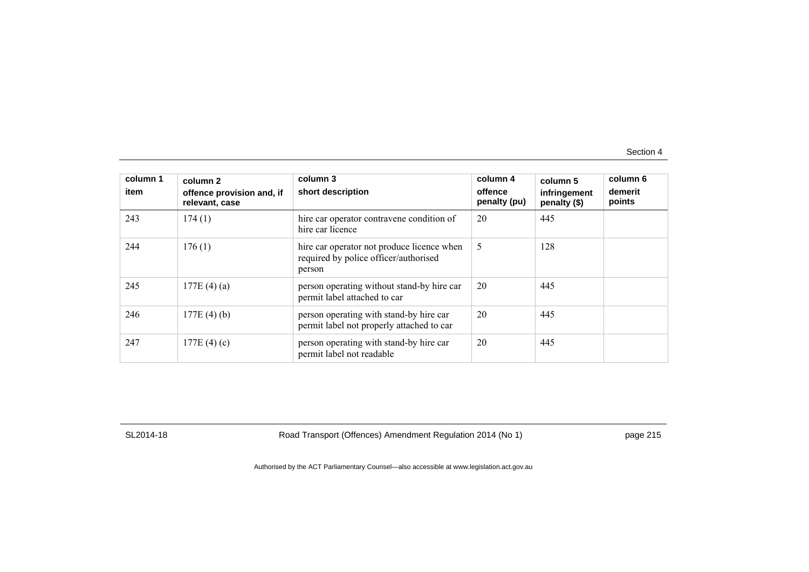| column 1<br>item | column 2<br>offence provision and, if<br>relevant, case | column 3<br>short description                                                                 | column 4<br>offence<br>penalty (pu) | column 5<br>infringement<br>penalty (\$) | column 6<br>demerit<br>points |
|------------------|---------------------------------------------------------|-----------------------------------------------------------------------------------------------|-------------------------------------|------------------------------------------|-------------------------------|
| 243              | 174(1)                                                  | hire car operator contravene condition of<br>hire car licence                                 | 20                                  | 445                                      |                               |
| 244              | 176(1)                                                  | hire car operator not produce licence when<br>required by police officer/authorised<br>person | 5                                   | 128                                      |                               |
| 245              | 177E $(4)(a)$                                           | person operating without stand-by hire car<br>permit label attached to car                    | 20                                  | 445                                      |                               |
| 246              | 177E $(4)(b)$                                           | person operating with stand-by hire car<br>permit label not properly attached to car          | 20                                  | 445                                      |                               |
| 247              | 177E $(4)(c)$                                           | person operating with stand-by hire car<br>permit label not readable                          | 20                                  | 445                                      |                               |

SL2014-18 Road Transport (Offences) Amendment Regulation 2014 (No 1) page 215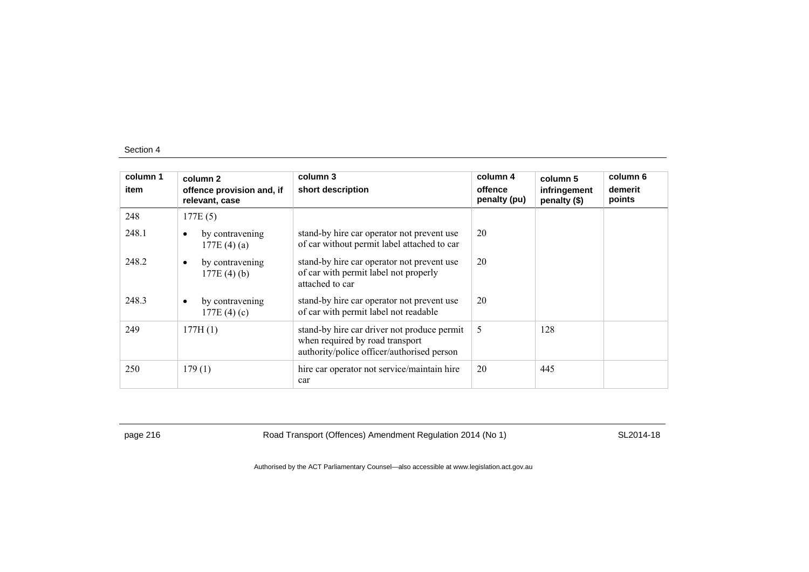| column 1<br>item | column 2<br>offence provision and, if<br>relevant, case | column 3<br>short description                                                                                                | column 4<br>offence<br>penalty (pu) | column 5<br>infringement<br>penalty (\$) | column 6<br>demerit<br>points |
|------------------|---------------------------------------------------------|------------------------------------------------------------------------------------------------------------------------------|-------------------------------------|------------------------------------------|-------------------------------|
| 248              | 177E(5)                                                 |                                                                                                                              |                                     |                                          |                               |
| 248.1            | by contravening<br>$\bullet$<br>177E(4)(a)              | stand-by hire car operator not prevent use<br>of car without permit label attached to car                                    | 20                                  |                                          |                               |
| 248.2            | by contravening<br>٠<br>$177E(4)$ (b)                   | stand-by hire car operator not prevent use<br>of car with permit label not properly<br>attached to car                       | 20                                  |                                          |                               |
| 248.3            | by contravening<br>$\bullet$<br>177E $(4)(c)$           | stand-by hire car operator not prevent use<br>of car with permit label not readable                                          | 20                                  |                                          |                               |
| 249              | 177H(1)                                                 | stand-by hire car driver not produce permit<br>when required by road transport<br>authority/police officer/authorised person | 5                                   | 128                                      |                               |
| 250              | 179(1)                                                  | hire car operator not service/maintain hire<br>car                                                                           | 20                                  | 445                                      |                               |

page 216 **Road Transport (Offences) Amendment Regulation 2014 (No 1)** SL2014-18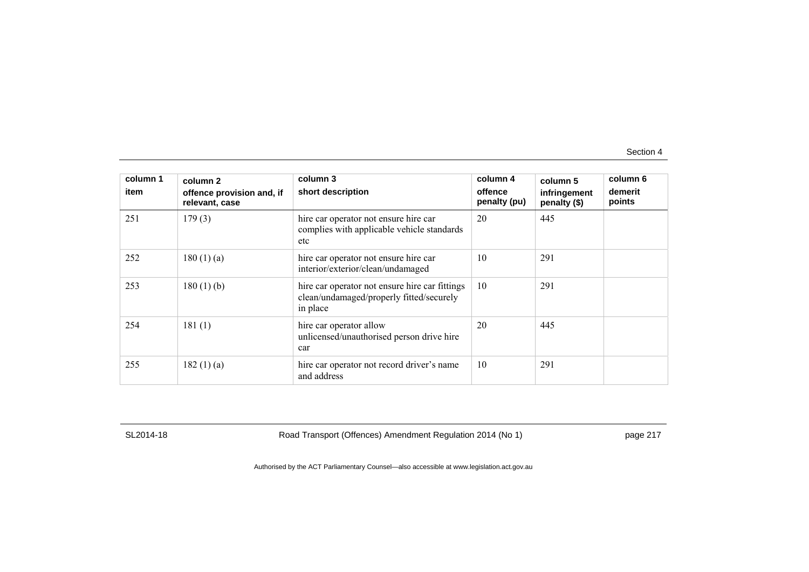| column 1<br>item | column 2<br>offence provision and, if<br>relevant, case | column 3<br>short description                                                                          | column 4<br>offence<br>penalty (pu) | column 5<br>infringement<br>penalty (\$) | column 6<br>demerit<br>points |
|------------------|---------------------------------------------------------|--------------------------------------------------------------------------------------------------------|-------------------------------------|------------------------------------------|-------------------------------|
| 251              | 179(3)                                                  | hire car operator not ensure hire car<br>complies with applicable vehicle standards<br>etc             | 20                                  | 445                                      |                               |
| 252              | 180(1)(a)                                               | hire car operator not ensure hire car<br>interior/exterior/clean/undamaged                             | 10                                  | 291                                      |                               |
| 253              | $180(1)$ (b)                                            | hire car operator not ensure hire car fittings<br>clean/undamaged/properly fitted/securely<br>in place | 10                                  | 291                                      |                               |
| 254              | 181(1)                                                  | hire car operator allow<br>unlicensed/unauthorised person drive hire<br>car                            | 20                                  | 445                                      |                               |
| 255              | 182(1)(a)                                               | hire car operator not record driver's name<br>and address                                              | 10                                  | 291                                      |                               |

SL2014-18 Road Transport (Offences) Amendment Regulation 2014 (No 1) page 217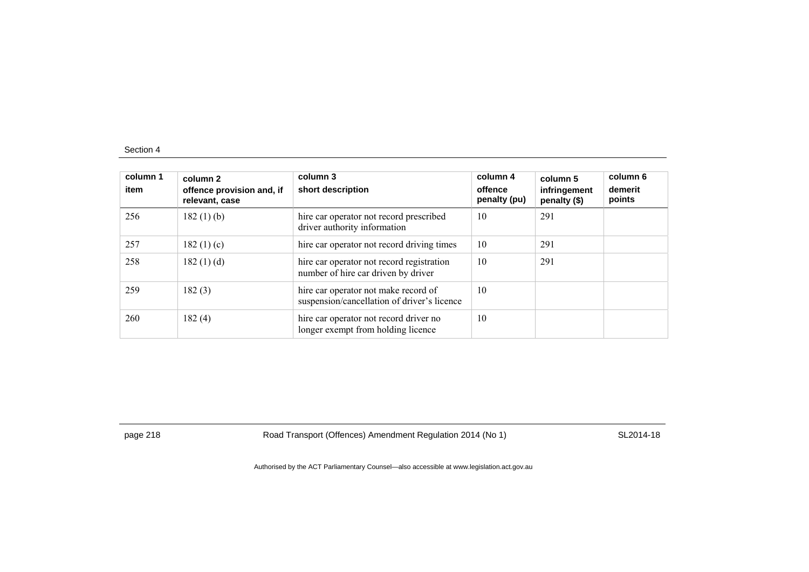| column 1<br>item | column <sub>2</sub><br>offence provision and, if<br>relevant, case | column 3<br>short description                                                       | column 4<br>offence<br>penalty (pu) | column 5<br>infringement<br>penalty (\$) | column 6<br>demerit<br>points |
|------------------|--------------------------------------------------------------------|-------------------------------------------------------------------------------------|-------------------------------------|------------------------------------------|-------------------------------|
| 256              | 182(1)(b)                                                          | hire car operator not record prescribed<br>driver authority information             | 10                                  | 291                                      |                               |
| 257              | 182 $(1)(c)$                                                       | hire car operator not record driving times                                          | 10                                  | 291                                      |                               |
| 258              | 182(1)(d)                                                          | hire car operator not record registration<br>number of hire car driven by driver    | 10                                  | 291                                      |                               |
| 259              | 182(3)                                                             | hire car operator not make record of<br>suspension/cancellation of driver's licence | 10                                  |                                          |                               |
| 260              | 182(4)                                                             | hire car operator not record driver no<br>longer exempt from holding licence        | 10                                  |                                          |                               |

page 218 **Road Transport (Offences) Amendment Regulation 2014 (No 1)** SL2014-18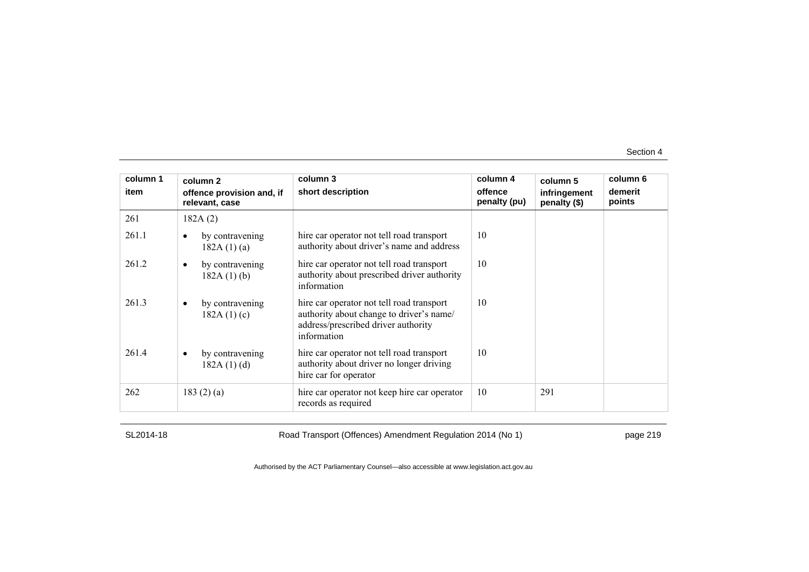| column 1 | column 2                                    | column 3                                                                                                                                    | column 4                | column 5                     | column 6          |
|----------|---------------------------------------------|---------------------------------------------------------------------------------------------------------------------------------------------|-------------------------|------------------------------|-------------------|
| item     | offence provision and, if<br>relevant, case | short description                                                                                                                           | offence<br>penalty (pu) | infringement<br>penalty (\$) | demerit<br>points |
| 261      | 182A(2)                                     |                                                                                                                                             |                         |                              |                   |
| 261.1    | by contravening<br>$\bullet$<br>182A(1)(a)  | hire car operator not tell road transport<br>authority about driver's name and address                                                      | 10                      |                              |                   |
| 261.2    | by contravening<br>$\bullet$<br>182A(1)(b)  | hire car operator not tell road transport<br>authority about prescribed driver authority<br>information                                     | 10                      |                              |                   |
| 261.3    | by contravening<br>$\bullet$<br>182A(1)(c)  | hire car operator not tell road transport<br>authority about change to driver's name/<br>address/prescribed driver authority<br>information | 10                      |                              |                   |
| 261.4    | by contravening<br>$\bullet$<br>182A(1)(d)  | hire car operator not tell road transport<br>authority about driver no longer driving<br>hire car for operator                              | 10                      |                              |                   |
| 262      | 183 $(2)$ $(a)$                             | hire car operator not keep hire car operator<br>records as required                                                                         | 10                      | 291                          |                   |

SL2014-18 Road Transport (Offences) Amendment Regulation 2014 (No 1) page 219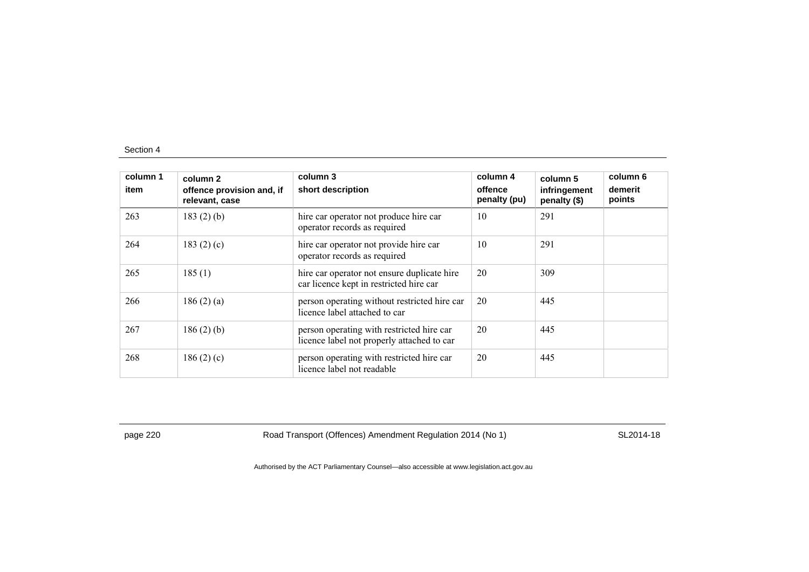| column 1<br>item | column 2<br>offence provision and, if<br>relevant, case | column 3<br>short description                                                           | column 4<br>offence<br>penalty (pu) | column 5<br>infringement<br>penalty (\$) | column 6<br>demerit<br>points |
|------------------|---------------------------------------------------------|-----------------------------------------------------------------------------------------|-------------------------------------|------------------------------------------|-------------------------------|
| 263              | $183(2)$ (b)                                            | hire car operator not produce hire car<br>operator records as required                  | 10                                  | 291                                      |                               |
| 264              | 183 $(2)$ $(c)$                                         | hire car operator not provide hire car<br>operator records as required                  | 10                                  | 291                                      |                               |
| 265              | 185(1)                                                  | hire car operator not ensure duplicate hire<br>car licence kept in restricted hire car  | 20                                  | 309                                      |                               |
| 266              | 186(2)(a)                                               | person operating without restricted hire car<br>licence label attached to car           | 20                                  | 445                                      |                               |
| 267              | $186(2)$ (b)                                            | person operating with restricted hire car<br>licence label not properly attached to car | 20                                  | 445                                      |                               |
| 268              | 186 $(2)$ $(c)$                                         | person operating with restricted hire car<br>licence label not readable                 | 20                                  | 445                                      |                               |

page 220 **Road Transport (Offences) Amendment Regulation 2014 (No 1)** SL2014-18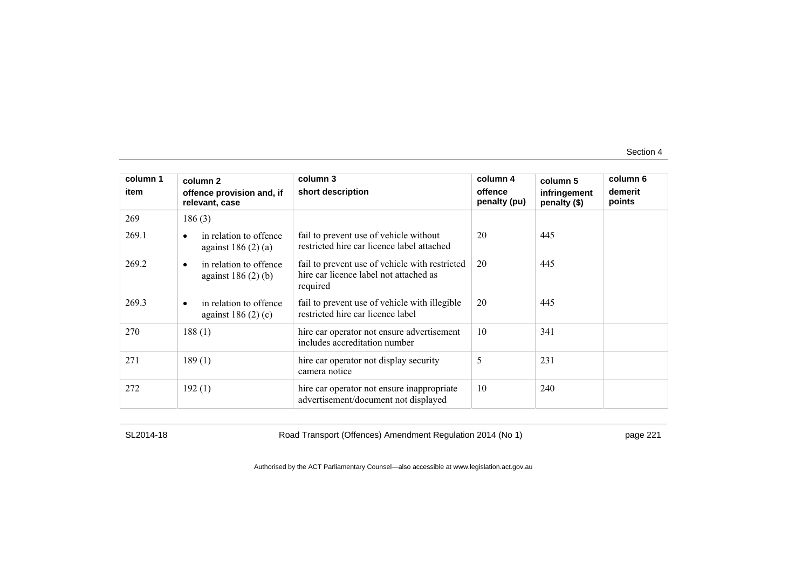| column 1<br>item | column <sub>2</sub><br>offence provision and, if            | column 3<br>short description                                                                        | column 4<br>offence | column 5<br>infringement | column 6<br>demerit |
|------------------|-------------------------------------------------------------|------------------------------------------------------------------------------------------------------|---------------------|--------------------------|---------------------|
| 269              | relevant, case<br>186(3)                                    |                                                                                                      | penalty (pu)        | penalty (\$)             | points              |
| 269.1            | in relation to offence<br>$\bullet$<br>against $186(2)(a)$  | fail to prevent use of vehicle without<br>restricted hire car licence label attached                 | 20                  | 445                      |                     |
| 269.2            | in relation to offence<br>$\bullet$<br>against $186(2)$ (b) | fail to prevent use of vehicle with restricted<br>hire car licence label not attached as<br>required | 20                  | 445                      |                     |
| 269.3            | in relation to offence<br>$\bullet$<br>against $186(2)(c)$  | fail to prevent use of vehicle with illegible<br>restricted hire car licence label                   | 20                  | 445                      |                     |
| 270              | 188(1)                                                      | hire car operator not ensure advertisement<br>includes accreditation number                          | 10                  | 341                      |                     |
| 271              | 189(1)                                                      | hire car operator not display security<br>camera notice                                              | 5                   | 231                      |                     |
| 272              | 192(1)                                                      | hire car operator not ensure inappropriate<br>advertisement/document not displayed                   | 10                  | 240                      |                     |

SL2014-18 Road Transport (Offences) Amendment Regulation 2014 (No 1) page 221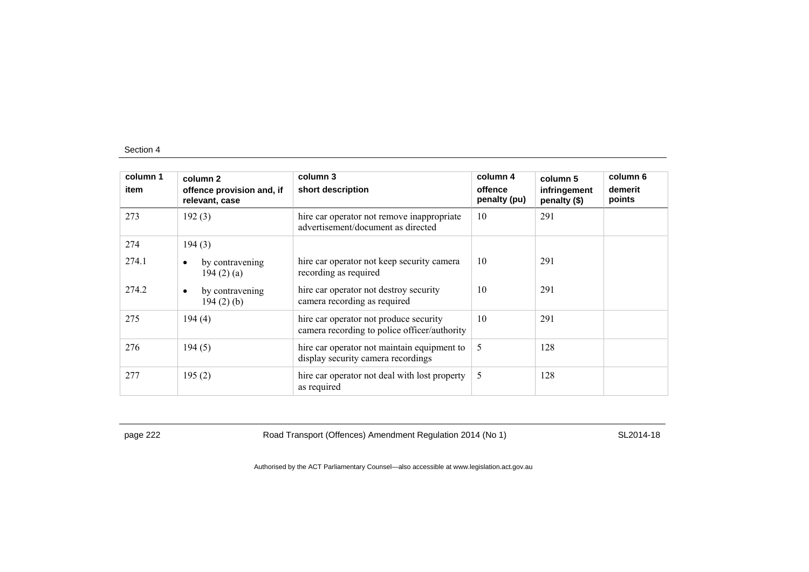| column 1<br>item | column 2<br>offence provision and, if<br>relevant, case | column 3<br>short description                                                          | column 4<br>offence<br>penalty (pu) | column 5<br>infringement<br>penalty (\$) | column 6<br>demerit<br>points |
|------------------|---------------------------------------------------------|----------------------------------------------------------------------------------------|-------------------------------------|------------------------------------------|-------------------------------|
| 273              | 192(3)                                                  | hire car operator not remove inappropriate<br>advertisement/document as directed       | 10                                  | 291                                      |                               |
| 274              | 194(3)                                                  |                                                                                        |                                     |                                          |                               |
| 274.1            | by contravening<br>194(2)(a)                            | hire car operator not keep security camera<br>recording as required                    | 10                                  | 291                                      |                               |
| 274.2            | by contravening<br>٠<br>$194(2)$ (b)                    | hire car operator not destroy security<br>camera recording as required                 | 10                                  | 291                                      |                               |
| 275              | 194(4)                                                  | hire car operator not produce security<br>camera recording to police officer/authority | 10                                  | 291                                      |                               |
| 276              | 194(5)                                                  | hire car operator not maintain equipment to<br>display security camera recordings      | 5                                   | 128                                      |                               |
| 277              | 195(2)                                                  | hire car operator not deal with lost property<br>as required                           | 5                                   | 128                                      |                               |

page 222 Road Transport (Offences) Amendment Regulation 2014 (No 1) SL2014-18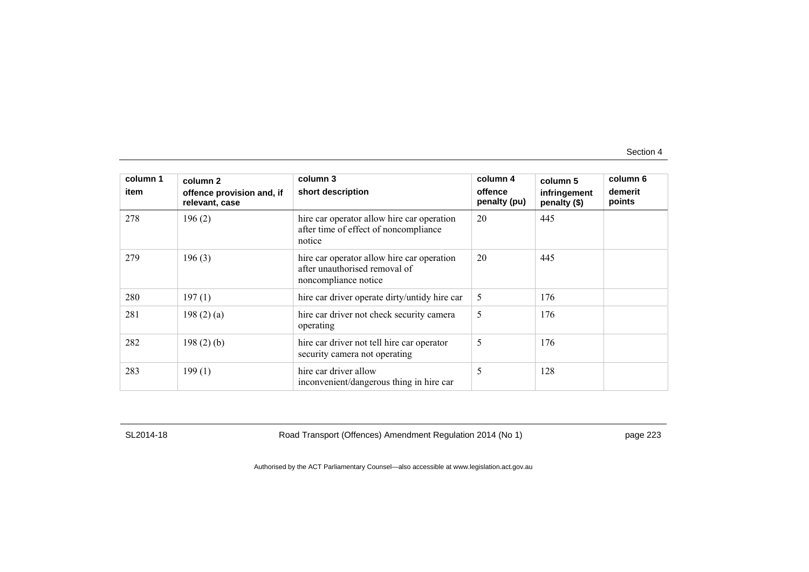| column 1<br>item | column 2<br>offence provision and, if<br>relevant, case | column 3<br>short description                                                                       | column 4<br>offence<br>penalty (pu) | column 5<br>infringement<br>penalty (\$) | column 6<br>demerit<br>points |
|------------------|---------------------------------------------------------|-----------------------------------------------------------------------------------------------------|-------------------------------------|------------------------------------------|-------------------------------|
| 278              | 196(2)                                                  | hire car operator allow hire car operation<br>after time of effect of noncompliance<br>notice       | 20                                  | 445                                      |                               |
| 279              | 196(3)                                                  | hire car operator allow hire car operation<br>after unauthorised removal of<br>noncompliance notice | 20                                  | 445                                      |                               |
| 280              | 197(1)                                                  | hire car driver operate dirty/untidy hire car                                                       | 5                                   | 176                                      |                               |
| 281              | 198(2)(a)                                               | hire car driver not check security camera<br>operating                                              | 5                                   | 176                                      |                               |
| 282              | 198(2)(b)                                               | hire car driver not tell hire car operator<br>security camera not operating                         | 5                                   | 176                                      |                               |
| 283              | 199(1)                                                  | hire car driver allow<br>inconvenient/dangerous thing in hire car                                   | 5                                   | 128                                      |                               |

SL2014-18 Road Transport (Offences) Amendment Regulation 2014 (No 1) page 223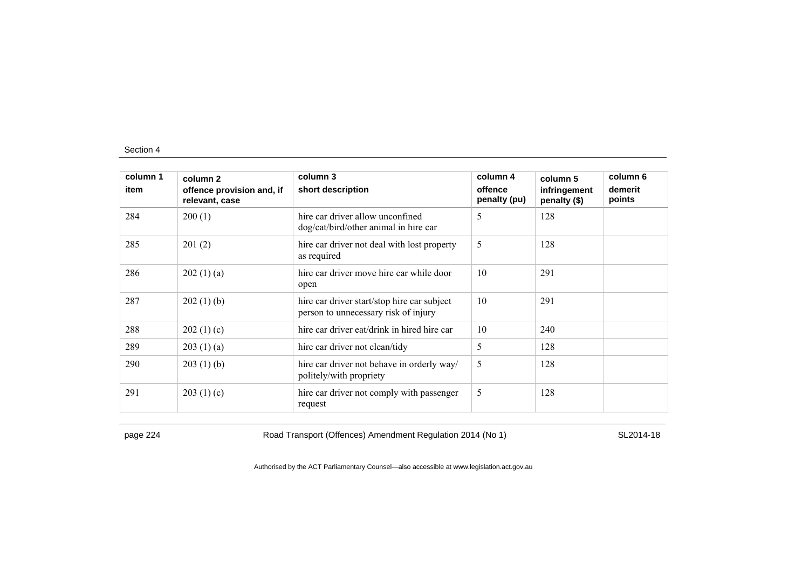| column 1<br>item | column 2<br>offence provision and, if<br>relevant, case | column 3<br>short description                                                       | column 4<br>offence<br>penalty (pu) | column 5<br>infringement<br>penalty (\$) | column 6<br>demerit<br>points |
|------------------|---------------------------------------------------------|-------------------------------------------------------------------------------------|-------------------------------------|------------------------------------------|-------------------------------|
| 284              | 200(1)                                                  | hire car driver allow unconfined<br>dog/cat/bird/other animal in hire car           | 5                                   | 128                                      |                               |
| 285              | 201(2)                                                  | hire car driver not deal with lost property<br>as required                          | 5                                   | 128                                      |                               |
| 286              | 202(1)(a)                                               | hire car driver move hire car while door<br>open                                    | 10                                  | 291                                      |                               |
| 287              | 202(1)(b)                                               | hire car driver start/stop hire car subject<br>person to unnecessary risk of injury | 10                                  | 291                                      |                               |
| 288              | 202(1)(c)                                               | hire car driver eat/drink in hired hire car                                         | 10                                  | 240                                      |                               |
| 289              | 203(1)(a)                                               | hire car driver not clean/tidy                                                      | 5                                   | 128                                      |                               |
| 290              | 203(1)(b)                                               | hire car driver not behave in orderly way/<br>politely/with propriety               | 5                                   | 128                                      |                               |
| 291              | 203(1)(c)                                               | hire car driver not comply with passenger<br>request                                | 5                                   | 128                                      |                               |

page 224 Road Transport (Offences) Amendment Regulation 2014 (No 1) SL2014-18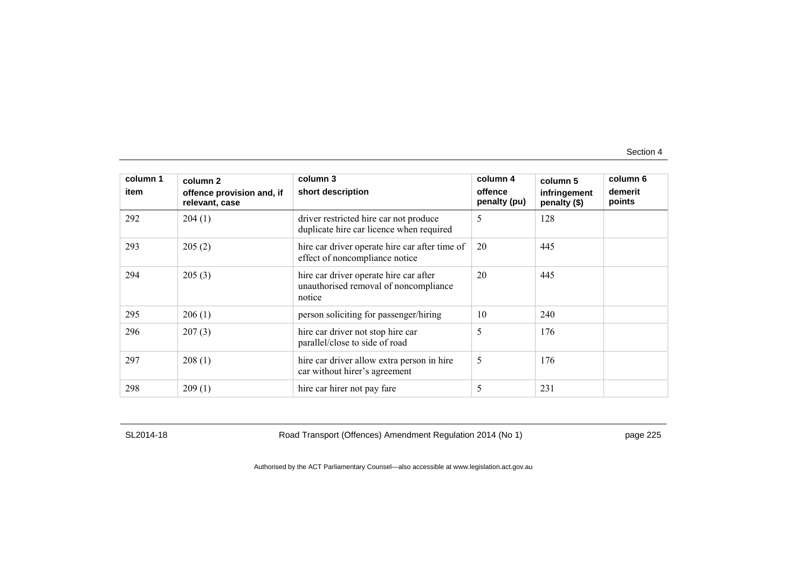| column 1<br>item | column 2<br>offence provision and, if<br>relevant, case | column 3<br>short description                                                             | column 4<br>offence<br>penalty (pu) | column 5<br>infringement<br>penalty (\$) | column 6<br>demerit<br>points |
|------------------|---------------------------------------------------------|-------------------------------------------------------------------------------------------|-------------------------------------|------------------------------------------|-------------------------------|
| 292              | 204(1)                                                  | driver restricted hire car not produce<br>duplicate hire car licence when required        | 5                                   | 128                                      |                               |
| 293              | 205(2)                                                  | hire car driver operate hire car after time of<br>effect of noncompliance notice          | 20                                  | 445                                      |                               |
| 294              | 205(3)                                                  | hire car driver operate hire car after<br>unauthorised removal of noncompliance<br>notice | 20                                  | 445                                      |                               |
| 295              | 206(1)                                                  | person soliciting for passenger/hiring                                                    | 10                                  | 240                                      |                               |
| 296              | 207(3)                                                  | hire car driver not stop hire car<br>parallel/close to side of road                       | 5                                   | 176                                      |                               |
| 297              | 208(1)                                                  | hire car driver allow extra person in hire<br>car without hirer's agreement               | 5                                   | 176                                      |                               |
| 298              | 209(1)                                                  | hire car hirer not pay fare                                                               | 5                                   | 231                                      |                               |

SL2014-18 Road Transport (Offences) Amendment Regulation 2014 (No 1) page 225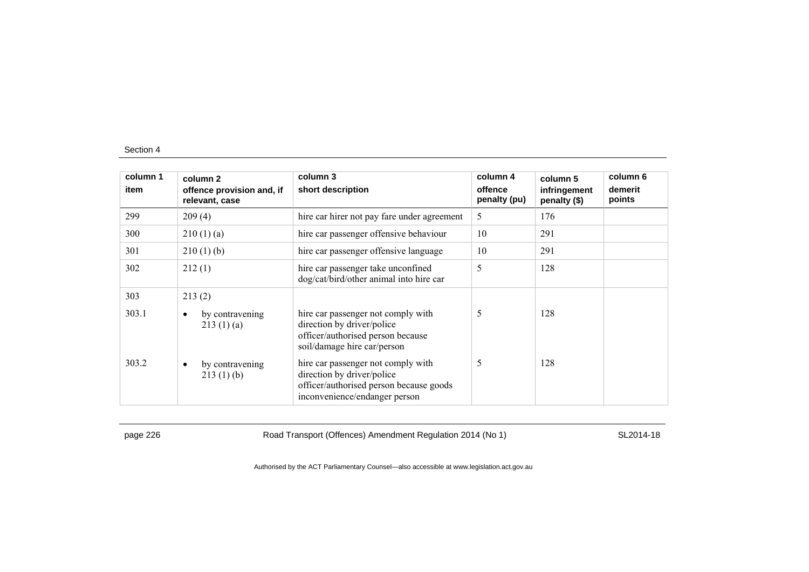| column 1 | column 2                                    | column 3                                                                                                                                     | column 4                | column 5                     | column 6          |
|----------|---------------------------------------------|----------------------------------------------------------------------------------------------------------------------------------------------|-------------------------|------------------------------|-------------------|
| item     | offence provision and, if<br>relevant, case | short description                                                                                                                            | offence<br>penalty (pu) | infringement<br>penalty (\$) | demerit<br>points |
| 299      | 209(4)                                      | hire car hirer not pay fare under agreement                                                                                                  | 5                       | 176                          |                   |
| 300      | 210(1)(a)                                   | hire car passenger offensive behaviour                                                                                                       | 10                      | 291                          |                   |
| 301      | 210(1)(b)                                   | hire car passenger offensive language                                                                                                        | 10                      | 291                          |                   |
| 302      | 212(1)                                      | hire car passenger take unconfined<br>dog/cat/bird/other animal into hire car                                                                | 5                       | 128                          |                   |
| 303      | 213(2)                                      |                                                                                                                                              |                         |                              |                   |
| 303.1    | by contravening<br>$\bullet$<br>213(1)(a)   | hire car passenger not comply with<br>direction by driver/police<br>officer/authorised person because<br>soil/damage hire car/person         | 5                       | 128                          |                   |
| 303.2    | by contravening<br>٠<br>213(1)(b)           | hire car passenger not comply with<br>direction by driver/police<br>officer/authorised person because goods<br>inconvenience/endanger person | 5                       | 128                          |                   |

page 226 Road Transport (Offences) Amendment Regulation 2014 (No 1) SL2014-18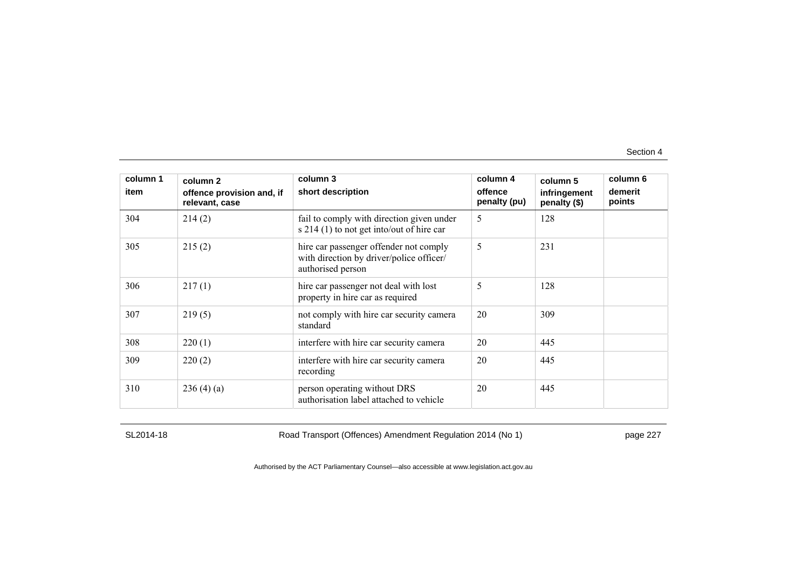| column 1<br>item | column 2<br>offence provision and, if<br>relevant, case | column 3<br>short description                                                                           | column 4<br>offence<br>penalty (pu) | column 5<br>infringement<br>penalty (\$) | column 6<br>demerit<br>points |
|------------------|---------------------------------------------------------|---------------------------------------------------------------------------------------------------------|-------------------------------------|------------------------------------------|-------------------------------|
| 304              | 214(2)                                                  | fail to comply with direction given under<br>s $214(1)$ to not get into/out of hire car                 | 5                                   | 128                                      |                               |
| 305              | 215(2)                                                  | hire car passenger offender not comply<br>with direction by driver/police officer/<br>authorised person | 5                                   | 231                                      |                               |
| 306              | 217(1)                                                  | hire car passenger not deal with lost<br>property in hire car as required                               | 5                                   | 128                                      |                               |
| 307              | 219(5)                                                  | not comply with hire car security camera<br>standard                                                    | 20                                  | 309                                      |                               |
| 308              | 220(1)                                                  | interfere with hire car security camera                                                                 | 20                                  | 445                                      |                               |
| 309              | 220(2)                                                  | interfere with hire car security camera<br>recording                                                    | 20                                  | 445                                      |                               |
| 310              | 236(4)(a)                                               | person operating without DRS<br>authorisation label attached to vehicle                                 | 20                                  | 445                                      |                               |

SL2014-18 Road Transport (Offences) Amendment Regulation 2014 (No 1) page 227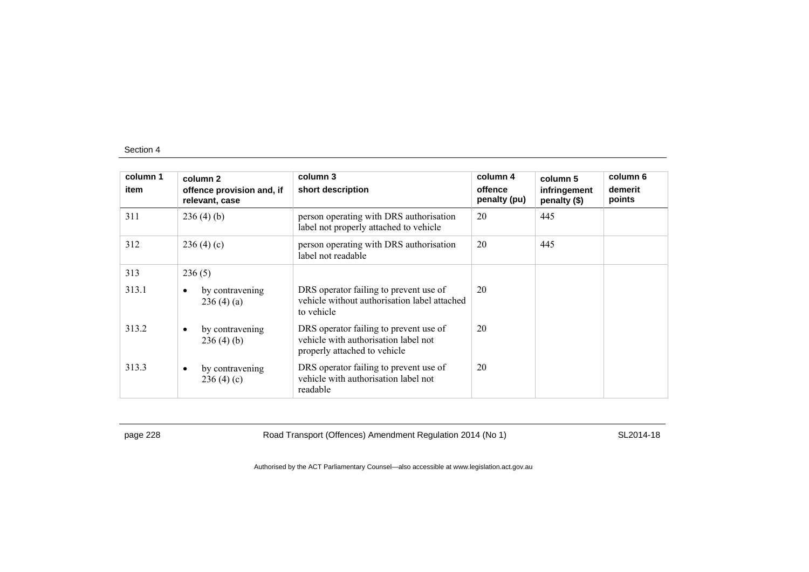| column 1<br>item | column 2<br>offence provision and, if<br>relevant, case | column 3<br>short description                                                                                  | column 4<br>offence<br>penalty (pu) | column 5<br>infringement<br>penalty (\$) | column 6<br>demerit<br>points |
|------------------|---------------------------------------------------------|----------------------------------------------------------------------------------------------------------------|-------------------------------------|------------------------------------------|-------------------------------|
| 311              | 236(4)(b)                                               | person operating with DRS authorisation<br>label not properly attached to vehicle                              | 20                                  | 445                                      |                               |
| 312              | 236(4)(c)                                               | person operating with DRS authorisation<br>label not readable                                                  | 20                                  | 445                                      |                               |
| 313              | 236(5)                                                  |                                                                                                                |                                     |                                          |                               |
| 313.1            | by contravening<br>٠<br>236(4)(a)                       | DRS operator failing to prevent use of<br>vehicle without authorisation label attached<br>to vehicle           | 20                                  |                                          |                               |
| 313.2            | by contravening<br>$\bullet$<br>236(4)(b)               | DRS operator failing to prevent use of<br>vehicle with authorisation label not<br>properly attached to vehicle | 20                                  |                                          |                               |
| 313.3            | by contravening<br>$\bullet$<br>236(4)(c)               | DRS operator failing to prevent use of<br>vehicle with authorisation label not<br>readable                     | 20                                  |                                          |                               |

page 228 Road Transport (Offences) Amendment Regulation 2014 (No 1) SL2014-18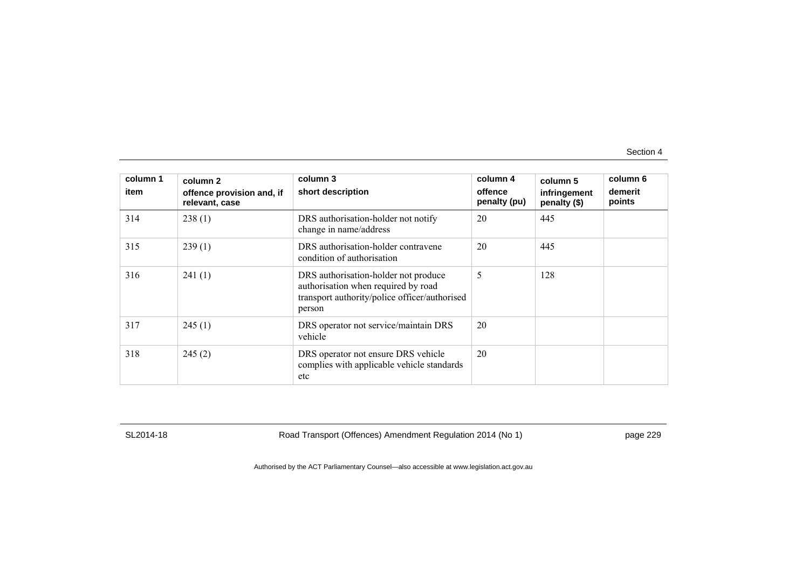| column 1<br>item | column <sub>2</sub><br>offence provision and, if<br>relevant, case | column 3<br>short description                                                                                                          | column 4<br>offence<br>penalty (pu) | column 5<br>infringement<br>penalty (\$) | column 6<br>demerit<br>points |
|------------------|--------------------------------------------------------------------|----------------------------------------------------------------------------------------------------------------------------------------|-------------------------------------|------------------------------------------|-------------------------------|
| 314              | 238(1)                                                             | DRS authorisation-holder not notify<br>change in name/address                                                                          | 20                                  | 445                                      |                               |
| 315              | 239(1)                                                             | DRS authorisation-holder contravene<br>condition of authorisation                                                                      | 20                                  | 445                                      |                               |
| 316              | 241(1)                                                             | DRS authorisation-holder not produce<br>authorisation when required by road<br>transport authority/police officer/authorised<br>person | 5                                   | 128                                      |                               |
| 317              | 245(1)                                                             | DRS operator not service/maintain DRS<br>vehicle                                                                                       | 20                                  |                                          |                               |
| 318              | 245(2)                                                             | DRS operator not ensure DRS vehicle<br>complies with applicable vehicle standards<br>etc                                               | 20                                  |                                          |                               |

SL2014-18 Road Transport (Offences) Amendment Regulation 2014 (No 1) page 229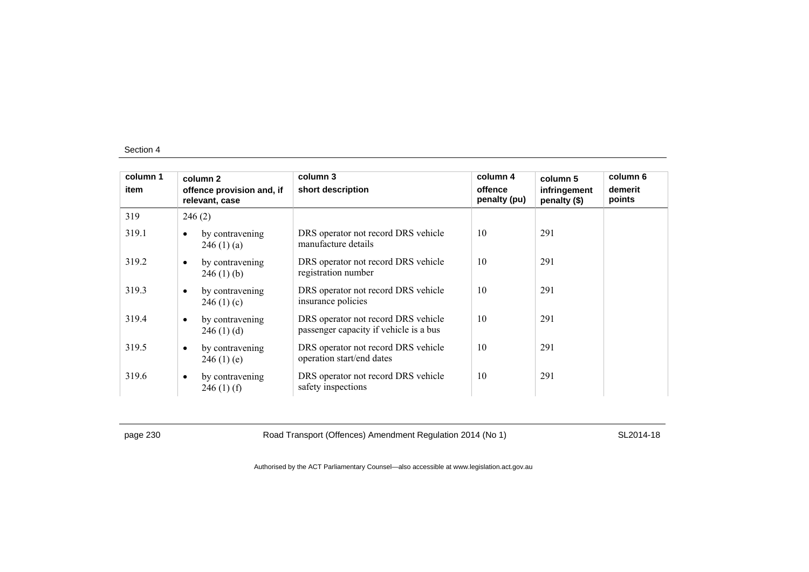| column 1<br>item | column 2<br>offence provision and, if<br>relevant, case | column 3<br>short description                                                 | column 4<br>offence<br>penalty (pu) | column 5<br>infringement<br>penalty (\$) | column 6<br>demerit<br>points |
|------------------|---------------------------------------------------------|-------------------------------------------------------------------------------|-------------------------------------|------------------------------------------|-------------------------------|
| 319              | 246(2)                                                  |                                                                               |                                     |                                          |                               |
| 319.1            | by contravening<br>$\bullet$<br>246(1)(a)               | DRS operator not record DRS vehicle<br>manufacture details                    | 10                                  | 291                                      |                               |
| 319.2            | by contravening<br>$\bullet$<br>$246(1)$ (b)            | DRS operator not record DRS vehicle<br>registration number                    | 10                                  | 291                                      |                               |
| 319.3            | by contravening<br>$\bullet$<br>246(1)(c)               | DRS operator not record DRS vehicle<br>insurance policies                     | 10                                  | 291                                      |                               |
| 319.4            | by contravening<br>$\bullet$<br>246(1)(d)               | DRS operator not record DRS vehicle<br>passenger capacity if vehicle is a bus | 10                                  | 291                                      |                               |
| 319.5            | by contravening<br>$\bullet$<br>246(1)(e)               | DRS operator not record DRS vehicle<br>operation start/end dates              | 10                                  | 291                                      |                               |
| 319.6            | by contravening<br>$\bullet$<br>$246(1)$ (f)            | DRS operator not record DRS vehicle<br>safety inspections                     | 10                                  | 291                                      |                               |

page 230 Road Transport (Offences) Amendment Regulation 2014 (No 1) SL2014-18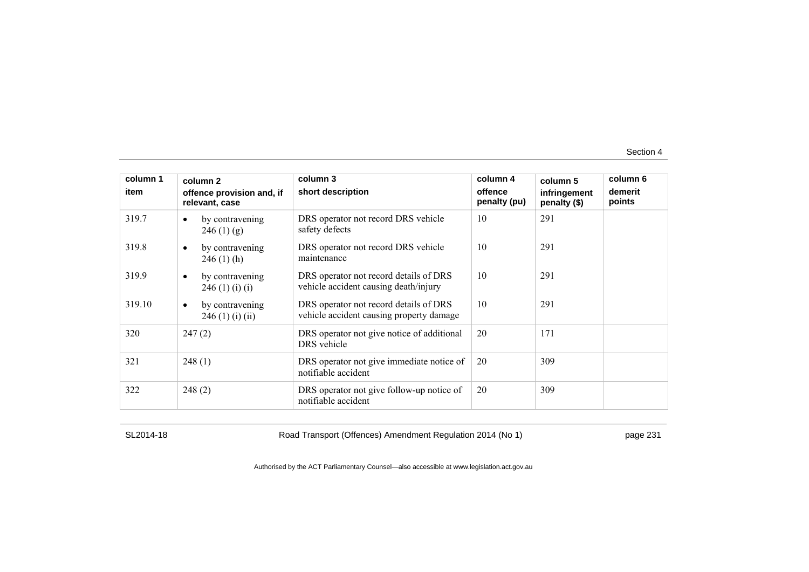| column 1<br>item | column 2<br>offence provision and, if<br>relevant, case | column 3<br>short description                                                      | column 4<br>offence<br>penalty (pu) | column 5<br>infringement<br>penalty (\$) | column 6<br>demerit<br>points |
|------------------|---------------------------------------------------------|------------------------------------------------------------------------------------|-------------------------------------|------------------------------------------|-------------------------------|
| 319.7            | by contravening<br>$\bullet$<br>246(1)(g)               | DRS operator not record DRS vehicle<br>safety defects                              | 10                                  | 291                                      |                               |
| 319.8            | by contravening<br>$\bullet$<br>$246(1)$ (h)            | DRS operator not record DRS vehicle<br>maintenance                                 | 10                                  | 291                                      |                               |
| 319.9            | by contravening<br>$\bullet$<br>246(1)(i)(i)            | DRS operator not record details of DRS<br>vehicle accident causing death/injury    | 10                                  | 291                                      |                               |
| 319.10           | by contravening<br>$\bullet$<br>246 (1) (i) (ii)        | DRS operator not record details of DRS<br>vehicle accident causing property damage | 10                                  | 291                                      |                               |
| 320              | 247(2)                                                  | DRS operator not give notice of additional<br>DRS vehicle                          | 20                                  | 171                                      |                               |
| 321              | 248(1)                                                  | DRS operator not give immediate notice of<br>notifiable accident                   | 20                                  | 309                                      |                               |
| 322              | 248(2)                                                  | DRS operator not give follow-up notice of<br>notifiable accident                   | 20                                  | 309                                      |                               |

SL2014-18 Road Transport (Offences) Amendment Regulation 2014 (No 1) page 231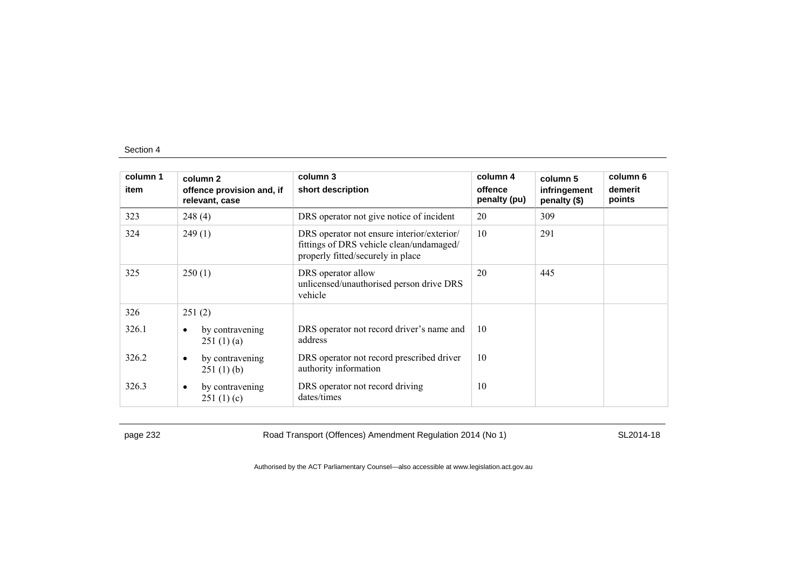| column 1<br>item | column 2<br>offence provision and, if     | column 3<br>short description                                                                                               | column 4<br>offence | column 5<br>infringement | column 6<br>demerit |
|------------------|-------------------------------------------|-----------------------------------------------------------------------------------------------------------------------------|---------------------|--------------------------|---------------------|
| 323              | relevant, case<br>248(4)                  | DRS operator not give notice of incident                                                                                    | penalty (pu)<br>20  | penalty (\$)<br>309      | points              |
|                  |                                           |                                                                                                                             |                     |                          |                     |
| 324              | 249(1)                                    | DRS operator not ensure interior/exterior/<br>fittings of DRS vehicle clean/undamaged/<br>properly fitted/securely in place | 10                  | 291                      |                     |
| 325              | 250(1)                                    | DRS operator allow<br>unlicensed/unauthorised person drive DRS<br>vehicle                                                   | 20                  | 445                      |                     |
| 326              | 251(2)                                    |                                                                                                                             |                     |                          |                     |
| 326.1            | by contravening<br>٠<br>251(1)(a)         | DRS operator not record driver's name and<br>address                                                                        | 10                  |                          |                     |
| 326.2            | by contravening<br>٠<br>251(1)(b)         | DRS operator not record prescribed driver<br>authority information                                                          | 10                  |                          |                     |
| 326.3            | by contravening<br>$\bullet$<br>251(1)(c) | DRS operator not record driving<br>dates/times                                                                              | 10                  |                          |                     |

page 232 Road Transport (Offences) Amendment Regulation 2014 (No 1) SL2014-18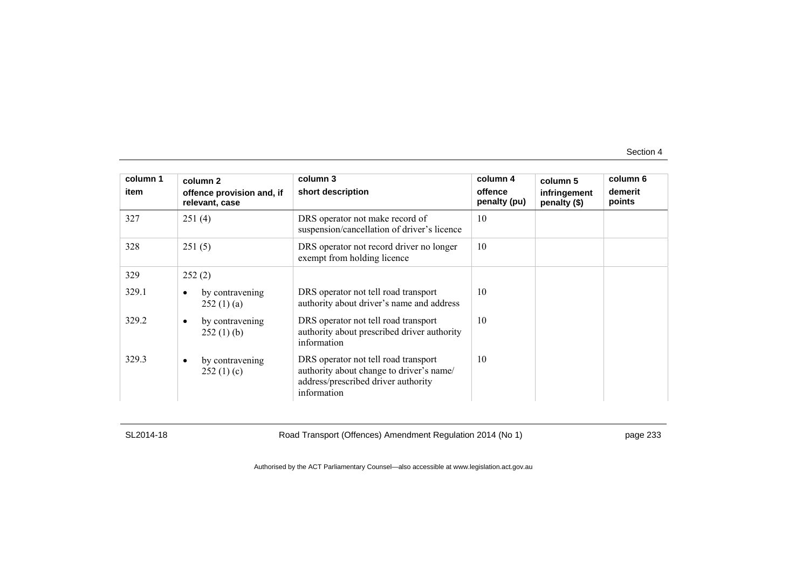| column 1 | column 2                                    | column 3                                                                                                                               | column 4                | column 5                     | column 6          |
|----------|---------------------------------------------|----------------------------------------------------------------------------------------------------------------------------------------|-------------------------|------------------------------|-------------------|
| item     | offence provision and, if<br>relevant, case | short description                                                                                                                      | offence<br>penalty (pu) | infringement<br>penalty (\$) | demerit<br>points |
| 327      | 251(4)                                      | DRS operator not make record of<br>suspension/cancellation of driver's licence                                                         | 10                      |                              |                   |
| 328      | 251(5)                                      | DRS operator not record driver no longer<br>exempt from holding licence                                                                | 10                      |                              |                   |
| 329      | 252(2)                                      |                                                                                                                                        |                         |                              |                   |
| 329.1    | by contravening<br>252(1)(a)                | DRS operator not tell road transport<br>authority about driver's name and address                                                      | 10                      |                              |                   |
| 329.2    | by contravening<br>$\bullet$<br>252(1)(b)   | DRS operator not tell road transport<br>authority about prescribed driver authority<br>information                                     | 10                      |                              |                   |
| 329.3    | by contravening<br>$\bullet$<br>252(1)(c)   | DRS operator not tell road transport<br>authority about change to driver's name/<br>address/prescribed driver authority<br>information | 10                      |                              |                   |

SL2014-18 Road Transport (Offences) Amendment Regulation 2014 (No 1) page 233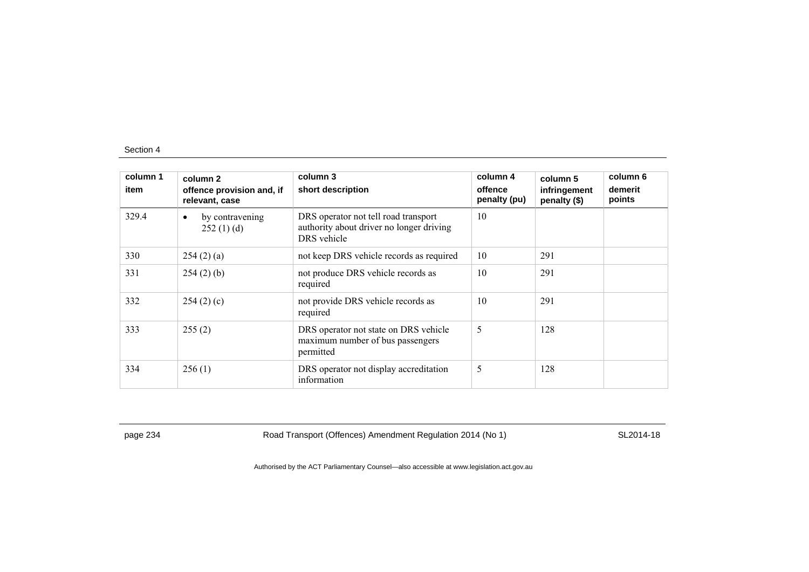| column 1<br>item | column 2<br>offence provision and, if<br>relevant, case | column 3<br>short description                                                                   | column 4<br>offence<br>penalty (pu) | column 5<br>infringement<br>penalty (\$) | column 6<br>demerit<br>points |
|------------------|---------------------------------------------------------|-------------------------------------------------------------------------------------------------|-------------------------------------|------------------------------------------|-------------------------------|
| 329.4            | by contravening<br>٠<br>252(1)(d)                       | DRS operator not tell road transport<br>authority about driver no longer driving<br>DRS vehicle | 10                                  |                                          |                               |
| 330              | 254(2)(a)                                               | not keep DRS vehicle records as required                                                        | 10                                  | 291                                      |                               |
| 331              | $254(2)$ (b)                                            | not produce DRS vehicle records as<br>required                                                  | 10                                  | 291                                      |                               |
| 332              | 254(2)(c)                                               | not provide DRS vehicle records as<br>required                                                  | 10                                  | 291                                      |                               |
| 333              | 255(2)                                                  | DRS operator not state on DRS vehicle<br>maximum number of bus passengers<br>permitted          | 5                                   | 128                                      |                               |
| 334              | 256(1)                                                  | DRS operator not display accreditation<br>information                                           | 5                                   | 128                                      |                               |

page 234 Road Transport (Offences) Amendment Regulation 2014 (No 1) SL2014-18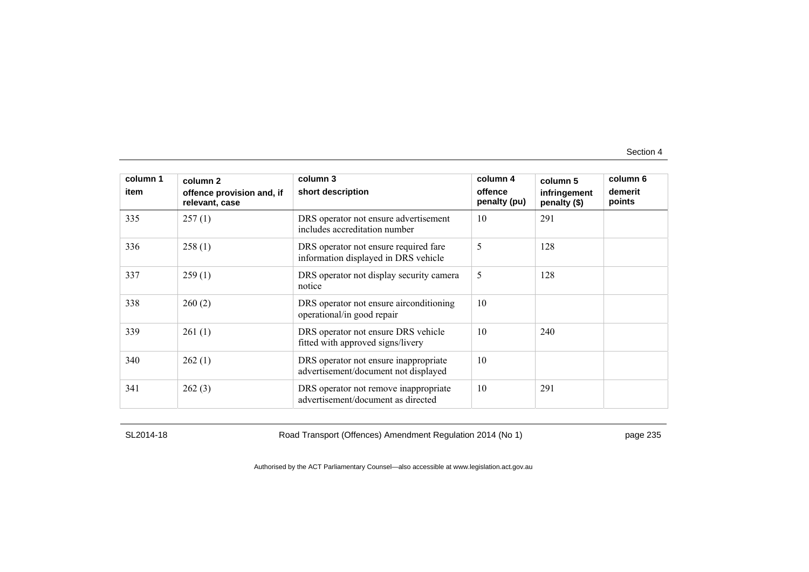| column 1<br>item | column 2<br>offence provision and, if<br>relevant, case | column 3<br>short description                                                 | column 4<br>offence<br>penalty (pu) | column 5<br>infringement<br>penalty (\$) | column 6<br>demerit<br>points |
|------------------|---------------------------------------------------------|-------------------------------------------------------------------------------|-------------------------------------|------------------------------------------|-------------------------------|
| 335              | 257(1)                                                  | DRS operator not ensure advertisement<br>includes accreditation number        | 10                                  | 291                                      |                               |
| 336              | 258(1)                                                  | DRS operator not ensure required fare<br>information displayed in DRS vehicle | 5                                   | 128                                      |                               |
| 337              | 259(1)                                                  | DRS operator not display security camera<br>notice                            | 5                                   | 128                                      |                               |
| 338              | 260(2)                                                  | DRS operator not ensure airconditioning<br>operational/in good repair         | 10                                  |                                          |                               |
| 339              | 261(1)                                                  | DRS operator not ensure DRS vehicle<br>fitted with approved signs/livery      | 10                                  | 240                                      |                               |
| 340              | 262(1)                                                  | DRS operator not ensure inappropriate<br>advertisement/document not displayed | 10                                  |                                          |                               |
| 341              | 262(3)                                                  | DRS operator not remove inappropriate<br>advertisement/document as directed   | 10                                  | 291                                      |                               |

SL2014-18 Road Transport (Offences) Amendment Regulation 2014 (No 1) page 235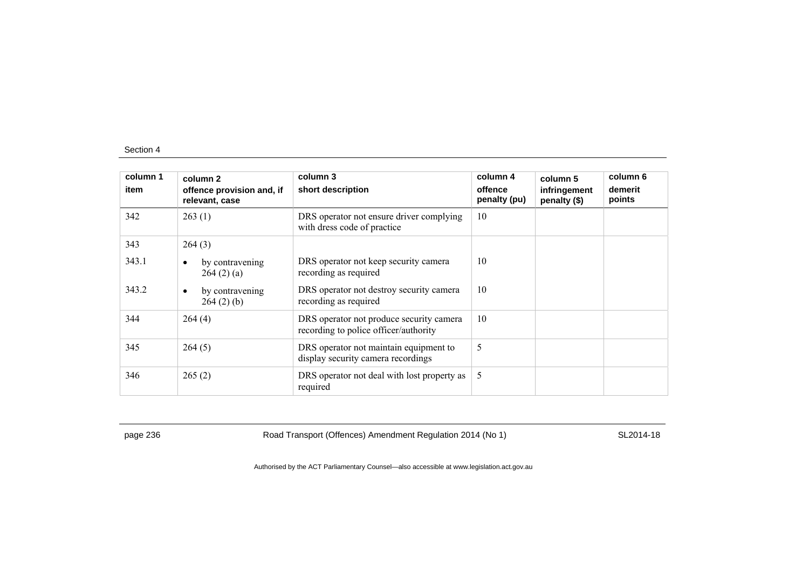| column 1<br>item | column 2<br>offence provision and, if<br>relevant, case | column 3<br>short description                                                     | column 4<br>offence<br>penalty (pu) | column 5<br>infringement<br>penalty (\$) | column 6<br>demerit<br>points |
|------------------|---------------------------------------------------------|-----------------------------------------------------------------------------------|-------------------------------------|------------------------------------------|-------------------------------|
| 342              | 263(1)                                                  | DRS operator not ensure driver complying<br>with dress code of practice           | 10                                  |                                          |                               |
| 343              | 264(3)                                                  |                                                                                   |                                     |                                          |                               |
| 343.1            | by contravening<br>٠<br>264(2)(a)                       | DRS operator not keep security camera<br>recording as required                    | 10                                  |                                          |                               |
| 343.2            | by contravening<br>$\bullet$<br>264(2)(b)               | DRS operator not destroy security camera<br>recording as required                 | 10                                  |                                          |                               |
| 344              | 264(4)                                                  | DRS operator not produce security camera<br>recording to police officer/authority | 10                                  |                                          |                               |
| 345              | 264(5)                                                  | DRS operator not maintain equipment to<br>display security camera recordings      | 5                                   |                                          |                               |
| 346              | 265(2)                                                  | DRS operator not deal with lost property as<br>required                           | 5                                   |                                          |                               |

page 236 Road Transport (Offences) Amendment Regulation 2014 (No 1) SL2014-18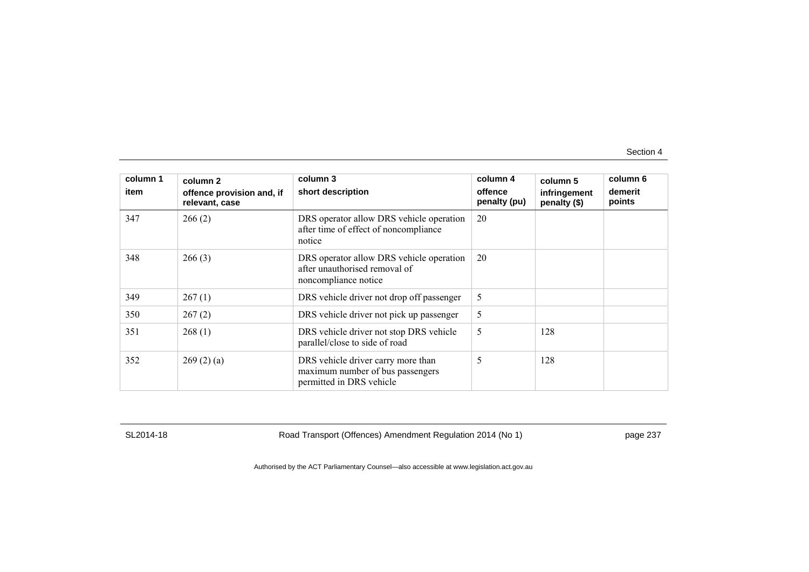| column 1<br>item | column 2<br>offence provision and, if | column 3<br>short description                                                                      | column 4<br>offence | column 5<br>infringement | column 6<br>demerit |
|------------------|---------------------------------------|----------------------------------------------------------------------------------------------------|---------------------|--------------------------|---------------------|
| 347              | relevant, case<br>266(2)              | DRS operator allow DRS vehicle operation<br>after time of effect of noncompliance<br>notice        | penalty (pu)<br>20  | penalty (\$)             | points              |
| 348              | 266(3)                                | DRS operator allow DRS vehicle operation<br>after unauthorised removal of<br>noncompliance notice  | 20                  |                          |                     |
| 349              | 267(1)                                | DRS vehicle driver not drop off passenger                                                          | 5                   |                          |                     |
| 350              | 267(2)                                | DRS vehicle driver not pick up passenger                                                           | 5                   |                          |                     |
| 351              | 268(1)                                | DRS vehicle driver not stop DRS vehicle<br>parallel/close to side of road                          | 5                   | 128                      |                     |
| 352              | 269(2)(a)                             | DRS vehicle driver carry more than<br>maximum number of bus passengers<br>permitted in DRS vehicle | 5                   | 128                      |                     |

SL2014-18 Road Transport (Offences) Amendment Regulation 2014 (No 1) page 237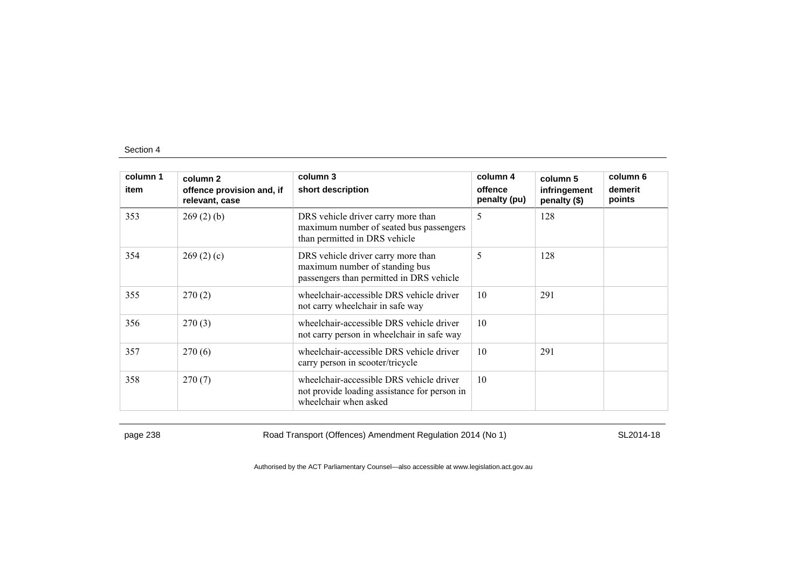| column 1 | column <sub>2</sub>                         | column 3                                                                                                          | column 4                | column 5                     | column 6          |
|----------|---------------------------------------------|-------------------------------------------------------------------------------------------------------------------|-------------------------|------------------------------|-------------------|
| item     | offence provision and, if<br>relevant, case | short description                                                                                                 | offence<br>penalty (pu) | infringement<br>penalty (\$) | demerit<br>points |
| 353      | 269(2)(b)                                   | DRS vehicle driver carry more than<br>maximum number of seated bus passengers<br>than permitted in DRS vehicle    | 5                       | 128                          |                   |
| 354      | 269(2)(c)                                   | DRS vehicle driver carry more than<br>maximum number of standing bus<br>passengers than permitted in DRS vehicle  | 5                       | 128                          |                   |
| 355      | 270(2)                                      | wheelchair-accessible DRS vehicle driver<br>not carry wheelchair in safe way                                      | 10                      | 291                          |                   |
| 356      | 270(3)                                      | wheelchair-accessible DRS vehicle driver<br>not carry person in wheelchair in safe way                            | 10                      |                              |                   |
| 357      | 270(6)                                      | wheelchair-accessible DRS vehicle driver<br>carry person in scooter/tricycle                                      | 10                      | 291                          |                   |
| 358      | 270(7)                                      | wheelchair-accessible DRS vehicle driver<br>not provide loading assistance for person in<br>wheelchair when asked | 10                      |                              |                   |

page 238 Road Transport (Offences) Amendment Regulation 2014 (No 1) SL2014-18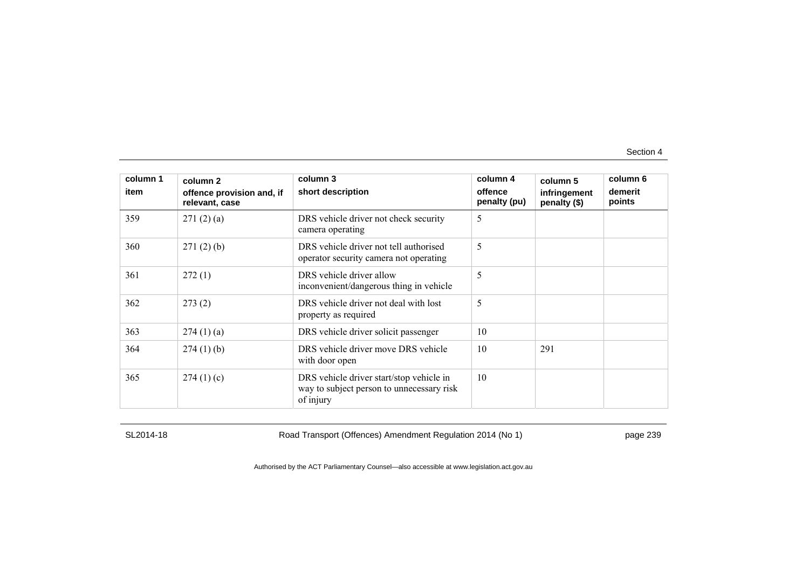| column 1<br>item | column 2<br>offence provision and, if<br>relevant, case | column 3<br>short description                                                                      | column 4<br>offence<br>penalty (pu) | column 5<br>infringement<br>penalty (\$) | column 6<br>demerit<br>points |
|------------------|---------------------------------------------------------|----------------------------------------------------------------------------------------------------|-------------------------------------|------------------------------------------|-------------------------------|
| 359              | 271(2)(a)                                               | DRS vehicle driver not check security<br>camera operating                                          | 5                                   |                                          |                               |
| 360              | 271(2)(b)                                               | DRS vehicle driver not tell authorised<br>operator security camera not operating                   | 5                                   |                                          |                               |
| 361              | 272(1)                                                  | DRS vehicle driver allow<br>inconvenient/dangerous thing in vehicle                                | 5                                   |                                          |                               |
| 362              | 273(2)                                                  | DRS vehicle driver not deal with lost<br>property as required                                      | 5                                   |                                          |                               |
| 363              | 274(1)(a)                                               | DRS vehicle driver solicit passenger                                                               | 10                                  |                                          |                               |
| 364              | $274(1)$ (b)                                            | DRS vehicle driver move DRS vehicle<br>with door open                                              | 10                                  | 291                                      |                               |
| 365              | 274(1)(c)                                               | DRS vehicle driver start/stop vehicle in<br>way to subject person to unnecessary risk<br>of injury | 10                                  |                                          |                               |

SL2014-18 Road Transport (Offences) Amendment Regulation 2014 (No 1) page 239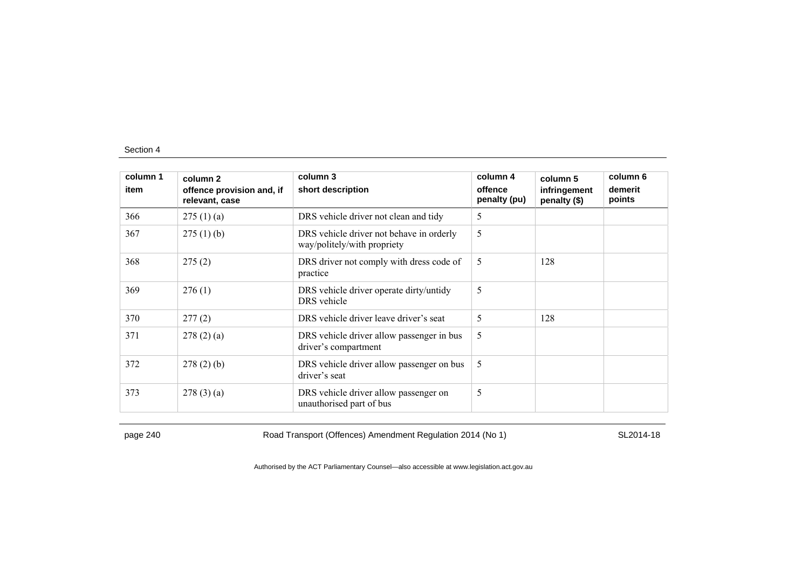| column 1 | column 2                                    | column 3                                                                | column 4                | column 5                     | column 6          |
|----------|---------------------------------------------|-------------------------------------------------------------------------|-------------------------|------------------------------|-------------------|
| item     | offence provision and, if<br>relevant, case | short description                                                       | offence<br>penalty (pu) | infringement<br>penalty (\$) | demerit<br>points |
| 366      | 275(1)(a)                                   | DRS vehicle driver not clean and tidy                                   | 5                       |                              |                   |
| 367      | 275(1)(b)                                   | DRS vehicle driver not behave in orderly<br>way/politely/with propriety | 5                       |                              |                   |
| 368      | 275(2)                                      | DRS driver not comply with dress code of<br>practice                    | 5                       | 128                          |                   |
| 369      | 276(1)                                      | DRS vehicle driver operate dirty/untidy<br>DRS vehicle                  | 5                       |                              |                   |
| 370      | 277(2)                                      | DRS vehicle driver leave driver's seat                                  | 5                       | 128                          |                   |
| 371      | 278(2)(a)                                   | DRS vehicle driver allow passenger in bus<br>driver's compartment       | 5                       |                              |                   |
| 372      | 278(2)(b)                                   | DRS vehicle driver allow passenger on bus<br>driver's seat              | 5                       |                              |                   |
| 373      | 278(3)(a)                                   | DRS vehicle driver allow passenger on<br>unauthorised part of bus       | 5                       |                              |                   |

page 240 Road Transport (Offences) Amendment Regulation 2014 (No 1) SL2014-18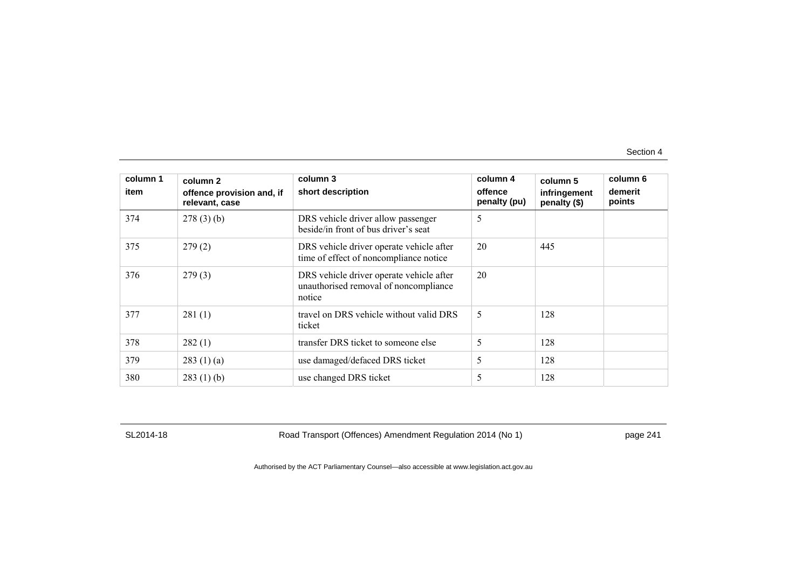| column 1<br>item | column 2<br>offence provision and, if<br>relevant, case | column 3<br>short description                                                               | column 4<br>offence<br>penalty (pu) | column 5<br>infringement<br>penalty (\$) | column 6<br>demerit<br>points |
|------------------|---------------------------------------------------------|---------------------------------------------------------------------------------------------|-------------------------------------|------------------------------------------|-------------------------------|
| 374              | 278(3)(b)                                               | DRS vehicle driver allow passenger<br>beside/in front of bus driver's seat                  | 5                                   |                                          |                               |
| 375              | 279(2)                                                  | DRS vehicle driver operate vehicle after<br>time of effect of noncompliance notice          | 20                                  | 445                                      |                               |
| 376              | 279(3)                                                  | DRS vehicle driver operate vehicle after<br>unauthorised removal of noncompliance<br>notice | 20                                  |                                          |                               |
| 377              | 281(1)                                                  | travel on DRS vehicle without valid DRS<br>ticket                                           | 5                                   | 128                                      |                               |
| 378              | 282(1)                                                  | transfer DRS ticket to someone else                                                         | 5                                   | 128                                      |                               |
| 379              | 283(1)(a)                                               | use damaged/defaced DRS ticket                                                              | 5                                   | 128                                      |                               |
| 380              | 283(1)(b)                                               | use changed DRS ticket                                                                      | 5                                   | 128                                      |                               |

SL2014-18 Road Transport (Offences) Amendment Regulation 2014 (No 1) page 241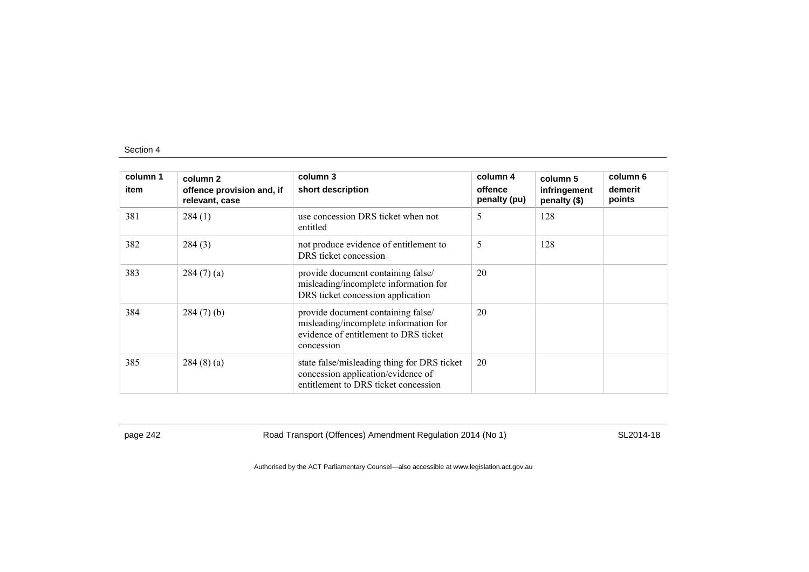| column 1<br>item | column 2<br>offence provision and, if<br>relevant, case | column 3<br>short description                                                                                                      | column 4<br>offence<br>penalty (pu) | column 5<br>infringement<br>penalty (\$) | column 6<br>demerit<br>points |
|------------------|---------------------------------------------------------|------------------------------------------------------------------------------------------------------------------------------------|-------------------------------------|------------------------------------------|-------------------------------|
| 381              | 284(1)                                                  | use concession DRS ticket when not<br>entitled                                                                                     | 5                                   | 128                                      |                               |
| 382              | 284(3)                                                  | not produce evidence of entitlement to<br>DRS ticket concession                                                                    | 5                                   | 128                                      |                               |
| 383              | 284(7)(a)                                               | provide document containing false/<br>misleading/incomplete information for<br>DRS ticket concession application                   | 20                                  |                                          |                               |
| 384              | $284(7)$ (b)                                            | provide document containing false/<br>misleading/incomplete information for<br>evidence of entitlement to DRS ticket<br>concession | 20                                  |                                          |                               |
| 385              | 284(8)(a)                                               | state false/misleading thing for DRS ticket<br>concession application/evidence of<br>entitlement to DRS ticket concession          | 20                                  |                                          |                               |

page 242 Road Transport (Offences) Amendment Regulation 2014 (No 1) SL2014-18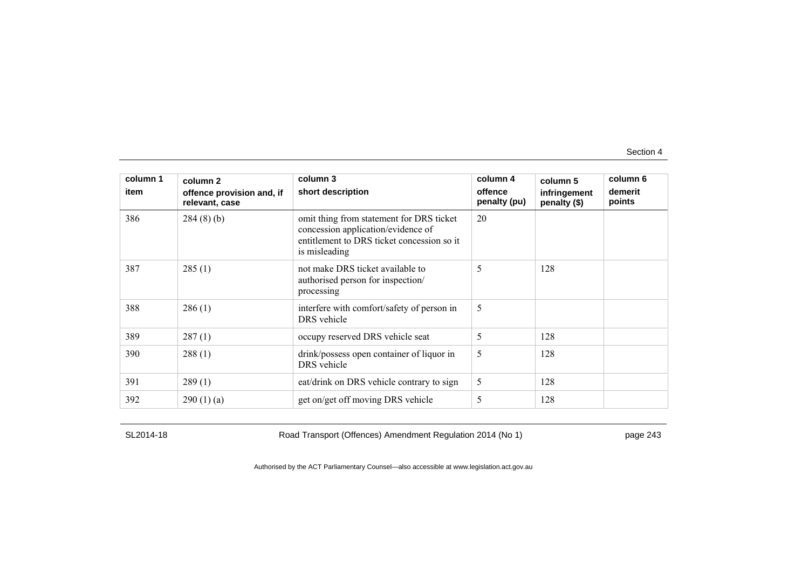| column 1<br>item | column 2<br>offence provision and, if<br>relevant, case | column 3<br>short description                                                                                                                 | column 4<br>offence<br>penalty (pu) | column 5<br>infringement<br>penalty (\$) | column 6<br>demerit<br>points |
|------------------|---------------------------------------------------------|-----------------------------------------------------------------------------------------------------------------------------------------------|-------------------------------------|------------------------------------------|-------------------------------|
| 386              | 284(8)(b)                                               | omit thing from statement for DRS ticket<br>concession application/evidence of<br>entitlement to DRS ticket concession so it<br>is misleading | 20                                  |                                          |                               |
| 387              | 285(1)                                                  | not make DRS ticket available to<br>authorised person for inspection/<br>processing                                                           | 5                                   | 128                                      |                               |
| 388              | 286(1)                                                  | interfere with comfort/safety of person in<br>DRS vehicle                                                                                     | 5                                   |                                          |                               |
| 389              | 287(1)                                                  | occupy reserved DRS vehicle seat                                                                                                              | 5                                   | 128                                      |                               |
| 390              | 288(1)                                                  | drink/possess open container of liquor in<br>DRS vehicle                                                                                      | 5                                   | 128                                      |                               |
| 391              | 289(1)                                                  | eat/drink on DRS vehicle contrary to sign                                                                                                     | 5                                   | 128                                      |                               |
| 392              | 290(1)(a)                                               | get on/get off moving DRS vehicle                                                                                                             | 5                                   | 128                                      |                               |

SL2014-18 Road Transport (Offences) Amendment Regulation 2014 (No 1) page 243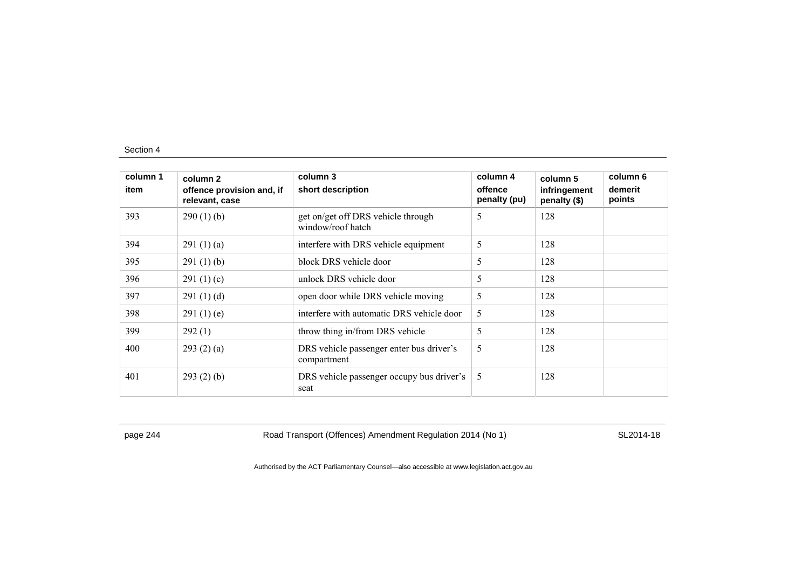| column 1<br>item | column 2<br>offence provision and, if<br>relevant, case | column 3<br>short description                           | column 4<br>offence<br>penalty (pu) | column 5<br>infringement<br>penalty (\$) | column 6<br>demerit<br>points |
|------------------|---------------------------------------------------------|---------------------------------------------------------|-------------------------------------|------------------------------------------|-------------------------------|
| 393              | 290(1)(b)                                               | get on/get off DRS vehicle through<br>window/roof hatch | 5                                   | 128                                      |                               |
| 394              | 291(1)(a)                                               | interfere with DRS vehicle equipment                    | 5                                   | 128                                      |                               |
| 395              | 291(1)(b)                                               | block DRS vehicle door                                  | 5                                   | 128                                      |                               |
| 396              | 291 $(1)(c)$                                            | unlock DRS vehicle door                                 | 5                                   | 128                                      |                               |
| 397              | 291(1)(d)                                               | open door while DRS vehicle moving                      | 5                                   | 128                                      |                               |
| 398              | 291(1)(e)                                               | interfere with automatic DRS vehicle door               | 5                                   | 128                                      |                               |
| 399              | 292(1)                                                  | throw thing in/from DRS vehicle                         | 5                                   | 128                                      |                               |
| 400              | 293(2)(a)                                               | DRS vehicle passenger enter bus driver's<br>compartment | 5                                   | 128                                      |                               |
| 401              | 293(2)(b)                                               | DRS vehicle passenger occupy bus driver's<br>seat       | 5                                   | 128                                      |                               |

page 244 Road Transport (Offences) Amendment Regulation 2014 (No 1) SL2014-18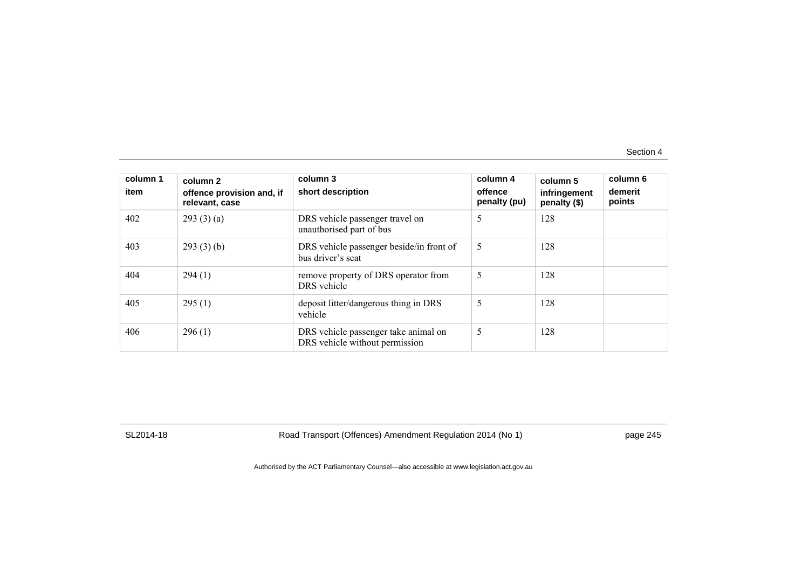| column 1<br>item | column 2<br>offence provision and, if<br>relevant, case | column 3<br>short description                                          | column 4<br>offence<br>penalty (pu) | column 5<br>infringement<br>penalty (\$) | column 6<br>demerit<br>points |
|------------------|---------------------------------------------------------|------------------------------------------------------------------------|-------------------------------------|------------------------------------------|-------------------------------|
| 402              | 293(3)(a)                                               | DRS vehicle passenger travel on<br>unauthorised part of bus            | 5                                   | 128                                      |                               |
| 403              | 293(3)(b)                                               | DRS vehicle passenger beside/in front of<br>bus driver's seat          | 5                                   | 128                                      |                               |
| 404              | 294(1)                                                  | remove property of DRS operator from<br>DRS vehicle                    | 5                                   | 128                                      |                               |
| 405              | 295(1)                                                  | deposit litter/dangerous thing in DRS<br>vehicle                       | 5                                   | 128                                      |                               |
| 406              | 296(1)                                                  | DRS vehicle passenger take animal on<br>DRS vehicle without permission | 5                                   | 128                                      |                               |

SL2014-18 Road Transport (Offences) Amendment Regulation 2014 (No 1) page 245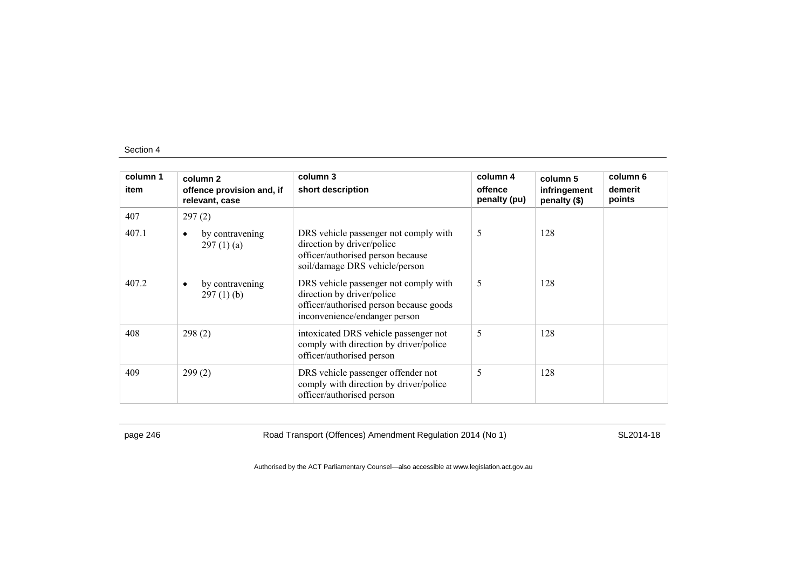| column 1 | column 2                                     | column 3                                                                                                                                        | column 4                | column 5                     | column 6          |
|----------|----------------------------------------------|-------------------------------------------------------------------------------------------------------------------------------------------------|-------------------------|------------------------------|-------------------|
| item     | offence provision and, if<br>relevant, case  | short description                                                                                                                               | offence<br>penalty (pu) | infringement<br>penalty (\$) | demerit<br>points |
| 407      | 297(2)                                       |                                                                                                                                                 |                         |                              |                   |
| 407.1    | by contravening<br>$\bullet$<br>297(1)(a)    | DRS vehicle passenger not comply with<br>direction by driver/police<br>officer/authorised person because<br>soil/damage DRS vehicle/person      | 5                       | 128                          |                   |
| 407.2    | by contravening<br>$\bullet$<br>$297(1)$ (b) | DRS vehicle passenger not comply with<br>direction by driver/police<br>officer/authorised person because goods<br>inconvenience/endanger person | 5                       | 128                          |                   |
| 408      | 298(2)                                       | intoxicated DRS vehicle passenger not<br>comply with direction by driver/police<br>officer/authorised person                                    | 5                       | 128                          |                   |
| 409      | 299(2)                                       | DRS vehicle passenger offender not<br>comply with direction by driver/police<br>officer/authorised person                                       | 5                       | 128                          |                   |

page 246 Road Transport (Offences) Amendment Regulation 2014 (No 1) SL2014-18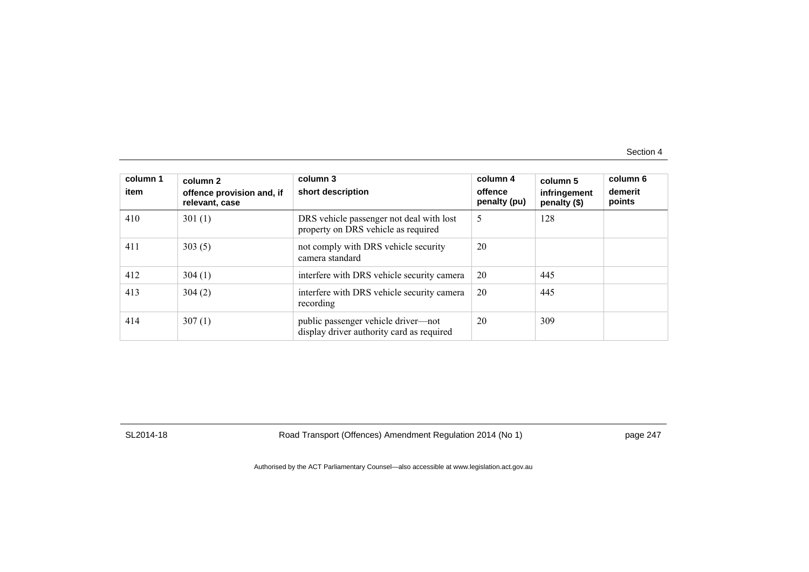| column 1<br>item | column 2<br>offence provision and, if<br>relevant, case | column 3<br>short description                                                    | column 4<br>offence<br>penalty (pu) | column 5<br>infringement<br>penalty (\$) | column 6<br>demerit<br>points |
|------------------|---------------------------------------------------------|----------------------------------------------------------------------------------|-------------------------------------|------------------------------------------|-------------------------------|
| 410              | 301(1)                                                  | DRS vehicle passenger not deal with lost<br>property on DRS vehicle as required  | 5                                   | 128                                      |                               |
| 411              | 303(5)                                                  | not comply with DRS vehicle security<br>camera standard                          | 20                                  |                                          |                               |
| 412              | 304(1)                                                  | interfere with DRS vehicle security camera                                       | 20                                  | 445                                      |                               |
| 413              | 304(2)                                                  | interfere with DRS vehicle security camera<br>recording                          | 20                                  | 445                                      |                               |
| 414              | 307(1)                                                  | public passenger vehicle driver-not<br>display driver authority card as required | 20                                  | 309                                      |                               |

SL2014-18 Road Transport (Offences) Amendment Regulation 2014 (No 1) page 247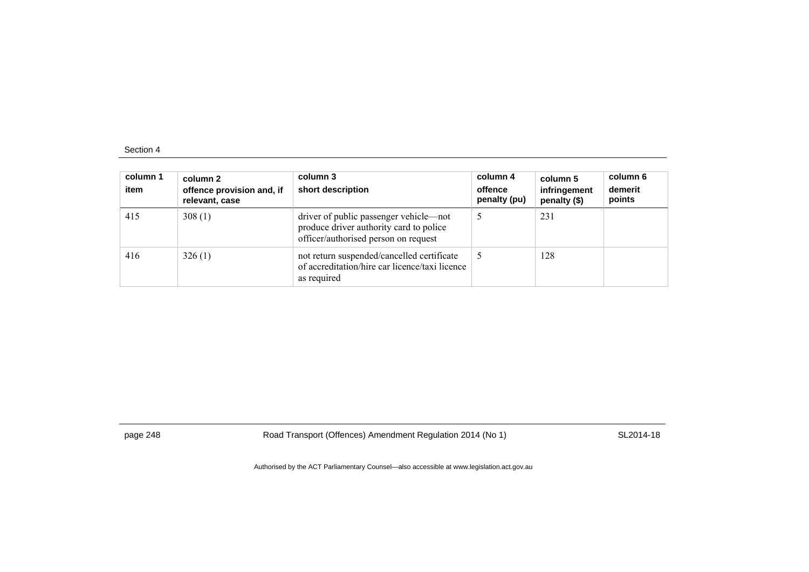| column 1<br>item | column 2<br>offence provision and, if<br>relevant, case | column 3<br>short description                                                                                             | column 4<br>offence<br>penalty (pu) | column 5<br>infringement<br>penalty (\$) | column 6<br>demerit<br>points |
|------------------|---------------------------------------------------------|---------------------------------------------------------------------------------------------------------------------------|-------------------------------------|------------------------------------------|-------------------------------|
| 415              | 308(1)                                                  | driver of public passenger vehicle—not<br>produce driver authority card to police<br>officer/authorised person on request |                                     | 231                                      |                               |
| 416              | 326(1)                                                  | not return suspended/cancelled certificate<br>of accreditation/hire car licence/taxi licence<br>as required               |                                     | 128                                      |                               |

page 248 Road Transport (Offences) Amendment Regulation 2014 (No 1) SL2014-18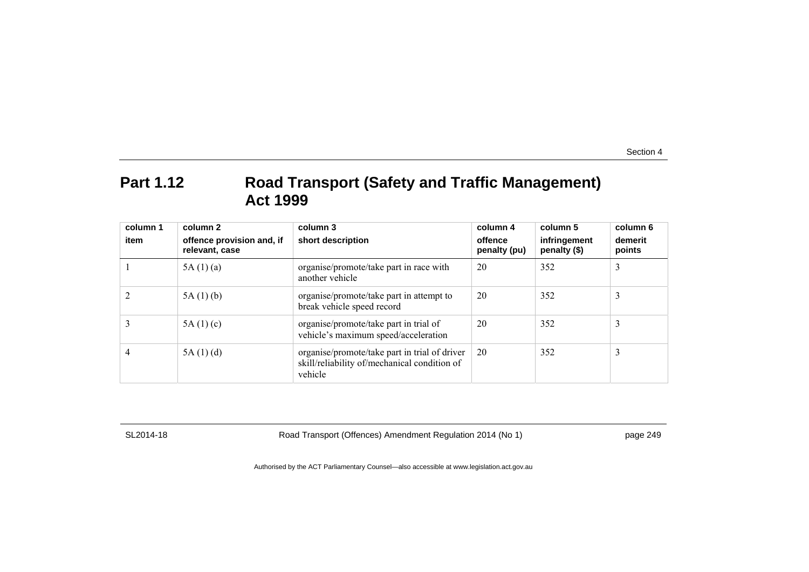## **Part 1.12 Road Transport (Safety and Traffic Management) Act 1999**

| column 1<br>item | column 2<br>offence provision and, if<br>relevant, case | column 3<br>short description                                                                            | column 4<br>offence<br>penalty (pu) | column 5<br>infringement<br>penalty (\$) | column 6<br>demerit<br>points |
|------------------|---------------------------------------------------------|----------------------------------------------------------------------------------------------------------|-------------------------------------|------------------------------------------|-------------------------------|
|                  | 5A(1)(a)                                                | organise/promote/take part in race with<br>another vehicle                                               | 20                                  | 352                                      | 3                             |
|                  | 5A(1)(b)                                                | organise/promote/take part in attempt to<br>break vehicle speed record                                   | 20                                  | 352                                      | 3                             |
|                  | 5A(1)(c)                                                | organise/promote/take part in trial of<br>vehicle's maximum speed/acceleration                           | 20                                  | 352                                      | 3                             |
| 4                | 5A(1)(d)                                                | organise/promote/take part in trial of driver<br>skill/reliability of/mechanical condition of<br>vehicle | 20                                  | 352                                      | 3                             |

SL2014-18 Road Transport (Offences) Amendment Regulation 2014 (No 1) page 249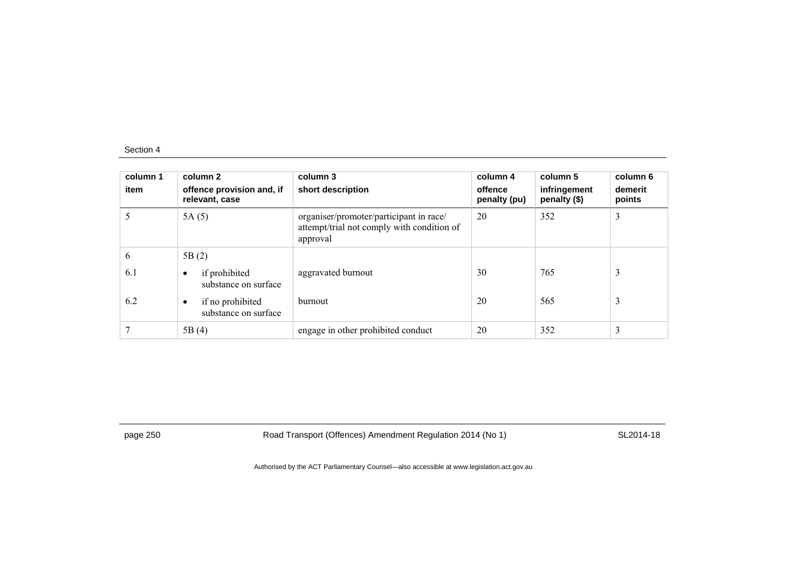| column 1<br>item | column 2<br>offence provision and, if<br>relevant, case | column 3<br>short description                                                                     | column 4<br>offence<br>penalty (pu) | column 5<br>infringement<br>penalty (\$) | column 6<br>demerit<br>points |
|------------------|---------------------------------------------------------|---------------------------------------------------------------------------------------------------|-------------------------------------|------------------------------------------|-------------------------------|
|                  | 5A(5)                                                   | organiser/promoter/participant in race/<br>attempt/trial not comply with condition of<br>approval | 20                                  | 352                                      | 3                             |
| 6                | 5B(2)                                                   |                                                                                                   |                                     |                                          |                               |
| 6.1              | if prohibited<br>$\bullet$<br>substance on surface      | aggravated burnout                                                                                | 30                                  | 765                                      | 3                             |
| 6.2              | if no prohibited<br>$\bullet$<br>substance on surface   | burnout                                                                                           | 20                                  | 565                                      | 3                             |
|                  | 5B(4)                                                   | engage in other prohibited conduct                                                                | 20                                  | 352                                      | 3                             |

page 250 Road Transport (Offences) Amendment Regulation 2014 (No 1) SL2014-18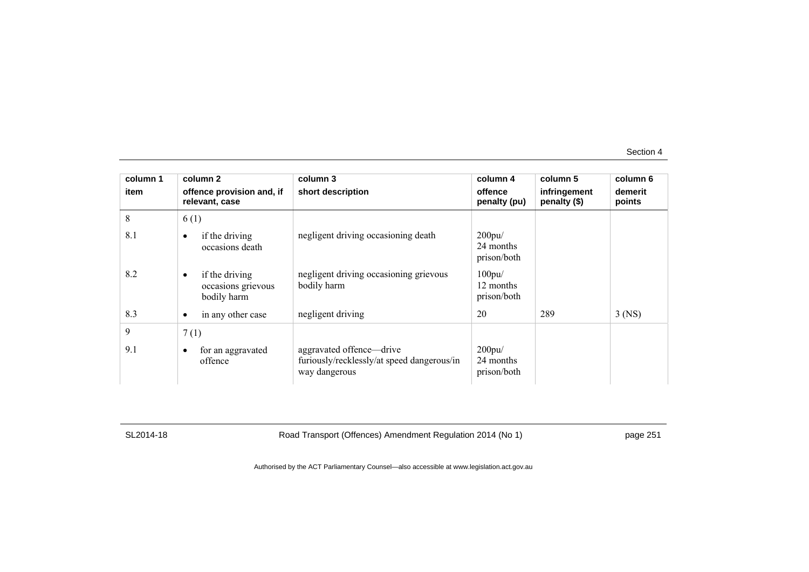| column 1 | column 2                                                         | column 3                                                                                | column 4                                 | column 5                     | column 6          |
|----------|------------------------------------------------------------------|-----------------------------------------------------------------------------------------|------------------------------------------|------------------------------|-------------------|
| item     | offence provision and, if<br>relevant, case                      | short description                                                                       | offence<br>penalty (pu)                  | infringement<br>penalty (\$) | demerit<br>points |
| 8        | 6(1)                                                             |                                                                                         |                                          |                              |                   |
| 8.1      | if the driving<br>$\bullet$<br>occasions death                   | negligent driving occasioning death                                                     | 200pu/<br>24 months<br>prison/both       |                              |                   |
| 8.2      | if the driving<br>$\bullet$<br>occasions grievous<br>bodily harm | negligent driving occasioning grievous<br>bodily harm                                   | $100$ pu $/$<br>12 months<br>prison/both |                              |                   |
| 8.3      | in any other case<br>$\bullet$                                   | negligent driving                                                                       | 20                                       | 289                          | $3$ (NS)          |
| 9        | 7(1)                                                             |                                                                                         |                                          |                              |                   |
| 9.1      | for an aggravated<br>$\bullet$<br>offence                        | aggravated offence—drive<br>furiously/recklessly/at speed dangerous/in<br>way dangerous | 200pu/<br>24 months<br>prison/both       |                              |                   |

SL2014-18 Road Transport (Offences) Amendment Regulation 2014 (No 1) page 251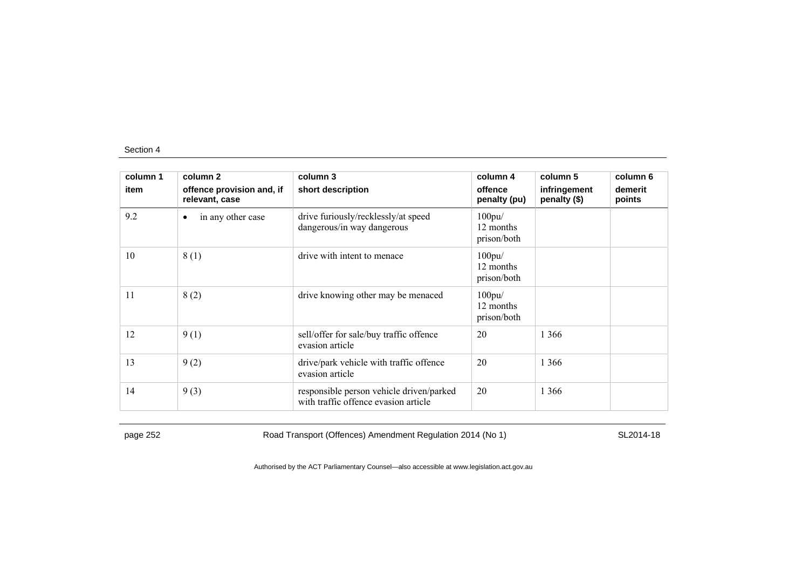| column 1 | column 2                                    | column 3                                                                         | column 4                                 | column 5                     | column 6          |
|----------|---------------------------------------------|----------------------------------------------------------------------------------|------------------------------------------|------------------------------|-------------------|
| item     | offence provision and, if<br>relevant, case | short description                                                                | offence<br>penalty (pu)                  | infringement<br>penalty (\$) | demerit<br>points |
| 9.2      | in any other case<br>٠                      | drive furiously/recklessly/at speed<br>dangerous/in way dangerous                | 100pu/<br>12 months<br>prison/both       |                              |                   |
| 10       | 8(1)                                        | drive with intent to menace                                                      | $100$ pu $/$<br>12 months<br>prison/both |                              |                   |
| 11       | 8(2)                                        | drive knowing other may be menaced                                               | $100$ pu $/$<br>12 months<br>prison/both |                              |                   |
| 12       | 9(1)                                        | sell/offer for sale/buy traffic offence<br>evasion article                       | 20                                       | 1 3 6 6                      |                   |
| 13       | 9(2)                                        | drive/park vehicle with traffic offence<br>evasion article                       | 20                                       | 1 3 6 6                      |                   |
| 14       | 9(3)                                        | responsible person vehicle driven/parked<br>with traffic offence evasion article | 20                                       | 1 3 6 6                      |                   |

page 252 Road Transport (Offences) Amendment Regulation 2014 (No 1) SL2014-18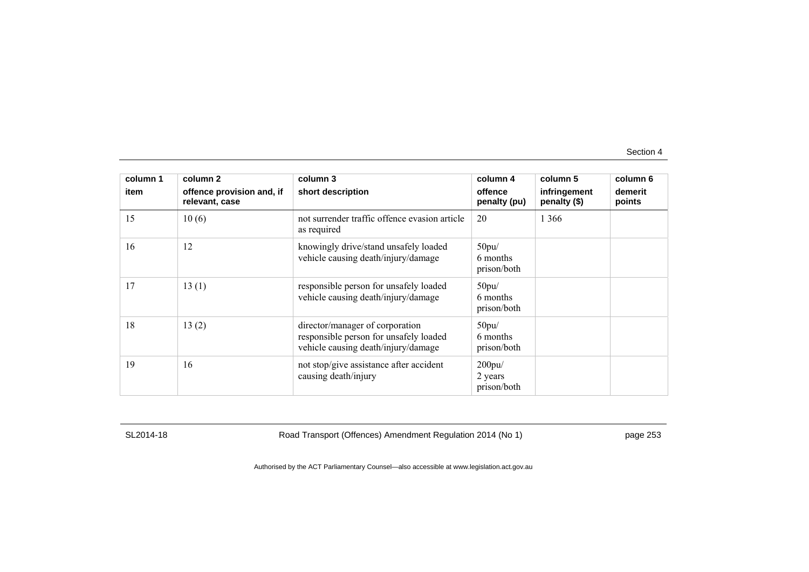| column 1 | column 2                                    | column 3                                                                                                         | column 4                               | column 5                     | column 6          |
|----------|---------------------------------------------|------------------------------------------------------------------------------------------------------------------|----------------------------------------|------------------------------|-------------------|
| item     | offence provision and, if<br>relevant, case | short description                                                                                                | offence<br>penalty (pu)                | infringement<br>penalty (\$) | demerit<br>points |
| 15       | 10(6)                                       | not surrender traffic offence evasion article<br>as required                                                     | 20                                     | 1 3 6 6                      |                   |
| 16       | 12                                          | knowingly drive/stand unsafely loaded<br>vehicle causing death/injury/damage                                     | 50pu/<br>6 months<br>prison/both       |                              |                   |
| 17       | 13(1)                                       | responsible person for unsafely loaded<br>vehicle causing death/injury/damage                                    | 50pu/<br>6 months<br>prison/both       |                              |                   |
| 18       | 13(2)                                       | director/manager of corporation<br>responsible person for unsafely loaded<br>vehicle causing death/injury/damage | 50pu/<br>6 months<br>prison/both       |                              |                   |
| 19       | 16                                          | not stop/give assistance after accident<br>causing death/injury                                                  | $200$ pu $/$<br>2 years<br>prison/both |                              |                   |

SL2014-18 Road Transport (Offences) Amendment Regulation 2014 (No 1) page 253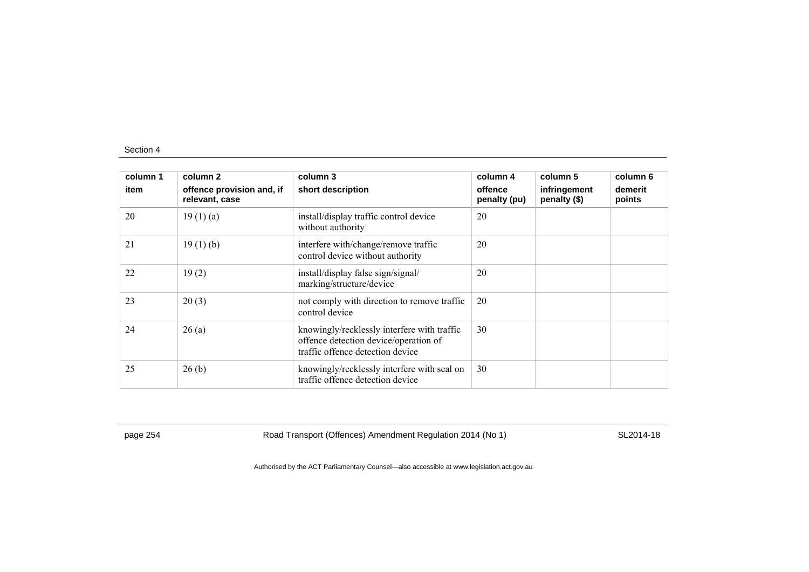| column 1 | column 2                                    | column 3                                                                                                                 | column 4                | column 5                     | column 6          |
|----------|---------------------------------------------|--------------------------------------------------------------------------------------------------------------------------|-------------------------|------------------------------|-------------------|
| item     | offence provision and, if<br>relevant, case | short description                                                                                                        | offence<br>penalty (pu) | infringement<br>penalty (\$) | demerit<br>points |
| 20       | 19(1)(a)                                    | install/display traffic control device<br>without authority                                                              | 20                      |                              |                   |
| 21       | 19(1)(b)                                    | interfere with/change/remove traffic<br>control device without authority                                                 | 20                      |                              |                   |
| 22       | 19(2)                                       | install/display false sign/signal/<br>marking/structure/device                                                           | 20                      |                              |                   |
| 23       | 20(3)                                       | not comply with direction to remove traffic<br>control device                                                            | 20                      |                              |                   |
| 24       | 26(a)                                       | knowingly/recklessly interfere with traffic<br>offence detection device/operation of<br>traffic offence detection device | 30                      |                              |                   |
| 25       | 26(b)                                       | knowingly/recklessly interfere with seal on<br>traffic offence detection device                                          | 30                      |                              |                   |

page 254 Road Transport (Offences) Amendment Regulation 2014 (No 1) SL2014-18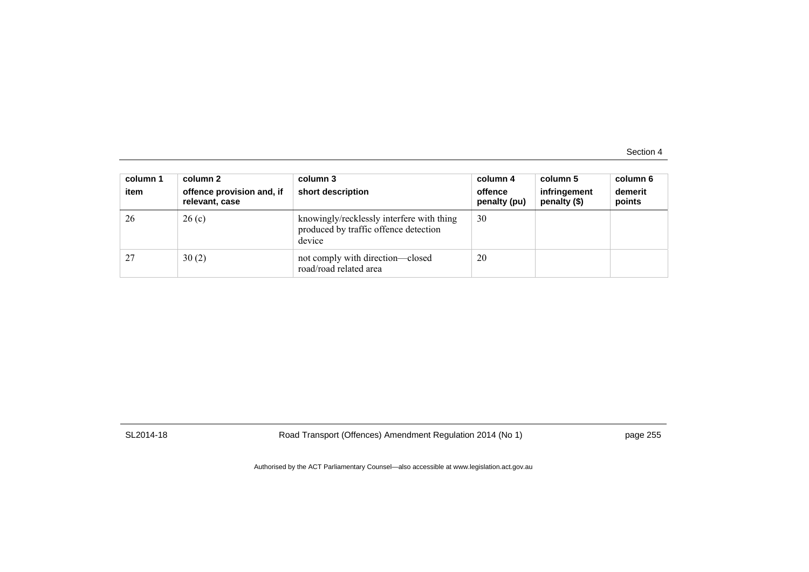| column 1<br>item | column 2<br>offence provision and, if<br>relevant, case | column 3<br>short description                                                                | column 4<br>offence<br>penalty (pu) | column 5<br>infringement<br>penalty (\$) | column 6<br>demerit<br>points |
|------------------|---------------------------------------------------------|----------------------------------------------------------------------------------------------|-------------------------------------|------------------------------------------|-------------------------------|
| 26               | 26(c)                                                   | knowingly/recklessly interfere with thing<br>produced by traffic offence detection<br>device | 30                                  |                                          |                               |
|                  | 30(2)                                                   | not comply with direction—closed<br>road/road related area                                   | 20                                  |                                          |                               |

SL2014-18 Road Transport (Offences) Amendment Regulation 2014 (No 1) page 255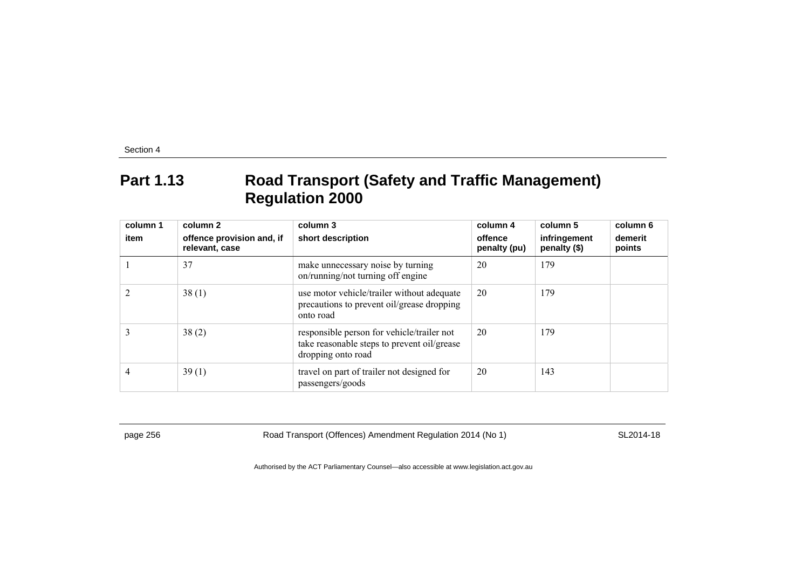### **Part 1.13 Road Transport (Safety and Traffic Management) Regulation 2000**

| column 1<br>item | column 2<br>offence provision and, if<br>relevant, case | column 3<br>short description                                                                                   | column 4<br>offence<br>penalty (pu) | column 5<br>infringement<br>penalty (\$) | column 6<br>demerit<br>points |
|------------------|---------------------------------------------------------|-----------------------------------------------------------------------------------------------------------------|-------------------------------------|------------------------------------------|-------------------------------|
|                  | 37                                                      | make unnecessary noise by turning<br>on/running/not turning off engine                                          | 20                                  | 179                                      |                               |
|                  | 38(1)                                                   | use motor vehicle/trailer without adequate<br>precautions to prevent oil/grease dropping<br>onto road           | 20                                  | 179                                      |                               |
|                  | 38(2)                                                   | responsible person for vehicle/trailer not<br>take reasonable steps to prevent oil/grease<br>dropping onto road | 20                                  | 179                                      |                               |
|                  | 39(1)                                                   | travel on part of trailer not designed for<br>passengers/goods                                                  | 20                                  | 143                                      |                               |

page 256 Road Transport (Offences) Amendment Regulation 2014 (No 1) SL2014-18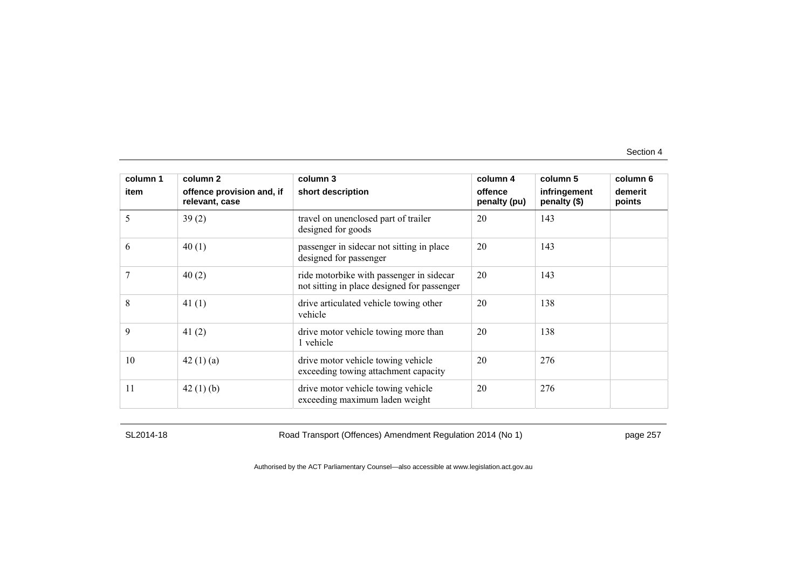| column 1 | column 2                                    | column 3                                                                                | column 4                | column 5                     | column 6          |
|----------|---------------------------------------------|-----------------------------------------------------------------------------------------|-------------------------|------------------------------|-------------------|
| item     | offence provision and, if<br>relevant, case | short description                                                                       | offence<br>penalty (pu) | infringement<br>penalty (\$) | demerit<br>points |
| 5        | 39(2)                                       | travel on unenclosed part of trailer<br>designed for goods                              | 20                      | 143                          |                   |
| 6        | 40(1)                                       | passenger in sidecar not sitting in place<br>designed for passenger                     | 20                      | 143                          |                   |
|          | 40(2)                                       | ride motorbike with passenger in sidecar<br>not sitting in place designed for passenger | 20                      | 143                          |                   |
| 8        | 41 $(1)$                                    | drive articulated vehicle towing other<br>vehicle                                       | 20                      | 138                          |                   |
| 9        | 41 $(2)$                                    | drive motor vehicle towing more than<br>1 vehicle                                       | 20                      | 138                          |                   |
| 10       | 42 $(1)(a)$                                 | drive motor vehicle towing vehicle<br>exceeding towing attachment capacity              | 20                      | 276                          |                   |
| 11       | 42 $(1)$ $(b)$                              | drive motor vehicle towing vehicle<br>exceeding maximum laden weight                    | 20                      | 276                          |                   |

SL2014-18 Road Transport (Offences) Amendment Regulation 2014 (No 1) page 257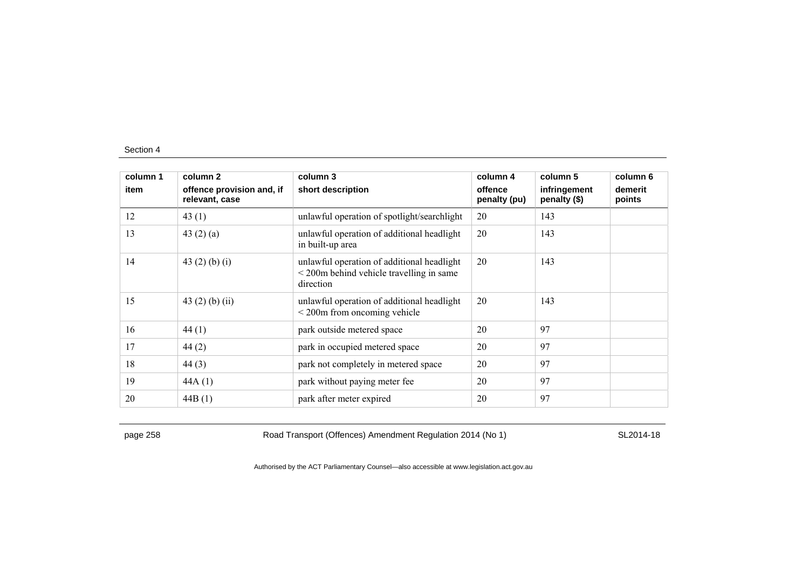| column 1 | column 2                                    | column 3                                                                                                           | column 4                | column 5                     | column 6          |
|----------|---------------------------------------------|--------------------------------------------------------------------------------------------------------------------|-------------------------|------------------------------|-------------------|
| item     | offence provision and, if<br>relevant, case | short description                                                                                                  | offence<br>penalty (pu) | infringement<br>penalty (\$) | demerit<br>points |
| 12       | 43(1)                                       | unlawful operation of spotlight/searchlight                                                                        | 20                      | 143                          |                   |
| 13       | 43 $(2)$ $(a)$                              | unlawful operation of additional headlight<br>in built-up area                                                     | 20                      | 143                          |                   |
| 14       | 43 $(2)$ $(b)$ $(i)$                        | unlawful operation of additional headlight<br>$\leq$ 200 $\text{m}$ behind vehicle travelling in same<br>direction | 20                      | 143                          |                   |
| 15       | 43 $(2)$ $(b)$ $(ii)$                       | unlawful operation of additional headlight<br>$\leq$ 200 $\text{m}$ from oncoming vehicle                          | 20                      | 143                          |                   |
| 16       | 44(1)                                       | park outside metered space                                                                                         | 20                      | 97                           |                   |
| 17       | 44(2)                                       | park in occupied metered space                                                                                     | 20                      | 97                           |                   |
| 18       | 44(3)                                       | park not completely in metered space                                                                               | 20                      | 97                           |                   |
| 19       | 44A(1)                                      | park without paying meter fee                                                                                      | 20                      | 97                           |                   |
| 20       | 44B(1)                                      | park after meter expired                                                                                           | 20                      | 97                           |                   |

page 258 Road Transport (Offences) Amendment Regulation 2014 (No 1) SL2014-18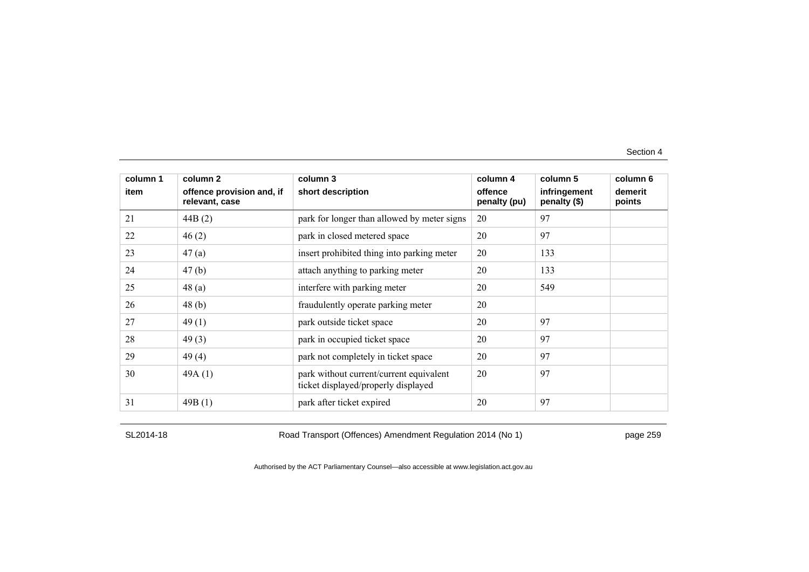| column 1 | column 2                                    | column 3                                                                       | column 4                | column 5                     | column 6          |
|----------|---------------------------------------------|--------------------------------------------------------------------------------|-------------------------|------------------------------|-------------------|
| item     | offence provision and, if<br>relevant, case | short description                                                              | offence<br>penalty (pu) | infringement<br>penalty (\$) | demerit<br>points |
| 21       | 44B(2)                                      | park for longer than allowed by meter signs                                    | 20                      | 97                           |                   |
| 22       | 46(2)                                       | park in closed metered space                                                   | 20                      | 97                           |                   |
| 23       | 47(a)                                       | insert prohibited thing into parking meter                                     | 20                      | 133                          |                   |
| 24       | 47(b)                                       | attach anything to parking meter                                               | 20                      | 133                          |                   |
| 25       | 48(a)                                       | interfere with parking meter                                                   | 20                      | 549                          |                   |
| 26       | 48(b)                                       | fraudulently operate parking meter                                             | 20                      |                              |                   |
| 27       | 49(1)                                       | park outside ticket space                                                      | 20                      | 97                           |                   |
| 28       | 49(3)                                       | park in occupied ticket space                                                  | 20                      | 97                           |                   |
| 29       | 49(4)                                       | park not completely in ticket space                                            | 20                      | 97                           |                   |
| 30       | 49A(1)                                      | park without current/current equivalent<br>ticket displayed/properly displayed | 20                      | 97                           |                   |
| 31       | 49B(1)                                      | park after ticket expired                                                      | 20                      | 97                           |                   |

SL2014-18 Road Transport (Offences) Amendment Regulation 2014 (No 1) page 259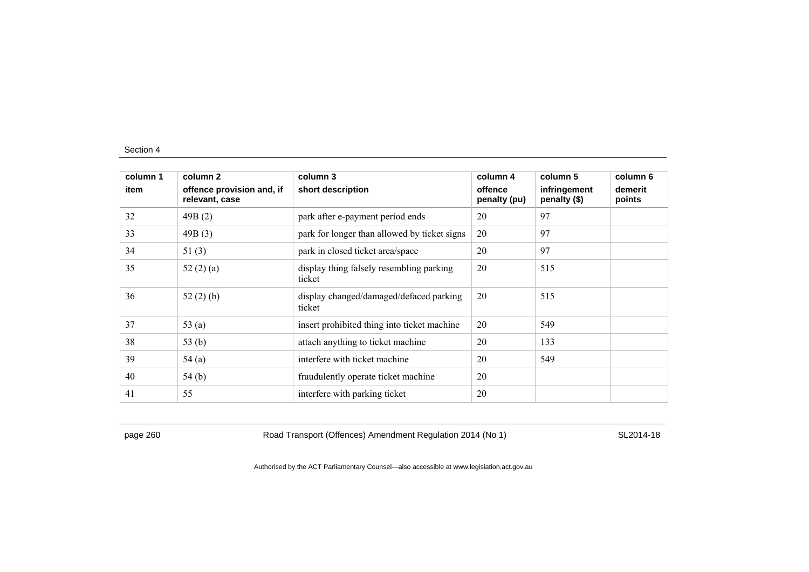| column 1 | column 2                                    | column 3                                           | column 4                | column 5                     | column 6          |
|----------|---------------------------------------------|----------------------------------------------------|-------------------------|------------------------------|-------------------|
| item     | offence provision and, if<br>relevant, case | short description                                  | offence<br>penalty (pu) | infringement<br>penalty (\$) | demerit<br>points |
| 32       | 49B(2)                                      | park after e-payment period ends                   | 20                      | 97                           |                   |
| 33       | 49B(3)                                      | park for longer than allowed by ticket signs       | 20                      | 97                           |                   |
| 34       | 51 $(3)$                                    | park in closed ticket area/space                   | 20                      | 97                           |                   |
| 35       | 52 $(2)$ $(a)$                              | display thing falsely resembling parking<br>ticket | 20                      | 515                          |                   |
| 36       | 52 $(2)$ $(b)$                              | display changed/damaged/defaced parking<br>ticket  | 20                      | 515                          |                   |
| 37       | 53 $(a)$                                    | insert prohibited thing into ticket machine        | 20                      | 549                          |                   |
| 38       | 53(b)                                       | attach anything to ticket machine                  | 20                      | 133                          |                   |
| 39       | 54(a)                                       | interfere with ticket machine                      | 20                      | 549                          |                   |
| 40       | 54(b)                                       | fraudulently operate ticket machine                | 20                      |                              |                   |
| 41       | 55                                          | interfere with parking ticket                      | 20                      |                              |                   |

page 260 Road Transport (Offences) Amendment Regulation 2014 (No 1) SL2014-18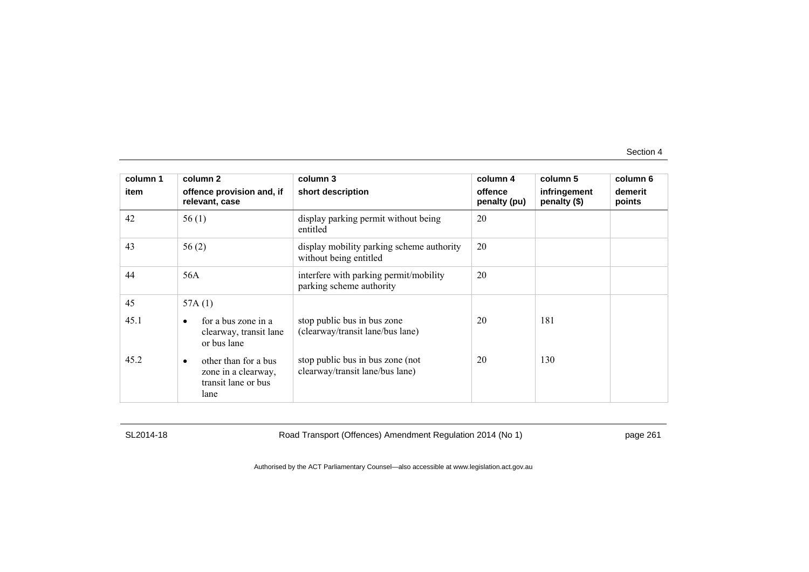| column 1 | column 2                                                                                | column 3                                                            | column 4                | column 5                     | column 6          |
|----------|-----------------------------------------------------------------------------------------|---------------------------------------------------------------------|-------------------------|------------------------------|-------------------|
| item     | offence provision and, if<br>relevant, case                                             | short description                                                   | offence<br>penalty (pu) | infringement<br>penalty (\$) | demerit<br>points |
| 42       | 56(1)                                                                                   | display parking permit without being<br>entitled                    | 20                      |                              |                   |
| 43       | 56(2)                                                                                   | display mobility parking scheme authority<br>without being entitled | 20                      |                              |                   |
| 44       | 56A                                                                                     | interfere with parking permit/mobility<br>parking scheme authority  | 20                      |                              |                   |
| 45       | 57A $(1)$                                                                               |                                                                     |                         |                              |                   |
| 45.1     | for a bus zone in a<br>$\bullet$<br>clearway, transit lane<br>or bus lane               | stop public bus in bus zone<br>(clearway/transit lane/bus lane)     | 20                      | 181                          |                   |
| 45.2     | other than for a bus<br>$\bullet$<br>zone in a clearway,<br>transit lane or bus<br>lane | stop public bus in bus zone (not<br>clearway/transit lane/bus lane) | 20                      | 130                          |                   |

SL2014-18 Road Transport (Offences) Amendment Regulation 2014 (No 1) page 261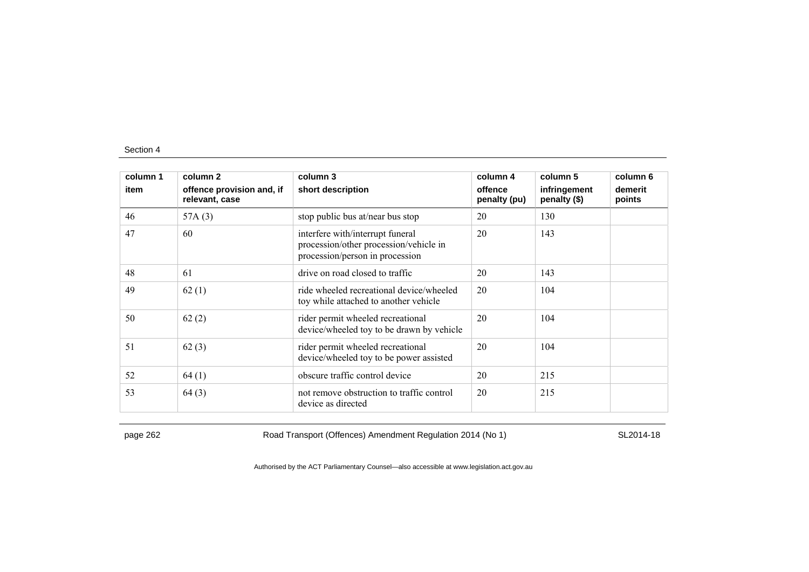| column 1 | column 2                                    | column 3                                                                                                      | column 4                | column 5                     | column 6          |
|----------|---------------------------------------------|---------------------------------------------------------------------------------------------------------------|-------------------------|------------------------------|-------------------|
| item     | offence provision and, if<br>relevant, case | short description                                                                                             | offence<br>penalty (pu) | infringement<br>penalty (\$) | demerit<br>points |
| 46       | 57A(3)                                      | stop public bus at/near bus stop                                                                              | 20                      | 130                          |                   |
| 47       | 60                                          | interfere with/interrupt funeral<br>procession/other procession/vehicle in<br>procession/person in procession | 20                      | 143                          |                   |
| 48       | 61                                          | drive on road closed to traffic                                                                               | 20                      | 143                          |                   |
| 49       | 62(1)                                       | ride wheeled recreational device/wheeled<br>toy while attached to another vehicle                             | 20                      | 104                          |                   |
| 50       | 62(2)                                       | rider permit wheeled recreational<br>device/wheeled toy to be drawn by vehicle                                | 20                      | 104                          |                   |
| 51       | 62(3)                                       | rider permit wheeled recreational<br>device/wheeled toy to be power assisted                                  | 20                      | 104                          |                   |
| 52       | 64(1)                                       | obscure traffic control device                                                                                | 20                      | 215                          |                   |
| 53       | 64(3)                                       | not remove obstruction to traffic control<br>device as directed                                               | 20                      | 215                          |                   |

page 262 Road Transport (Offences) Amendment Regulation 2014 (No 1) SL2014-18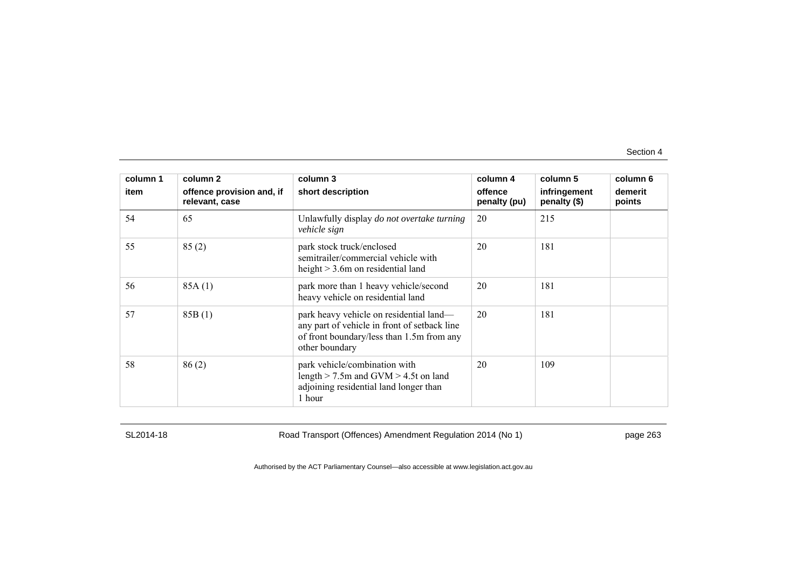| column 1 | column 2                                    | column 3                                                                                                                                               | column 4                | column 5                     | column 6          |
|----------|---------------------------------------------|--------------------------------------------------------------------------------------------------------------------------------------------------------|-------------------------|------------------------------|-------------------|
| item     | offence provision and, if<br>relevant, case | short description                                                                                                                                      | offence<br>penalty (pu) | infringement<br>penalty (\$) | demerit<br>points |
| 54       | 65                                          | Unlawfully display do not overtake turning<br>vehicle sign                                                                                             | 20                      | 215                          |                   |
| 55       | 85(2)                                       | park stock truck/enclosed<br>semitrailer/commercial vehicle with<br>height $> 3.6$ m on residential land                                               | 20                      | 181                          |                   |
| 56       | 85A(1)                                      | park more than 1 heavy vehicle/second<br>heavy vehicle on residential land                                                                             | 20                      | 181                          |                   |
| 57       | 85B(1)                                      | park heavy vehicle on residential land—<br>any part of vehicle in front of setback line<br>of front boundary/less than 1.5m from any<br>other boundary | 20                      | 181                          |                   |
| 58       | 86(2)                                       | park vehicle/combination with<br>length $>$ 7.5m and GVM $>$ 4.5t on land<br>adjoining residential land longer than<br>1 hour                          | 20                      | 109                          |                   |

SL2014-18 Road Transport (Offences) Amendment Regulation 2014 (No 1) page 263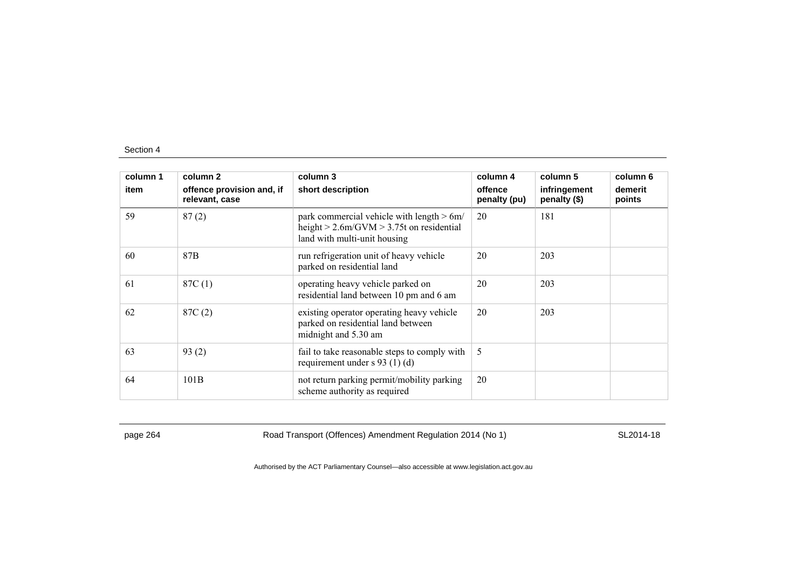| column 1 | column 2                                    | column 3                                                                                                                      | column 4                | column 5                     | column 6          |
|----------|---------------------------------------------|-------------------------------------------------------------------------------------------------------------------------------|-------------------------|------------------------------|-------------------|
| item     | offence provision and, if<br>relevant, case | short description                                                                                                             | offence<br>penalty (pu) | infringement<br>penalty (\$) | demerit<br>points |
| 59       | 87(2)                                       | park commercial vehicle with length $> 6m/$<br>height $> 2.6$ m/GVM $> 3.75$ t on residential<br>land with multi-unit housing | 20                      | 181                          |                   |
| 60       | 87 <sub>B</sub>                             | run refrigeration unit of heavy vehicle<br>parked on residential land                                                         | 20                      | 203                          |                   |
| 61       | 87C(1)                                      | operating heavy vehicle parked on<br>residential land between 10 pm and 6 am                                                  | 20                      | 203                          |                   |
| 62       | 87C(2)                                      | existing operator operating heavy vehicle<br>parked on residential land between<br>midnight and 5.30 am                       | 20                      | 203                          |                   |
| 63       | 93(2)                                       | fail to take reasonable steps to comply with<br>requirement under $s$ 93 (1) (d)                                              | 5                       |                              |                   |
| 64       | 101B                                        | not return parking permit/mobility parking<br>scheme authority as required                                                    | 20                      |                              |                   |

page 264 Road Transport (Offences) Amendment Regulation 2014 (No 1) SL2014-18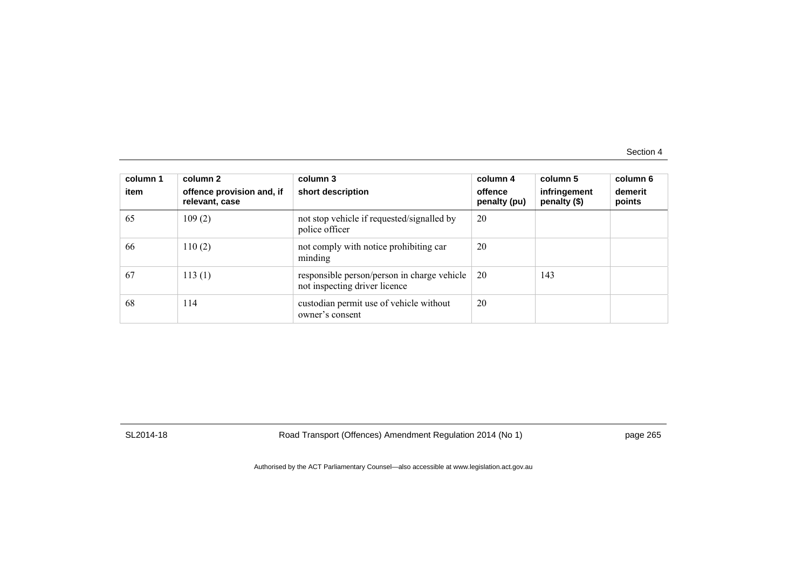| column 1<br>item | column 2<br>offence provision and, if<br>relevant, case | column 3<br>short description                                                | column 4<br>offence<br>penalty (pu) | column 5<br>infringement<br>penalty (\$) | column 6<br>demerit<br>points |
|------------------|---------------------------------------------------------|------------------------------------------------------------------------------|-------------------------------------|------------------------------------------|-------------------------------|
| 65               | 109(2)                                                  | not stop vehicle if requested/signalled by<br>police officer                 | 20                                  |                                          |                               |
| -66              | 110(2)                                                  | not comply with notice prohibiting car<br>minding                            | 20                                  |                                          |                               |
| 67               | 113(1)                                                  | responsible person/person in charge vehicle<br>not inspecting driver licence | 20                                  | 143                                      |                               |
| 68               | 114                                                     | custodian permit use of vehicle without<br>owner's consent                   | 20                                  |                                          |                               |

SL2014-18 Road Transport (Offences) Amendment Regulation 2014 (No 1) page 265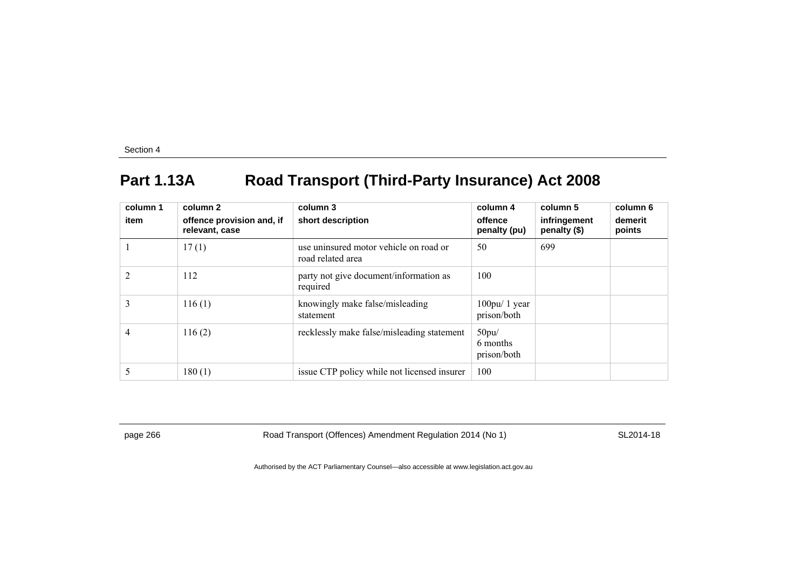## **Part 1.13A Road Transport (Third-Party Insurance) Act 2008**

| column 1<br>item | column 2<br>offence provision and, if<br>relevant, case | column 3<br>short description                               | column 4<br>offence<br>penalty (pu) | column 5<br>infringement<br>penalty (\$) | column 6<br>demerit<br>points |
|------------------|---------------------------------------------------------|-------------------------------------------------------------|-------------------------------------|------------------------------------------|-------------------------------|
|                  | 17(1)                                                   | use uninsured motor vehicle on road or<br>road related area | 50                                  | 699                                      |                               |
| $\overline{2}$   | 112                                                     | party not give document/information as<br>required          | 100                                 |                                          |                               |
| 3                | 116(1)                                                  | knowingly make false/misleading<br>statement                | $100$ pu/ 1 year<br>prison/both     |                                          |                               |
| 4                | 116(2)                                                  | recklessly make false/misleading statement                  | 50pu/<br>6 months<br>prison/both    |                                          |                               |
|                  | 180(1)                                                  | issue CTP policy while not licensed insurer                 | 100                                 |                                          |                               |

page 266 Road Transport (Offences) Amendment Regulation 2014 (No 1) SL2014-18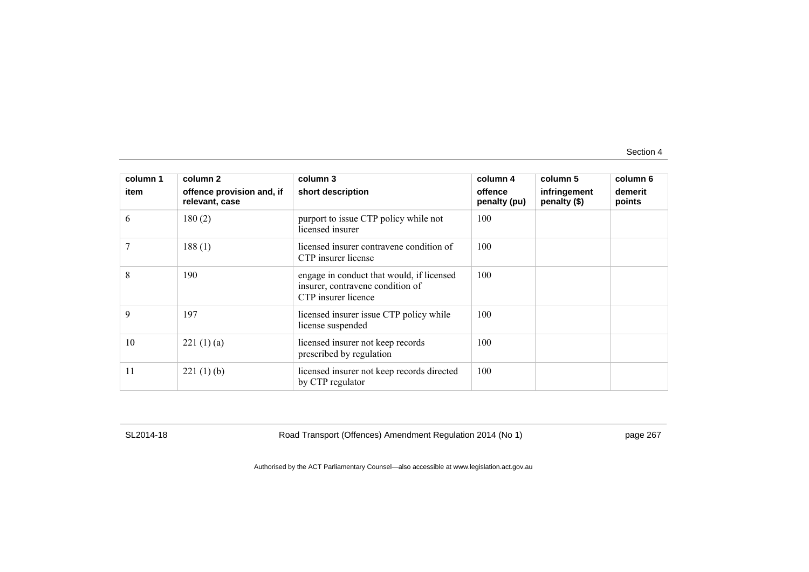| column 1 | column 2                                    | column 3                                                                                             | column 4                | column 5                     | column 6          |
|----------|---------------------------------------------|------------------------------------------------------------------------------------------------------|-------------------------|------------------------------|-------------------|
| item     | offence provision and, if<br>relevant, case | short description                                                                                    | offence<br>penalty (pu) | infringement<br>penalty (\$) | demerit<br>points |
| 6        | 180(2)                                      | purport to issue CTP policy while not<br>licensed insurer                                            | 100                     |                              |                   |
|          | 188(1)                                      | licensed insurer contravene condition of<br>CTP insurer license                                      | 100                     |                              |                   |
| 8        | 190                                         | engage in conduct that would, if licensed<br>insurer, contravene condition of<br>CTP insurer licence | 100                     |                              |                   |
| 9        | 197                                         | licensed insurer issue CTP policy while<br>license suspended                                         | 100                     |                              |                   |
| 10       | 221(1)(a)                                   | licensed insurer not keep records<br>prescribed by regulation                                        | 100                     |                              |                   |
| 11       | 221(1)(b)                                   | licensed insurer not keep records directed<br>by CTP regulator                                       | 100                     |                              |                   |

SL2014-18 Road Transport (Offences) Amendment Regulation 2014 (No 1) page 267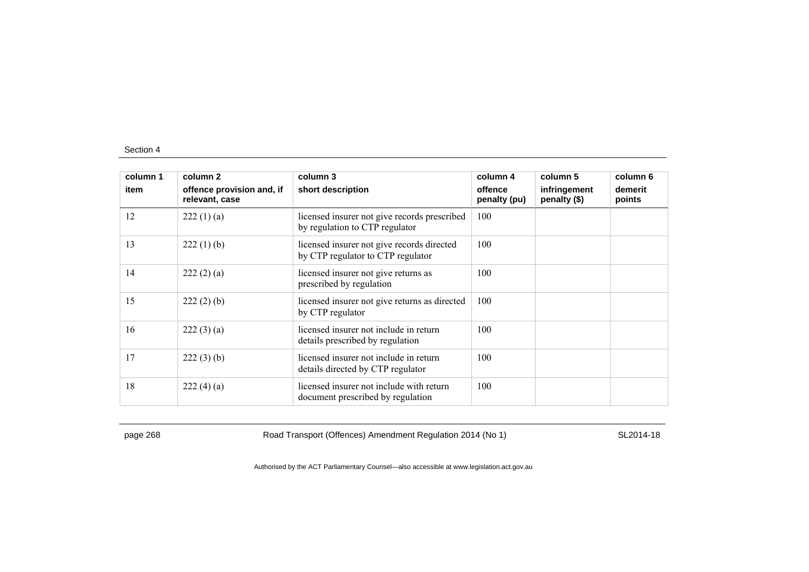| column 1 | column 2                                    | column 3                                                                        | column 4                | column 5                     | column 6          |
|----------|---------------------------------------------|---------------------------------------------------------------------------------|-------------------------|------------------------------|-------------------|
| item     | offence provision and, if<br>relevant, case | short description                                                               | offence<br>penalty (pu) | infringement<br>penalty (\$) | demerit<br>points |
| 12       | 222(1)(a)                                   | licensed insurer not give records prescribed<br>by regulation to CTP regulator  | 100                     |                              |                   |
| 13       | $222(1)$ (b)                                | licensed insurer not give records directed<br>by CTP regulator to CTP regulator | 100                     |                              |                   |
| 14       | 222(2)(a)                                   | licensed insurer not give returns as<br>prescribed by regulation                | 100                     |                              |                   |
| 15       | $222(2)$ (b)                                | licensed insurer not give returns as directed<br>by CTP regulator               | 100                     |                              |                   |
| 16       | 222(3)(a)                                   | licensed insurer not include in return<br>details prescribed by regulation      | 100                     |                              |                   |
| 17       | $222(3)$ (b)                                | licensed insurer not include in return<br>details directed by CTP regulator     | 100                     |                              |                   |
| 18       | 222(4)(a)                                   | licensed insurer not include with return<br>document prescribed by regulation   | 100                     |                              |                   |

page 268 Road Transport (Offences) Amendment Regulation 2014 (No 1) SL2014-18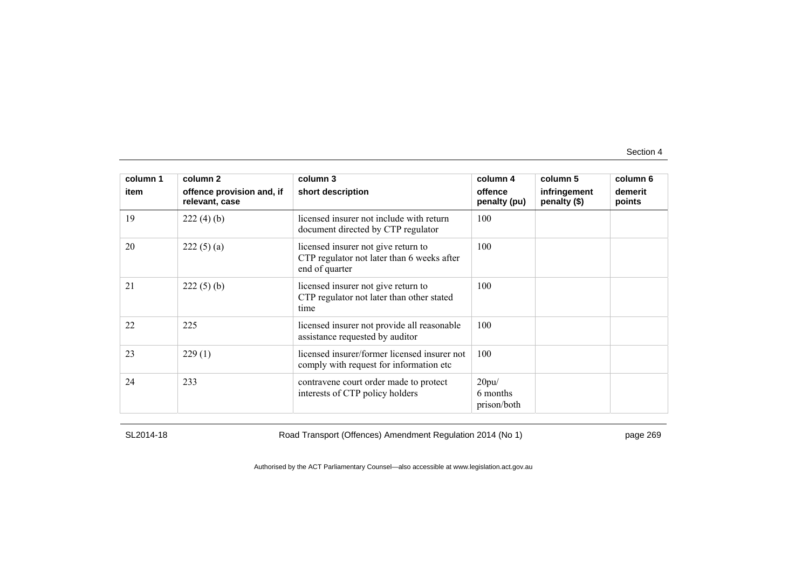| column 1 | column 2                                    | column 3                                                                                            | column 4                         | column 5                     | column 6          |
|----------|---------------------------------------------|-----------------------------------------------------------------------------------------------------|----------------------------------|------------------------------|-------------------|
| item     | offence provision and, if<br>relevant, case | short description                                                                                   | offence<br>penalty (pu)          | infringement<br>penalty (\$) | demerit<br>points |
| 19       | 222(4)(b)                                   | licensed insurer not include with return<br>document directed by CTP regulator                      | 100                              |                              |                   |
| 20       | 222(5)(a)                                   | licensed insurer not give return to<br>CTP regulator not later than 6 weeks after<br>end of quarter | 100                              |                              |                   |
| 21       | $222(5)$ (b)                                | licensed insurer not give return to<br>CTP regulator not later than other stated<br>time            | 100                              |                              |                   |
| 22       | 225                                         | licensed insurer not provide all reasonable<br>assistance requested by auditor                      | 100                              |                              |                   |
| 23       | 229(1)                                      | licensed insurer/former licensed insurer not<br>comply with request for information etc.            | 100                              |                              |                   |
| 24       | 233                                         | contravene court order made to protect<br>interests of CTP policy holders                           | 20pu/<br>6 months<br>prison/both |                              |                   |

SL2014-18 Road Transport (Offences) Amendment Regulation 2014 (No 1) page 269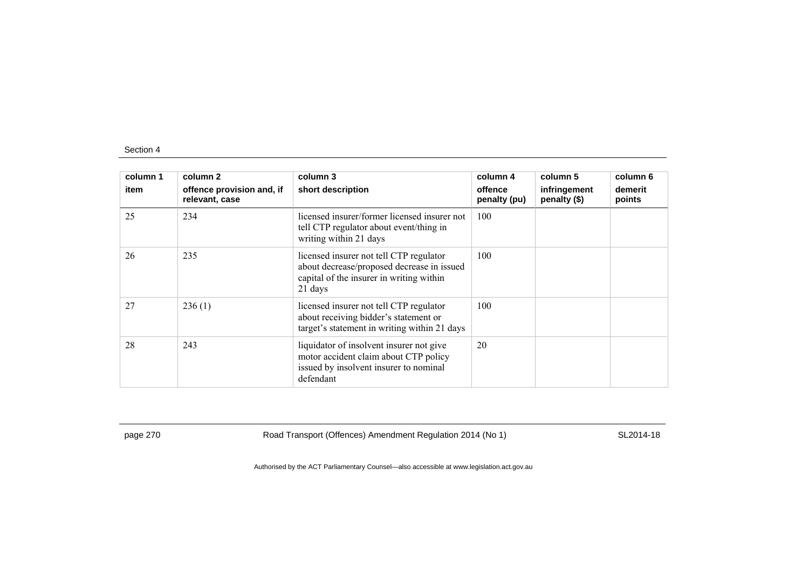| column 1<br>item | column 2<br>offence provision and, if<br>relevant, case | column 3<br>short description                                                                                                                | column 4<br>offence<br>penalty (pu) | column 5<br>infringement<br>penalty (\$) | column 6<br>demerit<br>points |
|------------------|---------------------------------------------------------|----------------------------------------------------------------------------------------------------------------------------------------------|-------------------------------------|------------------------------------------|-------------------------------|
| 25               | 234                                                     | licensed insurer/former licensed insurer not<br>tell CTP regulator about event/thing in<br>writing within 21 days                            | 100                                 |                                          |                               |
| 26               | 235                                                     | licensed insurer not tell CTP regulator<br>about decrease/proposed decrease in issued<br>capital of the insurer in writing within<br>21 days | 100                                 |                                          |                               |
| 27               | 236(1)                                                  | licensed insurer not tell CTP regulator<br>about receiving bidder's statement or<br>target's statement in writing within 21 days             | 100                                 |                                          |                               |
| 28               | 243                                                     | liquidator of insolvent insurer not give<br>motor accident claim about CTP policy<br>issued by insolvent insurer to nominal<br>defendant     | 20                                  |                                          |                               |

page 270 Road Transport (Offences) Amendment Regulation 2014 (No 1) SL2014-18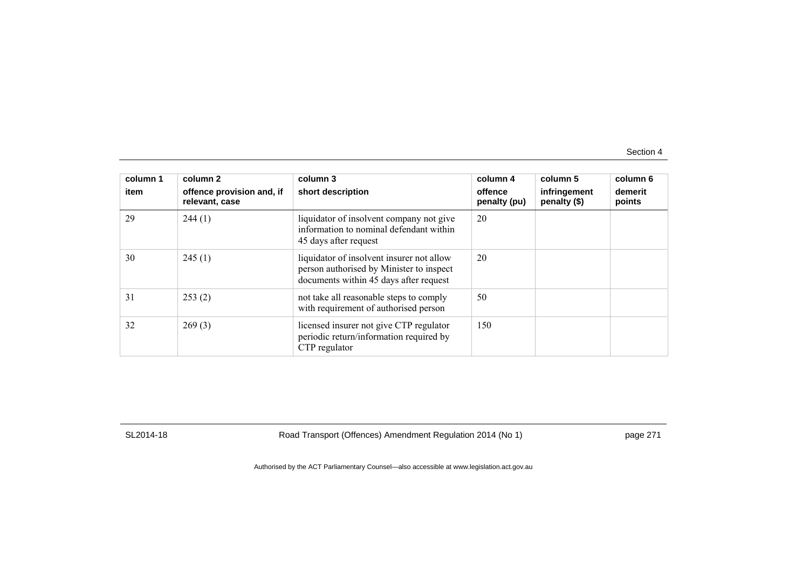| column 1<br>item | column 2<br>offence provision and, if<br>relevant, case | column 3<br>short description                                                                                                   | column 4<br>offence<br>penalty (pu) | column 5<br>infringement<br>penalty (\$) | column 6<br>demerit<br>points |
|------------------|---------------------------------------------------------|---------------------------------------------------------------------------------------------------------------------------------|-------------------------------------|------------------------------------------|-------------------------------|
| 29               | 244(1)                                                  | liquidator of insolvent company not give<br>information to nominal defendant within<br>45 days after request                    | 20                                  |                                          |                               |
| 30               | 245(1)                                                  | liquidator of insolvent insurer not allow<br>person authorised by Minister to inspect<br>documents within 45 days after request | 20                                  |                                          |                               |
| 31               | 253(2)                                                  | not take all reasonable steps to comply<br>with requirement of authorised person                                                | 50                                  |                                          |                               |
| 32               | 269(3)                                                  | licensed insurer not give CTP regulator<br>periodic return/information required by<br>CTP regulator                             | 150                                 |                                          |                               |

SL2014-18 Road Transport (Offences) Amendment Regulation 2014 (No 1) page 271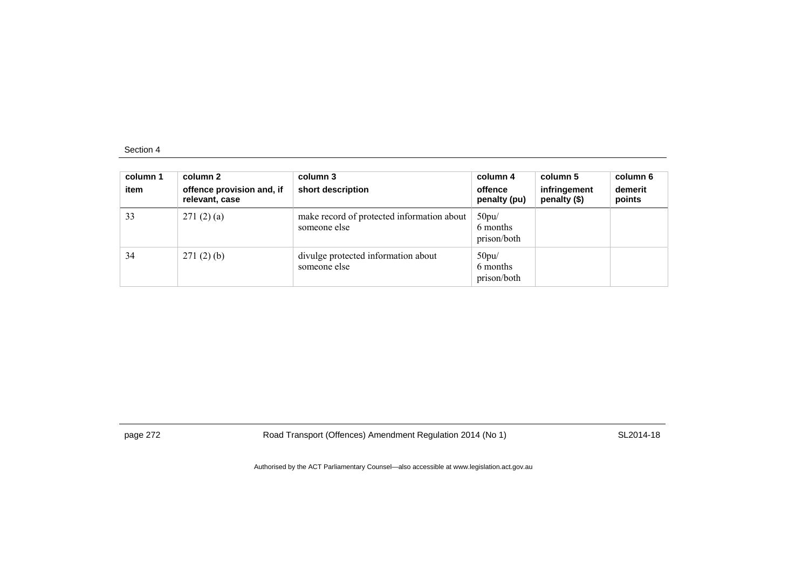| column 1<br>item | column 2<br>offence provision and, if<br>relevant, case | column 3<br>short description                              | column 4<br>offence<br>penalty (pu) | column 5<br>infringement<br>penalty (\$) | column 6<br>demerit<br>points |
|------------------|---------------------------------------------------------|------------------------------------------------------------|-------------------------------------|------------------------------------------|-------------------------------|
| 33               | 271(2)(a)                                               | make record of protected information about<br>someone else | 50pu/<br>6 months<br>prison/both    |                                          |                               |
| 34               | 271(2)(b)                                               | divulge protected information about<br>someone else        | 50pu/<br>6 months<br>prison/both    |                                          |                               |

page 272 Road Transport (Offences) Amendment Regulation 2014 (No 1) SL2014-18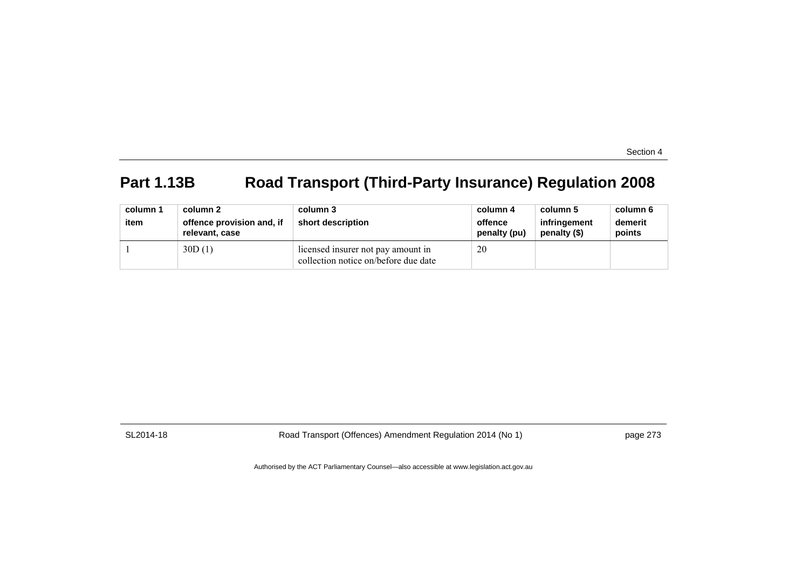# **Part 1.13B Road Transport (Third-Party Insurance) Regulation 2008**

| column 1<br>item | column 2<br>offence provision and, if<br>relevant, case | column 3<br>short description                                              | column 4<br>offence<br>penalty (pu) | column 5<br>infringement<br>penalty (\$) | column 6<br>demerit<br>points |
|------------------|---------------------------------------------------------|----------------------------------------------------------------------------|-------------------------------------|------------------------------------------|-------------------------------|
|                  | 30D(1)                                                  | licensed insurer not pay amount in<br>collection notice on/before due date | 20                                  |                                          |                               |

SL2014-18 Road Transport (Offences) Amendment Regulation 2014 (No 1) page 273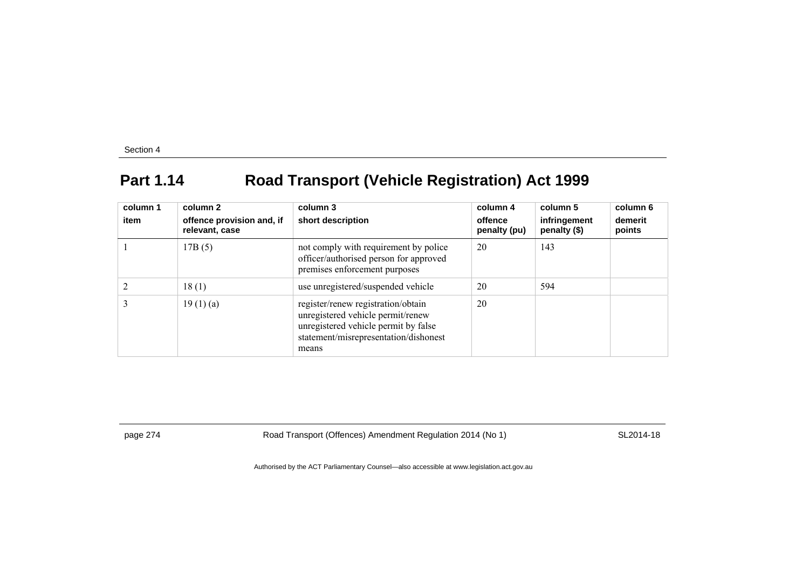## **Part 1.14 Road Transport (Vehicle Registration) Act 1999**

| column 1<br>item | column 2<br>offence provision and, if<br>relevant, case | column 3<br>short description                                                                                                                                     | column 4<br>offence<br>penalty (pu) | column 5<br>infringement<br>penalty (\$) | column 6<br>demerit<br>points |
|------------------|---------------------------------------------------------|-------------------------------------------------------------------------------------------------------------------------------------------------------------------|-------------------------------------|------------------------------------------|-------------------------------|
|                  | 17B(5)                                                  | not comply with requirement by police<br>officer/authorised person for approved<br>premises enforcement purposes                                                  | 20                                  | 143                                      |                               |
|                  | 18(1)                                                   | use unregistered/suspended vehicle                                                                                                                                | 20                                  | 594                                      |                               |
|                  | 19(1)(a)                                                | register/renew registration/obtain<br>unregistered vehicle permit/renew<br>unregistered vehicle permit by false<br>statement/misrepresentation/dishonest<br>means | 20                                  |                                          |                               |

page 274 Road Transport (Offences) Amendment Regulation 2014 (No 1) SL2014-18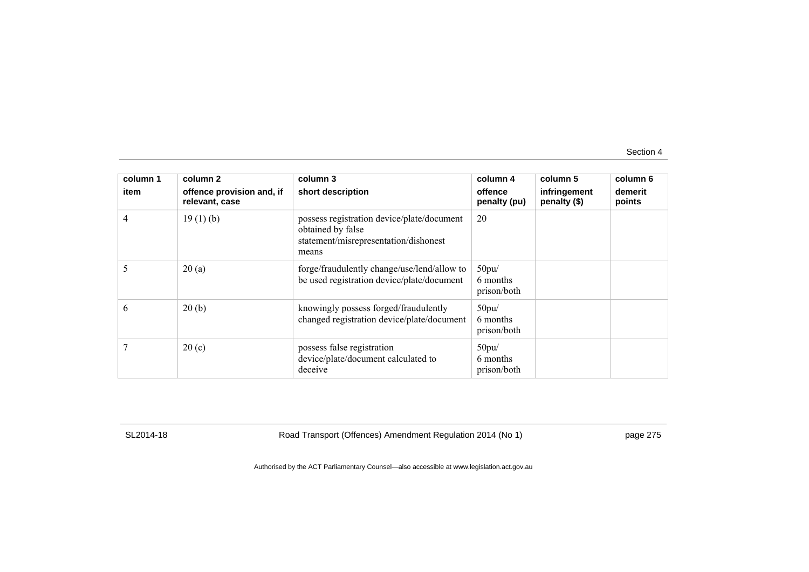| column 1 | column 2                                    | column 3                                                                                                          | column 4                         | column 5                     | column 6          |
|----------|---------------------------------------------|-------------------------------------------------------------------------------------------------------------------|----------------------------------|------------------------------|-------------------|
| item     | offence provision and, if<br>relevant, case | short description                                                                                                 | offence<br>penalty (pu)          | infringement<br>penalty (\$) | demerit<br>points |
| 4        | 19(1)(b)                                    | possess registration device/plate/document<br>obtained by false<br>statement/misrepresentation/dishonest<br>means | 20                               |                              |                   |
|          | 20(a)                                       | forge/fraudulently change/use/lend/allow to<br>be used registration device/plate/document                         | 50pu/<br>6 months<br>prison/both |                              |                   |
| 6        | 20(b)                                       | knowingly possess forged/fraudulently<br>changed registration device/plate/document                               | 50pu/<br>6 months<br>prison/both |                              |                   |
|          | 20(c)                                       | possess false registration<br>device/plate/document calculated to<br>deceive                                      | 50pu/<br>6 months<br>prison/both |                              |                   |

SL2014-18 Road Transport (Offences) Amendment Regulation 2014 (No 1) page 275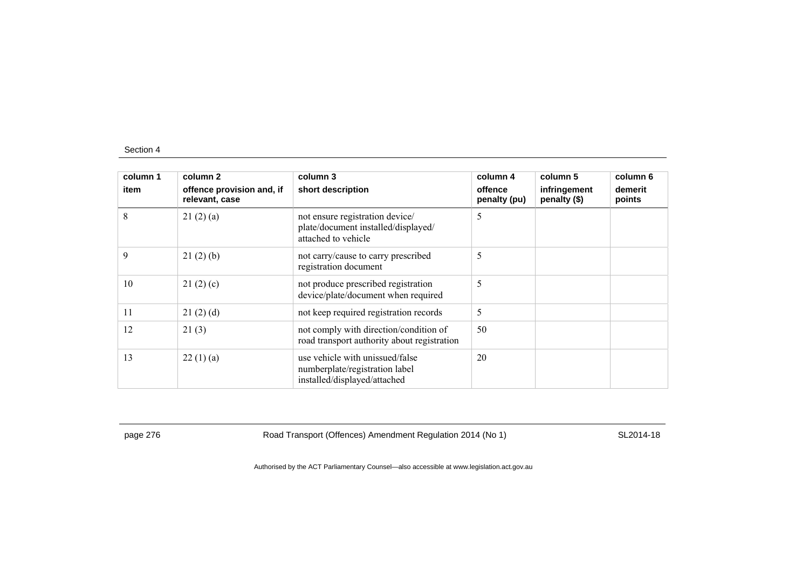| column 1 | column 2                                    | column 3                                                                                          | column 4                | column 5                     | column 6          |
|----------|---------------------------------------------|---------------------------------------------------------------------------------------------------|-------------------------|------------------------------|-------------------|
| item     | offence provision and, if<br>relevant, case | short description                                                                                 | offence<br>penalty (pu) | infringement<br>penalty (\$) | demerit<br>points |
| 8        | 21(2)(a)                                    | not ensure registration device/<br>plate/document installed/displayed/<br>attached to vehicle     | 5                       |                              |                   |
| 9        | 21(2)(b)                                    | not carry/cause to carry prescribed<br>registration document                                      | 5                       |                              |                   |
| 10       | 21(2)(c)                                    | not produce prescribed registration<br>device/plate/document when required                        | 5                       |                              |                   |
| 11       | 21(2)(d)                                    | not keep required registration records                                                            | 5                       |                              |                   |
| 12       | 21(3)                                       | not comply with direction/condition of<br>road transport authority about registration             | 50                      |                              |                   |
| 13       | 22(1)(a)                                    | use vehicle with unissued/false<br>numberplate/registration label<br>installed/displayed/attached | 20                      |                              |                   |

page 276 **Road Transport (Offences) Amendment Regulation 2014 (No 1)** SL2014-18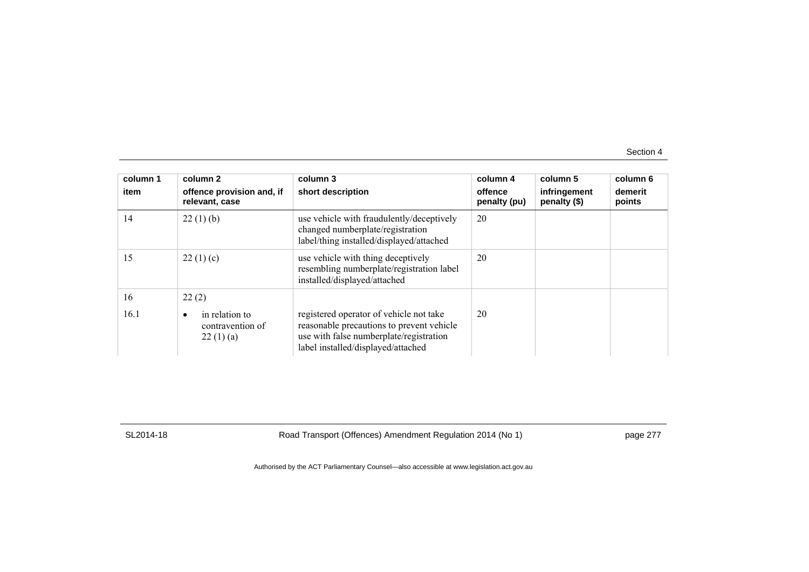| column 1<br>item | column 2<br>offence provision and, if<br>relevant, case     | column 3<br>short description                                                                                                                                         | column 4<br>offence<br>penalty (pu) | column 5<br>infringement<br>penalty (\$) | column 6<br>demerit<br>points |
|------------------|-------------------------------------------------------------|-----------------------------------------------------------------------------------------------------------------------------------------------------------------------|-------------------------------------|------------------------------------------|-------------------------------|
| 14               | 22(1)(b)                                                    | use vehicle with fraudulently/deceptively<br>changed numberplate/registration<br>label/thing installed/displayed/attached                                             | 20                                  |                                          |                               |
| 15               | 22(1)(c)                                                    | use vehicle with thing deceptively<br>resembling numberplate/registration label<br>installed/displayed/attached                                                       | 20                                  |                                          |                               |
| 16               | 22(2)                                                       |                                                                                                                                                                       |                                     |                                          |                               |
| 16.1             | in relation to<br>$\bullet$<br>contravention of<br>22(1)(a) | registered operator of vehicle not take<br>reasonable precautions to prevent vehicle<br>use with false numberplate/registration<br>label installed/displayed/attached | 20                                  |                                          |                               |

SL2014-18 Road Transport (Offences) Amendment Regulation 2014 (No 1) page 277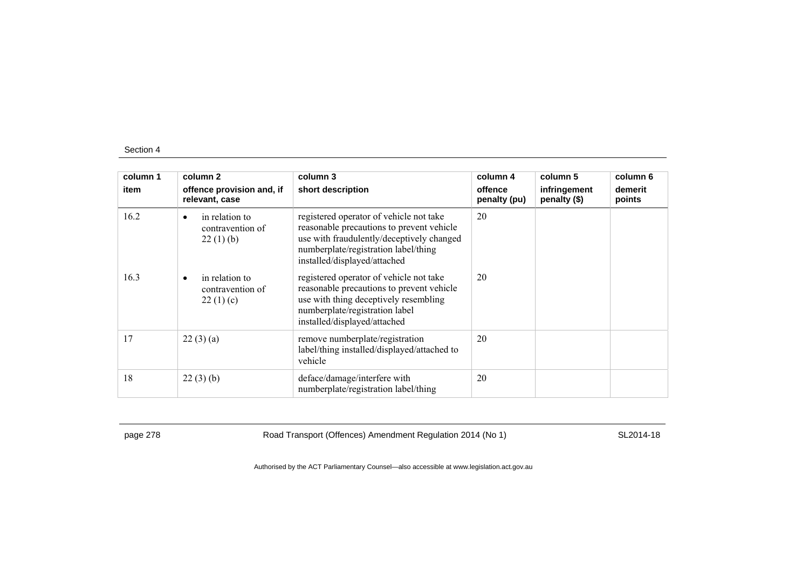| column 1 | column 2                                                    | column 3                                                                                                                                                                                                  | column 4                | column 5                     | column 6          |
|----------|-------------------------------------------------------------|-----------------------------------------------------------------------------------------------------------------------------------------------------------------------------------------------------------|-------------------------|------------------------------|-------------------|
| item     | offence provision and, if<br>relevant, case                 | short description                                                                                                                                                                                         | offence<br>penalty (pu) | infringement<br>penalty (\$) | demerit<br>points |
| 16.2     | in relation to<br>$\bullet$<br>contravention of<br>22(1)(b) | registered operator of vehicle not take<br>reasonable precautions to prevent vehicle<br>use with fraudulently/deceptively changed<br>numberplate/registration label/thing<br>installed/displayed/attached | 20                      |                              |                   |
| 16.3     | in relation to<br>$\bullet$<br>contravention of<br>22(1)(c) | registered operator of vehicle not take<br>reasonable precautions to prevent vehicle<br>use with thing deceptively resembling<br>numberplate/registration label<br>installed/displayed/attached           | 20                      |                              |                   |
| 17       | 22(3)(a)                                                    | remove numberplate/registration<br>label/thing installed/displayed/attached to<br>vehicle                                                                                                                 | 20                      |                              |                   |
| 18       | 22(3)(b)                                                    | deface/damage/interfere with<br>numberplate/registration label/thing                                                                                                                                      | 20                      |                              |                   |

page 278 **Road Transport (Offences) Amendment Regulation 2014 (No 1)** SL2014-18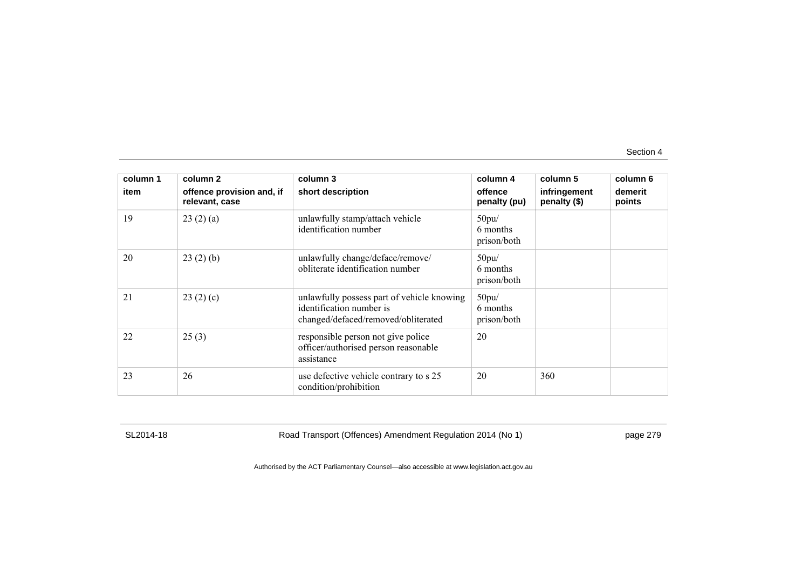| column 1 | column 2                                    | column 3                                                                                                      | column 4                         | column 5                     | column 6          |
|----------|---------------------------------------------|---------------------------------------------------------------------------------------------------------------|----------------------------------|------------------------------|-------------------|
| item     | offence provision and, if<br>relevant, case | short description                                                                                             | offence<br>penalty (pu)          | infringement<br>penalty (\$) | demerit<br>points |
| 19       | 23(2)(a)                                    | unlawfully stamp/attach vehicle<br>identification number                                                      | 50pu/<br>6 months<br>prison/both |                              |                   |
| 20       | 23(2)(b)                                    | unlawfully change/deface/remove/<br>obliterate identification number                                          | 50pu/<br>6 months<br>prison/both |                              |                   |
| 21       | 23(2)(c)                                    | unlawfully possess part of vehicle knowing<br>identification number is<br>changed/defaced/removed/obliterated | 50pu/<br>6 months<br>prison/both |                              |                   |
| 22       | 25(3)                                       | responsible person not give police<br>officer/authorised person reasonable<br>assistance                      | 20                               |                              |                   |
| 23       | 26                                          | use defective vehicle contrary to s 25<br>condition/prohibition                                               | 20                               | 360                          |                   |

SL2014-18 Road Transport (Offences) Amendment Regulation 2014 (No 1) page 279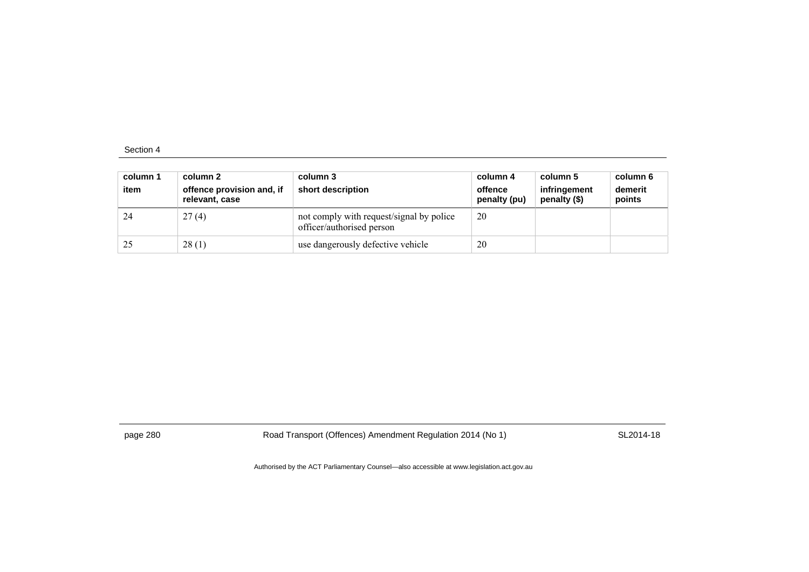| column 1<br>item | column 2<br>offence provision and, if<br>relevant, case | column 3<br>short description                                         | column 4<br>offence<br>penalty (pu) | column 5<br>infringement<br>penalty (\$) | column 6<br>demerit<br>points |
|------------------|---------------------------------------------------------|-----------------------------------------------------------------------|-------------------------------------|------------------------------------------|-------------------------------|
| 24               | 27(4)                                                   | not comply with request/signal by police<br>officer/authorised person | 20                                  |                                          |                               |
| 25               | 28(1)                                                   | use dangerously defective vehicle                                     | 20                                  |                                          |                               |

page 280 Road Transport (Offences) Amendment Regulation 2014 (No 1) SL2014-18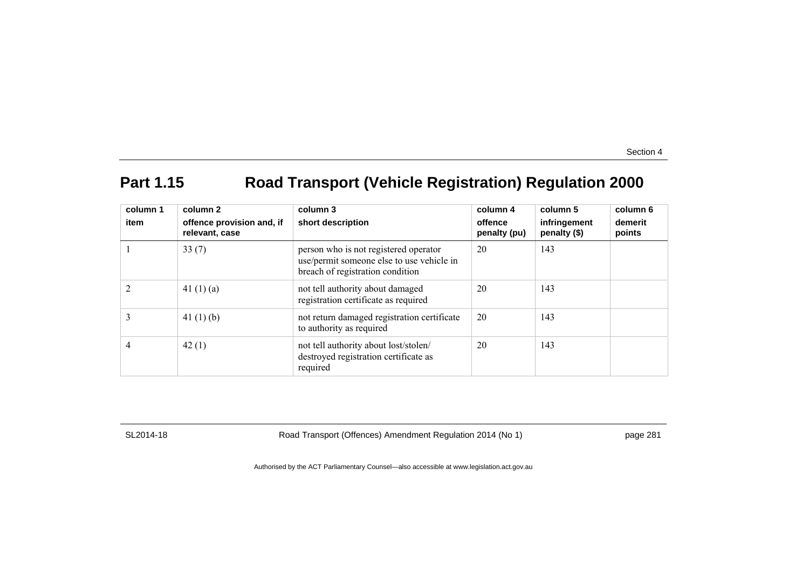## **Part 1.15 Road Transport (Vehicle Registration) Regulation 2000**

| column 1<br>item | column 2<br>offence provision and, if<br>relevant, case | column 3<br>short description                                                                                          | column 4<br>offence<br>penalty (pu) | column 5<br>infringement<br>penalty (\$) | column 6<br>demerit<br>points |
|------------------|---------------------------------------------------------|------------------------------------------------------------------------------------------------------------------------|-------------------------------------|------------------------------------------|-------------------------------|
|                  | 33(7)                                                   | person who is not registered operator<br>use/permit someone else to use vehicle in<br>breach of registration condition | 20                                  | 143                                      |                               |
|                  | 41 $(1)(a)$                                             | not tell authority about damaged<br>registration certificate as required                                               | 20                                  | 143                                      |                               |
| 3                | 41 $(1)$ $(b)$                                          | not return damaged registration certificate<br>to authority as required                                                | 20                                  | 143                                      |                               |
| 4                | 42(1)                                                   | not tell authority about lost/stolen/<br>destroyed registration certificate as<br>required                             | 20                                  | 143                                      |                               |

SL2014-18 Road Transport (Offences) Amendment Regulation 2014 (No 1) page 281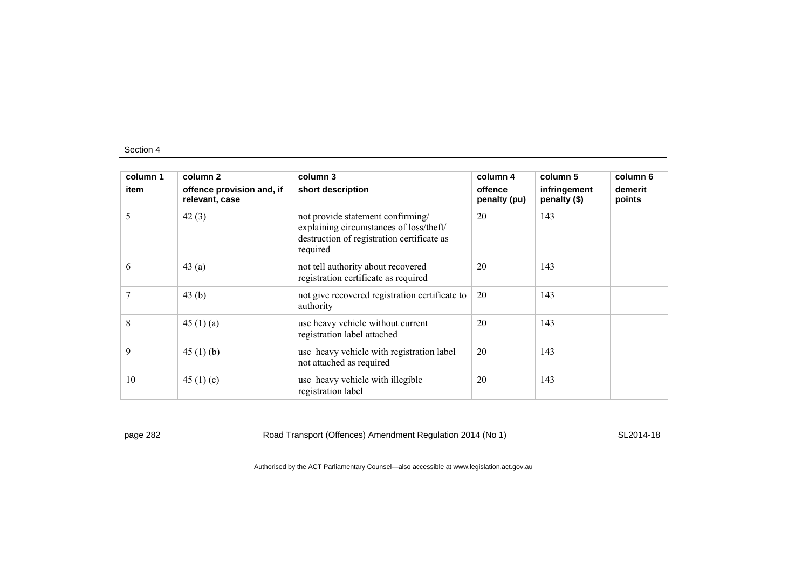| column 1 | column 2                                    | column 3                                                                                                                               | column 4                | column 5                     | column 6          |
|----------|---------------------------------------------|----------------------------------------------------------------------------------------------------------------------------------------|-------------------------|------------------------------|-------------------|
| item     | offence provision and, if<br>relevant, case | short description                                                                                                                      | offence<br>penalty (pu) | infringement<br>penalty (\$) | demerit<br>points |
| 5        | 42(3)                                       | not provide statement confirming/<br>explaining circumstances of loss/theft/<br>destruction of registration certificate as<br>required | 20                      | 143                          |                   |
| 6        | 43(a)                                       | not tell authority about recovered<br>registration certificate as required                                                             | 20                      | 143                          |                   |
|          | 43(b)                                       | not give recovered registration certificate to<br>authority                                                                            | 20                      | 143                          |                   |
| 8        | 45 $(1)$ $(a)$                              | use heavy vehicle without current<br>registration label attached                                                                       | 20                      | 143                          |                   |
| 9        | 45 $(1)$ $(b)$                              | use heavy vehicle with registration label<br>not attached as required                                                                  | 20                      | 143                          |                   |
| 10       | 45 $(1)(c)$                                 | use heavy vehicle with illegible<br>registration label                                                                                 | 20                      | 143                          |                   |

page 282 Road Transport (Offences) Amendment Regulation 2014 (No 1) SL2014-18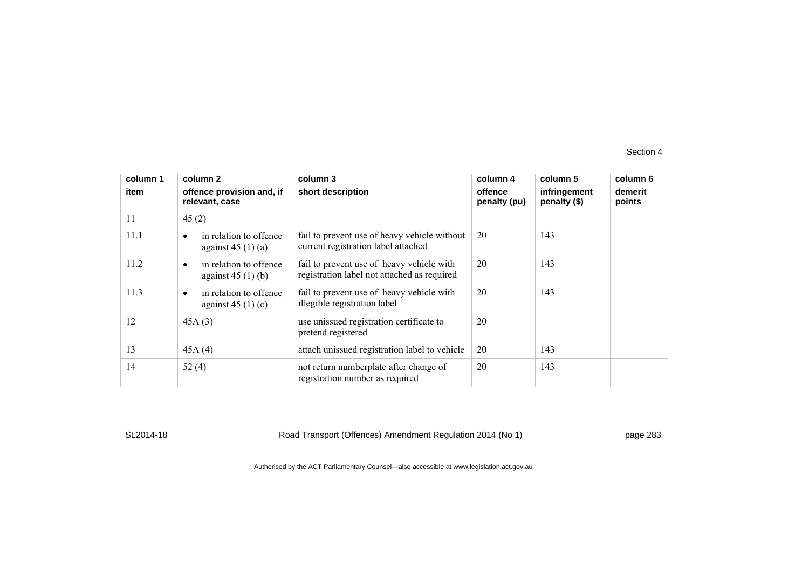| column 1 | column 2                                                  | column 3                                                                                 | column 4                | column 5                     | column 6          |
|----------|-----------------------------------------------------------|------------------------------------------------------------------------------------------|-------------------------|------------------------------|-------------------|
| item     | offence provision and, if<br>relevant, case               | short description                                                                        | offence<br>penalty (pu) | infringement<br>penalty (\$) | demerit<br>points |
| 11       | 45(2)                                                     |                                                                                          |                         |                              |                   |
| 11.1     | in relation to offence<br>against $45(1)(a)$              | fail to prevent use of heavy vehicle without<br>current registration label attached      | 20                      | 143                          |                   |
| 11.2     | in relation to offence<br>$\bullet$<br>against $45(1)(b)$ | fail to prevent use of heavy vehicle with<br>registration label not attached as required | 20                      | 143                          |                   |
| 11.3     | in relation to offence<br>$\bullet$<br>against $45(1)(c)$ | fail to prevent use of heavy vehicle with<br>illegible registration label                | 20                      | 143                          |                   |
| 12       | 45A(3)                                                    | use unissued registration certificate to<br>pretend registered                           | 20                      |                              |                   |
| 13       | 45A(4)                                                    | attach unissued registration label to vehicle                                            | 20                      | 143                          |                   |
| 14       | 52(4)                                                     | not return numberplate after change of<br>registration number as required                | 20                      | 143                          |                   |

SL2014-18 Road Transport (Offences) Amendment Regulation 2014 (No 1) page 283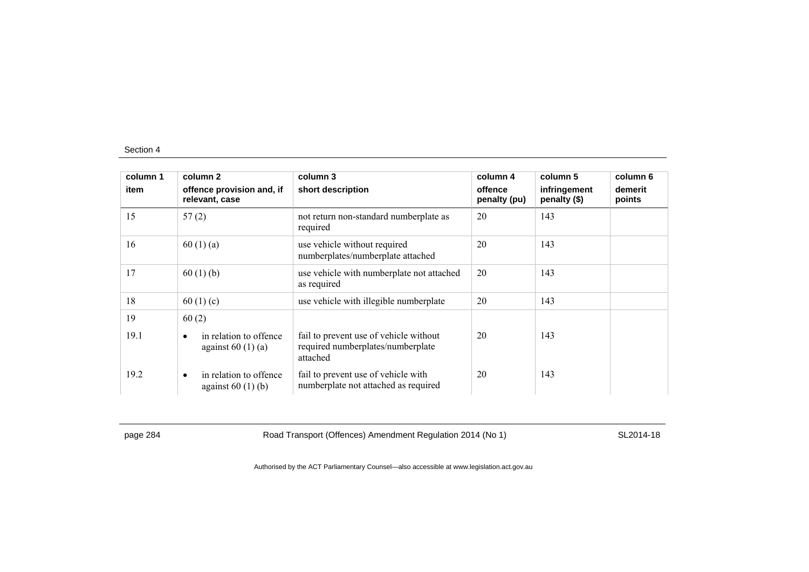| column 1 | column 2                                                  | column 3                                                                                | column 4                | column 5                     | column 6          |
|----------|-----------------------------------------------------------|-----------------------------------------------------------------------------------------|-------------------------|------------------------------|-------------------|
| item     | offence provision and, if<br>relevant, case               | short description                                                                       | offence<br>penalty (pu) | infringement<br>penalty (\$) | demerit<br>points |
| 15       | 57(2)                                                     | not return non-standard numberplate as<br>required                                      | 20                      | 143                          |                   |
| 16       | 60(1)(a)                                                  | use vehicle without required<br>numberplates/numberplate attached                       | 20                      | 143                          |                   |
| 17       | 60(1)(b)                                                  | use vehicle with numberplate not attached<br>as required                                | 20                      | 143                          |                   |
| 18       | 60 $(1)(c)$                                               | use vehicle with illegible numberplate                                                  | 20                      | 143                          |                   |
| 19       | 60(2)                                                     |                                                                                         |                         |                              |                   |
| 19.1     | in relation to offence<br>$\bullet$<br>against $60(1)(a)$ | fail to prevent use of vehicle without<br>required numberplates/numberplate<br>attached | 20                      | 143                          |                   |
| 19.2     | in relation to offence<br>$\bullet$<br>against $60(1)(b)$ | fail to prevent use of vehicle with<br>numberplate not attached as required             | 20                      | 143                          |                   |

page 284 Road Transport (Offences) Amendment Regulation 2014 (No 1) SL2014-18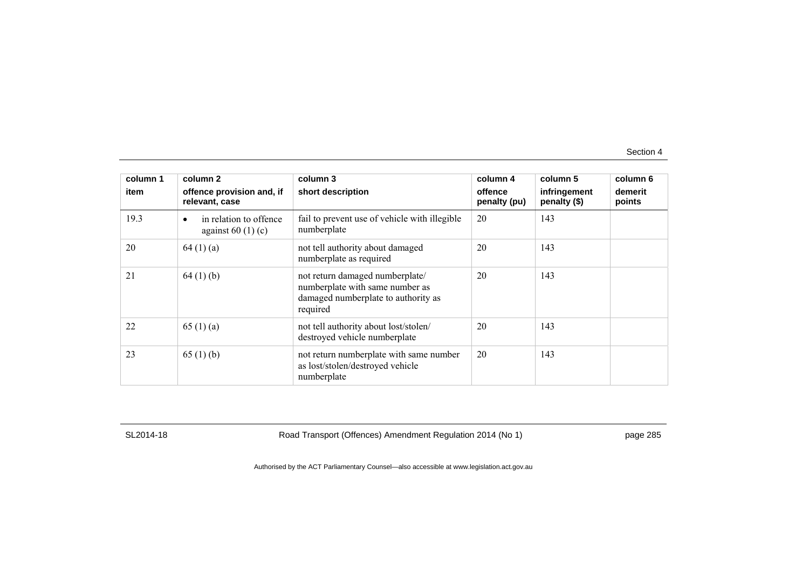| column 1 | column 2                                     | column 3                                                                                                              | column 4                | column 5                     | column 6          |
|----------|----------------------------------------------|-----------------------------------------------------------------------------------------------------------------------|-------------------------|------------------------------|-------------------|
| item     | offence provision and, if<br>relevant, case  | short description                                                                                                     | offence<br>penalty (pu) | infringement<br>penalty (\$) | demerit<br>points |
| 19.3     | in relation to offence<br>against $60(1)(c)$ | fail to prevent use of vehicle with illegible<br>numberplate                                                          | 20                      | 143                          |                   |
| 20       | 64(1)(a)                                     | not tell authority about damaged<br>numberplate as required                                                           | 20                      | 143                          |                   |
| 21       | 64(1)(b)                                     | not return damaged numberplate/<br>numberplate with same number as<br>damaged numberplate to authority as<br>required | 20                      | 143                          |                   |
| 22       | 65(1)(a)                                     | not tell authority about lost/stolen/<br>destroyed vehicle numberplate                                                | 20                      | 143                          |                   |
| 23       | 65(1)(b)                                     | not return numberplate with same number<br>as lost/stolen/destroyed vehicle<br>numberplate                            | 20                      | 143                          |                   |

SL2014-18 Road Transport (Offences) Amendment Regulation 2014 (No 1) page 285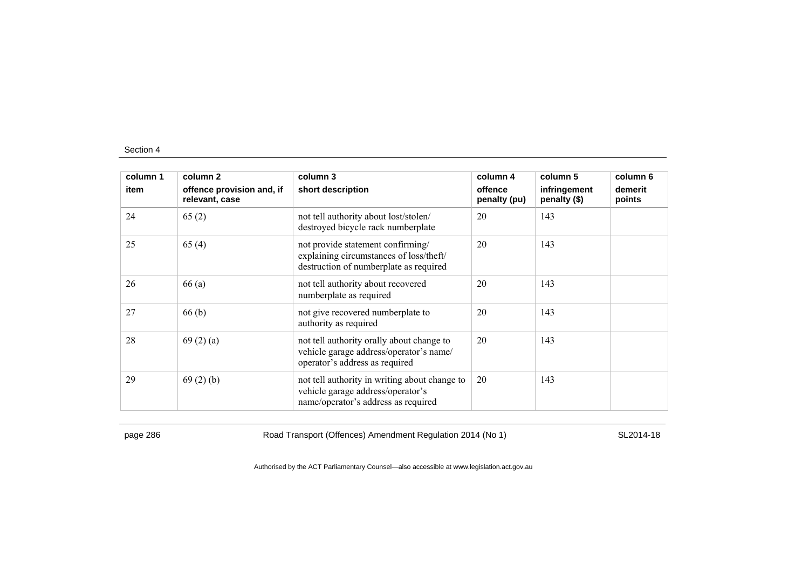| column 1 | column 2                                    | column 3                                                                                                                  | column 4                | column 5                     | column 6          |
|----------|---------------------------------------------|---------------------------------------------------------------------------------------------------------------------------|-------------------------|------------------------------|-------------------|
| item     | offence provision and, if<br>relevant, case | short description                                                                                                         | offence<br>penalty (pu) | infringement<br>penalty (\$) | demerit<br>points |
| 24       | 65(2)                                       | not tell authority about lost/stolen/<br>destroyed bicycle rack numberplate                                               | 20                      | 143                          |                   |
| 25       | 65(4)                                       | not provide statement confirming/<br>explaining circumstances of loss/theft/<br>destruction of numberplate as required    | 20                      | 143                          |                   |
| 26       | 66 (a)                                      | not tell authority about recovered<br>numberplate as required                                                             | 20                      | 143                          |                   |
| 27       | 66(b)                                       | not give recovered numberplate to<br>authority as required                                                                | 20                      | 143                          |                   |
| 28       | 69(2)(a)                                    | not tell authority orally about change to<br>vehicle garage address/operator's name/<br>operator's address as required    | 20                      | 143                          |                   |
| 29       | 69(2)(b)                                    | not tell authority in writing about change to<br>vehicle garage address/operator's<br>name/operator's address as required | 20                      | 143                          |                   |

page 286 Road Transport (Offences) Amendment Regulation 2014 (No 1) SL2014-18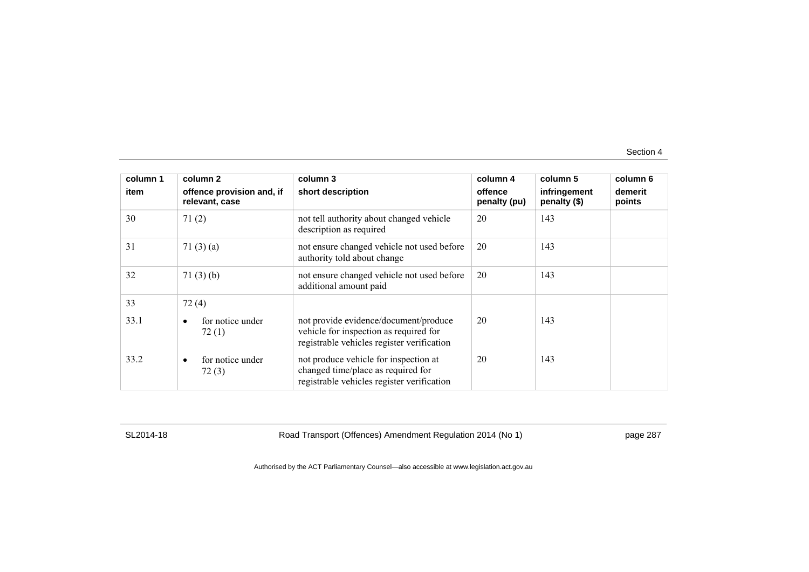| column 1 | column 2                                    | column 3                                                                                                                      | column 4                | column 5                     | column 6          |
|----------|---------------------------------------------|-------------------------------------------------------------------------------------------------------------------------------|-------------------------|------------------------------|-------------------|
| item     | offence provision and, if<br>relevant, case | short description                                                                                                             | offence<br>penalty (pu) | infringement<br>penalty (\$) | demerit<br>points |
| 30       | 71(2)                                       | not tell authority about changed vehicle<br>description as required                                                           | 20                      | 143                          |                   |
| 31       | 71 $(3)(a)$                                 | not ensure changed vehicle not used before<br>authority told about change                                                     | 20                      | 143                          |                   |
| 32       | 71(3)(b)                                    | not ensure changed vehicle not used before<br>additional amount paid                                                          | 20                      | 143                          |                   |
| 33       | 72(4)                                       |                                                                                                                               |                         |                              |                   |
| 33.1     | for notice under<br>$\bullet$<br>72(1)      | not provide evidence/document/produce<br>vehicle for inspection as required for<br>registrable vehicles register verification | 20                      | 143                          |                   |
| 33.2     | for notice under<br>$\bullet$<br>72(3)      | not produce vehicle for inspection at<br>changed time/place as required for<br>registrable vehicles register verification     | 20                      | 143                          |                   |

SL2014-18 Road Transport (Offences) Amendment Regulation 2014 (No 1) page 287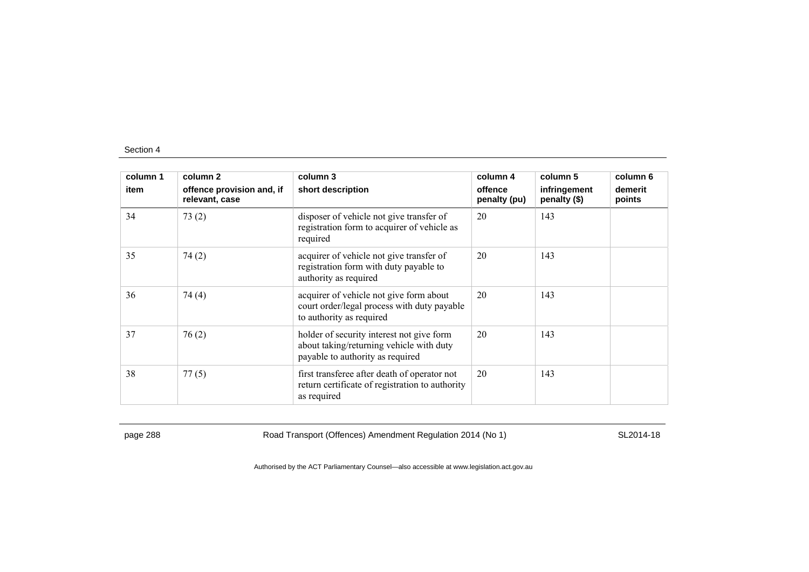| column 1 | column 2                                    | column 3                                                                                                                  | column 4                | column 5                     | column 6          |
|----------|---------------------------------------------|---------------------------------------------------------------------------------------------------------------------------|-------------------------|------------------------------|-------------------|
| item     | offence provision and, if<br>relevant, case | short description                                                                                                         | offence<br>penalty (pu) | infringement<br>penalty (\$) | demerit<br>points |
| 34       | 73(2)                                       | disposer of vehicle not give transfer of<br>registration form to acquirer of vehicle as<br>required                       | 20                      | 143                          |                   |
| 35       | 74(2)                                       | acquirer of vehicle not give transfer of<br>registration form with duty payable to<br>authority as required               | 20                      | 143                          |                   |
| 36       | 74(4)                                       | acquirer of vehicle not give form about<br>court order/legal process with duty payable<br>to authority as required        | 20                      | 143                          |                   |
| 37       | 76(2)                                       | holder of security interest not give form<br>about taking/returning vehicle with duty<br>payable to authority as required | 20                      | 143                          |                   |
| 38       | 77(5)                                       | first transferee after death of operator not<br>return certificate of registration to authority<br>as required            | 20                      | 143                          |                   |

page 288 Road Transport (Offences) Amendment Regulation 2014 (No 1) SL2014-18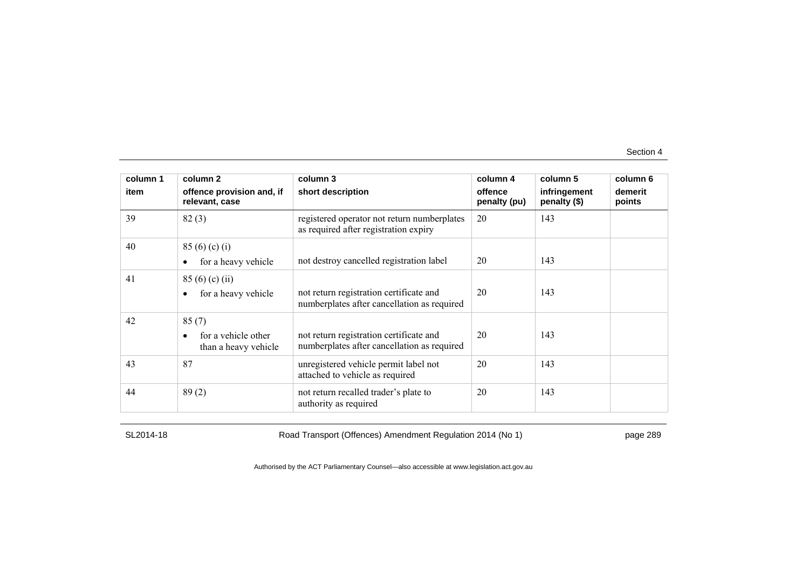| column 1 | column 2                                             | column 3                                                                               | column 4                | column 5                     | column 6          |
|----------|------------------------------------------------------|----------------------------------------------------------------------------------------|-------------------------|------------------------------|-------------------|
| item     | offence provision and, if<br>relevant, case          | short description                                                                      | offence<br>penalty (pu) | infringement<br>penalty (\$) | demerit<br>points |
| 39       | 82(3)                                                | registered operator not return numberplates<br>as required after registration expiry   | 20                      | 143                          |                   |
| 40       | 85(6)(c)(i)<br>for a heavy vehicle                   | not destroy cancelled registration label                                               | 20                      | 143                          |                   |
| 41       | 85(6)(c)(ii)<br>for a heavy vehicle                  | not return registration certificate and<br>numberplates after cancellation as required | 20                      | 143                          |                   |
| 42       | 85(7)<br>for a vehicle other<br>than a heavy vehicle | not return registration certificate and<br>numberplates after cancellation as required | 20                      | 143                          |                   |
| 43       | 87                                                   | unregistered vehicle permit label not<br>attached to vehicle as required               | 20                      | 143                          |                   |
| 44       | 89(2)                                                | not return recalled trader's plate to<br>authority as required                         | 20                      | 143                          |                   |

SL2014-18 Road Transport (Offences) Amendment Regulation 2014 (No 1) page 289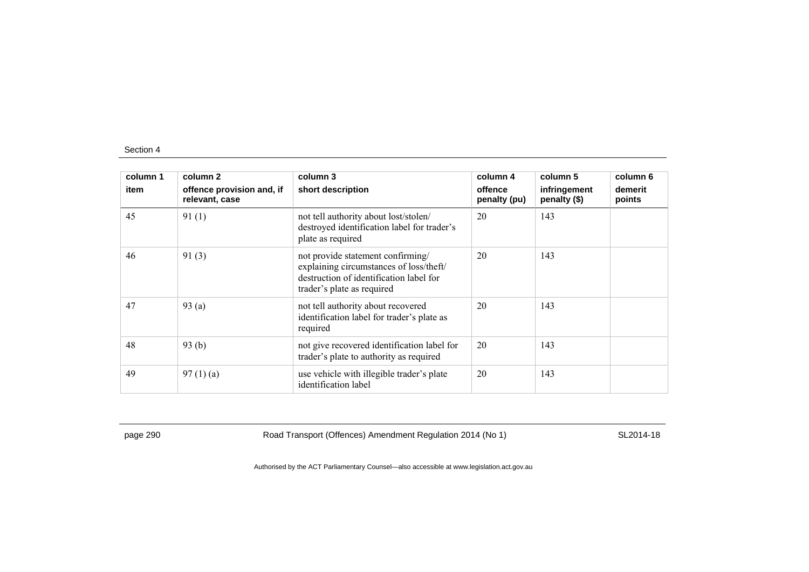| column 1 | column 2                                    | column 3                                                                                                                                              | column 4                | column 5                     | column 6          |
|----------|---------------------------------------------|-------------------------------------------------------------------------------------------------------------------------------------------------------|-------------------------|------------------------------|-------------------|
| item     | offence provision and, if<br>relevant, case | short description                                                                                                                                     | offence<br>penalty (pu) | infringement<br>penalty (\$) | demerit<br>points |
| 45       | 91(1)                                       | not tell authority about lost/stolen/<br>destroyed identification label for trader's<br>plate as required                                             | 20                      | 143                          |                   |
| 46       | 91(3)                                       | not provide statement confirming/<br>explaining circumstances of loss/theft/<br>destruction of identification label for<br>trader's plate as required | 20                      | 143                          |                   |
| 47       | 93(a)                                       | not tell authority about recovered<br>identification label for trader's plate as<br>required                                                          | 20                      | 143                          |                   |
| 48       | 93(b)                                       | not give recovered identification label for<br>trader's plate to authority as required                                                                | 20                      | 143                          |                   |
| 49       | 97(1)(a)                                    | use vehicle with illegible trader's plate<br>identification label                                                                                     | 20                      | 143                          |                   |

page 290 Road Transport (Offences) Amendment Regulation 2014 (No 1) SL2014-18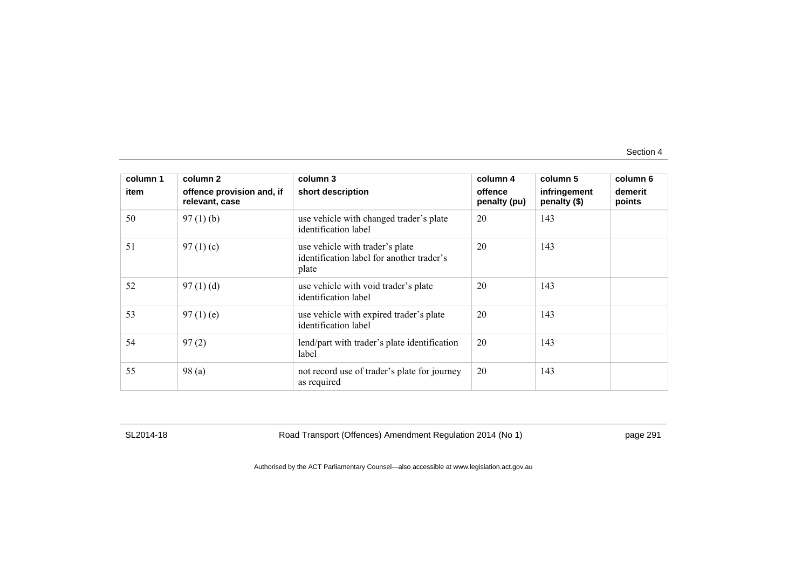| column 1 | column 2                                    | column 3                                                                              | column 4                | column 5                     | column 6          |
|----------|---------------------------------------------|---------------------------------------------------------------------------------------|-------------------------|------------------------------|-------------------|
| item     | offence provision and, if<br>relevant, case | short description                                                                     | offence<br>penalty (pu) | infringement<br>penalty (\$) | demerit<br>points |
| 50       | 97(1)(b)                                    | use vehicle with changed trader's plate<br>identification label                       | 20                      | 143                          |                   |
| 51       | 97 $(1)(c)$                                 | use vehicle with trader's plate<br>identification label for another trader's<br>plate | 20                      | 143                          |                   |
| 52       | 97(1)(d)                                    | use vehicle with void trader's plate<br>identification label                          | 20                      | 143                          |                   |
| 53       | 97(1)(e)                                    | use vehicle with expired trader's plate<br>identification label                       | 20                      | 143                          |                   |
| 54       | 97(2)                                       | lend/part with trader's plate identification<br>label                                 | 20                      | 143                          |                   |
| 55       | 98(a)                                       | not record use of trader's plate for journey<br>as required                           | 20                      | 143                          |                   |

SL2014-18 Road Transport (Offences) Amendment Regulation 2014 (No 1) page 291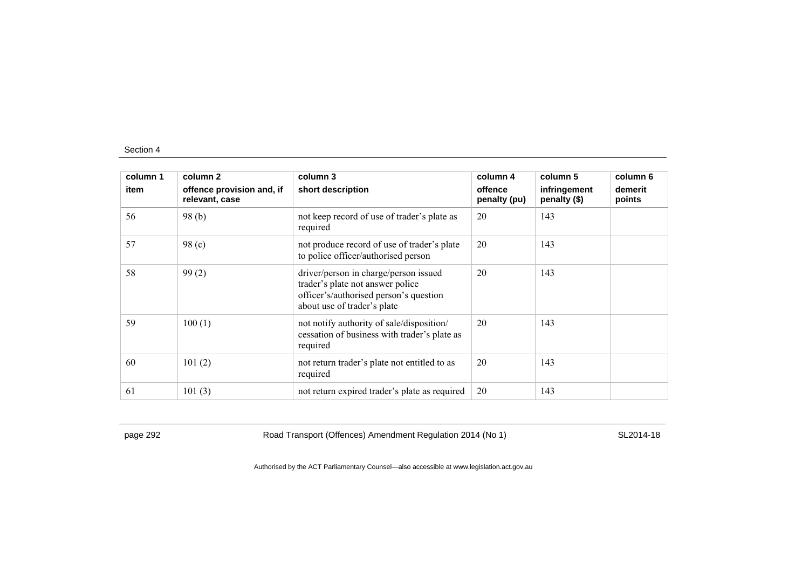| column 1 | column 2                                    | column 3                                                                                                                                           | column 4                | column 5                     | column 6          |
|----------|---------------------------------------------|----------------------------------------------------------------------------------------------------------------------------------------------------|-------------------------|------------------------------|-------------------|
| item     | offence provision and, if<br>relevant, case | short description                                                                                                                                  | offence<br>penalty (pu) | infringement<br>penalty (\$) | demerit<br>points |
| 56       | 98(b)                                       | not keep record of use of trader's plate as<br>required                                                                                            | 20                      | 143                          |                   |
| 57       | 98 <sub>(c)</sub>                           | not produce record of use of trader's plate<br>to police officer/authorised person                                                                 | 20                      | 143                          |                   |
| 58       | 99(2)                                       | driver/person in charge/person issued<br>trader's plate not answer police<br>officer's/authorised person's question<br>about use of trader's plate | 20                      | 143                          |                   |
| 59       | 100(1)                                      | not notify authority of sale/disposition/<br>cessation of business with trader's plate as<br>required                                              | 20                      | 143                          |                   |
| 60       | 101(2)                                      | not return trader's plate not entitled to as<br>required                                                                                           | 20                      | 143                          |                   |
| 61       | 101(3)                                      | not return expired trader's plate as required                                                                                                      | 20                      | 143                          |                   |

page 292 Road Transport (Offences) Amendment Regulation 2014 (No 1) SL2014-18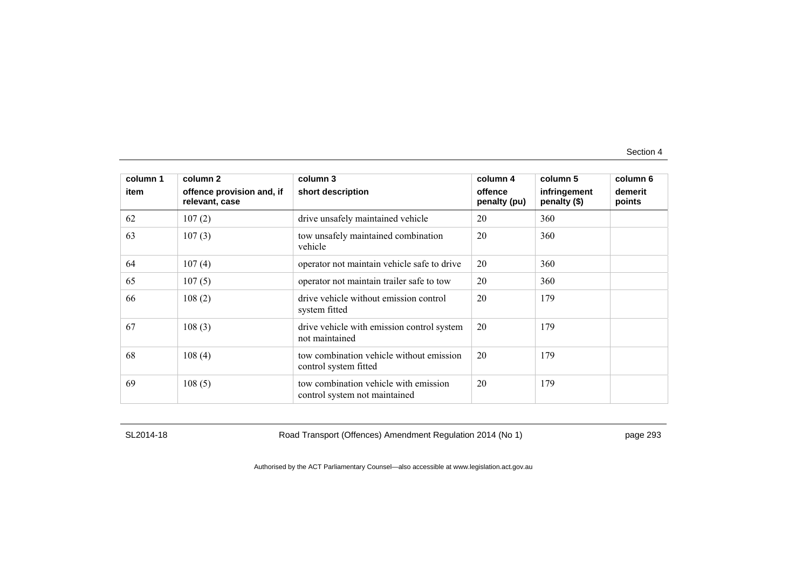| column 1<br>item | column 2<br>offence provision and, if<br>relevant, case | column 3<br>short description                                          | column 4<br>offence<br>penalty (pu) | column 5<br>infringement<br>penalty (\$) | column 6<br>demerit<br>points |
|------------------|---------------------------------------------------------|------------------------------------------------------------------------|-------------------------------------|------------------------------------------|-------------------------------|
| 62               | 107(2)                                                  | drive unsafely maintained vehicle                                      | 20                                  | 360                                      |                               |
| 63               | 107(3)                                                  | tow unsafely maintained combination<br>vehicle                         | 20                                  | 360                                      |                               |
| 64               | 107(4)                                                  | operator not maintain vehicle safe to drive                            | 20                                  | 360                                      |                               |
| 65               | 107(5)                                                  | operator not maintain trailer safe to tow                              | 20                                  | 360                                      |                               |
| 66               | 108(2)                                                  | drive vehicle without emission control<br>system fitted                | 20                                  | 179                                      |                               |
| 67               | 108(3)                                                  | drive vehicle with emission control system<br>not maintained           | 20                                  | 179                                      |                               |
| 68               | 108(4)                                                  | tow combination vehicle without emission<br>control system fitted      | 20                                  | 179                                      |                               |
| 69               | 108(5)                                                  | tow combination vehicle with emission<br>control system not maintained | 20                                  | 179                                      |                               |

SL2014-18 Road Transport (Offences) Amendment Regulation 2014 (No 1) page 293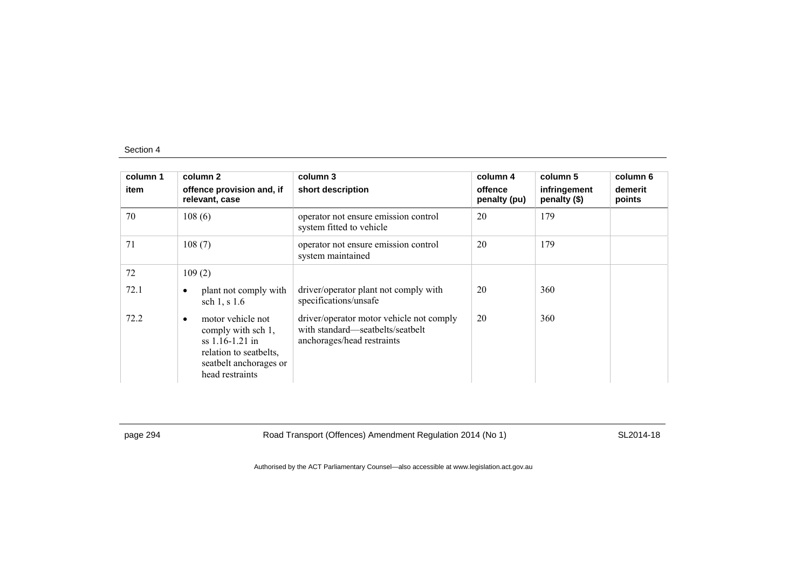| column 1<br>item | column 2<br>offence provision and, if<br>relevant, case                                                                                          | column 3<br>short description                                                                              | column 4<br>offence<br>penalty (pu) | column 5<br>infringement<br>penalty (\$) | column 6<br>demerit<br>points |
|------------------|--------------------------------------------------------------------------------------------------------------------------------------------------|------------------------------------------------------------------------------------------------------------|-------------------------------------|------------------------------------------|-------------------------------|
| 70               | 108(6)                                                                                                                                           | operator not ensure emission control<br>system fitted to vehicle                                           | 20                                  | 179                                      |                               |
| 71               | 108(7)                                                                                                                                           | operator not ensure emission control<br>system maintained                                                  | 20                                  | 179                                      |                               |
| 72               | 109(2)                                                                                                                                           |                                                                                                            |                                     |                                          |                               |
| 72.1             | plant not comply with<br>$\bullet$<br>sch $1, s 1.6$                                                                                             | driver/operator plant not comply with<br>specifications/unsafe                                             | 20                                  | 360                                      |                               |
| 72.2             | motor vehicle not<br>$\bullet$<br>comply with sch 1,<br>$ss$ 1.16-1.21 in<br>relation to seatbelts,<br>seatbelt anchorages or<br>head restraints | driver/operator motor vehicle not comply<br>with standard—seatbelts/seatbelt<br>anchorages/head restraints | 20                                  | 360                                      |                               |

page 294 **Road Transport (Offences) Amendment Regulation 2014 (No 1)** SL2014-18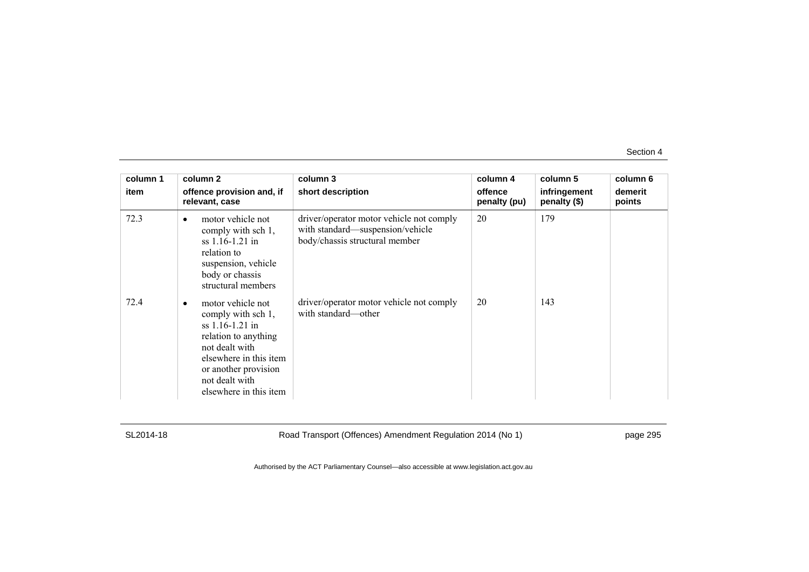| column 1 | column 2                                                                                                                                                                                             | column 3                                                                                                       | column 4                | column 5                     | column 6          |
|----------|------------------------------------------------------------------------------------------------------------------------------------------------------------------------------------------------------|----------------------------------------------------------------------------------------------------------------|-------------------------|------------------------------|-------------------|
| item     | offence provision and, if<br>relevant, case                                                                                                                                                          | short description                                                                                              | offence<br>penalty (pu) | infringement<br>penalty (\$) | demerit<br>points |
| 72.3     | motor vehicle not<br>$\bullet$<br>comply with sch 1,<br>$ss$ 1.16-1.21 in<br>relation to<br>suspension, vehicle<br>body or chassis<br>structural members                                             | driver/operator motor vehicle not comply<br>with standard-suspension/vehicle<br>body/chassis structural member | 20                      | 179                          |                   |
| 72.4     | motor vehicle not<br>comply with sch 1,<br>$ss$ 1.16-1.21 in<br>relation to anything<br>not dealt with<br>elsewhere in this item<br>or another provision<br>not dealt with<br>elsewhere in this item | driver/operator motor vehicle not comply<br>with standard—other                                                | 20                      | 143                          |                   |

SL2014-18 Road Transport (Offences) Amendment Regulation 2014 (No 1) page 295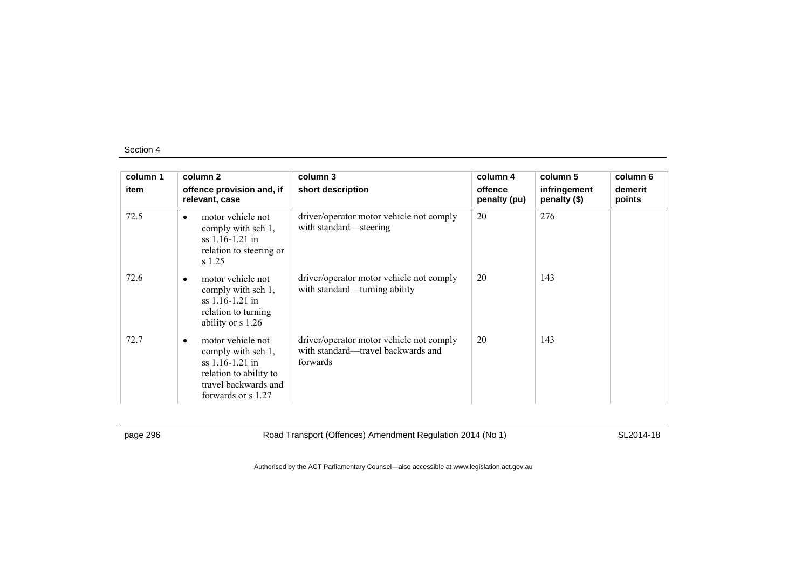| column 1 | column <sub>2</sub>                                                                                                                     | column 3                                                                                   | column 4                | column 5                     | column 6          |
|----------|-----------------------------------------------------------------------------------------------------------------------------------------|--------------------------------------------------------------------------------------------|-------------------------|------------------------------|-------------------|
| item     | offence provision and, if<br>relevant, case                                                                                             | short description                                                                          | offence<br>penalty (pu) | infringement<br>penalty (\$) | demerit<br>points |
| 72.5     | motor vehicle not<br>$\bullet$<br>comply with sch 1,<br>ss 1.16-1.21 in<br>relation to steering or<br>s 1.25                            | driver/operator motor vehicle not comply<br>with standard—steering                         | 20                      | 276                          |                   |
| 72.6     | motor vehicle not<br>$\bullet$<br>comply with sch 1,<br>$ss$ 1.16-1.21 in<br>relation to turning<br>ability or s 1.26                   | driver/operator motor vehicle not comply<br>with standard—turning ability                  | 20                      | 143                          |                   |
| 72.7     | motor vehicle not<br>٠<br>comply with sch 1,<br>ss 1.16-1.21 in<br>relation to ability to<br>travel backwards and<br>forwards or s 1.27 | driver/operator motor vehicle not comply<br>with standard—travel backwards and<br>forwards | 20                      | 143                          |                   |

page 296 Road Transport (Offences) Amendment Regulation 2014 (No 1) SL2014-18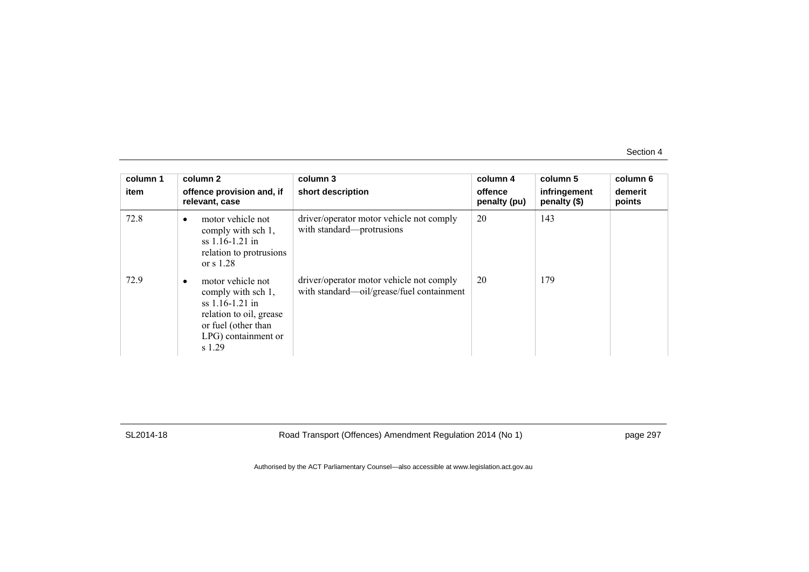| column 1<br>item | column 2<br>offence provision and, if<br>relevant, case                                                                                                | column 3<br>short description                                                         | column 4<br>offence<br>penalty (pu) | column 5<br>infringement<br>penalty (\$) | column 6<br>demerit<br>points |
|------------------|--------------------------------------------------------------------------------------------------------------------------------------------------------|---------------------------------------------------------------------------------------|-------------------------------------|------------------------------------------|-------------------------------|
| 72.8             | motor vehicle not<br>$\bullet$<br>comply with sch 1,<br>$ss$ 1.16-1.21 in<br>relation to protrusions<br>or $s$ 1.28                                    | driver/operator motor vehicle not comply<br>with standard-protrusions                 | 20                                  | 143                                      |                               |
| 72.9             | motor vehicle not<br>٠<br>comply with sch 1,<br>ss $1.16 - 1.21$ in<br>relation to oil, grease<br>or fuel (other than<br>LPG) containment or<br>s 1.29 | driver/operator motor vehicle not comply<br>with standard—oil/grease/fuel containment | 20                                  | 179                                      |                               |

SL2014-18 Road Transport (Offences) Amendment Regulation 2014 (No 1) page 297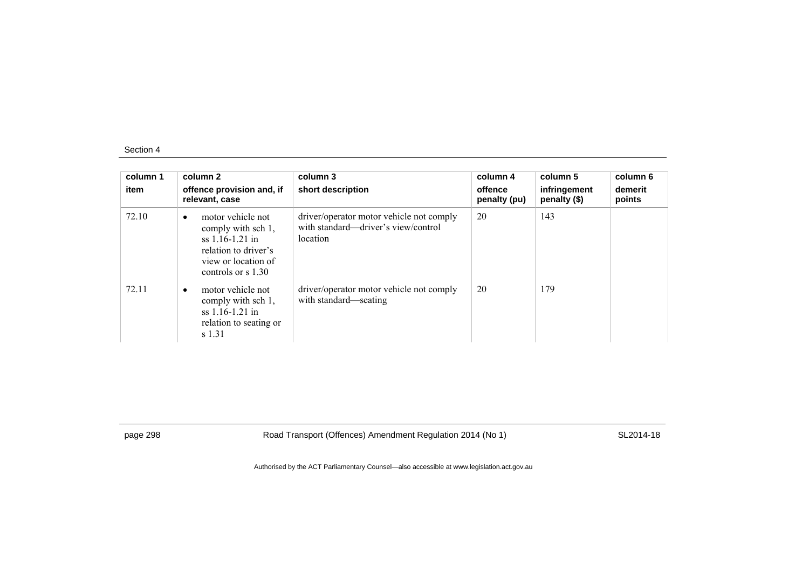| column 1<br>item | column 2<br>offence provision and, if<br>relevant, case                                                                                          | column 3<br>short description                                                               | column 4<br>offence<br>penalty (pu) | column 5<br>infringement<br>penalty (\$) | column 6<br>demerit<br>points |
|------------------|--------------------------------------------------------------------------------------------------------------------------------------------------|---------------------------------------------------------------------------------------------|-------------------------------------|------------------------------------------|-------------------------------|
| 72.10            | motor vehicle not<br>٠<br>comply with sch 1,<br>$ss$ 1.16-1.21 in<br>relation to driver's<br>view or location of<br>controls or $\frac{s}{1.30}$ | driver/operator motor vehicle not comply<br>with standard—driver's view/control<br>location | 20                                  | 143                                      |                               |
| 72.11            | motor vehicle not<br>$\bullet$<br>comply with sch 1,<br>$ss$ 1.16-1.21 in<br>relation to seating or<br>s 1.31                                    | driver/operator motor vehicle not comply<br>with standard—seating                           | 20                                  | 179                                      |                               |

page 298 Road Transport (Offences) Amendment Regulation 2014 (No 1) SL2014-18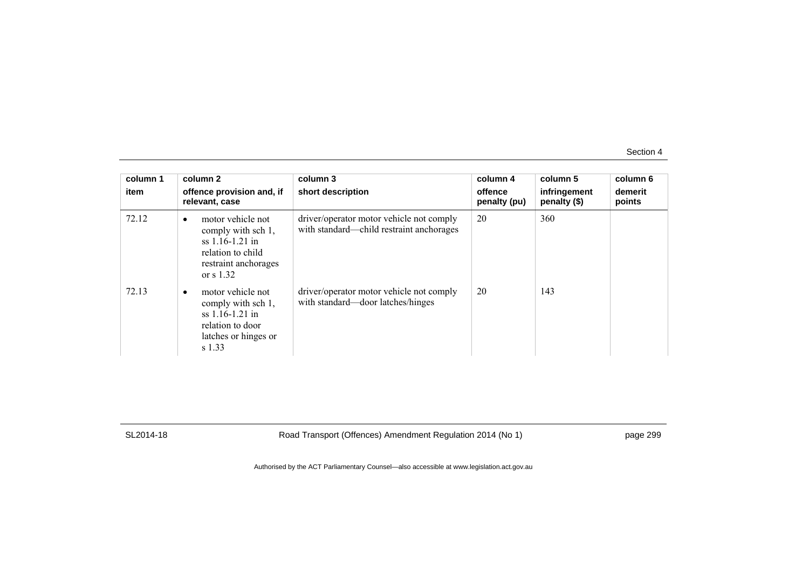| column 1<br>item | column 2<br>offence provision and, if<br>relevant, case                                                                               | column 3<br>short description                                                        | column 4<br>offence<br>penalty (pu) | column 5<br>infringement<br>penalty (\$) | column 6<br>demerit<br>points |
|------------------|---------------------------------------------------------------------------------------------------------------------------------------|--------------------------------------------------------------------------------------|-------------------------------------|------------------------------------------|-------------------------------|
| 72.12            | motor vehicle not<br>$\bullet$<br>comply with sch 1,<br>$ss$ 1.16-1.21 in<br>relation to child<br>restraint anchorages<br>or $s$ 1.32 | driver/operator motor vehicle not comply<br>with standard—child restraint anchorages | 20                                  | 360                                      |                               |
| 72.13            | motor vehicle not<br>$\bullet$<br>comply with sch 1,<br>ss 1.16-1.21 in<br>relation to door<br>latches or hinges or<br>s 1.33         | driver/operator motor vehicle not comply<br>with standard—door latches/hinges        | 20                                  | 143                                      |                               |

SL2014-18 Road Transport (Offences) Amendment Regulation 2014 (No 1) page 299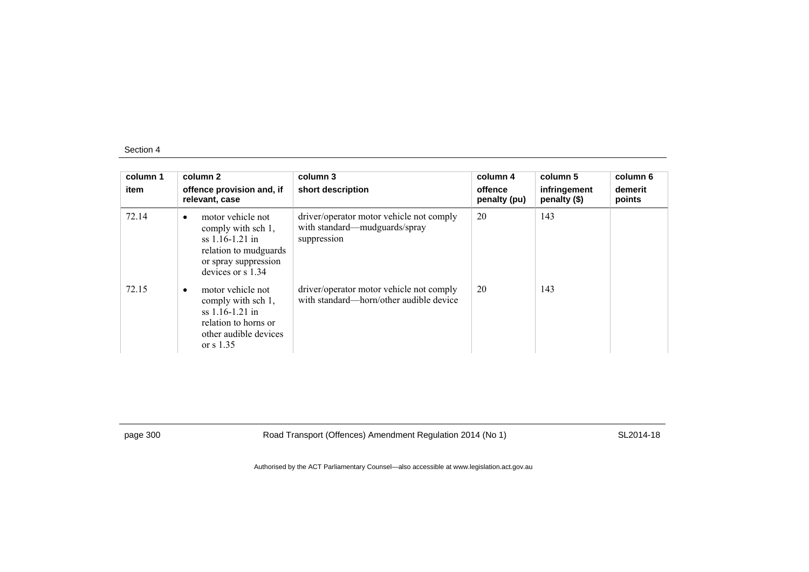| column 1<br>item | column 2<br>offence provision and, if<br>relevant, case                                                                                         | column 3<br>short description                                                            | column 4<br>offence<br>penalty (pu) | column 5<br>infringement<br>penalty (\$) | column 6<br>demerit<br>points |
|------------------|-------------------------------------------------------------------------------------------------------------------------------------------------|------------------------------------------------------------------------------------------|-------------------------------------|------------------------------------------|-------------------------------|
| 72.14            | motor vehicle not<br>$\bullet$<br>comply with sch 1,<br>$ss$ 1.16-1.21 in<br>relation to mudguards<br>or spray suppression<br>devices or s 1.34 | driver/operator motor vehicle not comply<br>with standard—mudguards/spray<br>suppression | 20                                  | 143                                      |                               |
| 72.15            | motor vehicle not<br>comply with sch 1,<br>$ss$ 1.16-1.21 in<br>relation to horns or<br>other audible devices<br>or $\frac{1.35}{2}$            | driver/operator motor vehicle not comply<br>with standard—horn/other audible device      | 20                                  | 143                                      |                               |

page 300 Road Transport (Offences) Amendment Regulation 2014 (No 1) SL2014-18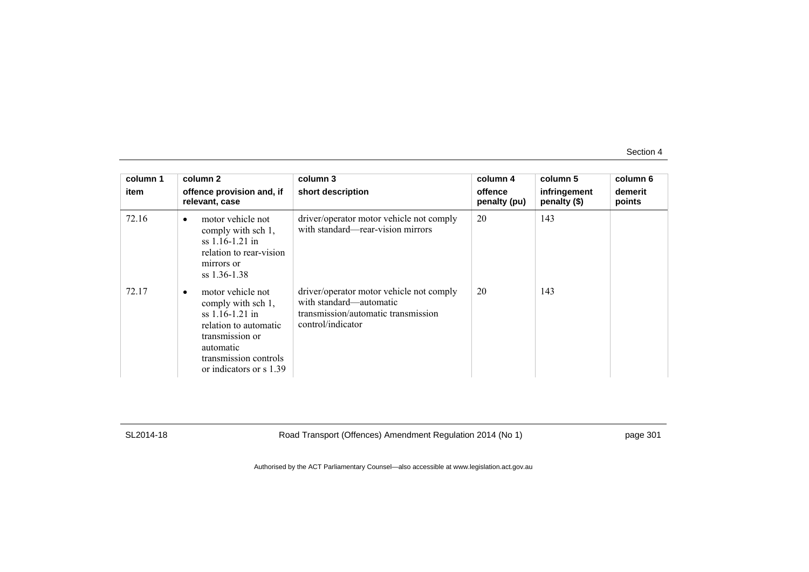| column 1<br>item | column 2<br>offence provision and, if<br>relevant, case                                                                                                                   | column 3<br>short description                                                                                                   | column 4<br>offence<br>penalty (pu) | column 5<br>infringement<br>penalty (\$) | column 6<br>demerit<br>points |
|------------------|---------------------------------------------------------------------------------------------------------------------------------------------------------------------------|---------------------------------------------------------------------------------------------------------------------------------|-------------------------------------|------------------------------------------|-------------------------------|
| 72.16            | motor vehicle not<br>$\bullet$<br>comply with sch 1,<br>ss 1.16-1.21 in<br>relation to rear-vision<br>mirrors or<br>$ss$ 1.36-1.38                                        | driver/operator motor vehicle not comply<br>with standard—rear-vision mirrors                                                   | 20                                  | 143                                      |                               |
| 72.17            | motor vehicle not<br>comply with sch 1,<br>$ss$ 1.16-1.21 in<br>relation to automatic<br>transmission or<br>automatic<br>transmission controls<br>or indicators or s 1.39 | driver/operator motor vehicle not comply<br>with standard—automatic<br>transmission/automatic transmission<br>control/indicator | 20                                  | 143                                      |                               |

SL2014-18 Road Transport (Offences) Amendment Regulation 2014 (No 1) page 301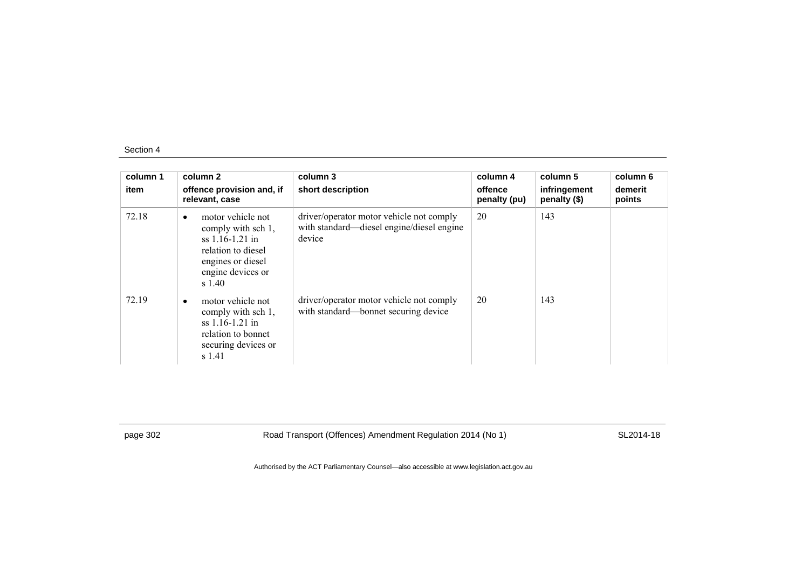| column 1<br>item | column 2<br>offence provision and, if<br>relevant, case                                                                                   | column 3<br>short description                                                                   | column 4<br>offence<br>penalty (pu) | column 5<br>infringement<br>penalty (\$) | column 6<br>demerit<br>points |
|------------------|-------------------------------------------------------------------------------------------------------------------------------------------|-------------------------------------------------------------------------------------------------|-------------------------------------|------------------------------------------|-------------------------------|
| 72.18            | motor vehicle not<br>٠<br>comply with sch 1,<br>ss 1.16-1.21 in<br>relation to diesel<br>engines or diesel<br>engine devices or<br>s 1.40 | driver/operator motor vehicle not comply<br>with standard—diesel engine/diesel engine<br>device | 20                                  | 143                                      |                               |
| 72.19            | motor vehicle not<br>comply with sch 1,<br>$ss$ 1.16-1.21 in<br>relation to bonnet<br>securing devices or<br>s 1.41                       | driver/operator motor vehicle not comply<br>with standard—bonnet securing device                | 20                                  | 143                                      |                               |

page 302 Road Transport (Offences) Amendment Regulation 2014 (No 1) SL2014-18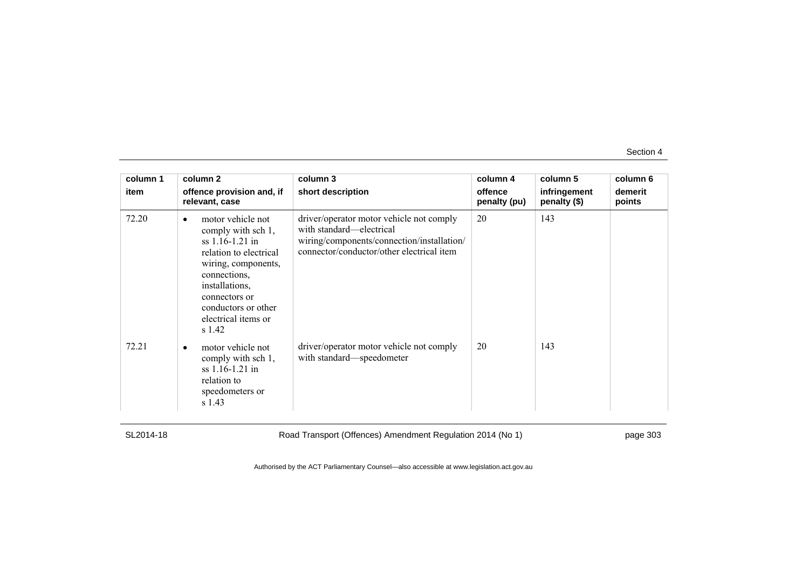| column 1<br>item | column 2<br>offence provision and, if<br>relevant, case                                                                                                                                                                  | column 3<br>short description                                                                                                                                   | column 4<br>offence<br>penalty (pu) | column 5<br>infringement<br>penalty (\$) | column 6<br>demerit<br>points |
|------------------|--------------------------------------------------------------------------------------------------------------------------------------------------------------------------------------------------------------------------|-----------------------------------------------------------------------------------------------------------------------------------------------------------------|-------------------------------------|------------------------------------------|-------------------------------|
| 72.20            | motor vehicle not<br>comply with sch 1,<br>$ss$ 1.16-1.21 in<br>relation to electrical<br>wiring, components,<br>connections,<br>installations,<br>connectors or<br>conductors or other<br>electrical items or<br>s 1.42 | driver/operator motor vehicle not comply<br>with standard—electrical<br>wiring/components/connection/installation/<br>connector/conductor/other electrical item | 20                                  | 143                                      |                               |
| 72.21            | motor vehicle not<br>comply with sch 1,<br>ss 1.16-1.21 in<br>relation to<br>speedometers or<br>s 1.43                                                                                                                   | driver/operator motor vehicle not comply<br>with standard—speedometer                                                                                           | 20                                  | 143                                      |                               |

SL2014-18 Road Transport (Offences) Amendment Regulation 2014 (No 1) page 303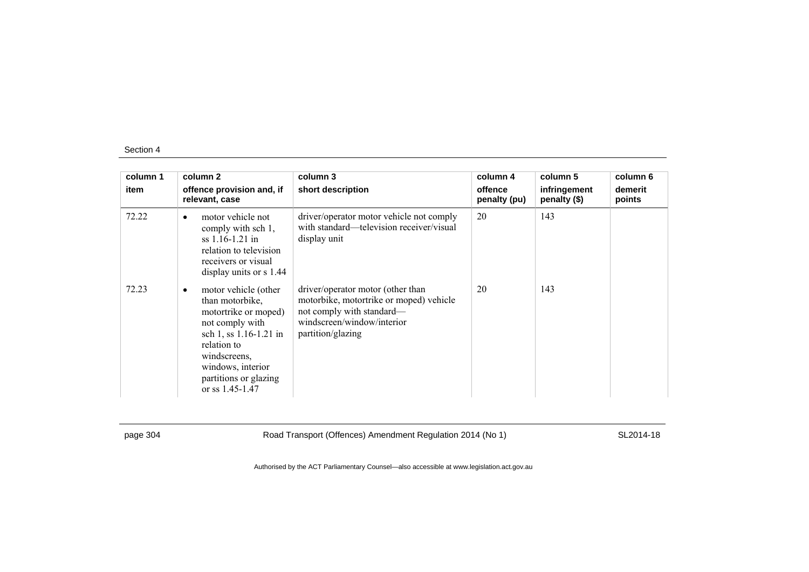| column 1 | column 2                                                                                                                                                                                                         | column 3                                                                                                                                                     | column 4                | column 5                     | column 6          |
|----------|------------------------------------------------------------------------------------------------------------------------------------------------------------------------------------------------------------------|--------------------------------------------------------------------------------------------------------------------------------------------------------------|-------------------------|------------------------------|-------------------|
| item     | offence provision and, if<br>relevant, case                                                                                                                                                                      | short description                                                                                                                                            | offence<br>penalty (pu) | infringement<br>penalty (\$) | demerit<br>points |
| 72.22    | motor vehicle not<br>$\bullet$<br>comply with sch 1,<br>$ss$ 1.16-1.21 in<br>relation to television<br>receivers or visual<br>display units or $s$ 1.44                                                          | driver/operator motor vehicle not comply<br>with standard—television receiver/visual<br>display unit                                                         | 20                      | 143                          |                   |
| 72.23    | motor vehicle (other<br>than motorbike,<br>motortrike or moped)<br>not comply with<br>sch 1, ss 1.16-1.21 in<br>relation to<br>windscreens.<br>windows, interior<br>partitions or glazing<br>or ss $1.45 - 1.47$ | driver/operator motor (other than<br>motorbike, motortrike or moped) vehicle<br>not comply with standard-<br>windscreen/window/interior<br>partition/glazing | 20                      | 143                          |                   |

page 304 Road Transport (Offences) Amendment Regulation 2014 (No 1) SL2014-18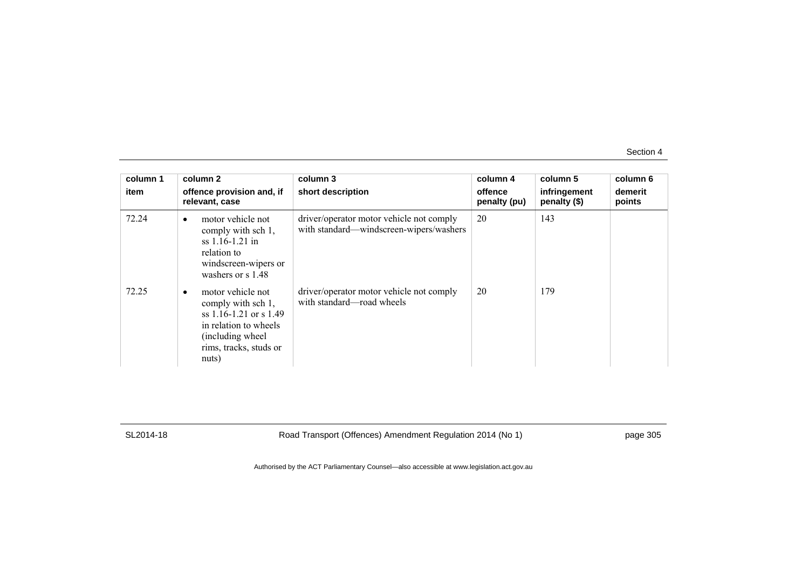| column 1<br>item | column 2<br>offence provision and, if<br>relevant, case                                                                                                               | column 3<br>short description                                                       | column 4<br>offence<br>penalty (pu) | column 5<br>infringement<br>penalty (\$) | column 6<br>demerit<br>points |
|------------------|-----------------------------------------------------------------------------------------------------------------------------------------------------------------------|-------------------------------------------------------------------------------------|-------------------------------------|------------------------------------------|-------------------------------|
| 72.24            | motor vehicle not<br>$\bullet$<br>comply with sch 1,<br>ss 1.16-1.21 in<br>relation to<br>windscreen-wipers or<br>washers or s 1.48                                   | driver/operator motor vehicle not comply<br>with standard—windscreen-wipers/washers | 20                                  | 143                                      |                               |
| 72.25            | motor vehicle not<br>$\bullet$<br>comply with sch 1,<br>ss $1.16 - 1.21$ or s $1.49$<br>in relation to wheels<br>(including wheel)<br>rims, tracks, studs or<br>nuts) | driver/operator motor vehicle not comply<br>with standard—road wheels               | 20                                  | 179                                      |                               |

SL2014-18 Road Transport (Offences) Amendment Regulation 2014 (No 1) page 305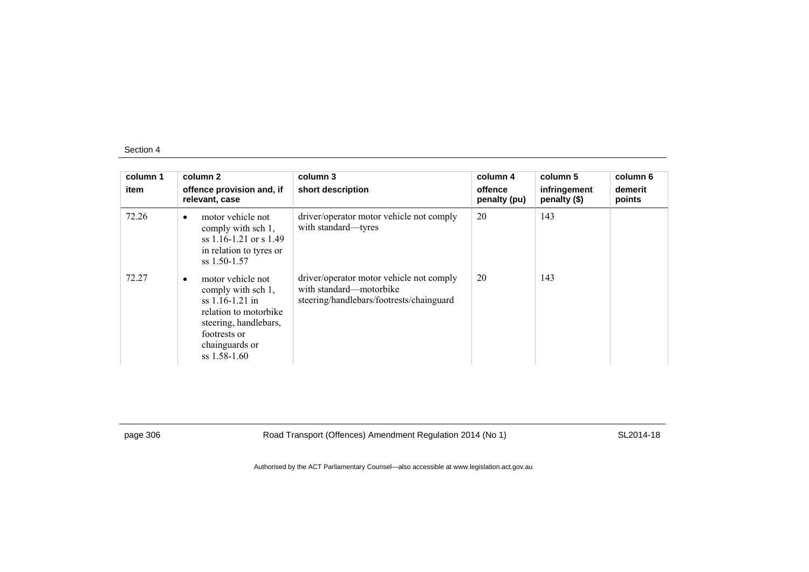| column 1<br>item | column 2<br>offence provision and, if<br>relevant, case                                                                                                                         | column 3<br>short description                                                                                   | column 4<br>offence<br>penalty (pu) | column 5<br>infringement<br>penalty (\$) | column 6<br>demerit<br>points |
|------------------|---------------------------------------------------------------------------------------------------------------------------------------------------------------------------------|-----------------------------------------------------------------------------------------------------------------|-------------------------------------|------------------------------------------|-------------------------------|
| 72.26            | motor vehicle not<br>$\bullet$<br>comply with sch 1,<br>ss $1.16 - 1.21$ or s $1.49$<br>in relation to tyres or<br>$ss$ 1.50-1.57                                               | driver/operator motor vehicle not comply<br>with standard—tyres                                                 | 20                                  | 143                                      |                               |
| 72.27            | motor vehicle not<br>$\bullet$<br>comply with sch 1,<br>$ss$ 1.16-1.21 in<br>relation to motorbike<br>steering, handlebars,<br>footrests or<br>chainguards or<br>$ss$ 1.58-1.60 | driver/operator motor vehicle not comply<br>with standard—motorbike<br>steering/handlebars/footrests/chainguard | 20                                  | 143                                      |                               |

page 306 Road Transport (Offences) Amendment Regulation 2014 (No 1) SL2014-18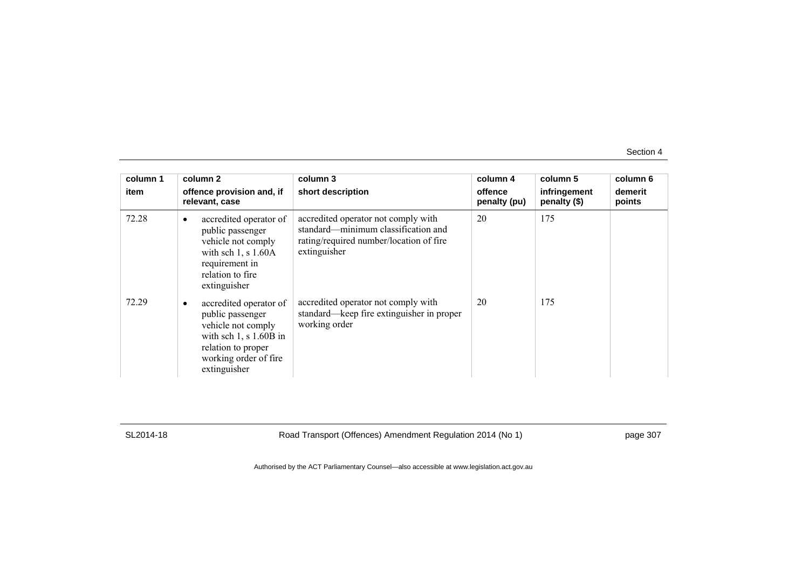| column 1<br>item | column 2<br>offence provision and, if<br>relevant, case                                                                                                        | column 3<br>short description                                                                                                         | column 4<br>offence<br>penalty (pu) | column 5<br>infringement<br>penalty (\$) | column 6<br>demerit<br>points |
|------------------|----------------------------------------------------------------------------------------------------------------------------------------------------------------|---------------------------------------------------------------------------------------------------------------------------------------|-------------------------------------|------------------------------------------|-------------------------------|
| 72.28            | accredited operator of<br>public passenger<br>vehicle not comply<br>with sch $1$ , s $1.60A$<br>requirement in<br>relation to fire<br>extinguisher             | accredited operator not comply with<br>standard—minimum classification and<br>rating/required number/location of fire<br>extinguisher | 20                                  | 175                                      |                               |
| 72.29            | accredited operator of<br>public passenger<br>vehicle not comply<br>with sch $1$ , s $1.60B$ in<br>relation to proper<br>working order of fire<br>extinguisher | accredited operator not comply with<br>standard—keep fire extinguisher in proper<br>working order                                     | 20                                  | 175                                      |                               |

SL2014-18 Road Transport (Offences) Amendment Regulation 2014 (No 1) page 307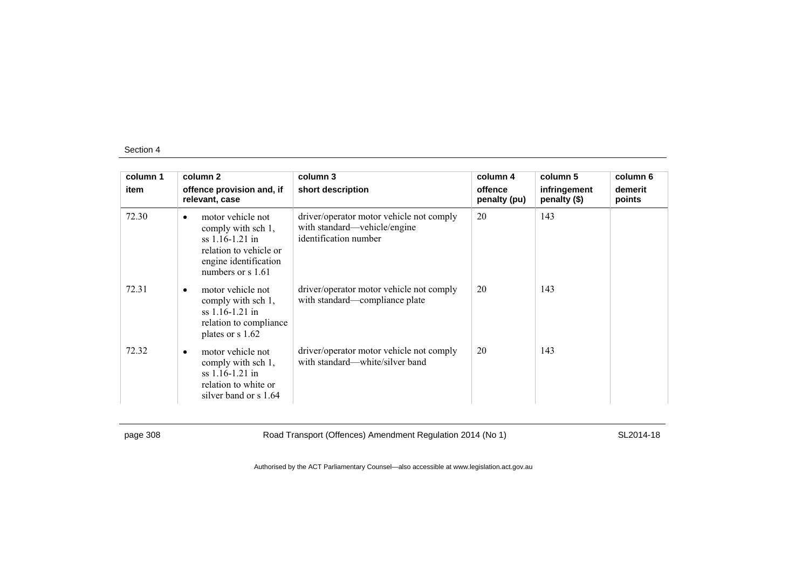| column 1 | column 2                                                                                                                                            | column 3                                                                                          | column 4                | column 5                     | column 6          |
|----------|-----------------------------------------------------------------------------------------------------------------------------------------------------|---------------------------------------------------------------------------------------------------|-------------------------|------------------------------|-------------------|
| item     | offence provision and, if<br>relevant, case                                                                                                         | short description                                                                                 | offence<br>penalty (pu) | infringement<br>penalty (\$) | demerit<br>points |
| 72.30    | motor vehicle not<br>$\bullet$<br>comply with sch 1,<br>$ss$ 1.16-1.21 in<br>relation to vehicle or<br>engine identification<br>numbers or $s$ 1.61 | driver/operator motor vehicle not comply<br>with standard—vehicle/engine<br>identification number | 20                      | 143                          |                   |
| 72.31    | motor vehicle not<br>$\bullet$<br>comply with sch 1,<br>ss 1.16-1.21 in<br>relation to compliance<br>plates or s 1.62                               | driver/operator motor vehicle not comply<br>with standard—compliance plate                        | 20                      | 143                          |                   |
| 72.32    | motor vehicle not<br>$\bullet$<br>comply with sch 1,<br>$ss$ 1.16-1.21 in<br>relation to white or<br>silver band or s 1.64                          | driver/operator motor vehicle not comply<br>with standard—white/silver band                       | 20                      | 143                          |                   |

page 308 Road Transport (Offences) Amendment Regulation 2014 (No 1) SL2014-18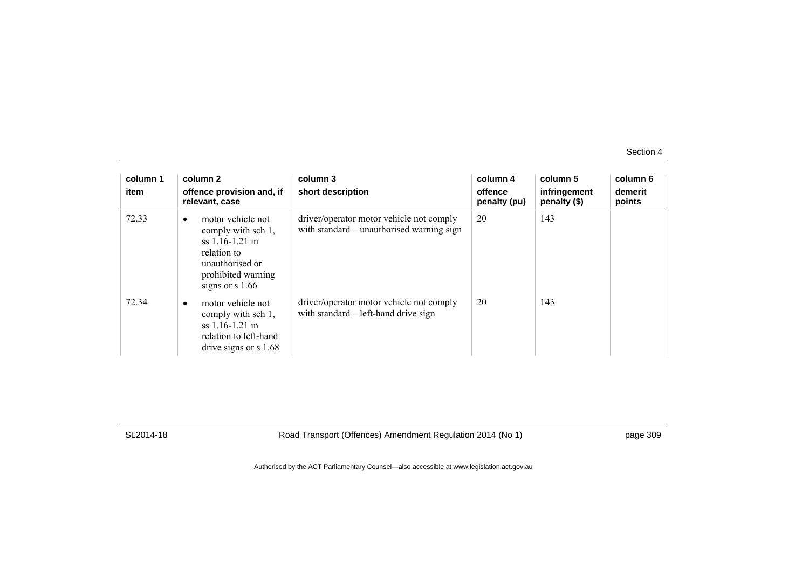| column 1<br>item | column 2<br>offence provision and, if<br>relevant, case                                                                                                | column 3<br>short description                                                       | column 4<br>offence<br>penalty (pu) | column 5<br>infringement<br>penalty (\$) | column 6<br>demerit<br>points |
|------------------|--------------------------------------------------------------------------------------------------------------------------------------------------------|-------------------------------------------------------------------------------------|-------------------------------------|------------------------------------------|-------------------------------|
| 72.33            | motor vehicle not<br>$\bullet$<br>comply with sch 1,<br>$ss$ 1.16-1.21 in<br>relation to<br>unauthorised or<br>prohibited warning<br>signs or $s$ 1.66 | driver/operator motor vehicle not comply<br>with standard—unauthorised warning sign | 20                                  | 143                                      |                               |
| 72.34            | motor vehicle not<br>comply with sch 1,<br>$ss$ 1.16-1.21 in<br>relation to left-hand<br>drive signs or $s$ 1.68                                       | driver/operator motor vehicle not comply<br>with standard—left-hand drive sign      | 20                                  | 143                                      |                               |

SL2014-18 Road Transport (Offences) Amendment Regulation 2014 (No 1) page 309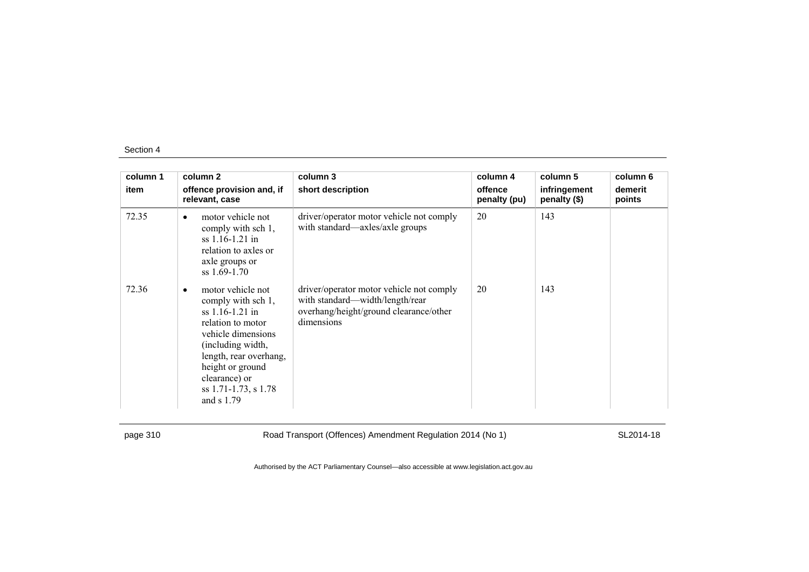| column 1 | column 2                                                                                                                                                                                                                                         | column 3                                                                                                                            | column 4                | column 5                     | column 6          |
|----------|--------------------------------------------------------------------------------------------------------------------------------------------------------------------------------------------------------------------------------------------------|-------------------------------------------------------------------------------------------------------------------------------------|-------------------------|------------------------------|-------------------|
| item     | offence provision and, if<br>relevant, case                                                                                                                                                                                                      | short description                                                                                                                   | offence<br>penalty (pu) | infringement<br>penalty (\$) | demerit<br>points |
| 72.35    | motor vehicle not<br>$\bullet$<br>comply with sch 1,<br>$ss$ 1.16-1.21 in<br>relation to axles or<br>axle groups or<br>$ss$ 1.69-1.70                                                                                                            | driver/operator motor vehicle not comply<br>with standard—axles/axle groups                                                         | 20                      | 143                          |                   |
| 72.36    | motor vehicle not<br>$\bullet$<br>comply with sch 1,<br>$ss$ 1.16-1.21 in<br>relation to motor<br>vehicle dimensions<br>(including width,<br>length, rear overhang,<br>height or ground<br>clearance) or<br>ss 1.71-1.73, s 1.78<br>and $s$ 1.79 | driver/operator motor vehicle not comply<br>with standard—width/length/rear<br>overhang/height/ground clearance/other<br>dimensions | 20                      | 143                          |                   |

page 310 Road Transport (Offences) Amendment Regulation 2014 (No 1) SL2014-18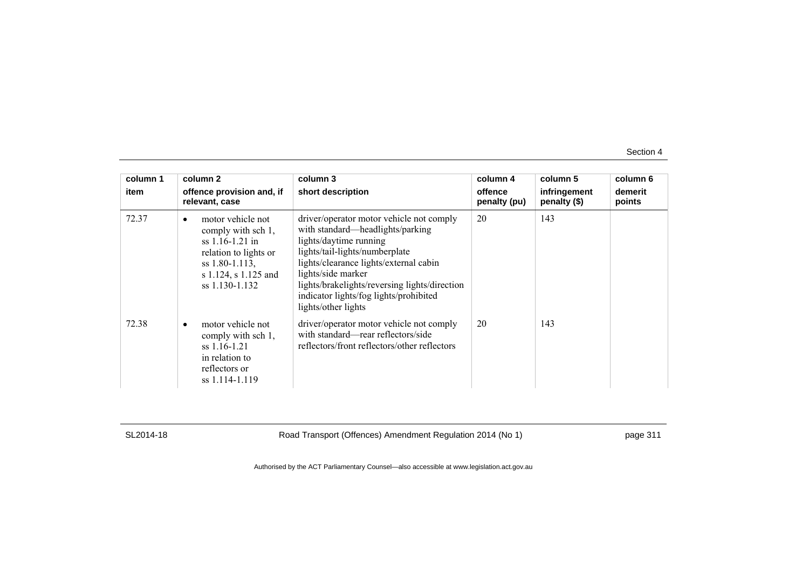| column 1 | column 2                                                                                                                                          | column 3                                                                                                                                                                                                                                                                                                                   | column 4                | column 5                     | column 6          |
|----------|---------------------------------------------------------------------------------------------------------------------------------------------------|----------------------------------------------------------------------------------------------------------------------------------------------------------------------------------------------------------------------------------------------------------------------------------------------------------------------------|-------------------------|------------------------------|-------------------|
| item     | offence provision and, if<br>relevant, case                                                                                                       | short description                                                                                                                                                                                                                                                                                                          | offence<br>penalty (pu) | infringement<br>penalty (\$) | demerit<br>points |
| 72.37    | motor vehicle not<br>comply with sch 1,<br>$ss$ 1.16-1.21 in<br>relation to lights or<br>ss 1.80-1.113,<br>s 1.124, s 1.125 and<br>ss 1.130-1.132 | driver/operator motor vehicle not comply<br>with standard—headlights/parking<br>lights/daytime running<br>lights/tail-lights/numberplate<br>lights/clearance lights/external cabin<br>lights/side marker<br>lights/brakelights/reversing lights/direction<br>indicator lights/fog lights/prohibited<br>lights/other lights | 20                      | 143                          |                   |
| 72.38    | motor vehicle not<br>comply with sch 1,<br>$ss$ 1.16-1.21<br>in relation to<br>reflectors or<br>ss 1.114-1.119                                    | driver/operator motor vehicle not comply<br>with standard—rear reflectors/side<br>reflectors/front reflectors/other reflectors                                                                                                                                                                                             | 20                      | 143                          |                   |

SL2014-18 Road Transport (Offences) Amendment Regulation 2014 (No 1) page 311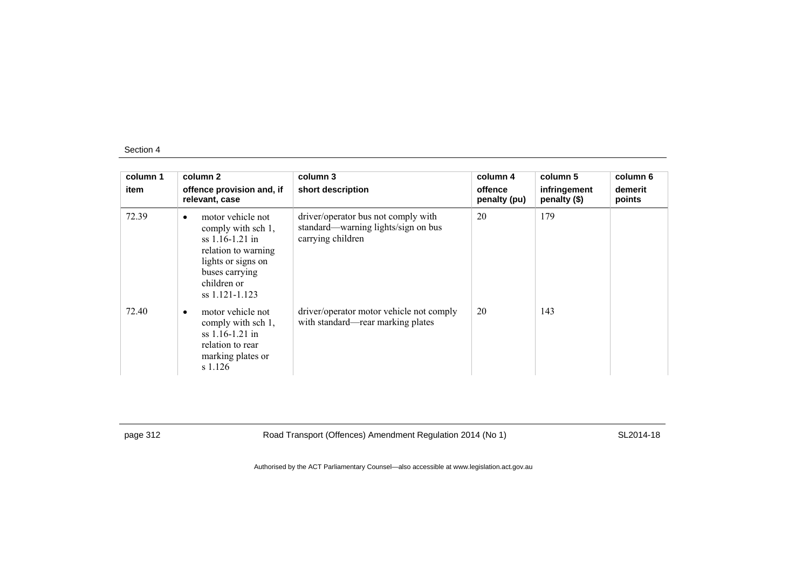| column 1<br>item | column 2<br>offence provision and, if<br>relevant, case                                                                                                                   | column 3<br>short description                                                                   | column 4<br>offence<br>penalty (pu) | column 5<br>infringement<br>penalty (\$) | column 6<br>demerit<br>points |
|------------------|---------------------------------------------------------------------------------------------------------------------------------------------------------------------------|-------------------------------------------------------------------------------------------------|-------------------------------------|------------------------------------------|-------------------------------|
| 72.39            | motor vehicle not<br>$\bullet$<br>comply with sch 1,<br>$ss$ 1.16-1.21 in<br>relation to warning<br>lights or signs on<br>buses carrying<br>children or<br>ss 1.121-1.123 | driver/operator bus not comply with<br>standard—warning lights/sign on bus<br>carrying children | 20                                  | 179                                      |                               |
| 72.40            | motor vehicle not<br>$\bullet$<br>comply with sch 1,<br>$ss$ 1.16-1.21 in<br>relation to rear<br>marking plates or<br>s 1.126                                             | driver/operator motor vehicle not comply<br>with standard—rear marking plates                   | 20                                  | 143                                      |                               |

page 312 Road Transport (Offences) Amendment Regulation 2014 (No 1) SL2014-18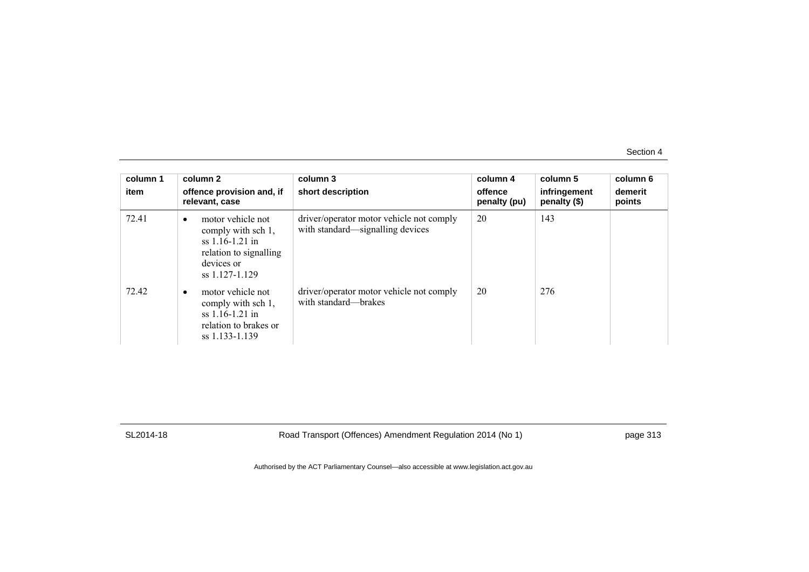| column 1<br>item | column 2<br>offence provision and, if<br>relevant, case                                                                             | column 3<br>short description                                                | column 4<br>offence<br>penalty (pu) | column 5<br>infringement<br>penalty (\$) | column 6<br>demerit<br>points |
|------------------|-------------------------------------------------------------------------------------------------------------------------------------|------------------------------------------------------------------------------|-------------------------------------|------------------------------------------|-------------------------------|
| 72.41            | motor vehicle not<br>$\bullet$<br>comply with sch 1,<br>$ss$ 1.16-1.21 in<br>relation to signalling<br>devices or<br>ss 1.127-1.129 | driver/operator motor vehicle not comply<br>with standard—signalling devices | 20                                  | 143                                      |                               |
| 72.42            | motor vehicle not<br>$\bullet$<br>comply with sch 1,<br>ss $1.16 - 1.21$ in<br>relation to brakes or<br>ss 1.133-1.139              | driver/operator motor vehicle not comply<br>with standard—brakes             | 20                                  | 276                                      |                               |

SL2014-18 Road Transport (Offences) Amendment Regulation 2014 (No 1) page 313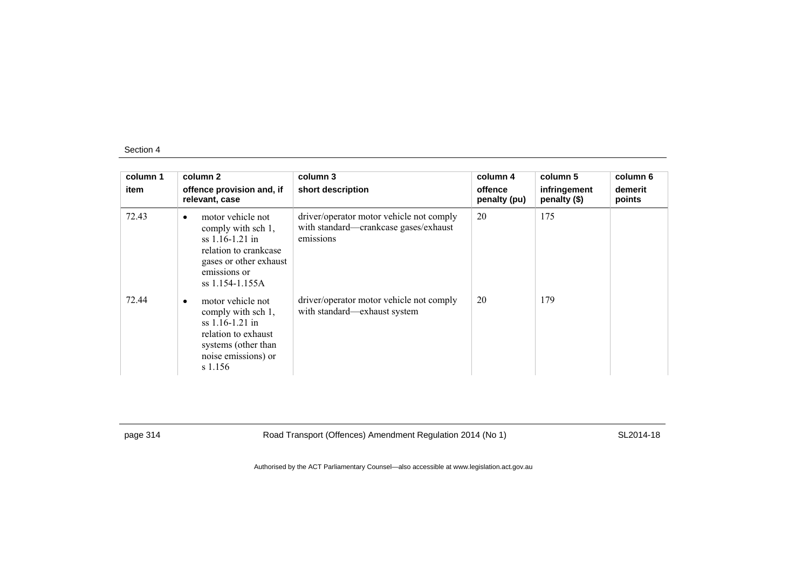| column 1<br>item | column 2<br>offence provision and, if<br>relevant, case                                                                                                         | column 3<br>short description                                                                  | column 4<br>offence<br>penalty (pu) | column 5<br>infringement<br>penalty (\$) | column 6<br>demerit<br>points |
|------------------|-----------------------------------------------------------------------------------------------------------------------------------------------------------------|------------------------------------------------------------------------------------------------|-------------------------------------|------------------------------------------|-------------------------------|
| 72.43            | motor vehicle not<br>$\bullet$<br>comply with sch 1,<br>$ss$ 1.16-1.21 in<br>relation to crankcase<br>gases or other exhaust<br>emissions or<br>ss 1.154-1.155A | driver/operator motor vehicle not comply<br>with standard-crankcase gases/exhaust<br>emissions | 20                                  | 175                                      |                               |
| 72.44            | motor vehicle not<br>$\bullet$<br>comply with sch 1,<br>$ss$ 1.16-1.21 in<br>relation to exhaust<br>systems (other than<br>noise emissions) or<br>s 1.156       | driver/operator motor vehicle not comply<br>with standard-exhaust system                       | 20                                  | 179                                      |                               |

page 314 Road Transport (Offences) Amendment Regulation 2014 (No 1) SL2014-18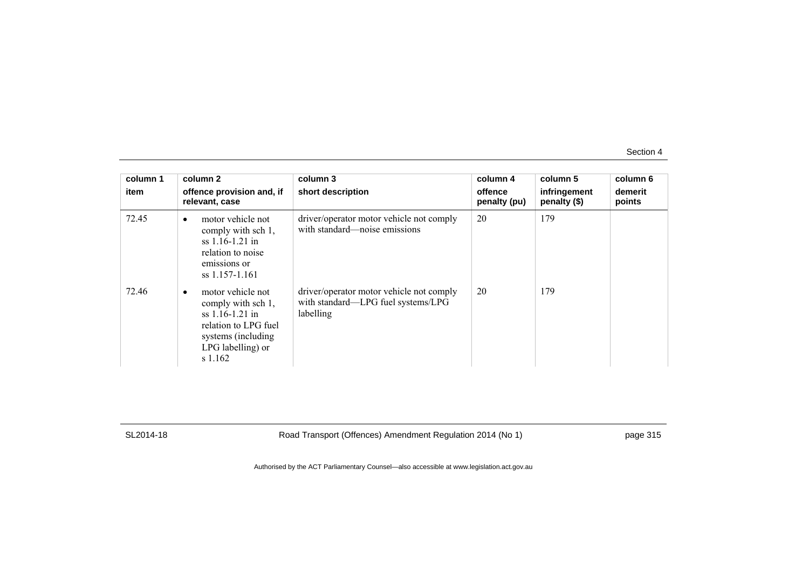| column 1<br>item | column 2<br>offence provision and, if<br>relevant, case                                                                                          | column 3<br>short description                                                               | column 4<br>offence<br>penalty (pu) | column 5<br>infringement<br>penalty (\$) | column 6<br>demerit<br>points |
|------------------|--------------------------------------------------------------------------------------------------------------------------------------------------|---------------------------------------------------------------------------------------------|-------------------------------------|------------------------------------------|-------------------------------|
| 72.45            | motor vehicle not<br>$\bullet$<br>comply with sch 1,<br>$ss$ 1.16-1.21 in<br>relation to noise<br>emissions or<br>ss 1.157-1.161                 | driver/operator motor vehicle not comply<br>with standard—noise emissions                   | 20                                  | 179                                      |                               |
| 72.46            | motor vehicle not<br>٠<br>comply with sch 1,<br>$ss$ 1.16-1.21 in<br>relation to LPG fuel<br>systems (including)<br>LPG labelling) or<br>s 1.162 | driver/operator motor vehicle not comply<br>with standard—LPG fuel systems/LPG<br>labelling | 20                                  | 179                                      |                               |

SL2014-18 Road Transport (Offences) Amendment Regulation 2014 (No 1) page 315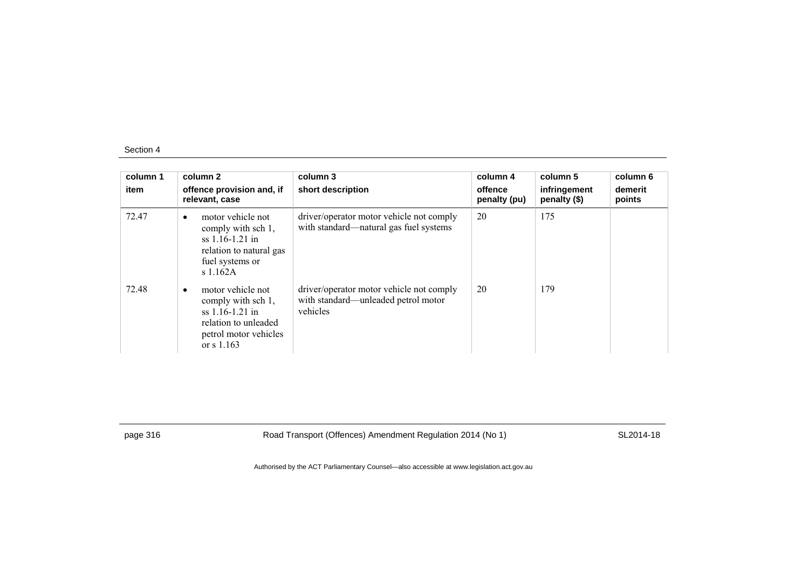| column 1<br>item | column 2<br>offence provision and, if<br>relevant, case                                                                            | column 3<br>short description                                                               | column 4<br>offence<br>penalty (pu) | column 5<br>infringement<br>penalty (\$) | column 6<br>demerit<br>points |
|------------------|------------------------------------------------------------------------------------------------------------------------------------|---------------------------------------------------------------------------------------------|-------------------------------------|------------------------------------------|-------------------------------|
| 72.47            | motor vehicle not<br>$\bullet$<br>comply with sch 1,<br>$ss$ 1.16-1.21 in<br>relation to natural gas<br>fuel systems or<br>s1.162A | driver/operator motor vehicle not comply<br>with standard—natural gas fuel systems          | 20                                  | 175                                      |                               |
| 72.48            | motor vehicle not<br>comply with sch 1,<br>$ss$ 1.16-1.21 in<br>relation to unleaded<br>petrol motor vehicles<br>or $s$ 1.163      | driver/operator motor vehicle not comply<br>with standard—unleaded petrol motor<br>vehicles | 20                                  | 179                                      |                               |

page 316 Road Transport (Offences) Amendment Regulation 2014 (No 1) SL2014-18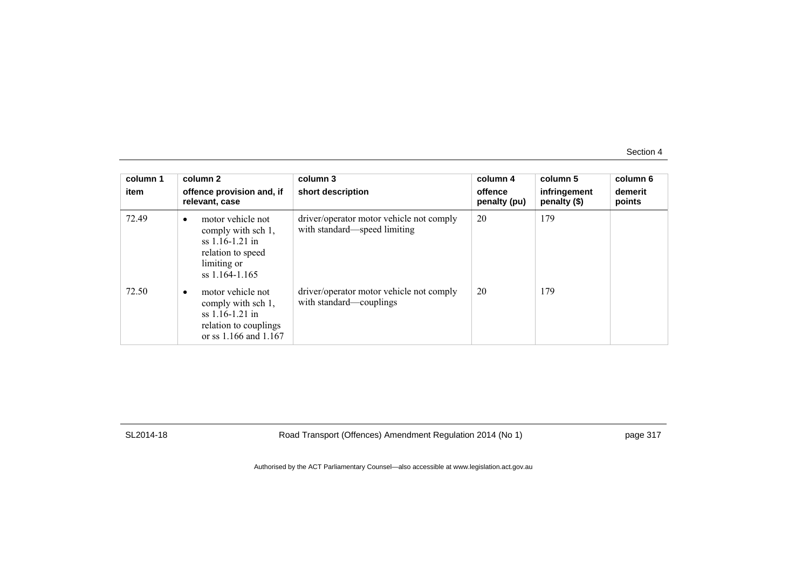| column 1<br>item | column 2<br>offence provision and, if<br>relevant, case                                                                 | column 3<br>short description                                            | column 4<br>offence<br>penalty (pu) | column 5<br>infringement<br>penalty (\$) | column 6<br>demerit<br>points |
|------------------|-------------------------------------------------------------------------------------------------------------------------|--------------------------------------------------------------------------|-------------------------------------|------------------------------------------|-------------------------------|
| 72.49            | motor vehicle not<br>٠<br>comply with sch 1,<br>$ss$ 1.16-1.21 in<br>relation to speed<br>limiting or<br>ss 1.164-1.165 | driver/operator motor vehicle not comply<br>with standard—speed limiting | 20                                  | 179                                      |                               |
| 72.50            | motor vehicle not<br>٠<br>comply with sch 1,<br>$ss$ 1.16-1.21 in<br>relation to couplings<br>or ss 1.166 and 1.167     | driver/operator motor vehicle not comply<br>with standard—couplings      | 20                                  | 179                                      |                               |

SL2014-18 Road Transport (Offences) Amendment Regulation 2014 (No 1) page 317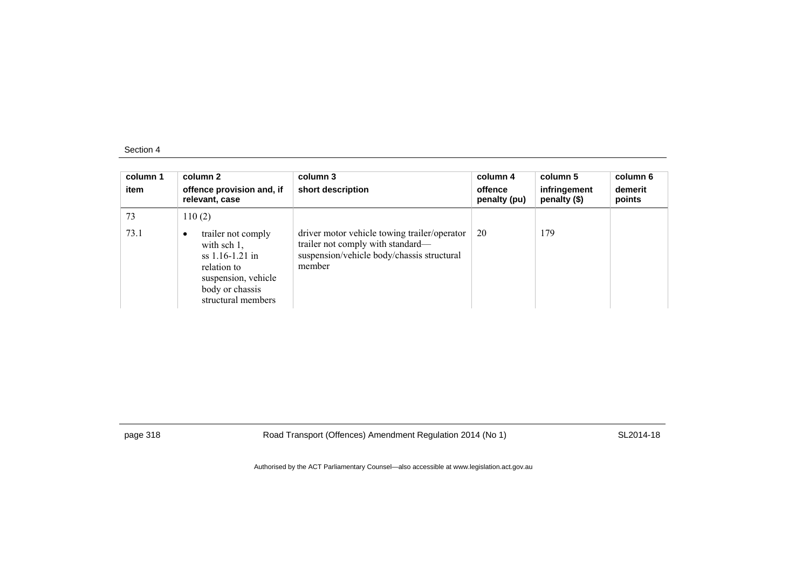| column 1<br>item | column 2<br>offence provision and, if<br>relevant, case                                                                                  | column 3<br>short description                                                                                                             | column 4<br>offence<br>penalty (pu) | column 5<br>infringement<br>penalty (\$) | column 6<br>demerit<br>points |
|------------------|------------------------------------------------------------------------------------------------------------------------------------------|-------------------------------------------------------------------------------------------------------------------------------------------|-------------------------------------|------------------------------------------|-------------------------------|
| 73               | 110(2)                                                                                                                                   |                                                                                                                                           |                                     |                                          |                               |
| 73.1             | trailer not comply<br>with $sch 1$ ,<br>$ss$ 1.16-1.21 in<br>relation to<br>suspension, vehicle<br>body or chassis<br>structural members | driver motor vehicle towing trailer/operator<br>trailer not comply with standard—<br>suspension/vehicle body/chassis structural<br>member | 20                                  | 179                                      |                               |

page 318 Road Transport (Offences) Amendment Regulation 2014 (No 1) SL2014-18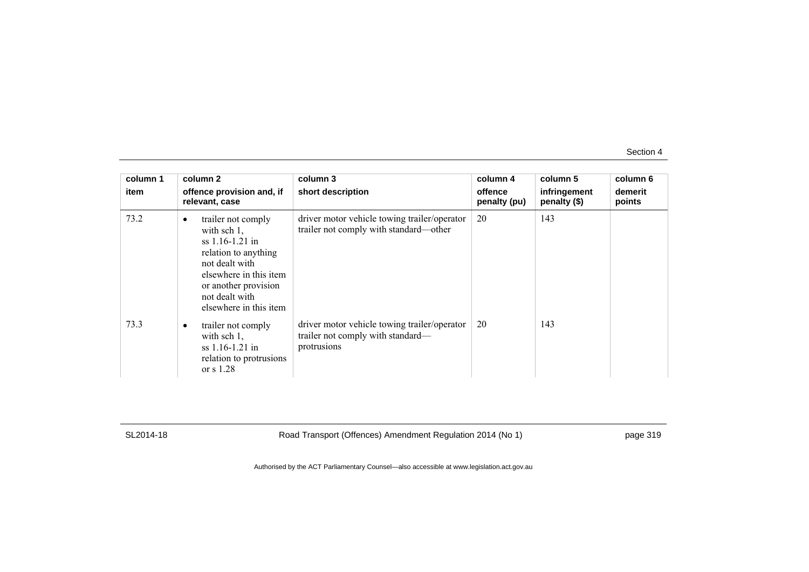| column 1 | column 2                                                                                                                                                                                                     | column 3                                                                                         | column 4                | column 5                     | column 6          |
|----------|--------------------------------------------------------------------------------------------------------------------------------------------------------------------------------------------------------------|--------------------------------------------------------------------------------------------------|-------------------------|------------------------------|-------------------|
| item     | offence provision and, if<br>relevant, case                                                                                                                                                                  | short description                                                                                | offence<br>penalty (pu) | infringement<br>penalty (\$) | demerit<br>points |
| 73.2     | trailer not comply<br>$\bullet$<br>with sch $1$ ,<br>ss 1.16-1.21 in<br>relation to anything<br>not dealt with<br>elsewhere in this item<br>or another provision<br>not dealt with<br>elsewhere in this item | driver motor vehicle towing trailer/operator<br>trailer not comply with standard—other           | 20                      | 143                          |                   |
| 73.3     | trailer not comply<br>$\bullet$<br>with $sch 1$ ,<br>$ss$ 1.16-1.21 in<br>relation to protrusions<br>or $s$ 1.28                                                                                             | driver motor vehicle towing trailer/operator<br>trailer not comply with standard—<br>protrusions | 20                      | 143                          |                   |

SL2014-18 Road Transport (Offences) Amendment Regulation 2014 (No 1) page 319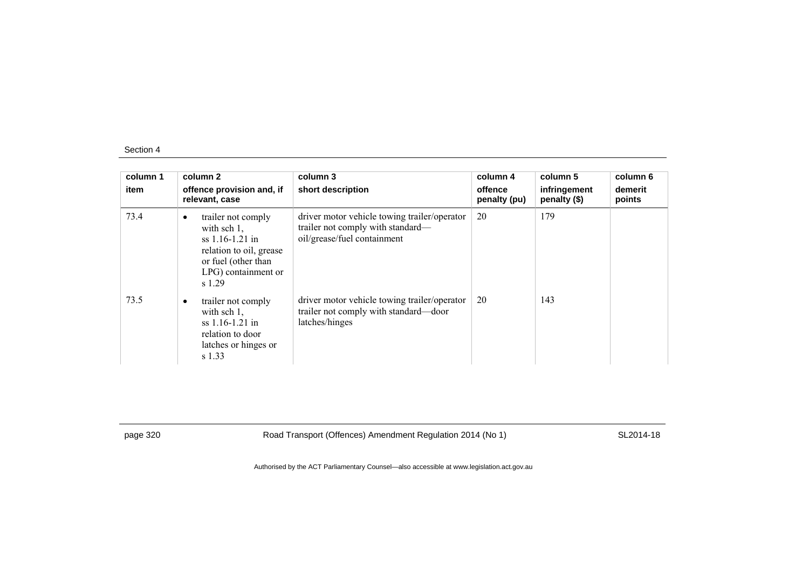| column 1<br>item | column 2<br>offence provision and, if<br>relevant, case                                                                                                   | column 3<br>short description                                                                                    | column 4<br>offence<br>penalty (pu) | column 5<br>infringement<br>penalty (\$) | column 6<br>demerit<br>points |
|------------------|-----------------------------------------------------------------------------------------------------------------------------------------------------------|------------------------------------------------------------------------------------------------------------------|-------------------------------------|------------------------------------------|-------------------------------|
| 73.4             | trailer not comply<br>$\bullet$<br>with sch $1$ ,<br>$ss$ 1.16-1.21 in<br>relation to oil, grease<br>or fuel (other than<br>LPG) containment or<br>s 1.29 | driver motor vehicle towing trailer/operator<br>trailer not comply with standard—<br>oil/grease/fuel containment | 20                                  | 179                                      |                               |
| 73.5             | trailer not comply<br>with sch $1$ ,<br>ss 1.16-1.21 in<br>relation to door<br>latches or hinges or<br>s 1.33                                             | driver motor vehicle towing trailer/operator<br>trailer not comply with standard—door<br>latches/hinges          | 20                                  | 143                                      |                               |

page 320 Road Transport (Offences) Amendment Regulation 2014 (No 1) SL2014-18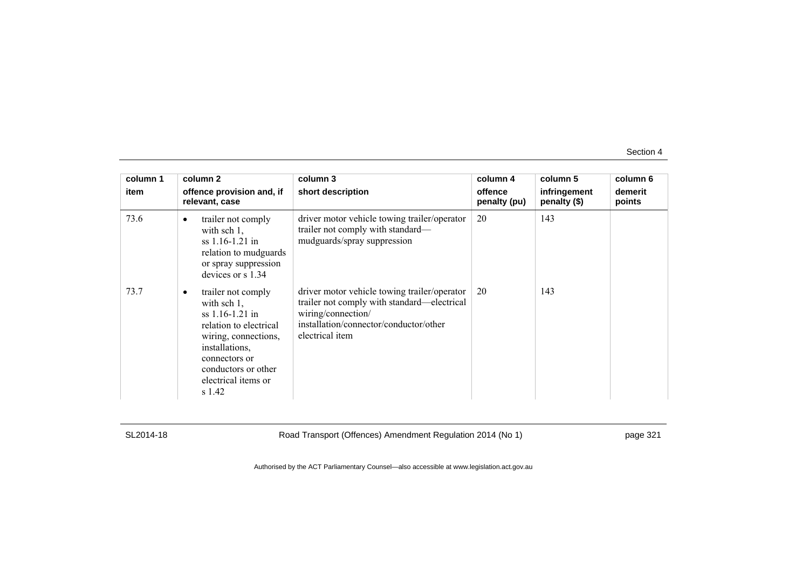| column 1 | column 2                                                                                                                                                                                                            | column 3                                                                                                                                                                       | column 4                | column 5                     | column 6          |
|----------|---------------------------------------------------------------------------------------------------------------------------------------------------------------------------------------------------------------------|--------------------------------------------------------------------------------------------------------------------------------------------------------------------------------|-------------------------|------------------------------|-------------------|
| item     | offence provision and, if<br>relevant, case                                                                                                                                                                         | short description                                                                                                                                                              | offence<br>penalty (pu) | infringement<br>penalty (\$) | demerit<br>points |
| 73.6     | trailer not comply<br>$\bullet$<br>with sch $1$ ,<br>ss 1.16-1.21 in<br>relation to mudguards<br>or spray suppression<br>devices or s 1.34                                                                          | driver motor vehicle towing trailer/operator<br>trailer not comply with standard—<br>mudguards/spray suppression                                                               | 20                      | 143                          |                   |
| 73.7     | trailer not comply<br>$\bullet$<br>with sch $1$ ,<br>$ss$ 1.16-1.21 in<br>relation to electrical<br>wiring, connections,<br>installations,<br>connectors or<br>conductors or other<br>electrical items or<br>s 1.42 | driver motor vehicle towing trailer/operator<br>trailer not comply with standard—electrical<br>wiring/connection/<br>installation/connector/conductor/other<br>electrical item | 20                      | 143                          |                   |

SL2014-18 Road Transport (Offences) Amendment Regulation 2014 (No 1) page 321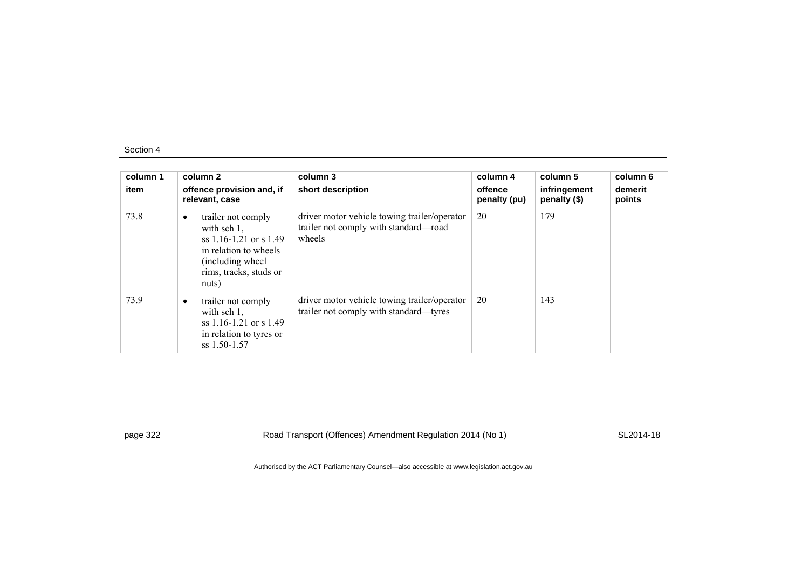| column 1<br>item | column 2<br>offence provision and, if<br>relevant, case                                                                                                            | column 3<br>short description                                                                   | column 4<br>offence<br>penalty (pu) | column 5<br>infringement<br>penalty (\$) | column 6<br>demerit<br>points |
|------------------|--------------------------------------------------------------------------------------------------------------------------------------------------------------------|-------------------------------------------------------------------------------------------------|-------------------------------------|------------------------------------------|-------------------------------|
| 73.8             | trailer not comply<br>$\bullet$<br>with sch $1$ ,<br>ss $1.16 - 1.21$ or s $1.49$<br>in relation to wheels<br>(including wheel)<br>rims, tracks, studs or<br>nuts) | driver motor vehicle towing trailer/operator<br>trailer not comply with standard-road<br>wheels | 20                                  | 179                                      |                               |
| 73.9             | trailer not comply<br>٠<br>with sch $1$ ,<br>ss $1.16 - 1.21$ or s $1.49$<br>in relation to tyres or<br>$ss$ 1.50-1.57                                             | driver motor vehicle towing trailer/operator<br>trailer not comply with standard-tyres          | 20                                  | 143                                      |                               |

page 322 Road Transport (Offences) Amendment Regulation 2014 (No 1) SL2014-18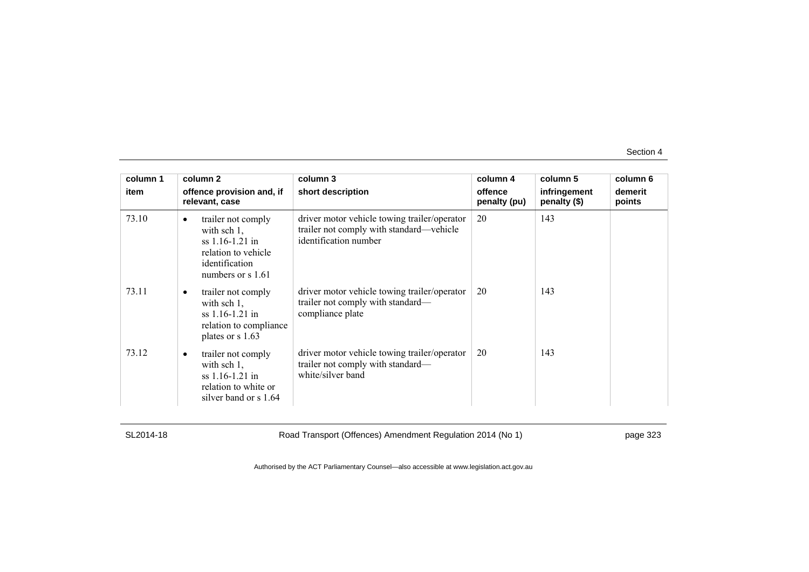| column 1<br>item | column 2<br>offence provision and, if<br>relevant, case                                                                                   | column 3<br>short description                                                                                     | column 4<br>offence<br>penalty (pu) | column 5<br>infringement<br>penalty (\$) | column 6<br>demerit<br>points |
|------------------|-------------------------------------------------------------------------------------------------------------------------------------------|-------------------------------------------------------------------------------------------------------------------|-------------------------------------|------------------------------------------|-------------------------------|
| 73.10            | trailer not comply<br>$\bullet$<br>with sch $1$ ,<br>$ss$ 1.16-1.21 in<br>relation to vehicle<br>identification<br>numbers or $\sin 1.61$ | driver motor vehicle towing trailer/operator<br>trailer not comply with standard—vehicle<br>identification number | 20                                  | 143                                      |                               |
| 73.11            | trailer not comply<br>$\bullet$<br>with sch $1$ ,<br>$ss$ 1.16-1.21 in<br>relation to compliance<br>plates or s 1.63                      | driver motor vehicle towing trailer/operator<br>trailer not comply with standard—<br>compliance plate             | 20                                  | 143                                      |                               |
| 73.12            | trailer not comply<br>with sch $1$ ,<br>$ss$ 1.16-1.21 in<br>relation to white or<br>silver band or s 1.64                                | driver motor vehicle towing trailer/operator<br>trailer not comply with standard—<br>white/silver band            | 20                                  | 143                                      |                               |

SL2014-18 Road Transport (Offences) Amendment Regulation 2014 (No 1) page 323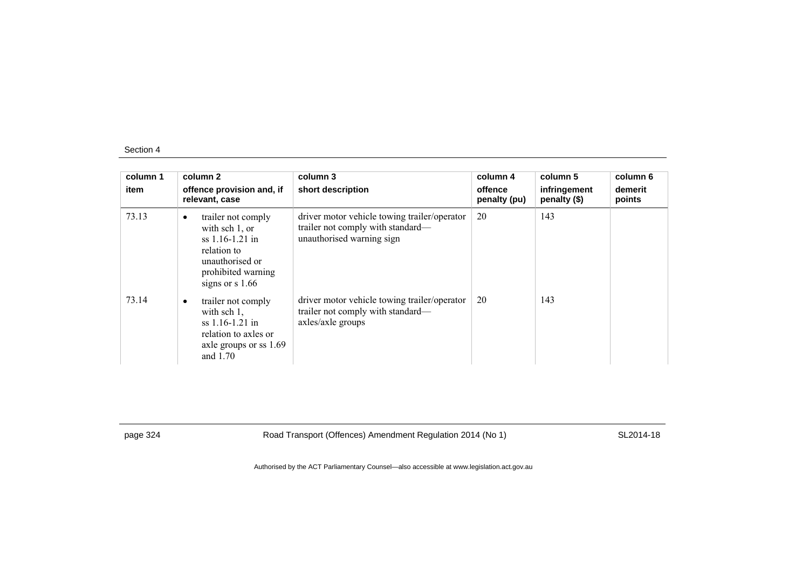| column 1<br>item | column 2<br>offence provision and, if<br>relevant, case                                                                                             | column 3<br>short description                                                                                  | column 4<br>offence<br>penalty (pu) | column 5<br>infringement<br>penalty (\$) | column 6<br>demerit<br>points |
|------------------|-----------------------------------------------------------------------------------------------------------------------------------------------------|----------------------------------------------------------------------------------------------------------------|-------------------------------------|------------------------------------------|-------------------------------|
| 73.13            | trailer not comply<br>$\bullet$<br>with sch 1, or<br>$ss$ 1.16-1.21 in<br>relation to<br>unauthorised or<br>prohibited warning<br>signs or $s$ 1.66 | driver motor vehicle towing trailer/operator<br>trailer not comply with standard—<br>unauthorised warning sign | 20                                  | 143                                      |                               |
| 73.14            | trailer not comply<br>٠<br>with sch $1$ ,<br>$ss$ 1.16-1.21 in<br>relation to axles or<br>axle groups or ss 1.69<br>and $1.70$                      | driver motor vehicle towing trailer/operator<br>trailer not comply with standard—<br>axles/axle groups         | 20                                  | 143                                      |                               |

page 324 Road Transport (Offences) Amendment Regulation 2014 (No 1) SL2014-18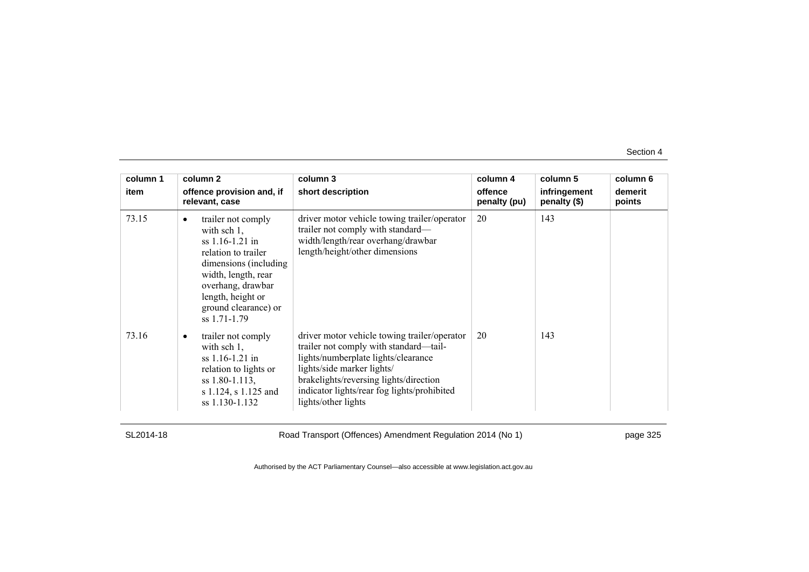| column 1 | column 2                                                                                                                                                                                                                         | column 3                                                                                                                                                                                                                                                                    | column 4                | column 5                     | column 6          |
|----------|----------------------------------------------------------------------------------------------------------------------------------------------------------------------------------------------------------------------------------|-----------------------------------------------------------------------------------------------------------------------------------------------------------------------------------------------------------------------------------------------------------------------------|-------------------------|------------------------------|-------------------|
| item     | offence provision and, if<br>relevant, case                                                                                                                                                                                      | short description                                                                                                                                                                                                                                                           | offence<br>penalty (pu) | infringement<br>penalty (\$) | demerit<br>points |
| 73.15    | trailer not comply<br>$\bullet$<br>with sch $1$ ,<br>$ss$ 1.16-1.21 in<br>relation to trailer<br>dimensions (including)<br>width, length, rear<br>overhang, drawbar<br>length, height or<br>ground clearance) or<br>ss 1.71-1.79 | driver motor vehicle towing trailer/operator<br>trailer not comply with standard—<br>width/length/rear overhang/drawbar<br>length/height/other dimensions                                                                                                                   | 20                      | 143                          |                   |
| 73.16    | trailer not comply<br>with sch $1$ ,<br>$ss$ 1.16-1.21 in<br>relation to lights or<br>ss 1.80-1.113,<br>s 1.124, s 1.125 and<br>ss 1.130-1.132                                                                                   | driver motor vehicle towing trailer/operator<br>trailer not comply with standard—tail-<br>lights/numberplate lights/clearance<br>lights/side marker lights/<br>brakelights/reversing lights/direction<br>indicator lights/rear fog lights/prohibited<br>lights/other lights | 20                      | 143                          |                   |

SL2014-18 Road Transport (Offences) Amendment Regulation 2014 (No 1) page 325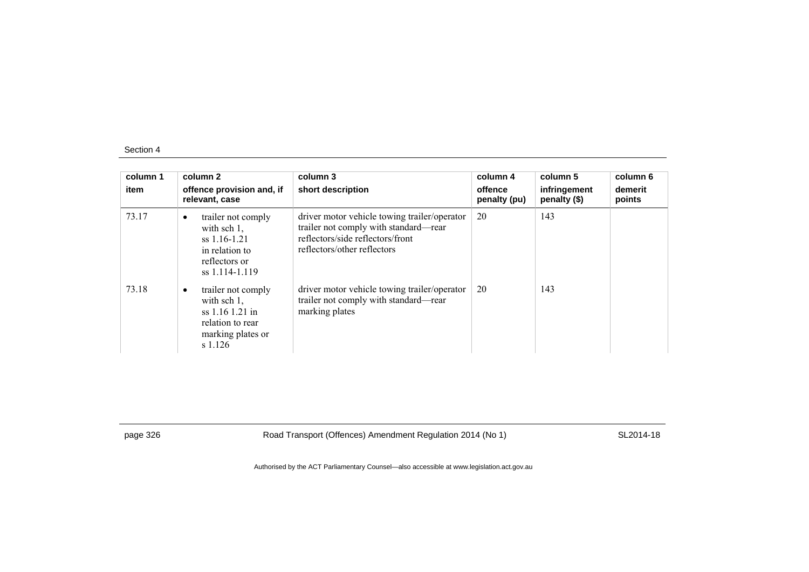| column 1<br>item | column 2<br>offence provision and, if<br>relevant, case                                                                  | column 3<br>short description                                                                                                                            | column 4<br>offence<br>penalty (pu) | column 5<br>infringement<br>penalty (\$) | column 6<br>demerit<br>points |
|------------------|--------------------------------------------------------------------------------------------------------------------------|----------------------------------------------------------------------------------------------------------------------------------------------------------|-------------------------------------|------------------------------------------|-------------------------------|
| 73.17            | trailer not comply<br>$\bullet$<br>with sch $1$ ,<br>$ss$ 1.16-1.21<br>in relation to<br>reflectors or<br>ss 1.114-1.119 | driver motor vehicle towing trailer/operator<br>trailer not comply with standard—rear<br>reflectors/side reflectors/front<br>reflectors/other reflectors | 20                                  | 143                                      |                               |
| 73.18            | trailer not comply<br>٠<br>with sch $1$ ,<br>ss 1.16 1.21 in<br>relation to rear<br>marking plates or<br>s 1.126         | driver motor vehicle towing trailer/operator<br>trailer not comply with standard—rear<br>marking plates                                                  | 20                                  | 143                                      |                               |

page 326 Road Transport (Offences) Amendment Regulation 2014 (No 1) SL2014-18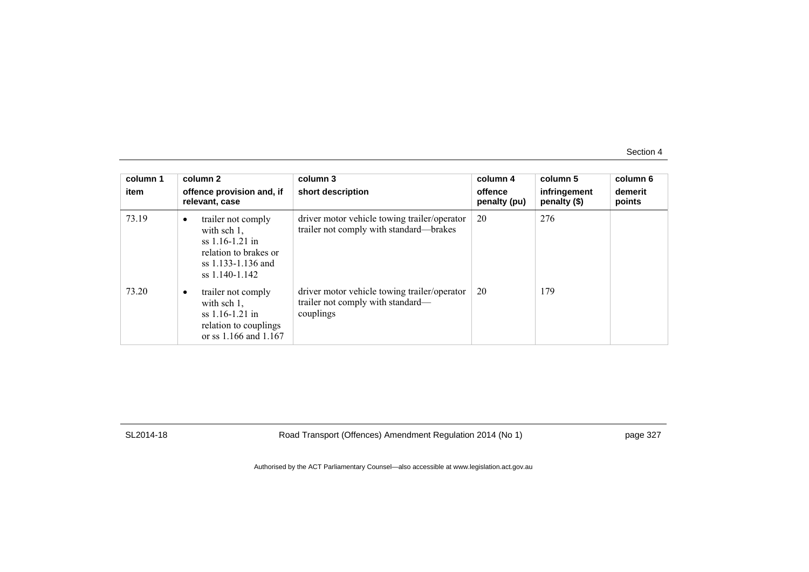| column 1<br>item | column 2<br>offence provision and, if<br>relevant, case                                                                                 | column 3<br>short description                                                                  | column 4<br>offence<br>penalty (pu) | column 5<br>infringement<br>penalty (\$) | column 6<br>demerit<br>points |
|------------------|-----------------------------------------------------------------------------------------------------------------------------------------|------------------------------------------------------------------------------------------------|-------------------------------------|------------------------------------------|-------------------------------|
| 73.19            | trailer not comply<br>$\bullet$<br>with sch $1$ ,<br>$ss$ 1.16-1.21 in<br>relation to brakes or<br>ss 1.133-1.136 and<br>ss 1.140-1.142 | driver motor vehicle towing trailer/operator<br>trailer not comply with standard-brakes        | 20                                  | 276                                      |                               |
| 73.20            | trailer not comply<br>$\bullet$<br>with sch $1$ ,<br>$ss$ 1.16-1.21 in<br>relation to couplings<br>or ss 1.166 and 1.167                | driver motor vehicle towing trailer/operator<br>trailer not comply with standard—<br>couplings | 20                                  | 179                                      |                               |

SL2014-18 Road Transport (Offences) Amendment Regulation 2014 (No 1) page 327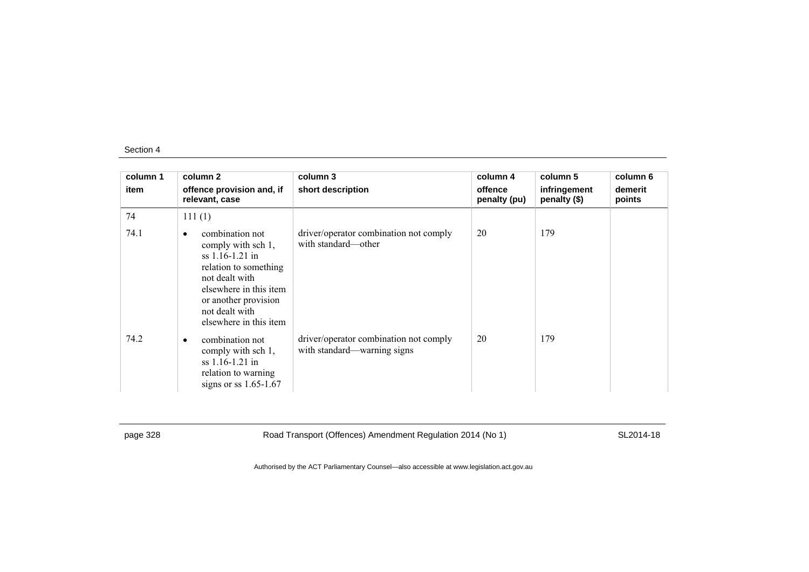| column 1 | column 2                                                                                                                                                                                               | column 3                                                              | column 4                | column 5                     | column 6          |
|----------|--------------------------------------------------------------------------------------------------------------------------------------------------------------------------------------------------------|-----------------------------------------------------------------------|-------------------------|------------------------------|-------------------|
| item     | offence provision and, if<br>relevant, case                                                                                                                                                            | short description                                                     | offence<br>penalty (pu) | infringement<br>penalty (\$) | demerit<br>points |
| 74       | 111(1)                                                                                                                                                                                                 |                                                                       |                         |                              |                   |
| 74.1     | combination not<br>٠<br>comply with sch 1,<br>ss 1.16-1.21 in<br>relation to something<br>not dealt with<br>elsewhere in this item<br>or another provision<br>not dealt with<br>elsewhere in this item | driver/operator combination not comply<br>with standard—other         | 20                      | 179                          |                   |
| 74.2     | combination not<br>٠<br>comply with sch 1,<br>$ss$ 1.16-1.21 in<br>relation to warning<br>signs or ss $1.65-1.67$                                                                                      | driver/operator combination not comply<br>with standard—warning signs | 20                      | 179                          |                   |

page 328 Road Transport (Offences) Amendment Regulation 2014 (No 1) SL2014-18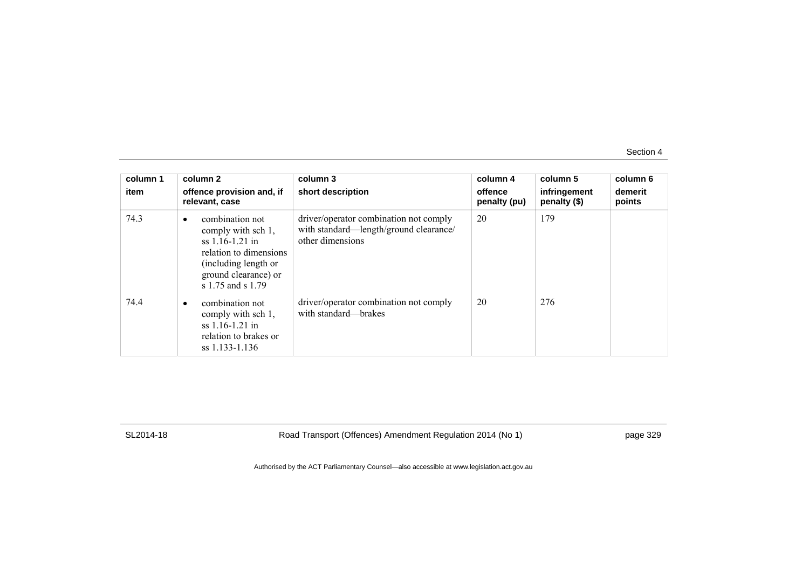| column 1<br>item | column 2<br>offence provision and, if<br>relevant, case                                                                                                 | column 3<br>short description                                                                        | column 4<br>offence<br>penalty (pu) | column 5<br>infringement<br>penalty (\$) | column 6<br>demerit<br>points |
|------------------|---------------------------------------------------------------------------------------------------------------------------------------------------------|------------------------------------------------------------------------------------------------------|-------------------------------------|------------------------------------------|-------------------------------|
| 74.3             | combination not<br>comply with sch 1,<br>ss 1.16-1.21 in<br>relation to dimensions<br>(including length or<br>ground clearance) or<br>s 1.75 and s 1.79 | driver/operator combination not comply<br>with standard—length/ground clearance/<br>other dimensions | 20                                  | 179                                      |                               |
| 74.4             | combination not<br>comply with sch 1,<br>$ss$ 1.16-1.21 in<br>relation to brakes or<br>ss 1.133-1.136                                                   | driver/operator combination not comply<br>with standard—brakes                                       | 20                                  | 276                                      |                               |

SL2014-18 Road Transport (Offences) Amendment Regulation 2014 (No 1) page 329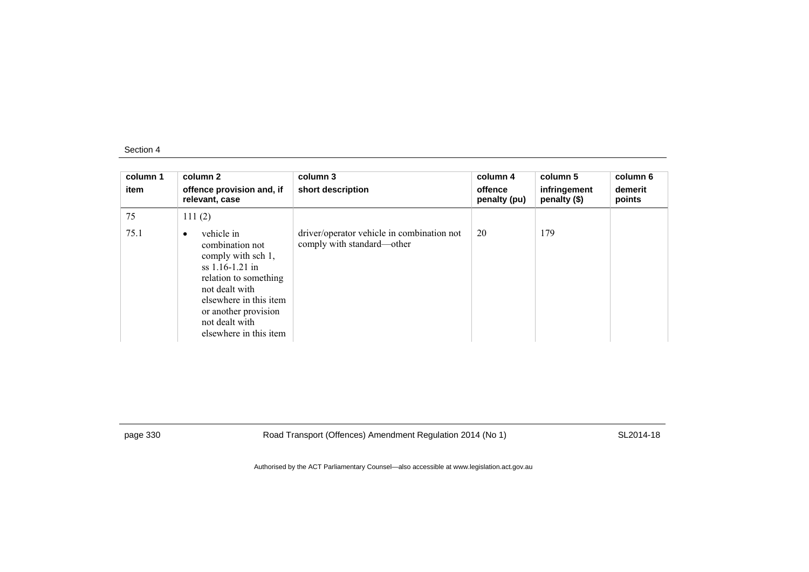| column 1<br>item | column 2<br>offence provision and, if<br>relevant, case                                                                                                                                                                        | column 3<br>short description                                            | column 4<br>offence<br>penalty (pu) | column 5<br>infringement<br>penalty (\$) | column 6<br>demerit<br>points |
|------------------|--------------------------------------------------------------------------------------------------------------------------------------------------------------------------------------------------------------------------------|--------------------------------------------------------------------------|-------------------------------------|------------------------------------------|-------------------------------|
| 75               | 111(2)                                                                                                                                                                                                                         |                                                                          |                                     |                                          |                               |
| 75.1             | vehicle in<br>$\bullet$<br>combination not<br>comply with sch 1,<br>$ss$ 1.16-1.21 in<br>relation to something<br>not dealt with<br>elsewhere in this item<br>or another provision<br>not dealt with<br>elsewhere in this item | driver/operator vehicle in combination not<br>comply with standard—other | 20                                  | 179                                      |                               |

page 330 Road Transport (Offences) Amendment Regulation 2014 (No 1) SL2014-18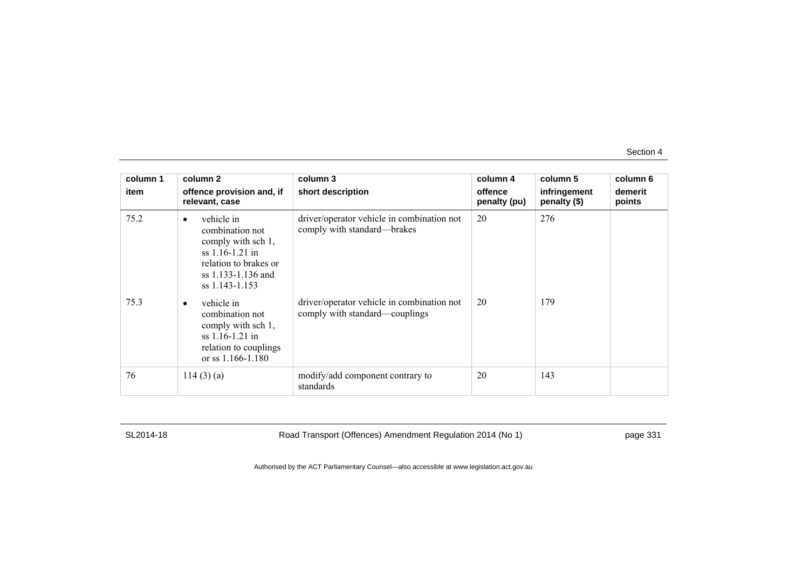| column 1 | column 2                                                                                                                                               | column 3                                                                     | column 4                | column 5                     | column 6          |
|----------|--------------------------------------------------------------------------------------------------------------------------------------------------------|------------------------------------------------------------------------------|-------------------------|------------------------------|-------------------|
| item     | offence provision and, if<br>relevant, case                                                                                                            | short description                                                            | offence<br>penalty (pu) | infringement<br>penalty (\$) | demerit<br>points |
| 75.2     | vehicle in<br>$\bullet$<br>combination not<br>comply with sch 1,<br>$ss$ 1.16-1.21 in<br>relation to brakes or<br>ss 1.133-1.136 and<br>ss 1.143-1.153 | driver/operator vehicle in combination not<br>comply with standard—brakes    | 20                      | 276                          |                   |
| 75.3     | vehicle in<br>$\bullet$<br>combination not<br>comply with sch 1,<br>$ss$ 1.16-1.21 in<br>relation to couplings<br>or ss $1.166 - 1.180$                | driver/operator vehicle in combination not<br>comply with standard—couplings | 20                      | 179                          |                   |
| 76       | 114(3)(a)                                                                                                                                              | modify/add component contrary to<br>standards                                | 20                      | 143                          |                   |

SL2014-18 Road Transport (Offences) Amendment Regulation 2014 (No 1) page 331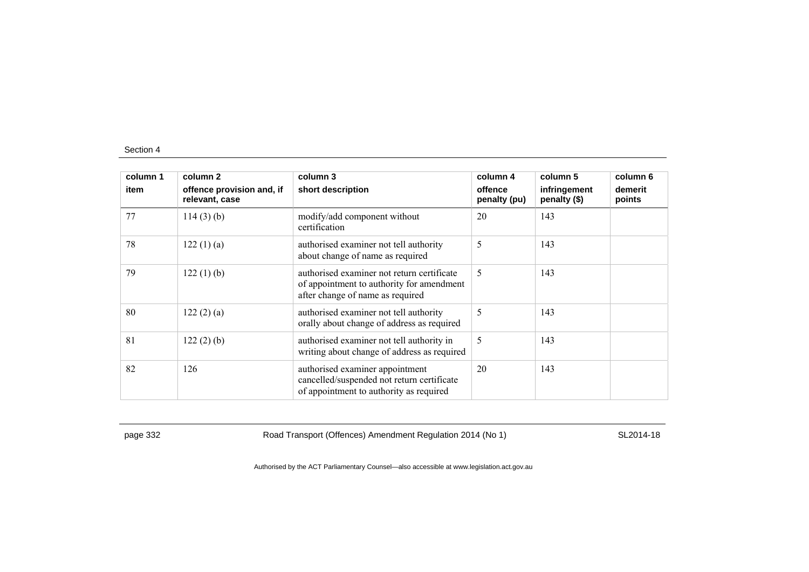| column 1 | column 2                                    | column 3                                                                                                                    | column 4                | column 5                     | column 6          |
|----------|---------------------------------------------|-----------------------------------------------------------------------------------------------------------------------------|-------------------------|------------------------------|-------------------|
| item     | offence provision and, if<br>relevant, case | short description                                                                                                           | offence<br>penalty (pu) | infringement<br>penalty (\$) | demerit<br>points |
| 77       | $114(3)$ (b)                                | modify/add component without<br>certification                                                                               | 20                      | 143                          |                   |
| 78       | 122(1)(a)                                   | authorised examiner not tell authority<br>about change of name as required                                                  | 5                       | 143                          |                   |
| 79       | 122(1)(b)                                   | authorised examiner not return certificate<br>of appointment to authority for amendment<br>after change of name as required | 5                       | 143                          |                   |
| 80       | 122(2)(a)                                   | authorised examiner not tell authority<br>orally about change of address as required                                        | 5                       | 143                          |                   |
| 81       | 122(2)(b)                                   | authorised examiner not tell authority in<br>writing about change of address as required                                    | 5                       | 143                          |                   |
| 82       | 126                                         | authorised examiner appointment<br>cancelled/suspended not return certificate<br>of appointment to authority as required    | 20                      | 143                          |                   |

page 332 Road Transport (Offences) Amendment Regulation 2014 (No 1) SL2014-18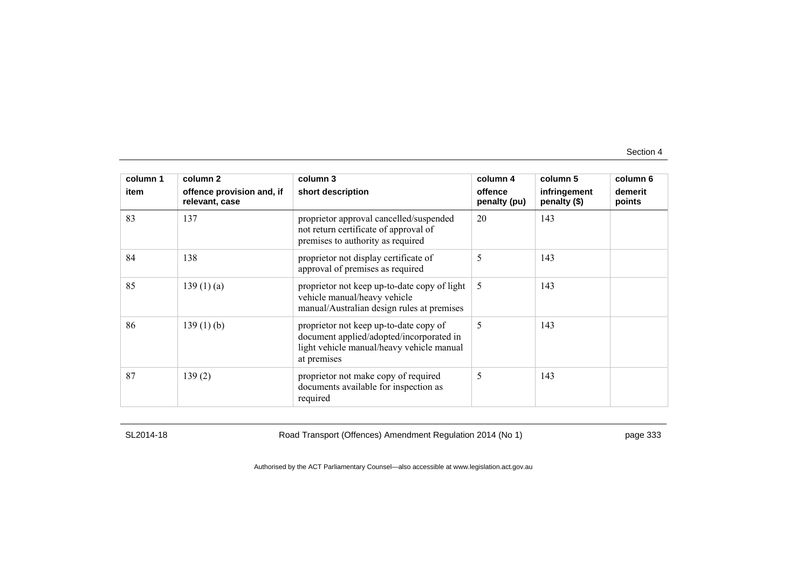| column 1 | column 2                                    | column 3                                                                                                                                       | column 4                | column 5                     | column 6          |
|----------|---------------------------------------------|------------------------------------------------------------------------------------------------------------------------------------------------|-------------------------|------------------------------|-------------------|
| item     | offence provision and, if<br>relevant, case | short description                                                                                                                              | offence<br>penalty (pu) | infringement<br>penalty (\$) | demerit<br>points |
| 83       | 137                                         | proprietor approval cancelled/suspended<br>not return certificate of approval of<br>premises to authority as required                          | 20                      | 143                          |                   |
| 84       | 138                                         | proprietor not display certificate of<br>approval of premises as required                                                                      | 5                       | 143                          |                   |
| 85       | 139(1)(a)                                   | proprietor not keep up-to-date copy of light<br>vehicle manual/heavy vehicle<br>manual/Australian design rules at premises                     | 5                       | 143                          |                   |
| 86       | $139(1)$ (b)                                | proprietor not keep up-to-date copy of<br>document applied/adopted/incorporated in<br>light vehicle manual/heavy vehicle manual<br>at premises | 5                       | 143                          |                   |
| 87       | 139(2)                                      | proprietor not make copy of required<br>documents available for inspection as<br>required                                                      | 5                       | 143                          |                   |

SL2014-18 Road Transport (Offences) Amendment Regulation 2014 (No 1) page 333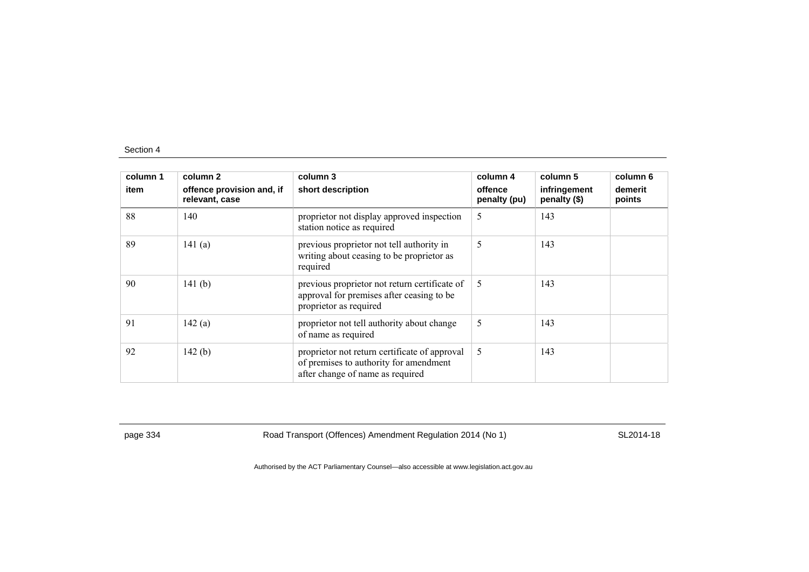| column 1<br>item | column 2<br>offence provision and, if<br>relevant, case | column 3<br>short description                                                                                               | column 4<br>offence<br>penalty (pu) | column 5<br>infringement<br>penalty (\$) | column 6<br>demerit<br>points |
|------------------|---------------------------------------------------------|-----------------------------------------------------------------------------------------------------------------------------|-------------------------------------|------------------------------------------|-------------------------------|
| 88               | 140                                                     | proprietor not display approved inspection<br>station notice as required                                                    | 5                                   | 143                                      |                               |
| 89               | 141(a)                                                  | previous proprietor not tell authority in<br>writing about ceasing to be proprietor as<br>required                          | 5                                   | 143                                      |                               |
| 90               | 141 $(b)$                                               | previous proprietor not return certificate of<br>approval for premises after ceasing to be<br>proprietor as required        | 5                                   | 143                                      |                               |
| 91               | 142(a)                                                  | proprietor not tell authority about change<br>of name as required                                                           | 5                                   | 143                                      |                               |
| 92               | 142(b)                                                  | proprietor not return certificate of approval<br>of premises to authority for amendment<br>after change of name as required | 5                                   | 143                                      |                               |

page 334 Road Transport (Offences) Amendment Regulation 2014 (No 1) SL2014-18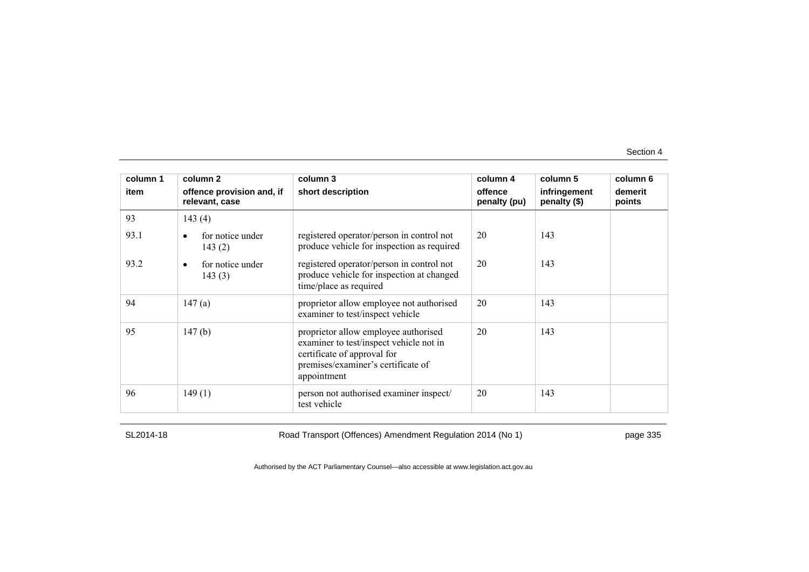| column 1 | column 2                                    | column 3                                                                                                                                                            | column 4                | column 5                     | column 6          |
|----------|---------------------------------------------|---------------------------------------------------------------------------------------------------------------------------------------------------------------------|-------------------------|------------------------------|-------------------|
| item     | offence provision and, if<br>relevant, case | short description                                                                                                                                                   | offence<br>penalty (pu) | infringement<br>penalty (\$) | demerit<br>points |
| 93       | 143(4)                                      |                                                                                                                                                                     |                         |                              |                   |
| 93.1     | for notice under<br>143(2)                  | registered operator/person in control not<br>produce vehicle for inspection as required                                                                             | 20                      | 143                          |                   |
| 93.2     | for notice under<br>$\bullet$<br>143(3)     | registered operator/person in control not<br>produce vehicle for inspection at changed<br>time/place as required                                                    | 20                      | 143                          |                   |
| 94       | 147(a)                                      | proprietor allow employee not authorised<br>examiner to test/inspect vehicle                                                                                        | 20                      | 143                          |                   |
| 95       | 147(b)                                      | proprietor allow employee authorised<br>examiner to test/inspect vehicle not in<br>certificate of approval for<br>premises/examiner's certificate of<br>appointment | 20                      | 143                          |                   |
| 96       | 149(1)                                      | person not authorised examiner inspect/<br>test vehicle                                                                                                             | 20                      | 143                          |                   |

SL2014-18 Road Transport (Offences) Amendment Regulation 2014 (No 1) page 335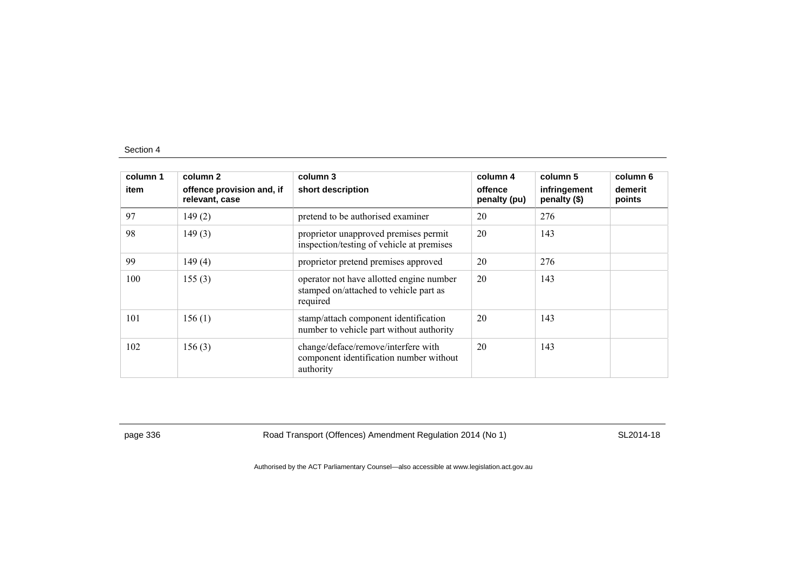| column 1<br>item | column 2<br>offence provision and, if<br>relevant, case | column 3<br>short description                                                                  | column 4<br>offence<br>penalty (pu) | column 5<br>infringement<br>penalty (\$) | column 6<br>demerit<br>points |
|------------------|---------------------------------------------------------|------------------------------------------------------------------------------------------------|-------------------------------------|------------------------------------------|-------------------------------|
| 97               | 149(2)                                                  | pretend to be authorised examiner                                                              | 20                                  | 276                                      |                               |
| 98               | 149(3)                                                  | proprietor unapproved premises permit<br>inspection/testing of vehicle at premises             | 20                                  | 143                                      |                               |
| 99               | 149(4)                                                  | proprietor pretend premises approved                                                           | 20                                  | 276                                      |                               |
| 100              | 155(3)                                                  | operator not have allotted engine number<br>stamped on/attached to vehicle part as<br>required | 20                                  | 143                                      |                               |
| 101              | 156(1)                                                  | stamp/attach component identification<br>number to vehicle part without authority              | 20                                  | 143                                      |                               |
| 102              | 156(3)                                                  | change/deface/remove/interfere with<br>component identification number without<br>authority    | 20                                  | 143                                      |                               |

page 336 Road Transport (Offences) Amendment Regulation 2014 (No 1) SL2014-18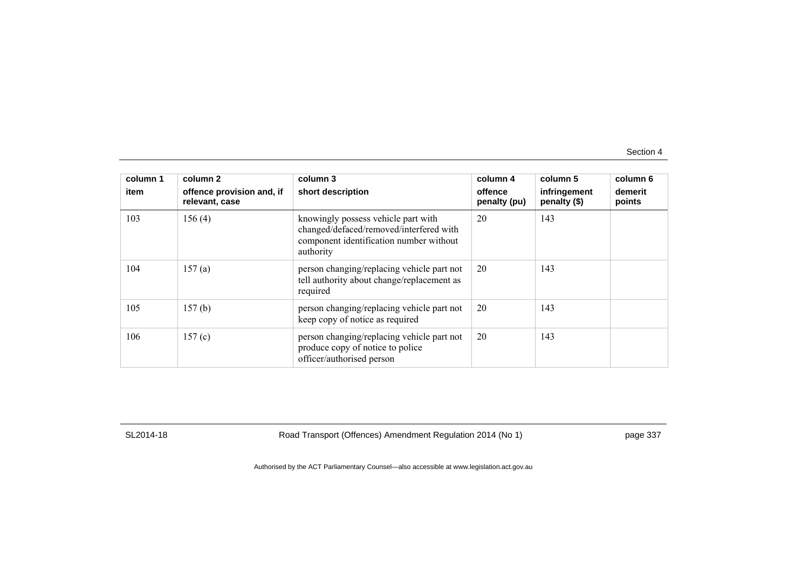| column 1<br>item | column 2<br>offence provision and, if<br>relevant, case | column 3<br>short description                                                                                                          | column 4<br>offence<br>penalty (pu) | column 5<br>infringement<br>penalty (\$) | column 6<br>demerit<br>points |
|------------------|---------------------------------------------------------|----------------------------------------------------------------------------------------------------------------------------------------|-------------------------------------|------------------------------------------|-------------------------------|
| 103              | 156(4)                                                  | knowingly possess vehicle part with<br>changed/defaced/removed/interfered with<br>component identification number without<br>authority | 20                                  | 143                                      |                               |
| 104              | 157(a)                                                  | person changing/replacing vehicle part not<br>tell authority about change/replacement as<br>required                                   | 20                                  | 143                                      |                               |
| 105              | 157(b)                                                  | person changing/replacing vehicle part not<br>keep copy of notice as required                                                          | 20                                  | 143                                      |                               |
| 106              | 157(c)                                                  | person changing/replacing vehicle part not<br>produce copy of notice to police<br>officer/authorised person                            | 20                                  | 143                                      |                               |

SL2014-18 Road Transport (Offences) Amendment Regulation 2014 (No 1) page 337